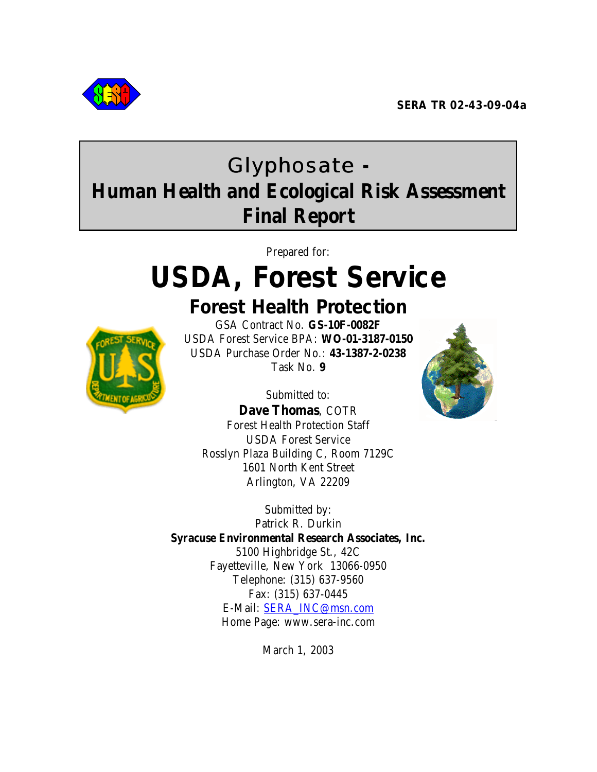

# Glyphosate **- Human Health and Ecological Risk Assessment Final Report**

Prepared for:

# **USDA, Forest Service**



**Forest Health Protection**

GSA Contract No. **GS-10F-0082F** USDA Forest Service BPA: **WO-01-3187-0150** USDA Purchase Order No.: **43-1387-2-0238** Task No. **9**

Submitted to: **Dave Thomas**, COTR Forest Health Protection Staff USDA Forest Service Rosslyn Plaza Building C, Room 7129C 1601 North Kent Street Arlington, VA 22209



Submitted by: Patrick R. Durkin **Syracuse Environmental Research Associates, Inc.** 5100 Highbridge St., 42C Fayetteville, New York 13066-0950 Telephone: (315) 637-9560 Fax: (315) 637-0445 E-Mail: SERA\_INC@msn.com Home Page: www.sera-inc.com

March 1, 2003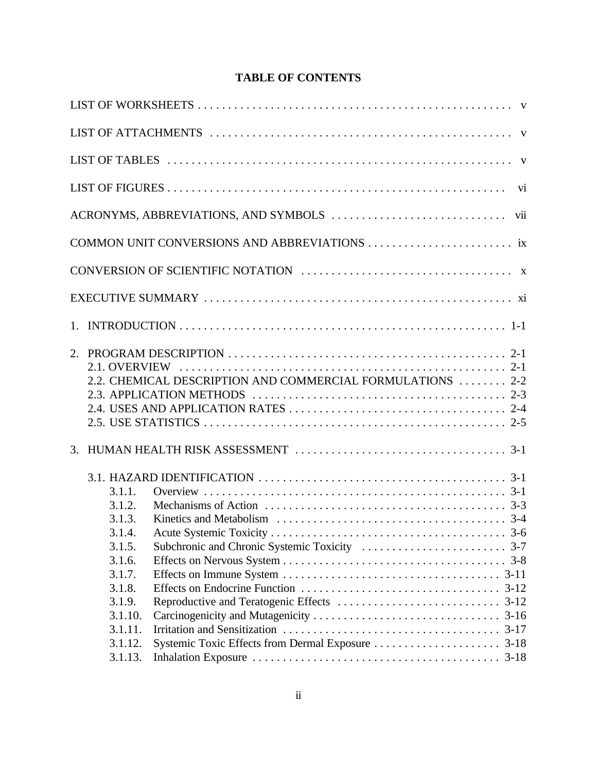# **TABLE OF CONTENTS**

|         | 2.2. CHEMICAL DESCRIPTION AND COMMERCIAL FORMULATIONS  2-2                                                              |  |
|---------|-------------------------------------------------------------------------------------------------------------------------|--|
|         |                                                                                                                         |  |
|         |                                                                                                                         |  |
|         |                                                                                                                         |  |
|         |                                                                                                                         |  |
|         | 3.1. HAZARD IDENTIFICATION $\ldots \ldots \ldots \ldots \ldots \ldots \ldots \ldots \ldots \ldots \ldots \ldots \ldots$ |  |
| 3.1.1.  |                                                                                                                         |  |
| 3.1.2.  |                                                                                                                         |  |
| 3.1.3.  |                                                                                                                         |  |
| 3.1.4.  |                                                                                                                         |  |
| 3.1.5.  |                                                                                                                         |  |
| 3.1.6.  |                                                                                                                         |  |
| 3.1.7.  |                                                                                                                         |  |
| 3.1.8.  |                                                                                                                         |  |
| 3.1.9.  |                                                                                                                         |  |
| 3.1.10. |                                                                                                                         |  |
| 3.1.11. |                                                                                                                         |  |
| 3.1.12. |                                                                                                                         |  |
| 3.1.13. |                                                                                                                         |  |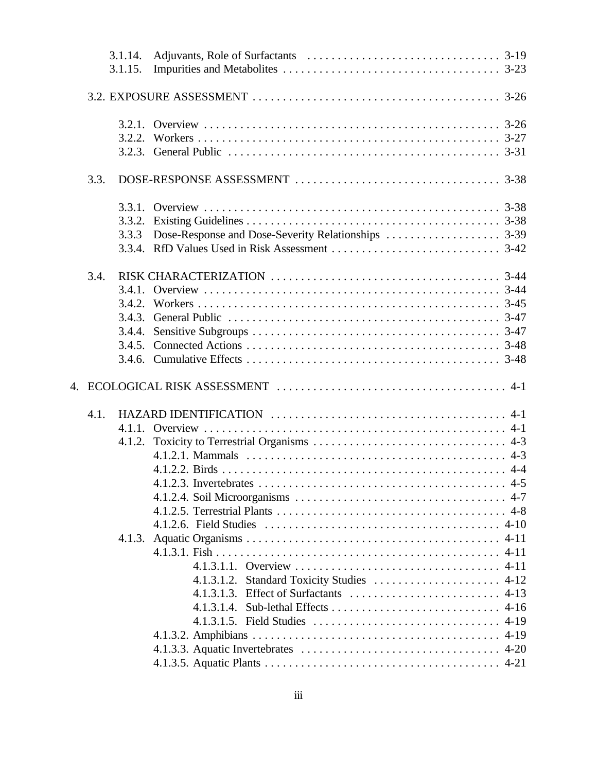|      | 3.1.14.<br>3.1.15. |                                            |  |
|------|--------------------|--------------------------------------------|--|
|      |                    |                                            |  |
|      |                    |                                            |  |
|      |                    |                                            |  |
|      |                    |                                            |  |
|      |                    |                                            |  |
| 3.3. |                    |                                            |  |
|      |                    |                                            |  |
|      |                    |                                            |  |
|      | 3.3.3              |                                            |  |
|      |                    |                                            |  |
|      |                    |                                            |  |
| 3.4. |                    |                                            |  |
|      | 3.4.1.             |                                            |  |
|      |                    |                                            |  |
|      |                    |                                            |  |
|      | 3.4.4.             |                                            |  |
|      |                    |                                            |  |
|      |                    |                                            |  |
|      |                    |                                            |  |
|      |                    |                                            |  |
|      |                    |                                            |  |
| 4.1. |                    |                                            |  |
|      |                    |                                            |  |
|      | 4.1.2.             |                                            |  |
|      |                    |                                            |  |
|      |                    |                                            |  |
|      |                    | 4.5 4.5 Invertebrates                      |  |
|      |                    |                                            |  |
|      |                    |                                            |  |
|      |                    |                                            |  |
|      |                    |                                            |  |
|      |                    |                                            |  |
|      |                    |                                            |  |
|      |                    | 4.1.3.1.2. Standard Toxicity Studies  4-12 |  |
|      |                    |                                            |  |
|      |                    |                                            |  |
|      |                    |                                            |  |
|      |                    |                                            |  |
|      |                    |                                            |  |
|      |                    |                                            |  |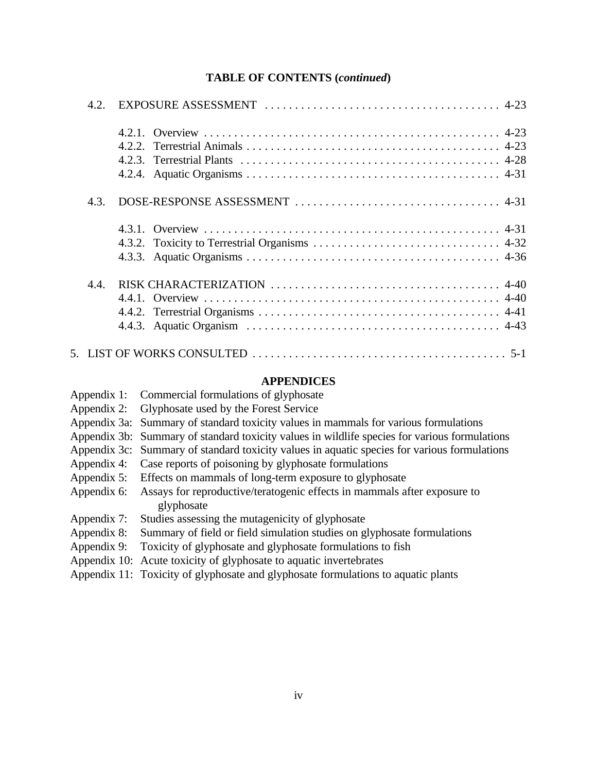#### **TABLE OF CONTENTS (***continued***)**

| 4.2 <sub>1</sub> |       |
|------------------|-------|
|                  | 4.2.2 |
| 4.3.             |       |
|                  |       |
| 4.4              |       |
|                  |       |

#### **APPENDICES**

| Appendix 1:<br>Commercial formulations of glyphosate |  |
|------------------------------------------------------|--|
|------------------------------------------------------|--|

- Appendix 2: Glyphosate used by the Forest Service
- Appendix 3a: Summary of standard toxicity values in mammals for various formulations
- Appendix 3b: Summary of standard toxicity values in wildlife species for various formulations
- Appendix 3c: Summary of standard toxicity values in aquatic species for various formulations
- Appendix 4: Case reports of poisoning by glyphosate formulations
- Appendix 5: Effects on mammals of long-term exposure to glyphosate
- Appendix 6: Assays for reproductive/teratogenic effects in mammals after exposure to glyphosate
- Appendix 7: Studies assessing the mutagenicity of glyphosate
- Appendix 8: Summary of field or field simulation studies on glyphosate formulations
- Appendix 9: Toxicity of glyphosate and glyphosate formulations to fish
- Appendix 10: Acute toxicity of glyphosate to aquatic invertebrates
- Appendix 11: Toxicity of glyphosate and glyphosate formulations to aquatic plants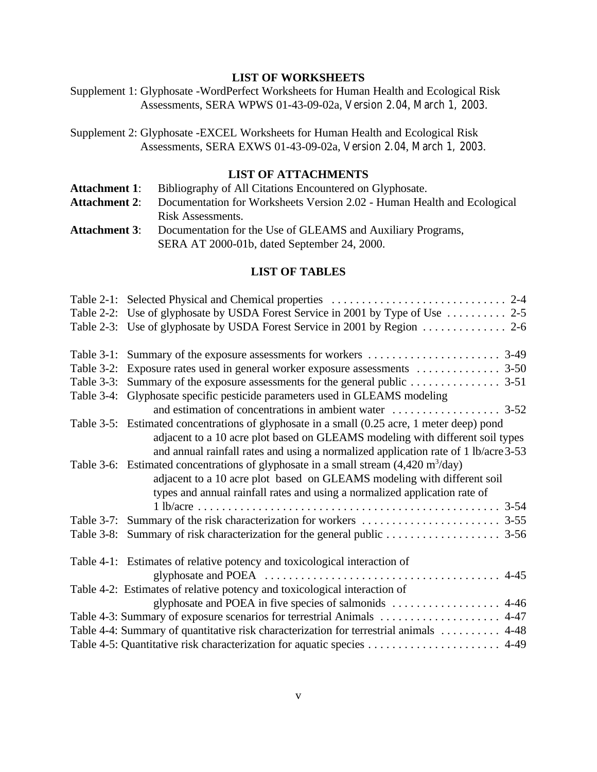#### **LIST OF WORKSHEETS**

Supplement 1: Glyphosate -WordPerfect Worksheets for Human Health and Ecological Risk Assessments, SERA WPWS 01-43-09-02a, Version 2.04, March 1, 2003.

Supplement 2: Glyphosate -EXCEL Worksheets for Human Health and Ecological Risk Assessments, SERA EXWS 01-43-09-02a, Version 2.04, March 1, 2003.

#### **LIST OF ATTACHMENTS**

| <b>Attachment 1:</b> | Bibliography of All Citations Encountered on Glyphosate.                |  |
|----------------------|-------------------------------------------------------------------------|--|
| <b>Attachment 2:</b> | Documentation for Worksheets Version 2.02 - Human Health and Ecological |  |
|                      | Risk Assessments.                                                       |  |
| <b>Attachment 3:</b> | Documentation for the Use of GLEAMS and Auxiliary Programs,             |  |
|                      | SERA AT 2000-01b, dated September 24, 2000.                             |  |

#### **LIST OF TABLES**

| Table 2-2: Use of glyphosate by USDA Forest Service in 2001 by Type of Use  2-5                                |
|----------------------------------------------------------------------------------------------------------------|
|                                                                                                                |
|                                                                                                                |
|                                                                                                                |
|                                                                                                                |
| Table 3-4: Glyphosate specific pesticide parameters used in GLEAMS modeling                                    |
|                                                                                                                |
| Table 3-5: Estimated concentrations of glyphosate in a small (0.25 acre, 1 meter deep) pond                    |
| adjacent to a 10 acre plot based on GLEAMS modeling with different soil types                                  |
| and annual rainfall rates and using a normalized application rate of 1 lb/acre 3-53                            |
| Table 3-6: Estimated concentrations of glyphosate in a small stream $(4,420 \text{ m}^3/\text{day})$           |
| adjacent to a 10 acre plot based on GLEAMS modeling with different soil                                        |
| types and annual rainfall rates and using a normalized application rate of                                     |
|                                                                                                                |
|                                                                                                                |
|                                                                                                                |
| Table 4-1: Estimates of relative potency and toxicological interaction of                                      |
| glyphosate and POEA $\ldots \ldots \ldots \ldots \ldots \ldots \ldots \ldots \ldots \ldots \ldots \ldots$ 4-45 |
| Table 4-2: Estimates of relative potency and toxicological interaction of                                      |
|                                                                                                                |
| Table 4-3: Summary of exposure scenarios for terrestrial Animals  4-47                                         |
| Table 4-4: Summary of quantitative risk characterization for terrestrial animals  4-48                         |
|                                                                                                                |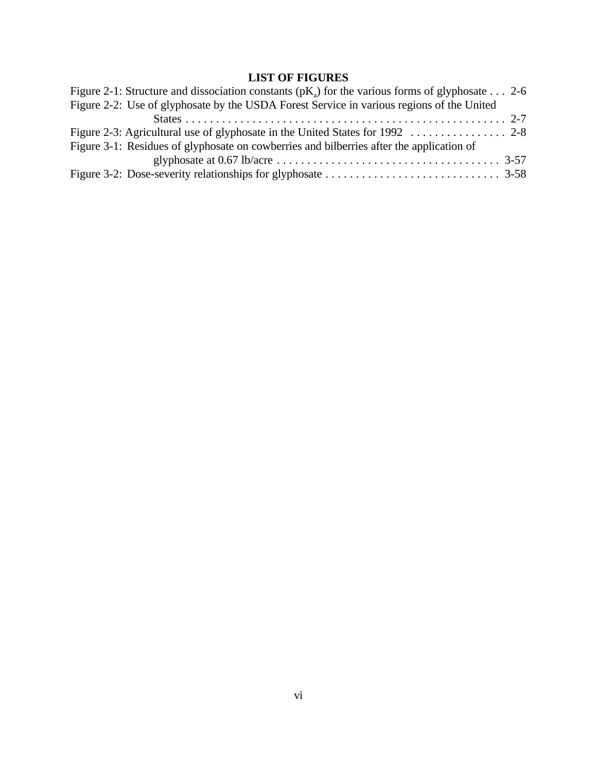# **LIST OF FIGURES**

| Figure 2-1: Structure and dissociation constants ( $pK_a$ ) for the various forms of glyphosate 2-6 |  |
|-----------------------------------------------------------------------------------------------------|--|
| Figure 2-2: Use of glyphosate by the USDA Forest Service in various regions of the United           |  |
|                                                                                                     |  |
|                                                                                                     |  |
| Figure 3-1: Residues of glyphosate on cowberries and bilberries after the application of            |  |
|                                                                                                     |  |
|                                                                                                     |  |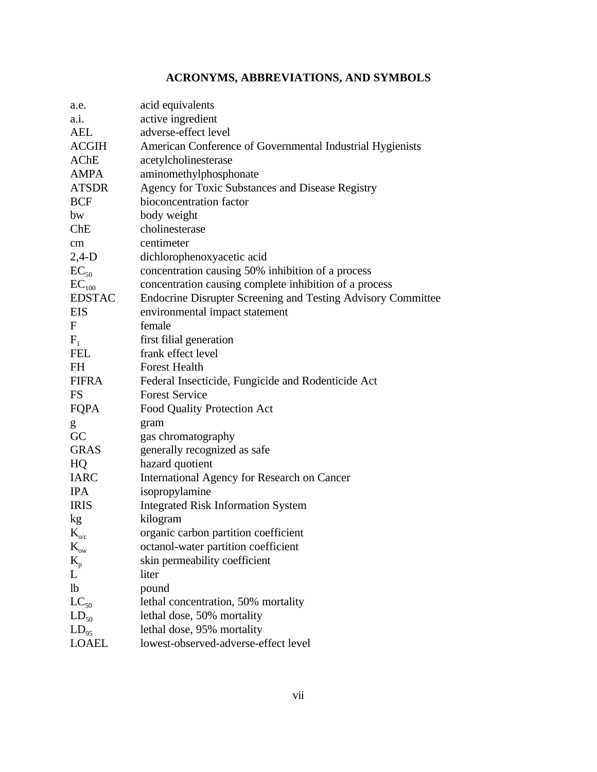# **ACRONYMS, ABBREVIATIONS, AND SYMBOLS**

| a.e.                 | acid equivalents                                             |
|----------------------|--------------------------------------------------------------|
| a.i.                 | active ingredient                                            |
| AEL                  | adverse-effect level                                         |
| ACGIH                | American Conference of Governmental Industrial Hygienists    |
| AChE                 | acetylcholinesterase                                         |
| AMPA                 | aminomethylphosphonate                                       |
| <b>ATSDR</b>         | Agency for Toxic Substances and Disease Registry             |
| <b>BCF</b>           | bioconcentration factor                                      |
| bw                   | body weight                                                  |
| Che                  | cholinesterase                                               |
| cm                   | centimeter                                                   |
| $2,4-D$              | dichlorophenoxyacetic acid                                   |
| $EC_{50}$            | concentration causing 50% inhibition of a process            |
| $\mathrm{EC}_{100}$  | concentration causing complete inhibition of a process       |
| <b>EDSTAC</b>        | Endocrine Disrupter Screening and Testing Advisory Committee |
| EIS                  | environmental impact statement                               |
| F                    | female                                                       |
| $F_1$                | first filial generation                                      |
| <b>FEL</b>           | frank effect level                                           |
| FH                   | <b>Forest Health</b>                                         |
| <b>FIFRA</b>         | Federal Insecticide, Fungicide and Rodenticide Act           |
| <b>FS</b>            | <b>Forest Service</b>                                        |
| FQPA                 | Food Quality Protection Act                                  |
| g                    | gram                                                         |
| GC                   | gas chromatography                                           |
| <b>GRAS</b>          | generally recognized as safe                                 |
| HQ                   | hazard quotient                                              |
| <b>IARC</b>          | International Agency for Research on Cancer                  |
| <b>IPA</b>           | isopropylamine                                               |
| <b>IRIS</b>          | <b>Integrated Risk Information System</b>                    |
| kg                   | kilogram                                                     |
| $K_{o/c}$            | organic carbon partition coefficient                         |
| $\rm K_{\rm ow}$     | octanol-water partition coefficient                          |
| $\mathbf{K}_{\rm p}$ | skin permeability coefficient                                |
| L                    | liter                                                        |
| lb                   | pound                                                        |
| $LC_{50}$            | lethal concentration, 50% mortality                          |
| $LD_{50}$            | lethal dose, 50% mortality                                   |
| $LD_{95}$            | lethal dose, 95% mortality                                   |
| <b>LOAEL</b>         | lowest-observed-adverse-effect level                         |
|                      |                                                              |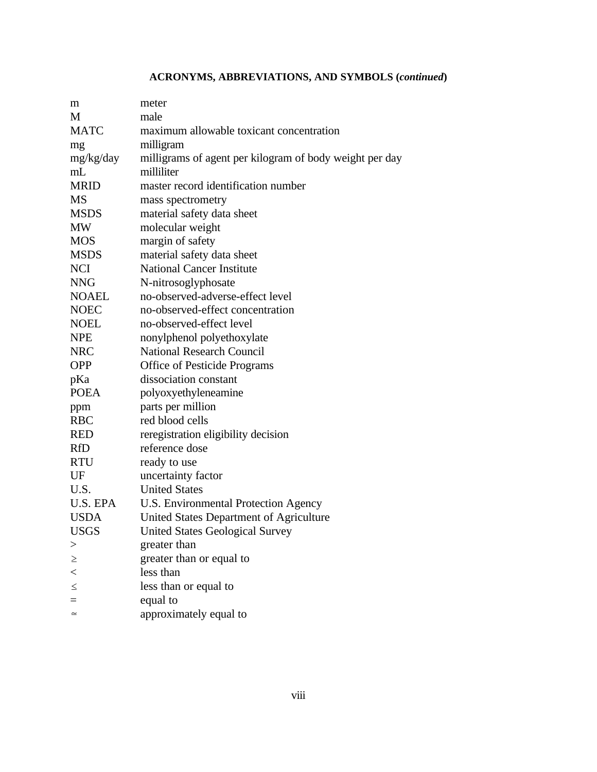# **ACRONYMS, ABBREVIATIONS, AND SYMBOLS (***continued***)**

| m            | meter                                                   |
|--------------|---------------------------------------------------------|
| M            | male                                                    |
| <b>MATC</b>  | maximum allowable toxicant concentration                |
| mg           | milligram                                               |
| mg/kg/day    | milligrams of agent per kilogram of body weight per day |
| mL           | milliliter                                              |
| <b>MRID</b>  | master record identification number                     |
| MS           | mass spectrometry                                       |
| <b>MSDS</b>  | material safety data sheet                              |
| MW           | molecular weight                                        |
| <b>MOS</b>   | margin of safety                                        |
| <b>MSDS</b>  | material safety data sheet                              |
| <b>NCI</b>   | <b>National Cancer Institute</b>                        |
| <b>NNG</b>   | N-nitrosoglyphosate                                     |
| <b>NOAEL</b> | no-observed-adverse-effect level                        |
| <b>NOEC</b>  | no-observed-effect concentration                        |
| <b>NOEL</b>  | no-observed-effect level                                |
| <b>NPE</b>   | nonylphenol polyethoxylate                              |
| <b>NRC</b>   | <b>National Research Council</b>                        |
| <b>OPP</b>   | Office of Pesticide Programs                            |
| pKa          | dissociation constant                                   |
| <b>POEA</b>  | polyoxyethyleneamine                                    |
| ppm          | parts per million                                       |
| <b>RBC</b>   | red blood cells                                         |
| <b>RED</b>   | reregistration eligibility decision                     |
| <b>RfD</b>   | reference dose                                          |
| <b>RTU</b>   | ready to use                                            |
| UF           | uncertainty factor                                      |
| U.S.         | <b>United States</b>                                    |
| U.S. EPA     | U.S. Environmental Protection Agency                    |
| <b>USDA</b>  | United States Department of Agriculture                 |
| <b>USGS</b>  | <b>United States Geological Survey</b>                  |
| >            | greater than                                            |
| $\geq$       | greater than or equal to                                |
| $\lt$        | less than                                               |
| $\leq$       | less than or equal to                                   |
|              | equal to                                                |
| $\simeq$     | approximately equal to                                  |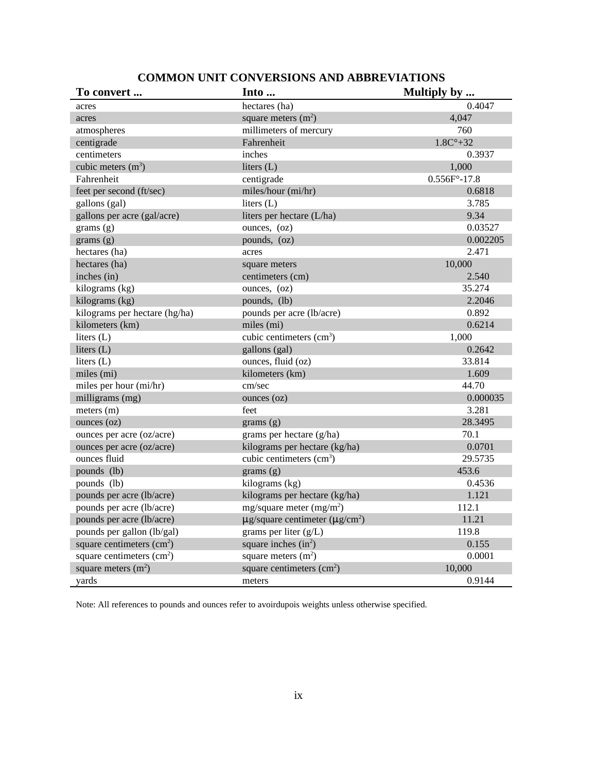| To convert                                 | Into                                                  | Multiply by             |
|--------------------------------------------|-------------------------------------------------------|-------------------------|
| acres                                      | hectares (ha)                                         | 0.4047                  |
| acres                                      | square meters $(m2)$                                  | 4,047                   |
| atmospheres                                | millimeters of mercury                                | 760                     |
| centigrade                                 | Fahrenheit                                            | $1.8C^{\circ}+32$       |
| centimeters                                | inches                                                | 0.3937                  |
| cubic meters $(m3)$                        | liters $(L)$                                          | 1,000                   |
| Fahrenheit                                 | centigrade                                            | $0.556F^{\circ} - 17.8$ |
| feet per second (ft/sec)                   | miles/hour (mi/hr)                                    | 0.6818                  |
| gallons (gal)                              | liters $(L)$                                          | 3.785                   |
| gallons per acre (gal/acre)                | liters per hectare (L/ha)                             | 9.34                    |
| grams(g)                                   | ounces, (oz)                                          | 0.03527                 |
| grams(g)                                   | pounds, (oz)                                          | 0.002205                |
| hectares (ha)                              | acres                                                 | 2.471                   |
| hectares (ha)                              | square meters                                         | 10,000                  |
| inches (in)                                | centimeters (cm)                                      | 2.540                   |
| kilograms (kg)                             | ounces, (oz)                                          | 35.274                  |
| kilograms (kg)                             | pounds, (lb)                                          | 2.2046                  |
| kilograms per hectare (hg/ha)              | pounds per acre (lb/acre)                             | 0.892                   |
| kilometers (km)                            | miles (mi)                                            | 0.6214                  |
| liters (L)                                 | cubic centimeters (cm <sup>3</sup> )                  | 1,000                   |
| liters $(L)$                               | gallons (gal)                                         | 0.2642                  |
| liters $(L)$                               | ounces, fluid (oz)                                    | 33.814                  |
| miles (mi)                                 | kilometers (km)                                       | 1.609                   |
| miles per hour (mi/hr)                     | cm/sec                                                | 44.70                   |
| milligrams (mg)                            | ounces $(oz)$                                         | 0.000035                |
| meters (m)                                 | feet                                                  | 3.281                   |
| $\omega$ ounces $\left( \text{oz} \right)$ | grams(g)                                              | 28.3495                 |
| ounces per acre (oz/acre)                  | grams per hectare (g/ha)                              | 70.1                    |
| ounces per acre (oz/acre)                  | kilograms per hectare (kg/ha)                         | 0.0701                  |
| ounces fluid                               | cubic centimeters $(cm3)$                             | 29.5735                 |
| pounds (lb)                                | grams(g)                                              | 453.6                   |
| pounds (lb)                                | kilograms (kg)                                        | 0.4536                  |
| pounds per acre (lb/acre)                  | kilograms per hectare (kg/ha)                         | 1.121                   |
| pounds per acre (lb/acre)                  | mg/square meter $(mg/m2)$                             | 112.1                   |
| pounds per acre (lb/acre)                  | $\mu$ g/square centimeter ( $\mu$ g/cm <sup>2</sup> ) | 11.21                   |
| pounds per gallon (lb/gal)                 | grams per liter $(g/L)$                               | 119.8                   |
| square centimeters $(cm2)$                 | square inches $(in^2)$                                | 0.155                   |
| square centimeters $(cm2)$                 | square meters $(m2)$                                  | 0.0001                  |
| square meters $(m2)$                       | square centimeters $(cm2)$                            | 10,000                  |
| yards                                      | meters                                                | 0.9144                  |

## **COMMON UNIT CONVERSIONS AND ABBREVIATIONS**

Note: All references to pounds and ounces refer to avoirdupois weights unless otherwise specified.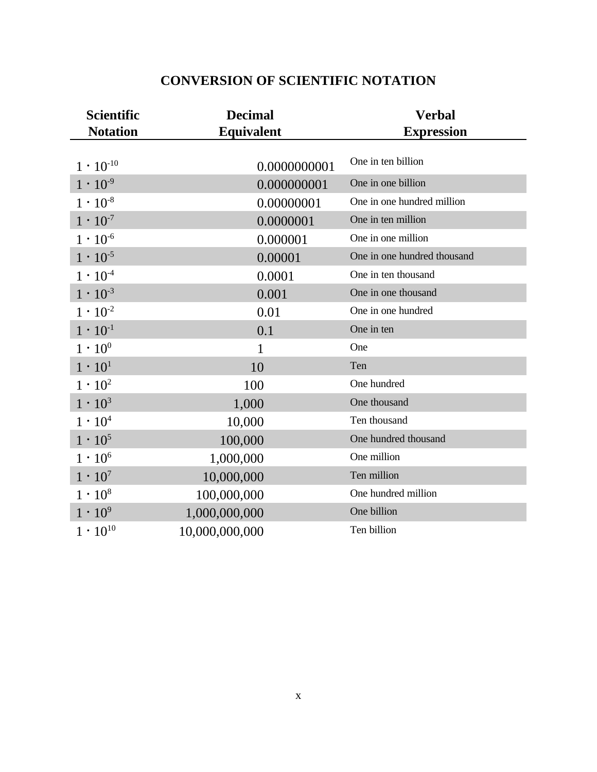| <b>Scientific</b>  | <b>Decimal</b>    | <b>Verbal</b>               |
|--------------------|-------------------|-----------------------------|
| <b>Notation</b>    | <b>Equivalent</b> | <b>Expression</b>           |
|                    |                   | One in ten billion          |
| $1 \cdot 10^{-10}$ | 0.0000000001      |                             |
| $1 \cdot 10^{-9}$  | 0.000000001       | One in one billion          |
| $1 \cdot 10^{-8}$  | 0.00000001        | One in one hundred million  |
| $1 \cdot 10^{-7}$  | 0.0000001         | One in ten million          |
| $1 \cdot 10^{-6}$  | 0.000001          | One in one million          |
| $1 \cdot 10^{-5}$  | 0.00001           | One in one hundred thousand |
| $1 \cdot 10^{-4}$  | 0.0001            | One in ten thousand         |
| $1 \cdot 10^{-3}$  | 0.001             | One in one thousand         |
| $1 \cdot 10^{-2}$  | 0.01              | One in one hundred          |
| $1 \cdot 10^{-1}$  | 0.1               | One in ten                  |
| $1 \cdot 10^{0}$   | 1                 | One                         |
| $1 \cdot 10^{1}$   | 10                | Ten                         |
| $1 \cdot 10^2$     | 100               | One hundred                 |
| $1 \cdot 10^3$     | 1,000             | One thousand                |
| $1 \cdot 10^4$     | 10,000            | Ten thousand                |
| $1 \cdot 10^5$     | 100,000           | One hundred thousand        |
| $1 \cdot 10^6$     | 1,000,000         | One million                 |
| $1 \cdot 10^{7}$   | 10,000,000        | Ten million                 |
| $1 \cdot 10^8$     | 100,000,000       | One hundred million         |
| $1 \cdot 10^{9}$   | 1,000,000,000     | One billion                 |
| $1 \cdot 10^{10}$  | 10,000,000,000    | Ten billion                 |

# **CONVERSION OF SCIENTIFIC NOTATION**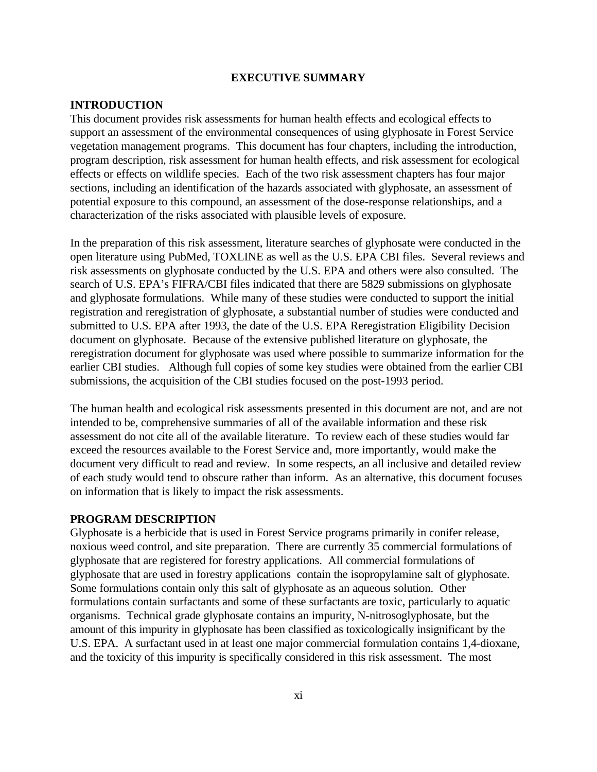#### **EXECUTIVE SUMMARY**

#### **INTRODUCTION**

This document provides risk assessments for human health effects and ecological effects to support an assessment of the environmental consequences of using glyphosate in Forest Service vegetation management programs. This document has four chapters, including the introduction, program description, risk assessment for human health effects, and risk assessment for ecological effects or effects on wildlife species. Each of the two risk assessment chapters has four major sections, including an identification of the hazards associated with glyphosate, an assessment of potential exposure to this compound, an assessment of the dose-response relationships, and a characterization of the risks associated with plausible levels of exposure.

In the preparation of this risk assessment, literature searches of glyphosate were conducted in the open literature using PubMed, TOXLINE as well as the U.S. EPA CBI files. Several reviews and risk assessments on glyphosate conducted by the U.S. EPA and others were also consulted. The search of U.S. EPA's FIFRA/CBI files indicated that there are 5829 submissions on glyphosate and glyphosate formulations. While many of these studies were conducted to support the initial registration and reregistration of glyphosate, a substantial number of studies were conducted and submitted to U.S. EPA after 1993, the date of the U.S. EPA Reregistration Eligibility Decision document on glyphosate. Because of the extensive published literature on glyphosate, the reregistration document for glyphosate was used where possible to summarize information for the earlier CBI studies. Although full copies of some key studies were obtained from the earlier CBI submissions, the acquisition of the CBI studies focused on the post-1993 period.

The human health and ecological risk assessments presented in this document are not, and are not intended to be, comprehensive summaries of all of the available information and these risk assessment do not cite all of the available literature. To review each of these studies would far exceed the resources available to the Forest Service and, more importantly, would make the document very difficult to read and review. In some respects, an all inclusive and detailed review of each study would tend to obscure rather than inform. As an alternative, this document focuses on information that is likely to impact the risk assessments.

#### **PROGRAM DESCRIPTION**

Glyphosate is a herbicide that is used in Forest Service programs primarily in conifer release, noxious weed control, and site preparation. There are currently 35 commercial formulations of glyphosate that are registered for forestry applications. All commercial formulations of glyphosate that are used in forestry applications contain the isopropylamine salt of glyphosate. Some formulations contain only this salt of glyphosate as an aqueous solution. Other formulations contain surfactants and some of these surfactants are toxic, particularly to aquatic organisms. Technical grade glyphosate contains an impurity, N-nitrosoglyphosate, but the amount of this impurity in glyphosate has been classified as toxicologically insignificant by the U.S. EPA. A surfactant used in at least one major commercial formulation contains 1,4-dioxane, and the toxicity of this impurity is specifically considered in this risk assessment. The most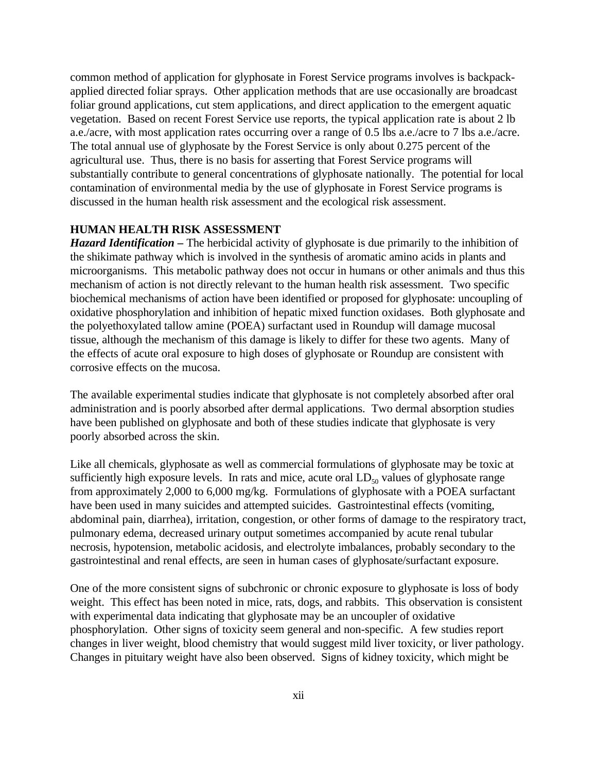common method of application for glyphosate in Forest Service programs involves is backpackapplied directed foliar sprays. Other application methods that are use occasionally are broadcast foliar ground applications, cut stem applications, and direct application to the emergent aquatic vegetation. Based on recent Forest Service use reports, the typical application rate is about 2 lb a.e./acre, with most application rates occurring over a range of 0.5 lbs a.e./acre to 7 lbs a.e./acre. The total annual use of glyphosate by the Forest Service is only about 0.275 percent of the agricultural use. Thus, there is no basis for asserting that Forest Service programs will substantially contribute to general concentrations of glyphosate nationally. The potential for local contamination of environmental media by the use of glyphosate in Forest Service programs is discussed in the human health risk assessment and the ecological risk assessment.

#### **HUMAN HEALTH RISK ASSESSMENT**

*Hazard Identification –* The herbicidal activity of glyphosate is due primarily to the inhibition of the shikimate pathway which is involved in the synthesis of aromatic amino acids in plants and microorganisms. This metabolic pathway does not occur in humans or other animals and thus this mechanism of action is not directly relevant to the human health risk assessment. Two specific biochemical mechanisms of action have been identified or proposed for glyphosate: uncoupling of oxidative phosphorylation and inhibition of hepatic mixed function oxidases. Both glyphosate and the polyethoxylated tallow amine (POEA) surfactant used in Roundup will damage mucosal tissue, although the mechanism of this damage is likely to differ for these two agents. Many of the effects of acute oral exposure to high doses of glyphosate or Roundup are consistent with corrosive effects on the mucosa.

The available experimental studies indicate that glyphosate is not completely absorbed after oral administration and is poorly absorbed after dermal applications. Two dermal absorption studies have been published on glyphosate and both of these studies indicate that glyphosate is very poorly absorbed across the skin.

Like all chemicals, glyphosate as well as commercial formulations of glyphosate may be toxic at sufficiently high exposure levels. In rats and mice, acute oral  $LD_{50}$  values of glyphosate range from approximately 2,000 to 6,000 mg/kg. Formulations of glyphosate with a POEA surfactant have been used in many suicides and attempted suicides. Gastrointestinal effects (vomiting, abdominal pain, diarrhea), irritation, congestion, or other forms of damage to the respiratory tract, pulmonary edema, decreased urinary output sometimes accompanied by acute renal tubular necrosis, hypotension, metabolic acidosis, and electrolyte imbalances, probably secondary to the gastrointestinal and renal effects, are seen in human cases of glyphosate/surfactant exposure.

One of the more consistent signs of subchronic or chronic exposure to glyphosate is loss of body weight. This effect has been noted in mice, rats, dogs, and rabbits. This observation is consistent with experimental data indicating that glyphosate may be an uncoupler of oxidative phosphorylation. Other signs of toxicity seem general and non-specific. A few studies report changes in liver weight, blood chemistry that would suggest mild liver toxicity, or liver pathology. Changes in pituitary weight have also been observed. Signs of kidney toxicity, which might be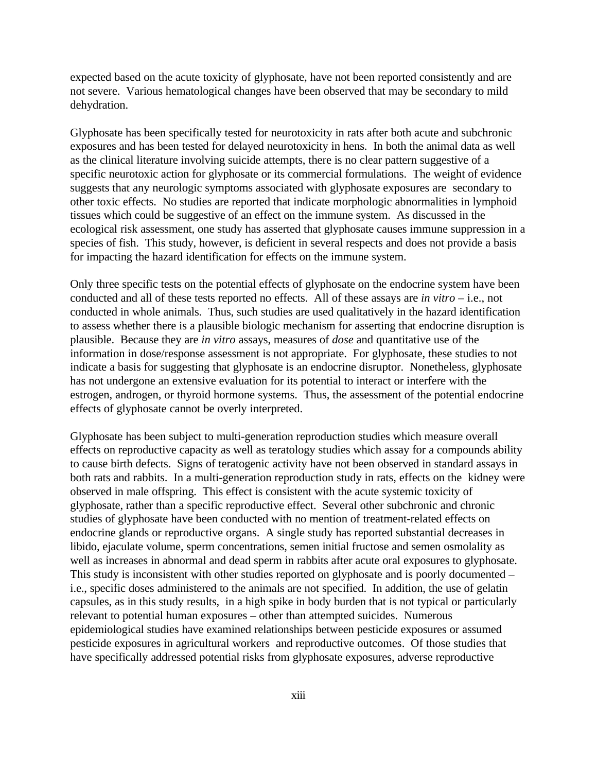expected based on the acute toxicity of glyphosate, have not been reported consistently and are not severe. Various hematological changes have been observed that may be secondary to mild dehydration.

Glyphosate has been specifically tested for neurotoxicity in rats after both acute and subchronic exposures and has been tested for delayed neurotoxicity in hens. In both the animal data as well as the clinical literature involving suicide attempts, there is no clear pattern suggestive of a specific neurotoxic action for glyphosate or its commercial formulations. The weight of evidence suggests that any neurologic symptoms associated with glyphosate exposures are secondary to other toxic effects. No studies are reported that indicate morphologic abnormalities in lymphoid tissues which could be suggestive of an effect on the immune system. As discussed in the ecological risk assessment, one study has asserted that glyphosate causes immune suppression in a species of fish. This study, however, is deficient in several respects and does not provide a basis for impacting the hazard identification for effects on the immune system.

Only three specific tests on the potential effects of glyphosate on the endocrine system have been conducted and all of these tests reported no effects. All of these assays are *in vitro* – i.e., not conducted in whole animals. Thus, such studies are used qualitatively in the hazard identification to assess whether there is a plausible biologic mechanism for asserting that endocrine disruption is plausible. Because they are *in vitro* assays, measures of *dose* and quantitative use of the information in dose/response assessment is not appropriate. For glyphosate, these studies to not indicate a basis for suggesting that glyphosate is an endocrine disruptor. Nonetheless, glyphosate has not undergone an extensive evaluation for its potential to interact or interfere with the estrogen, androgen, or thyroid hormone systems. Thus, the assessment of the potential endocrine effects of glyphosate cannot be overly interpreted.

Glyphosate has been subject to multi-generation reproduction studies which measure overall effects on reproductive capacity as well as teratology studies which assay for a compounds ability to cause birth defects. Signs of teratogenic activity have not been observed in standard assays in both rats and rabbits. In a multi-generation reproduction study in rats, effects on the kidney were observed in male offspring. This effect is consistent with the acute systemic toxicity of glyphosate, rather than a specific reproductive effect. Several other subchronic and chronic studies of glyphosate have been conducted with no mention of treatment-related effects on endocrine glands or reproductive organs. A single study has reported substantial decreases in libido, ejaculate volume, sperm concentrations, semen initial fructose and semen osmolality as well as increases in abnormal and dead sperm in rabbits after acute oral exposures to glyphosate. This study is inconsistent with other studies reported on glyphosate and is poorly documented – i.e., specific doses administered to the animals are not specified. In addition, the use of gelatin capsules, as in this study results, in a high spike in body burden that is not typical or particularly relevant to potential human exposures – other than attempted suicides. Numerous epidemiological studies have examined relationships between pesticide exposures or assumed pesticide exposures in agricultural workers and reproductive outcomes. Of those studies that have specifically addressed potential risks from glyphosate exposures, adverse reproductive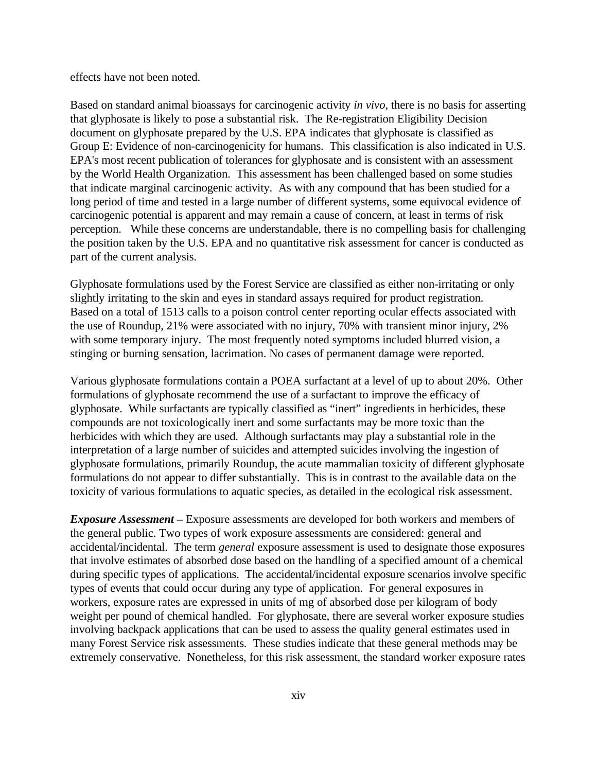effects have not been noted.

Based on standard animal bioassays for carcinogenic activity *in vivo*, there is no basis for asserting that glyphosate is likely to pose a substantial risk. The Re-registration Eligibility Decision document on glyphosate prepared by the U.S. EPA indicates that glyphosate is classified as Group E: Evidence of non-carcinogenicity for humans. This classification is also indicated in U.S. EPA's most recent publication of tolerances for glyphosate and is consistent with an assessment by the World Health Organization. This assessment has been challenged based on some studies that indicate marginal carcinogenic activity. As with any compound that has been studied for a long period of time and tested in a large number of different systems, some equivocal evidence of carcinogenic potential is apparent and may remain a cause of concern, at least in terms of risk perception. While these concerns are understandable, there is no compelling basis for challenging the position taken by the U.S. EPA and no quantitative risk assessment for cancer is conducted as part of the current analysis.

Glyphosate formulations used by the Forest Service are classified as either non-irritating or only slightly irritating to the skin and eyes in standard assays required for product registration. Based on a total of 1513 calls to a poison control center reporting ocular effects associated with the use of Roundup, 21% were associated with no injury, 70% with transient minor injury, 2% with some temporary injury. The most frequently noted symptoms included blurred vision, a stinging or burning sensation, lacrimation. No cases of permanent damage were reported.

Various glyphosate formulations contain a POEA surfactant at a level of up to about 20%. Other formulations of glyphosate recommend the use of a surfactant to improve the efficacy of glyphosate. While surfactants are typically classified as "inert" ingredients in herbicides, these compounds are not toxicologically inert and some surfactants may be more toxic than the herbicides with which they are used. Although surfactants may play a substantial role in the interpretation of a large number of suicides and attempted suicides involving the ingestion of glyphosate formulations, primarily Roundup, the acute mammalian toxicity of different glyphosate formulations do not appear to differ substantially. This is in contrast to the available data on the toxicity of various formulations to aquatic species, as detailed in the ecological risk assessment.

*Exposure Assessment –* Exposure assessments are developed for both workers and members of the general public. Two types of work exposure assessments are considered: general and accidental/incidental. The term *general* exposure assessment is used to designate those exposures that involve estimates of absorbed dose based on the handling of a specified amount of a chemical during specific types of applications. The accidental/incidental exposure scenarios involve specific types of events that could occur during any type of application. For general exposures in workers, exposure rates are expressed in units of mg of absorbed dose per kilogram of body weight per pound of chemical handled. For glyphosate, there are several worker exposure studies involving backpack applications that can be used to assess the quality general estimates used in many Forest Service risk assessments. These studies indicate that these general methods may be extremely conservative. Nonetheless, for this risk assessment, the standard worker exposure rates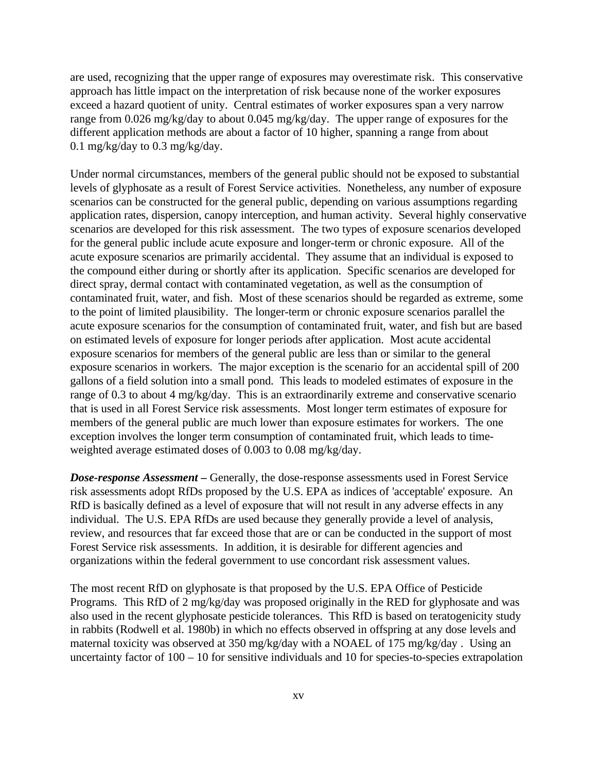are used, recognizing that the upper range of exposures may overestimate risk. This conservative approach has little impact on the interpretation of risk because none of the worker exposures exceed a hazard quotient of unity. Central estimates of worker exposures span a very narrow range from 0.026 mg/kg/day to about 0.045 mg/kg/day. The upper range of exposures for the different application methods are about a factor of 10 higher, spanning a range from about 0.1 mg/kg/day to 0.3 mg/kg/day.

Under normal circumstances, members of the general public should not be exposed to substantial levels of glyphosate as a result of Forest Service activities. Nonetheless, any number of exposure scenarios can be constructed for the general public, depending on various assumptions regarding application rates, dispersion, canopy interception, and human activity. Several highly conservative scenarios are developed for this risk assessment. The two types of exposure scenarios developed for the general public include acute exposure and longer-term or chronic exposure. All of the acute exposure scenarios are primarily accidental. They assume that an individual is exposed to the compound either during or shortly after its application. Specific scenarios are developed for direct spray, dermal contact with contaminated vegetation, as well as the consumption of contaminated fruit, water, and fish. Most of these scenarios should be regarded as extreme, some to the point of limited plausibility. The longer-term or chronic exposure scenarios parallel the acute exposure scenarios for the consumption of contaminated fruit, water, and fish but are based on estimated levels of exposure for longer periods after application. Most acute accidental exposure scenarios for members of the general public are less than or similar to the general exposure scenarios in workers. The major exception is the scenario for an accidental spill of 200 gallons of a field solution into a small pond. This leads to modeled estimates of exposure in the range of 0.3 to about 4 mg/kg/day. This is an extraordinarily extreme and conservative scenario that is used in all Forest Service risk assessments. Most longer term estimates of exposure for members of the general public are much lower than exposure estimates for workers. The one exception involves the longer term consumption of contaminated fruit, which leads to timeweighted average estimated doses of 0.003 to 0.08 mg/kg/day.

*Dose-response Assessment* – Generally, the dose-response assessments used in Forest Service risk assessments adopt RfDs proposed by the U.S. EPA as indices of 'acceptable' exposure. An RfD is basically defined as a level of exposure that will not result in any adverse effects in any individual. The U.S. EPA RfDs are used because they generally provide a level of analysis, review, and resources that far exceed those that are or can be conducted in the support of most Forest Service risk assessments. In addition, it is desirable for different agencies and organizations within the federal government to use concordant risk assessment values.

The most recent RfD on glyphosate is that proposed by the U.S. EPA Office of Pesticide Programs. This RfD of 2 mg/kg/day was proposed originally in the RED for glyphosate and was also used in the recent glyphosate pesticide tolerances. This RfD is based on teratogenicity study in rabbits (Rodwell et al. 1980b) in which no effects observed in offspring at any dose levels and maternal toxicity was observed at 350 mg/kg/day with a NOAEL of 175 mg/kg/day . Using an uncertainty factor of 100 – 10 for sensitive individuals and 10 for species-to-species extrapolation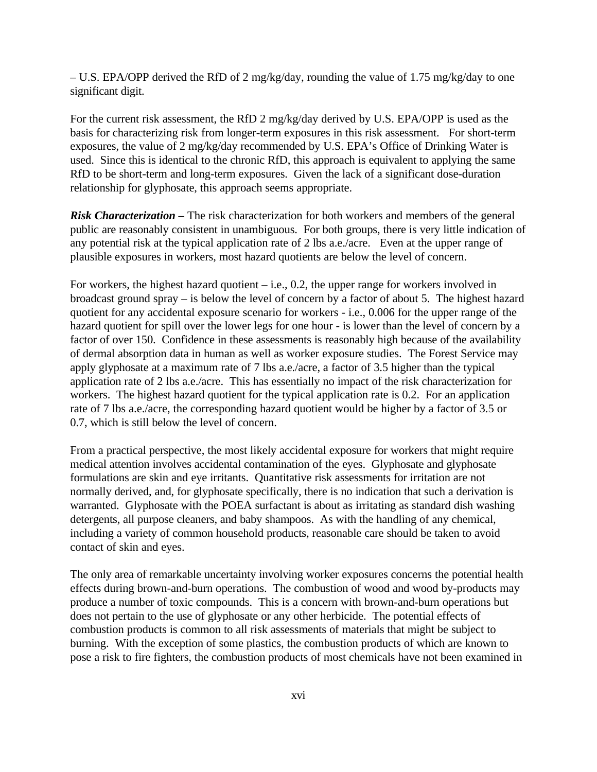– U.S. EPA/OPP derived the RfD of 2 mg/kg/day, rounding the value of 1.75 mg/kg/day to one significant digit.

For the current risk assessment, the RfD 2 mg/kg/day derived by U.S. EPA/OPP is used as the basis for characterizing risk from longer-term exposures in this risk assessment. For short-term exposures, the value of 2 mg/kg/day recommended by U.S. EPA's Office of Drinking Water is used. Since this is identical to the chronic RfD, this approach is equivalent to applying the same RfD to be short-term and long-term exposures. Given the lack of a significant dose-duration relationship for glyphosate, this approach seems appropriate.

*Risk Characterization –* The risk characterization for both workers and members of the general public are reasonably consistent in unambiguous. For both groups, there is very little indication of any potential risk at the typical application rate of 2 lbs a.e./acre. Even at the upper range of plausible exposures in workers, most hazard quotients are below the level of concern.

For workers, the highest hazard quotient – i.e., 0.2, the upper range for workers involved in broadcast ground spray – is below the level of concern by a factor of about 5. The highest hazard quotient for any accidental exposure scenario for workers - i.e., 0.006 for the upper range of the hazard quotient for spill over the lower legs for one hour - is lower than the level of concern by a factor of over 150. Confidence in these assessments is reasonably high because of the availability of dermal absorption data in human as well as worker exposure studies. The Forest Service may apply glyphosate at a maximum rate of 7 lbs a.e./acre, a factor of 3.5 higher than the typical application rate of 2 lbs a.e./acre. This has essentially no impact of the risk characterization for workers. The highest hazard quotient for the typical application rate is 0.2. For an application rate of 7 lbs a.e./acre, the corresponding hazard quotient would be higher by a factor of 3.5 or 0.7, which is still below the level of concern.

From a practical perspective, the most likely accidental exposure for workers that might require medical attention involves accidental contamination of the eyes. Glyphosate and glyphosate formulations are skin and eye irritants. Quantitative risk assessments for irritation are not normally derived, and, for glyphosate specifically, there is no indication that such a derivation is warranted. Glyphosate with the POEA surfactant is about as irritating as standard dish washing detergents, all purpose cleaners, and baby shampoos. As with the handling of any chemical, including a variety of common household products, reasonable care should be taken to avoid contact of skin and eyes.

The only area of remarkable uncertainty involving worker exposures concerns the potential health effects during brown-and-burn operations. The combustion of wood and wood by-products may produce a number of toxic compounds. This is a concern with brown-and-burn operations but does not pertain to the use of glyphosate or any other herbicide. The potential effects of combustion products is common to all risk assessments of materials that might be subject to burning. With the exception of some plastics, the combustion products of which are known to pose a risk to fire fighters, the combustion products of most chemicals have not been examined in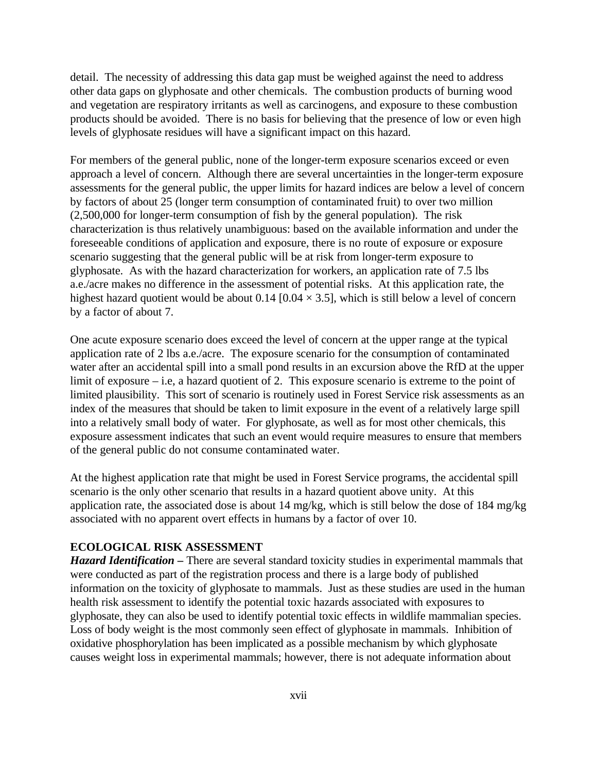detail. The necessity of addressing this data gap must be weighed against the need to address other data gaps on glyphosate and other chemicals. The combustion products of burning wood and vegetation are respiratory irritants as well as carcinogens, and exposure to these combustion products should be avoided. There is no basis for believing that the presence of low or even high levels of glyphosate residues will have a significant impact on this hazard.

For members of the general public, none of the longer-term exposure scenarios exceed or even approach a level of concern. Although there are several uncertainties in the longer-term exposure assessments for the general public, the upper limits for hazard indices are below a level of concern by factors of about 25 (longer term consumption of contaminated fruit) to over two million (2,500,000 for longer-term consumption of fish by the general population). The risk characterization is thus relatively unambiguous: based on the available information and under the foreseeable conditions of application and exposure, there is no route of exposure or exposure scenario suggesting that the general public will be at risk from longer-term exposure to glyphosate. As with the hazard characterization for workers, an application rate of 7.5 lbs a.e./acre makes no difference in the assessment of potential risks. At this application rate, the highest hazard quotient would be about 0.14 [0.04  $\times$  3.5], which is still below a level of concern by a factor of about 7.

One acute exposure scenario does exceed the level of concern at the upper range at the typical application rate of 2 lbs a.e./acre. The exposure scenario for the consumption of contaminated water after an accidental spill into a small pond results in an excursion above the RfD at the upper limit of exposure – i.e, a hazard quotient of 2. This exposure scenario is extreme to the point of limited plausibility. This sort of scenario is routinely used in Forest Service risk assessments as an index of the measures that should be taken to limit exposure in the event of a relatively large spill into a relatively small body of water. For glyphosate, as well as for most other chemicals, this exposure assessment indicates that such an event would require measures to ensure that members of the general public do not consume contaminated water.

At the highest application rate that might be used in Forest Service programs, the accidental spill scenario is the only other scenario that results in a hazard quotient above unity. At this application rate, the associated dose is about 14 mg/kg, which is still below the dose of 184 mg/kg associated with no apparent overt effects in humans by a factor of over 10.

#### **ECOLOGICAL RISK ASSESSMENT**

*Hazard Identification –* There are several standard toxicity studies in experimental mammals that were conducted as part of the registration process and there is a large body of published information on the toxicity of glyphosate to mammals. Just as these studies are used in the human health risk assessment to identify the potential toxic hazards associated with exposures to glyphosate, they can also be used to identify potential toxic effects in wildlife mammalian species. Loss of body weight is the most commonly seen effect of glyphosate in mammals. Inhibition of oxidative phosphorylation has been implicated as a possible mechanism by which glyphosate causes weight loss in experimental mammals; however, there is not adequate information about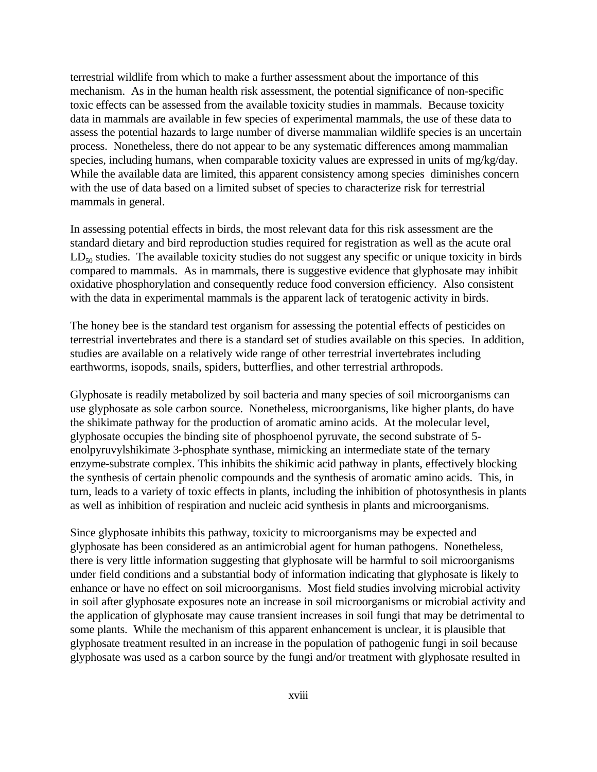terrestrial wildlife from which to make a further assessment about the importance of this mechanism. As in the human health risk assessment, the potential significance of non-specific toxic effects can be assessed from the available toxicity studies in mammals. Because toxicity data in mammals are available in few species of experimental mammals, the use of these data to assess the potential hazards to large number of diverse mammalian wildlife species is an uncertain process. Nonetheless, there do not appear to be any systematic differences among mammalian species, including humans, when comparable toxicity values are expressed in units of mg/kg/day. While the available data are limited, this apparent consistency among species diminishes concern with the use of data based on a limited subset of species to characterize risk for terrestrial mammals in general.

In assessing potential effects in birds, the most relevant data for this risk assessment are the standard dietary and bird reproduction studies required for registration as well as the acute oral  $LD_{50}$  studies. The available toxicity studies do not suggest any specific or unique toxicity in birds compared to mammals. As in mammals, there is suggestive evidence that glyphosate may inhibit oxidative phosphorylation and consequently reduce food conversion efficiency. Also consistent with the data in experimental mammals is the apparent lack of teratogenic activity in birds.

The honey bee is the standard test organism for assessing the potential effects of pesticides on terrestrial invertebrates and there is a standard set of studies available on this species. In addition, studies are available on a relatively wide range of other terrestrial invertebrates including earthworms, isopods, snails, spiders, butterflies, and other terrestrial arthropods.

Glyphosate is readily metabolized by soil bacteria and many species of soil microorganisms can use glyphosate as sole carbon source. Nonetheless, microorganisms, like higher plants, do have the shikimate pathway for the production of aromatic amino acids. At the molecular level, glyphosate occupies the binding site of phosphoenol pyruvate, the second substrate of 5 enolpyruvylshikimate 3-phosphate synthase, mimicking an intermediate state of the ternary enzyme-substrate complex. This inhibits the shikimic acid pathway in plants, effectively blocking the synthesis of certain phenolic compounds and the synthesis of aromatic amino acids. This, in turn, leads to a variety of toxic effects in plants, including the inhibition of photosynthesis in plants as well as inhibition of respiration and nucleic acid synthesis in plants and microorganisms.

Since glyphosate inhibits this pathway, toxicity to microorganisms may be expected and glyphosate has been considered as an antimicrobial agent for human pathogens. Nonetheless, there is very little information suggesting that glyphosate will be harmful to soil microorganisms under field conditions and a substantial body of information indicating that glyphosate is likely to enhance or have no effect on soil microorganisms. Most field studies involving microbial activity in soil after glyphosate exposures note an increase in soil microorganisms or microbial activity and the application of glyphosate may cause transient increases in soil fungi that may be detrimental to some plants. While the mechanism of this apparent enhancement is unclear, it is plausible that glyphosate treatment resulted in an increase in the population of pathogenic fungi in soil because glyphosate was used as a carbon source by the fungi and/or treatment with glyphosate resulted in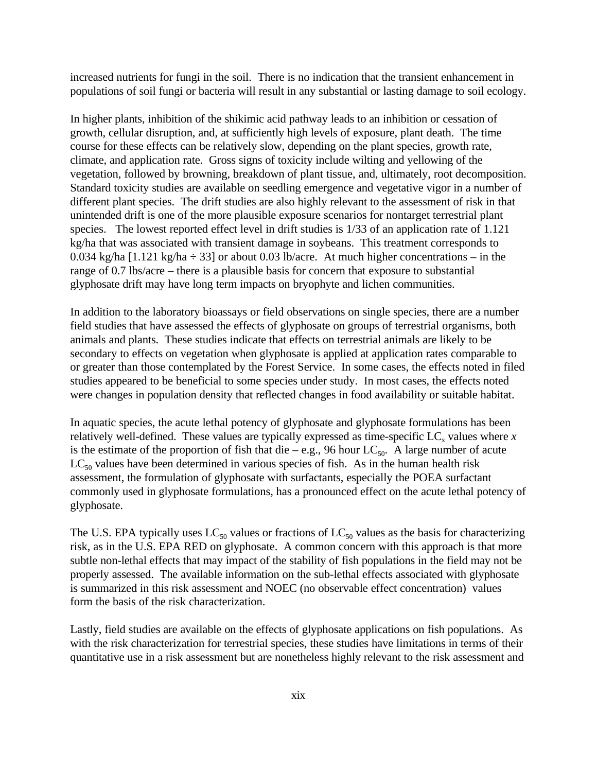increased nutrients for fungi in the soil. There is no indication that the transient enhancement in populations of soil fungi or bacteria will result in any substantial or lasting damage to soil ecology.

In higher plants, inhibition of the shikimic acid pathway leads to an inhibition or cessation of growth, cellular disruption, and, at sufficiently high levels of exposure, plant death. The time course for these effects can be relatively slow, depending on the plant species, growth rate, climate, and application rate. Gross signs of toxicity include wilting and yellowing of the vegetation, followed by browning, breakdown of plant tissue, and, ultimately, root decomposition. Standard toxicity studies are available on seedling emergence and vegetative vigor in a number of different plant species. The drift studies are also highly relevant to the assessment of risk in that unintended drift is one of the more plausible exposure scenarios for nontarget terrestrial plant species. The lowest reported effect level in drift studies is 1/33 of an application rate of 1.121 kg/ha that was associated with transient damage in soybeans. This treatment corresponds to 0.034 kg/ha [1.121 kg/ha  $\div$  33] or about 0.03 lb/acre. At much higher concentrations – in the range of 0.7 lbs/acre – there is a plausible basis for concern that exposure to substantial glyphosate drift may have long term impacts on bryophyte and lichen communities.

In addition to the laboratory bioassays or field observations on single species, there are a number field studies that have assessed the effects of glyphosate on groups of terrestrial organisms, both animals and plants. These studies indicate that effects on terrestrial animals are likely to be secondary to effects on vegetation when glyphosate is applied at application rates comparable to or greater than those contemplated by the Forest Service. In some cases, the effects noted in filed studies appeared to be beneficial to some species under study. In most cases, the effects noted were changes in population density that reflected changes in food availability or suitable habitat.

In aquatic species, the acute lethal potency of glyphosate and glyphosate formulations has been relatively well-defined. These values are typically expressed as time-specific  $LC_x$  values where  $x$ is the estimate of the proportion of fish that die – e.g., 96 hour  $LC_{50}$ . A large number of acute  $LC_{50}$  values have been determined in various species of fish. As in the human health risk assessment, the formulation of glyphosate with surfactants, especially the POEA surfactant commonly used in glyphosate formulations, has a pronounced effect on the acute lethal potency of glyphosate.

The U.S. EPA typically uses  $LC_{50}$  values or fractions of  $LC_{50}$  values as the basis for characterizing risk, as in the U.S. EPA RED on glyphosate. A common concern with this approach is that more subtle non-lethal effects that may impact of the stability of fish populations in the field may not be properly assessed. The available information on the sub-lethal effects associated with glyphosate is summarized in this risk assessment and NOEC (no observable effect concentration) values form the basis of the risk characterization.

Lastly, field studies are available on the effects of glyphosate applications on fish populations. As with the risk characterization for terrestrial species, these studies have limitations in terms of their quantitative use in a risk assessment but are nonetheless highly relevant to the risk assessment and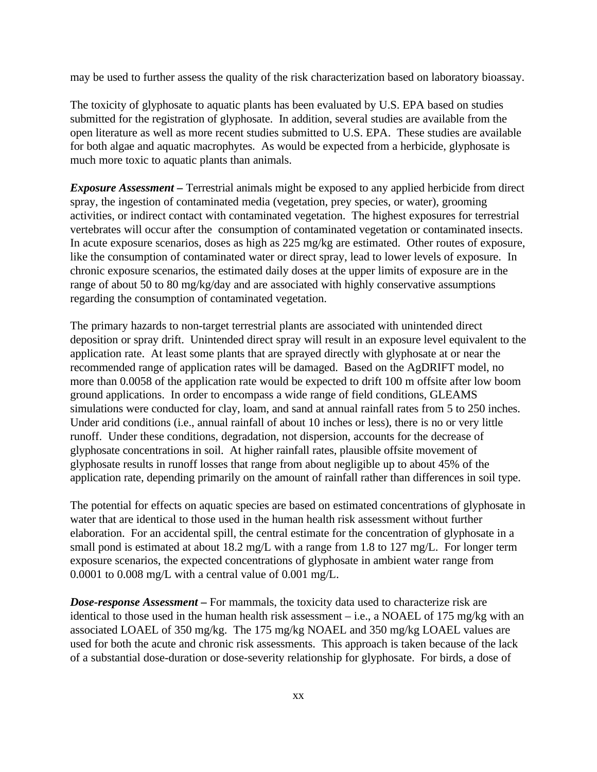may be used to further assess the quality of the risk characterization based on laboratory bioassay.

The toxicity of glyphosate to aquatic plants has been evaluated by U.S. EPA based on studies submitted for the registration of glyphosate. In addition, several studies are available from the open literature as well as more recent studies submitted to U.S. EPA. These studies are available for both algae and aquatic macrophytes. As would be expected from a herbicide, glyphosate is much more toxic to aquatic plants than animals.

*Exposure Assessment –* Terrestrial animals might be exposed to any applied herbicide from direct spray, the ingestion of contaminated media (vegetation, prey species, or water), grooming activities, or indirect contact with contaminated vegetation. The highest exposures for terrestrial vertebrates will occur after the consumption of contaminated vegetation or contaminated insects. In acute exposure scenarios, doses as high as 225 mg/kg are estimated. Other routes of exposure, like the consumption of contaminated water or direct spray, lead to lower levels of exposure. In chronic exposure scenarios, the estimated daily doses at the upper limits of exposure are in the range of about 50 to 80 mg/kg/day and are associated with highly conservative assumptions regarding the consumption of contaminated vegetation.

The primary hazards to non-target terrestrial plants are associated with unintended direct deposition or spray drift. Unintended direct spray will result in an exposure level equivalent to the application rate. At least some plants that are sprayed directly with glyphosate at or near the recommended range of application rates will be damaged. Based on the AgDRIFT model, no more than 0.0058 of the application rate would be expected to drift 100 m offsite after low boom ground applications. In order to encompass a wide range of field conditions, GLEAMS simulations were conducted for clay, loam, and sand at annual rainfall rates from 5 to 250 inches. Under arid conditions (i.e., annual rainfall of about 10 inches or less), there is no or very little runoff. Under these conditions, degradation, not dispersion, accounts for the decrease of glyphosate concentrations in soil. At higher rainfall rates, plausible offsite movement of glyphosate results in runoff losses that range from about negligible up to about 45% of the application rate, depending primarily on the amount of rainfall rather than differences in soil type.

The potential for effects on aquatic species are based on estimated concentrations of glyphosate in water that are identical to those used in the human health risk assessment without further elaboration. For an accidental spill, the central estimate for the concentration of glyphosate in a small pond is estimated at about 18.2 mg/L with a range from 1.8 to 127 mg/L. For longer term exposure scenarios, the expected concentrations of glyphosate in ambient water range from 0.0001 to 0.008 mg/L with a central value of 0.001 mg/L.

*Dose-response Assessment –* For mammals, the toxicity data used to characterize risk are identical to those used in the human health risk assessment – i.e., a NOAEL of 175 mg/kg with an associated LOAEL of 350 mg/kg. The 175 mg/kg NOAEL and 350 mg/kg LOAEL values are used for both the acute and chronic risk assessments. This approach is taken because of the lack of a substantial dose-duration or dose-severity relationship for glyphosate. For birds, a dose of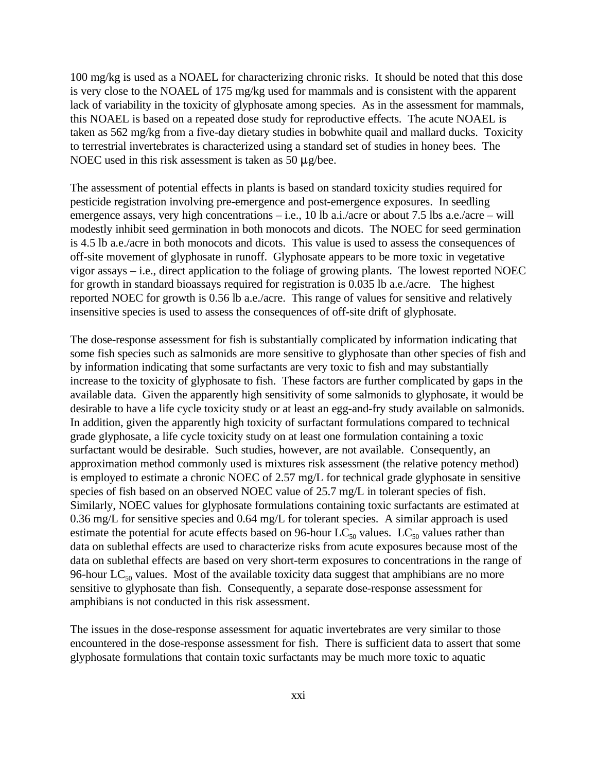100 mg/kg is used as a NOAEL for characterizing chronic risks. It should be noted that this dose is very close to the NOAEL of 175 mg/kg used for mammals and is consistent with the apparent lack of variability in the toxicity of glyphosate among species. As in the assessment for mammals, this NOAEL is based on a repeated dose study for reproductive effects. The acute NOAEL is taken as 562 mg/kg from a five-day dietary studies in bobwhite quail and mallard ducks. Toxicity to terrestrial invertebrates is characterized using a standard set of studies in honey bees. The NOEC used in this risk assessment is taken as 50  $\mu$ g/bee.

The assessment of potential effects in plants is based on standard toxicity studies required for pesticide registration involving pre-emergence and post-emergence exposures. In seedling emergence assays, very high concentrations – i.e., 10 lb a.i./acre or about 7.5 lbs a.e./acre – will modestly inhibit seed germination in both monocots and dicots. The NOEC for seed germination is 4.5 lb a.e./acre in both monocots and dicots. This value is used to assess the consequences of off-site movement of glyphosate in runoff. Glyphosate appears to be more toxic in vegetative vigor assays – i.e., direct application to the foliage of growing plants. The lowest reported NOEC for growth in standard bioassays required for registration is 0.035 lb a.e./acre. The highest reported NOEC for growth is 0.56 lb a.e./acre. This range of values for sensitive and relatively insensitive species is used to assess the consequences of off-site drift of glyphosate.

The dose-response assessment for fish is substantially complicated by information indicating that some fish species such as salmonids are more sensitive to glyphosate than other species of fish and by information indicating that some surfactants are very toxic to fish and may substantially increase to the toxicity of glyphosate to fish. These factors are further complicated by gaps in the available data. Given the apparently high sensitivity of some salmonids to glyphosate, it would be desirable to have a life cycle toxicity study or at least an egg-and-fry study available on salmonids. In addition, given the apparently high toxicity of surfactant formulations compared to technical grade glyphosate, a life cycle toxicity study on at least one formulation containing a toxic surfactant would be desirable. Such studies, however, are not available. Consequently, an approximation method commonly used is mixtures risk assessment (the relative potency method) is employed to estimate a chronic NOEC of 2.57 mg/L for technical grade glyphosate in sensitive species of fish based on an observed NOEC value of 25.7 mg/L in tolerant species of fish. Similarly, NOEC values for glyphosate formulations containing toxic surfactants are estimated at 0.36 mg/L for sensitive species and 0.64 mg/L for tolerant species. A similar approach is used estimate the potential for acute effects based on 96-hour  $LC_{50}$  values.  $LC_{50}$  values rather than data on sublethal effects are used to characterize risks from acute exposures because most of the data on sublethal effects are based on very short-term exposures to concentrations in the range of 96-hour  $LC_{50}$  values. Most of the available toxicity data suggest that amphibians are no more sensitive to glyphosate than fish. Consequently, a separate dose-response assessment for amphibians is not conducted in this risk assessment.

The issues in the dose-response assessment for aquatic invertebrates are very similar to those encountered in the dose-response assessment for fish. There is sufficient data to assert that some glyphosate formulations that contain toxic surfactants may be much more toxic to aquatic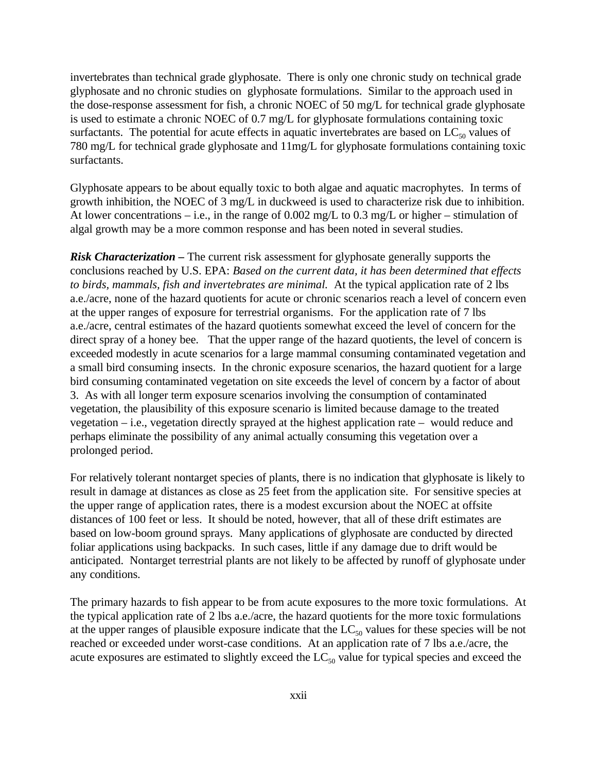invertebrates than technical grade glyphosate. There is only one chronic study on technical grade glyphosate and no chronic studies on glyphosate formulations. Similar to the approach used in the dose-response assessment for fish, a chronic NOEC of 50 mg/L for technical grade glyphosate is used to estimate a chronic NOEC of 0.7 mg/L for glyphosate formulations containing toxic surfactants. The potential for acute effects in aquatic invertebrates are based on  $LC_{50}$  values of 780 mg/L for technical grade glyphosate and 11mg/L for glyphosate formulations containing toxic surfactants.

Glyphosate appears to be about equally toxic to both algae and aquatic macrophytes. In terms of growth inhibition, the NOEC of 3 mg/L in duckweed is used to characterize risk due to inhibition. At lower concentrations – i.e., in the range of 0.002 mg/L to 0.3 mg/L or higher – stimulation of algal growth may be a more common response and has been noted in several studies.

*Risk Characterization* – The current risk assessment for glyphosate generally supports the conclusions reached by U.S. EPA: *Based on the current data, it has been determined that effects to birds, mammals, fish and invertebrates are minimal.* At the typical application rate of 2 lbs a.e./acre, none of the hazard quotients for acute or chronic scenarios reach a level of concern even at the upper ranges of exposure for terrestrial organisms. For the application rate of 7 lbs a.e./acre, central estimates of the hazard quotients somewhat exceed the level of concern for the direct spray of a honey bee. That the upper range of the hazard quotients, the level of concern is exceeded modestly in acute scenarios for a large mammal consuming contaminated vegetation and a small bird consuming insects. In the chronic exposure scenarios, the hazard quotient for a large bird consuming contaminated vegetation on site exceeds the level of concern by a factor of about 3. As with all longer term exposure scenarios involving the consumption of contaminated vegetation, the plausibility of this exposure scenario is limited because damage to the treated vegetation – i.e., vegetation directly sprayed at the highest application rate – would reduce and perhaps eliminate the possibility of any animal actually consuming this vegetation over a prolonged period.

For relatively tolerant nontarget species of plants, there is no indication that glyphosate is likely to result in damage at distances as close as 25 feet from the application site. For sensitive species at the upper range of application rates, there is a modest excursion about the NOEC at offsite distances of 100 feet or less. It should be noted, however, that all of these drift estimates are based on low-boom ground sprays. Many applications of glyphosate are conducted by directed foliar applications using backpacks. In such cases, little if any damage due to drift would be anticipated. Nontarget terrestrial plants are not likely to be affected by runoff of glyphosate under any conditions.

The primary hazards to fish appear to be from acute exposures to the more toxic formulations. At the typical application rate of 2 lbs a.e./acre, the hazard quotients for the more toxic formulations at the upper ranges of plausible exposure indicate that the  $LC_{50}$  values for these species will be not reached or exceeded under worst-case conditions. At an application rate of 7 lbs a.e./acre, the acute exposures are estimated to slightly exceed the  $LC_{50}$  value for typical species and exceed the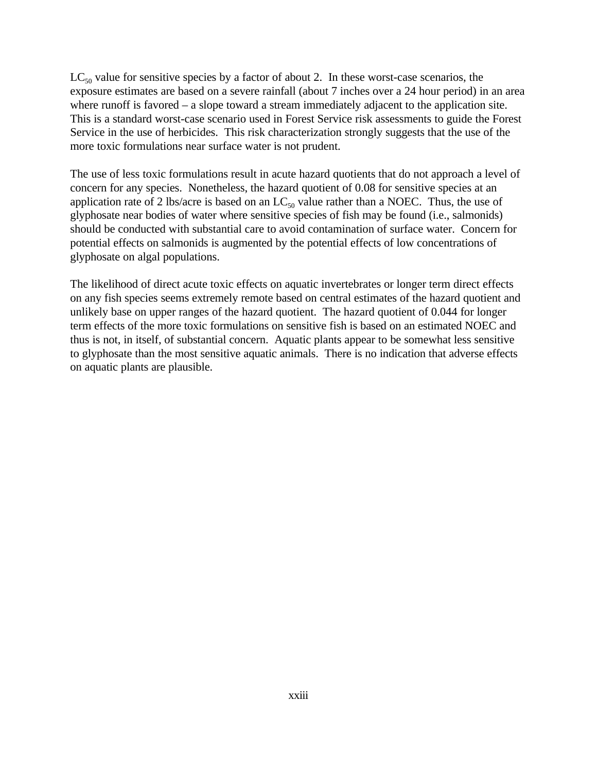$LC_{50}$  value for sensitive species by a factor of about 2. In these worst-case scenarios, the exposure estimates are based on a severe rainfall (about 7 inches over a 24 hour period) in an area where runoff is favored – a slope toward a stream immediately adjacent to the application site. This is a standard worst-case scenario used in Forest Service risk assessments to guide the Forest Service in the use of herbicides. This risk characterization strongly suggests that the use of the more toxic formulations near surface water is not prudent.

The use of less toxic formulations result in acute hazard quotients that do not approach a level of concern for any species. Nonetheless, the hazard quotient of 0.08 for sensitive species at an application rate of 2 lbs/acre is based on an  $LC_{50}$  value rather than a NOEC. Thus, the use of glyphosate near bodies of water where sensitive species of fish may be found (i.e., salmonids) should be conducted with substantial care to avoid contamination of surface water. Concern for potential effects on salmonids is augmented by the potential effects of low concentrations of glyphosate on algal populations.

The likelihood of direct acute toxic effects on aquatic invertebrates or longer term direct effects on any fish species seems extremely remote based on central estimates of the hazard quotient and unlikely base on upper ranges of the hazard quotient. The hazard quotient of 0.044 for longer term effects of the more toxic formulations on sensitive fish is based on an estimated NOEC and thus is not, in itself, of substantial concern. Aquatic plants appear to be somewhat less sensitive to glyphosate than the most sensitive aquatic animals. There is no indication that adverse effects on aquatic plants are plausible.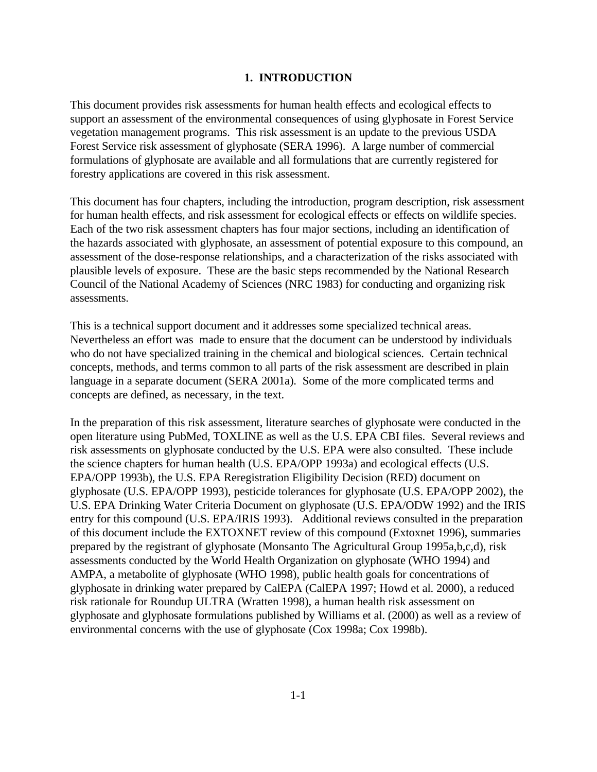#### **1. INTRODUCTION**

This document provides risk assessments for human health effects and ecological effects to support an assessment of the environmental consequences of using glyphosate in Forest Service vegetation management programs. This risk assessment is an update to the previous USDA Forest Service risk assessment of glyphosate (SERA 1996). A large number of commercial formulations of glyphosate are available and all formulations that are currently registered for forestry applications are covered in this risk assessment.

This document has four chapters, including the introduction, program description, risk assessment for human health effects, and risk assessment for ecological effects or effects on wildlife species. Each of the two risk assessment chapters has four major sections, including an identification of the hazards associated with glyphosate, an assessment of potential exposure to this compound, an assessment of the dose-response relationships, and a characterization of the risks associated with plausible levels of exposure. These are the basic steps recommended by the National Research Council of the National Academy of Sciences (NRC 1983) for conducting and organizing risk assessments.

This is a technical support document and it addresses some specialized technical areas. Nevertheless an effort was made to ensure that the document can be understood by individuals who do not have specialized training in the chemical and biological sciences. Certain technical concepts, methods, and terms common to all parts of the risk assessment are described in plain language in a separate document (SERA 2001a). Some of the more complicated terms and concepts are defined, as necessary, in the text.

In the preparation of this risk assessment, literature searches of glyphosate were conducted in the open literature using PubMed, TOXLINE as well as the U.S. EPA CBI files. Several reviews and risk assessments on glyphosate conducted by the U.S. EPA were also consulted. These include the science chapters for human health (U.S. EPA/OPP 1993a) and ecological effects (U.S. EPA/OPP 1993b), the U.S. EPA Reregistration Eligibility Decision (RED) document on glyphosate (U.S. EPA/OPP 1993), pesticide tolerances for glyphosate (U.S. EPA/OPP 2002), the U.S. EPA Drinking Water Criteria Document on glyphosate (U.S. EPA/ODW 1992) and the IRIS entry for this compound (U.S. EPA/IRIS 1993). Additional reviews consulted in the preparation of this document include the EXTOXNET review of this compound (Extoxnet 1996), summaries prepared by the registrant of glyphosate (Monsanto The Agricultural Group 1995a,b,c,d), risk assessments conducted by the World Health Organization on glyphosate (WHO 1994) and AMPA, a metabolite of glyphosate (WHO 1998), public health goals for concentrations of glyphosate in drinking water prepared by CalEPA (CalEPA 1997; Howd et al. 2000), a reduced risk rationale for Roundup ULTRA (Wratten 1998), a human health risk assessment on glyphosate and glyphosate formulations published by Williams et al. (2000) as well as a review of environmental concerns with the use of glyphosate (Cox 1998a; Cox 1998b).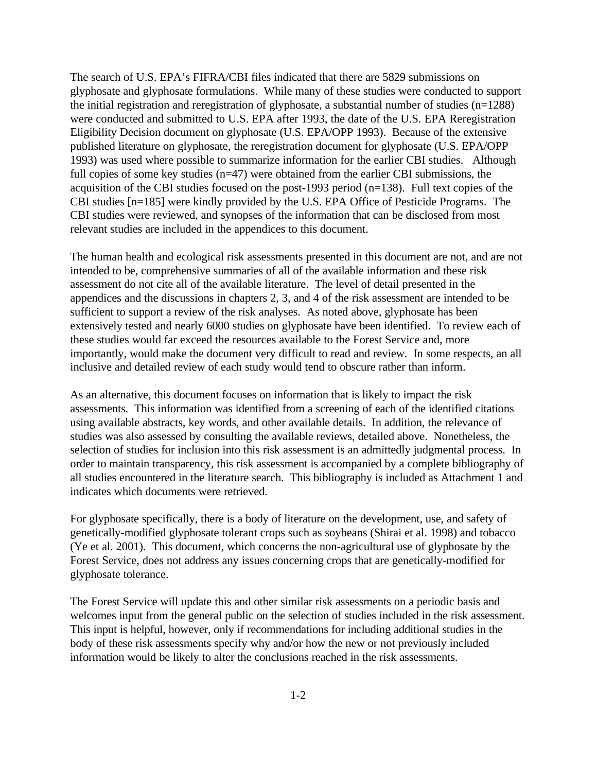The search of U.S. EPA's FIFRA/CBI files indicated that there are 5829 submissions on glyphosate and glyphosate formulations. While many of these studies were conducted to support the initial registration and reregistration of glyphosate, a substantial number of studies (n=1288) were conducted and submitted to U.S. EPA after 1993, the date of the U.S. EPA Reregistration Eligibility Decision document on glyphosate (U.S. EPA/OPP 1993). Because of the extensive published literature on glyphosate, the reregistration document for glyphosate (U.S. EPA/OPP 1993) was used where possible to summarize information for the earlier CBI studies. Although full copies of some key studies (n=47) were obtained from the earlier CBI submissions, the acquisition of the CBI studies focused on the post-1993 period (n=138). Full text copies of the CBI studies [n=185] were kindly provided by the U.S. EPA Office of Pesticide Programs. The CBI studies were reviewed, and synopses of the information that can be disclosed from most relevant studies are included in the appendices to this document.

The human health and ecological risk assessments presented in this document are not, and are not intended to be, comprehensive summaries of all of the available information and these risk assessment do not cite all of the available literature. The level of detail presented in the appendices and the discussions in chapters 2, 3, and 4 of the risk assessment are intended to be sufficient to support a review of the risk analyses. As noted above, glyphosate has been extensively tested and nearly 6000 studies on glyphosate have been identified. To review each of these studies would far exceed the resources available to the Forest Service and, more importantly, would make the document very difficult to read and review. In some respects, an all inclusive and detailed review of each study would tend to obscure rather than inform.

As an alternative, this document focuses on information that is likely to impact the risk assessments. This information was identified from a screening of each of the identified citations using available abstracts, key words, and other available details. In addition, the relevance of studies was also assessed by consulting the available reviews, detailed above. Nonetheless, the selection of studies for inclusion into this risk assessment is an admittedly judgmental process. In order to maintain transparency, this risk assessment is accompanied by a complete bibliography of all studies encountered in the literature search. This bibliography is included as Attachment 1 and indicates which documents were retrieved.

For glyphosate specifically, there is a body of literature on the development, use, and safety of genetically-modified glyphosate tolerant crops such as soybeans (Shirai et al. 1998) and tobacco (Ye et al. 2001). This document, which concerns the non-agricultural use of glyphosate by the Forest Service, does not address any issues concerning crops that are genetically-modified for glyphosate tolerance.

The Forest Service will update this and other similar risk assessments on a periodic basis and welcomes input from the general public on the selection of studies included in the risk assessment. This input is helpful, however, only if recommendations for including additional studies in the body of these risk assessments specify why and/or how the new or not previously included information would be likely to alter the conclusions reached in the risk assessments.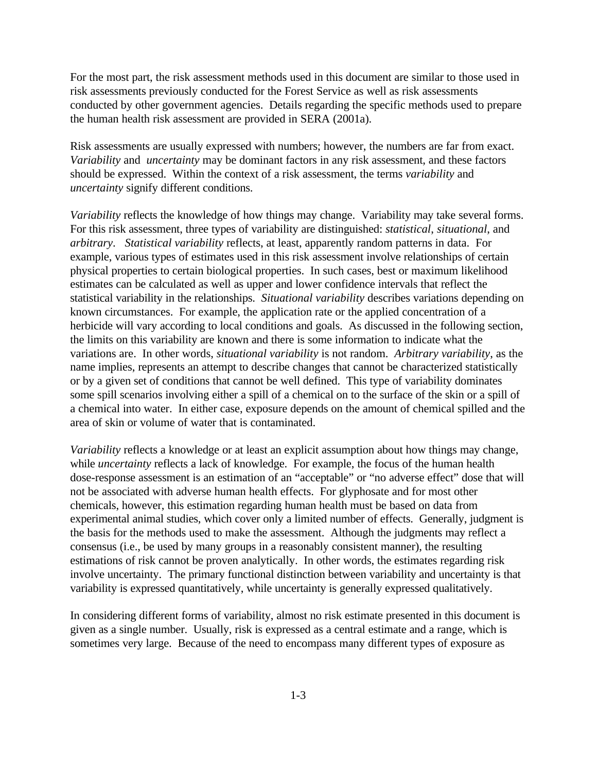For the most part, the risk assessment methods used in this document are similar to those used in risk assessments previously conducted for the Forest Service as well as risk assessments conducted by other government agencies. Details regarding the specific methods used to prepare the human health risk assessment are provided in SERA (2001a).

Risk assessments are usually expressed with numbers; however, the numbers are far from exact. *Variability* and *uncertainty* may be dominant factors in any risk assessment, and these factors should be expressed. Within the context of a risk assessment, the terms *variability* and *uncertainty* signify different conditions.

*Variability* reflects the knowledge of how things may change. Variability may take several forms. For this risk assessment, three types of variability are distinguished: *statistical*, *situational*, and *arbitrary*. *Statistical variability* reflects, at least, apparently random patterns in data. For example, various types of estimates used in this risk assessment involve relationships of certain physical properties to certain biological properties. In such cases, best or maximum likelihood estimates can be calculated as well as upper and lower confidence intervals that reflect the statistical variability in the relationships. *Situational variability* describes variations depending on known circumstances. For example, the application rate or the applied concentration of a herbicide will vary according to local conditions and goals. As discussed in the following section, the limits on this variability are known and there is some information to indicate what the variations are. In other words, *situational variability* is not random. *Arbitrary variability*, as the name implies, represents an attempt to describe changes that cannot be characterized statistically or by a given set of conditions that cannot be well defined. This type of variability dominates some spill scenarios involving either a spill of a chemical on to the surface of the skin or a spill of a chemical into water. In either case, exposure depends on the amount of chemical spilled and the area of skin or volume of water that is contaminated.

*Variability* reflects a knowledge or at least an explicit assumption about how things may change, while *uncertainty* reflects a lack of knowledge. For example, the focus of the human health dose-response assessment is an estimation of an "acceptable" or "no adverse effect" dose that will not be associated with adverse human health effects. For glyphosate and for most other chemicals, however, this estimation regarding human health must be based on data from experimental animal studies, which cover only a limited number of effects. Generally, judgment is the basis for the methods used to make the assessment. Although the judgments may reflect a consensus (i.e., be used by many groups in a reasonably consistent manner), the resulting estimations of risk cannot be proven analytically. In other words, the estimates regarding risk involve uncertainty. The primary functional distinction between variability and uncertainty is that variability is expressed quantitatively, while uncertainty is generally expressed qualitatively.

In considering different forms of variability, almost no risk estimate presented in this document is given as a single number. Usually, risk is expressed as a central estimate and a range, which is sometimes very large. Because of the need to encompass many different types of exposure as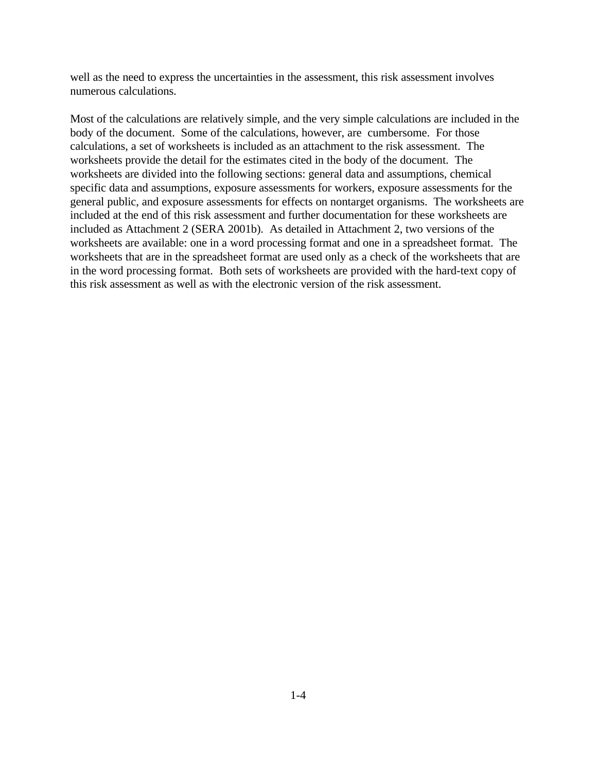well as the need to express the uncertainties in the assessment, this risk assessment involves numerous calculations.

Most of the calculations are relatively simple, and the very simple calculations are included in the body of the document. Some of the calculations, however, are cumbersome. For those calculations, a set of worksheets is included as an attachment to the risk assessment. The worksheets provide the detail for the estimates cited in the body of the document. The worksheets are divided into the following sections: general data and assumptions, chemical specific data and assumptions, exposure assessments for workers, exposure assessments for the general public, and exposure assessments for effects on nontarget organisms. The worksheets are included at the end of this risk assessment and further documentation for these worksheets are included as Attachment 2 (SERA 2001b). As detailed in Attachment 2, two versions of the worksheets are available: one in a word processing format and one in a spreadsheet format. The worksheets that are in the spreadsheet format are used only as a check of the worksheets that are in the word processing format. Both sets of worksheets are provided with the hard-text copy of this risk assessment as well as with the electronic version of the risk assessment.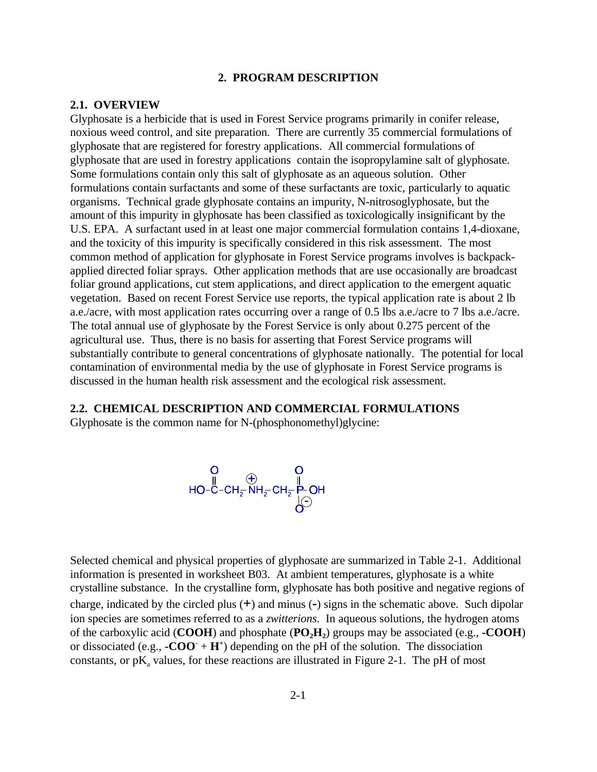#### **2. PROGRAM DESCRIPTION**

#### **2.1. OVERVIEW**

Glyphosate is a herbicide that is used in Forest Service programs primarily in conifer release, noxious weed control, and site preparation. There are currently 35 commercial formulations of glyphosate that are registered for forestry applications. All commercial formulations of glyphosate that are used in forestry applications contain the isopropylamine salt of glyphosate. Some formulations contain only this salt of glyphosate as an aqueous solution. Other formulations contain surfactants and some of these surfactants are toxic, particularly to aquatic organisms. Technical grade glyphosate contains an impurity, N-nitrosoglyphosate, but the amount of this impurity in glyphosate has been classified as toxicologically insignificant by the U.S. EPA. A surfactant used in at least one major commercial formulation contains 1,4-dioxane, and the toxicity of this impurity is specifically considered in this risk assessment. The most common method of application for glyphosate in Forest Service programs involves is backpackapplied directed foliar sprays. Other application methods that are use occasionally are broadcast foliar ground applications, cut stem applications, and direct application to the emergent aquatic vegetation. Based on recent Forest Service use reports, the typical application rate is about 2 lb a.e./acre, with most application rates occurring over a range of 0.5 lbs a.e./acre to 7 lbs a.e./acre. The total annual use of glyphosate by the Forest Service is only about 0.275 percent of the agricultural use. Thus, there is no basis for asserting that Forest Service programs will substantially contribute to general concentrations of glyphosate nationally. The potential for local contamination of environmental media by the use of glyphosate in Forest Service programs is discussed in the human health risk assessment and the ecological risk assessment.

#### **2.2. CHEMICAL DESCRIPTION AND COMMERCIAL FORMULATIONS**

Glyphosate is the common name for N-(phosphonomethyl)glycine:

$$
\begin{array}{cc}\nO & O \\
\parallel & \oplus \\
HO-C-CH_{\overline{2}}NH_{\overline{2}}CH_{\overline{2}}\stackrel{\parallel}{P}OH \\
\downarrow & O\n\end{array}
$$

Selected chemical and physical properties of glyphosate are summarized in Table 2-1. Additional information is presented in worksheet B03. At ambient temperatures, glyphosate is a white crystalline substance. In the crystalline form, glyphosate has both positive and negative regions of charge, indicated by the circled plus (**+**) and minus (**-**) signs in the schematic above. Such dipolar ion species are sometimes referred to as a *zwitterions*. In aqueous solutions, the hydrogen atoms of the carboxylic acid (**COOH**) and phosphate (**PO2H<sup>2</sup>** ) groups may be associated (e.g., **-COOH**) or dissociated (e.g.,  $-COO + H^+$ ) depending on the pH of the solution. The dissociation constants, or  $pK_a$  values, for these reactions are illustrated in Figure 2-1. The pH of most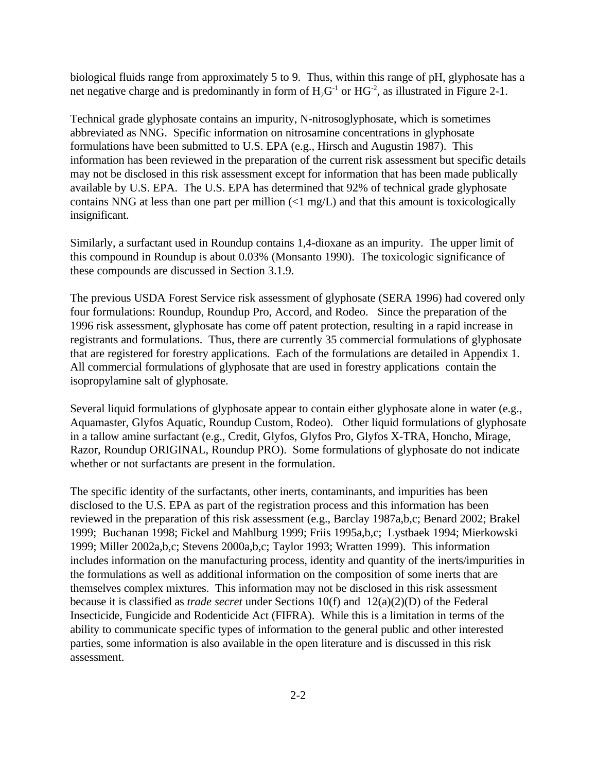biological fluids range from approximately 5 to 9. Thus, within this range of pH, glyphosate has a net negative charge and is predominantly in form of  $H_2G^{-1}$  or  $HG^{-2}$ , as illustrated in Figure 2-1.

Technical grade glyphosate contains an impurity, N-nitrosoglyphosate, which is sometimes abbreviated as NNG. Specific information on nitrosamine concentrations in glyphosate formulations have been submitted to U.S. EPA (e.g., Hirsch and Augustin 1987). This information has been reviewed in the preparation of the current risk assessment but specific details may not be disclosed in this risk assessment except for information that has been made publically available by U.S. EPA. The U.S. EPA has determined that 92% of technical grade glyphosate contains NNG at less than one part per million (<1 mg/L) and that this amount is toxicologically insignificant.

Similarly, a surfactant used in Roundup contains 1,4-dioxane as an impurity. The upper limit of this compound in Roundup is about 0.03% (Monsanto 1990). The toxicologic significance of these compounds are discussed in Section 3.1.9.

The previous USDA Forest Service risk assessment of glyphosate (SERA 1996) had covered only four formulations: Roundup, Roundup Pro, Accord, and Rodeo. Since the preparation of the 1996 risk assessment, glyphosate has come off patent protection, resulting in a rapid increase in registrants and formulations. Thus, there are currently 35 commercial formulations of glyphosate that are registered for forestry applications. Each of the formulations are detailed in Appendix 1. All commercial formulations of glyphosate that are used in forestry applications contain the isopropylamine salt of glyphosate.

Several liquid formulations of glyphosate appear to contain either glyphosate alone in water (e.g., Aquamaster, Glyfos Aquatic, Roundup Custom, Rodeo). Other liquid formulations of glyphosate in a tallow amine surfactant (e.g., Credit, Glyfos, Glyfos Pro, Glyfos X-TRA, Honcho, Mirage, Razor, Roundup ORIGINAL, Roundup PRO). Some formulations of glyphosate do not indicate whether or not surfactants are present in the formulation.

The specific identity of the surfactants, other inerts, contaminants, and impurities has been disclosed to the U.S. EPA as part of the registration process and this information has been reviewed in the preparation of this risk assessment (e.g., Barclay 1987a,b,c; Benard 2002; Brakel 1999; Buchanan 1998; Fickel and Mahlburg 1999; Friis 1995a,b,c; Lystbaek 1994; Mierkowski 1999; Miller 2002a,b,c; Stevens 2000a,b,c; Taylor 1993; Wratten 1999). This information includes information on the manufacturing process, identity and quantity of the inerts/impurities in the formulations as well as additional information on the composition of some inerts that are themselves complex mixtures. This information may not be disclosed in this risk assessment because it is classified as *trade secret* under Sections 10(f) and 12(a)(2)(D) of the Federal Insecticide, Fungicide and Rodenticide Act (FIFRA). While this is a limitation in terms of the ability to communicate specific types of information to the general public and other interested parties, some information is also available in the open literature and is discussed in this risk assessment.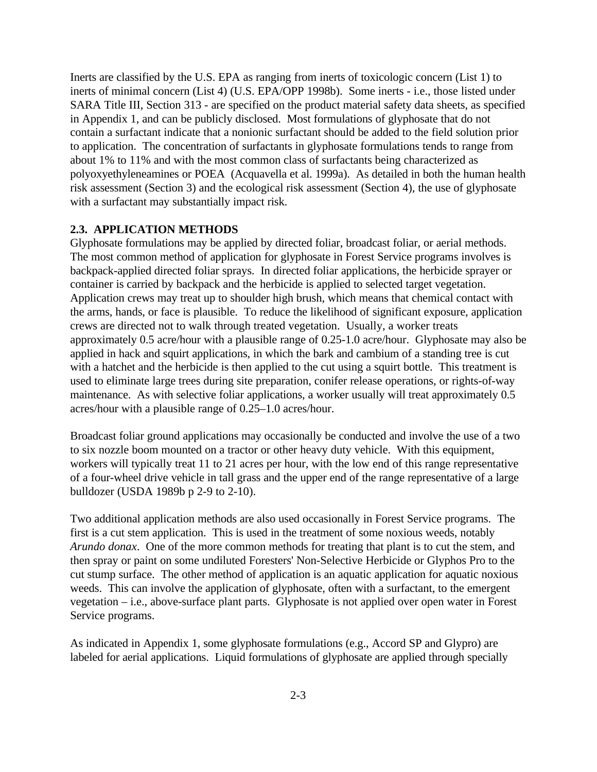Inerts are classified by the U.S. EPA as ranging from inerts of toxicologic concern (List 1) to inerts of minimal concern (List 4) (U.S. EPA/OPP 1998b). Some inerts - i.e., those listed under SARA Title III, Section 313 - are specified on the product material safety data sheets, as specified in Appendix 1, and can be publicly disclosed. Most formulations of glyphosate that do not contain a surfactant indicate that a nonionic surfactant should be added to the field solution prior to application. The concentration of surfactants in glyphosate formulations tends to range from about 1% to 11% and with the most common class of surfactants being characterized as polyoxyethyleneamines or POEA (Acquavella et al. 1999a). As detailed in both the human health risk assessment (Section 3) and the ecological risk assessment (Section 4), the use of glyphosate with a surfactant may substantially impact risk.

#### **2.3. APPLICATION METHODS**

Glyphosate formulations may be applied by directed foliar, broadcast foliar, or aerial methods. The most common method of application for glyphosate in Forest Service programs involves is backpack-applied directed foliar sprays. In directed foliar applications, the herbicide sprayer or container is carried by backpack and the herbicide is applied to selected target vegetation. Application crews may treat up to shoulder high brush, which means that chemical contact with the arms, hands, or face is plausible. To reduce the likelihood of significant exposure, application crews are directed not to walk through treated vegetation. Usually, a worker treats approximately 0.5 acre/hour with a plausible range of 0.25-1.0 acre/hour. Glyphosate may also be applied in hack and squirt applications, in which the bark and cambium of a standing tree is cut with a hatchet and the herbicide is then applied to the cut using a squirt bottle. This treatment is used to eliminate large trees during site preparation, conifer release operations, or rights-of-way maintenance. As with selective foliar applications, a worker usually will treat approximately 0.5 acres/hour with a plausible range of 0.25–1.0 acres/hour.

Broadcast foliar ground applications may occasionally be conducted and involve the use of a two to six nozzle boom mounted on a tractor or other heavy duty vehicle. With this equipment, workers will typically treat 11 to 21 acres per hour, with the low end of this range representative of a four-wheel drive vehicle in tall grass and the upper end of the range representative of a large bulldozer (USDA 1989b p 2-9 to 2-10).

Two additional application methods are also used occasionally in Forest Service programs. The first is a cut stem application. This is used in the treatment of some noxious weeds, notably *Arundo donax*. One of the more common methods for treating that plant is to cut the stem, and then spray or paint on some undiluted Foresters' Non-Selective Herbicide or Glyphos Pro to the cut stump surface. The other method of application is an aquatic application for aquatic noxious weeds. This can involve the application of glyphosate, often with a surfactant, to the emergent vegetation – i.e., above-surface plant parts. Glyphosate is not applied over open water in Forest Service programs.

As indicated in Appendix 1, some glyphosate formulations (e.g., Accord SP and Glypro) are labeled for aerial applications. Liquid formulations of glyphosate are applied through specially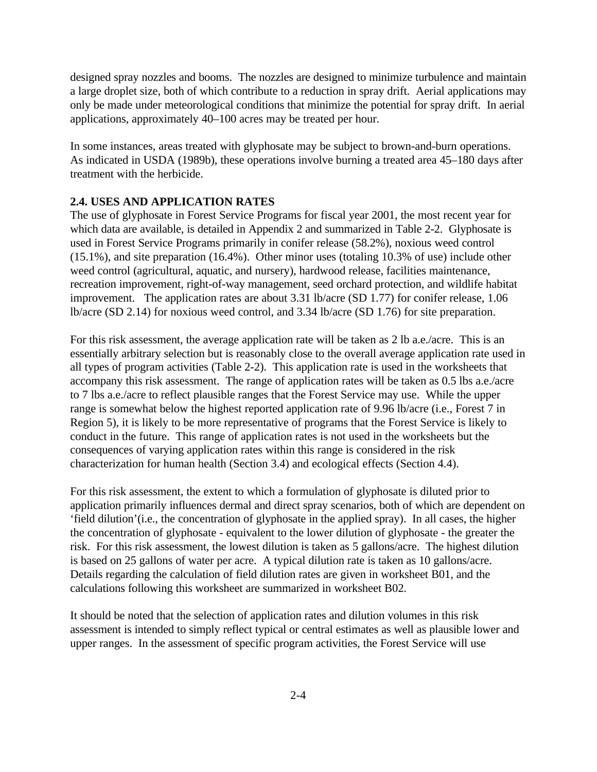designed spray nozzles and booms. The nozzles are designed to minimize turbulence and maintain a large droplet size, both of which contribute to a reduction in spray drift. Aerial applications may only be made under meteorological conditions that minimize the potential for spray drift. In aerial applications, approximately 40–100 acres may be treated per hour.

In some instances, areas treated with glyphosate may be subject to brown-and-burn operations. As indicated in USDA (1989b), these operations involve burning a treated area 45–180 days after treatment with the herbicide.

#### **2.4. USES AND APPLICATION RATES**

The use of glyphosate in Forest Service Programs for fiscal year 2001, the most recent year for which data are available, is detailed in Appendix 2 and summarized in Table 2-2. Glyphosate is used in Forest Service Programs primarily in conifer release (58.2%), noxious weed control (15.1%), and site preparation (16.4%). Other minor uses (totaling 10.3% of use) include other weed control (agricultural, aquatic, and nursery), hardwood release, facilities maintenance, recreation improvement, right-of-way management, seed orchard protection, and wildlife habitat improvement. The application rates are about 3.31 lb/acre (SD 1.77) for conifer release, 1.06 lb/acre (SD 2.14) for noxious weed control, and 3.34 lb/acre (SD 1.76) for site preparation.

For this risk assessment, the average application rate will be taken as 2 lb a.e./acre. This is an essentially arbitrary selection but is reasonably close to the overall average application rate used in all types of program activities (Table 2-2). This application rate is used in the worksheets that accompany this risk assessment. The range of application rates will be taken as 0.5 lbs a.e./acre to 7 lbs a.e./acre to reflect plausible ranges that the Forest Service may use. While the upper range is somewhat below the highest reported application rate of 9.96 lb/acre (i.e., Forest 7 in Region 5), it is likely to be more representative of programs that the Forest Service is likely to conduct in the future. This range of application rates is not used in the worksheets but the consequences of varying application rates within this range is considered in the risk characterization for human health (Section 3.4) and ecological effects (Section 4.4).

For this risk assessment, the extent to which a formulation of glyphosate is diluted prior to application primarily influences dermal and direct spray scenarios, both of which are dependent on 'field dilution'(i.e., the concentration of glyphosate in the applied spray). In all cases, the higher the concentration of glyphosate - equivalent to the lower dilution of glyphosate - the greater the risk. For this risk assessment, the lowest dilution is taken as 5 gallons/acre. The highest dilution is based on 25 gallons of water per acre. A typical dilution rate is taken as 10 gallons/acre. Details regarding the calculation of field dilution rates are given in worksheet B01, and the calculations following this worksheet are summarized in worksheet B02.

It should be noted that the selection of application rates and dilution volumes in this risk assessment is intended to simply reflect typical or central estimates as well as plausible lower and upper ranges. In the assessment of specific program activities, the Forest Service will use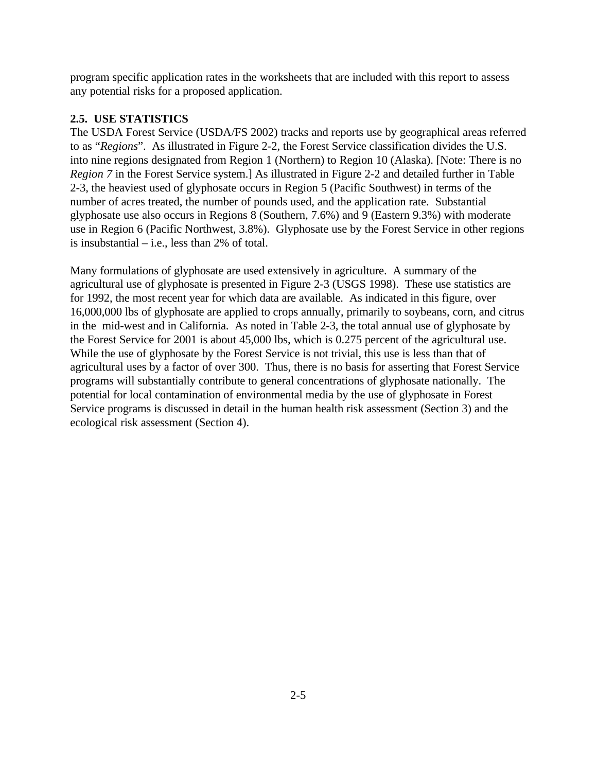program specific application rates in the worksheets that are included with this report to assess any potential risks for a proposed application.

### **2.5. USE STATISTICS**

The USDA Forest Service (USDA/FS 2002) tracks and reports use by geographical areas referred to as "*Regions*". As illustrated in Figure 2-2, the Forest Service classification divides the U.S. into nine regions designated from Region 1 (Northern) to Region 10 (Alaska). [Note: There is no *Region 7* in the Forest Service system.] As illustrated in Figure 2-2 and detailed further in Table 2-3, the heaviest used of glyphosate occurs in Region 5 (Pacific Southwest) in terms of the number of acres treated, the number of pounds used, and the application rate. Substantial glyphosate use also occurs in Regions 8 (Southern, 7.6%) and 9 (Eastern 9.3%) with moderate use in Region 6 (Pacific Northwest, 3.8%). Glyphosate use by the Forest Service in other regions is insubstantial  $-$  i.e., less than 2% of total.

Many formulations of glyphosate are used extensively in agriculture. A summary of the agricultural use of glyphosate is presented in Figure 2-3 (USGS 1998). These use statistics are for 1992, the most recent year for which data are available. As indicated in this figure, over 16,000,000 lbs of glyphosate are applied to crops annually, primarily to soybeans, corn, and citrus in the mid-west and in California. As noted in Table 2-3, the total annual use of glyphosate by the Forest Service for 2001 is about 45,000 lbs, which is 0.275 percent of the agricultural use. While the use of glyphosate by the Forest Service is not trivial, this use is less than that of agricultural uses by a factor of over 300. Thus, there is no basis for asserting that Forest Service programs will substantially contribute to general concentrations of glyphosate nationally. The potential for local contamination of environmental media by the use of glyphosate in Forest Service programs is discussed in detail in the human health risk assessment (Section 3) and the ecological risk assessment (Section 4).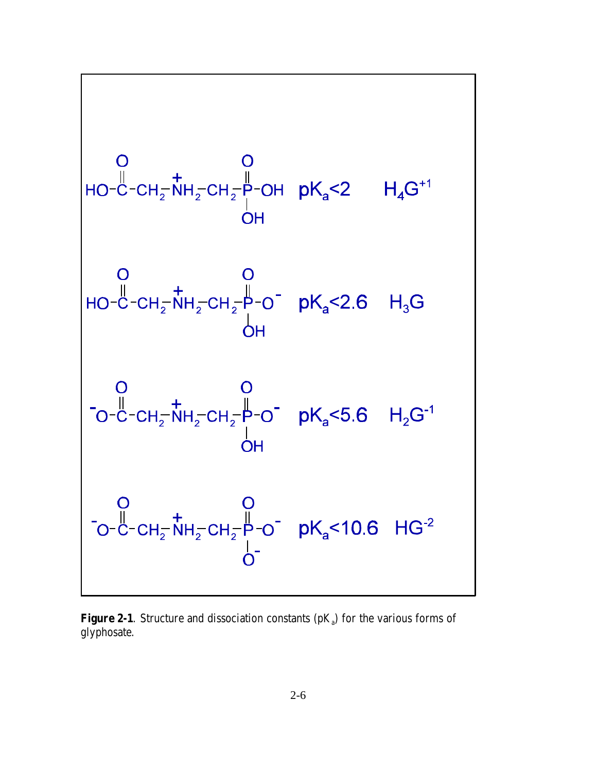$$
\begin{bmatrix}\n0 & 0 & 0 \\
10 - C - CH_2^- N H_2-CH_2^- P-OH & pK_a < 2 & H_4G^{+1} \\
0 & 0 & 0 \\
0 & 0 & 0 \\
0 & -C - CH_2^- N H_2-CH_2^- P-O^- & pK_a < 2.6 & H_3G\n\end{bmatrix}
$$
\n
$$
\begin{bmatrix}\n0 & 0 & 0 \\
0 & -C - CH_2^- N H_2-CH_2^- P-O^- & pK_a < 5.6 & H_2G^{-1} \\
0 & 0 & 0 \\
0 & 0 & C - CH_2^- N H_2-CH_2^- P-O^- & pK_a < 10.6 & HG^{-2} \\
0 & 0 & 0 & 0\n\end{bmatrix}
$$

**Figure 2-1**. Structure and dissociation constants  $(pK_a)$  for the various forms of glyphosate.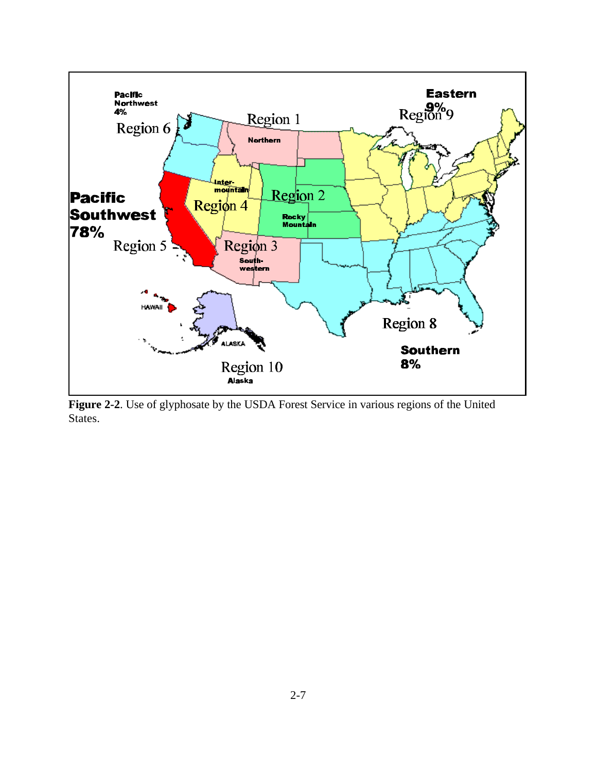

**Figure 2-2**. Use of glyphosate by the USDA Forest Service in various regions of the United States.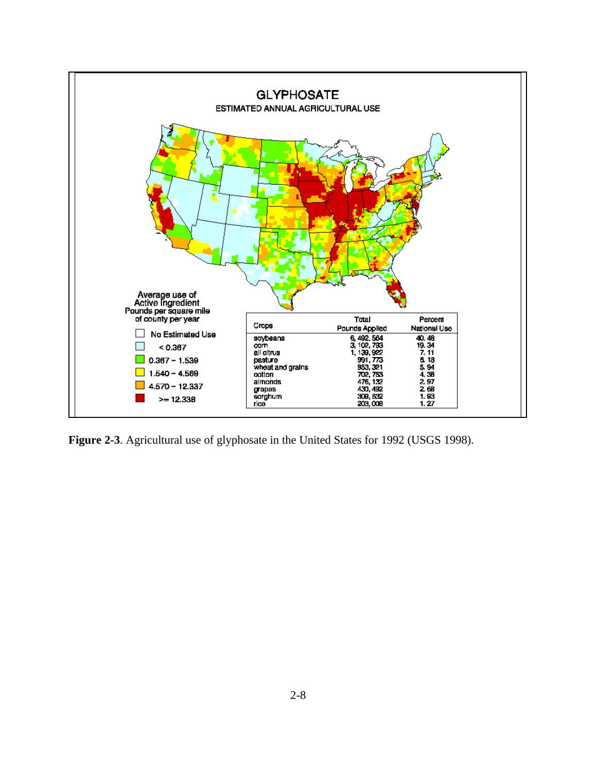

**Figure 2-3**. Agricultural use of glyphosate in the United States for 1992 (USGS 1998).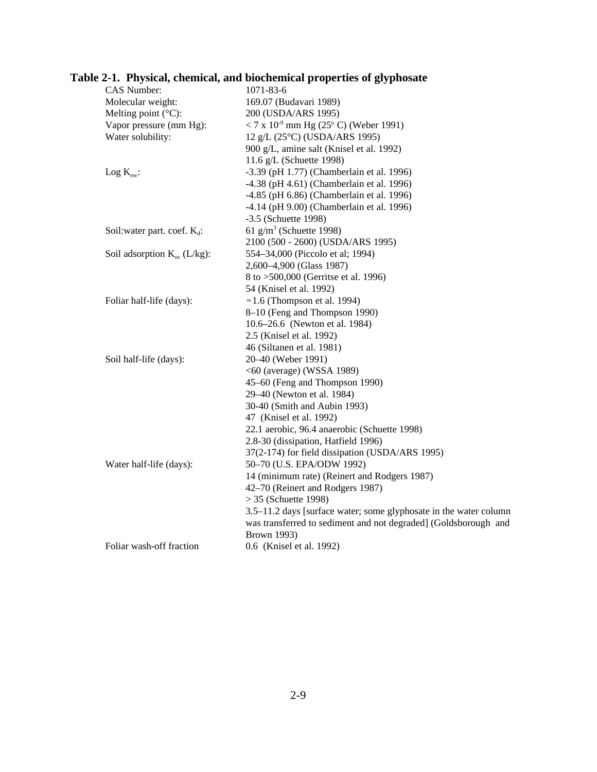| CAS Number:                      | 1071-83-6                                                         |
|----------------------------------|-------------------------------------------------------------------|
| Molecular weight:                | 169.07 (Budavari 1989)                                            |
| Melting point $(^{\circ}C)$ :    | 200 (USDA/ARS 1995)                                               |
| Vapor pressure (mm Hg):          | $<$ 7 x 10 <sup>-9</sup> mm Hg (25 <sup>o</sup> C) (Weber 1991)   |
| Water solubility:                | 12 g/L (25°C) (USDA/ARS 1995)                                     |
|                                  | 900 g/L, amine salt (Knisel et al. 1992)                          |
|                                  | 11.6 g/L (Schuette 1998)                                          |
| Log $K_{ow}$ :                   | -3.39 (pH 1.77) (Chamberlain et al. 1996)                         |
|                                  | -4.38 (pH 4.61) (Chamberlain et al. 1996)                         |
|                                  | -4.85 (pH 6.86) (Chamberlain et al. 1996)                         |
|                                  | $-4.14$ (pH $9.00$ ) (Chamberlain et al. 1996)                    |
|                                  | -3.5 (Schuette 1998)                                              |
| Soil: water part. coef. $K_d$ :  | 61 $g/m^3$ (Schuette 1998)                                        |
|                                  | 2100 (500 - 2600) (USDA/ARS 1995)                                 |
| Soil adsorption $K_{oc}$ (L/kg): | 554-34,000 (Piccolo et al; 1994)                                  |
|                                  | 2,600-4,900 (Glass 1987)                                          |
|                                  | 8 to >500,000 (Gerritse et al. 1996)                              |
|                                  | 54 (Knisel et al. 1992)                                           |
| Foliar half-life (days):         | $\approx$ 1.6 (Thompson et al. 1994)                              |
|                                  | 8-10 (Feng and Thompson 1990)                                     |
|                                  | 10.6–26.6 (Newton et al. 1984)                                    |
|                                  | 2.5 (Knisel et al. 1992)                                          |
|                                  | 46 (Siltanen et al. 1981)                                         |
| Soil half-life (days):           | 20-40 (Weber 1991)                                                |
|                                  | $<60$ (average) (WSSA 1989)                                       |
|                                  | 45-60 (Feng and Thompson 1990)                                    |
|                                  | 29-40 (Newton et al. 1984)                                        |
|                                  | 30-40 (Smith and Aubin 1993)                                      |
|                                  | 47 (Knisel et al. 1992)                                           |
|                                  | 22.1 aerobic, 96.4 anaerobic (Schuette 1998)                      |
|                                  | 2.8-30 (dissipation, Hatfield 1996)                               |
|                                  | 37(2-174) for field dissipation (USDA/ARS 1995)                   |
| Water half-life (days):          | 50-70 (U.S. EPA/ODW 1992)                                         |
|                                  | 14 (minimum rate) (Reinert and Rodgers 1987)                      |
|                                  | 42–70 (Reinert and Rodgers 1987)                                  |
|                                  | $>$ 35 (Schuette 1998)                                            |
|                                  | 3.5–11.2 days [surface water; some glyphosate in the water column |
|                                  | was transferred to sediment and not degraded] (Goldsborough and   |
|                                  | <b>Brown 1993)</b>                                                |
| Foliar wash-off fraction         | 0.6 (Knisel et al. 1992)                                          |
|                                  |                                                                   |

# **Table 2-1. Physical, chemical, and biochemical properties of glyphosate**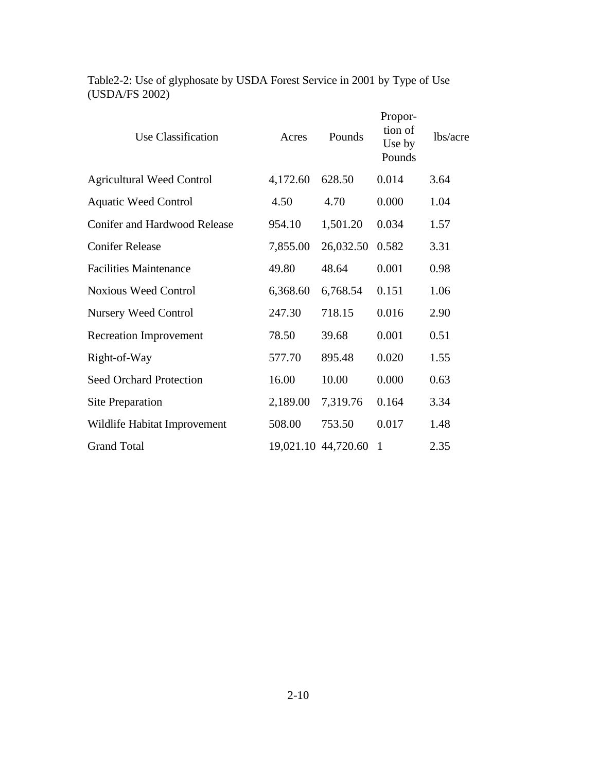| Use Classification                  | Acres    | Pounds              | Propor-<br>tion of<br>Use by<br>Pounds | lbs/acre |
|-------------------------------------|----------|---------------------|----------------------------------------|----------|
| <b>Agricultural Weed Control</b>    | 4,172.60 | 628.50              | 0.014                                  | 3.64     |
| <b>Aquatic Weed Control</b>         | 4.50     | 4.70                | 0.000                                  | 1.04     |
| <b>Conifer and Hardwood Release</b> | 954.10   | 1,501.20            | 0.034                                  | 1.57     |
| <b>Conifer Release</b>              | 7,855.00 | 26,032.50           | 0.582                                  | 3.31     |
| <b>Facilities Maintenance</b>       | 49.80    | 48.64               | 0.001                                  | 0.98     |
| <b>Noxious Weed Control</b>         | 6,368.60 | 6,768.54            | 0.151                                  | 1.06     |
| <b>Nursery Weed Control</b>         | 247.30   | 718.15              | 0.016                                  | 2.90     |
| <b>Recreation Improvement</b>       | 78.50    | 39.68               | 0.001                                  | 0.51     |
| Right-of-Way                        | 577.70   | 895.48              | 0.020                                  | 1.55     |
| Seed Orchard Protection             | 16.00    | 10.00               | 0.000                                  | 0.63     |
| <b>Site Preparation</b>             | 2,189.00 | 7,319.76            | 0.164                                  | 3.34     |
| Wildlife Habitat Improvement        | 508.00   | 753.50              | 0.017                                  | 1.48     |
| <b>Grand Total</b>                  |          | 19,021.10 44,720.60 | $\mathbf{1}$                           | 2.35     |

Table2-2: Use of glyphosate by USDA Forest Service in 2001 by Type of Use (USDA/FS 2002)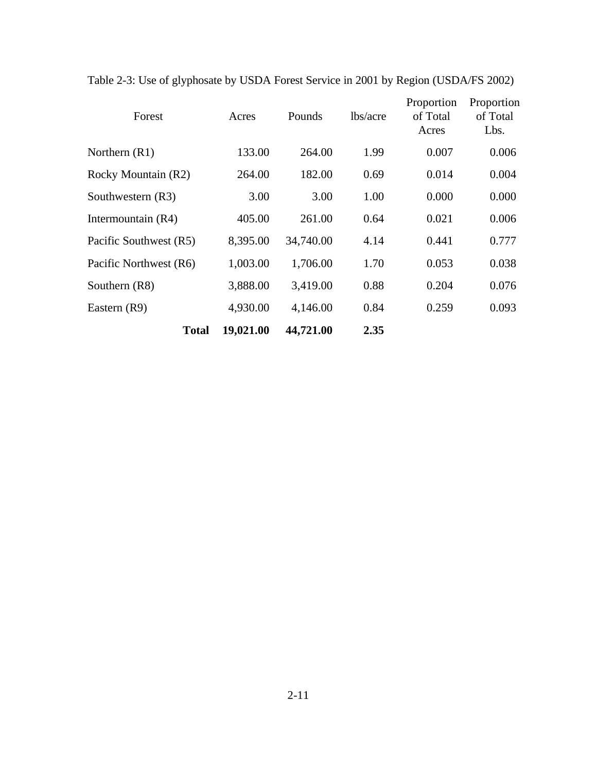| Forest                 | Acres     | Pounds    | lbs/acre | Proportion<br>of Total<br>Acres | Proportion<br>of Total<br>Lbs. |
|------------------------|-----------|-----------|----------|---------------------------------|--------------------------------|
| Northern $(R1)$        | 133.00    | 264.00    | 1.99     | 0.007                           | 0.006                          |
| Rocky Mountain (R2)    | 264.00    | 182.00    | 0.69     | 0.014                           | 0.004                          |
| Southwestern (R3)      | 3.00      | 3.00      | 1.00     | 0.000                           | 0.000                          |
| Intermountain (R4)     | 405.00    | 261.00    | 0.64     | 0.021                           | 0.006                          |
| Pacific Southwest (R5) | 8,395.00  | 34,740.00 | 4.14     | 0.441                           | 0.777                          |
| Pacific Northwest (R6) | 1,003.00  | 1,706.00  | 1.70     | 0.053                           | 0.038                          |
| Southern (R8)          | 3,888.00  | 3,419.00  | 0.88     | 0.204                           | 0.076                          |
| Eastern (R9)           | 4,930.00  | 4,146.00  | 0.84     | 0.259                           | 0.093                          |
| <b>Total</b>           | 19,021.00 | 44,721.00 | 2.35     |                                 |                                |

Table 2-3: Use of glyphosate by USDA Forest Service in 2001 by Region (USDA/FS 2002)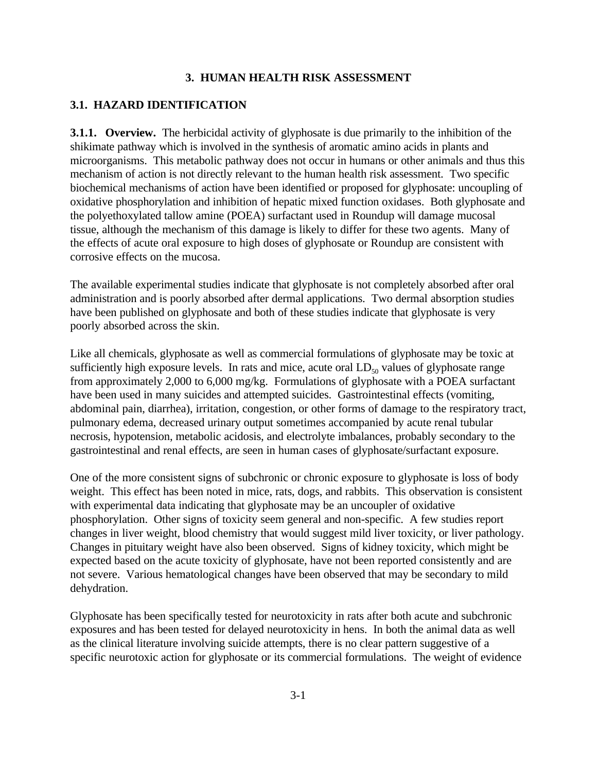#### **3. HUMAN HEALTH RISK ASSESSMENT**

# **3.1. HAZARD IDENTIFICATION**

**3.1.1. Overview.** The herbicidal activity of glyphosate is due primarily to the inhibition of the shikimate pathway which is involved in the synthesis of aromatic amino acids in plants and microorganisms. This metabolic pathway does not occur in humans or other animals and thus this mechanism of action is not directly relevant to the human health risk assessment. Two specific biochemical mechanisms of action have been identified or proposed for glyphosate: uncoupling of oxidative phosphorylation and inhibition of hepatic mixed function oxidases. Both glyphosate and the polyethoxylated tallow amine (POEA) surfactant used in Roundup will damage mucosal tissue, although the mechanism of this damage is likely to differ for these two agents. Many of the effects of acute oral exposure to high doses of glyphosate or Roundup are consistent with corrosive effects on the mucosa.

The available experimental studies indicate that glyphosate is not completely absorbed after oral administration and is poorly absorbed after dermal applications. Two dermal absorption studies have been published on glyphosate and both of these studies indicate that glyphosate is very poorly absorbed across the skin.

Like all chemicals, glyphosate as well as commercial formulations of glyphosate may be toxic at sufficiently high exposure levels. In rats and mice, acute oral  $LD_{50}$  values of glyphosate range from approximately 2,000 to 6,000 mg/kg. Formulations of glyphosate with a POEA surfactant have been used in many suicides and attempted suicides. Gastrointestinal effects (vomiting, abdominal pain, diarrhea), irritation, congestion, or other forms of damage to the respiratory tract, pulmonary edema, decreased urinary output sometimes accompanied by acute renal tubular necrosis, hypotension, metabolic acidosis, and electrolyte imbalances, probably secondary to the gastrointestinal and renal effects, are seen in human cases of glyphosate/surfactant exposure.

One of the more consistent signs of subchronic or chronic exposure to glyphosate is loss of body weight. This effect has been noted in mice, rats, dogs, and rabbits. This observation is consistent with experimental data indicating that glyphosate may be an uncoupler of oxidative phosphorylation. Other signs of toxicity seem general and non-specific. A few studies report changes in liver weight, blood chemistry that would suggest mild liver toxicity, or liver pathology. Changes in pituitary weight have also been observed. Signs of kidney toxicity, which might be expected based on the acute toxicity of glyphosate, have not been reported consistently and are not severe. Various hematological changes have been observed that may be secondary to mild dehydration.

Glyphosate has been specifically tested for neurotoxicity in rats after both acute and subchronic exposures and has been tested for delayed neurotoxicity in hens. In both the animal data as well as the clinical literature involving suicide attempts, there is no clear pattern suggestive of a specific neurotoxic action for glyphosate or its commercial formulations. The weight of evidence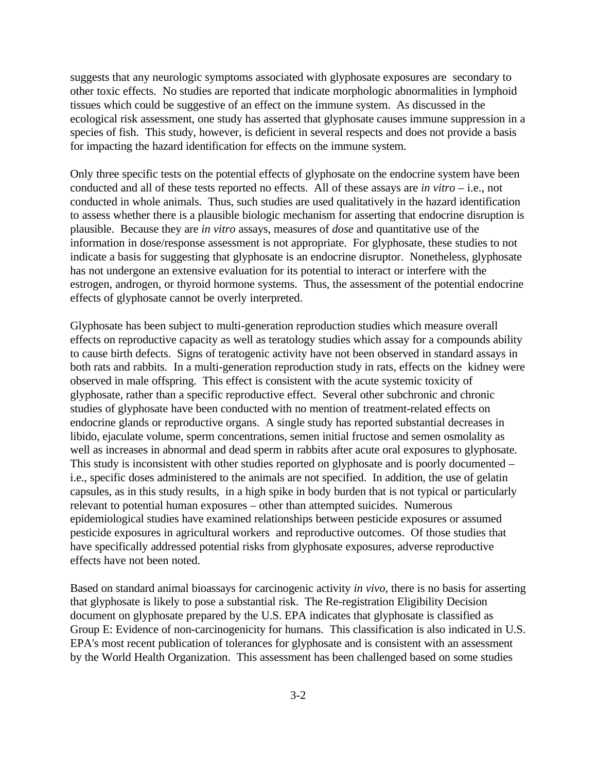suggests that any neurologic symptoms associated with glyphosate exposures are secondary to other toxic effects. No studies are reported that indicate morphologic abnormalities in lymphoid tissues which could be suggestive of an effect on the immune system. As discussed in the ecological risk assessment, one study has asserted that glyphosate causes immune suppression in a species of fish. This study, however, is deficient in several respects and does not provide a basis for impacting the hazard identification for effects on the immune system.

Only three specific tests on the potential effects of glyphosate on the endocrine system have been conducted and all of these tests reported no effects. All of these assays are *in vitro* – i.e., not conducted in whole animals. Thus, such studies are used qualitatively in the hazard identification to assess whether there is a plausible biologic mechanism for asserting that endocrine disruption is plausible. Because they are *in vitro* assays, measures of *dose* and quantitative use of the information in dose/response assessment is not appropriate. For glyphosate, these studies to not indicate a basis for suggesting that glyphosate is an endocrine disruptor. Nonetheless, glyphosate has not undergone an extensive evaluation for its potential to interact or interfere with the estrogen, androgen, or thyroid hormone systems. Thus, the assessment of the potential endocrine effects of glyphosate cannot be overly interpreted.

Glyphosate has been subject to multi-generation reproduction studies which measure overall effects on reproductive capacity as well as teratology studies which assay for a compounds ability to cause birth defects. Signs of teratogenic activity have not been observed in standard assays in both rats and rabbits. In a multi-generation reproduction study in rats, effects on the kidney were observed in male offspring. This effect is consistent with the acute systemic toxicity of glyphosate, rather than a specific reproductive effect. Several other subchronic and chronic studies of glyphosate have been conducted with no mention of treatment-related effects on endocrine glands or reproductive organs. A single study has reported substantial decreases in libido, ejaculate volume, sperm concentrations, semen initial fructose and semen osmolality as well as increases in abnormal and dead sperm in rabbits after acute oral exposures to glyphosate. This study is inconsistent with other studies reported on glyphosate and is poorly documented – i.e., specific doses administered to the animals are not specified. In addition, the use of gelatin capsules, as in this study results, in a high spike in body burden that is not typical or particularly relevant to potential human exposures – other than attempted suicides. Numerous epidemiological studies have examined relationships between pesticide exposures or assumed pesticide exposures in agricultural workers and reproductive outcomes. Of those studies that have specifically addressed potential risks from glyphosate exposures, adverse reproductive effects have not been noted.

Based on standard animal bioassays for carcinogenic activity *in vivo*, there is no basis for asserting that glyphosate is likely to pose a substantial risk. The Re-registration Eligibility Decision document on glyphosate prepared by the U.S. EPA indicates that glyphosate is classified as Group E: Evidence of non-carcinogenicity for humans. This classification is also indicated in U.S. EPA's most recent publication of tolerances for glyphosate and is consistent with an assessment by the World Health Organization. This assessment has been challenged based on some studies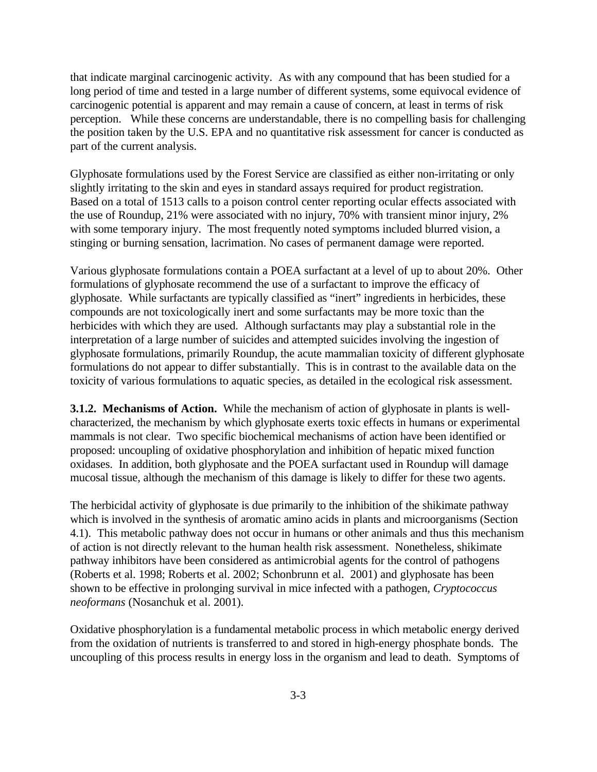that indicate marginal carcinogenic activity. As with any compound that has been studied for a long period of time and tested in a large number of different systems, some equivocal evidence of carcinogenic potential is apparent and may remain a cause of concern, at least in terms of risk perception. While these concerns are understandable, there is no compelling basis for challenging the position taken by the U.S. EPA and no quantitative risk assessment for cancer is conducted as part of the current analysis.

Glyphosate formulations used by the Forest Service are classified as either non-irritating or only slightly irritating to the skin and eyes in standard assays required for product registration. Based on a total of 1513 calls to a poison control center reporting ocular effects associated with the use of Roundup, 21% were associated with no injury, 70% with transient minor injury, 2% with some temporary injury. The most frequently noted symptoms included blurred vision, a stinging or burning sensation, lacrimation. No cases of permanent damage were reported.

Various glyphosate formulations contain a POEA surfactant at a level of up to about 20%. Other formulations of glyphosate recommend the use of a surfactant to improve the efficacy of glyphosate. While surfactants are typically classified as "inert" ingredients in herbicides, these compounds are not toxicologically inert and some surfactants may be more toxic than the herbicides with which they are used. Although surfactants may play a substantial role in the interpretation of a large number of suicides and attempted suicides involving the ingestion of glyphosate formulations, primarily Roundup, the acute mammalian toxicity of different glyphosate formulations do not appear to differ substantially. This is in contrast to the available data on the toxicity of various formulations to aquatic species, as detailed in the ecological risk assessment.

**3.1.2. Mechanisms of Action.** While the mechanism of action of glyphosate in plants is wellcharacterized, the mechanism by which glyphosate exerts toxic effects in humans or experimental mammals is not clear. Two specific biochemical mechanisms of action have been identified or proposed: uncoupling of oxidative phosphorylation and inhibition of hepatic mixed function oxidases. In addition, both glyphosate and the POEA surfactant used in Roundup will damage mucosal tissue, although the mechanism of this damage is likely to differ for these two agents.

The herbicidal activity of glyphosate is due primarily to the inhibition of the shikimate pathway which is involved in the synthesis of aromatic amino acids in plants and microorganisms (Section 4.1). This metabolic pathway does not occur in humans or other animals and thus this mechanism of action is not directly relevant to the human health risk assessment. Nonetheless, shikimate pathway inhibitors have been considered as antimicrobial agents for the control of pathogens (Roberts et al. 1998; Roberts et al. 2002; Schonbrunn et al. 2001) and glyphosate has been shown to be effective in prolonging survival in mice infected with a pathogen, *Cryptococcus neoformans* (Nosanchuk et al. 2001).

Oxidative phosphorylation is a fundamental metabolic process in which metabolic energy derived from the oxidation of nutrients is transferred to and stored in high-energy phosphate bonds. The uncoupling of this process results in energy loss in the organism and lead to death. Symptoms of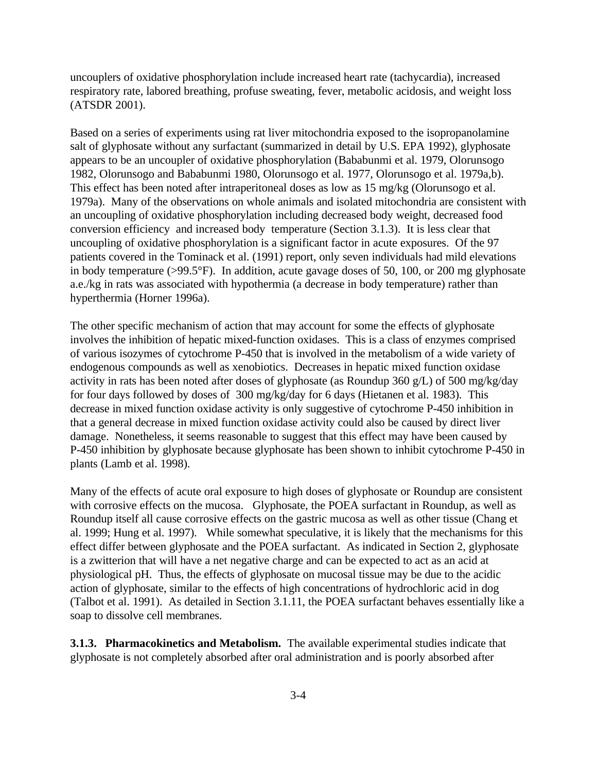uncouplers of oxidative phosphorylation include increased heart rate (tachycardia), increased respiratory rate, labored breathing, profuse sweating, fever, metabolic acidosis, and weight loss (ATSDR 2001).

Based on a series of experiments using rat liver mitochondria exposed to the isopropanolamine salt of glyphosate without any surfactant (summarized in detail by U.S. EPA 1992), glyphosate appears to be an uncoupler of oxidative phosphorylation (Bababunmi et al. 1979, Olorunsogo 1982, Olorunsogo and Bababunmi 1980, Olorunsogo et al. 1977, Olorunsogo et al. 1979a,b). This effect has been noted after intraperitoneal doses as low as 15 mg/kg (Olorunsogo et al. 1979a). Many of the observations on whole animals and isolated mitochondria are consistent with an uncoupling of oxidative phosphorylation including decreased body weight, decreased food conversion efficiency and increased body temperature (Section 3.1.3). It is less clear that uncoupling of oxidative phosphorylation is a significant factor in acute exposures. Of the 97 patients covered in the Tominack et al. (1991) report, only seven individuals had mild elevations in body temperature (>99.5°F). In addition, acute gavage doses of 50, 100, or 200 mg glyphosate a.e./kg in rats was associated with hypothermia (a decrease in body temperature) rather than hyperthermia (Horner 1996a).

The other specific mechanism of action that may account for some the effects of glyphosate involves the inhibition of hepatic mixed-function oxidases. This is a class of enzymes comprised of various isozymes of cytochrome P-450 that is involved in the metabolism of a wide variety of endogenous compounds as well as xenobiotics. Decreases in hepatic mixed function oxidase activity in rats has been noted after doses of glyphosate (as Roundup 360 g/L) of 500 mg/kg/day for four days followed by doses of 300 mg/kg/day for 6 days (Hietanen et al. 1983). This decrease in mixed function oxidase activity is only suggestive of cytochrome P-450 inhibition in that a general decrease in mixed function oxidase activity could also be caused by direct liver damage. Nonetheless, it seems reasonable to suggest that this effect may have been caused by P-450 inhibition by glyphosate because glyphosate has been shown to inhibit cytochrome P-450 in plants (Lamb et al. 1998).

Many of the effects of acute oral exposure to high doses of glyphosate or Roundup are consistent with corrosive effects on the mucosa. Glyphosate, the POEA surfactant in Roundup, as well as Roundup itself all cause corrosive effects on the gastric mucosa as well as other tissue (Chang et al. 1999; Hung et al. 1997). While somewhat speculative, it is likely that the mechanisms for this effect differ between glyphosate and the POEA surfactant. As indicated in Section 2, glyphosate is a zwitterion that will have a net negative charge and can be expected to act as an acid at physiological pH. Thus, the effects of glyphosate on mucosal tissue may be due to the acidic action of glyphosate, similar to the effects of high concentrations of hydrochloric acid in dog (Talbot et al. 1991). As detailed in Section 3.1.11, the POEA surfactant behaves essentially like a soap to dissolve cell membranes.

**3.1.3. Pharmacokinetics and Metabolism.** The available experimental studies indicate that glyphosate is not completely absorbed after oral administration and is poorly absorbed after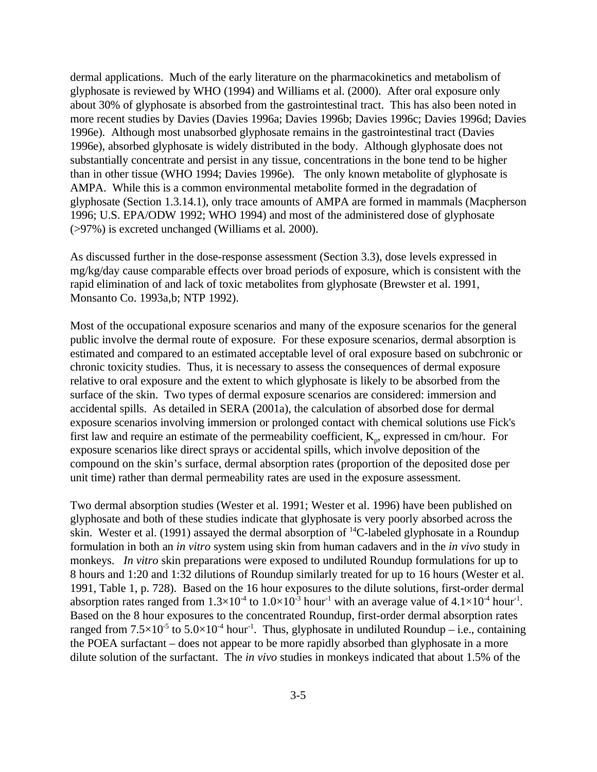dermal applications. Much of the early literature on the pharmacokinetics and metabolism of glyphosate is reviewed by WHO (1994) and Williams et al. (2000). After oral exposure only about 30% of glyphosate is absorbed from the gastrointestinal tract. This has also been noted in more recent studies by Davies (Davies 1996a; Davies 1996b; Davies 1996c; Davies 1996d; Davies 1996e). Although most unabsorbed glyphosate remains in the gastrointestinal tract (Davies 1996e), absorbed glyphosate is widely distributed in the body. Although glyphosate does not substantially concentrate and persist in any tissue, concentrations in the bone tend to be higher than in other tissue (WHO 1994; Davies 1996e). The only known metabolite of glyphosate is AMPA. While this is a common environmental metabolite formed in the degradation of glyphosate (Section 1.3.14.1), only trace amounts of AMPA are formed in mammals (Macpherson 1996; U.S. EPA/ODW 1992; WHO 1994) and most of the administered dose of glyphosate (>97%) is excreted unchanged (Williams et al. 2000).

As discussed further in the dose-response assessment (Section 3.3), dose levels expressed in mg/kg/day cause comparable effects over broad periods of exposure, which is consistent with the rapid elimination of and lack of toxic metabolites from glyphosate (Brewster et al. 1991, Monsanto Co. 1993a,b; NTP 1992).

Most of the occupational exposure scenarios and many of the exposure scenarios for the general public involve the dermal route of exposure. For these exposure scenarios, dermal absorption is estimated and compared to an estimated acceptable level of oral exposure based on subchronic or chronic toxicity studies. Thus, it is necessary to assess the consequences of dermal exposure relative to oral exposure and the extent to which glyphosate is likely to be absorbed from the surface of the skin. Two types of dermal exposure scenarios are considered: immersion and accidental spills. As detailed in SERA (2001a), the calculation of absorbed dose for dermal exposure scenarios involving immersion or prolonged contact with chemical solutions use Fick's first law and require an estimate of the permeability coefficient,  $K_p$ , expressed in cm/hour. For exposure scenarios like direct sprays or accidental spills, which involve deposition of the compound on the skin's surface, dermal absorption rates (proportion of the deposited dose per unit time) rather than dermal permeability rates are used in the exposure assessment.

Two dermal absorption studies (Wester et al. 1991; Wester et al. 1996) have been published on glyphosate and both of these studies indicate that glyphosate is very poorly absorbed across the skin. Wester et al. (1991) assayed the dermal absorption of  $^{14}$ C-labeled glyphosate in a Roundup formulation in both an *in vitro* system using skin from human cadavers and in the *in vivo* study in monkeys. *In vitro* skin preparations were exposed to undiluted Roundup formulations for up to 8 hours and 1:20 and 1:32 dilutions of Roundup similarly treated for up to 16 hours (Wester et al. 1991, Table 1, p. 728). Based on the 16 hour exposures to the dilute solutions, first-order dermal absorption rates ranged from  $1.3 \times 10^{-4}$  to  $1.0 \times 10^{-3}$  hour<sup>-1</sup> with an average value of  $4.1 \times 10^{-4}$  hour<sup>-1</sup>. Based on the 8 hour exposures to the concentrated Roundup, first-order dermal absorption rates ranged from  $7.5\times10^{-5}$  to  $5.0\times10^{-4}$  hour<sup>-1</sup>. Thus, glyphosate in undiluted Roundup – i.e., containing the POEA surfactant – does not appear to be more rapidly absorbed than glyphosate in a more dilute solution of the surfactant. The *in vivo* studies in monkeys indicated that about 1.5% of the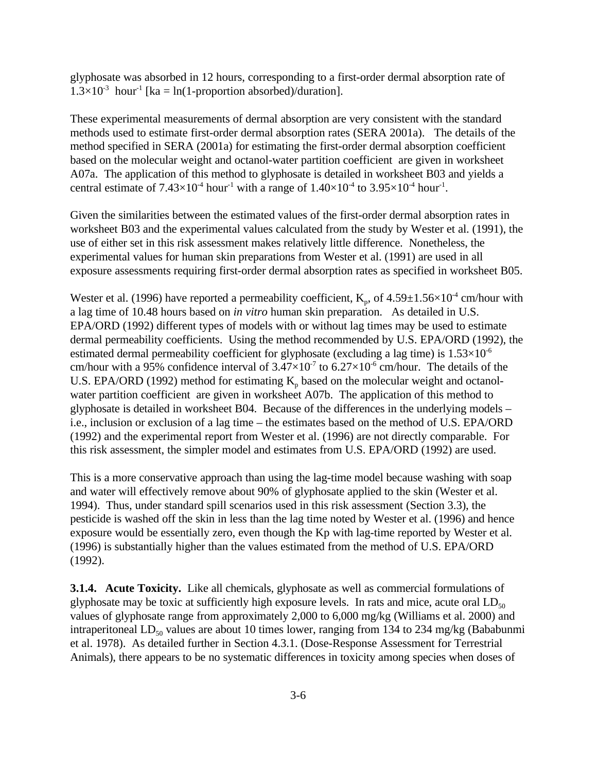glyphosate was absorbed in 12 hours, corresponding to a first-order dermal absorption rate of  $1.3\times10^{-3}$  hour<sup>-1</sup> [ka = ln(1-proportion absorbed)/duration].

These experimental measurements of dermal absorption are very consistent with the standard methods used to estimate first-order dermal absorption rates (SERA 2001a). The details of the method specified in SERA (2001a) for estimating the first-order dermal absorption coefficient based on the molecular weight and octanol-water partition coefficient are given in worksheet A07a. The application of this method to glyphosate is detailed in worksheet B03 and yields a central estimate of  $7.43\times10^{-4}$  hour<sup>-1</sup> with a range of  $1.40\times10^{-4}$  to  $3.95\times10^{-4}$  hour<sup>-1</sup>.

Given the similarities between the estimated values of the first-order dermal absorption rates in worksheet B03 and the experimental values calculated from the study by Wester et al. (1991), the use of either set in this risk assessment makes relatively little difference. Nonetheless, the experimental values for human skin preparations from Wester et al. (1991) are used in all exposure assessments requiring first-order dermal absorption rates as specified in worksheet B05.

Wester et al. (1996) have reported a permeability coefficient,  $K_p$ , of  $4.59 \pm 1.56 \times 10^4$  cm/hour with a lag time of 10.48 hours based on *in vitro* human skin preparation. As detailed in U.S. EPA/ORD (1992) different types of models with or without lag times may be used to estimate dermal permeability coefficients. Using the method recommended by U.S. EPA/ORD (1992), the estimated dermal permeability coefficient for glyphosate (excluding a lag time) is  $1.53\times10^{-6}$ cm/hour with a 95% confidence interval of  $3.47 \times 10^{-7}$  to  $6.27 \times 10^{-6}$  cm/hour. The details of the U.S. EPA/ORD (1992) method for estimating  $K_p$  based on the molecular weight and octanolwater partition coefficient are given in worksheet A07b. The application of this method to glyphosate is detailed in worksheet B04. Because of the differences in the underlying models – i.e., inclusion or exclusion of a lag time – the estimates based on the method of U.S. EPA/ORD (1992) and the experimental report from Wester et al. (1996) are not directly comparable. For this risk assessment, the simpler model and estimates from U.S. EPA/ORD (1992) are used.

This is a more conservative approach than using the lag-time model because washing with soap and water will effectively remove about 90% of glyphosate applied to the skin (Wester et al. 1994). Thus, under standard spill scenarios used in this risk assessment (Section 3.3), the pesticide is washed off the skin in less than the lag time noted by Wester et al. (1996) and hence exposure would be essentially zero, even though the Kp with lag-time reported by Wester et al. (1996) is substantially higher than the values estimated from the method of U.S. EPA/ORD (1992).

**3.1.4. Acute Toxicity.** Like all chemicals, glyphosate as well as commercial formulations of glyphosate may be toxic at sufficiently high exposure levels. In rats and mice, acute oral  $LD_{50}$ values of glyphosate range from approximately 2,000 to 6,000 mg/kg (Williams et al. 2000) and intraperitoneal  $LD_{50}$  values are about 10 times lower, ranging from 134 to 234 mg/kg (Bababunmi et al. 1978). As detailed further in Section 4.3.1. (Dose-Response Assessment for Terrestrial Animals), there appears to be no systematic differences in toxicity among species when doses of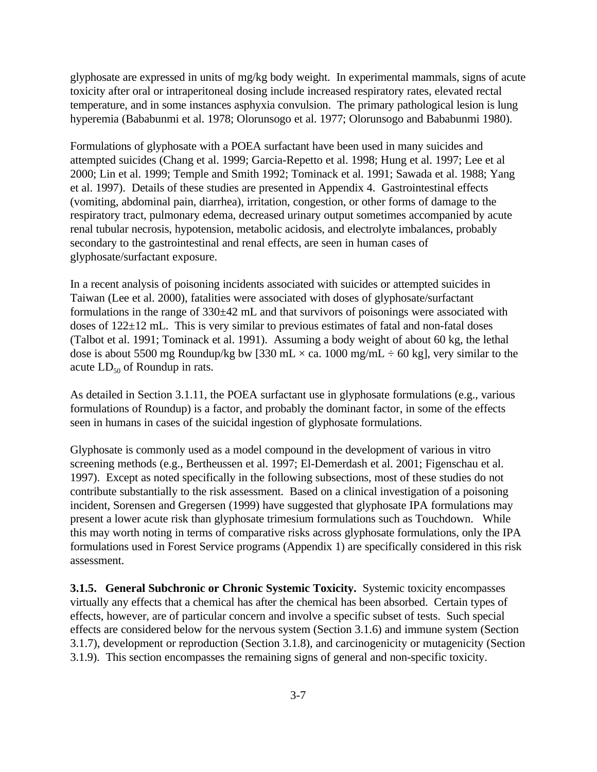glyphosate are expressed in units of mg/kg body weight. In experimental mammals, signs of acute toxicity after oral or intraperitoneal dosing include increased respiratory rates, elevated rectal temperature, and in some instances asphyxia convulsion. The primary pathological lesion is lung hyperemia (Bababunmi et al. 1978; Olorunsogo et al. 1977; Olorunsogo and Bababunmi 1980).

Formulations of glyphosate with a POEA surfactant have been used in many suicides and attempted suicides (Chang et al. 1999; Garcia-Repetto et al. 1998; Hung et al. 1997; Lee et al 2000; Lin et al. 1999; Temple and Smith 1992; Tominack et al. 1991; Sawada et al. 1988; Yang et al. 1997). Details of these studies are presented in Appendix 4. Gastrointestinal effects (vomiting, abdominal pain, diarrhea), irritation, congestion, or other forms of damage to the respiratory tract, pulmonary edema, decreased urinary output sometimes accompanied by acute renal tubular necrosis, hypotension, metabolic acidosis, and electrolyte imbalances, probably secondary to the gastrointestinal and renal effects, are seen in human cases of glyphosate/surfactant exposure.

In a recent analysis of poisoning incidents associated with suicides or attempted suicides in Taiwan (Lee et al. 2000), fatalities were associated with doses of glyphosate/surfactant formulations in the range of  $330\pm42$  mL and that survivors of poisonings were associated with doses of 122±12 mL. This is very similar to previous estimates of fatal and non-fatal doses (Talbot et al. 1991; Tominack et al. 1991). Assuming a body weight of about 60 kg, the lethal dose is about 5500 mg Roundup/kg bw [330 mL  $\times$  ca. 1000 mg/mL  $\div$  60 kg], very similar to the acute  $LD_{50}$  of Roundup in rats.

As detailed in Section 3.1.11, the POEA surfactant use in glyphosate formulations (e.g., various formulations of Roundup) is a factor, and probably the dominant factor, in some of the effects seen in humans in cases of the suicidal ingestion of glyphosate formulations.

Glyphosate is commonly used as a model compound in the development of various in vitro screening methods (e.g., Bertheussen et al. 1997; El-Demerdash et al. 2001; Figenschau et al. 1997). Except as noted specifically in the following subsections, most of these studies do not contribute substantially to the risk assessment. Based on a clinical investigation of a poisoning incident, Sorensen and Gregersen (1999) have suggested that glyphosate IPA formulations may present a lower acute risk than glyphosate trimesium formulations such as Touchdown. While this may worth noting in terms of comparative risks across glyphosate formulations, only the IPA formulations used in Forest Service programs (Appendix 1) are specifically considered in this risk assessment.

**3.1.5. General Subchronic or Chronic Systemic Toxicity.** Systemic toxicity encompasses virtually any effects that a chemical has after the chemical has been absorbed. Certain types of effects, however, are of particular concern and involve a specific subset of tests. Such special effects are considered below for the nervous system (Section 3.1.6) and immune system (Section 3.1.7), development or reproduction (Section 3.1.8), and carcinogenicity or mutagenicity (Section 3.1.9). This section encompasses the remaining signs of general and non-specific toxicity.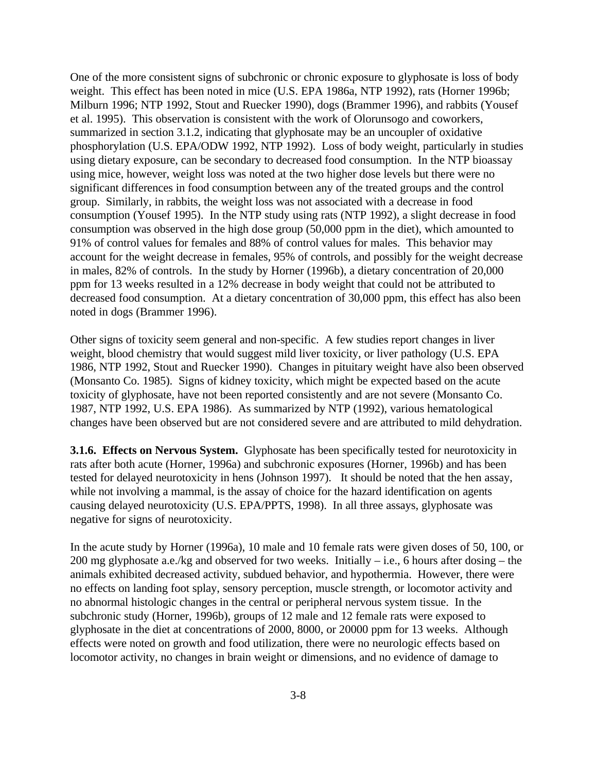One of the more consistent signs of subchronic or chronic exposure to glyphosate is loss of body weight. This effect has been noted in mice (U.S. EPA 1986a, NTP 1992), rats (Horner 1996b; Milburn 1996; NTP 1992, Stout and Ruecker 1990), dogs (Brammer 1996), and rabbits (Yousef et al. 1995). This observation is consistent with the work of Olorunsogo and coworkers, summarized in section 3.1.2, indicating that glyphosate may be an uncoupler of oxidative phosphorylation (U.S. EPA/ODW 1992, NTP 1992). Loss of body weight, particularly in studies using dietary exposure, can be secondary to decreased food consumption. In the NTP bioassay using mice, however, weight loss was noted at the two higher dose levels but there were no significant differences in food consumption between any of the treated groups and the control group. Similarly, in rabbits, the weight loss was not associated with a decrease in food consumption (Yousef 1995). In the NTP study using rats (NTP 1992), a slight decrease in food consumption was observed in the high dose group (50,000 ppm in the diet), which amounted to 91% of control values for females and 88% of control values for males. This behavior may account for the weight decrease in females, 95% of controls, and possibly for the weight decrease in males, 82% of controls. In the study by Horner (1996b), a dietary concentration of 20,000 ppm for 13 weeks resulted in a 12% decrease in body weight that could not be attributed to decreased food consumption. At a dietary concentration of 30,000 ppm, this effect has also been noted in dogs (Brammer 1996).

Other signs of toxicity seem general and non-specific. A few studies report changes in liver weight, blood chemistry that would suggest mild liver toxicity, or liver pathology (U.S. EPA 1986, NTP 1992, Stout and Ruecker 1990). Changes in pituitary weight have also been observed (Monsanto Co. 1985). Signs of kidney toxicity, which might be expected based on the acute toxicity of glyphosate, have not been reported consistently and are not severe (Monsanto Co. 1987, NTP 1992, U.S. EPA 1986). As summarized by NTP (1992), various hematological changes have been observed but are not considered severe and are attributed to mild dehydration.

**3.1.6. Effects on Nervous System.** Glyphosate has been specifically tested for neurotoxicity in rats after both acute (Horner, 1996a) and subchronic exposures (Horner, 1996b) and has been tested for delayed neurotoxicity in hens (Johnson 1997). It should be noted that the hen assay, while not involving a mammal, is the assay of choice for the hazard identification on agents causing delayed neurotoxicity (U.S. EPA/PPTS, 1998). In all three assays, glyphosate was negative for signs of neurotoxicity.

In the acute study by Horner (1996a), 10 male and 10 female rats were given doses of 50, 100, or 200 mg glyphosate a.e./kg and observed for two weeks. Initially  $-$  i.e., 6 hours after dosing  $-$  the animals exhibited decreased activity, subdued behavior, and hypothermia. However, there were no effects on landing foot splay, sensory perception, muscle strength, or locomotor activity and no abnormal histologic changes in the central or peripheral nervous system tissue. In the subchronic study (Horner, 1996b), groups of 12 male and 12 female rats were exposed to glyphosate in the diet at concentrations of 2000, 8000, or 20000 ppm for 13 weeks. Although effects were noted on growth and food utilization, there were no neurologic effects based on locomotor activity, no changes in brain weight or dimensions, and no evidence of damage to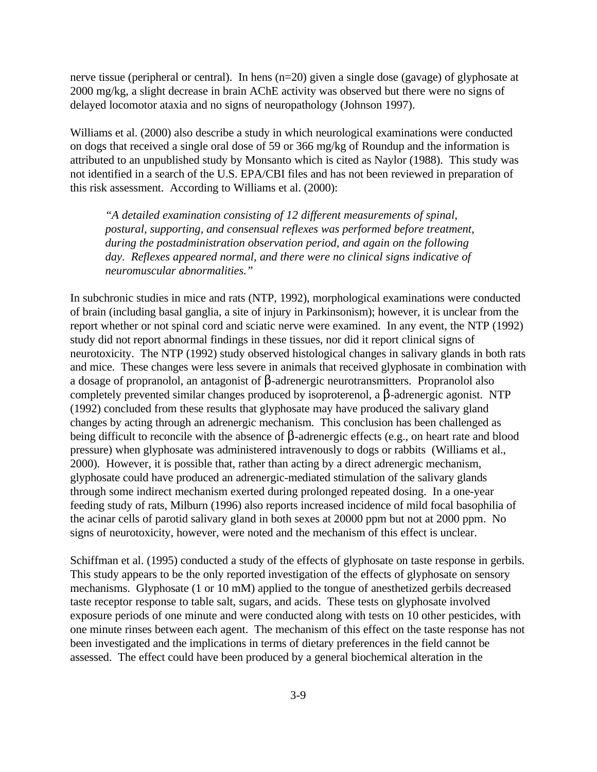nerve tissue (peripheral or central). In hens (n=20) given a single dose (gavage) of glyphosate at 2000 mg/kg, a slight decrease in brain AChE activity was observed but there were no signs of delayed locomotor ataxia and no signs of neuropathology (Johnson 1997).

Williams et al. (2000) also describe a study in which neurological examinations were conducted on dogs that received a single oral dose of 59 or 366 mg/kg of Roundup and the information is attributed to an unpublished study by Monsanto which is cited as Naylor (1988). This study was not identified in a search of the U.S. EPA/CBI files and has not been reviewed in preparation of this risk assessment. According to Williams et al. (2000):

*"A detailed examination consisting of 12 different measurements of spinal, postural, supporting, and consensual reflexes was performed before treatment, during the postadministration observation period, and again on the following day. Reflexes appeared normal, and there were no clinical signs indicative of neuromuscular abnormalities."*

In subchronic studies in mice and rats (NTP, 1992), morphological examinations were conducted of brain (including basal ganglia, a site of injury in Parkinsonism); however, it is unclear from the report whether or not spinal cord and sciatic nerve were examined. In any event, the NTP (1992) study did not report abnormal findings in these tissues, nor did it report clinical signs of neurotoxicity. The NTP (1992) study observed histological changes in salivary glands in both rats and mice. These changes were less severe in animals that received glyphosate in combination with a dosage of propranolol, an antagonist of  $\beta$ -adrenergic neurotransmitters. Propranolol also completely prevented similar changes produced by isoproterenol, a  $\beta$ -adrenergic agonist. NTP (1992) concluded from these results that glyphosate may have produced the salivary gland changes by acting through an adrenergic mechanism. This conclusion has been challenged as being difficult to reconcile with the absence of  $\beta$ -adrenergic effects (e.g., on heart rate and blood pressure) when glyphosate was administered intravenously to dogs or rabbits (Williams et al., 2000). However, it is possible that, rather than acting by a direct adrenergic mechanism, glyphosate could have produced an adrenergic-mediated stimulation of the salivary glands through some indirect mechanism exerted during prolonged repeated dosing. In a one-year feeding study of rats, Milburn (1996) also reports increased incidence of mild focal basophilia of the acinar cells of parotid salivary gland in both sexes at 20000 ppm but not at 2000 ppm. No signs of neurotoxicity, however, were noted and the mechanism of this effect is unclear.

Schiffman et al. (1995) conducted a study of the effects of glyphosate on taste response in gerbils. This study appears to be the only reported investigation of the effects of glyphosate on sensory mechanisms. Glyphosate (1 or 10 mM) applied to the tongue of anesthetized gerbils decreased taste receptor response to table salt, sugars, and acids. These tests on glyphosate involved exposure periods of one minute and were conducted along with tests on 10 other pesticides, with one minute rinses between each agent. The mechanism of this effect on the taste response has not been investigated and the implications in terms of dietary preferences in the field cannot be assessed. The effect could have been produced by a general biochemical alteration in the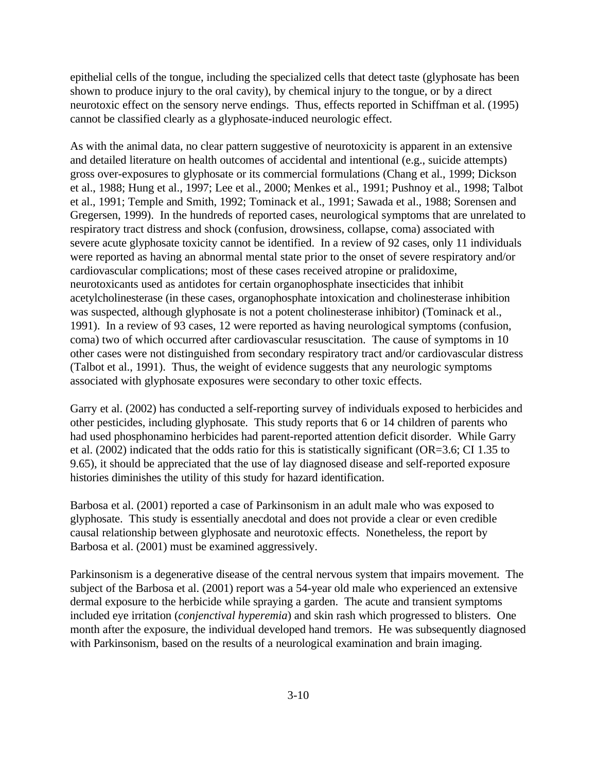epithelial cells of the tongue, including the specialized cells that detect taste (glyphosate has been shown to produce injury to the oral cavity), by chemical injury to the tongue, or by a direct neurotoxic effect on the sensory nerve endings. Thus, effects reported in Schiffman et al. (1995) cannot be classified clearly as a glyphosate-induced neurologic effect.

As with the animal data, no clear pattern suggestive of neurotoxicity is apparent in an extensive and detailed literature on health outcomes of accidental and intentional (e.g., suicide attempts) gross over-exposures to glyphosate or its commercial formulations (Chang et al., 1999; Dickson et al., 1988; Hung et al., 1997; Lee et al., 2000; Menkes et al., 1991; Pushnoy et al., 1998; Talbot et al., 1991; Temple and Smith, 1992; Tominack et al., 1991; Sawada et al., 1988; Sorensen and Gregersen, 1999). In the hundreds of reported cases, neurological symptoms that are unrelated to respiratory tract distress and shock (confusion, drowsiness, collapse, coma) associated with severe acute glyphosate toxicity cannot be identified. In a review of 92 cases, only 11 individuals were reported as having an abnormal mental state prior to the onset of severe respiratory and/or cardiovascular complications; most of these cases received atropine or pralidoxime, neurotoxicants used as antidotes for certain organophosphate insecticides that inhibit acetylcholinesterase (in these cases, organophosphate intoxication and cholinesterase inhibition was suspected, although glyphosate is not a potent cholinesterase inhibitor) (Tominack et al., 1991). In a review of 93 cases, 12 were reported as having neurological symptoms (confusion, coma) two of which occurred after cardiovascular resuscitation. The cause of symptoms in 10 other cases were not distinguished from secondary respiratory tract and/or cardiovascular distress (Talbot et al., 1991). Thus, the weight of evidence suggests that any neurologic symptoms associated with glyphosate exposures were secondary to other toxic effects.

Garry et al. (2002) has conducted a self-reporting survey of individuals exposed to herbicides and other pesticides, including glyphosate. This study reports that 6 or 14 children of parents who had used phosphonamino herbicides had parent-reported attention deficit disorder. While Garry et al. (2002) indicated that the odds ratio for this is statistically significant (OR=3.6; CI 1.35 to 9.65), it should be appreciated that the use of lay diagnosed disease and self-reported exposure histories diminishes the utility of this study for hazard identification.

Barbosa et al. (2001) reported a case of Parkinsonism in an adult male who was exposed to glyphosate. This study is essentially anecdotal and does not provide a clear or even credible causal relationship between glyphosate and neurotoxic effects. Nonetheless, the report by Barbosa et al. (2001) must be examined aggressively.

Parkinsonism is a degenerative disease of the central nervous system that impairs movement. The subject of the Barbosa et al. (2001) report was a 54-year old male who experienced an extensive dermal exposure to the herbicide while spraying a garden. The acute and transient symptoms included eye irritation (*conjenctival hyperemia*) and skin rash which progressed to blisters. One month after the exposure, the individual developed hand tremors. He was subsequently diagnosed with Parkinsonism, based on the results of a neurological examination and brain imaging.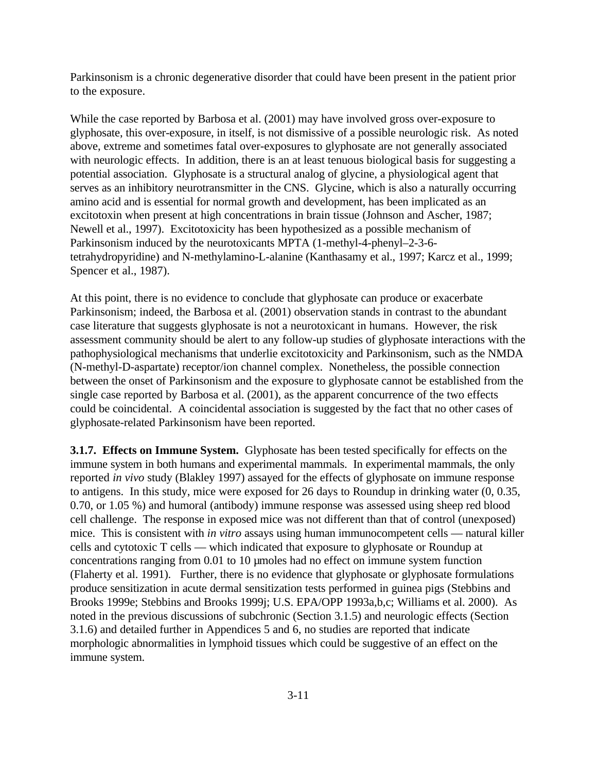Parkinsonism is a chronic degenerative disorder that could have been present in the patient prior to the exposure.

While the case reported by Barbosa et al. (2001) may have involved gross over-exposure to glyphosate, this over-exposure, in itself, is not dismissive of a possible neurologic risk. As noted above, extreme and sometimes fatal over-exposures to glyphosate are not generally associated with neurologic effects. In addition, there is an at least tenuous biological basis for suggesting a potential association. Glyphosate is a structural analog of glycine, a physiological agent that serves as an inhibitory neurotransmitter in the CNS. Glycine, which is also a naturally occurring amino acid and is essential for normal growth and development, has been implicated as an excitotoxin when present at high concentrations in brain tissue (Johnson and Ascher, 1987; Newell et al., 1997). Excitotoxicity has been hypothesized as a possible mechanism of Parkinsonism induced by the neurotoxicants MPTA (1-methyl-4-phenyl–2-3-6 tetrahydropyridine) and N-methylamino-L-alanine (Kanthasamy et al., 1997; Karcz et al., 1999; Spencer et al., 1987).

At this point, there is no evidence to conclude that glyphosate can produce or exacerbate Parkinsonism; indeed, the Barbosa et al. (2001) observation stands in contrast to the abundant case literature that suggests glyphosate is not a neurotoxicant in humans. However, the risk assessment community should be alert to any follow-up studies of glyphosate interactions with the pathophysiological mechanisms that underlie excitotoxicity and Parkinsonism, such as the NMDA (N-methyl-D-aspartate) receptor/ion channel complex. Nonetheless, the possible connection between the onset of Parkinsonism and the exposure to glyphosate cannot be established from the single case reported by Barbosa et al. (2001), as the apparent concurrence of the two effects could be coincidental. A coincidental association is suggested by the fact that no other cases of glyphosate-related Parkinsonism have been reported.

**3.1.7. Effects on Immune System.** Glyphosate has been tested specifically for effects on the immune system in both humans and experimental mammals. In experimental mammals, the only reported *in vivo* study (Blakley 1997) assayed for the effects of glyphosate on immune response to antigens. In this study, mice were exposed for 26 days to Roundup in drinking water (0, 0.35, 0.70, or 1.05 %) and humoral (antibody) immune response was assessed using sheep red blood cell challenge. The response in exposed mice was not different than that of control (unexposed) mice. This is consistent with *in vitro* assays using human immunocompetent cells — natural killer cells and cytotoxic T cells — which indicated that exposure to glyphosate or Roundup at concentrations ranging from 0.01 to 10 µmoles had no effect on immune system function (Flaherty et al. 1991). Further, there is no evidence that glyphosate or glyphosate formulations produce sensitization in acute dermal sensitization tests performed in guinea pigs (Stebbins and Brooks 1999e; Stebbins and Brooks 1999j; U.S. EPA/OPP 1993a,b,c; Williams et al. 2000). As noted in the previous discussions of subchronic (Section 3.1.5) and neurologic effects (Section 3.1.6) and detailed further in Appendices 5 and 6, no studies are reported that indicate morphologic abnormalities in lymphoid tissues which could be suggestive of an effect on the immune system.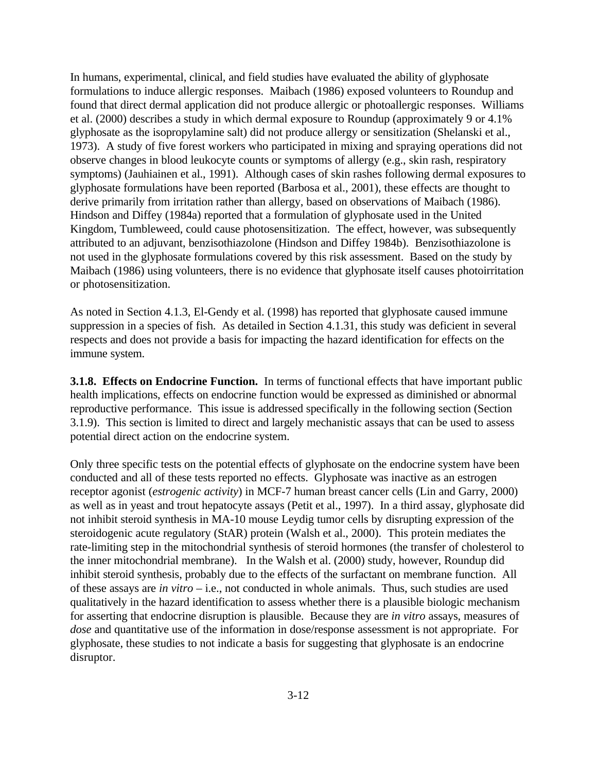In humans, experimental, clinical, and field studies have evaluated the ability of glyphosate formulations to induce allergic responses. Maibach (1986) exposed volunteers to Roundup and found that direct dermal application did not produce allergic or photoallergic responses. Williams et al. (2000) describes a study in which dermal exposure to Roundup (approximately 9 or 4.1% glyphosate as the isopropylamine salt) did not produce allergy or sensitization (Shelanski et al., 1973). A study of five forest workers who participated in mixing and spraying operations did not observe changes in blood leukocyte counts or symptoms of allergy (e.g., skin rash, respiratory symptoms) (Jauhiainen et al., 1991). Although cases of skin rashes following dermal exposures to glyphosate formulations have been reported (Barbosa et al., 2001), these effects are thought to derive primarily from irritation rather than allergy, based on observations of Maibach (1986). Hindson and Diffey (1984a) reported that a formulation of glyphosate used in the United Kingdom, Tumbleweed, could cause photosensitization. The effect, however, was subsequently attributed to an adjuvant, benzisothiazolone (Hindson and Diffey 1984b). Benzisothiazolone is not used in the glyphosate formulations covered by this risk assessment. Based on the study by Maibach (1986) using volunteers, there is no evidence that glyphosate itself causes photoirritation or photosensitization.

As noted in Section 4.1.3, El-Gendy et al. (1998) has reported that glyphosate caused immune suppression in a species of fish. As detailed in Section 4.1.31, this study was deficient in several respects and does not provide a basis for impacting the hazard identification for effects on the immune system.

**3.1.8. Effects on Endocrine Function.** In terms of functional effects that have important public health implications, effects on endocrine function would be expressed as diminished or abnormal reproductive performance. This issue is addressed specifically in the following section (Section 3.1.9). This section is limited to direct and largely mechanistic assays that can be used to assess potential direct action on the endocrine system.

Only three specific tests on the potential effects of glyphosate on the endocrine system have been conducted and all of these tests reported no effects. Glyphosate was inactive as an estrogen receptor agonist (*estrogenic activity*) in MCF-7 human breast cancer cells (Lin and Garry, 2000) as well as in yeast and trout hepatocyte assays (Petit et al., 1997). In a third assay, glyphosate did not inhibit steroid synthesis in MA-10 mouse Leydig tumor cells by disrupting expression of the steroidogenic acute regulatory (StAR) protein (Walsh et al., 2000). This protein mediates the rate-limiting step in the mitochondrial synthesis of steroid hormones (the transfer of cholesterol to the inner mitochondrial membrane). In the Walsh et al. (2000) study, however, Roundup did inhibit steroid synthesis, probably due to the effects of the surfactant on membrane function. All of these assays are *in vitro* – i.e., not conducted in whole animals. Thus, such studies are used qualitatively in the hazard identification to assess whether there is a plausible biologic mechanism for asserting that endocrine disruption is plausible. Because they are *in vitro* assays, measures of *dose* and quantitative use of the information in dose/response assessment is not appropriate. For glyphosate, these studies to not indicate a basis for suggesting that glyphosate is an endocrine disruptor.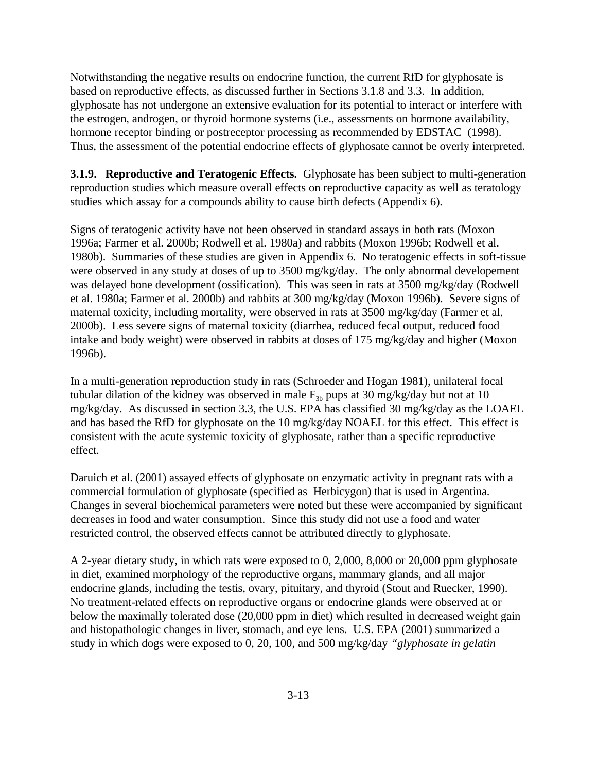Notwithstanding the negative results on endocrine function, the current RfD for glyphosate is based on reproductive effects, as discussed further in Sections 3.1.8 and 3.3. In addition, glyphosate has not undergone an extensive evaluation for its potential to interact or interfere with the estrogen, androgen, or thyroid hormone systems (i.e., assessments on hormone availability, hormone receptor binding or postreceptor processing as recommended by EDSTAC (1998). Thus, the assessment of the potential endocrine effects of glyphosate cannot be overly interpreted.

**3.1.9. Reproductive and Teratogenic Effects.** Glyphosate has been subject to multi-generation reproduction studies which measure overall effects on reproductive capacity as well as teratology studies which assay for a compounds ability to cause birth defects (Appendix 6).

Signs of teratogenic activity have not been observed in standard assays in both rats (Moxon 1996a; Farmer et al. 2000b; Rodwell et al. 1980a) and rabbits (Moxon 1996b; Rodwell et al. 1980b). Summaries of these studies are given in Appendix 6. No teratogenic effects in soft-tissue were observed in any study at doses of up to 3500 mg/kg/day. The only abnormal developement was delayed bone development (ossification). This was seen in rats at 3500 mg/kg/day (Rodwell et al. 1980a; Farmer et al. 2000b) and rabbits at 300 mg/kg/day (Moxon 1996b). Severe signs of maternal toxicity, including mortality, were observed in rats at 3500 mg/kg/day (Farmer et al. 2000b). Less severe signs of maternal toxicity (diarrhea, reduced fecal output, reduced food intake and body weight) were observed in rabbits at doses of 175 mg/kg/day and higher (Moxon 1996b).

In a multi-generation reproduction study in rats (Schroeder and Hogan 1981), unilateral focal tubular dilation of the kidney was observed in male  $F_{3b}$  pups at 30 mg/kg/day but not at 10 mg/kg/day. As discussed in section 3.3, the U.S. EPA has classified 30 mg/kg/day as the LOAEL and has based the RfD for glyphosate on the 10 mg/kg/day NOAEL for this effect. This effect is consistent with the acute systemic toxicity of glyphosate, rather than a specific reproductive effect.

Daruich et al. (2001) assayed effects of glyphosate on enzymatic activity in pregnant rats with a commercial formulation of glyphosate (specified as Herbicygon) that is used in Argentina. Changes in several biochemical parameters were noted but these were accompanied by significant decreases in food and water consumption. Since this study did not use a food and water restricted control, the observed effects cannot be attributed directly to glyphosate.

A 2-year dietary study, in which rats were exposed to 0, 2,000, 8,000 or 20,000 ppm glyphosate in diet, examined morphology of the reproductive organs, mammary glands, and all major endocrine glands, including the testis, ovary, pituitary, and thyroid (Stout and Ruecker, 1990). No treatment-related effects on reproductive organs or endocrine glands were observed at or below the maximally tolerated dose (20,000 ppm in diet) which resulted in decreased weight gain and histopathologic changes in liver, stomach, and eye lens. U.S. EPA (2001) summarized a study in which dogs were exposed to 0, 20, 100, and 500 mg/kg/day *"glyphosate in gelatin*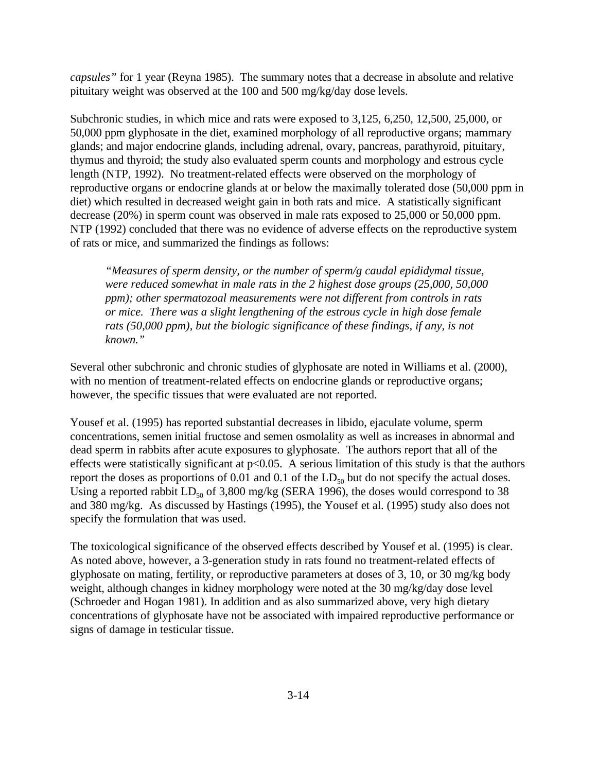*capsules"* for 1 year (Reyna 1985). The summary notes that a decrease in absolute and relative pituitary weight was observed at the 100 and 500 mg/kg/day dose levels.

Subchronic studies, in which mice and rats were exposed to 3,125, 6,250, 12,500, 25,000, or 50,000 ppm glyphosate in the diet, examined morphology of all reproductive organs; mammary glands; and major endocrine glands, including adrenal, ovary, pancreas, parathyroid, pituitary, thymus and thyroid; the study also evaluated sperm counts and morphology and estrous cycle length (NTP, 1992). No treatment-related effects were observed on the morphology of reproductive organs or endocrine glands at or below the maximally tolerated dose (50,000 ppm in diet) which resulted in decreased weight gain in both rats and mice. A statistically significant decrease (20%) in sperm count was observed in male rats exposed to 25,000 or 50,000 ppm. NTP (1992) concluded that there was no evidence of adverse effects on the reproductive system of rats or mice, and summarized the findings as follows:

*"Measures of sperm density, or the number of sperm/g caudal epididymal tissue, were reduced somewhat in male rats in the 2 highest dose groups (25,000, 50,000 ppm); other spermatozoal measurements were not different from controls in rats or mice. There was a slight lengthening of the estrous cycle in high dose female rats (50,000 ppm), but the biologic significance of these findings, if any, is not known."*

Several other subchronic and chronic studies of glyphosate are noted in Williams et al. (2000), with no mention of treatment-related effects on endocrine glands or reproductive organs; however, the specific tissues that were evaluated are not reported.

Yousef et al. (1995) has reported substantial decreases in libido, ejaculate volume, sperm concentrations, semen initial fructose and semen osmolality as well as increases in abnormal and dead sperm in rabbits after acute exposures to glyphosate. The authors report that all of the effects were statistically significant at  $p<0.05$ . A serious limitation of this study is that the authors report the doses as proportions of  $0.01$  and  $0.1$  of the  $LD_{50}$  but do not specify the actual doses. Using a reported rabbit  $LD_{50}$  of 3,800 mg/kg (SERA 1996), the doses would correspond to 38 and 380 mg/kg. As discussed by Hastings (1995), the Yousef et al. (1995) study also does not specify the formulation that was used.

The toxicological significance of the observed effects described by Yousef et al. (1995) is clear. As noted above, however, a 3-generation study in rats found no treatment-related effects of glyphosate on mating, fertility, or reproductive parameters at doses of 3, 10, or 30 mg/kg body weight, although changes in kidney morphology were noted at the 30 mg/kg/day dose level (Schroeder and Hogan 1981). In addition and as also summarized above, very high dietary concentrations of glyphosate have not be associated with impaired reproductive performance or signs of damage in testicular tissue.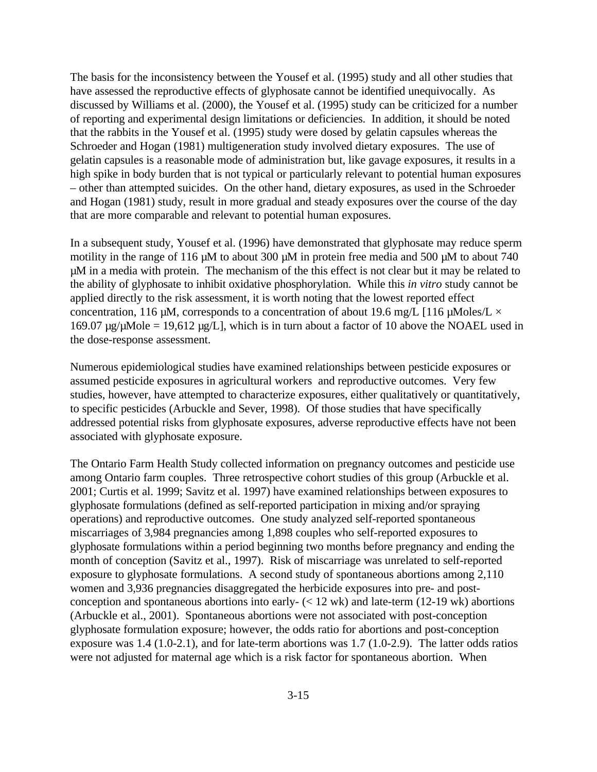The basis for the inconsistency between the Yousef et al. (1995) study and all other studies that have assessed the reproductive effects of glyphosate cannot be identified unequivocally. As discussed by Williams et al. (2000), the Yousef et al. (1995) study can be criticized for a number of reporting and experimental design limitations or deficiencies. In addition, it should be noted that the rabbits in the Yousef et al. (1995) study were dosed by gelatin capsules whereas the Schroeder and Hogan (1981) multigeneration study involved dietary exposures. The use of gelatin capsules is a reasonable mode of administration but, like gavage exposures, it results in a high spike in body burden that is not typical or particularly relevant to potential human exposures – other than attempted suicides. On the other hand, dietary exposures, as used in the Schroeder and Hogan (1981) study, result in more gradual and steady exposures over the course of the day that are more comparable and relevant to potential human exposures.

In a subsequent study, Yousef et al. (1996) have demonstrated that glyphosate may reduce sperm motility in the range of 116  $\mu$ M to about 300  $\mu$ M in protein free media and 500  $\mu$ M to about 740 µM in a media with protein. The mechanism of the this effect is not clear but it may be related to the ability of glyphosate to inhibit oxidative phosphorylation. While this *in vitro* study cannot be applied directly to the risk assessment, it is worth noting that the lowest reported effect concentration, 116  $\mu$ M, corresponds to a concentration of about 19.6 mg/L [116  $\mu$ Moles/L  $\times$ 169.07  $\mu$ g/ $\mu$ Mole = 19,612  $\mu$ g/L], which is in turn about a factor of 10 above the NOAEL used in the dose-response assessment.

Numerous epidemiological studies have examined relationships between pesticide exposures or assumed pesticide exposures in agricultural workers and reproductive outcomes. Very few studies, however, have attempted to characterize exposures, either qualitatively or quantitatively, to specific pesticides (Arbuckle and Sever, 1998). Of those studies that have specifically addressed potential risks from glyphosate exposures, adverse reproductive effects have not been associated with glyphosate exposure.

The Ontario Farm Health Study collected information on pregnancy outcomes and pesticide use among Ontario farm couples. Three retrospective cohort studies of this group (Arbuckle et al. 2001; Curtis et al. 1999; Savitz et al. 1997) have examined relationships between exposures to glyphosate formulations (defined as self-reported participation in mixing and/or spraying operations) and reproductive outcomes. One study analyzed self-reported spontaneous miscarriages of 3,984 pregnancies among 1,898 couples who self-reported exposures to glyphosate formulations within a period beginning two months before pregnancy and ending the month of conception (Savitz et al., 1997). Risk of miscarriage was unrelated to self-reported exposure to glyphosate formulations. A second study of spontaneous abortions among 2,110 women and 3,936 pregnancies disaggregated the herbicide exposures into pre- and postconception and spontaneous abortions into early- $\left($  < 12 wk) and late-term (12-19 wk) abortions (Arbuckle et al., 2001). Spontaneous abortions were not associated with post-conception glyphosate formulation exposure; however, the odds ratio for abortions and post-conception exposure was 1.4 (1.0-2.1), and for late-term abortions was 1.7 (1.0-2.9). The latter odds ratios were not adjusted for maternal age which is a risk factor for spontaneous abortion. When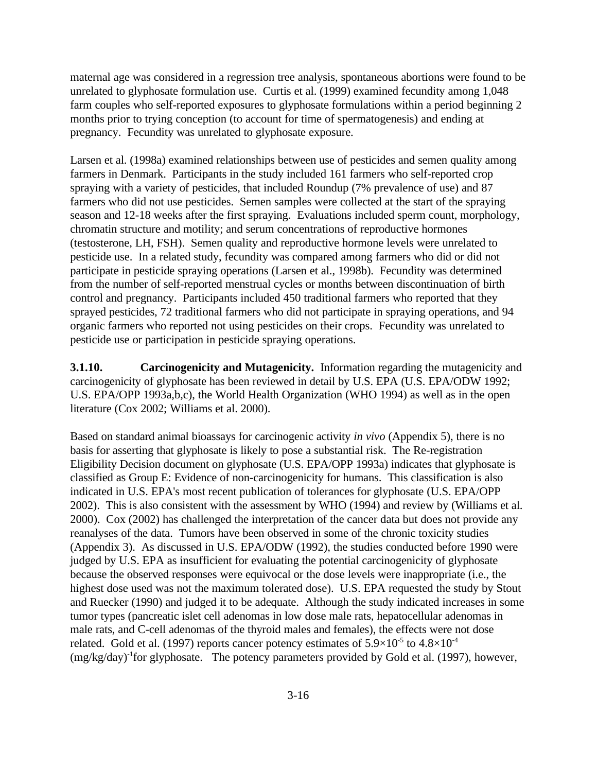maternal age was considered in a regression tree analysis, spontaneous abortions were found to be unrelated to glyphosate formulation use. Curtis et al. (1999) examined fecundity among 1,048 farm couples who self-reported exposures to glyphosate formulations within a period beginning 2 months prior to trying conception (to account for time of spermatogenesis) and ending at pregnancy. Fecundity was unrelated to glyphosate exposure.

Larsen et al. (1998a) examined relationships between use of pesticides and semen quality among farmers in Denmark. Participants in the study included 161 farmers who self-reported crop spraying with a variety of pesticides, that included Roundup (7% prevalence of use) and 87 farmers who did not use pesticides. Semen samples were collected at the start of the spraying season and 12-18 weeks after the first spraying. Evaluations included sperm count, morphology, chromatin structure and motility; and serum concentrations of reproductive hormones (testosterone, LH, FSH). Semen quality and reproductive hormone levels were unrelated to pesticide use. In a related study, fecundity was compared among farmers who did or did not participate in pesticide spraying operations (Larsen et al., 1998b). Fecundity was determined from the number of self-reported menstrual cycles or months between discontinuation of birth control and pregnancy. Participants included 450 traditional farmers who reported that they sprayed pesticides, 72 traditional farmers who did not participate in spraying operations, and 94 organic farmers who reported not using pesticides on their crops. Fecundity was unrelated to pesticide use or participation in pesticide spraying operations.

**3.1.10. Carcinogenicity and Mutagenicity.** Information regarding the mutagenicity and carcinogenicity of glyphosate has been reviewed in detail by U.S. EPA (U.S. EPA/ODW 1992; U.S. EPA/OPP 1993a,b,c), the World Health Organization (WHO 1994) as well as in the open literature (Cox 2002; Williams et al. 2000).

Based on standard animal bioassays for carcinogenic activity *in vivo* (Appendix 5), there is no basis for asserting that glyphosate is likely to pose a substantial risk. The Re-registration Eligibility Decision document on glyphosate (U.S. EPA/OPP 1993a) indicates that glyphosate is classified as Group E: Evidence of non-carcinogenicity for humans. This classification is also indicated in U.S. EPA's most recent publication of tolerances for glyphosate (U.S. EPA/OPP 2002). This is also consistent with the assessment by WHO (1994) and review by (Williams et al. 2000). Cox (2002) has challenged the interpretation of the cancer data but does not provide any reanalyses of the data. Tumors have been observed in some of the chronic toxicity studies (Appendix 3). As discussed in U.S. EPA/ODW (1992), the studies conducted before 1990 were judged by U.S. EPA as insufficient for evaluating the potential carcinogenicity of glyphosate because the observed responses were equivocal or the dose levels were inappropriate (i.e., the highest dose used was not the maximum tolerated dose). U.S. EPA requested the study by Stout and Ruecker (1990) and judged it to be adequate. Although the study indicated increases in some tumor types (pancreatic islet cell adenomas in low dose male rats, hepatocellular adenomas in male rats, and C-cell adenomas of the thyroid males and females), the effects were not dose related. Gold et al. (1997) reports cancer potency estimates of  $5.9\times10^{-5}$  to  $4.8\times10^{-4}$  $(mg/kg/day)^{-1}$  for glyphosate. The potency parameters provided by Gold et al. (1997), however,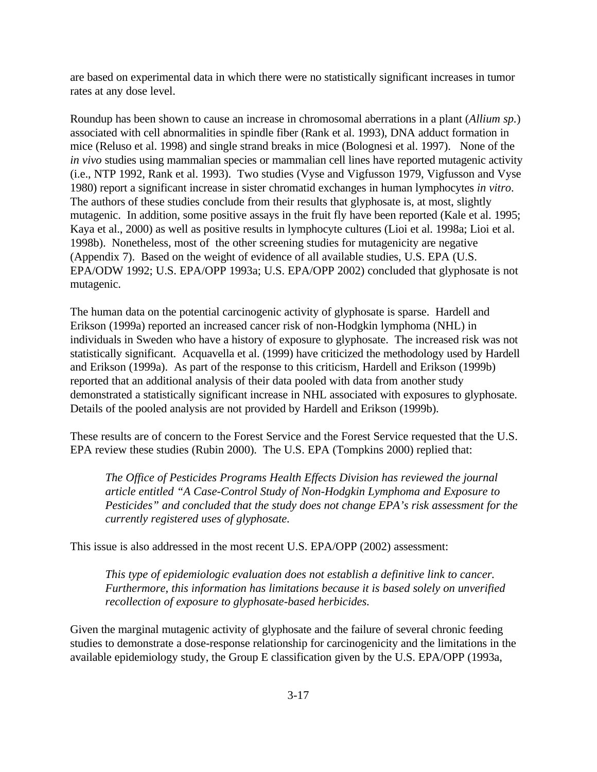are based on experimental data in which there were no statistically significant increases in tumor rates at any dose level.

Roundup has been shown to cause an increase in chromosomal aberrations in a plant (*Allium sp.*) associated with cell abnormalities in spindle fiber (Rank et al. 1993), DNA adduct formation in mice (Reluso et al. 1998) and single strand breaks in mice (Bolognesi et al. 1997). None of the *in vivo* studies using mammalian species or mammalian cell lines have reported mutagenic activity (i.e., NTP 1992, Rank et al. 1993). Two studies (Vyse and Vigfusson 1979, Vigfusson and Vyse 1980) report a significant increase in sister chromatid exchanges in human lymphocytes *in vitro*. The authors of these studies conclude from their results that glyphosate is, at most, slightly mutagenic. In addition, some positive assays in the fruit fly have been reported (Kale et al. 1995; Kaya et al., 2000) as well as positive results in lymphocyte cultures (Lioi et al. 1998a; Lioi et al. 1998b). Nonetheless, most of the other screening studies for mutagenicity are negative (Appendix 7). Based on the weight of evidence of all available studies, U.S. EPA (U.S. EPA/ODW 1992; U.S. EPA/OPP 1993a; U.S. EPA/OPP 2002) concluded that glyphosate is not mutagenic.

The human data on the potential carcinogenic activity of glyphosate is sparse. Hardell and Erikson (1999a) reported an increased cancer risk of non-Hodgkin lymphoma (NHL) in individuals in Sweden who have a history of exposure to glyphosate. The increased risk was not statistically significant. Acquavella et al. (1999) have criticized the methodology used by Hardell and Erikson (1999a). As part of the response to this criticism, Hardell and Erikson (1999b) reported that an additional analysis of their data pooled with data from another study demonstrated a statistically significant increase in NHL associated with exposures to glyphosate. Details of the pooled analysis are not provided by Hardell and Erikson (1999b).

These results are of concern to the Forest Service and the Forest Service requested that the U.S. EPA review these studies (Rubin 2000). The U.S. EPA (Tompkins 2000) replied that:

*The Office of Pesticides Programs Health Effects Division has reviewed the journal article entitled "A Case-Control Study of Non-Hodgkin Lymphoma and Exposure to Pesticides" and concluded that the study does not change EPA's risk assessment for the currently registered uses of glyphosate.*

This issue is also addressed in the most recent U.S. EPA/OPP (2002) assessment:

*This type of epidemiologic evaluation does not establish a definitive link to cancer. Furthermore, this information has limitations because it is based solely on unverified recollection of exposure to glyphosate-based herbicides.*

Given the marginal mutagenic activity of glyphosate and the failure of several chronic feeding studies to demonstrate a dose-response relationship for carcinogenicity and the limitations in the available epidemiology study, the Group E classification given by the U.S. EPA/OPP (1993a,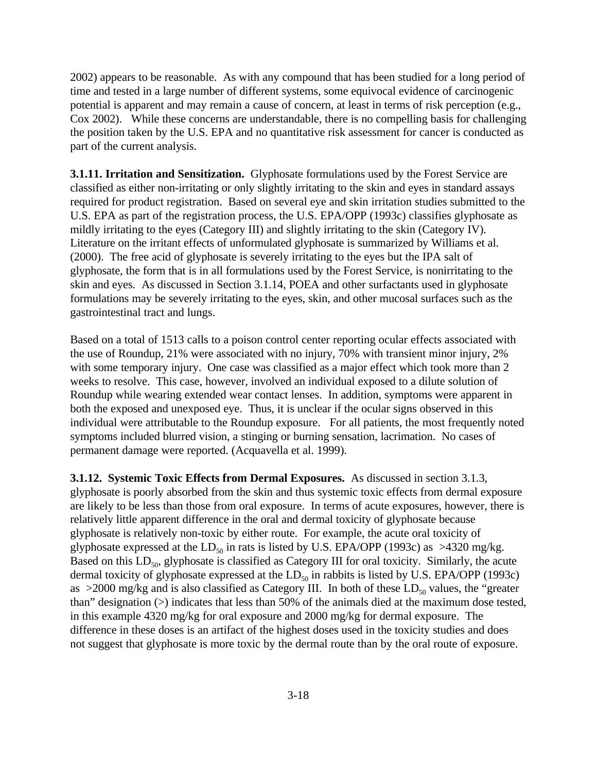2002) appears to be reasonable. As with any compound that has been studied for a long period of time and tested in a large number of different systems, some equivocal evidence of carcinogenic potential is apparent and may remain a cause of concern, at least in terms of risk perception (e.g., Cox 2002). While these concerns are understandable, there is no compelling basis for challenging the position taken by the U.S. EPA and no quantitative risk assessment for cancer is conducted as part of the current analysis.

**3.1.11. Irritation and Sensitization.** Glyphosate formulations used by the Forest Service are classified as either non-irritating or only slightly irritating to the skin and eyes in standard assays required for product registration. Based on several eye and skin irritation studies submitted to the U.S. EPA as part of the registration process, the U.S. EPA/OPP (1993c) classifies glyphosate as mildly irritating to the eyes (Category III) and slightly irritating to the skin (Category IV). Literature on the irritant effects of unformulated glyphosate is summarized by Williams et al. (2000). The free acid of glyphosate is severely irritating to the eyes but the IPA salt of glyphosate, the form that is in all formulations used by the Forest Service, is nonirritating to the skin and eyes. As discussed in Section 3.1.14, POEA and other surfactants used in glyphosate formulations may be severely irritating to the eyes, skin, and other mucosal surfaces such as the gastrointestinal tract and lungs.

Based on a total of 1513 calls to a poison control center reporting ocular effects associated with the use of Roundup, 21% were associated with no injury, 70% with transient minor injury, 2% with some temporary injury. One case was classified as a major effect which took more than 2 weeks to resolve. This case, however, involved an individual exposed to a dilute solution of Roundup while wearing extended wear contact lenses. In addition, symptoms were apparent in both the exposed and unexposed eye. Thus, it is unclear if the ocular signs observed in this individual were attributable to the Roundup exposure. For all patients, the most frequently noted symptoms included blurred vision, a stinging or burning sensation, lacrimation. No cases of permanent damage were reported. (Acquavella et al. 1999).

**3.1.12. Systemic Toxic Effects from Dermal Exposures.** As discussed in section 3.1.3, glyphosate is poorly absorbed from the skin and thus systemic toxic effects from dermal exposure are likely to be less than those from oral exposure. In terms of acute exposures, however, there is relatively little apparent difference in the oral and dermal toxicity of glyphosate because glyphosate is relatively non-toxic by either route. For example, the acute oral toxicity of glyphosate expressed at the  $LD_{50}$  in rats is listed by U.S. EPA/OPP (1993c) as  $>4320$  mg/kg. Based on this  $LD_{50}$ , glyphosate is classified as Category III for oral toxicity. Similarly, the acute dermal toxicity of glyphosate expressed at the  $LD_{50}$  in rabbits is listed by U.S. EPA/OPP (1993c) as  $>2000$  mg/kg and is also classified as Category III. In both of these LD<sub>50</sub> values, the "greater" than" designation (>) indicates that less than 50% of the animals died at the maximum dose tested, in this example 4320 mg/kg for oral exposure and 2000 mg/kg for dermal exposure. The difference in these doses is an artifact of the highest doses used in the toxicity studies and does not suggest that glyphosate is more toxic by the dermal route than by the oral route of exposure.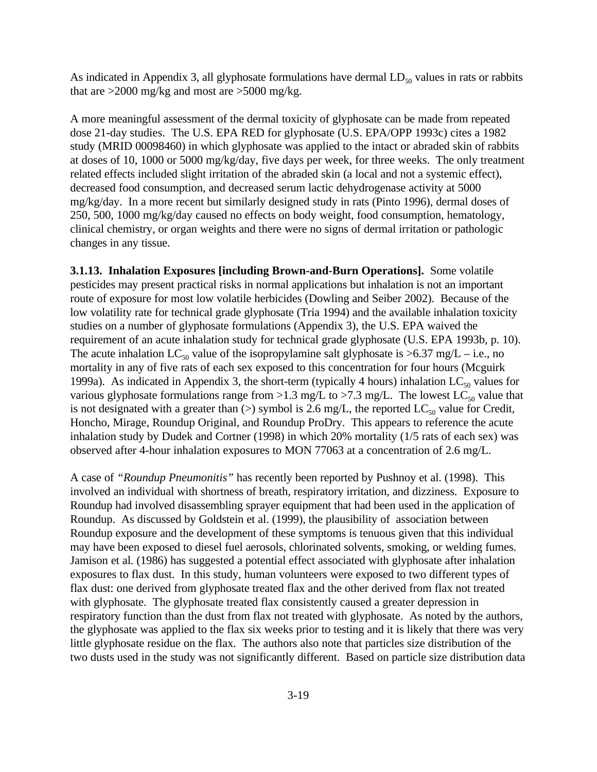As indicated in Appendix 3, all glyphosate formulations have dermal  $LD_{50}$  values in rats or rabbits that are >2000 mg/kg and most are >5000 mg/kg.

A more meaningful assessment of the dermal toxicity of glyphosate can be made from repeated dose 21-day studies. The U.S. EPA RED for glyphosate (U.S. EPA/OPP 1993c) cites a 1982 study (MRID 00098460) in which glyphosate was applied to the intact or abraded skin of rabbits at doses of 10, 1000 or 5000 mg/kg/day, five days per week, for three weeks. The only treatment related effects included slight irritation of the abraded skin (a local and not a systemic effect), decreased food consumption, and decreased serum lactic dehydrogenase activity at 5000 mg/kg/day. In a more recent but similarly designed study in rats (Pinto 1996), dermal doses of 250, 500, 1000 mg/kg/day caused no effects on body weight, food consumption, hematology, clinical chemistry, or organ weights and there were no signs of dermal irritation or pathologic changes in any tissue.

**3.1.13. Inhalation Exposures [including Brown-and-Burn Operations].** Some volatile pesticides may present practical risks in normal applications but inhalation is not an important route of exposure for most low volatile herbicides (Dowling and Seiber 2002). Because of the low volatility rate for technical grade glyphosate (Tria 1994) and the available inhalation toxicity studies on a number of glyphosate formulations (Appendix 3), the U.S. EPA waived the requirement of an acute inhalation study for technical grade glyphosate (U.S. EPA 1993b, p. 10). The acute inhalation LC<sub>50</sub> value of the isopropylamine salt glyphosate is  $>6.37$  mg/L – i.e., no mortality in any of five rats of each sex exposed to this concentration for four hours (Mcguirk 1999a). As indicated in Appendix 3, the short-term (typically 4 hours) inhalation  $LC_{50}$  values for various glyphosate formulations range from >1.3 mg/L to >7.3 mg/L. The lowest  $LC_{50}$  value that is not designated with a greater than  $(>)$  symbol is 2.6 mg/L, the reported LC<sub>50</sub> value for Credit, Honcho, Mirage, Roundup Original, and Roundup ProDry. This appears to reference the acute inhalation study by Dudek and Cortner (1998) in which 20% mortality (1/5 rats of each sex) was observed after 4-hour inhalation exposures to MON 77063 at a concentration of 2.6 mg/L.

A case of *"Roundup Pneumonitis"* has recently been reported by Pushnoy et al. (1998). This involved an individual with shortness of breath, respiratory irritation, and dizziness. Exposure to Roundup had involved disassembling sprayer equipment that had been used in the application of Roundup. As discussed by Goldstein et al. (1999), the plausibility of association between Roundup exposure and the development of these symptoms is tenuous given that this individual may have been exposed to diesel fuel aerosols, chlorinated solvents, smoking, or welding fumes. Jamison et al. (1986) has suggested a potential effect associated with glyphosate after inhalation exposures to flax dust. In this study, human volunteers were exposed to two different types of flax dust: one derived from glyphosate treated flax and the other derived from flax not treated with glyphosate. The glyphosate treated flax consistently caused a greater depression in respiratory function than the dust from flax not treated with glyphosate. As noted by the authors, the glyphosate was applied to the flax six weeks prior to testing and it is likely that there was very little glyphosate residue on the flax. The authors also note that particles size distribution of the two dusts used in the study was not significantly different. Based on particle size distribution data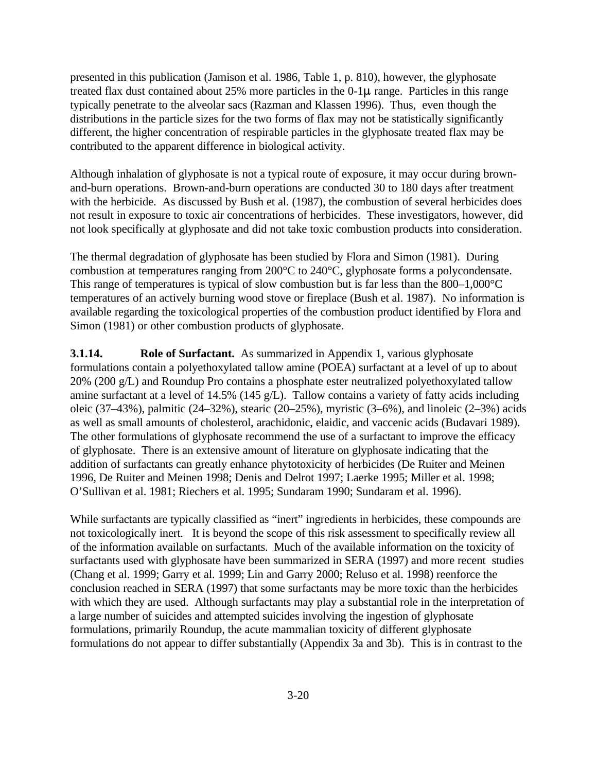presented in this publication (Jamison et al. 1986, Table 1, p. 810), however, the glyphosate treated flax dust contained about  $25\%$  more particles in the  $0\n-1\mu$  range. Particles in this range typically penetrate to the alveolar sacs (Razman and Klassen 1996). Thus, even though the distributions in the particle sizes for the two forms of flax may not be statistically significantly different, the higher concentration of respirable particles in the glyphosate treated flax may be contributed to the apparent difference in biological activity.

Although inhalation of glyphosate is not a typical route of exposure, it may occur during brownand-burn operations. Brown-and-burn operations are conducted 30 to 180 days after treatment with the herbicide. As discussed by Bush et al. (1987), the combustion of several herbicides does not result in exposure to toxic air concentrations of herbicides. These investigators, however, did not look specifically at glyphosate and did not take toxic combustion products into consideration.

The thermal degradation of glyphosate has been studied by Flora and Simon (1981). During combustion at temperatures ranging from 200°C to 240°C, glyphosate forms a polycondensate. This range of temperatures is typical of slow combustion but is far less than the 800–1,000°C temperatures of an actively burning wood stove or fireplace (Bush et al. 1987). No information is available regarding the toxicological properties of the combustion product identified by Flora and Simon (1981) or other combustion products of glyphosate.

**3.1.14. Role of Surfactant.** As summarized in Appendix 1, various glyphosate formulations contain a polyethoxylated tallow amine (POEA) surfactant at a level of up to about 20% (200 g/L) and Roundup Pro contains a phosphate ester neutralized polyethoxylated tallow amine surfactant at a level of 14.5% (145 g/L). Tallow contains a variety of fatty acids including oleic (37–43%), palmitic (24–32%), stearic (20–25%), myristic (3–6%), and linoleic (2–3%) acids as well as small amounts of cholesterol, arachidonic, elaidic, and vaccenic acids (Budavari 1989). The other formulations of glyphosate recommend the use of a surfactant to improve the efficacy of glyphosate. There is an extensive amount of literature on glyphosate indicating that the addition of surfactants can greatly enhance phytotoxicity of herbicides (De Ruiter and Meinen 1996, De Ruiter and Meinen 1998; Denis and Delrot 1997; Laerke 1995; Miller et al. 1998; O'Sullivan et al. 1981; Riechers et al. 1995; Sundaram 1990; Sundaram et al. 1996).

While surfactants are typically classified as "inert" ingredients in herbicides, these compounds are not toxicologically inert. It is beyond the scope of this risk assessment to specifically review all of the information available on surfactants. Much of the available information on the toxicity of surfactants used with glyphosate have been summarized in SERA (1997) and more recent studies (Chang et al. 1999; Garry et al. 1999; Lin and Garry 2000; Reluso et al. 1998) reenforce the conclusion reached in SERA (1997) that some surfactants may be more toxic than the herbicides with which they are used. Although surfactants may play a substantial role in the interpretation of a large number of suicides and attempted suicides involving the ingestion of glyphosate formulations, primarily Roundup, the acute mammalian toxicity of different glyphosate formulations do not appear to differ substantially (Appendix 3a and 3b). This is in contrast to the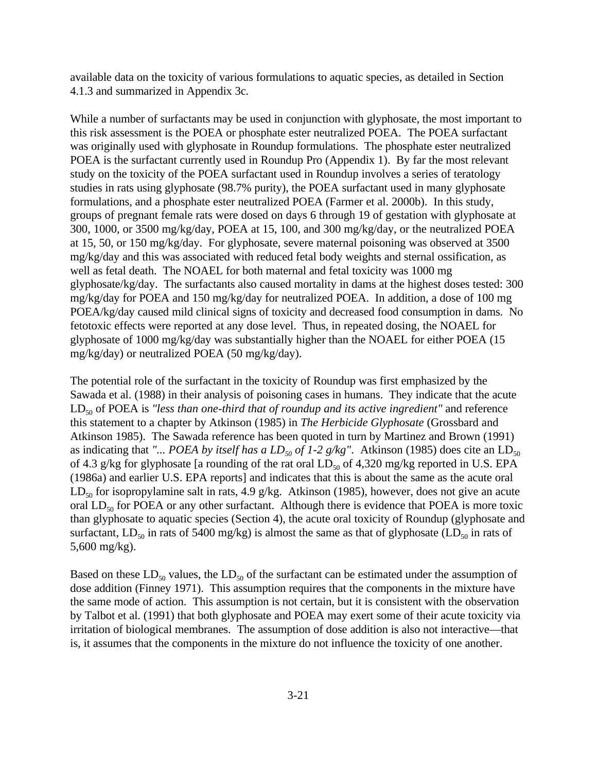available data on the toxicity of various formulations to aquatic species, as detailed in Section 4.1.3 and summarized in Appendix 3c.

While a number of surfactants may be used in conjunction with glyphosate, the most important to this risk assessment is the POEA or phosphate ester neutralized POEA. The POEA surfactant was originally used with glyphosate in Roundup formulations. The phosphate ester neutralized POEA is the surfactant currently used in Roundup Pro (Appendix 1). By far the most relevant study on the toxicity of the POEA surfactant used in Roundup involves a series of teratology studies in rats using glyphosate (98.7% purity), the POEA surfactant used in many glyphosate formulations, and a phosphate ester neutralized POEA (Farmer et al. 2000b). In this study, groups of pregnant female rats were dosed on days 6 through 19 of gestation with glyphosate at 300, 1000, or 3500 mg/kg/day, POEA at 15, 100, and 300 mg/kg/day, or the neutralized POEA at 15, 50, or 150 mg/kg/day. For glyphosate, severe maternal poisoning was observed at 3500 mg/kg/day and this was associated with reduced fetal body weights and sternal ossification, as well as fetal death. The NOAEL for both maternal and fetal toxicity was 1000 mg glyphosate/kg/day. The surfactants also caused mortality in dams at the highest doses tested: 300 mg/kg/day for POEA and 150 mg/kg/day for neutralized POEA. In addition, a dose of 100 mg POEA/kg/day caused mild clinical signs of toxicity and decreased food consumption in dams. No fetotoxic effects were reported at any dose level. Thus, in repeated dosing, the NOAEL for glyphosate of 1000 mg/kg/day was substantially higher than the NOAEL for either POEA (15 mg/kg/day) or neutralized POEA (50 mg/kg/day).

The potential role of the surfactant in the toxicity of Roundup was first emphasized by the Sawada et al. (1988) in their analysis of poisoning cases in humans. They indicate that the acute LD<sub>50</sub> of POEA is "less than one-third that of roundup and its active ingredient" and reference this statement to a chapter by Atkinson (1985) in *The Herbicide Glyphosate* (Grossbard and Atkinson 1985). The Sawada reference has been quoted in turn by Martinez and Brown (1991) as indicating that "... *POEA by itself has a*  $LD_{50}$  *of 1-2 g/kg"*. Atkinson (1985) does cite an  $LD_{50}$ of 4.3 g/kg for glyphosate [a rounding of the rat oral  $LD_{50}$  of 4,320 mg/kg reported in U.S. EPA (1986a) and earlier U.S. EPA reports] and indicates that this is about the same as the acute oral  $LD_{50}$  for isopropylamine salt in rats, 4.9 g/kg. Atkinson (1985), however, does not give an acute oral  $LD_{50}$  for POEA or any other surfactant. Although there is evidence that POEA is more toxic than glyphosate to aquatic species (Section 4), the acute oral toxicity of Roundup (glyphosate and surfactant,  $LD_{50}$  in rats of 5400 mg/kg) is almost the same as that of glyphosate ( $LD_{50}$  in rats of 5,600 mg/kg).

Based on these  $LD_{50}$  values, the  $LD_{50}$  of the surfactant can be estimated under the assumption of dose addition (Finney 1971). This assumption requires that the components in the mixture have the same mode of action. This assumption is not certain, but it is consistent with the observation by Talbot et al. (1991) that both glyphosate and POEA may exert some of their acute toxicity via irritation of biological membranes. The assumption of dose addition is also not interactive—that is, it assumes that the components in the mixture do not influence the toxicity of one another.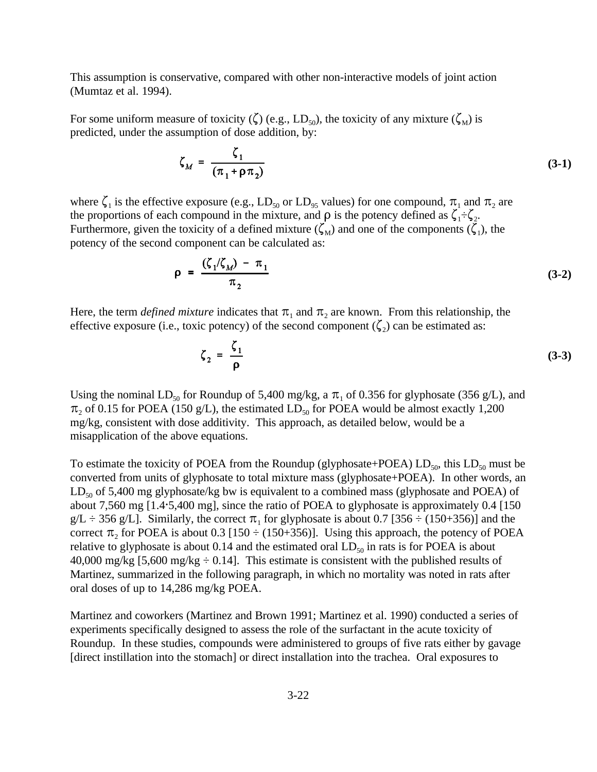This assumption is conservative, compared with other non-interactive models of joint action (Mumtaz et al. 1994).

For some uniform measure of toxicity ( $\zeta$ ) (e.g., LD<sub>50</sub>), the toxicity of any mixture ( $\zeta_{\text{M}}$ ) is predicted, under the assumption of dose addition, by:

$$
\zeta_M = \frac{\zeta_1}{(\pi_1 + \rho \pi_2)}\tag{3-1}
$$

where  $\zeta_1$  is the effective exposure (e.g., LD<sub>50</sub> or LD<sub>95</sub> values) for one compound,  $\pi_1$  and  $\pi_2$  are the proportions of each compound in the mixture, and  $\rho$  is the potency defined as  $\zeta_1 \div \zeta_2$ . Furthermore, given the toxicity of a defined mixture  $(\zeta_M)$  and one of the components  $(\zeta_1)$ , the potency of the second component can be calculated as:

$$
\rho = \frac{(\zeta_1/\zeta_M) - \pi_1}{\pi_2} \tag{3-2}
$$

Here, the term *defined mixture* indicates that  $\pi_1$  and  $\pi_2$  are known. From this relationship, the effective exposure (i.e., toxic potency) of the second component  $(\zeta_2)$  can be estimated as:

$$
\zeta_2 = \frac{\zeta_1}{\rho} \tag{3-3}
$$

Using the nominal LD<sub>50</sub> for Roundup of 5,400 mg/kg, a  $\pi_1$  of 0.356 for glyphosate (356 g/L), and  $\pi_2$  of 0.15 for POEA (150 g/L), the estimated LD<sub>50</sub> for POEA would be almost exactly 1,200 mg/kg, consistent with dose additivity. This approach, as detailed below, would be a misapplication of the above equations.

To estimate the toxicity of POEA from the Roundup (glyphosate+POEA)  $LD_{50}$ , this  $LD_{50}$  must be converted from units of glyphosate to total mixture mass (glyphosate+POEA). In other words, an  $LD_{50}$  of 5,400 mg glyphosate/kg bw is equivalent to a combined mass (glyphosate and POEA) of about 7,560 mg  $[1.4.5,400 \text{ mg}]$ , since the ratio of POEA to glyphosate is approximately 0.4 [150]  $g/L \div 356$  g/L]. Similarly, the correct  $\pi_1$  for glyphosate is about 0.7 [356  $\div$  (150+356)] and the correct  $\pi_2$  for POEA is about 0.3 [150  $\div$  (150+356)]. Using this approach, the potency of POEA relative to glyphosate is about 0.14 and the estimated oral  $LD_{50}$  in rats is for POEA is about 40,000 mg/kg [5,600 mg/kg  $\div$  0.14]. This estimate is consistent with the published results of Martinez, summarized in the following paragraph, in which no mortality was noted in rats after oral doses of up to 14,286 mg/kg POEA.

Martinez and coworkers (Martinez and Brown 1991; Martinez et al. 1990) conducted a series of experiments specifically designed to assess the role of the surfactant in the acute toxicity of Roundup. In these studies, compounds were administered to groups of five rats either by gavage [direct instillation into the stomach] or direct installation into the trachea. Oral exposures to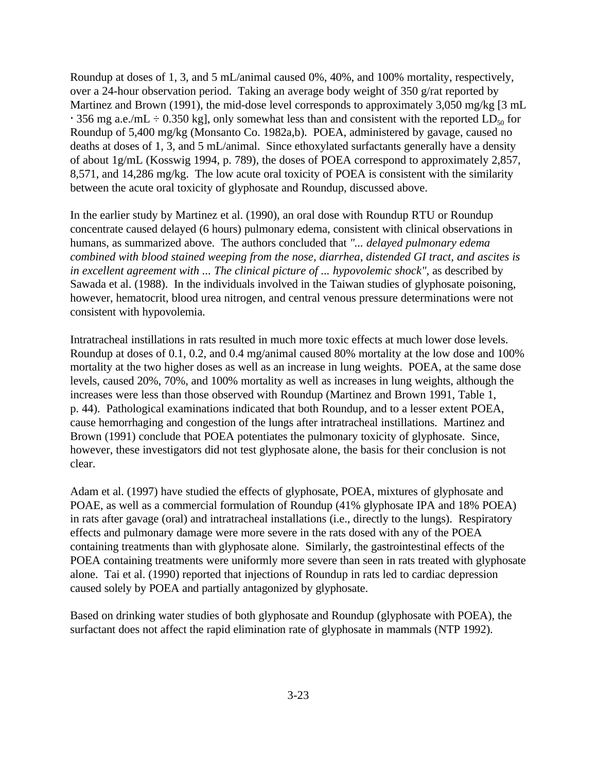Roundup at doses of 1, 3, and 5 mL/animal caused 0%, 40%, and 100% mortality, respectively, over a 24-hour observation period. Taking an average body weight of 350 g/rat reported by Martinez and Brown (1991), the mid-dose level corresponds to approximately 3,050 mg/kg [3 mL  $\cdot$  356 mg a.e./mL  $\div$  0.350 kg], only somewhat less than and consistent with the reported LD<sub>50</sub> for Roundup of 5,400 mg/kg (Monsanto Co. 1982a,b). POEA, administered by gavage, caused no deaths at doses of 1, 3, and 5 mL/animal. Since ethoxylated surfactants generally have a density of about 1g/mL (Kosswig 1994, p. 789), the doses of POEA correspond to approximately 2,857, 8,571, and 14,286 mg/kg. The low acute oral toxicity of POEA is consistent with the similarity between the acute oral toxicity of glyphosate and Roundup, discussed above.

In the earlier study by Martinez et al. (1990), an oral dose with Roundup RTU or Roundup concentrate caused delayed (6 hours) pulmonary edema, consistent with clinical observations in humans, as summarized above. The authors concluded that *"... delayed pulmonary edema combined with blood stained weeping from the nose, diarrhea, distended GI tract, and ascites is in excellent agreement with ... The clinical picture of ... hypovolemic shock"*, as described by Sawada et al. (1988). In the individuals involved in the Taiwan studies of glyphosate poisoning, however, hematocrit, blood urea nitrogen, and central venous pressure determinations were not consistent with hypovolemia.

Intratracheal instillations in rats resulted in much more toxic effects at much lower dose levels. Roundup at doses of 0.1, 0.2, and 0.4 mg/animal caused 80% mortality at the low dose and 100% mortality at the two higher doses as well as an increase in lung weights. POEA, at the same dose levels, caused 20%, 70%, and 100% mortality as well as increases in lung weights, although the increases were less than those observed with Roundup (Martinez and Brown 1991, Table 1, p. 44). Pathological examinations indicated that both Roundup, and to a lesser extent POEA, cause hemorrhaging and congestion of the lungs after intratracheal instillations. Martinez and Brown (1991) conclude that POEA potentiates the pulmonary toxicity of glyphosate. Since, however, these investigators did not test glyphosate alone, the basis for their conclusion is not clear.

Adam et al. (1997) have studied the effects of glyphosate, POEA, mixtures of glyphosate and POAE, as well as a commercial formulation of Roundup (41% glyphosate IPA and 18% POEA) in rats after gavage (oral) and intratracheal installations (i.e., directly to the lungs). Respiratory effects and pulmonary damage were more severe in the rats dosed with any of the POEA containing treatments than with glyphosate alone. Similarly, the gastrointestinal effects of the POEA containing treatments were uniformly more severe than seen in rats treated with glyphosate alone. Tai et al. (1990) reported that injections of Roundup in rats led to cardiac depression caused solely by POEA and partially antagonized by glyphosate.

Based on drinking water studies of both glyphosate and Roundup (glyphosate with POEA), the surfactant does not affect the rapid elimination rate of glyphosate in mammals (NTP 1992).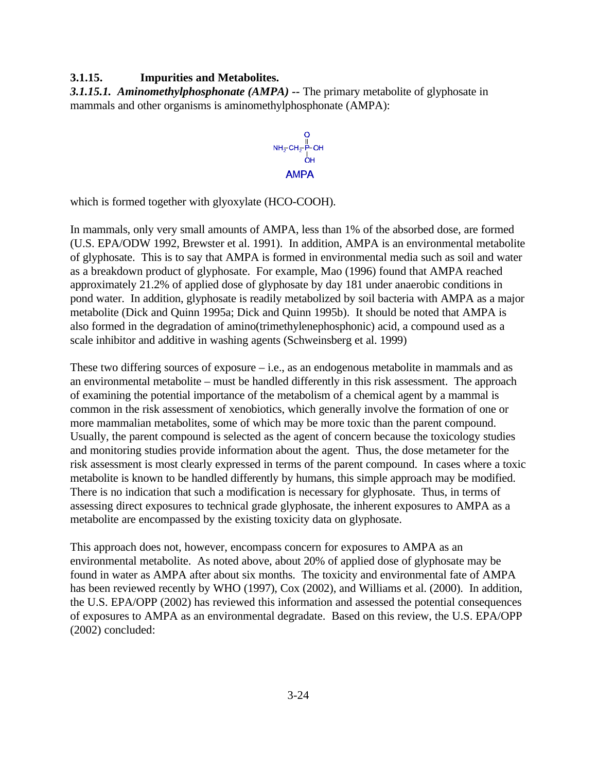# **3.1.15. Impurities and Metabolites.**

*3.1.15.1. Aminomethylphosphonate (AMPA) --* The primary metabolite of glyphosate in mammals and other organisms is aminomethylphosphonate (AMPA):

 $\begin{array}{c} \mathsf{O} \\ \parallel \\ \mathsf{NH_2}\text{-}\mathsf{CH_2}\text{-}\mathsf{P}\text{-}\mathsf{OH} \\ \mid \\ \mathsf{OH} \end{array}$ **AMPA** 

which is formed together with glyoxylate (HCO-COOH).

In mammals, only very small amounts of AMPA, less than 1% of the absorbed dose, are formed (U.S. EPA/ODW 1992, Brewster et al. 1991). In addition, AMPA is an environmental metabolite of glyphosate. This is to say that AMPA is formed in environmental media such as soil and water as a breakdown product of glyphosate. For example, Mao (1996) found that AMPA reached approximately 21.2% of applied dose of glyphosate by day 181 under anaerobic conditions in pond water. In addition, glyphosate is readily metabolized by soil bacteria with AMPA as a major metabolite (Dick and Quinn 1995a; Dick and Quinn 1995b). It should be noted that AMPA is also formed in the degradation of amino(trimethylenephosphonic) acid, a compound used as a scale inhibitor and additive in washing agents (Schweinsberg et al. 1999)

These two differing sources of exposure  $-$  i.e., as an endogenous metabolite in mammals and as an environmental metabolite – must be handled differently in this risk assessment. The approach of examining the potential importance of the metabolism of a chemical agent by a mammal is common in the risk assessment of xenobiotics, which generally involve the formation of one or more mammalian metabolites, some of which may be more toxic than the parent compound. Usually, the parent compound is selected as the agent of concern because the toxicology studies and monitoring studies provide information about the agent. Thus, the dose metameter for the risk assessment is most clearly expressed in terms of the parent compound. In cases where a toxic metabolite is known to be handled differently by humans, this simple approach may be modified. There is no indication that such a modification is necessary for glyphosate. Thus, in terms of assessing direct exposures to technical grade glyphosate, the inherent exposures to AMPA as a metabolite are encompassed by the existing toxicity data on glyphosate.

This approach does not, however, encompass concern for exposures to AMPA as an environmental metabolite. As noted above, about 20% of applied dose of glyphosate may be found in water as AMPA after about six months. The toxicity and environmental fate of AMPA has been reviewed recently by WHO (1997), Cox (2002), and Williams et al. (2000). In addition, the U.S. EPA/OPP (2002) has reviewed this information and assessed the potential consequences of exposures to AMPA as an environmental degradate. Based on this review, the U.S. EPA/OPP (2002) concluded: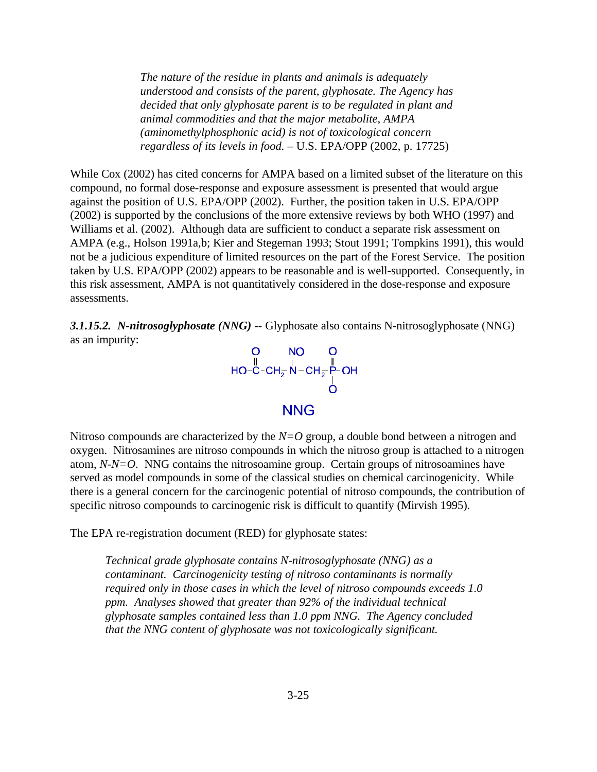*The nature of the residue in plants and animals is adequately understood and consists of the parent, glyphosate. The Agency has decided that only glyphosate parent is to be regulated in plant and animal commodities and that the major metabolite, AMPA (aminomethylphosphonic acid) is not of toxicological concern regardless of its levels in food.* – U.S. EPA/OPP (2002, p. 17725)

While Cox (2002) has cited concerns for AMPA based on a limited subset of the literature on this compound, no formal dose-response and exposure assessment is presented that would argue against the position of U.S. EPA/OPP (2002). Further, the position taken in U.S. EPA/OPP (2002) is supported by the conclusions of the more extensive reviews by both WHO (1997) and Williams et al. (2002). Although data are sufficient to conduct a separate risk assessment on AMPA (e.g., Holson 1991a,b; Kier and Stegeman 1993; Stout 1991; Tompkins 1991), this would not be a judicious expenditure of limited resources on the part of the Forest Service. The position taken by U.S. EPA/OPP (2002) appears to be reasonable and is well-supported. Consequently, in this risk assessment, AMPA is not quantitatively considered in the dose-response and exposure assessments.

*3.1.15.2. N-nitrosoglyphosate (NNG) --* Glyphosate also contains N-nitrosoglyphosate (NNG) as an impurity:



### **NNG**

Nitroso compounds are characterized by the *N=O* group, a double bond between a nitrogen and oxygen. Nitrosamines are nitroso compounds in which the nitroso group is attached to a nitrogen atom, *N-N=O*. NNG contains the nitrosoamine group. Certain groups of nitrosoamines have served as model compounds in some of the classical studies on chemical carcinogenicity. While there is a general concern for the carcinogenic potential of nitroso compounds, the contribution of specific nitroso compounds to carcinogenic risk is difficult to quantify (Mirvish 1995).

The EPA re-registration document (RED) for glyphosate states:

*Technical grade glyphosate contains N-nitrosoglyphosate (NNG) as a contaminant. Carcinogenicity testing of nitroso contaminants is normally required only in those cases in which the level of nitroso compounds exceeds 1.0 ppm. Analyses showed that greater than 92% of the individual technical glyphosate samples contained less than 1.0 ppm NNG. The Agency concluded that the NNG content of glyphosate was not toxicologically significant.*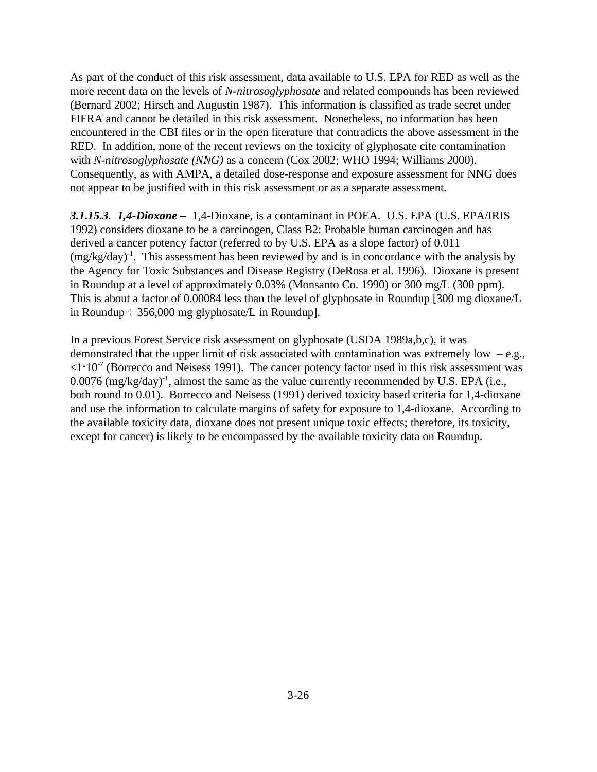As part of the conduct of this risk assessment, data available to U.S. EPA for RED as well as the more recent data on the levels of *N-nitrosoglyphosate* and related compounds has been reviewed (Bernard 2002; Hirsch and Augustin 1987). This information is classified as trade secret under FIFRA and cannot be detailed in this risk assessment. Nonetheless, no information has been encountered in the CBI files or in the open literature that contradicts the above assessment in the RED. In addition, none of the recent reviews on the toxicity of glyphosate cite contamination with *N-nitrosoglyphosate (NNG)* as a concern (Cox 2002; WHO 1994; Williams 2000). Consequently, as with AMPA, a detailed dose-response and exposure assessment for NNG does not appear to be justified with in this risk assessment or as a separate assessment.

*3.1.15.3. 1,4-Dioxane –* 1,4-Dioxane, is a contaminant in POEA. U.S. EPA (U.S. EPA/IRIS 1992) considers dioxane to be a carcinogen, Class B2: Probable human carcinogen and has derived a cancer potency factor (referred to by U.S. EPA as a slope factor) of 0.011  $(mg/kg/day)^{-1}$ . This assessment has been reviewed by and is in concordance with the analysis by the Agency for Toxic Substances and Disease Registry (DeRosa et al. 1996). Dioxane is present in Roundup at a level of approximately 0.03% (Monsanto Co. 1990) or 300 mg/L (300 ppm). This is about a factor of 0.00084 less than the level of glyphosate in Roundup [300 mg dioxane/L in Roundup  $\div$  356,000 mg glyphosate/L in Roundup].

In a previous Forest Service risk assessment on glyphosate (USDA 1989a,b,c), it was demonstrated that the upper limit of risk associated with contamination was extremely low  $-e.g.,$  $\langle 1 \cdot 10^{-7}$  (Borrecco and Neisess 1991). The cancer potency factor used in this risk assessment was  $0.0076$  (mg/kg/day)<sup>-1</sup>, almost the same as the value currently recommended by U.S. EPA (i.e., both round to 0.01). Borrecco and Neisess (1991) derived toxicity based criteria for 1,4-dioxane and use the information to calculate margins of safety for exposure to 1,4-dioxane. According to the available toxicity data, dioxane does not present unique toxic effects; therefore, its toxicity, except for cancer) is likely to be encompassed by the available toxicity data on Roundup.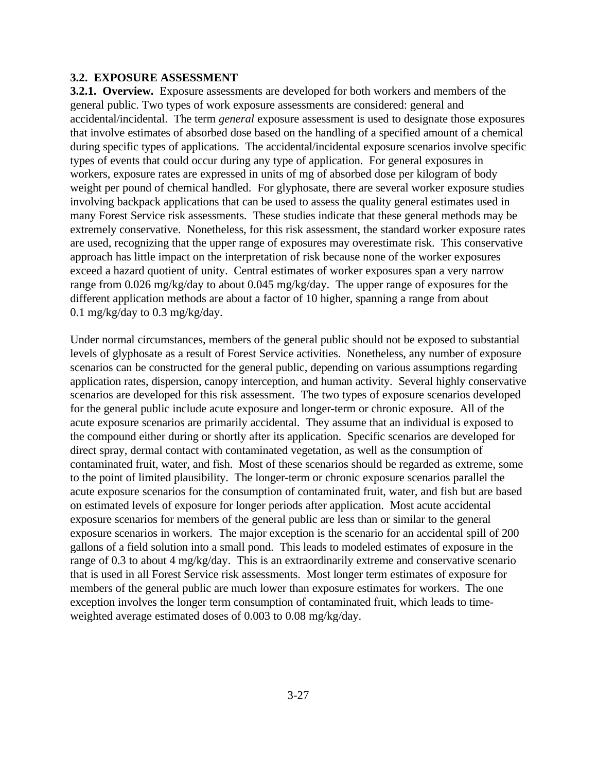### **3.2. EXPOSURE ASSESSMENT**

**3.2.1. Overview.** Exposure assessments are developed for both workers and members of the general public. Two types of work exposure assessments are considered: general and accidental/incidental. The term *general* exposure assessment is used to designate those exposures that involve estimates of absorbed dose based on the handling of a specified amount of a chemical during specific types of applications. The accidental/incidental exposure scenarios involve specific types of events that could occur during any type of application. For general exposures in workers, exposure rates are expressed in units of mg of absorbed dose per kilogram of body weight per pound of chemical handled. For glyphosate, there are several worker exposure studies involving backpack applications that can be used to assess the quality general estimates used in many Forest Service risk assessments. These studies indicate that these general methods may be extremely conservative. Nonetheless, for this risk assessment, the standard worker exposure rates are used, recognizing that the upper range of exposures may overestimate risk. This conservative approach has little impact on the interpretation of risk because none of the worker exposures exceed a hazard quotient of unity. Central estimates of worker exposures span a very narrow range from 0.026 mg/kg/day to about 0.045 mg/kg/day. The upper range of exposures for the different application methods are about a factor of 10 higher, spanning a range from about 0.1 mg/kg/day to 0.3 mg/kg/day.

Under normal circumstances, members of the general public should not be exposed to substantial levels of glyphosate as a result of Forest Service activities. Nonetheless, any number of exposure scenarios can be constructed for the general public, depending on various assumptions regarding application rates, dispersion, canopy interception, and human activity. Several highly conservative scenarios are developed for this risk assessment. The two types of exposure scenarios developed for the general public include acute exposure and longer-term or chronic exposure. All of the acute exposure scenarios are primarily accidental. They assume that an individual is exposed to the compound either during or shortly after its application. Specific scenarios are developed for direct spray, dermal contact with contaminated vegetation, as well as the consumption of contaminated fruit, water, and fish. Most of these scenarios should be regarded as extreme, some to the point of limited plausibility. The longer-term or chronic exposure scenarios parallel the acute exposure scenarios for the consumption of contaminated fruit, water, and fish but are based on estimated levels of exposure for longer periods after application. Most acute accidental exposure scenarios for members of the general public are less than or similar to the general exposure scenarios in workers. The major exception is the scenario for an accidental spill of 200 gallons of a field solution into a small pond. This leads to modeled estimates of exposure in the range of 0.3 to about 4 mg/kg/day. This is an extraordinarily extreme and conservative scenario that is used in all Forest Service risk assessments. Most longer term estimates of exposure for members of the general public are much lower than exposure estimates for workers. The one exception involves the longer term consumption of contaminated fruit, which leads to timeweighted average estimated doses of 0.003 to 0.08 mg/kg/day.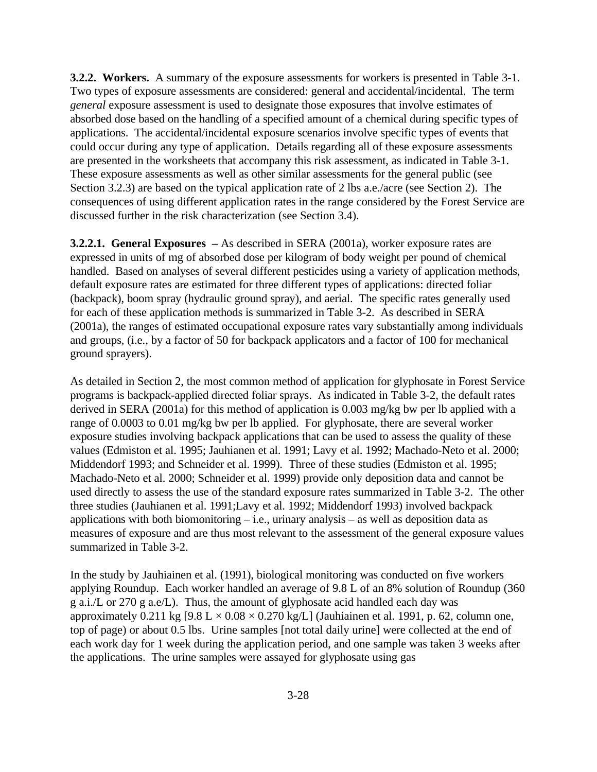**3.2.2. Workers.** A summary of the exposure assessments for workers is presented in Table 3-1. Two types of exposure assessments are considered: general and accidental/incidental. The term *general* exposure assessment is used to designate those exposures that involve estimates of absorbed dose based on the handling of a specified amount of a chemical during specific types of applications. The accidental/incidental exposure scenarios involve specific types of events that could occur during any type of application. Details regarding all of these exposure assessments are presented in the worksheets that accompany this risk assessment, as indicated in Table 3-1. These exposure assessments as well as other similar assessments for the general public (see Section 3.2.3) are based on the typical application rate of 2 lbs a.e./acre (see Section 2). The consequences of using different application rates in the range considered by the Forest Service are discussed further in the risk characterization (see Section 3.4).

**3.2.2.1. General Exposures –** As described in SERA (2001a), worker exposure rates are expressed in units of mg of absorbed dose per kilogram of body weight per pound of chemical handled. Based on analyses of several different pesticides using a variety of application methods, default exposure rates are estimated for three different types of applications: directed foliar (backpack), boom spray (hydraulic ground spray), and aerial. The specific rates generally used for each of these application methods is summarized in Table 3-2. As described in SERA (2001a), the ranges of estimated occupational exposure rates vary substantially among individuals and groups, (i.e., by a factor of 50 for backpack applicators and a factor of 100 for mechanical ground sprayers).

As detailed in Section 2, the most common method of application for glyphosate in Forest Service programs is backpack-applied directed foliar sprays. As indicated in Table 3-2, the default rates derived in SERA (2001a) for this method of application is 0.003 mg/kg bw per lb applied with a range of 0.0003 to 0.01 mg/kg bw per lb applied. For glyphosate, there are several worker exposure studies involving backpack applications that can be used to assess the quality of these values (Edmiston et al. 1995; Jauhianen et al. 1991; Lavy et al. 1992; Machado-Neto et al. 2000; Middendorf 1993; and Schneider et al. 1999). Three of these studies (Edmiston et al. 1995; Machado-Neto et al. 2000; Schneider et al. 1999) provide only deposition data and cannot be used directly to assess the use of the standard exposure rates summarized in Table 3-2. The other three studies (Jauhianen et al. 1991;Lavy et al. 1992; Middendorf 1993) involved backpack applications with both biomonitoring  $-$  i.e., urinary analysis  $-$  as well as deposition data as measures of exposure and are thus most relevant to the assessment of the general exposure values summarized in Table 3-2.

In the study by Jauhiainen et al. (1991), biological monitoring was conducted on five workers applying Roundup. Each worker handled an average of 9.8 L of an 8% solution of Roundup (360 g a.i./L or 270 g a.e/L). Thus, the amount of glyphosate acid handled each day was approximately 0.211 kg  $[9.8 L \times 0.08 \times 0.270 \text{ kg/L}]$  (Jauhiainen et al. 1991, p. 62, column one, top of page) or about 0.5 lbs. Urine samples [not total daily urine] were collected at the end of each work day for 1 week during the application period, and one sample was taken 3 weeks after the applications. The urine samples were assayed for glyphosate using gas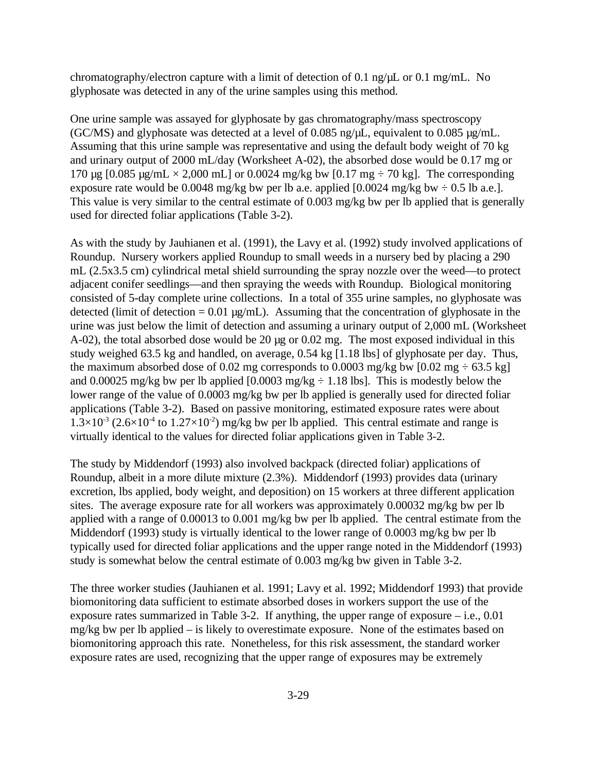chromatography/electron capture with a limit of detection of 0.1 ng/ $\mu$ L or 0.1 mg/mL. No glyphosate was detected in any of the urine samples using this method.

One urine sample was assayed for glyphosate by gas chromatography/mass spectroscopy (GC/MS) and glyphosate was detected at a level of 0.085 ng/µL, equivalent to 0.085 µg/mL. Assuming that this urine sample was representative and using the default body weight of 70 kg and urinary output of 2000 mL/day (Worksheet A-02), the absorbed dose would be 0.17 mg or 170  $\mu$ g [0.085  $\mu$ g/mL  $\times$  2,000 mL] or 0.0024 mg/kg bw [0.17 mg  $\div$  70 kg]. The corresponding exposure rate would be 0.0048 mg/kg bw per lb a.e. applied  $[0.0024 \text{ mg/kg}$  bw  $\div 0.5 \text{ lb}$  a.e.]. This value is very similar to the central estimate of 0.003 mg/kg bw per lb applied that is generally used for directed foliar applications (Table 3-2).

As with the study by Jauhianen et al. (1991), the Lavy et al. (1992) study involved applications of Roundup. Nursery workers applied Roundup to small weeds in a nursery bed by placing a 290 mL (2.5x3.5 cm) cylindrical metal shield surrounding the spray nozzle over the weed—to protect adjacent conifer seedlings—and then spraying the weeds with Roundup. Biological monitoring consisted of 5-day complete urine collections. In a total of 355 urine samples, no glyphosate was detected (limit of detection =  $0.01 \mu g/mL$ ). Assuming that the concentration of glyphosate in the urine was just below the limit of detection and assuming a urinary output of 2,000 mL (Worksheet A-02), the total absorbed dose would be 20 µg or 0.02 mg. The most exposed individual in this study weighed 63.5 kg and handled, on average, 0.54 kg [1.18 lbs] of glyphosate per day. Thus, the maximum absorbed dose of 0.02 mg corresponds to 0.0003 mg/kg bw [0.02 mg  $\div$  63.5 kg] and 0.00025 mg/kg bw per lb applied  $[0.0003 \text{ mg/kg} \div 1.18 \text{ lbs}]$ . This is modestly below the lower range of the value of 0.0003 mg/kg bw per lb applied is generally used for directed foliar applications (Table 3-2). Based on passive monitoring, estimated exposure rates were about  $1.3\times10^{3}$  (2.6×10<sup>-4</sup> to 1.27×10<sup>-2</sup>) mg/kg bw per lb applied. This central estimate and range is virtually identical to the values for directed foliar applications given in Table 3-2.

The study by Middendorf (1993) also involved backpack (directed foliar) applications of Roundup, albeit in a more dilute mixture (2.3%). Middendorf (1993) provides data (urinary excretion, lbs applied, body weight, and deposition) on 15 workers at three different application sites. The average exposure rate for all workers was approximately 0.00032 mg/kg bw per lb applied with a range of 0.00013 to 0.001 mg/kg bw per lb applied. The central estimate from the Middendorf (1993) study is virtually identical to the lower range of 0.0003 mg/kg bw per lb typically used for directed foliar applications and the upper range noted in the Middendorf (1993) study is somewhat below the central estimate of 0.003 mg/kg bw given in Table 3-2.

The three worker studies (Jauhianen et al. 1991; Lavy et al. 1992; Middendorf 1993) that provide biomonitoring data sufficient to estimate absorbed doses in workers support the use of the exposure rates summarized in Table 3-2. If anything, the upper range of exposure  $-$  i.e., 0.01 mg/kg bw per lb applied – is likely to overestimate exposure. None of the estimates based on biomonitoring approach this rate. Nonetheless, for this risk assessment, the standard worker exposure rates are used, recognizing that the upper range of exposures may be extremely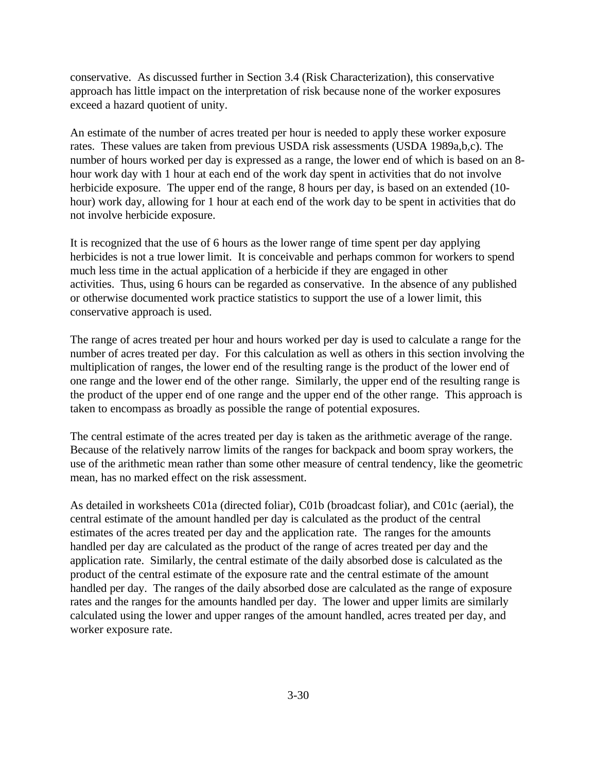conservative. As discussed further in Section 3.4 (Risk Characterization), this conservative approach has little impact on the interpretation of risk because none of the worker exposures exceed a hazard quotient of unity.

An estimate of the number of acres treated per hour is needed to apply these worker exposure rates. These values are taken from previous USDA risk assessments (USDA 1989a,b,c). The number of hours worked per day is expressed as a range, the lower end of which is based on an 8 hour work day with 1 hour at each end of the work day spent in activities that do not involve herbicide exposure. The upper end of the range, 8 hours per day, is based on an extended (10hour) work day, allowing for 1 hour at each end of the work day to be spent in activities that do not involve herbicide exposure.

It is recognized that the use of 6 hours as the lower range of time spent per day applying herbicides is not a true lower limit. It is conceivable and perhaps common for workers to spend much less time in the actual application of a herbicide if they are engaged in other activities. Thus, using 6 hours can be regarded as conservative. In the absence of any published or otherwise documented work practice statistics to support the use of a lower limit, this conservative approach is used.

The range of acres treated per hour and hours worked per day is used to calculate a range for the number of acres treated per day. For this calculation as well as others in this section involving the multiplication of ranges, the lower end of the resulting range is the product of the lower end of one range and the lower end of the other range. Similarly, the upper end of the resulting range is the product of the upper end of one range and the upper end of the other range. This approach is taken to encompass as broadly as possible the range of potential exposures.

The central estimate of the acres treated per day is taken as the arithmetic average of the range. Because of the relatively narrow limits of the ranges for backpack and boom spray workers, the use of the arithmetic mean rather than some other measure of central tendency, like the geometric mean, has no marked effect on the risk assessment.

As detailed in worksheets C01a (directed foliar), C01b (broadcast foliar), and C01c (aerial), the central estimate of the amount handled per day is calculated as the product of the central estimates of the acres treated per day and the application rate. The ranges for the amounts handled per day are calculated as the product of the range of acres treated per day and the application rate. Similarly, the central estimate of the daily absorbed dose is calculated as the product of the central estimate of the exposure rate and the central estimate of the amount handled per day. The ranges of the daily absorbed dose are calculated as the range of exposure rates and the ranges for the amounts handled per day. The lower and upper limits are similarly calculated using the lower and upper ranges of the amount handled, acres treated per day, and worker exposure rate.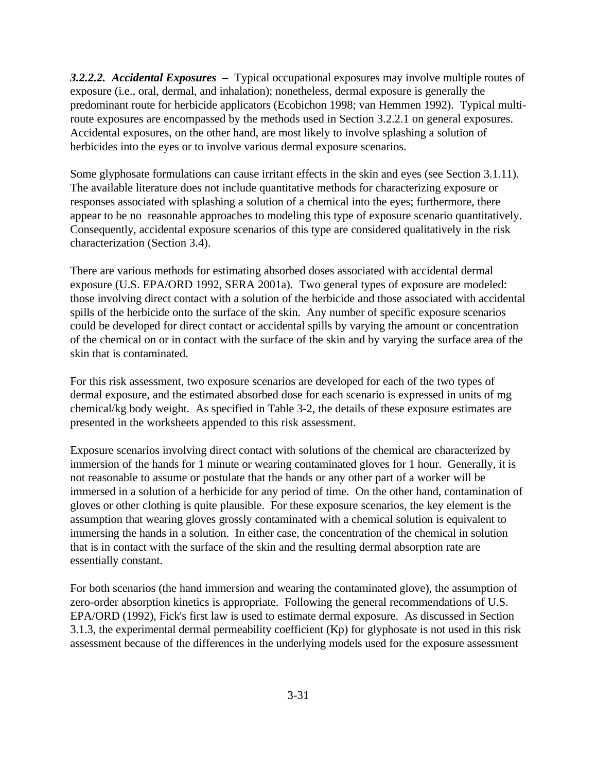*3.2.2.2. Accidental Exposures –* Typical occupational exposures may involve multiple routes of exposure (i.e., oral, dermal, and inhalation); nonetheless, dermal exposure is generally the predominant route for herbicide applicators (Ecobichon 1998; van Hemmen 1992). Typical multiroute exposures are encompassed by the methods used in Section 3.2.2.1 on general exposures. Accidental exposures, on the other hand, are most likely to involve splashing a solution of herbicides into the eyes or to involve various dermal exposure scenarios.

Some glyphosate formulations can cause irritant effects in the skin and eyes (see Section 3.1.11). The available literature does not include quantitative methods for characterizing exposure or responses associated with splashing a solution of a chemical into the eyes; furthermore, there appear to be no reasonable approaches to modeling this type of exposure scenario quantitatively. Consequently, accidental exposure scenarios of this type are considered qualitatively in the risk characterization (Section 3.4).

There are various methods for estimating absorbed doses associated with accidental dermal exposure (U.S. EPA/ORD 1992, SERA 2001a). Two general types of exposure are modeled: those involving direct contact with a solution of the herbicide and those associated with accidental spills of the herbicide onto the surface of the skin. Any number of specific exposure scenarios could be developed for direct contact or accidental spills by varying the amount or concentration of the chemical on or in contact with the surface of the skin and by varying the surface area of the skin that is contaminated.

For this risk assessment, two exposure scenarios are developed for each of the two types of dermal exposure, and the estimated absorbed dose for each scenario is expressed in units of mg chemical/kg body weight. As specified in Table 3-2, the details of these exposure estimates are presented in the worksheets appended to this risk assessment.

Exposure scenarios involving direct contact with solutions of the chemical are characterized by immersion of the hands for 1 minute or wearing contaminated gloves for 1 hour. Generally, it is not reasonable to assume or postulate that the hands or any other part of a worker will be immersed in a solution of a herbicide for any period of time. On the other hand, contamination of gloves or other clothing is quite plausible. For these exposure scenarios, the key element is the assumption that wearing gloves grossly contaminated with a chemical solution is equivalent to immersing the hands in a solution. In either case, the concentration of the chemical in solution that is in contact with the surface of the skin and the resulting dermal absorption rate are essentially constant.

For both scenarios (the hand immersion and wearing the contaminated glove), the assumption of zero-order absorption kinetics is appropriate. Following the general recommendations of U.S. EPA/ORD (1992), Fick's first law is used to estimate dermal exposure. As discussed in Section 3.1.3, the experimental dermal permeability coefficient (Kp) for glyphosate is not used in this risk assessment because of the differences in the underlying models used for the exposure assessment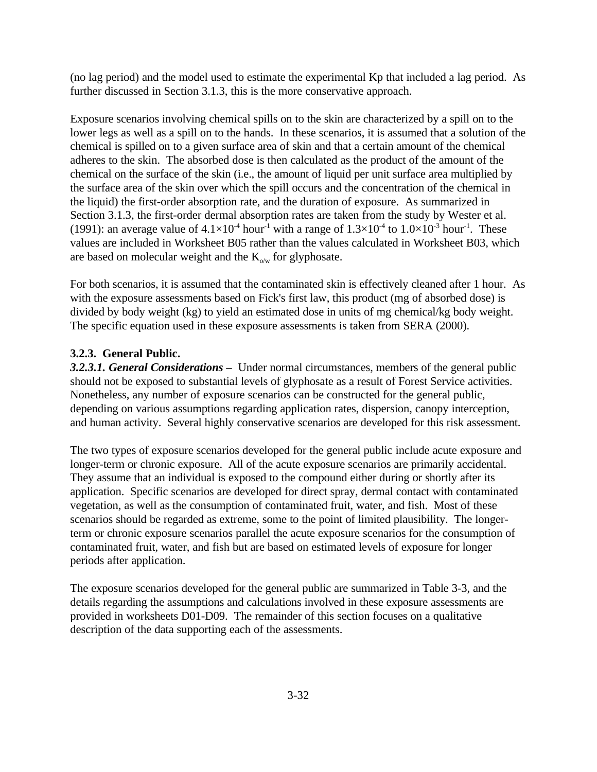(no lag period) and the model used to estimate the experimental Kp that included a lag period. As further discussed in Section 3.1.3, this is the more conservative approach.

Exposure scenarios involving chemical spills on to the skin are characterized by a spill on to the lower legs as well as a spill on to the hands. In these scenarios, it is assumed that a solution of the chemical is spilled on to a given surface area of skin and that a certain amount of the chemical adheres to the skin. The absorbed dose is then calculated as the product of the amount of the chemical on the surface of the skin (i.e., the amount of liquid per unit surface area multiplied by the surface area of the skin over which the spill occurs and the concentration of the chemical in the liquid) the first-order absorption rate, and the duration of exposure. As summarized in Section 3.1.3, the first-order dermal absorption rates are taken from the study by Wester et al. (1991): an average value of  $4.1\times10^{-4}$  hour<sup>-1</sup> with a range of  $1.3\times10^{-4}$  to  $1.0\times10^{-3}$  hour<sup>-1</sup>. These values are included in Worksheet B05 rather than the values calculated in Worksheet B03, which are based on molecular weight and the  $K_{\text{o/w}}$  for glyphosate.

For both scenarios, it is assumed that the contaminated skin is effectively cleaned after 1 hour. As with the exposure assessments based on Fick's first law, this product (mg of absorbed dose) is divided by body weight (kg) to yield an estimated dose in units of mg chemical/kg body weight. The specific equation used in these exposure assessments is taken from SERA (2000).

## **3.2.3. General Public.**

*3.2.3.1. General Considerations –* Under normal circumstances, members of the general public should not be exposed to substantial levels of glyphosate as a result of Forest Service activities. Nonetheless, any number of exposure scenarios can be constructed for the general public, depending on various assumptions regarding application rates, dispersion, canopy interception, and human activity. Several highly conservative scenarios are developed for this risk assessment.

The two types of exposure scenarios developed for the general public include acute exposure and longer-term or chronic exposure. All of the acute exposure scenarios are primarily accidental. They assume that an individual is exposed to the compound either during or shortly after its application. Specific scenarios are developed for direct spray, dermal contact with contaminated vegetation, as well as the consumption of contaminated fruit, water, and fish. Most of these scenarios should be regarded as extreme, some to the point of limited plausibility. The longerterm or chronic exposure scenarios parallel the acute exposure scenarios for the consumption of contaminated fruit, water, and fish but are based on estimated levels of exposure for longer periods after application.

The exposure scenarios developed for the general public are summarized in Table 3-3, and the details regarding the assumptions and calculations involved in these exposure assessments are provided in worksheets D01-D09. The remainder of this section focuses on a qualitative description of the data supporting each of the assessments.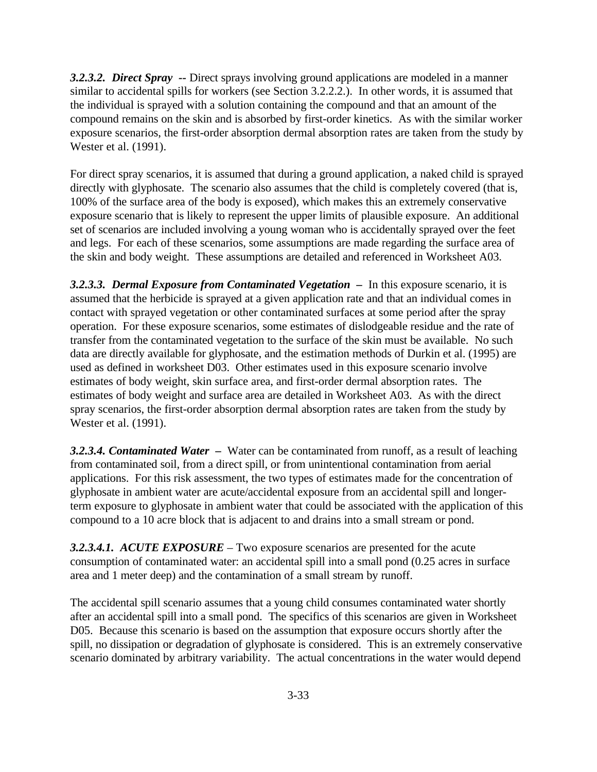*3.2.3.2.**Direct Spray --* Direct sprays involving ground applications are modeled in a manner similar to accidental spills for workers (see Section 3.2.2.2.). In other words, it is assumed that the individual is sprayed with a solution containing the compound and that an amount of the compound remains on the skin and is absorbed by first-order kinetics. As with the similar worker exposure scenarios, the first-order absorption dermal absorption rates are taken from the study by Wester et al. (1991).

For direct spray scenarios, it is assumed that during a ground application, a naked child is sprayed directly with glyphosate. The scenario also assumes that the child is completely covered (that is, 100% of the surface area of the body is exposed), which makes this an extremely conservative exposure scenario that is likely to represent the upper limits of plausible exposure. An additional set of scenarios are included involving a young woman who is accidentally sprayed over the feet and legs. For each of these scenarios, some assumptions are made regarding the surface area of the skin and body weight. These assumptions are detailed and referenced in Worksheet A03.

*3.2.3.3.**Dermal Exposure from Contaminated Vegetation –* In this exposure scenario, it is assumed that the herbicide is sprayed at a given application rate and that an individual comes in contact with sprayed vegetation or other contaminated surfaces at some period after the spray operation. For these exposure scenarios, some estimates of dislodgeable residue and the rate of transfer from the contaminated vegetation to the surface of the skin must be available. No such data are directly available for glyphosate, and the estimation methods of Durkin et al. (1995) are used as defined in worksheet D03. Other estimates used in this exposure scenario involve estimates of body weight, skin surface area, and first-order dermal absorption rates. The estimates of body weight and surface area are detailed in Worksheet A03. As with the direct spray scenarios, the first-order absorption dermal absorption rates are taken from the study by Wester et al. (1991).

**3.2.3.4.** *Contaminated Water –* Water can be contaminated from runoff, as a result of leaching from contaminated soil, from a direct spill, or from unintentional contamination from aerial applications. For this risk assessment, the two types of estimates made for the concentration of glyphosate in ambient water are acute/accidental exposure from an accidental spill and longerterm exposure to glyphosate in ambient water that could be associated with the application of this compound to a 10 acre block that is adjacent to and drains into a small stream or pond.

*3.2.3.4.1. ACUTE EXPOSURE* – Two exposure scenarios are presented for the acute consumption of contaminated water: an accidental spill into a small pond (0.25 acres in surface area and 1 meter deep) and the contamination of a small stream by runoff.

The accidental spill scenario assumes that a young child consumes contaminated water shortly after an accidental spill into a small pond. The specifics of this scenarios are given in Worksheet D05. Because this scenario is based on the assumption that exposure occurs shortly after the spill, no dissipation or degradation of glyphosate is considered. This is an extremely conservative scenario dominated by arbitrary variability. The actual concentrations in the water would depend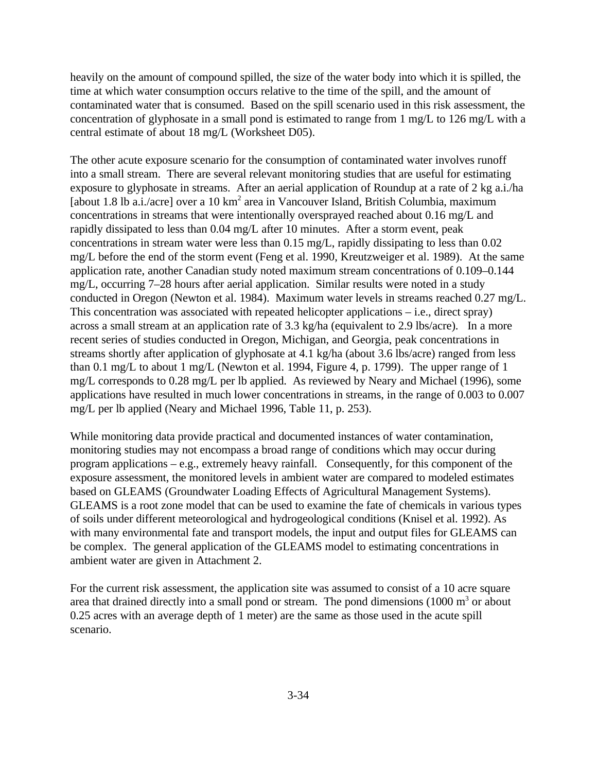heavily on the amount of compound spilled, the size of the water body into which it is spilled, the time at which water consumption occurs relative to the time of the spill, and the amount of contaminated water that is consumed. Based on the spill scenario used in this risk assessment, the concentration of glyphosate in a small pond is estimated to range from 1 mg/L to 126 mg/L with a central estimate of about 18 mg/L (Worksheet D05).

The other acute exposure scenario for the consumption of contaminated water involves runoff into a small stream. There are several relevant monitoring studies that are useful for estimating exposure to glyphosate in streams. After an aerial application of Roundup at a rate of 2 kg a.i./ha [about 1.8 lb a.i./acre] over a 10 km<sup>2</sup> area in Vancouver Island, British Columbia, maximum concentrations in streams that were intentionally oversprayed reached about 0.16 mg/L and rapidly dissipated to less than 0.04 mg/L after 10 minutes. After a storm event, peak concentrations in stream water were less than 0.15 mg/L, rapidly dissipating to less than 0.02 mg/L before the end of the storm event (Feng et al. 1990, Kreutzweiger et al. 1989). At the same application rate, another Canadian study noted maximum stream concentrations of 0.109–0.144 mg/L, occurring 7–28 hours after aerial application. Similar results were noted in a study conducted in Oregon (Newton et al. 1984). Maximum water levels in streams reached 0.27 mg/L. This concentration was associated with repeated helicopter applications – i.e., direct spray) across a small stream at an application rate of 3.3 kg/ha (equivalent to 2.9 lbs/acre). In a more recent series of studies conducted in Oregon, Michigan, and Georgia, peak concentrations in streams shortly after application of glyphosate at 4.1 kg/ha (about 3.6 lbs/acre) ranged from less than 0.1 mg/L to about 1 mg/L (Newton et al. 1994, Figure 4, p. 1799). The upper range of 1 mg/L corresponds to 0.28 mg/L per lb applied. As reviewed by Neary and Michael (1996), some applications have resulted in much lower concentrations in streams, in the range of 0.003 to 0.007 mg/L per lb applied (Neary and Michael 1996, Table 11, p. 253).

While monitoring data provide practical and documented instances of water contamination, monitoring studies may not encompass a broad range of conditions which may occur during program applications – e.g., extremely heavy rainfall. Consequently, for this component of the exposure assessment, the monitored levels in ambient water are compared to modeled estimates based on GLEAMS (Groundwater Loading Effects of Agricultural Management Systems). GLEAMS is a root zone model that can be used to examine the fate of chemicals in various types of soils under different meteorological and hydrogeological conditions (Knisel et al. 1992). As with many environmental fate and transport models, the input and output files for GLEAMS can be complex. The general application of the GLEAMS model to estimating concentrations in ambient water are given in Attachment 2.

For the current risk assessment, the application site was assumed to consist of a 10 acre square area that drained directly into a small pond or stream. The pond dimensions  $(1000 \text{ m}^3 \text{ or about}$ 0.25 acres with an average depth of 1 meter) are the same as those used in the acute spill scenario.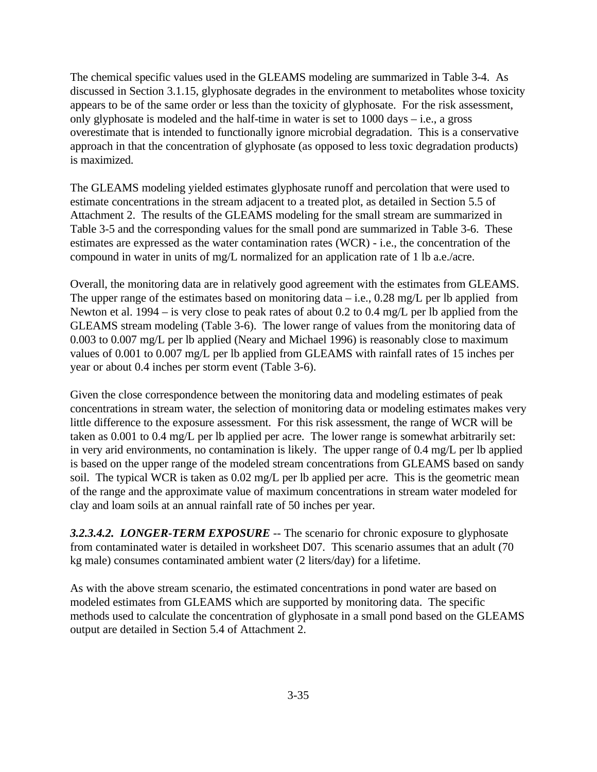The chemical specific values used in the GLEAMS modeling are summarized in Table 3-4. As discussed in Section 3.1.15, glyphosate degrades in the environment to metabolites whose toxicity appears to be of the same order or less than the toxicity of glyphosate. For the risk assessment, only glyphosate is modeled and the half-time in water is set to  $1000 \text{ days} - i.e.,$  a gross overestimate that is intended to functionally ignore microbial degradation. This is a conservative approach in that the concentration of glyphosate (as opposed to less toxic degradation products) is maximized.

The GLEAMS modeling yielded estimates glyphosate runoff and percolation that were used to estimate concentrations in the stream adjacent to a treated plot, as detailed in Section 5.5 of Attachment 2. The results of the GLEAMS modeling for the small stream are summarized in Table 3-5 and the corresponding values for the small pond are summarized in Table 3-6. These estimates are expressed as the water contamination rates (WCR) - i.e., the concentration of the compound in water in units of mg/L normalized for an application rate of 1 lb a.e./acre.

Overall, the monitoring data are in relatively good agreement with the estimates from GLEAMS. The upper range of the estimates based on monitoring data  $-$  i.e., 0.28 mg/L per lb applied from Newton et al. 1994 – is very close to peak rates of about 0.2 to 0.4 mg/L per lb applied from the GLEAMS stream modeling (Table 3-6). The lower range of values from the monitoring data of 0.003 to 0.007 mg/L per lb applied (Neary and Michael 1996) is reasonably close to maximum values of 0.001 to 0.007 mg/L per lb applied from GLEAMS with rainfall rates of 15 inches per year or about 0.4 inches per storm event (Table 3-6).

Given the close correspondence between the monitoring data and modeling estimates of peak concentrations in stream water, the selection of monitoring data or modeling estimates makes very little difference to the exposure assessment. For this risk assessment, the range of WCR will be taken as 0.001 to 0.4 mg/L per lb applied per acre. The lower range is somewhat arbitrarily set: in very arid environments, no contamination is likely. The upper range of 0.4 mg/L per lb applied is based on the upper range of the modeled stream concentrations from GLEAMS based on sandy soil. The typical WCR is taken as 0.02 mg/L per lb applied per acre. This is the geometric mean of the range and the approximate value of maximum concentrations in stream water modeled for clay and loam soils at an annual rainfall rate of 50 inches per year.

*3.2.3.4.2. LONGER-TERM EXPOSURE* -- The scenario for chronic exposure to glyphosate from contaminated water is detailed in worksheet D07. This scenario assumes that an adult (70 kg male) consumes contaminated ambient water (2 liters/day) for a lifetime.

As with the above stream scenario, the estimated concentrations in pond water are based on modeled estimates from GLEAMS which are supported by monitoring data. The specific methods used to calculate the concentration of glyphosate in a small pond based on the GLEAMS output are detailed in Section 5.4 of Attachment 2.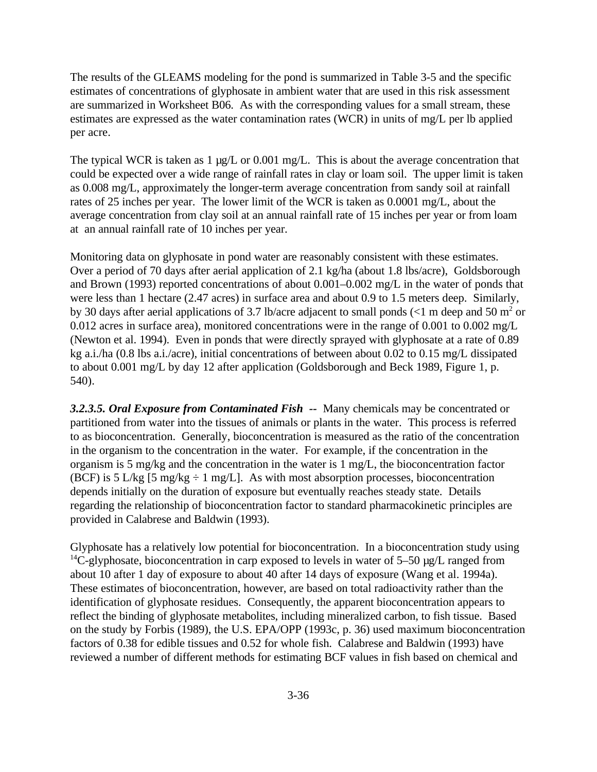The results of the GLEAMS modeling for the pond is summarized in Table 3-5 and the specific estimates of concentrations of glyphosate in ambient water that are used in this risk assessment are summarized in Worksheet B06. As with the corresponding values for a small stream, these estimates are expressed as the water contamination rates (WCR) in units of mg/L per lb applied per acre.

The typical WCR is taken as 1  $\mu$ g/L or 0.001 mg/L. This is about the average concentration that could be expected over a wide range of rainfall rates in clay or loam soil. The upper limit is taken as 0.008 mg/L, approximately the longer-term average concentration from sandy soil at rainfall rates of 25 inches per year. The lower limit of the WCR is taken as 0.0001 mg/L, about the average concentration from clay soil at an annual rainfall rate of 15 inches per year or from loam at an annual rainfall rate of 10 inches per year.

Monitoring data on glyphosate in pond water are reasonably consistent with these estimates. Over a period of 70 days after aerial application of 2.1 kg/ha (about 1.8 lbs/acre), Goldsborough and Brown (1993) reported concentrations of about 0.001–0.002 mg/L in the water of ponds that were less than 1 hectare (2.47 acres) in surface area and about 0.9 to 1.5 meters deep. Similarly, by 30 days after aerial applications of 3.7 lb/acre adjacent to small ponds (<1 m deep and 50 m<sup>2</sup> or 0.012 acres in surface area), monitored concentrations were in the range of 0.001 to 0.002 mg/L (Newton et al. 1994). Even in ponds that were directly sprayed with glyphosate at a rate of 0.89 kg a.i./ha (0.8 lbs a.i./acre), initial concentrations of between about 0.02 to 0.15 mg/L dissipated to about 0.001 mg/L by day 12 after application (Goldsborough and Beck 1989, Figure 1, p. 540).

*3.2.3.5. Oral Exposure from Contaminated Fish --* Many chemicals may be concentrated or partitioned from water into the tissues of animals or plants in the water. This process is referred to as bioconcentration. Generally, bioconcentration is measured as the ratio of the concentration in the organism to the concentration in the water. For example, if the concentration in the organism is 5 mg/kg and the concentration in the water is 1 mg/L, the bioconcentration factor (BCF) is 5 L/kg [5 mg/kg  $\div$  1 mg/L]. As with most absorption processes, bioconcentration depends initially on the duration of exposure but eventually reaches steady state. Details regarding the relationship of bioconcentration factor to standard pharmacokinetic principles are provided in Calabrese and Baldwin (1993).

Glyphosate has a relatively low potential for bioconcentration. In a bioconcentration study using <sup>14</sup>C-glyphosate, bioconcentration in carp exposed to levels in water of 5–50  $\mu$ g/L ranged from about 10 after 1 day of exposure to about 40 after 14 days of exposure (Wang et al. 1994a). These estimates of bioconcentration, however, are based on total radioactivity rather than the identification of glyphosate residues. Consequently, the apparent bioconcentration appears to reflect the binding of glyphosate metabolites, including mineralized carbon, to fish tissue. Based on the study by Forbis (1989), the U.S. EPA/OPP (1993c, p. 36) used maximum bioconcentration factors of 0.38 for edible tissues and 0.52 for whole fish. Calabrese and Baldwin (1993) have reviewed a number of different methods for estimating BCF values in fish based on chemical and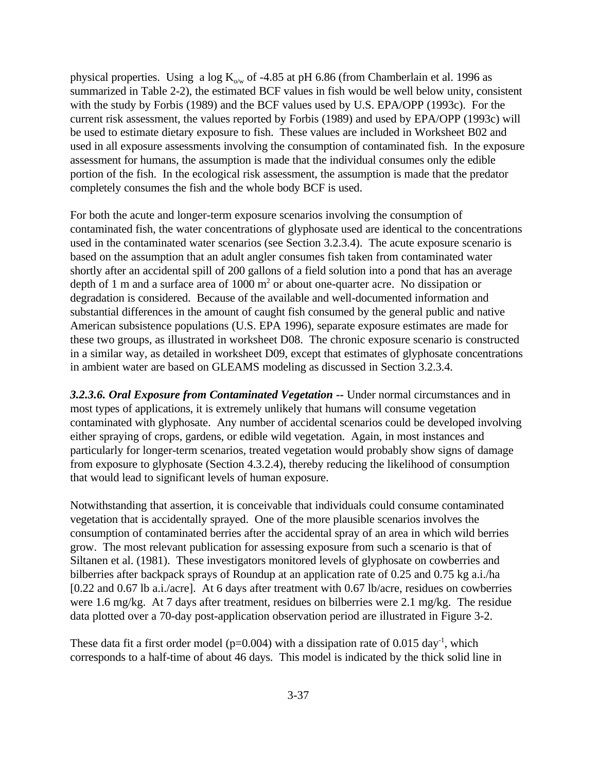physical properties. Using a log  $K_{\text{o/w}}$  of -4.85 at pH 6.86 (from Chamberlain et al. 1996 as summarized in Table 2-2), the estimated BCF values in fish would be well below unity, consistent with the study by Forbis (1989) and the BCF values used by U.S. EPA/OPP (1993c). For the current risk assessment, the values reported by Forbis (1989) and used by EPA/OPP (1993c) will be used to estimate dietary exposure to fish. These values are included in Worksheet B02 and used in all exposure assessments involving the consumption of contaminated fish. In the exposure assessment for humans, the assumption is made that the individual consumes only the edible portion of the fish. In the ecological risk assessment, the assumption is made that the predator completely consumes the fish and the whole body BCF is used.

For both the acute and longer-term exposure scenarios involving the consumption of contaminated fish, the water concentrations of glyphosate used are identical to the concentrations used in the contaminated water scenarios (see Section 3.2.3.4). The acute exposure scenario is based on the assumption that an adult angler consumes fish taken from contaminated water shortly after an accidental spill of 200 gallons of a field solution into a pond that has an average depth of 1 m and a surface area of  $1000 \text{ m}^2$  or about one-quarter acre. No dissipation or degradation is considered. Because of the available and well-documented information and substantial differences in the amount of caught fish consumed by the general public and native American subsistence populations (U.S. EPA 1996), separate exposure estimates are made for these two groups, as illustrated in worksheet D08. The chronic exposure scenario is constructed in a similar way, as detailed in worksheet D09, except that estimates of glyphosate concentrations in ambient water are based on GLEAMS modeling as discussed in Section 3.2.3.4.

*3.2.3.6. Oral Exposure from Contaminated Vegetation --* Under normal circumstances and in most types of applications, it is extremely unlikely that humans will consume vegetation contaminated with glyphosate. Any number of accidental scenarios could be developed involving either spraying of crops, gardens, or edible wild vegetation. Again, in most instances and particularly for longer-term scenarios, treated vegetation would probably show signs of damage from exposure to glyphosate (Section 4.3.2.4), thereby reducing the likelihood of consumption that would lead to significant levels of human exposure.

Notwithstanding that assertion, it is conceivable that individuals could consume contaminated vegetation that is accidentally sprayed. One of the more plausible scenarios involves the consumption of contaminated berries after the accidental spray of an area in which wild berries grow. The most relevant publication for assessing exposure from such a scenario is that of Siltanen et al. (1981). These investigators monitored levels of glyphosate on cowberries and bilberries after backpack sprays of Roundup at an application rate of 0.25 and 0.75 kg a.i./ha [0.22 and 0.67 lb a.i./acre]. At 6 days after treatment with 0.67 lb/acre, residues on cowberries were 1.6 mg/kg. At 7 days after treatment, residues on bilberries were 2.1 mg/kg. The residue data plotted over a 70-day post-application observation period are illustrated in Figure 3-2.

These data fit a first order model ( $p=0.004$ ) with a dissipation rate of 0.015 day<sup>-1</sup>, which corresponds to a half-time of about 46 days. This model is indicated by the thick solid line in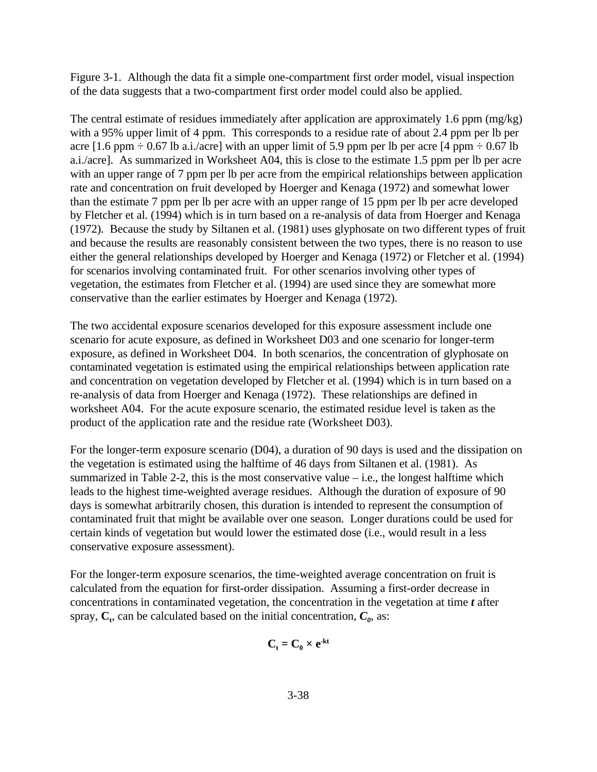Figure 3-1. Although the data fit a simple one-compartment first order model, visual inspection of the data suggests that a two-compartment first order model could also be applied.

The central estimate of residues immediately after application are approximately 1.6 ppm (mg/kg) with a 95% upper limit of 4 ppm. This corresponds to a residue rate of about 2.4 ppm per lb per acre [1.6 ppm  $\div$  0.67 lb a.i./acre] with an upper limit of 5.9 ppm per lb per acre [4 ppm  $\div$  0.67 lb a.i./acre]. As summarized in Worksheet A04, this is close to the estimate 1.5 ppm per lb per acre with an upper range of 7 ppm per lb per acre from the empirical relationships between application rate and concentration on fruit developed by Hoerger and Kenaga (1972) and somewhat lower than the estimate 7 ppm per lb per acre with an upper range of 15 ppm per lb per acre developed by Fletcher et al. (1994) which is in turn based on a re-analysis of data from Hoerger and Kenaga (1972). Because the study by Siltanen et al. (1981) uses glyphosate on two different types of fruit and because the results are reasonably consistent between the two types, there is no reason to use either the general relationships developed by Hoerger and Kenaga (1972) or Fletcher et al. (1994) for scenarios involving contaminated fruit. For other scenarios involving other types of vegetation, the estimates from Fletcher et al. (1994) are used since they are somewhat more conservative than the earlier estimates by Hoerger and Kenaga (1972).

The two accidental exposure scenarios developed for this exposure assessment include one scenario for acute exposure, as defined in Worksheet D03 and one scenario for longer-term exposure, as defined in Worksheet D04. In both scenarios, the concentration of glyphosate on contaminated vegetation is estimated using the empirical relationships between application rate and concentration on vegetation developed by Fletcher et al. (1994) which is in turn based on a re-analysis of data from Hoerger and Kenaga (1972). These relationships are defined in worksheet A04. For the acute exposure scenario, the estimated residue level is taken as the product of the application rate and the residue rate (Worksheet D03).

For the longer-term exposure scenario (D04), a duration of 90 days is used and the dissipation on the vegetation is estimated using the halftime of 46 days from Siltanen et al. (1981). As summarized in Table 2-2, this is the most conservative value  $-$  i.e., the longest halftime which leads to the highest time-weighted average residues. Although the duration of exposure of 90 days is somewhat arbitrarily chosen, this duration is intended to represent the consumption of contaminated fruit that might be available over one season. Longer durations could be used for certain kinds of vegetation but would lower the estimated dose (i.e., would result in a less conservative exposure assessment).

For the longer-term exposure scenarios, the time-weighted average concentration on fruit is calculated from the equation for first-order dissipation. Assuming a first-order decrease in concentrations in contaminated vegetation, the concentration in the vegetation at time *t* after spray,  $C_t$ , can be calculated based on the initial concentration,  $C_0$ , as:

$$
C_t = C_0 \times e^{-kt}
$$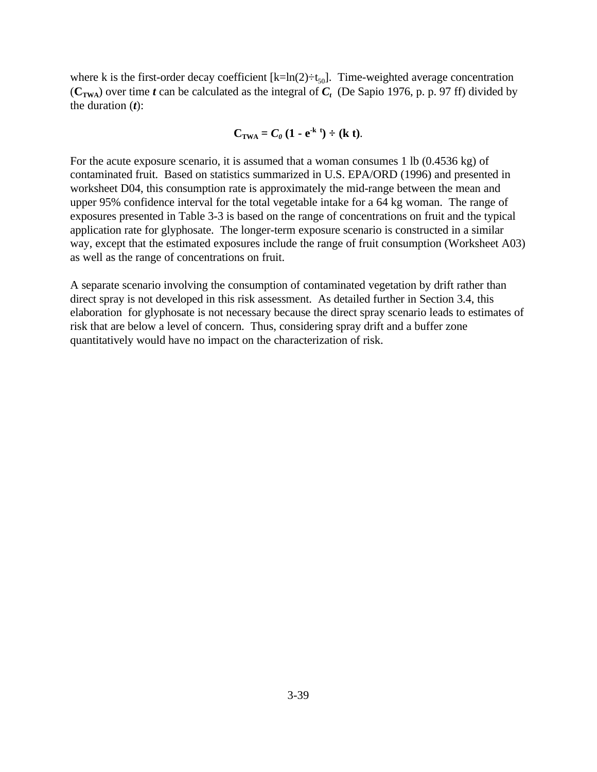where k is the first-order decay coefficient  $[k=ln(2) \div t_{50}]$ . Time-weighted average concentration  $(C_{\text{TWA}})$  over time *t* can be calculated as the integral of  $C_t$  (De Sapio 1976, p. p. 97 ff) divided by the duration (*t*):

$$
C_{TWA} = C_0 (1 - e^{-k t}) \div (k t).
$$

For the acute exposure scenario, it is assumed that a woman consumes 1 lb (0.4536 kg) of contaminated fruit. Based on statistics summarized in U.S. EPA/ORD (1996) and presented in worksheet D04, this consumption rate is approximately the mid-range between the mean and upper 95% confidence interval for the total vegetable intake for a 64 kg woman. The range of exposures presented in Table 3-3 is based on the range of concentrations on fruit and the typical application rate for glyphosate. The longer-term exposure scenario is constructed in a similar way, except that the estimated exposures include the range of fruit consumption (Worksheet A03) as well as the range of concentrations on fruit.

A separate scenario involving the consumption of contaminated vegetation by drift rather than direct spray is not developed in this risk assessment. As detailed further in Section 3.4, this elaboration for glyphosate is not necessary because the direct spray scenario leads to estimates of risk that are below a level of concern. Thus, considering spray drift and a buffer zone quantitatively would have no impact on the characterization of risk.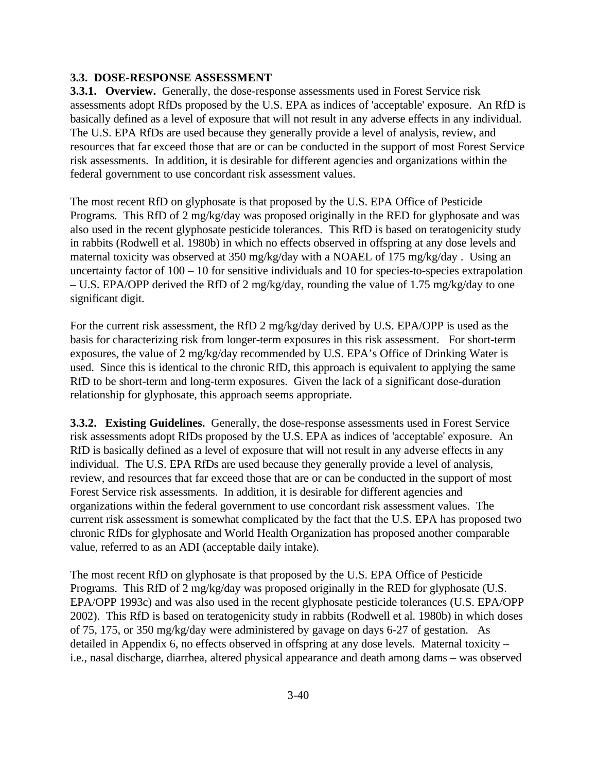## **3.3. DOSE-RESPONSE ASSESSMENT**

**3.3.1. Overview.** Generally, the dose-response assessments used in Forest Service risk assessments adopt RfDs proposed by the U.S. EPA as indices of 'acceptable' exposure. An RfD is basically defined as a level of exposure that will not result in any adverse effects in any individual. The U.S. EPA RfDs are used because they generally provide a level of analysis, review, and resources that far exceed those that are or can be conducted in the support of most Forest Service risk assessments. In addition, it is desirable for different agencies and organizations within the federal government to use concordant risk assessment values.

The most recent RfD on glyphosate is that proposed by the U.S. EPA Office of Pesticide Programs. This RfD of 2 mg/kg/day was proposed originally in the RED for glyphosate and was also used in the recent glyphosate pesticide tolerances. This RfD is based on teratogenicity study in rabbits (Rodwell et al. 1980b) in which no effects observed in offspring at any dose levels and maternal toxicity was observed at 350 mg/kg/day with a NOAEL of 175 mg/kg/day . Using an uncertainty factor of 100 – 10 for sensitive individuals and 10 for species-to-species extrapolation – U.S. EPA/OPP derived the RfD of 2 mg/kg/day, rounding the value of 1.75 mg/kg/day to one significant digit.

For the current risk assessment, the RfD 2 mg/kg/day derived by U.S. EPA/OPP is used as the basis for characterizing risk from longer-term exposures in this risk assessment. For short-term exposures, the value of 2 mg/kg/day recommended by U.S. EPA's Office of Drinking Water is used. Since this is identical to the chronic RfD, this approach is equivalent to applying the same RfD to be short-term and long-term exposures. Given the lack of a significant dose-duration relationship for glyphosate, this approach seems appropriate.

**3.3.2. Existing Guidelines.** Generally, the dose-response assessments used in Forest Service risk assessments adopt RfDs proposed by the U.S. EPA as indices of 'acceptable' exposure. An RfD is basically defined as a level of exposure that will not result in any adverse effects in any individual. The U.S. EPA RfDs are used because they generally provide a level of analysis, review, and resources that far exceed those that are or can be conducted in the support of most Forest Service risk assessments. In addition, it is desirable for different agencies and organizations within the federal government to use concordant risk assessment values. The current risk assessment is somewhat complicated by the fact that the U.S. EPA has proposed two chronic RfDs for glyphosate and World Health Organization has proposed another comparable value, referred to as an ADI (acceptable daily intake).

The most recent RfD on glyphosate is that proposed by the U.S. EPA Office of Pesticide Programs. This RfD of 2 mg/kg/day was proposed originally in the RED for glyphosate (U.S. EPA/OPP 1993c) and was also used in the recent glyphosate pesticide tolerances (U.S. EPA/OPP 2002). This RfD is based on teratogenicity study in rabbits (Rodwell et al. 1980b) in which doses of 75, 175, or 350 mg/kg/day were administered by gavage on days 6-27 of gestation. As detailed in Appendix 6, no effects observed in offspring at any dose levels. Maternal toxicity – i.e., nasal discharge, diarrhea, altered physical appearance and death among dams – was observed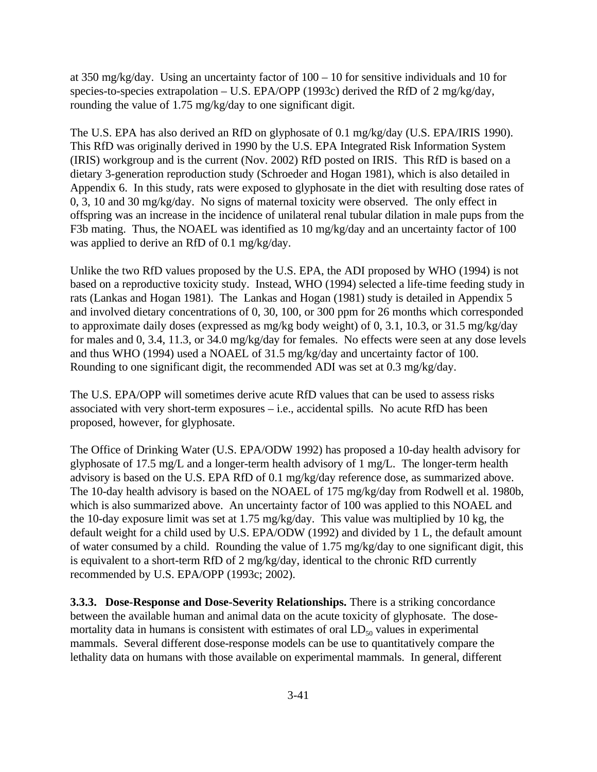at 350 mg/kg/day. Using an uncertainty factor of 100 – 10 for sensitive individuals and 10 for species-to-species extrapolation – U.S. EPA/OPP (1993c) derived the RfD of 2 mg/kg/day, rounding the value of 1.75 mg/kg/day to one significant digit.

The U.S. EPA has also derived an RfD on glyphosate of 0.1 mg/kg/day (U.S. EPA/IRIS 1990). This RfD was originally derived in 1990 by the U.S. EPA Integrated Risk Information System (IRIS) workgroup and is the current (Nov. 2002) RfD posted on IRIS. This RfD is based on a dietary 3-generation reproduction study (Schroeder and Hogan 1981), which is also detailed in Appendix 6. In this study, rats were exposed to glyphosate in the diet with resulting dose rates of 0, 3, 10 and 30 mg/kg/day. No signs of maternal toxicity were observed. The only effect in offspring was an increase in the incidence of unilateral renal tubular dilation in male pups from the F3b mating. Thus, the NOAEL was identified as 10 mg/kg/day and an uncertainty factor of 100 was applied to derive an RfD of 0.1 mg/kg/day.

Unlike the two RfD values proposed by the U.S. EPA, the ADI proposed by WHO (1994) is not based on a reproductive toxicity study. Instead, WHO (1994) selected a life-time feeding study in rats (Lankas and Hogan 1981). The Lankas and Hogan (1981) study is detailed in Appendix 5 and involved dietary concentrations of 0, 30, 100, or 300 ppm for 26 months which corresponded to approximate daily doses (expressed as mg/kg body weight) of 0, 3.1, 10.3, or 31.5 mg/kg/day for males and 0, 3.4, 11.3, or 34.0 mg/kg/day for females. No effects were seen at any dose levels and thus WHO (1994) used a NOAEL of 31.5 mg/kg/day and uncertainty factor of 100. Rounding to one significant digit, the recommended ADI was set at 0.3 mg/kg/day.

The U.S. EPA/OPP will sometimes derive acute RfD values that can be used to assess risks associated with very short-term exposures – i.e., accidental spills. No acute RfD has been proposed, however, for glyphosate.

The Office of Drinking Water (U.S. EPA/ODW 1992) has proposed a 10-day health advisory for glyphosate of 17.5 mg/L and a longer-term health advisory of 1 mg/L. The longer-term health advisory is based on the U.S. EPA RfD of 0.1 mg/kg/day reference dose, as summarized above. The 10-day health advisory is based on the NOAEL of 175 mg/kg/day from Rodwell et al. 1980b, which is also summarized above. An uncertainty factor of 100 was applied to this NOAEL and the 10-day exposure limit was set at 1.75 mg/kg/day. This value was multiplied by 10 kg, the default weight for a child used by U.S. EPA/ODW (1992) and divided by 1 L, the default amount of water consumed by a child. Rounding the value of 1.75 mg/kg/day to one significant digit, this is equivalent to a short-term RfD of 2 mg/kg/day, identical to the chronic RfD currently recommended by U.S. EPA/OPP (1993c; 2002).

**3.3.3. Dose-Response and Dose-Severity Relationships.** There is a striking concordance between the available human and animal data on the acute toxicity of glyphosate. The dosemortality data in humans is consistent with estimates of oral  $LD_{50}$  values in experimental mammals. Several different dose-response models can be use to quantitatively compare the lethality data on humans with those available on experimental mammals. In general, different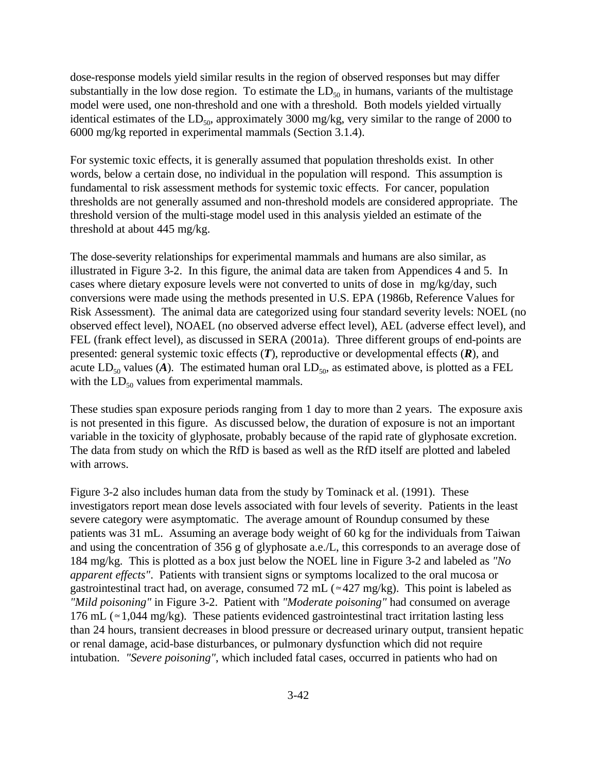dose-response models yield similar results in the region of observed responses but may differ substantially in the low dose region. To estimate the  $LD_{50}$  in humans, variants of the multistage model were used, one non-threshold and one with a threshold. Both models yielded virtually identical estimates of the  $LD_{50}$ , approximately 3000 mg/kg, very similar to the range of 2000 to 6000 mg/kg reported in experimental mammals (Section 3.1.4).

For systemic toxic effects, it is generally assumed that population thresholds exist. In other words, below a certain dose, no individual in the population will respond. This assumption is fundamental to risk assessment methods for systemic toxic effects. For cancer, population thresholds are not generally assumed and non-threshold models are considered appropriate. The threshold version of the multi-stage model used in this analysis yielded an estimate of the threshold at about 445 mg/kg.

The dose-severity relationships for experimental mammals and humans are also similar, as illustrated in Figure 3-2. In this figure, the animal data are taken from Appendices 4 and 5. In cases where dietary exposure levels were not converted to units of dose in mg/kg/day, such conversions were made using the methods presented in U.S. EPA (1986b, Reference Values for Risk Assessment). The animal data are categorized using four standard severity levels: NOEL (no observed effect level), NOAEL (no observed adverse effect level), AEL (adverse effect level), and FEL (frank effect level), as discussed in SERA (2001a). Three different groups of end-points are presented: general systemic toxic effects (*T*), reproductive or developmental effects (*R*), and acute  $LD_{50}$  values (A). The estimated human oral  $LD_{50}$ , as estimated above, is plotted as a FEL with the  $LD_{50}$  values from experimental mammals.

These studies span exposure periods ranging from 1 day to more than 2 years. The exposure axis is not presented in this figure. As discussed below, the duration of exposure is not an important variable in the toxicity of glyphosate, probably because of the rapid rate of glyphosate excretion. The data from study on which the RfD is based as well as the RfD itself are plotted and labeled with arrows.

Figure 3-2 also includes human data from the study by Tominack et al. (1991). These investigators report mean dose levels associated with four levels of severity. Patients in the least severe category were asymptomatic. The average amount of Roundup consumed by these patients was 31 mL. Assuming an average body weight of 60 kg for the individuals from Taiwan and using the concentration of 356 g of glyphosate a.e./L, this corresponds to an average dose of 184 mg/kg. This is plotted as a box just below the NOEL line in Figure 3-2 and labeled as *"No apparent effects"*. Patients with transient signs or symptoms localized to the oral mucosa or gastrointestinal tract had, on average, consumed 72 mL ( $\approx$ 427 mg/kg). This point is labeled as *"Mild poisoning"* in Figure 3-2. Patient with *"Moderate poisoning"* had consumed on average 176 mL ( $\approx$  1,044 mg/kg). These patients evidenced gastrointestinal tract irritation lasting less than 24 hours, transient decreases in blood pressure or decreased urinary output, transient hepatic or renal damage, acid-base disturbances, or pulmonary dysfunction which did not require intubation. *"Severe poisoning"*, which included fatal cases, occurred in patients who had on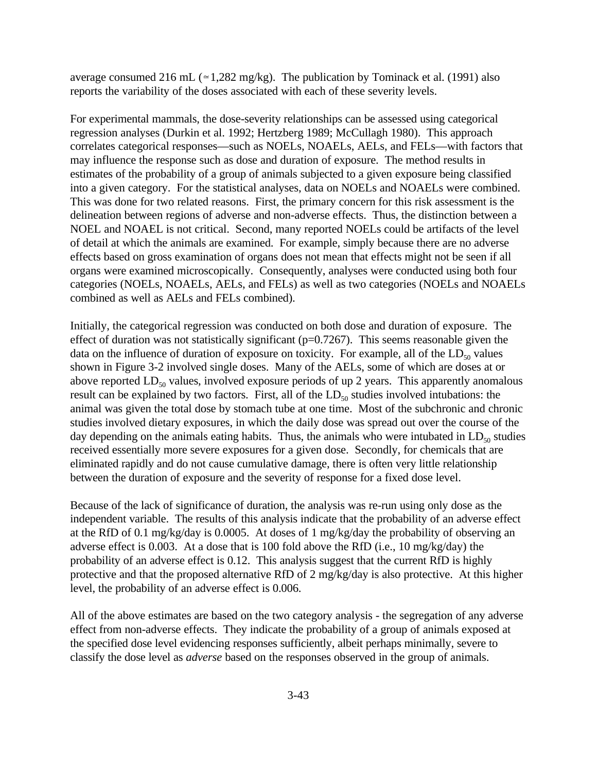average consumed 216 mL ( $\approx$  1,282 mg/kg). The publication by Tominack et al. (1991) also reports the variability of the doses associated with each of these severity levels.

For experimental mammals, the dose-severity relationships can be assessed using categorical regression analyses (Durkin et al. 1992; Hertzberg 1989; McCullagh 1980). This approach correlates categorical responses—such as NOELs, NOAELs, AELs, and FELs—with factors that may influence the response such as dose and duration of exposure. The method results in estimates of the probability of a group of animals subjected to a given exposure being classified into a given category. For the statistical analyses, data on NOELs and NOAELs were combined. This was done for two related reasons. First, the primary concern for this risk assessment is the delineation between regions of adverse and non-adverse effects. Thus, the distinction between a NOEL and NOAEL is not critical. Second, many reported NOELs could be artifacts of the level of detail at which the animals are examined. For example, simply because there are no adverse effects based on gross examination of organs does not mean that effects might not be seen if all organs were examined microscopically. Consequently, analyses were conducted using both four categories (NOELs, NOAELs, AELs, and FELs) as well as two categories (NOELs and NOAELs combined as well as AELs and FELs combined).

Initially, the categorical regression was conducted on both dose and duration of exposure. The effect of duration was not statistically significant ( $p=0.7267$ ). This seems reasonable given the data on the influence of duration of exposure on toxicity. For example, all of the  $LD_{50}$  values shown in Figure 3-2 involved single doses. Many of the AELs, some of which are doses at or above reported  $LD_{50}$  values, involved exposure periods of up 2 years. This apparently anomalous result can be explained by two factors. First, all of the  $LD_{50}$  studies involved intubations: the animal was given the total dose by stomach tube at one time. Most of the subchronic and chronic studies involved dietary exposures, in which the daily dose was spread out over the course of the day depending on the animals eating habits. Thus, the animals who were intubated in  $LD_{50}$  studies received essentially more severe exposures for a given dose. Secondly, for chemicals that are eliminated rapidly and do not cause cumulative damage, there is often very little relationship between the duration of exposure and the severity of response for a fixed dose level.

Because of the lack of significance of duration, the analysis was re-run using only dose as the independent variable. The results of this analysis indicate that the probability of an adverse effect at the RfD of 0.1 mg/kg/day is 0.0005. At doses of 1 mg/kg/day the probability of observing an adverse effect is 0.003. At a dose that is 100 fold above the RfD (i.e., 10 mg/kg/day) the probability of an adverse effect is 0.12. This analysis suggest that the current RfD is highly protective and that the proposed alternative RfD of 2 mg/kg/day is also protective. At this higher level, the probability of an adverse effect is 0.006.

All of the above estimates are based on the two category analysis - the segregation of any adverse effect from non-adverse effects. They indicate the probability of a group of animals exposed at the specified dose level evidencing responses sufficiently, albeit perhaps minimally, severe to classify the dose level as *adverse* based on the responses observed in the group of animals.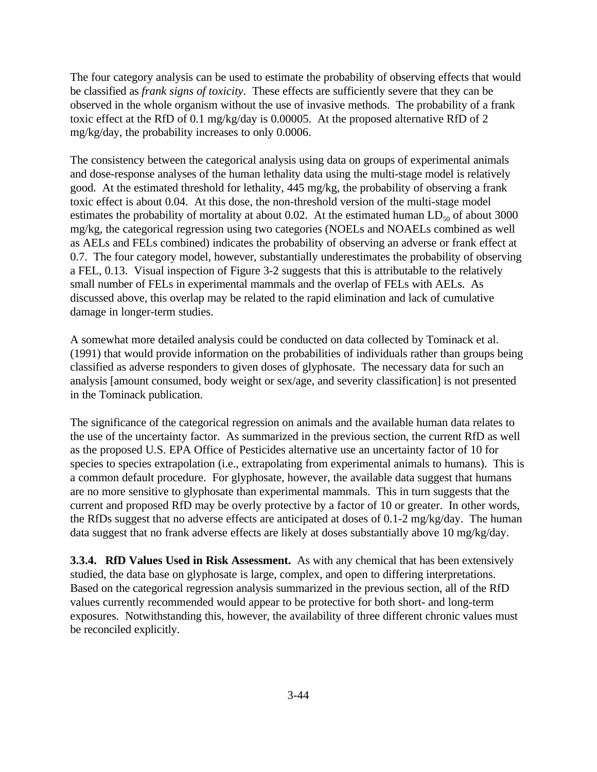The four category analysis can be used to estimate the probability of observing effects that would be classified as *frank signs of toxicity*. These effects are sufficiently severe that they can be observed in the whole organism without the use of invasive methods. The probability of a frank toxic effect at the RfD of 0.1 mg/kg/day is 0.00005. At the proposed alternative RfD of 2 mg/kg/day, the probability increases to only 0.0006.

The consistency between the categorical analysis using data on groups of experimental animals and dose-response analyses of the human lethality data using the multi-stage model is relatively good. At the estimated threshold for lethality, 445 mg/kg, the probability of observing a frank toxic effect is about 0.04. At this dose, the non-threshold version of the multi-stage model estimates the probability of mortality at about 0.02. At the estimated human  $LD_{50}$  of about 3000 mg/kg, the categorical regression using two categories (NOELs and NOAELs combined as well as AELs and FELs combined) indicates the probability of observing an adverse or frank effect at 0.7. The four category model, however, substantially underestimates the probability of observing a FEL, 0.13. Visual inspection of Figure 3-2 suggests that this is attributable to the relatively small number of FELs in experimental mammals and the overlap of FELs with AELs. As discussed above, this overlap may be related to the rapid elimination and lack of cumulative damage in longer-term studies.

A somewhat more detailed analysis could be conducted on data collected by Tominack et al. (1991) that would provide information on the probabilities of individuals rather than groups being classified as adverse responders to given doses of glyphosate. The necessary data for such an analysis [amount consumed, body weight or sex/age, and severity classification] is not presented in the Tominack publication.

The significance of the categorical regression on animals and the available human data relates to the use of the uncertainty factor. As summarized in the previous section, the current RfD as well as the proposed U.S. EPA Office of Pesticides alternative use an uncertainty factor of 10 for species to species extrapolation (i.e., extrapolating from experimental animals to humans). This is a common default procedure. For glyphosate, however, the available data suggest that humans are no more sensitive to glyphosate than experimental mammals. This in turn suggests that the current and proposed RfD may be overly protective by a factor of 10 or greater. In other words, the RfDs suggest that no adverse effects are anticipated at doses of 0.1-2 mg/kg/day. The human data suggest that no frank adverse effects are likely at doses substantially above 10 mg/kg/day.

**3.3.4. RfD Values Used in Risk Assessment.** As with any chemical that has been extensively studied, the data base on glyphosate is large, complex, and open to differing interpretations. Based on the categorical regression analysis summarized in the previous section, all of the RfD values currently recommended would appear to be protective for both short- and long-term exposures. Notwithstanding this, however, the availability of three different chronic values must be reconciled explicitly.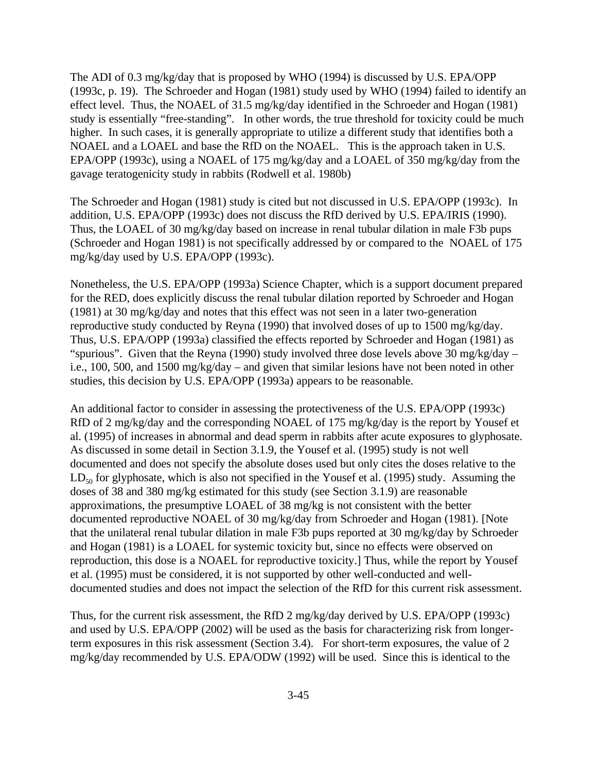The ADI of 0.3 mg/kg/day that is proposed by WHO (1994) is discussed by U.S. EPA/OPP (1993c, p. 19). The Schroeder and Hogan (1981) study used by WHO (1994) failed to identify an effect level. Thus, the NOAEL of 31.5 mg/kg/day identified in the Schroeder and Hogan (1981) study is essentially "free-standing". In other words, the true threshold for toxicity could be much higher. In such cases, it is generally appropriate to utilize a different study that identifies both a NOAEL and a LOAEL and base the RfD on the NOAEL. This is the approach taken in U.S. EPA/OPP (1993c), using a NOAEL of 175 mg/kg/day and a LOAEL of 350 mg/kg/day from the gavage teratogenicity study in rabbits (Rodwell et al. 1980b)

The Schroeder and Hogan (1981) study is cited but not discussed in U.S. EPA/OPP (1993c). In addition, U.S. EPA/OPP (1993c) does not discuss the RfD derived by U.S. EPA/IRIS (1990). Thus, the LOAEL of 30 mg/kg/day based on increase in renal tubular dilation in male F3b pups (Schroeder and Hogan 1981) is not specifically addressed by or compared to the NOAEL of 175 mg/kg/day used by U.S. EPA/OPP (1993c).

Nonetheless, the U.S. EPA/OPP (1993a) Science Chapter, which is a support document prepared for the RED, does explicitly discuss the renal tubular dilation reported by Schroeder and Hogan (1981) at 30 mg/kg/day and notes that this effect was not seen in a later two-generation reproductive study conducted by Reyna (1990) that involved doses of up to 1500 mg/kg/day. Thus, U.S. EPA/OPP (1993a) classified the effects reported by Schroeder and Hogan (1981) as "spurious". Given that the Reyna (1990) study involved three dose levels above 30 mg/kg/day – i.e., 100, 500, and 1500 mg/kg/day – and given that similar lesions have not been noted in other studies, this decision by U.S. EPA/OPP (1993a) appears to be reasonable.

An additional factor to consider in assessing the protectiveness of the U.S. EPA/OPP (1993c) RfD of 2 mg/kg/day and the corresponding NOAEL of 175 mg/kg/day is the report by Yousef et al. (1995) of increases in abnormal and dead sperm in rabbits after acute exposures to glyphosate. As discussed in some detail in Section 3.1.9, the Yousef et al. (1995) study is not well documented and does not specify the absolute doses used but only cites the doses relative to the  $LD_{50}$  for glyphosate, which is also not specified in the Yousef et al. (1995) study. Assuming the doses of 38 and 380 mg/kg estimated for this study (see Section 3.1.9) are reasonable approximations, the presumptive LOAEL of 38 mg/kg is not consistent with the better documented reproductive NOAEL of 30 mg/kg/day from Schroeder and Hogan (1981). [Note that the unilateral renal tubular dilation in male F3b pups reported at 30 mg/kg/day by Schroeder and Hogan (1981) is a LOAEL for systemic toxicity but, since no effects were observed on reproduction, this dose is a NOAEL for reproductive toxicity.] Thus, while the report by Yousef et al. (1995) must be considered, it is not supported by other well-conducted and welldocumented studies and does not impact the selection of the RfD for this current risk assessment.

Thus, for the current risk assessment, the RfD 2 mg/kg/day derived by U.S. EPA/OPP (1993c) and used by U.S. EPA/OPP (2002) will be used as the basis for characterizing risk from longerterm exposures in this risk assessment (Section 3.4). For short-term exposures, the value of 2 mg/kg/day recommended by U.S. EPA/ODW (1992) will be used. Since this is identical to the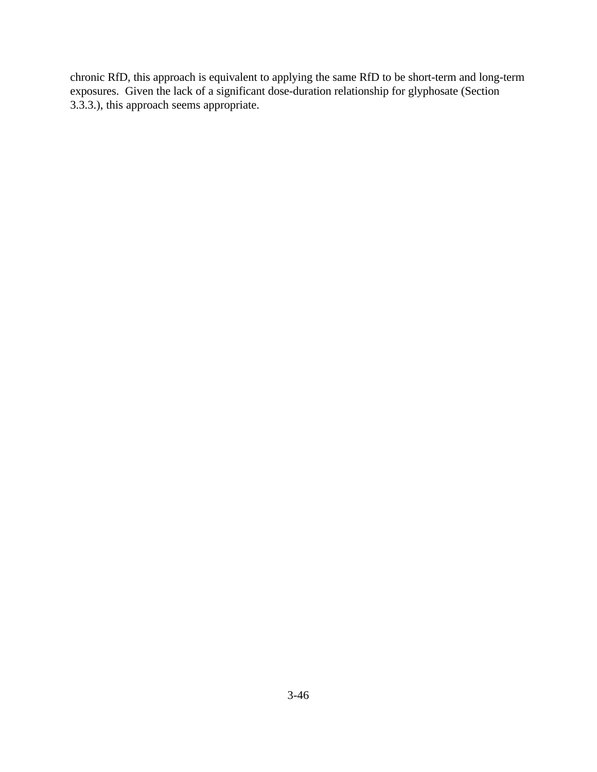chronic RfD, this approach is equivalent to applying the same RfD to be short-term and long-term exposures. Given the lack of a significant dose-duration relationship for glyphosate (Section 3.3.3.), this approach seems appropriate.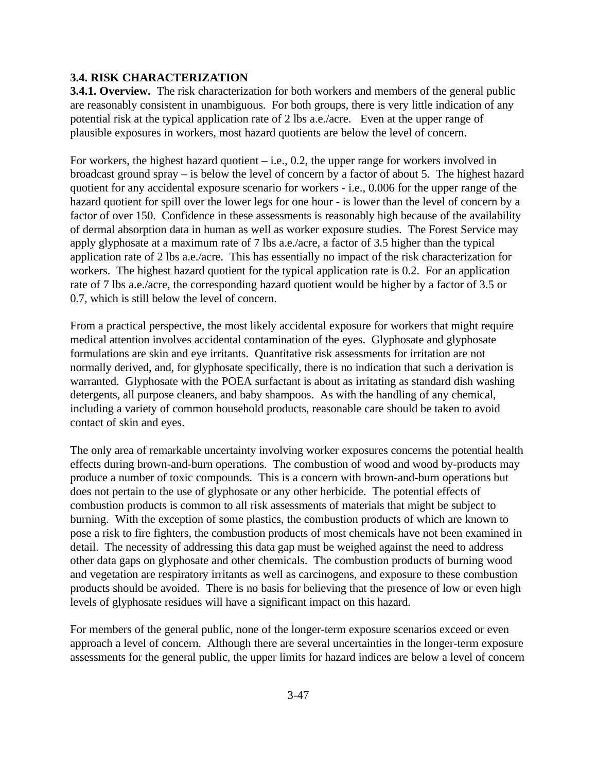## **3.4. RISK CHARACTERIZATION**

**3.4.1. Overview.** The risk characterization for both workers and members of the general public are reasonably consistent in unambiguous. For both groups, there is very little indication of any potential risk at the typical application rate of 2 lbs a.e./acre. Even at the upper range of plausible exposures in workers, most hazard quotients are below the level of concern.

For workers, the highest hazard quotient – i.e., 0.2, the upper range for workers involved in broadcast ground spray – is below the level of concern by a factor of about 5. The highest hazard quotient for any accidental exposure scenario for workers - i.e., 0.006 for the upper range of the hazard quotient for spill over the lower legs for one hour - is lower than the level of concern by a factor of over 150. Confidence in these assessments is reasonably high because of the availability of dermal absorption data in human as well as worker exposure studies. The Forest Service may apply glyphosate at a maximum rate of 7 lbs a.e./acre, a factor of 3.5 higher than the typical application rate of 2 lbs a.e./acre. This has essentially no impact of the risk characterization for workers. The highest hazard quotient for the typical application rate is 0.2. For an application rate of 7 lbs a.e./acre, the corresponding hazard quotient would be higher by a factor of 3.5 or 0.7, which is still below the level of concern.

From a practical perspective, the most likely accidental exposure for workers that might require medical attention involves accidental contamination of the eyes. Glyphosate and glyphosate formulations are skin and eye irritants. Quantitative risk assessments for irritation are not normally derived, and, for glyphosate specifically, there is no indication that such a derivation is warranted. Glyphosate with the POEA surfactant is about as irritating as standard dish washing detergents, all purpose cleaners, and baby shampoos. As with the handling of any chemical, including a variety of common household products, reasonable care should be taken to avoid contact of skin and eyes.

The only area of remarkable uncertainty involving worker exposures concerns the potential health effects during brown-and-burn operations. The combustion of wood and wood by-products may produce a number of toxic compounds. This is a concern with brown-and-burn operations but does not pertain to the use of glyphosate or any other herbicide. The potential effects of combustion products is common to all risk assessments of materials that might be subject to burning. With the exception of some plastics, the combustion products of which are known to pose a risk to fire fighters, the combustion products of most chemicals have not been examined in detail. The necessity of addressing this data gap must be weighed against the need to address other data gaps on glyphosate and other chemicals. The combustion products of burning wood and vegetation are respiratory irritants as well as carcinogens, and exposure to these combustion products should be avoided. There is no basis for believing that the presence of low or even high levels of glyphosate residues will have a significant impact on this hazard.

For members of the general public, none of the longer-term exposure scenarios exceed or even approach a level of concern. Although there are several uncertainties in the longer-term exposure assessments for the general public, the upper limits for hazard indices are below a level of concern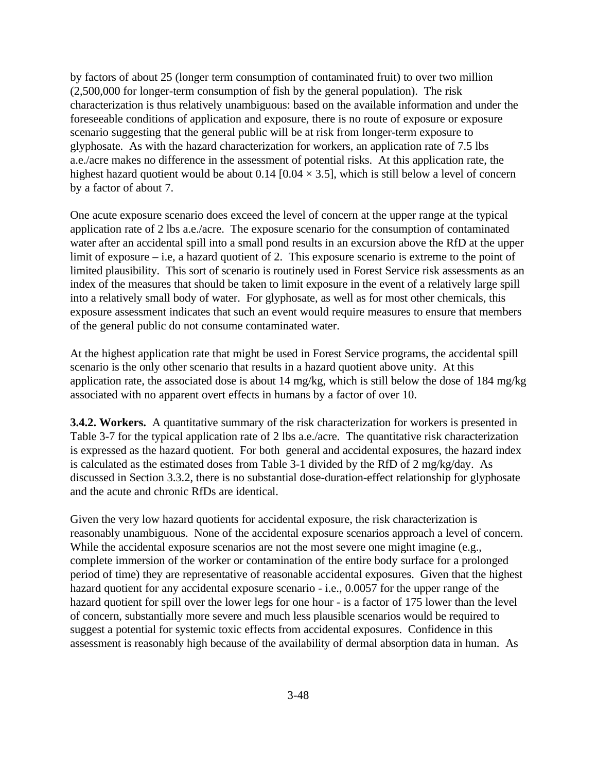by factors of about 25 (longer term consumption of contaminated fruit) to over two million (2,500,000 for longer-term consumption of fish by the general population). The risk characterization is thus relatively unambiguous: based on the available information and under the foreseeable conditions of application and exposure, there is no route of exposure or exposure scenario suggesting that the general public will be at risk from longer-term exposure to glyphosate. As with the hazard characterization for workers, an application rate of 7.5 lbs a.e./acre makes no difference in the assessment of potential risks. At this application rate, the highest hazard quotient would be about 0.14 [0.04  $\times$  3.5], which is still below a level of concern by a factor of about 7.

One acute exposure scenario does exceed the level of concern at the upper range at the typical application rate of 2 lbs a.e./acre. The exposure scenario for the consumption of contaminated water after an accidental spill into a small pond results in an excursion above the RfD at the upper limit of exposure – i.e, a hazard quotient of 2. This exposure scenario is extreme to the point of limited plausibility. This sort of scenario is routinely used in Forest Service risk assessments as an index of the measures that should be taken to limit exposure in the event of a relatively large spill into a relatively small body of water. For glyphosate, as well as for most other chemicals, this exposure assessment indicates that such an event would require measures to ensure that members of the general public do not consume contaminated water.

At the highest application rate that might be used in Forest Service programs, the accidental spill scenario is the only other scenario that results in a hazard quotient above unity. At this application rate, the associated dose is about 14 mg/kg, which is still below the dose of 184 mg/kg associated with no apparent overt effects in humans by a factor of over 10.

**3.4.2. Workers.** A quantitative summary of the risk characterization for workers is presented in Table 3-7 for the typical application rate of 2 lbs a.e./acre. The quantitative risk characterization is expressed as the hazard quotient. For both general and accidental exposures, the hazard index is calculated as the estimated doses from Table 3-1 divided by the RfD of 2 mg/kg/day. As discussed in Section 3.3.2, there is no substantial dose-duration-effect relationship for glyphosate and the acute and chronic RfDs are identical.

Given the very low hazard quotients for accidental exposure, the risk characterization is reasonably unambiguous. None of the accidental exposure scenarios approach a level of concern. While the accidental exposure scenarios are not the most severe one might imagine (e.g., complete immersion of the worker or contamination of the entire body surface for a prolonged period of time) they are representative of reasonable accidental exposures. Given that the highest hazard quotient for any accidental exposure scenario - i.e., 0.0057 for the upper range of the hazard quotient for spill over the lower legs for one hour - is a factor of 175 lower than the level of concern, substantially more severe and much less plausible scenarios would be required to suggest a potential for systemic toxic effects from accidental exposures. Confidence in this assessment is reasonably high because of the availability of dermal absorption data in human. As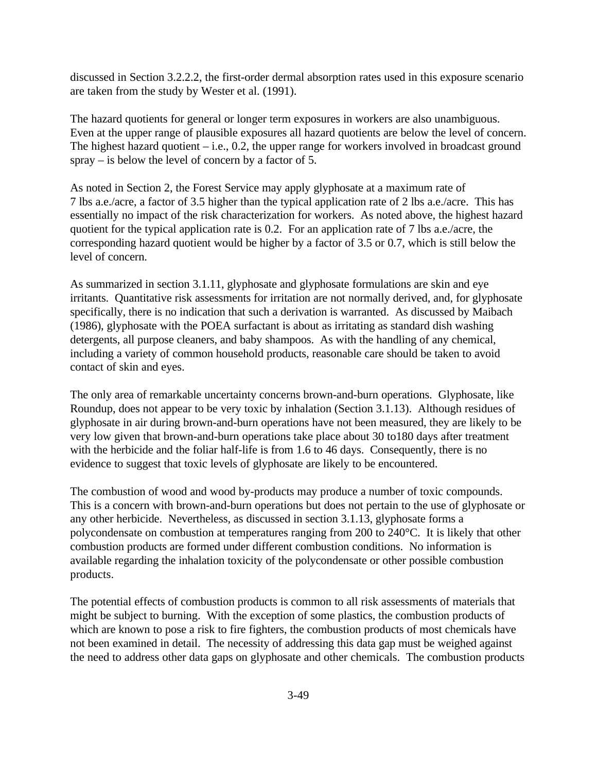discussed in Section 3.2.2.2, the first-order dermal absorption rates used in this exposure scenario are taken from the study by Wester et al. (1991).

The hazard quotients for general or longer term exposures in workers are also unambiguous. Even at the upper range of plausible exposures all hazard quotients are below the level of concern. The highest hazard quotient  $-$  i.e., 0.2, the upper range for workers involved in broadcast ground spray – is below the level of concern by a factor of 5.

As noted in Section 2, the Forest Service may apply glyphosate at a maximum rate of 7 lbs a.e./acre, a factor of 3.5 higher than the typical application rate of 2 lbs a.e./acre. This has essentially no impact of the risk characterization for workers. As noted above, the highest hazard quotient for the typical application rate is 0.2. For an application rate of 7 lbs a.e./acre, the corresponding hazard quotient would be higher by a factor of 3.5 or 0.7, which is still below the level of concern.

As summarized in section 3.1.11, glyphosate and glyphosate formulations are skin and eye irritants. Quantitative risk assessments for irritation are not normally derived, and, for glyphosate specifically, there is no indication that such a derivation is warranted. As discussed by Maibach (1986), glyphosate with the POEA surfactant is about as irritating as standard dish washing detergents, all purpose cleaners, and baby shampoos. As with the handling of any chemical, including a variety of common household products, reasonable care should be taken to avoid contact of skin and eyes.

The only area of remarkable uncertainty concerns brown-and-burn operations. Glyphosate, like Roundup, does not appear to be very toxic by inhalation (Section 3.1.13). Although residues of glyphosate in air during brown-and-burn operations have not been measured, they are likely to be very low given that brown-and-burn operations take place about 30 to180 days after treatment with the herbicide and the foliar half-life is from 1.6 to 46 days. Consequently, there is no evidence to suggest that toxic levels of glyphosate are likely to be encountered.

The combustion of wood and wood by-products may produce a number of toxic compounds. This is a concern with brown-and-burn operations but does not pertain to the use of glyphosate or any other herbicide. Nevertheless, as discussed in section 3.1.13, glyphosate forms a polycondensate on combustion at temperatures ranging from 200 to 240°C. It is likely that other combustion products are formed under different combustion conditions. No information is available regarding the inhalation toxicity of the polycondensate or other possible combustion products.

The potential effects of combustion products is common to all risk assessments of materials that might be subject to burning. With the exception of some plastics, the combustion products of which are known to pose a risk to fire fighters, the combustion products of most chemicals have not been examined in detail. The necessity of addressing this data gap must be weighed against the need to address other data gaps on glyphosate and other chemicals. The combustion products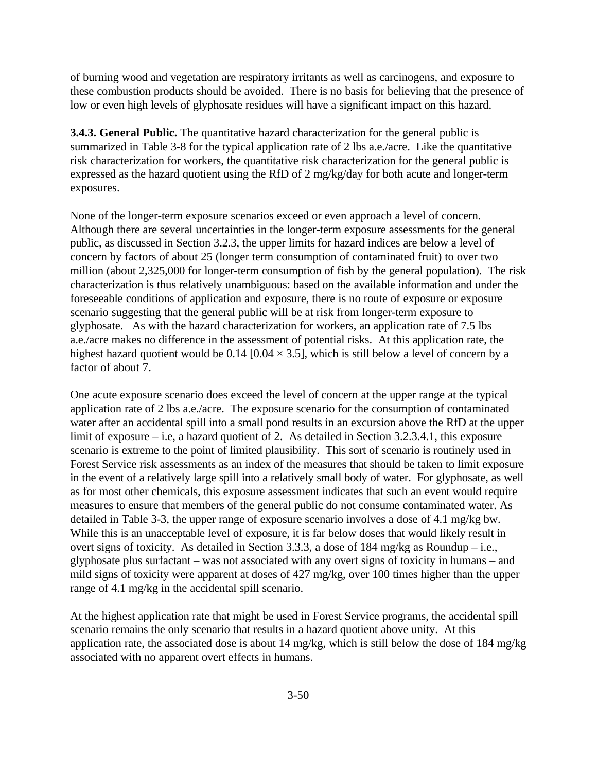of burning wood and vegetation are respiratory irritants as well as carcinogens, and exposure to these combustion products should be avoided. There is no basis for believing that the presence of low or even high levels of glyphosate residues will have a significant impact on this hazard.

**3.4.3. General Public.** The quantitative hazard characterization for the general public is summarized in Table 3-8 for the typical application rate of 2 lbs a.e./acre. Like the quantitative risk characterization for workers, the quantitative risk characterization for the general public is expressed as the hazard quotient using the RfD of 2 mg/kg/day for both acute and longer-term exposures.

None of the longer-term exposure scenarios exceed or even approach a level of concern. Although there are several uncertainties in the longer-term exposure assessments for the general public, as discussed in Section 3.2.3, the upper limits for hazard indices are below a level of concern by factors of about 25 (longer term consumption of contaminated fruit) to over two million (about 2,325,000 for longer-term consumption of fish by the general population). The risk characterization is thus relatively unambiguous: based on the available information and under the foreseeable conditions of application and exposure, there is no route of exposure or exposure scenario suggesting that the general public will be at risk from longer-term exposure to glyphosate. As with the hazard characterization for workers, an application rate of 7.5 lbs a.e./acre makes no difference in the assessment of potential risks. At this application rate, the highest hazard quotient would be  $0.14$  [0.04  $\times$  3.5], which is still below a level of concern by a factor of about 7.

One acute exposure scenario does exceed the level of concern at the upper range at the typical application rate of 2 lbs a.e./acre. The exposure scenario for the consumption of contaminated water after an accidental spill into a small pond results in an excursion above the RfD at the upper limit of exposure – i.e, a hazard quotient of 2. As detailed in Section 3.2.3.4.1, this exposure scenario is extreme to the point of limited plausibility. This sort of scenario is routinely used in Forest Service risk assessments as an index of the measures that should be taken to limit exposure in the event of a relatively large spill into a relatively small body of water. For glyphosate, as well as for most other chemicals, this exposure assessment indicates that such an event would require measures to ensure that members of the general public do not consume contaminated water. As detailed in Table 3-3, the upper range of exposure scenario involves a dose of 4.1 mg/kg bw. While this is an unacceptable level of exposure, it is far below doses that would likely result in overt signs of toxicity. As detailed in Section 3.3.3, a dose of 184 mg/kg as Roundup – i.e., glyphosate plus surfactant – was not associated with any overt signs of toxicity in humans – and mild signs of toxicity were apparent at doses of 427 mg/kg, over 100 times higher than the upper range of 4.1 mg/kg in the accidental spill scenario.

At the highest application rate that might be used in Forest Service programs, the accidental spill scenario remains the only scenario that results in a hazard quotient above unity. At this application rate, the associated dose is about 14 mg/kg, which is still below the dose of 184 mg/kg associated with no apparent overt effects in humans.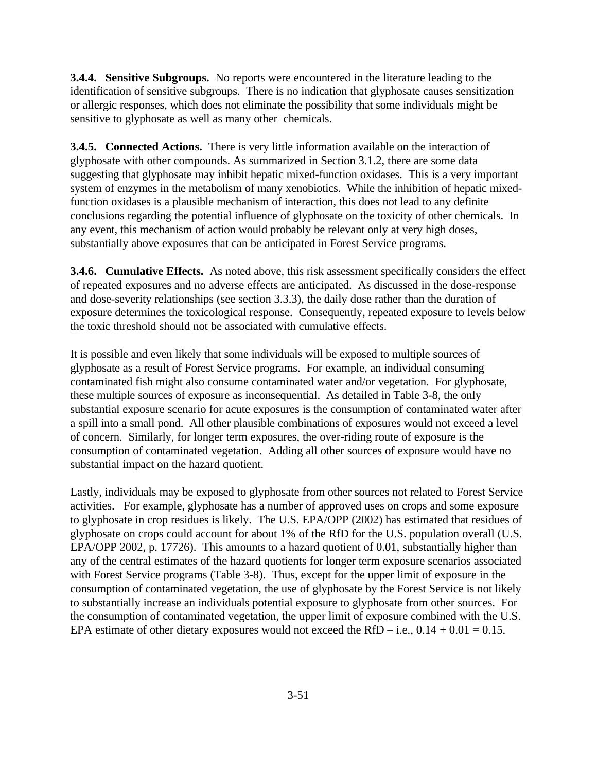**3.4.4. Sensitive Subgroups.** No reports were encountered in the literature leading to the identification of sensitive subgroups. There is no indication that glyphosate causes sensitization or allergic responses, which does not eliminate the possibility that some individuals might be sensitive to glyphosate as well as many other chemicals.

**3.4.5. Connected Actions.** There is very little information available on the interaction of glyphosate with other compounds. As summarized in Section 3.1.2, there are some data suggesting that glyphosate may inhibit hepatic mixed-function oxidases. This is a very important system of enzymes in the metabolism of many xenobiotics. While the inhibition of hepatic mixedfunction oxidases is a plausible mechanism of interaction, this does not lead to any definite conclusions regarding the potential influence of glyphosate on the toxicity of other chemicals. In any event, this mechanism of action would probably be relevant only at very high doses, substantially above exposures that can be anticipated in Forest Service programs.

**3.4.6. Cumulative Effects.** As noted above, this risk assessment specifically considers the effect of repeated exposures and no adverse effects are anticipated. As discussed in the dose-response and dose-severity relationships (see section 3.3.3), the daily dose rather than the duration of exposure determines the toxicological response. Consequently, repeated exposure to levels below the toxic threshold should not be associated with cumulative effects.

It is possible and even likely that some individuals will be exposed to multiple sources of glyphosate as a result of Forest Service programs. For example, an individual consuming contaminated fish might also consume contaminated water and/or vegetation. For glyphosate, these multiple sources of exposure as inconsequential. As detailed in Table 3-8, the only substantial exposure scenario for acute exposures is the consumption of contaminated water after a spill into a small pond. All other plausible combinations of exposures would not exceed a level of concern. Similarly, for longer term exposures, the over-riding route of exposure is the consumption of contaminated vegetation. Adding all other sources of exposure would have no substantial impact on the hazard quotient.

Lastly, individuals may be exposed to glyphosate from other sources not related to Forest Service activities. For example, glyphosate has a number of approved uses on crops and some exposure to glyphosate in crop residues is likely. The U.S. EPA/OPP (2002) has estimated that residues of glyphosate on crops could account for about 1% of the RfD for the U.S. population overall (U.S. EPA/OPP 2002, p. 17726). This amounts to a hazard quotient of 0.01, substantially higher than any of the central estimates of the hazard quotients for longer term exposure scenarios associated with Forest Service programs (Table 3-8). Thus, except for the upper limit of exposure in the consumption of contaminated vegetation, the use of glyphosate by the Forest Service is not likely to substantially increase an individuals potential exposure to glyphosate from other sources. For the consumption of contaminated vegetation, the upper limit of exposure combined with the U.S. EPA estimate of other dietary exposures would not exceed the RfD – i.e.,  $0.14 + 0.01 = 0.15$ .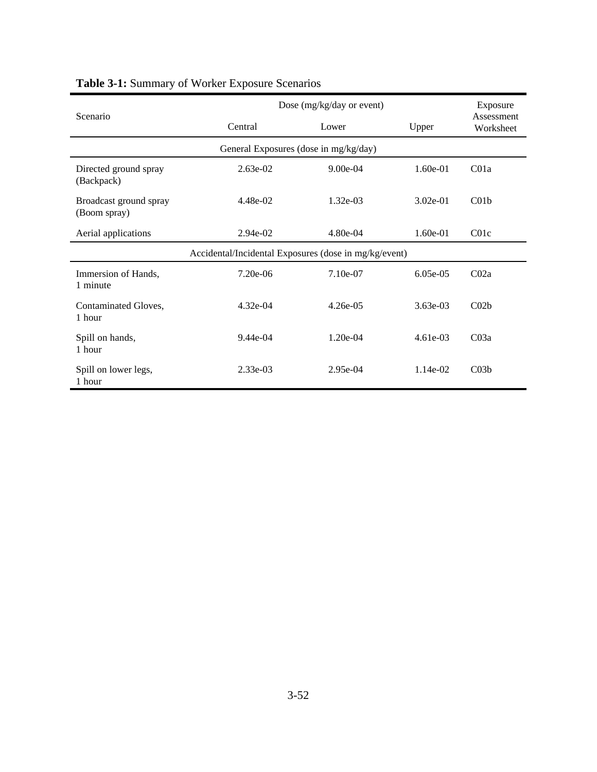|                                                       | Dose (mg/kg/day or event) | Exposure   |            |                         |  |  |  |  |
|-------------------------------------------------------|---------------------------|------------|------------|-------------------------|--|--|--|--|
| Scenario                                              | Central                   | Lower      | Upper      | Assessment<br>Worksheet |  |  |  |  |
| General Exposures (dose in mg/kg/day)                 |                           |            |            |                         |  |  |  |  |
| Directed ground spray<br>(Backpack)                   | $2.63e-02$                | $9.00e-04$ | $1.60e-01$ | C <sub>01a</sub>        |  |  |  |  |
| Broadcast ground spray<br>(Boom spray)                | 4.48e-02                  | $1.32e-03$ | $3.02e-01$ | C <sub>01b</sub>        |  |  |  |  |
| Aerial applications                                   | 2.94e-02                  | 4.80e-04   | $1.60e-01$ | C01c                    |  |  |  |  |
| Accidental/Incidental Exposures (dose in mg/kg/event) |                           |            |            |                         |  |  |  |  |
| Immersion of Hands,<br>1 minute                       | 7.20e-06                  | 7.10e-07   | $6.05e-05$ | CO2a                    |  |  |  |  |
| Contaminated Gloves,<br>1 hour                        | $4.32e-04$                | $4.26e-05$ | $3.63e-03$ | C <sub>02b</sub>        |  |  |  |  |
| Spill on hands,<br>1 hour                             | $9.44e-04$                | $1.20e-04$ | $4.61e-03$ | CO3a                    |  |  |  |  |
| Spill on lower legs,<br>1 hour                        | $2.33e-03$                | $2.95e-04$ | $1.14e-02$ | C <sub>03b</sub>        |  |  |  |  |

# **Table 3-1:** Summary of Worker Exposure Scenarios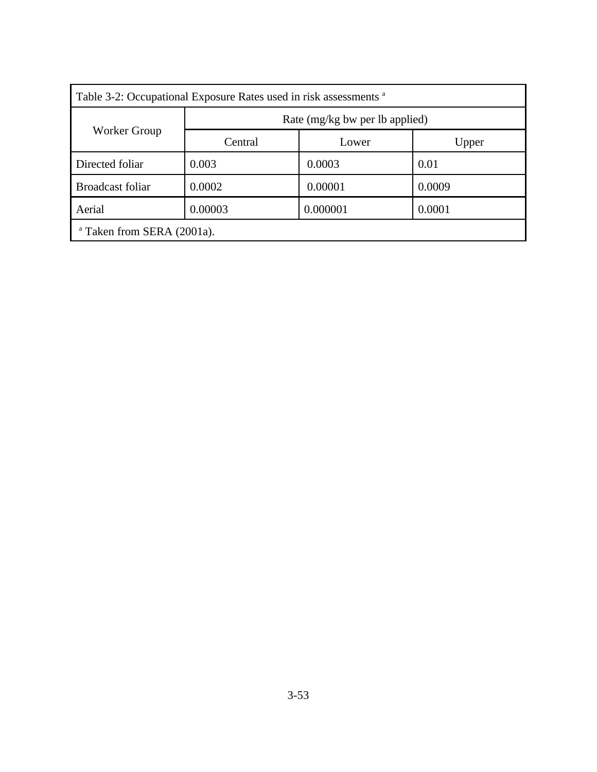| Table 3-2: Occupational Exposure Rates used in risk assessments <sup>a</sup> |                                |          |        |  |  |  |
|------------------------------------------------------------------------------|--------------------------------|----------|--------|--|--|--|
| Worker Group                                                                 | Rate (mg/kg bw per lb applied) |          |        |  |  |  |
|                                                                              | Central                        | Lower    | Upper  |  |  |  |
| Directed foliar                                                              | 0.003                          | 0.0003   | 0.01   |  |  |  |
| <b>Broadcast foliar</b>                                                      | 0.0002                         | 0.00001  | 0.0009 |  |  |  |
| Aerial                                                                       | 0.00003                        | 0.000001 | 0.0001 |  |  |  |
| <sup>a</sup> Taken from SERA (2001a).                                        |                                |          |        |  |  |  |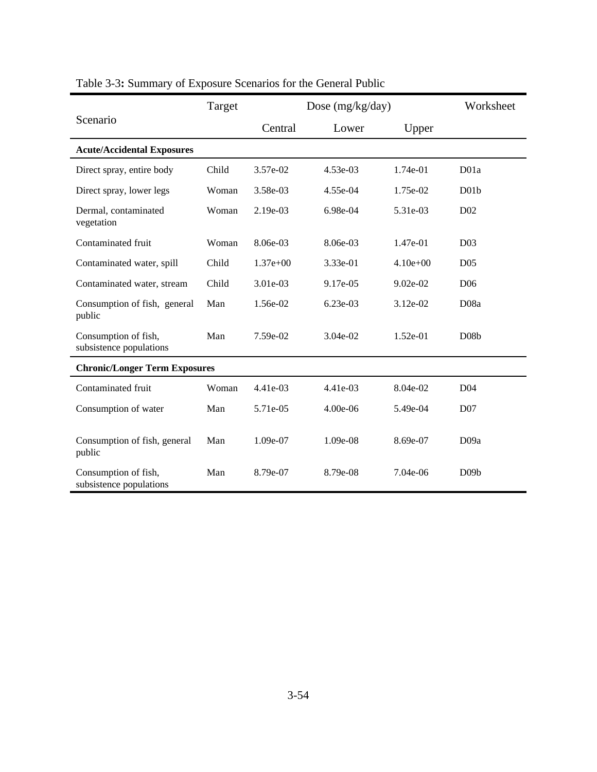|                                                 | Target |            | Dose (mg/kg/day) |            |                   |
|-------------------------------------------------|--------|------------|------------------|------------|-------------------|
| Scenario                                        |        | Central    | Lower            | Upper      |                   |
| <b>Acute/Accidental Exposures</b>               |        |            |                  |            |                   |
| Direct spray, entire body                       | Child  | 3.57e-02   | 4.53e-03         | 1.74e-01   | D <sub>01a</sub>  |
| Direct spray, lower legs                        | Woman  | 3.58e-03   | 4.55e-04         | 1.75e-02   | D01b              |
| Dermal, contaminated<br>vegetation              | Woman  | 2.19e-03   | 6.98e-04         | 5.31e-03   | D <sub>0</sub> 2  |
| Contaminated fruit                              | Woman  | 8.06e-03   | 8.06e-03         | $1.47e-01$ | D <sub>03</sub>   |
| Contaminated water, spill                       | Child  | $1.37e+00$ | 3.33e-01         | $4.10e+00$ | D <sub>05</sub>   |
| Contaminated water, stream                      | Child  | 3.01e-03   | 9.17e-05         | $9.02e-02$ | D <sub>06</sub>   |
| Consumption of fish, general<br>public          | Man    | 1.56e-02   | $6.23e-03$       | 3.12e-02   | D <sub>08</sub> a |
| Consumption of fish,<br>subsistence populations | Man    | 7.59e-02   | $3.04e-02$       | $1.52e-01$ | D <sub>08</sub> b |
| <b>Chronic/Longer Term Exposures</b>            |        |            |                  |            |                   |
| Contaminated fruit                              | Woman  | 4.41e-03   | $4.41e-03$       | 8.04e-02   | D <sub>04</sub>   |
| Consumption of water                            | Man    | 5.71e-05   | 4.00e-06         | 5.49e-04   | D <sub>07</sub>   |
| Consumption of fish, general<br>public          | Man    | 1.09e-07   | 1.09e-08         | 8.69e-07   | D <sub>09a</sub>  |
| Consumption of fish,<br>subsistence populations | Man    | 8.79e-07   | 8.79e-08         | 7.04e-06   | D09b              |

# Table 3-3**:** Summary of Exposure Scenarios for the General Public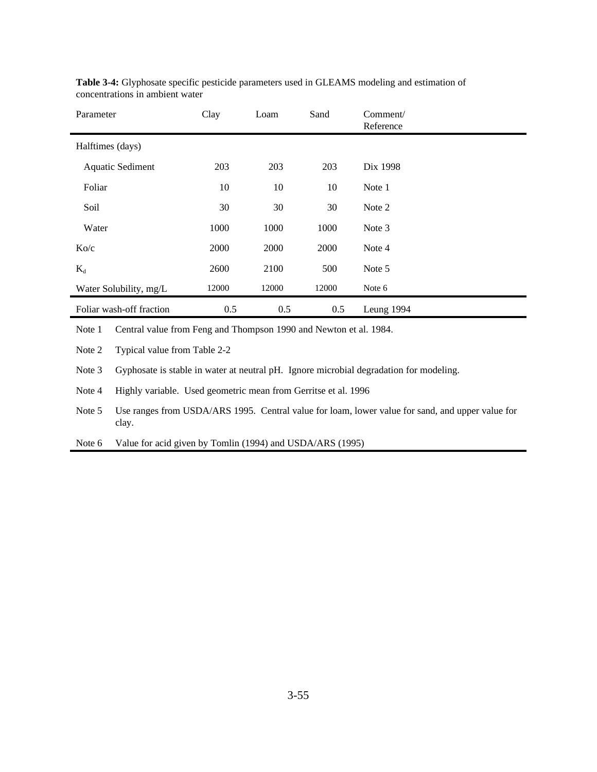| Parameter                | Clay  | Loam  | Sand  | Comment/<br>Reference |
|--------------------------|-------|-------|-------|-----------------------|
| Halftimes (days)         |       |       |       |                       |
| <b>Aquatic Sediment</b>  | 203   | 203   | 203   | Dix 1998              |
| Foliar                   | 10    | 10    | 10    | Note 1                |
| Soil                     | 30    | 30    | 30    | Note 2                |
| Water                    | 1000  | 1000  | 1000  | Note 3                |
| Ko/c                     | 2000  | 2000  | 2000  | Note 4                |
| $K_d$                    | 2600  | 2100  | 500   | Note 5                |
| Water Solubility, mg/L   | 12000 | 12000 | 12000 | Note 6                |
| Foliar wash-off fraction | 0.5   | 0.5   | 0.5   | Leung 1994            |

**Table 3-4:** Glyphosate specific pesticide parameters used in GLEAMS modeling and estimation of concentrations in ambient water

Note 1 Central value from Feng and Thompson 1990 and Newton et al. 1984.

Note 2 Typical value from Table 2-2

Note 3 Gyphosate is stable in water at neutral pH. Ignore microbial degradation for modeling.

Note 4 Highly variable. Used geometric mean from Gerritse et al. 1996

Note 5 Use ranges from USDA/ARS 1995. Central value for loam, lower value for sand, and upper value for clay.

Note 6 Value for acid given by Tomlin (1994) and USDA/ARS (1995)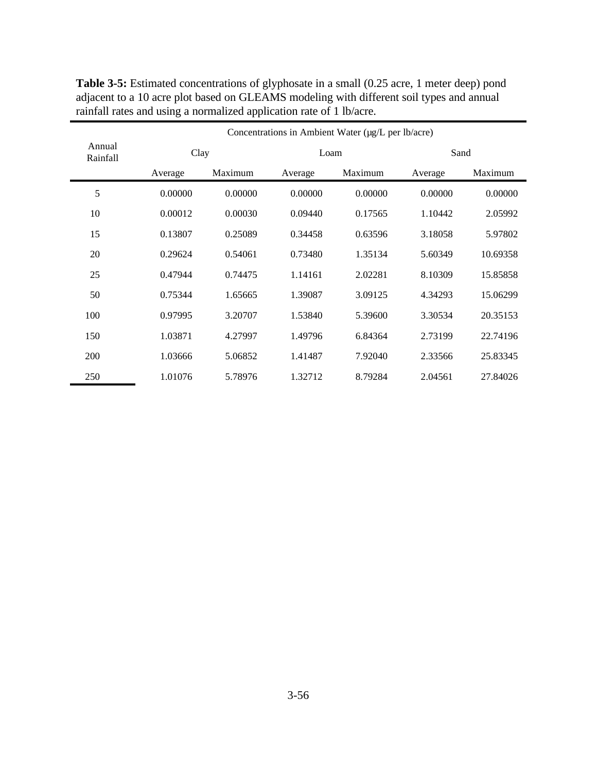|                    | Concentrations in Ambient Water (µg/L per lb/acre) |         |         |         |         |          |  |  |
|--------------------|----------------------------------------------------|---------|---------|---------|---------|----------|--|--|
| Annual<br>Rainfall |                                                    | Clay    |         | Loam    |         | Sand     |  |  |
|                    | Average                                            | Maximum | Average | Maximum | Average | Maximum  |  |  |
| 5                  | 0.00000                                            | 0.00000 | 0.00000 | 0.00000 | 0.00000 | 0.00000  |  |  |
| 10                 | 0.00012                                            | 0.00030 | 0.09440 | 0.17565 | 1.10442 | 2.05992  |  |  |
| 15                 | 0.13807                                            | 0.25089 | 0.34458 | 0.63596 | 3.18058 | 5.97802  |  |  |
| 20                 | 0.29624                                            | 0.54061 | 0.73480 | 1.35134 | 5.60349 | 10.69358 |  |  |
| 25                 | 0.47944                                            | 0.74475 | 1.14161 | 2.02281 | 8.10309 | 15.85858 |  |  |
| 50                 | 0.75344                                            | 1.65665 | 1.39087 | 3.09125 | 4.34293 | 15.06299 |  |  |
| 100                | 0.97995                                            | 3.20707 | 1.53840 | 5.39600 | 3.30534 | 20.35153 |  |  |
| 150                | 1.03871                                            | 4.27997 | 1.49796 | 6.84364 | 2.73199 | 22.74196 |  |  |
| 200                | 1.03666                                            | 5.06852 | 1.41487 | 7.92040 | 2.33566 | 25.83345 |  |  |
| 250                | 1.01076                                            | 5.78976 | 1.32712 | 8.79284 | 2.04561 | 27.84026 |  |  |

**Table 3-5:** Estimated concentrations of glyphosate in a small (0.25 acre, 1 meter deep) pond adjacent to a 10 acre plot based on GLEAMS modeling with different soil types and annual rainfall rates and using a normalized application rate of 1 lb/acre.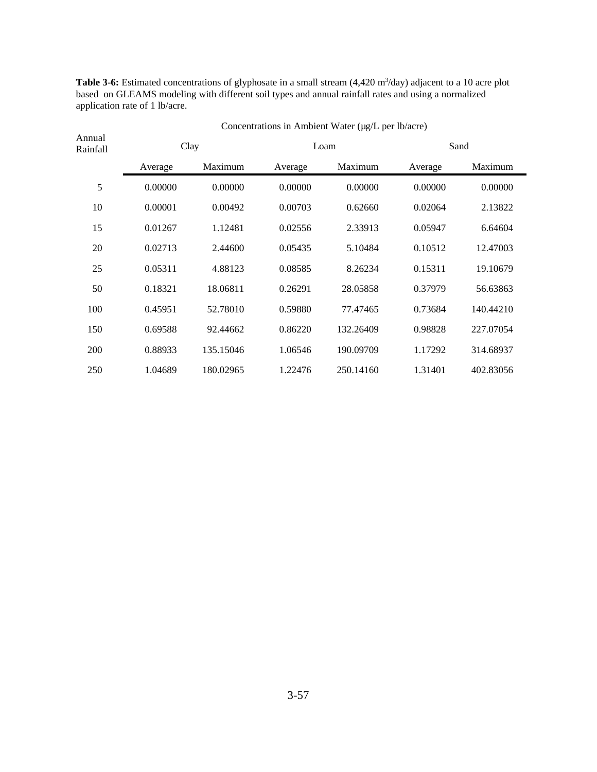**Table 3-6:** Estimated concentrations of glyphosate in a small stream (4,420 m<sup>3</sup>/day) adjacent to a 10 acre plot based on GLEAMS modeling with different soil types and annual rainfall rates and using a normalized application rate of 1 lb/acre.

| Annual<br>Rainfall | Clay    |           | Loam    |           | Sand    |           |
|--------------------|---------|-----------|---------|-----------|---------|-----------|
|                    | Average | Maximum   | Average | Maximum   | Average | Maximum   |
| 5                  | 0.00000 | 0.00000   | 0.00000 | 0.00000   | 0.00000 | 0.00000   |
| 10                 | 0.00001 | 0.00492   | 0.00703 | 0.62660   | 0.02064 | 2.13822   |
| 15                 | 0.01267 | 1.12481   | 0.02556 | 2.33913   | 0.05947 | 6.64604   |
| 20                 | 0.02713 | 2.44600   | 0.05435 | 5.10484   | 0.10512 | 12.47003  |
| 25                 | 0.05311 | 4.88123   | 0.08585 | 8.26234   | 0.15311 | 19.10679  |
| 50                 | 0.18321 | 18.06811  | 0.26291 | 28.05858  | 0.37979 | 56.63863  |
| 100                | 0.45951 | 52.78010  | 0.59880 | 77.47465  | 0.73684 | 140.44210 |
| 150                | 0.69588 | 92.44662  | 0.86220 | 132.26409 | 0.98828 | 227.07054 |
| 200                | 0.88933 | 135.15046 | 1.06546 | 190.09709 | 1.17292 | 314.68937 |
| 250                | 1.04689 | 180.02965 | 1.22476 | 250.14160 | 1.31401 | 402.83056 |

Concentrations in Ambient Water (µg/L per lb/acre)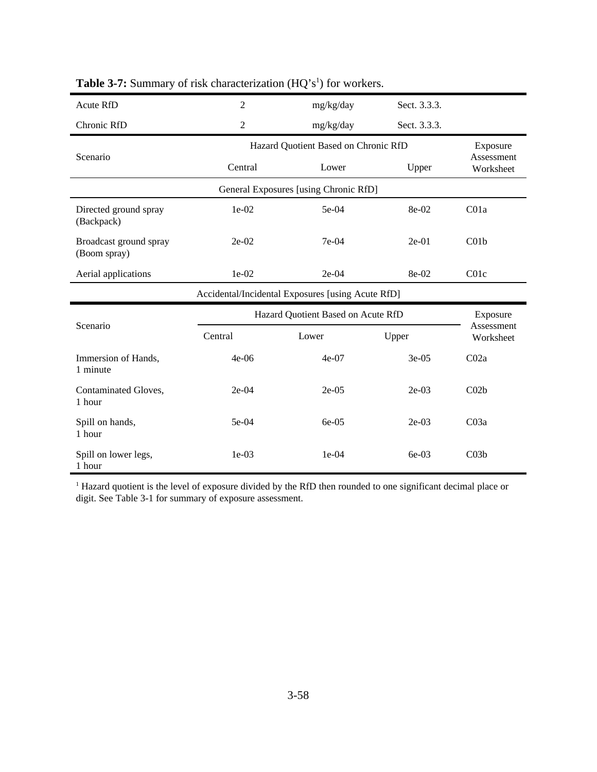| Acute RfD                              | $\overline{2}$ | mg/kg/day                                         | Sect. 3.3.3. |                         |  |  |
|----------------------------------------|----------------|---------------------------------------------------|--------------|-------------------------|--|--|
| Chronic RfD                            | $\overline{2}$ | mg/kg/day                                         | Sect. 3.3.3. |                         |  |  |
|                                        |                | Hazard Quotient Based on Chronic RfD<br>Exposure  |              |                         |  |  |
| Scenario                               | Central        | Lower                                             | Upper        | Assessment<br>Worksheet |  |  |
|                                        |                | General Exposures [using Chronic RfD]             |              |                         |  |  |
| Directed ground spray<br>(Backpack)    | 1e-02          | 5e-04                                             | $8e-02$      | C <sub>01a</sub>        |  |  |
| Broadcast ground spray<br>(Boom spray) | $2e-02$        | $7e-04$                                           | $2e-01$      | C <sub>01b</sub>        |  |  |
| Aerial applications                    | $1e-02$        | $2e-04$                                           | 8e-02        | C <sub>01</sub> c       |  |  |
|                                        |                |                                                   |              |                         |  |  |
|                                        |                | Accidental/Incidental Exposures [using Acute RfD] |              |                         |  |  |
|                                        |                | Hazard Quotient Based on Acute RfD                |              | Exposure                |  |  |
| Scenario                               | Central        | Lower                                             | Upper        | Assessment<br>Worksheet |  |  |
| Immersion of Hands,<br>1 minute        | $4e-06$        | $4e-07$                                           | $3e-05$      | CO2a                    |  |  |
| Contaminated Gloves,<br>1 hour         | $2e-04$        | $2e-05$                                           | $2e-03$      | C <sub>02b</sub>        |  |  |
| Spill on hands,<br>1 hour              | 5e-04          | $6e-05$                                           | $2e-03$      | CO3a                    |  |  |

## **Table 3-7:** Summary of risk characterization (HQ's<sup>1</sup>) for workers.

<sup>1</sup> Hazard quotient is the level of exposure divided by the RfD then rounded to one significant decimal place or digit. See Table 3-1 for summary of exposure assessment.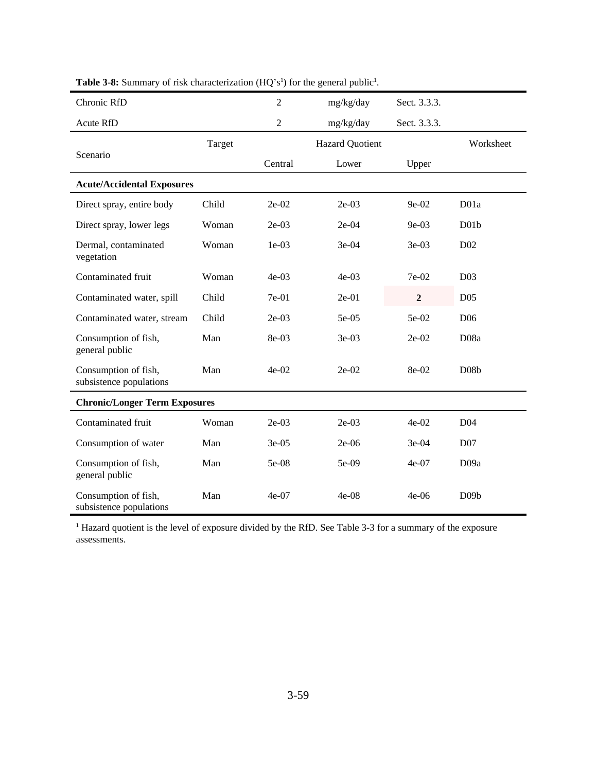| Chronic RfD                                     |        | $\overline{2}$ | mg/kg/day              | Sect. 3.3.3.   |                   |
|-------------------------------------------------|--------|----------------|------------------------|----------------|-------------------|
| Acute RfD                                       |        | $\overline{2}$ | mg/kg/day              | Sect. 3.3.3.   |                   |
|                                                 | Target |                | <b>Hazard Quotient</b> |                | Worksheet         |
| Scenario                                        |        | Central        | Lower                  | Upper          |                   |
| <b>Acute/Accidental Exposures</b>               |        |                |                        |                |                   |
| Direct spray, entire body                       | Child  | $2e-02$        | $2e-03$                | 9e-02          | D <sub>01a</sub>  |
| Direct spray, lower legs                        | Woman  | $2e-03$        | $2e-04$                | $9e-03$        | D01b              |
| Dermal, contaminated<br>vegetation              | Woman  | $1e-03$        | 3e-04                  | $3e-03$        | D <sub>02</sub>   |
| Contaminated fruit                              | Woman  | $4e-03$        | $4e-03$                | 7e-02          | D <sub>03</sub>   |
| Contaminated water, spill                       | Child  | 7e-01          | $2e-01$                | $\overline{2}$ | D05               |
| Contaminated water, stream                      | Child  | $2e-03$        | 5e-05                  | 5e-02          | D <sub>06</sub>   |
| Consumption of fish,<br>general public          | Man    | 8e-03          | $3e-03$                | $2e-02$        | D <sub>08a</sub>  |
| Consumption of fish,<br>subsistence populations | Man    | $4e-02$        | 2e-02                  | 8e-02          | D <sub>08</sub> b |
| <b>Chronic/Longer Term Exposures</b>            |        |                |                        |                |                   |
| Contaminated fruit                              | Woman  | $2e-03$        | $2e-03$                | $4e-02$        | D <sub>04</sub>   |
| Consumption of water                            | Man    | $3e-05$        | $2e-06$                | $3e-04$        | D07               |
| Consumption of fish,<br>general public          | Man    | 5e-08          | 5e-09                  | $4e-07$        | D <sub>09a</sub>  |
| Consumption of fish,<br>subsistence populations | Man    | $4e-07$        | $4e-08$                | $4e-06$        | D09b              |

| <b>Table 3-8:</b> Summary of risk characterization $(HQ's1)$ for the general public <sup>1</sup> . |  |
|----------------------------------------------------------------------------------------------------|--|
|----------------------------------------------------------------------------------------------------|--|

<sup>1</sup> Hazard quotient is the level of exposure divided by the RfD. See Table 3-3 for a summary of the exposure assessments.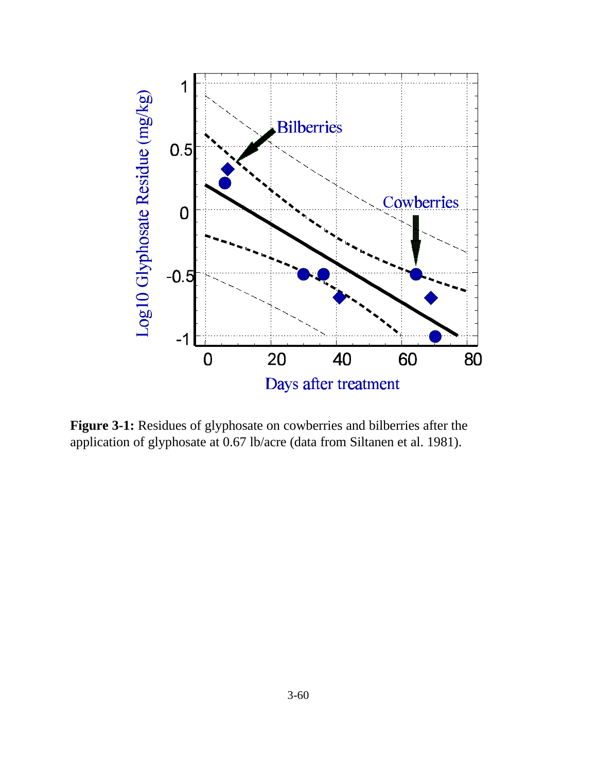

**Figure 3-1:** Residues of glyphosate on cowberries and bilberries after the application of glyphosate at 0.67 lb/acre (data from Siltanen et al. 1981).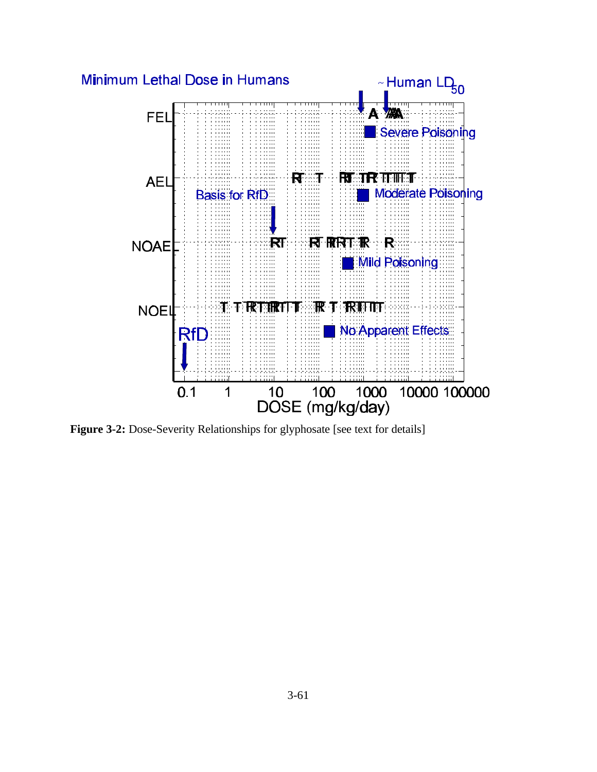

**Figure 3-2:** Dose-Severity Relationships for glyphosate [see text for details]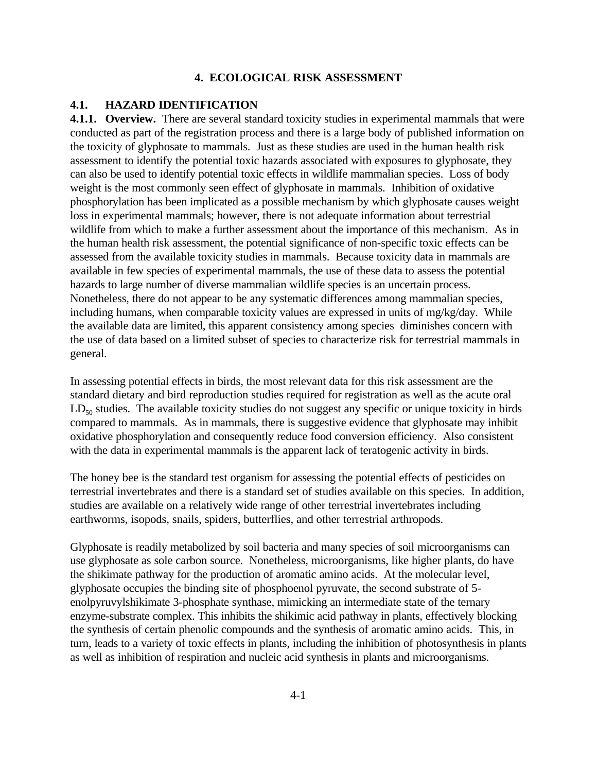### **4. ECOLOGICAL RISK ASSESSMENT**

### **4.1. HAZARD IDENTIFICATION**

**4.1.1. Overview.** There are several standard toxicity studies in experimental mammals that were conducted as part of the registration process and there is a large body of published information on the toxicity of glyphosate to mammals. Just as these studies are used in the human health risk assessment to identify the potential toxic hazards associated with exposures to glyphosate, they can also be used to identify potential toxic effects in wildlife mammalian species. Loss of body weight is the most commonly seen effect of glyphosate in mammals. Inhibition of oxidative phosphorylation has been implicated as a possible mechanism by which glyphosate causes weight loss in experimental mammals; however, there is not adequate information about terrestrial wildlife from which to make a further assessment about the importance of this mechanism. As in the human health risk assessment, the potential significance of non-specific toxic effects can be assessed from the available toxicity studies in mammals. Because toxicity data in mammals are available in few species of experimental mammals, the use of these data to assess the potential hazards to large number of diverse mammalian wildlife species is an uncertain process. Nonetheless, there do not appear to be any systematic differences among mammalian species, including humans, when comparable toxicity values are expressed in units of mg/kg/day. While the available data are limited, this apparent consistency among species diminishes concern with the use of data based on a limited subset of species to characterize risk for terrestrial mammals in general.

In assessing potential effects in birds, the most relevant data for this risk assessment are the standard dietary and bird reproduction studies required for registration as well as the acute oral  $LD_{50}$  studies. The available toxicity studies do not suggest any specific or unique toxicity in birds compared to mammals. As in mammals, there is suggestive evidence that glyphosate may inhibit oxidative phosphorylation and consequently reduce food conversion efficiency. Also consistent with the data in experimental mammals is the apparent lack of teratogenic activity in birds.

The honey bee is the standard test organism for assessing the potential effects of pesticides on terrestrial invertebrates and there is a standard set of studies available on this species. In addition, studies are available on a relatively wide range of other terrestrial invertebrates including earthworms, isopods, snails, spiders, butterflies, and other terrestrial arthropods.

Glyphosate is readily metabolized by soil bacteria and many species of soil microorganisms can use glyphosate as sole carbon source. Nonetheless, microorganisms, like higher plants, do have the shikimate pathway for the production of aromatic amino acids. At the molecular level, glyphosate occupies the binding site of phosphoenol pyruvate, the second substrate of 5 enolpyruvylshikimate 3-phosphate synthase, mimicking an intermediate state of the ternary enzyme-substrate complex. This inhibits the shikimic acid pathway in plants, effectively blocking the synthesis of certain phenolic compounds and the synthesis of aromatic amino acids. This, in turn, leads to a variety of toxic effects in plants, including the inhibition of photosynthesis in plants as well as inhibition of respiration and nucleic acid synthesis in plants and microorganisms.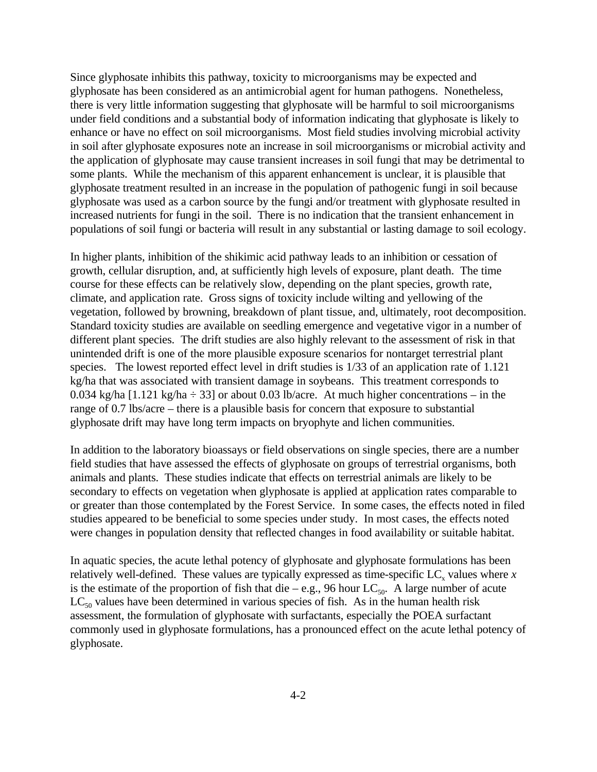Since glyphosate inhibits this pathway, toxicity to microorganisms may be expected and glyphosate has been considered as an antimicrobial agent for human pathogens. Nonetheless, there is very little information suggesting that glyphosate will be harmful to soil microorganisms under field conditions and a substantial body of information indicating that glyphosate is likely to enhance or have no effect on soil microorganisms. Most field studies involving microbial activity in soil after glyphosate exposures note an increase in soil microorganisms or microbial activity and the application of glyphosate may cause transient increases in soil fungi that may be detrimental to some plants. While the mechanism of this apparent enhancement is unclear, it is plausible that glyphosate treatment resulted in an increase in the population of pathogenic fungi in soil because glyphosate was used as a carbon source by the fungi and/or treatment with glyphosate resulted in increased nutrients for fungi in the soil. There is no indication that the transient enhancement in populations of soil fungi or bacteria will result in any substantial or lasting damage to soil ecology.

In higher plants, inhibition of the shikimic acid pathway leads to an inhibition or cessation of growth, cellular disruption, and, at sufficiently high levels of exposure, plant death. The time course for these effects can be relatively slow, depending on the plant species, growth rate, climate, and application rate. Gross signs of toxicity include wilting and yellowing of the vegetation, followed by browning, breakdown of plant tissue, and, ultimately, root decomposition. Standard toxicity studies are available on seedling emergence and vegetative vigor in a number of different plant species. The drift studies are also highly relevant to the assessment of risk in that unintended drift is one of the more plausible exposure scenarios for nontarget terrestrial plant species. The lowest reported effect level in drift studies is 1/33 of an application rate of 1.121 kg/ha that was associated with transient damage in soybeans. This treatment corresponds to 0.034 kg/ha [1.121 kg/ha  $\div$  33] or about 0.03 lb/acre. At much higher concentrations – in the range of 0.7 lbs/acre – there is a plausible basis for concern that exposure to substantial glyphosate drift may have long term impacts on bryophyte and lichen communities.

In addition to the laboratory bioassays or field observations on single species, there are a number field studies that have assessed the effects of glyphosate on groups of terrestrial organisms, both animals and plants. These studies indicate that effects on terrestrial animals are likely to be secondary to effects on vegetation when glyphosate is applied at application rates comparable to or greater than those contemplated by the Forest Service. In some cases, the effects noted in filed studies appeared to be beneficial to some species under study. In most cases, the effects noted were changes in population density that reflected changes in food availability or suitable habitat.

In aquatic species, the acute lethal potency of glyphosate and glyphosate formulations has been relatively well-defined. These values are typically expressed as time-specific  $LC_{x}$  values where  $x$ is the estimate of the proportion of fish that die – e.g., 96 hour  $LC_{50}$ . A large number of acute  $LC_{50}$  values have been determined in various species of fish. As in the human health risk assessment, the formulation of glyphosate with surfactants, especially the POEA surfactant commonly used in glyphosate formulations, has a pronounced effect on the acute lethal potency of glyphosate.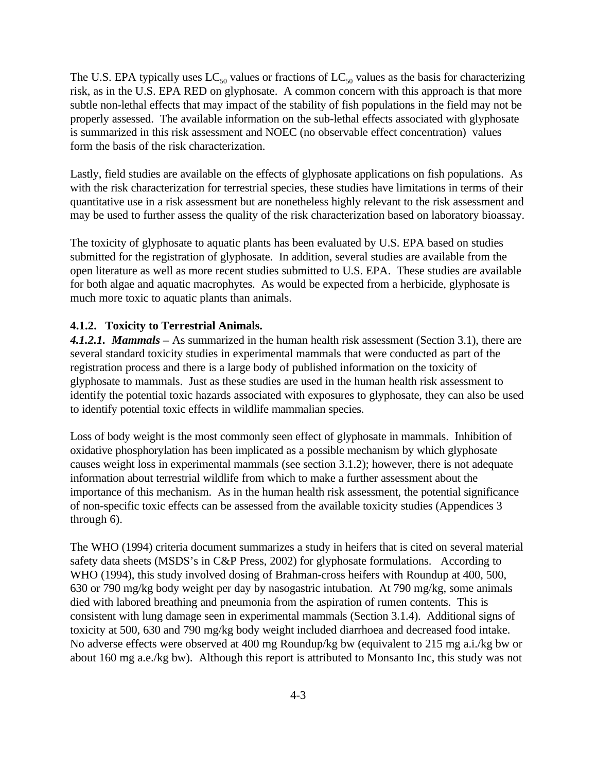The U.S. EPA typically uses  $LC_{50}$  values or fractions of  $LC_{50}$  values as the basis for characterizing risk, as in the U.S. EPA RED on glyphosate. A common concern with this approach is that more subtle non-lethal effects that may impact of the stability of fish populations in the field may not be properly assessed. The available information on the sub-lethal effects associated with glyphosate is summarized in this risk assessment and NOEC (no observable effect concentration) values form the basis of the risk characterization.

Lastly, field studies are available on the effects of glyphosate applications on fish populations. As with the risk characterization for terrestrial species, these studies have limitations in terms of their quantitative use in a risk assessment but are nonetheless highly relevant to the risk assessment and may be used to further assess the quality of the risk characterization based on laboratory bioassay.

The toxicity of glyphosate to aquatic plants has been evaluated by U.S. EPA based on studies submitted for the registration of glyphosate. In addition, several studies are available from the open literature as well as more recent studies submitted to U.S. EPA. These studies are available for both algae and aquatic macrophytes. As would be expected from a herbicide, glyphosate is much more toxic to aquatic plants than animals.

#### **4.1.2. Toxicity to Terrestrial Animals.**

*4.1.2.1. Mammals –* As summarized in the human health risk assessment (Section 3.1), there are several standard toxicity studies in experimental mammals that were conducted as part of the registration process and there is a large body of published information on the toxicity of glyphosate to mammals. Just as these studies are used in the human health risk assessment to identify the potential toxic hazards associated with exposures to glyphosate, they can also be used to identify potential toxic effects in wildlife mammalian species.

Loss of body weight is the most commonly seen effect of glyphosate in mammals. Inhibition of oxidative phosphorylation has been implicated as a possible mechanism by which glyphosate causes weight loss in experimental mammals (see section 3.1.2); however, there is not adequate information about terrestrial wildlife from which to make a further assessment about the importance of this mechanism. As in the human health risk assessment, the potential significance of non-specific toxic effects can be assessed from the available toxicity studies (Appendices 3 through 6).

The WHO (1994) criteria document summarizes a study in heifers that is cited on several material safety data sheets (MSDS's in C&P Press, 2002) for glyphosate formulations. According to WHO (1994), this study involved dosing of Brahman-cross heifers with Roundup at 400, 500, 630 or 790 mg/kg body weight per day by nasogastric intubation. At 790 mg/kg, some animals died with labored breathing and pneumonia from the aspiration of rumen contents. This is consistent with lung damage seen in experimental mammals (Section 3.1.4). Additional signs of toxicity at 500, 630 and 790 mg/kg body weight included diarrhoea and decreased food intake. No adverse effects were observed at 400 mg Roundup/kg bw (equivalent to 215 mg a.i./kg bw or about 160 mg a.e./kg bw). Although this report is attributed to Monsanto Inc, this study was not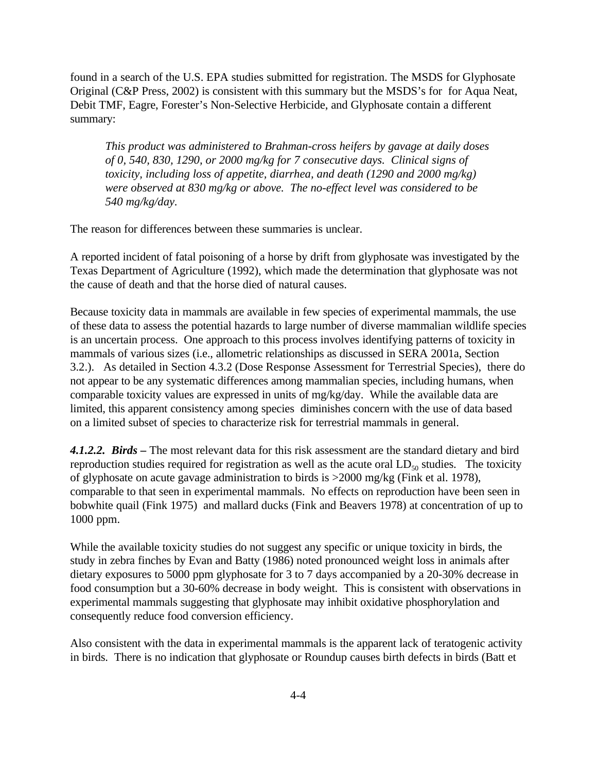found in a search of the U.S. EPA studies submitted for registration. The MSDS for Glyphosate Original (C&P Press, 2002) is consistent with this summary but the MSDS's for for Aqua Neat, Debit TMF, Eagre, Forester's Non-Selective Herbicide, and Glyphosate contain a different summary:

*This product was administered to Brahman-cross heifers by gavage at daily doses of 0, 540, 830, 1290, or 2000 mg/kg for 7 consecutive days. Clinical signs of toxicity, including loss of appetite, diarrhea, and death (1290 and 2000 mg/kg) were observed at 830 mg/kg or above. The no-effect level was considered to be 540 mg/kg/day.*

The reason for differences between these summaries is unclear.

A reported incident of fatal poisoning of a horse by drift from glyphosate was investigated by the Texas Department of Agriculture (1992), which made the determination that glyphosate was not the cause of death and that the horse died of natural causes.

Because toxicity data in mammals are available in few species of experimental mammals, the use of these data to assess the potential hazards to large number of diverse mammalian wildlife species is an uncertain process. One approach to this process involves identifying patterns of toxicity in mammals of various sizes (i.e., allometric relationships as discussed in SERA 2001a, Section 3.2.). As detailed in Section 4.3.2 (Dose Response Assessment for Terrestrial Species), there do not appear to be any systematic differences among mammalian species, including humans, when comparable toxicity values are expressed in units of mg/kg/day. While the available data are limited, this apparent consistency among species diminishes concern with the use of data based on a limited subset of species to characterize risk for terrestrial mammals in general.

*4.1.2.2. Birds –* The most relevant data for this risk assessment are the standard dietary and bird reproduction studies required for registration as well as the acute oral  $LD_{50}$  studies. The toxicity of glyphosate on acute gavage administration to birds is >2000 mg/kg (Fink et al. 1978), comparable to that seen in experimental mammals. No effects on reproduction have been seen in bobwhite quail (Fink 1975) and mallard ducks (Fink and Beavers 1978) at concentration of up to 1000 ppm.

While the available toxicity studies do not suggest any specific or unique toxicity in birds, the study in zebra finches by Evan and Batty (1986) noted pronounced weight loss in animals after dietary exposures to 5000 ppm glyphosate for 3 to 7 days accompanied by a 20-30% decrease in food consumption but a 30-60% decrease in body weight. This is consistent with observations in experimental mammals suggesting that glyphosate may inhibit oxidative phosphorylation and consequently reduce food conversion efficiency.

Also consistent with the data in experimental mammals is the apparent lack of teratogenic activity in birds. There is no indication that glyphosate or Roundup causes birth defects in birds (Batt et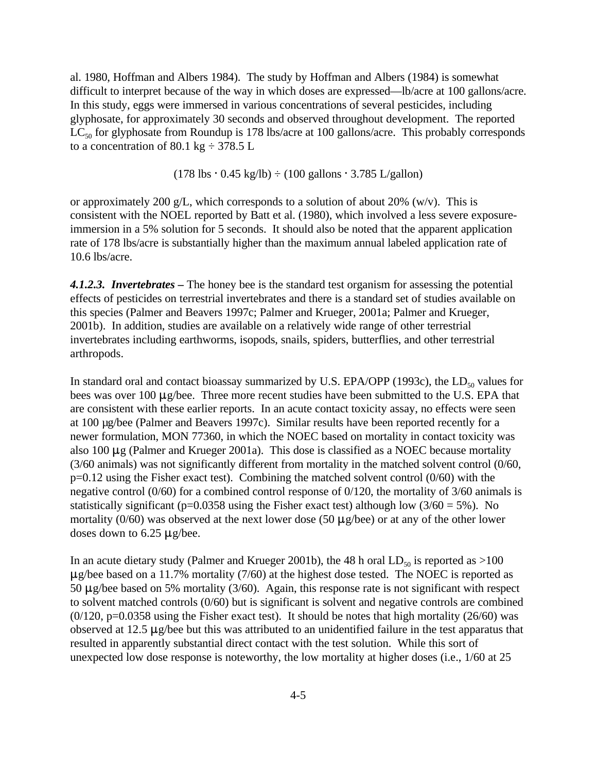al. 1980, Hoffman and Albers 1984). The study by Hoffman and Albers (1984) is somewhat difficult to interpret because of the way in which doses are expressed—lb/acre at 100 gallons/acre. In this study, eggs were immersed in various concentrations of several pesticides, including glyphosate, for approximately 30 seconds and observed throughout development. The reported  $LC_{50}$  for glyphosate from Roundup is 178 lbs/acre at 100 gallons/acre. This probably corresponds to a concentration of 80.1 kg  $\div$  378.5 L

 $(178 \text{ lbs} \cdot 0.45 \text{ kg/lb}) \div (100 \text{ gallons} \cdot 3.785 \text{ L/gallon})$ 

or approximately 200 g/L, which corresponds to a solution of about 20% (w/v). This is consistent with the NOEL reported by Batt et al. (1980), which involved a less severe exposureimmersion in a 5% solution for 5 seconds. It should also be noted that the apparent application rate of 178 lbs/acre is substantially higher than the maximum annual labeled application rate of 10.6 lbs/acre.

*4.1.2.3. Invertebrates –* The honey bee is the standard test organism for assessing the potential effects of pesticides on terrestrial invertebrates and there is a standard set of studies available on this species (Palmer and Beavers 1997c; Palmer and Krueger, 2001a; Palmer and Krueger, 2001b). In addition, studies are available on a relatively wide range of other terrestrial invertebrates including earthworms, isopods, snails, spiders, butterflies, and other terrestrial arthropods.

In standard oral and contact bioassay summarized by U.S. EPA/OPP (1993c), the  $LD_{50}$  values for bees was over 100  $\mu$ g/bee. Three more recent studies have been submitted to the U.S. EPA that are consistent with these earlier reports. In an acute contact toxicity assay, no effects were seen at 100 µg/bee (Palmer and Beavers 1997c). Similar results have been reported recently for a newer formulation, MON 77360, in which the NOEC based on mortality in contact toxicity was also 100  $\mu$ g (Palmer and Krueger 2001a). This dose is classified as a NOEC because mortality (3/60 animals) was not significantly different from mortality in the matched solvent control (0/60, p=0.12 using the Fisher exact test). Combining the matched solvent control (0/60) with the negative control (0/60) for a combined control response of 0/120, the mortality of 3/60 animals is statistically significant (p=0.0358 using the Fisher exact test) although low  $(3/60 = 5\%)$ . No mortality (0/60) was observed at the next lower dose (50  $\mu$ g/bee) or at any of the other lower doses down to  $6.25 \mu$ g/bee.

In an acute dietary study (Palmer and Krueger 2001b), the 48 h oral  $LD_{50}$  is reported as >100  $\mu$ g/bee based on a 11.7% mortality (7/60) at the highest dose tested. The NOEC is reported as 50  $\mu$ g/bee based on 5% mortality (3/60). Again, this response rate is not significant with respect to solvent matched controls (0/60) but is significant is solvent and negative controls are combined  $(0/120, p=0.0358$  using the Fisher exact test). It should be notes that high mortality  $(26/60)$  was observed at 12.5  $\mu$ g/bee but this was attributed to an unidentified failure in the test apparatus that resulted in apparently substantial direct contact with the test solution. While this sort of unexpected low dose response is noteworthy, the low mortality at higher doses (i.e., 1/60 at 25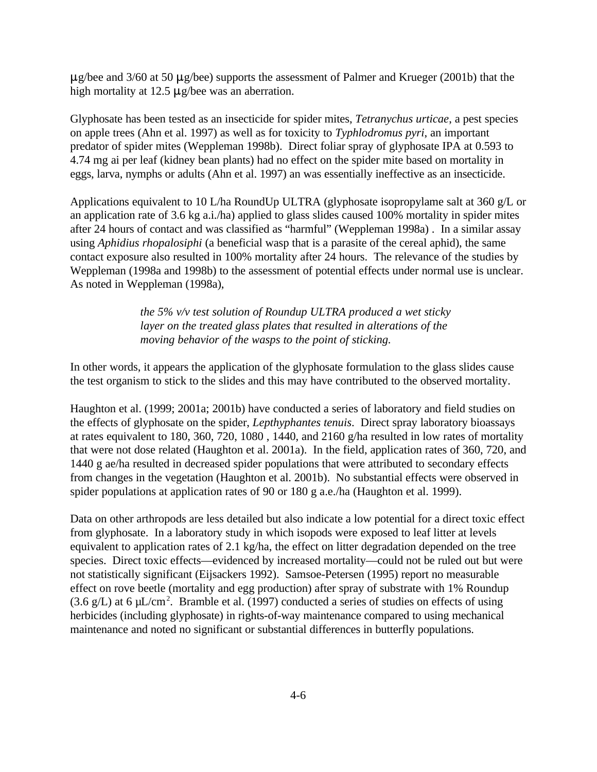$\mu$ g/bee and 3/60 at 50  $\mu$ g/bee) supports the assessment of Palmer and Krueger (2001b) that the high mortality at 12.5  $\mu$ g/bee was an aberration.

Glyphosate has been tested as an insecticide for spider mites, *Tetranychus urticae*, a pest species on apple trees (Ahn et al. 1997) as well as for toxicity to *Typhlodromus pyri*, an important predator of spider mites (Weppleman 1998b). Direct foliar spray of glyphosate IPA at 0.593 to 4.74 mg ai per leaf (kidney bean plants) had no effect on the spider mite based on mortality in eggs, larva, nymphs or adults (Ahn et al. 1997) an was essentially ineffective as an insecticide.

Applications equivalent to 10 L/ha RoundUp ULTRA (glyphosate isopropylame salt at 360 g/L or an application rate of 3.6 kg a.i./ha) applied to glass slides caused 100% mortality in spider mites after 24 hours of contact and was classified as "harmful" (Weppleman 1998a) . In a similar assay using *Aphidius rhopalosiphi* (a beneficial wasp that is a parasite of the cereal aphid), the same contact exposure also resulted in 100% mortality after 24 hours. The relevance of the studies by Weppleman (1998a and 1998b) to the assessment of potential effects under normal use is unclear. As noted in Weppleman (1998a),

> *the 5% v/v test solution of Roundup ULTRA produced a wet sticky layer on the treated glass plates that resulted in alterations of the moving behavior of the wasps to the point of sticking.*

In other words, it appears the application of the glyphosate formulation to the glass slides cause the test organism to stick to the slides and this may have contributed to the observed mortality.

Haughton et al. (1999; 2001a; 2001b) have conducted a series of laboratory and field studies on the effects of glyphosate on the spider, *Lepthyphantes tenuis*. Direct spray laboratory bioassays at rates equivalent to 180, 360, 720, 1080 , 1440, and 2160 g/ha resulted in low rates of mortality that were not dose related (Haughton et al. 2001a). In the field, application rates of 360, 720, and 1440 g ae/ha resulted in decreased spider populations that were attributed to secondary effects from changes in the vegetation (Haughton et al. 2001b). No substantial effects were observed in spider populations at application rates of 90 or 180 g a.e./ha (Haughton et al. 1999).

Data on other arthropods are less detailed but also indicate a low potential for a direct toxic effect from glyphosate. In a laboratory study in which isopods were exposed to leaf litter at levels equivalent to application rates of 2.1 kg/ha, the effect on litter degradation depended on the tree species. Direct toxic effects—evidenced by increased mortality—could not be ruled out but were not statistically significant (Eijsackers 1992). Samsoe-Petersen (1995) report no measurable effect on rove beetle (mortality and egg production) after spray of substrate with 1% Roundup (3.6 g/L) at 6  $\mu$ L/cm<sup>2</sup>. Bramble et al. (1997) conducted a series of studies on effects of using herbicides (including glyphosate) in rights-of-way maintenance compared to using mechanical maintenance and noted no significant or substantial differences in butterfly populations.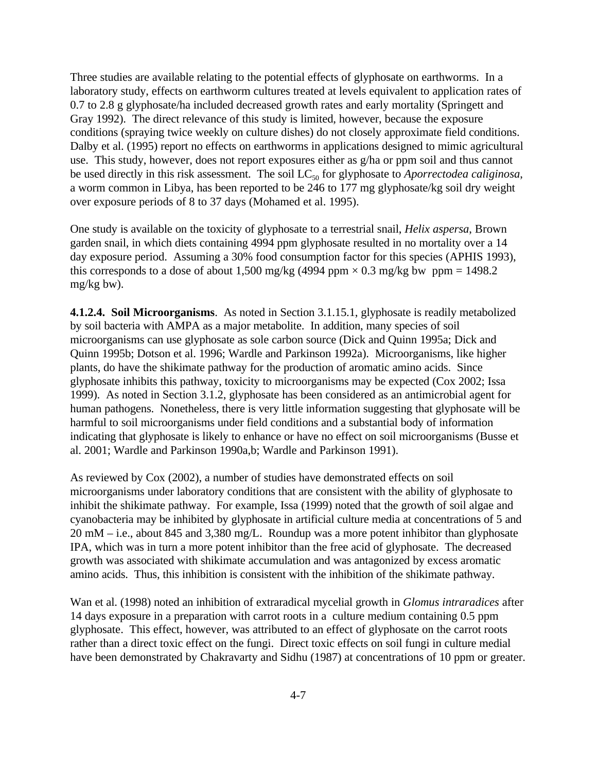Three studies are available relating to the potential effects of glyphosate on earthworms. In a laboratory study, effects on earthworm cultures treated at levels equivalent to application rates of 0.7 to 2.8 g glyphosate/ha included decreased growth rates and early mortality (Springett and Gray 1992). The direct relevance of this study is limited, however, because the exposure conditions (spraying twice weekly on culture dishes) do not closely approximate field conditions. Dalby et al. (1995) report no effects on earthworms in applications designed to mimic agricultural use. This study, however, does not report exposures either as g/ha or ppm soil and thus cannot be used directly in this risk assessment. The soil LC<sub>50</sub> for glyphosate to *Aporrectodea caliginosa*, a worm common in Libya, has been reported to be 246 to 177 mg glyphosate/kg soil dry weight over exposure periods of 8 to 37 days (Mohamed et al. 1995).

One study is available on the toxicity of glyphosate to a terrestrial snail, *Helix aspersa*, Brown garden snail, in which diets containing 4994 ppm glyphosate resulted in no mortality over a 14 day exposure period. Assuming a 30% food consumption factor for this species (APHIS 1993), this corresponds to a dose of about 1,500 mg/kg (4994 ppm  $\times$  0.3 mg/kg bw ppm = 1498.2 mg/kg bw).

**4.1.2.4. Soil Microorganisms**. As noted in Section 3.1.15.1, glyphosate is readily metabolized by soil bacteria with AMPA as a major metabolite. In addition, many species of soil microorganisms can use glyphosate as sole carbon source (Dick and Quinn 1995a; Dick and Quinn 1995b; Dotson et al. 1996; Wardle and Parkinson 1992a). Microorganisms, like higher plants, do have the shikimate pathway for the production of aromatic amino acids. Since glyphosate inhibits this pathway, toxicity to microorganisms may be expected (Cox 2002; Issa 1999). As noted in Section 3.1.2, glyphosate has been considered as an antimicrobial agent for human pathogens. Nonetheless, there is very little information suggesting that glyphosate will be harmful to soil microorganisms under field conditions and a substantial body of information indicating that glyphosate is likely to enhance or have no effect on soil microorganisms (Busse et al. 2001; Wardle and Parkinson 1990a,b; Wardle and Parkinson 1991).

As reviewed by Cox (2002), a number of studies have demonstrated effects on soil microorganisms under laboratory conditions that are consistent with the ability of glyphosate to inhibit the shikimate pathway. For example, Issa (1999) noted that the growth of soil algae and cyanobacteria may be inhibited by glyphosate in artificial culture media at concentrations of 5 and 20 mM – i.e., about 845 and 3,380 mg/L. Roundup was a more potent inhibitor than glyphosate IPA, which was in turn a more potent inhibitor than the free acid of glyphosate. The decreased growth was associated with shikimate accumulation and was antagonized by excess aromatic amino acids. Thus, this inhibition is consistent with the inhibition of the shikimate pathway.

Wan et al. (1998) noted an inhibition of extraradical mycelial growth in *Glomus intraradices* after 14 days exposure in a preparation with carrot roots in a culture medium containing 0.5 ppm glyphosate. This effect, however, was attributed to an effect of glyphosate on the carrot roots rather than a direct toxic effect on the fungi. Direct toxic effects on soil fungi in culture medial have been demonstrated by Chakravarty and Sidhu (1987) at concentrations of 10 ppm or greater.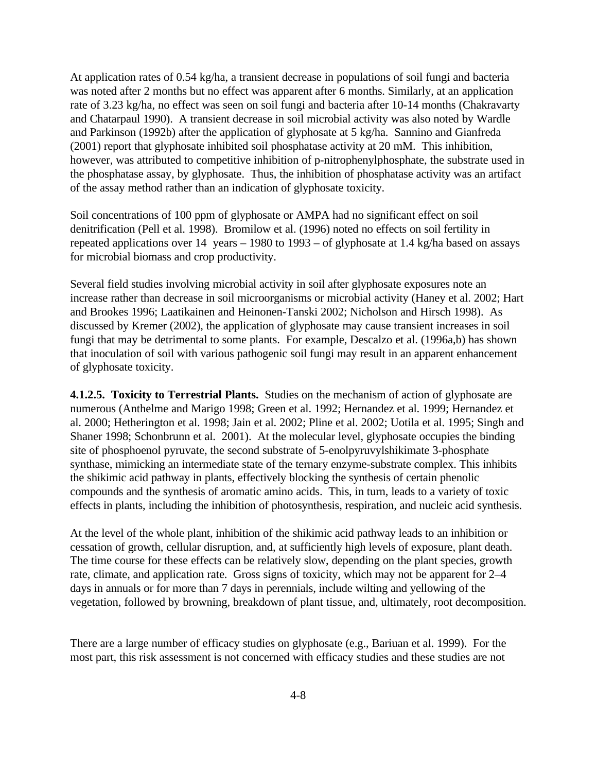At application rates of 0.54 kg/ha, a transient decrease in populations of soil fungi and bacteria was noted after 2 months but no effect was apparent after 6 months. Similarly, at an application rate of 3.23 kg/ha, no effect was seen on soil fungi and bacteria after 10-14 months (Chakravarty and Chatarpaul 1990). A transient decrease in soil microbial activity was also noted by Wardle and Parkinson (1992b) after the application of glyphosate at 5 kg/ha. Sannino and Gianfreda (2001) report that glyphosate inhibited soil phosphatase activity at 20 mM. This inhibition, however, was attributed to competitive inhibition of p-nitrophenylphosphate, the substrate used in the phosphatase assay, by glyphosate. Thus, the inhibition of phosphatase activity was an artifact of the assay method rather than an indication of glyphosate toxicity.

Soil concentrations of 100 ppm of glyphosate or AMPA had no significant effect on soil denitrification (Pell et al. 1998). Bromilow et al. (1996) noted no effects on soil fertility in repeated applications over 14 years – 1980 to 1993 – of glyphosate at 1.4 kg/ha based on assays for microbial biomass and crop productivity.

Several field studies involving microbial activity in soil after glyphosate exposures note an increase rather than decrease in soil microorganisms or microbial activity (Haney et al. 2002; Hart and Brookes 1996; Laatikainen and Heinonen-Tanski 2002; Nicholson and Hirsch 1998). As discussed by Kremer (2002), the application of glyphosate may cause transient increases in soil fungi that may be detrimental to some plants. For example, Descalzo et al. (1996a,b) has shown that inoculation of soil with various pathogenic soil fungi may result in an apparent enhancement of glyphosate toxicity.

**4.1.2.5. Toxicity to Terrestrial Plants.** Studies on the mechanism of action of glyphosate are numerous (Anthelme and Marigo 1998; Green et al. 1992; Hernandez et al. 1999; Hernandez et al. 2000; Hetherington et al. 1998; Jain et al. 2002; Pline et al. 2002; Uotila et al. 1995; Singh and Shaner 1998; Schonbrunn et al. 2001). At the molecular level, glyphosate occupies the binding site of phosphoenol pyruvate, the second substrate of 5-enolpyruvylshikimate 3-phosphate synthase, mimicking an intermediate state of the ternary enzyme-substrate complex. This inhibits the shikimic acid pathway in plants, effectively blocking the synthesis of certain phenolic compounds and the synthesis of aromatic amino acids. This, in turn, leads to a variety of toxic effects in plants, including the inhibition of photosynthesis, respiration, and nucleic acid synthesis.

At the level of the whole plant, inhibition of the shikimic acid pathway leads to an inhibition or cessation of growth, cellular disruption, and, at sufficiently high levels of exposure, plant death. The time course for these effects can be relatively slow, depending on the plant species, growth rate, climate, and application rate. Gross signs of toxicity, which may not be apparent for 2–4 days in annuals or for more than 7 days in perennials, include wilting and yellowing of the vegetation, followed by browning, breakdown of plant tissue, and, ultimately, root decomposition.

There are a large number of efficacy studies on glyphosate (e.g., Bariuan et al. 1999). For the most part, this risk assessment is not concerned with efficacy studies and these studies are not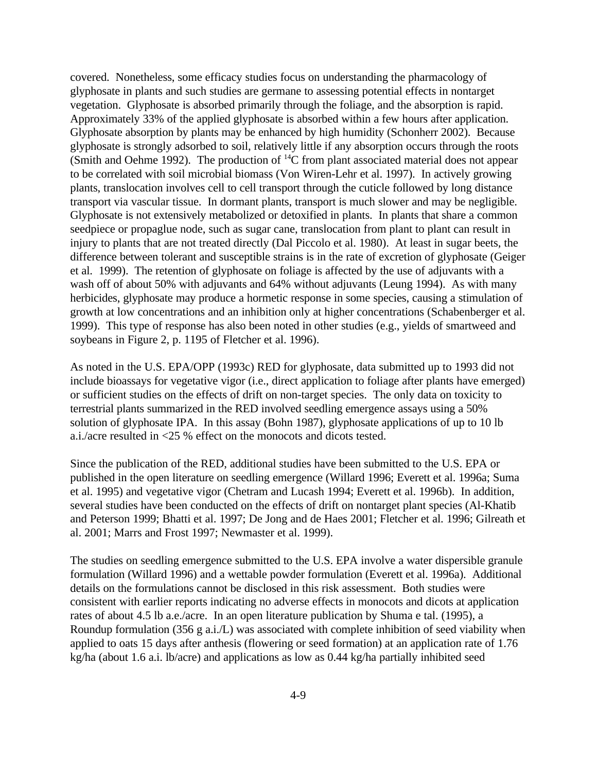covered. Nonetheless, some efficacy studies focus on understanding the pharmacology of glyphosate in plants and such studies are germane to assessing potential effects in nontarget vegetation. Glyphosate is absorbed primarily through the foliage, and the absorption is rapid. Approximately 33% of the applied glyphosate is absorbed within a few hours after application. Glyphosate absorption by plants may be enhanced by high humidity (Schonherr 2002). Because glyphosate is strongly adsorbed to soil, relatively little if any absorption occurs through the roots (Smith and Oehme 1992). The production of  ${}^{14}C$  from plant associated material does not appear to be correlated with soil microbial biomass (Von Wiren-Lehr et al. 1997). In actively growing plants, translocation involves cell to cell transport through the cuticle followed by long distance transport via vascular tissue. In dormant plants, transport is much slower and may be negligible. Glyphosate is not extensively metabolized or detoxified in plants. In plants that share a common seedpiece or propaglue node, such as sugar cane, translocation from plant to plant can result in injury to plants that are not treated directly (Dal Piccolo et al. 1980). At least in sugar beets, the difference between tolerant and susceptible strains is in the rate of excretion of glyphosate (Geiger et al. 1999). The retention of glyphosate on foliage is affected by the use of adjuvants with a wash off of about 50% with adjuvants and 64% without adjuvants (Leung 1994). As with many herbicides, glyphosate may produce a hormetic response in some species, causing a stimulation of growth at low concentrations and an inhibition only at higher concentrations (Schabenberger et al. 1999). This type of response has also been noted in other studies (e.g., yields of smartweed and soybeans in Figure 2, p. 1195 of Fletcher et al. 1996).

As noted in the U.S. EPA/OPP (1993c) RED for glyphosate, data submitted up to 1993 did not include bioassays for vegetative vigor (i.e., direct application to foliage after plants have emerged) or sufficient studies on the effects of drift on non-target species. The only data on toxicity to terrestrial plants summarized in the RED involved seedling emergence assays using a 50% solution of glyphosate IPA. In this assay (Bohn 1987), glyphosate applications of up to 10 lb a.i./acre resulted in <25 % effect on the monocots and dicots tested.

Since the publication of the RED, additional studies have been submitted to the U.S. EPA or published in the open literature on seedling emergence (Willard 1996; Everett et al. 1996a; Suma et al. 1995) and vegetative vigor (Chetram and Lucash 1994; Everett et al. 1996b). In addition, several studies have been conducted on the effects of drift on nontarget plant species (Al-Khatib and Peterson 1999; Bhatti et al. 1997; De Jong and de Haes 2001; Fletcher et al. 1996; Gilreath et al. 2001; Marrs and Frost 1997; Newmaster et al. 1999).

The studies on seedling emergence submitted to the U.S. EPA involve a water dispersible granule formulation (Willard 1996) and a wettable powder formulation (Everett et al. 1996a). Additional details on the formulations cannot be disclosed in this risk assessment. Both studies were consistent with earlier reports indicating no adverse effects in monocots and dicots at application rates of about 4.5 lb a.e./acre. In an open literature publication by Shuma e tal. (1995), a Roundup formulation (356 g a.i./L) was associated with complete inhibition of seed viability when applied to oats 15 days after anthesis (flowering or seed formation) at an application rate of 1.76 kg/ha (about 1.6 a.i. lb/acre) and applications as low as 0.44 kg/ha partially inhibited seed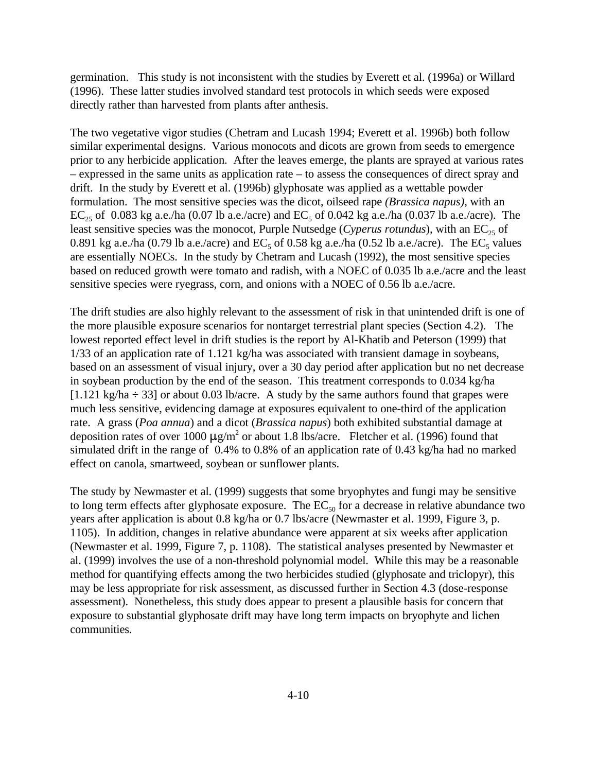germination. This study is not inconsistent with the studies by Everett et al. (1996a) or Willard (1996). These latter studies involved standard test protocols in which seeds were exposed directly rather than harvested from plants after anthesis.

The two vegetative vigor studies (Chetram and Lucash 1994; Everett et al. 1996b) both follow similar experimental designs. Various monocots and dicots are grown from seeds to emergence prior to any herbicide application. After the leaves emerge, the plants are sprayed at various rates – expressed in the same units as application rate – to assess the consequences of direct spray and drift. In the study by Everett et al. (1996b) glyphosate was applied as a wettable powder formulation. The most sensitive species was the dicot, oilseed rape *(Brassica napus)*, with an  $EC_{25}$  of 0.083 kg a.e./ha (0.07 lb a.e./acre) and  $EC_5$  of 0.042 kg a.e./ha (0.037 lb a.e./acre). The least sensitive species was the monocot, Purple Nutsedge (*Cyperus rotundus*), with an EC<sub>25</sub> of 0.891 kg a.e./ha (0.79 lb a.e./acre) and  $EC_5$  of 0.58 kg a.e./ha (0.52 lb a.e./acre). The  $EC_5$  values are essentially NOECs. In the study by Chetram and Lucash (1992), the most sensitive species based on reduced growth were tomato and radish, with a NOEC of 0.035 lb a.e./acre and the least sensitive species were ryegrass, corn, and onions with a NOEC of 0.56 lb a.e./acre.

The drift studies are also highly relevant to the assessment of risk in that unintended drift is one of the more plausible exposure scenarios for nontarget terrestrial plant species (Section 4.2). The lowest reported effect level in drift studies is the report by Al-Khatib and Peterson (1999) that 1/33 of an application rate of 1.121 kg/ha was associated with transient damage in soybeans, based on an assessment of visual injury, over a 30 day period after application but no net decrease in soybean production by the end of the season. This treatment corresponds to 0.034 kg/ha [1.121 kg/ha  $\div$  33] or about 0.03 lb/acre. A study by the same authors found that grapes were much less sensitive, evidencing damage at exposures equivalent to one-third of the application rate. A grass (*Poa annua*) and a dicot (*Brassica napus*) both exhibited substantial damage at deposition rates of over 1000  $\mu$ g/m<sup>2</sup> or about 1.8 lbs/acre. Fletcher et al. (1996) found that simulated drift in the range of 0.4% to 0.8% of an application rate of 0.43 kg/ha had no marked effect on canola, smartweed, soybean or sunflower plants.

The study by Newmaster et al. (1999) suggests that some bryophytes and fungi may be sensitive to long term effects after glyphosate exposure. The  $EC_{50}$  for a decrease in relative abundance two years after application is about 0.8 kg/ha or 0.7 lbs/acre (Newmaster et al. 1999, Figure 3, p. 1105). In addition, changes in relative abundance were apparent at six weeks after application (Newmaster et al. 1999, Figure 7, p. 1108). The statistical analyses presented by Newmaster et al. (1999) involves the use of a non-threshold polynomial model. While this may be a reasonable method for quantifying effects among the two herbicides studied (glyphosate and triclopyr), this may be less appropriate for risk assessment, as discussed further in Section 4.3 (dose-response assessment). Nonetheless, this study does appear to present a plausible basis for concern that exposure to substantial glyphosate drift may have long term impacts on bryophyte and lichen communities.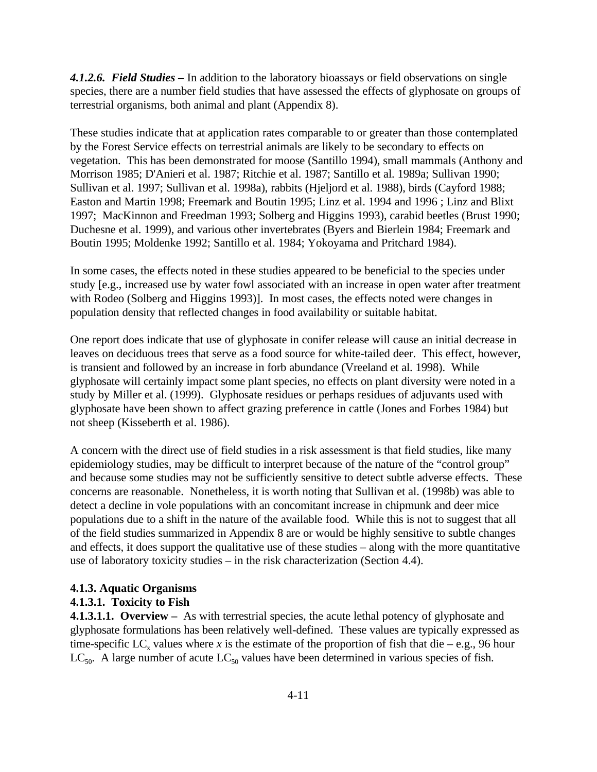*4.1.2.6. Field Studies –* In addition to the laboratory bioassays or field observations on single species, there are a number field studies that have assessed the effects of glyphosate on groups of terrestrial organisms, both animal and plant (Appendix 8).

These studies indicate that at application rates comparable to or greater than those contemplated by the Forest Service effects on terrestrial animals are likely to be secondary to effects on vegetation. This has been demonstrated for moose (Santillo 1994), small mammals (Anthony and Morrison 1985; D'Anieri et al. 1987; Ritchie et al. 1987; Santillo et al. 1989a; Sullivan 1990; Sullivan et al. 1997; Sullivan et al. 1998a), rabbits (Hjeljord et al. 1988), birds (Cayford 1988; Easton and Martin 1998; Freemark and Boutin 1995; Linz et al. 1994 and 1996 ; Linz and Blixt 1997; MacKinnon and Freedman 1993; Solberg and Higgins 1993), carabid beetles (Brust 1990; Duchesne et al. 1999), and various other invertebrates (Byers and Bierlein 1984; Freemark and Boutin 1995; Moldenke 1992; Santillo et al. 1984; Yokoyama and Pritchard 1984).

In some cases, the effects noted in these studies appeared to be beneficial to the species under study [e.g., increased use by water fowl associated with an increase in open water after treatment with Rodeo (Solberg and Higgins 1993)]. In most cases, the effects noted were changes in population density that reflected changes in food availability or suitable habitat.

One report does indicate that use of glyphosate in conifer release will cause an initial decrease in leaves on deciduous trees that serve as a food source for white-tailed deer. This effect, however, is transient and followed by an increase in forb abundance (Vreeland et al. 1998). While glyphosate will certainly impact some plant species, no effects on plant diversity were noted in a study by Miller et al. (1999). Glyphosate residues or perhaps residues of adjuvants used with glyphosate have been shown to affect grazing preference in cattle (Jones and Forbes 1984) but not sheep (Kisseberth et al. 1986).

A concern with the direct use of field studies in a risk assessment is that field studies, like many epidemiology studies, may be difficult to interpret because of the nature of the "control group" and because some studies may not be sufficiently sensitive to detect subtle adverse effects. These concerns are reasonable. Nonetheless, it is worth noting that Sullivan et al. (1998b) was able to detect a decline in vole populations with an concomitant increase in chipmunk and deer mice populations due to a shift in the nature of the available food. While this is not to suggest that all of the field studies summarized in Appendix 8 are or would be highly sensitive to subtle changes and effects, it does support the qualitative use of these studies – along with the more quantitative use of laboratory toxicity studies – in the risk characterization (Section 4.4).

### **4.1.3. Aquatic Organisms**

### **4.1.3.1. Toxicity to Fish**

**4.1.3.1.1. Overview –** As with terrestrial species, the acute lethal potency of glyphosate and glyphosate formulations has been relatively well-defined. These values are typically expressed as time-specific LC<sub>x</sub> values where *x* is the estimate of the proportion of fish that die – e.g., 96 hour  $LC_{50}$ . A large number of acute  $LC_{50}$  values have been determined in various species of fish.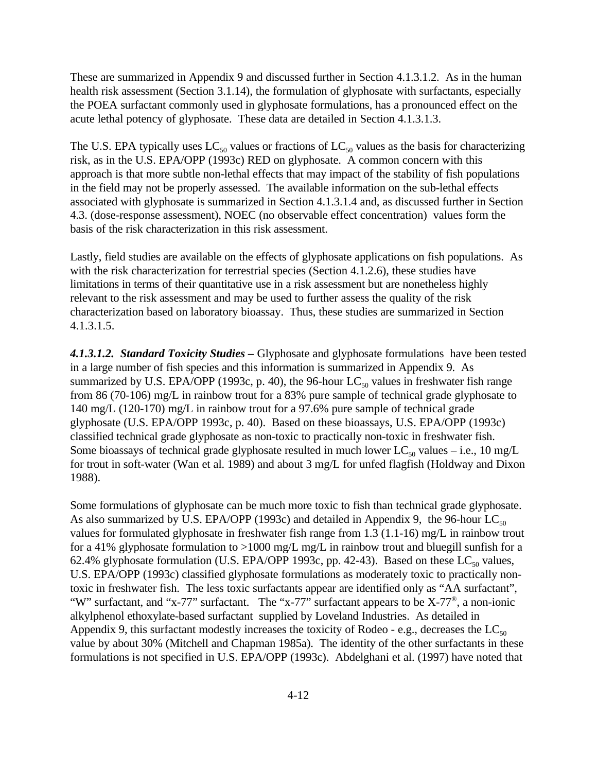These are summarized in Appendix 9 and discussed further in Section 4.1.3.1.2. As in the human health risk assessment (Section 3.1.14), the formulation of glyphosate with surfactants, especially the POEA surfactant commonly used in glyphosate formulations, has a pronounced effect on the acute lethal potency of glyphosate. These data are detailed in Section 4.1.3.1.3.

The U.S. EPA typically uses  $LC_{50}$  values or fractions of  $LC_{50}$  values as the basis for characterizing risk, as in the U.S. EPA/OPP (1993c) RED on glyphosate. A common concern with this approach is that more subtle non-lethal effects that may impact of the stability of fish populations in the field may not be properly assessed. The available information on the sub-lethal effects associated with glyphosate is summarized in Section 4.1.3.1.4 and, as discussed further in Section 4.3. (dose-response assessment), NOEC (no observable effect concentration) values form the basis of the risk characterization in this risk assessment.

Lastly, field studies are available on the effects of glyphosate applications on fish populations. As with the risk characterization for terrestrial species (Section 4.1.2.6), these studies have limitations in terms of their quantitative use in a risk assessment but are nonetheless highly relevant to the risk assessment and may be used to further assess the quality of the risk characterization based on laboratory bioassay. Thus, these studies are summarized in Section 4.1.3.1.5.

*4.1.3.1.2. Standard Toxicity Studies –* Glyphosate and glyphosate formulations have been tested in a large number of fish species and this information is summarized in Appendix 9. As summarized by U.S. EPA/OPP (1993c, p. 40), the 96-hour  $LC_{50}$  values in freshwater fish range from 86 (70-106) mg/L in rainbow trout for a 83% pure sample of technical grade glyphosate to 140 mg/L (120-170) mg/L in rainbow trout for a 97.6% pure sample of technical grade glyphosate (U.S. EPA/OPP 1993c, p. 40). Based on these bioassays, U.S. EPA/OPP (1993c) classified technical grade glyphosate as non-toxic to practically non-toxic in freshwater fish. Some bioassays of technical grade glyphosate resulted in much lower  $LC_{50}$  values – i.e., 10 mg/L for trout in soft-water (Wan et al. 1989) and about 3 mg/L for unfed flagfish (Holdway and Dixon 1988).

Some formulations of glyphosate can be much more toxic to fish than technical grade glyphosate. As also summarized by U.S. EPA/OPP (1993c) and detailed in Appendix 9, the 96-hour  $LC_{50}$ values for formulated glyphosate in freshwater fish range from 1.3 (1.1-16) mg/L in rainbow trout for a 41% glyphosate formulation to >1000 mg/L mg/L in rainbow trout and bluegill sunfish for a 62.4% glyphosate formulation (U.S. EPA/OPP 1993c, pp. 42-43). Based on these  $LC_{50}$  values, U.S. EPA/OPP (1993c) classified glyphosate formulations as moderately toxic to practically nontoxic in freshwater fish. The less toxic surfactants appear are identified only as "AA surfactant", "W" surfactant, and "x-77" surfactant. The "x-77" surfactant appears to be  $X-77^\circ$ , a non-ionic alkylphenol ethoxylate-based surfactant supplied by Loveland Industries. As detailed in Appendix 9, this surfactant modestly increases the toxicity of Rodeo - e.g., decreases the  $LC_{50}$ value by about 30% (Mitchell and Chapman 1985a). The identity of the other surfactants in these formulations is not specified in U.S. EPA/OPP (1993c). Abdelghani et al. (1997) have noted that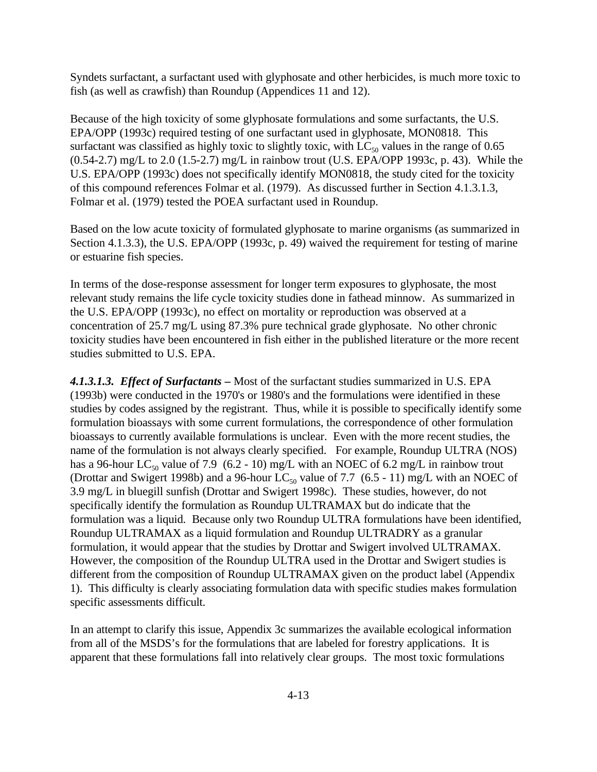Syndets surfactant, a surfactant used with glyphosate and other herbicides, is much more toxic to fish (as well as crawfish) than Roundup (Appendices 11 and 12).

Because of the high toxicity of some glyphosate formulations and some surfactants, the U.S. EPA/OPP (1993c) required testing of one surfactant used in glyphosate, MON0818. This surfactant was classified as highly toxic to slightly toxic, with  $LC_{50}$  values in the range of 0.65  $(0.54-2.7)$  mg/L to 2.0 (1.5-2.7) mg/L in rainbow trout (U.S. EPA/OPP 1993c, p. 43). While the U.S. EPA/OPP (1993c) does not specifically identify MON0818, the study cited for the toxicity of this compound references Folmar et al. (1979). As discussed further in Section 4.1.3.1.3, Folmar et al. (1979) tested the POEA surfactant used in Roundup.

Based on the low acute toxicity of formulated glyphosate to marine organisms (as summarized in Section 4.1.3.3), the U.S. EPA/OPP (1993c, p. 49) waived the requirement for testing of marine or estuarine fish species.

In terms of the dose-response assessment for longer term exposures to glyphosate, the most relevant study remains the life cycle toxicity studies done in fathead minnow. As summarized in the U.S. EPA/OPP (1993c), no effect on mortality or reproduction was observed at a concentration of 25.7 mg/L using 87.3% pure technical grade glyphosate. No other chronic toxicity studies have been encountered in fish either in the published literature or the more recent studies submitted to U.S. EPA.

*4.1.3.1.3. Effect of Surfactants –* Most of the surfactant studies summarized in U.S. EPA (1993b) were conducted in the 1970's or 1980's and the formulations were identified in these studies by codes assigned by the registrant. Thus, while it is possible to specifically identify some formulation bioassays with some current formulations, the correspondence of other formulation bioassays to currently available formulations is unclear. Even with the more recent studies, the name of the formulation is not always clearly specified. For example, Roundup ULTRA (NOS) has a 96-hour LC<sub>50</sub> value of 7.9 (6.2 - 10) mg/L with an NOEC of 6.2 mg/L in rainbow trout (Drottar and Swigert 1998b) and a 96-hour  $LC_{50}$  value of 7.7 (6.5 - 11) mg/L with an NOEC of 3.9 mg/L in bluegill sunfish (Drottar and Swigert 1998c). These studies, however, do not specifically identify the formulation as Roundup ULTRAMAX but do indicate that the formulation was a liquid. Because only two Roundup ULTRA formulations have been identified, Roundup ULTRAMAX as a liquid formulation and Roundup ULTRADRY as a granular formulation, it would appear that the studies by Drottar and Swigert involved ULTRAMAX. However, the composition of the Roundup ULTRA used in the Drottar and Swigert studies is different from the composition of Roundup ULTRAMAX given on the product label (Appendix 1). This difficulty is clearly associating formulation data with specific studies makes formulation specific assessments difficult.

In an attempt to clarify this issue, Appendix 3c summarizes the available ecological information from all of the MSDS's for the formulations that are labeled for forestry applications. It is apparent that these formulations fall into relatively clear groups. The most toxic formulations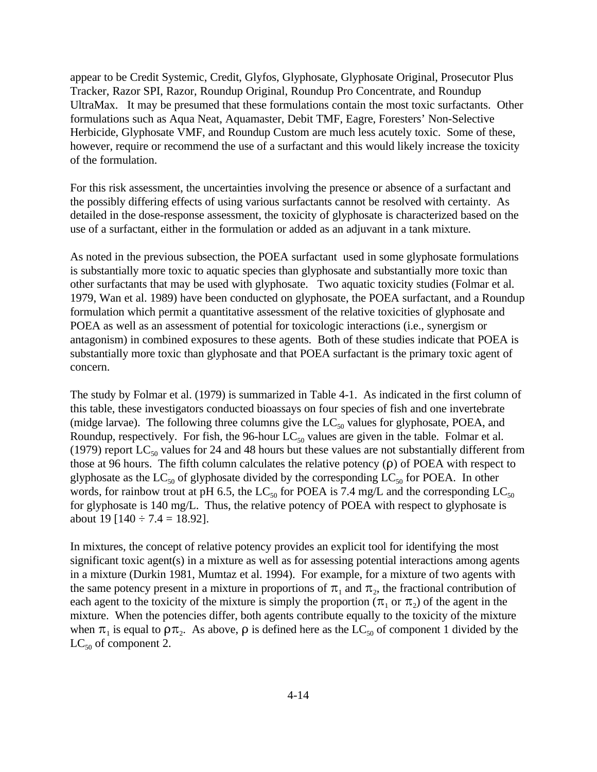appear to be Credit Systemic, Credit, Glyfos, Glyphosate, Glyphosate Original, Prosecutor Plus Tracker, Razor SPI, Razor, Roundup Original, Roundup Pro Concentrate, and Roundup UltraMax. It may be presumed that these formulations contain the most toxic surfactants. Other formulations such as Aqua Neat, Aquamaster, Debit TMF, Eagre, Foresters' Non-Selective Herbicide, Glyphosate VMF, and Roundup Custom are much less acutely toxic. Some of these, however, require or recommend the use of a surfactant and this would likely increase the toxicity of the formulation.

For this risk assessment, the uncertainties involving the presence or absence of a surfactant and the possibly differing effects of using various surfactants cannot be resolved with certainty. As detailed in the dose-response assessment, the toxicity of glyphosate is characterized based on the use of a surfactant, either in the formulation or added as an adjuvant in a tank mixture.

As noted in the previous subsection, the POEA surfactant used in some glyphosate formulations is substantially more toxic to aquatic species than glyphosate and substantially more toxic than other surfactants that may be used with glyphosate. Two aquatic toxicity studies (Folmar et al. 1979, Wan et al. 1989) have been conducted on glyphosate, the POEA surfactant, and a Roundup formulation which permit a quantitative assessment of the relative toxicities of glyphosate and POEA as well as an assessment of potential for toxicologic interactions (i.e., synergism or antagonism) in combined exposures to these agents. Both of these studies indicate that POEA is substantially more toxic than glyphosate and that POEA surfactant is the primary toxic agent of concern.

The study by Folmar et al. (1979) is summarized in Table 4-1. As indicated in the first column of this table, these investigators conducted bioassays on four species of fish and one invertebrate (midge larvae). The following three columns give the  $LC_{50}$  values for glyphosate, POEA, and Roundup, respectively. For fish, the 96-hour  $LC_{50}$  values are given in the table. Folmar et al. (1979) report  $LC_{50}$  values for 24 and 48 hours but these values are not substantially different from those at 96 hours. The fifth column calculates the relative potency  $(\rho)$  of POEA with respect to glyphosate as the  $LC_{50}$  of glyphosate divided by the corresponding  $LC_{50}$  for POEA. In other words, for rainbow trout at pH 6.5, the LC<sub>50</sub> for POEA is 7.4 mg/L and the corresponding LC<sub>50</sub> for glyphosate is 140 mg/L. Thus, the relative potency of POEA with respect to glyphosate is about 19 [140  $\div$  7.4 = 18.92].

In mixtures, the concept of relative potency provides an explicit tool for identifying the most significant toxic agent(s) in a mixture as well as for assessing potential interactions among agents in a mixture (Durkin 1981, Mumtaz et al. 1994). For example, for a mixture of two agents with the same potency present in a mixture in proportions of  $\pi_1$  and  $\pi_2$ , the fractional contribution of each agent to the toxicity of the mixture is simply the proportion ( $\pi_1$  or  $\pi_2$ ) of the agent in the mixture. When the potencies differ, both agents contribute equally to the toxicity of the mixture when  $\pi_1$  is equal to  $\rho \pi_2$ . As above,  $\rho$  is defined here as the LC<sub>50</sub> of component 1 divided by the  $LC_{50}$  of component 2.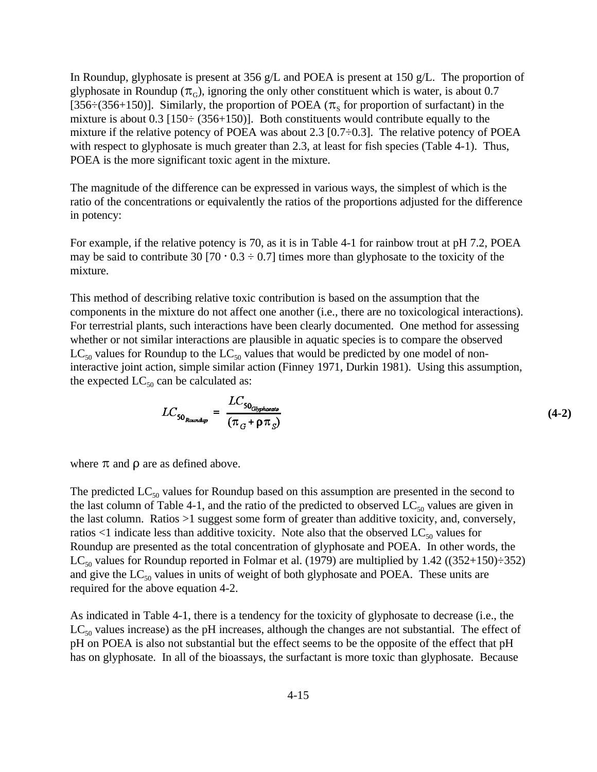In Roundup, glyphosate is present at 356 g/L and POEA is present at 150 g/L. The proportion of glyphosate in Roundup ( $\pi$ <sub>G</sub>), ignoring the only other constituent which is water, is about 0.7 [356: $(356+150)$ ]. Similarly, the proportion of POEA ( $\pi_s$  for proportion of surfactant) in the mixture is about 0.3 [150 $\div$  (356+150)]. Both constituents would contribute equally to the mixture if the relative potency of POEA was about 2.3  $[0.7 \div 0.3]$ . The relative potency of POEA with respect to glyphosate is much greater than 2.3, at least for fish species (Table 4-1). Thus, POEA is the more significant toxic agent in the mixture.

The magnitude of the difference can be expressed in various ways, the simplest of which is the ratio of the concentrations or equivalently the ratios of the proportions adjusted for the difference in potency:

For example, if the relative potency is 70, as it is in Table 4-1 for rainbow trout at pH 7.2, POEA may be said to contribute 30 [70  $\cdot$  0.3  $\div$  0.7] times more than glyphosate to the toxicity of the mixture.

This method of describing relative toxic contribution is based on the assumption that the components in the mixture do not affect one another (i.e., there are no toxicological interactions). For terrestrial plants, such interactions have been clearly documented. One method for assessing whether or not similar interactions are plausible in aquatic species is to compare the observed  $LC_{50}$  values for Roundup to the  $LC_{50}$  values that would be predicted by one model of noninteractive joint action, simple similar action (Finney 1971, Durkin 1981). Using this assumption, the expected  $LC_{50}$  can be calculated as:

$$
LC_{50_{Roundup}} = \frac{LC_{50_{Gbp}phovate}}{(\pi_G + \rho \pi_S)}
$$
(4-2)

where  $\pi$  and  $\rho$  are as defined above.

The predicted  $LC_{50}$  values for Roundup based on this assumption are presented in the second to the last column of Table 4-1, and the ratio of the predicted to observed  $LC_{50}$  values are given in the last column. Ratios >1 suggest some form of greater than additive toxicity, and, conversely, ratios  $<1$  indicate less than additive toxicity. Note also that the observed LC<sub>50</sub> values for Roundup are presented as the total concentration of glyphosate and POEA. In other words, the LC<sub>50</sub> values for Roundup reported in Folmar et al. (1979) are multiplied by 1.42 ((352+150)÷352) and give the  $LC_{50}$  values in units of weight of both glyphosate and POEA. These units are required for the above equation 4-2.

As indicated in Table 4-1, there is a tendency for the toxicity of glyphosate to decrease (i.e., the  $LC_{50}$  values increase) as the pH increases, although the changes are not substantial. The effect of pH on POEA is also not substantial but the effect seems to be the opposite of the effect that pH has on glyphosate. In all of the bioassays, the surfactant is more toxic than glyphosate. Because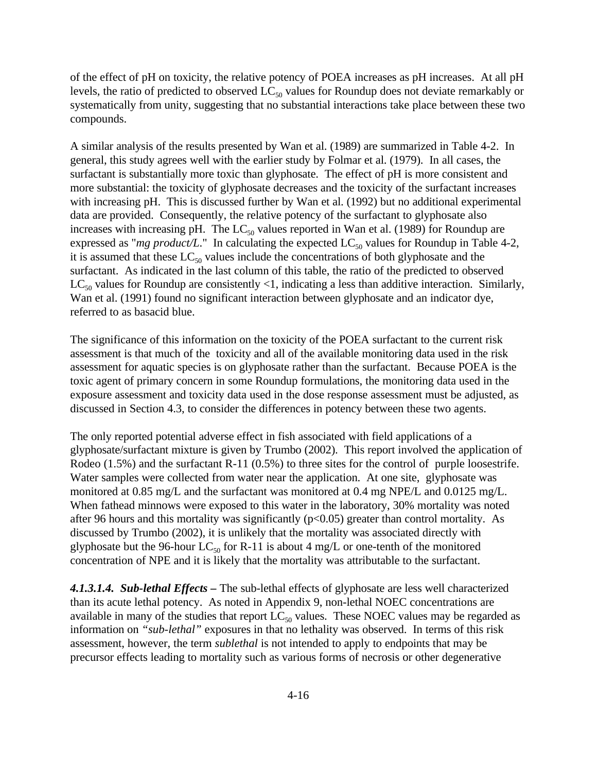of the effect of pH on toxicity, the relative potency of POEA increases as pH increases. At all pH levels, the ratio of predicted to observed  $LC_{50}$  values for Roundup does not deviate remarkably or systematically from unity, suggesting that no substantial interactions take place between these two compounds.

A similar analysis of the results presented by Wan et al. (1989) are summarized in Table 4-2. In general, this study agrees well with the earlier study by Folmar et al. (1979). In all cases, the surfactant is substantially more toxic than glyphosate. The effect of pH is more consistent and more substantial: the toxicity of glyphosate decreases and the toxicity of the surfactant increases with increasing pH. This is discussed further by Wan et al. (1992) but no additional experimental data are provided. Consequently, the relative potency of the surfactant to glyphosate also increases with increasing pH. The  $LC_{50}$  values reported in Wan et al. (1989) for Roundup are expressed as "*mg product/L*." In calculating the expected  $LC_{50}$  values for Roundup in Table 4-2, it is assumed that these  $LC_{50}$  values include the concentrations of both glyphosate and the surfactant. As indicated in the last column of this table, the ratio of the predicted to observed  $LC_{50}$  values for Roundup are consistently <1, indicating a less than additive interaction. Similarly, Wan et al. (1991) found no significant interaction between glyphosate and an indicator dye, referred to as basacid blue.

The significance of this information on the toxicity of the POEA surfactant to the current risk assessment is that much of the toxicity and all of the available monitoring data used in the risk assessment for aquatic species is on glyphosate rather than the surfactant. Because POEA is the toxic agent of primary concern in some Roundup formulations, the monitoring data used in the exposure assessment and toxicity data used in the dose response assessment must be adjusted, as discussed in Section 4.3, to consider the differences in potency between these two agents.

The only reported potential adverse effect in fish associated with field applications of a glyphosate/surfactant mixture is given by Trumbo (2002). This report involved the application of Rodeo (1.5%) and the surfactant R-11 (0.5%) to three sites for the control of purple loosestrife. Water samples were collected from water near the application. At one site, glyphosate was monitored at 0.85 mg/L and the surfactant was monitored at 0.4 mg NPE/L and 0.0125 mg/L. When fathead minnows were exposed to this water in the laboratory, 30% mortality was noted after 96 hours and this mortality was significantly  $(p<0.05)$  greater than control mortality. As discussed by Trumbo (2002), it is unlikely that the mortality was associated directly with glyphosate but the 96-hour  $LC_{50}$  for R-11 is about 4 mg/L or one-tenth of the monitored concentration of NPE and it is likely that the mortality was attributable to the surfactant.

*4.1.3.1.4. Sub-lethal Effects –* The sub-lethal effects of glyphosate are less well characterized than its acute lethal potency. As noted in Appendix 9, non-lethal NOEC concentrations are available in many of the studies that report  $LC_{50}$  values. These NOEC values may be regarded as information on *"sub-lethal"* exposures in that no lethality was observed. In terms of this risk assessment, however, the term *sublethal* is not intended to apply to endpoints that may be precursor effects leading to mortality such as various forms of necrosis or other degenerative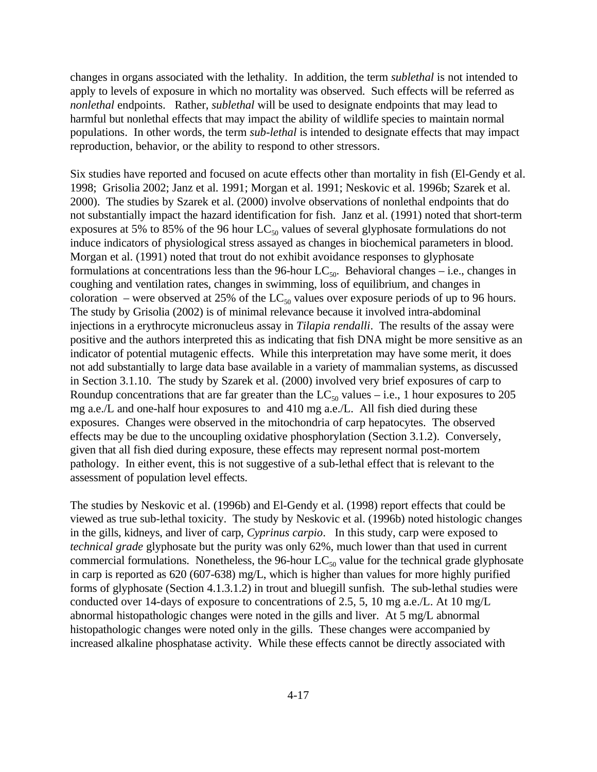changes in organs associated with the lethality. In addition, the term *sublethal* is not intended to apply to levels of exposure in which no mortality was observed. Such effects will be referred as *nonlethal* endpoints. Rather, *sublethal* will be used to designate endpoints that may lead to harmful but nonlethal effects that may impact the ability of wildlife species to maintain normal populations. In other words, the term *sub-lethal* is intended to designate effects that may impact reproduction, behavior, or the ability to respond to other stressors.

Six studies have reported and focused on acute effects other than mortality in fish (El-Gendy et al. 1998; Grisolia 2002; Janz et al. 1991; Morgan et al. 1991; Neskovic et al. 1996b; Szarek et al. 2000). The studies by Szarek et al. (2000) involve observations of nonlethal endpoints that do not substantially impact the hazard identification for fish. Janz et al. (1991) noted that short-term exposures at 5% to 85% of the 96 hour  $LC_{50}$  values of several glyphosate formulations do not induce indicators of physiological stress assayed as changes in biochemical parameters in blood. Morgan et al. (1991) noted that trout do not exhibit avoidance responses to glyphosate formulations at concentrations less than the 96-hour  $LC_{50}$ . Behavioral changes – i.e., changes in coughing and ventilation rates, changes in swimming, loss of equilibrium, and changes in coloration – were observed at 25% of the  $LC_{50}$  values over exposure periods of up to 96 hours. The study by Grisolia (2002) is of minimal relevance because it involved intra-abdominal injections in a erythrocyte micronucleus assay in *Tilapia rendalli*. The results of the assay were positive and the authors interpreted this as indicating that fish DNA might be more sensitive as an indicator of potential mutagenic effects. While this interpretation may have some merit, it does not add substantially to large data base available in a variety of mammalian systems, as discussed in Section 3.1.10. The study by Szarek et al. (2000) involved very brief exposures of carp to Roundup concentrations that are far greater than the  $LC_{50}$  values – i.e., 1 hour exposures to 205 mg a.e./L and one-half hour exposures to and 410 mg a.e./L. All fish died during these exposures. Changes were observed in the mitochondria of carp hepatocytes. The observed effects may be due to the uncoupling oxidative phosphorylation (Section 3.1.2). Conversely, given that all fish died during exposure, these effects may represent normal post-mortem pathology. In either event, this is not suggestive of a sub-lethal effect that is relevant to the assessment of population level effects.

The studies by Neskovic et al. (1996b) and El-Gendy et al. (1998) report effects that could be viewed as true sub-lethal toxicity. The study by Neskovic et al. (1996b) noted histologic changes in the gills, kidneys, and liver of carp, *Cyprinus carpio*. In this study, carp were exposed to *technical grade* glyphosate but the purity was only 62%, much lower than that used in current commercial formulations. Nonetheless, the 96-hour  $LC_{50}$  value for the technical grade glyphosate in carp is reported as 620 (607-638) mg/L, which is higher than values for more highly purified forms of glyphosate (Section 4.1.3.1.2) in trout and bluegill sunfish. The sub-lethal studies were conducted over 14-days of exposure to concentrations of 2.5, 5, 10 mg a.e./L. At 10 mg/L abnormal histopathologic changes were noted in the gills and liver. At 5 mg/L abnormal histopathologic changes were noted only in the gills. These changes were accompanied by increased alkaline phosphatase activity. While these effects cannot be directly associated with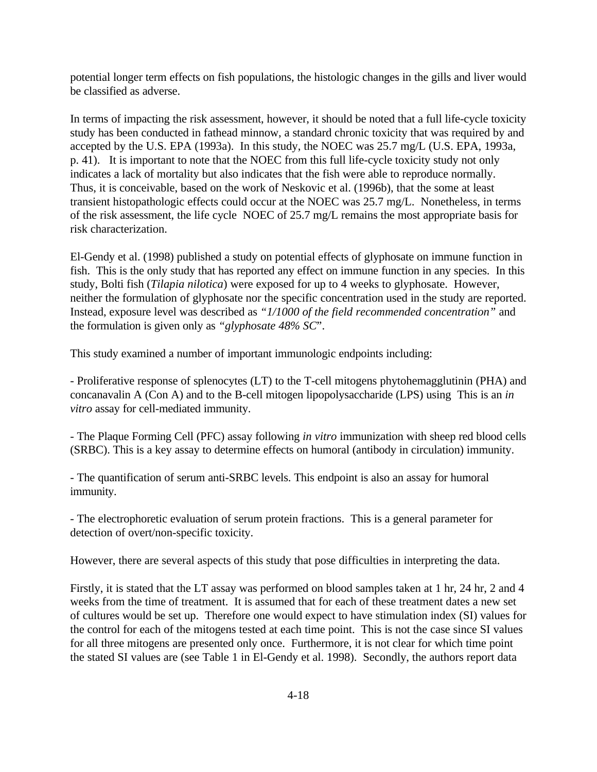potential longer term effects on fish populations, the histologic changes in the gills and liver would be classified as adverse.

In terms of impacting the risk assessment, however, it should be noted that a full life-cycle toxicity study has been conducted in fathead minnow, a standard chronic toxicity that was required by and accepted by the U.S. EPA (1993a). In this study, the NOEC was 25.7 mg/L (U.S. EPA, 1993a, p. 41). It is important to note that the NOEC from this full life-cycle toxicity study not only indicates a lack of mortality but also indicates that the fish were able to reproduce normally. Thus, it is conceivable, based on the work of Neskovic et al. (1996b), that the some at least transient histopathologic effects could occur at the NOEC was 25.7 mg/L. Nonetheless, in terms of the risk assessment, the life cycle NOEC of 25.7 mg/L remains the most appropriate basis for risk characterization.

El-Gendy et al. (1998) published a study on potential effects of glyphosate on immune function in fish. This is the only study that has reported any effect on immune function in any species. In this study, Bolti fish (*Tilapia nilotica*) were exposed for up to 4 weeks to glyphosate. However, neither the formulation of glyphosate nor the specific concentration used in the study are reported. Instead, exposure level was described as *"1/1000 of the field recommended concentration"* and the formulation is given only as *"glyphosate 48% SC*".

This study examined a number of important immunologic endpoints including:

- Proliferative response of splenocytes (LT) to the T-cell mitogens phytohemagglutinin (PHA) and concanavalin A (Con A) and to the B-cell mitogen lipopolysaccharide (LPS) using This is an *in vitro* assay for cell-mediated immunity.

- The Plaque Forming Cell (PFC) assay following *in vitro* immunization with sheep red blood cells (SRBC). This is a key assay to determine effects on humoral (antibody in circulation) immunity.

- The quantification of serum anti-SRBC levels. This endpoint is also an assay for humoral immunity.

- The electrophoretic evaluation of serum protein fractions. This is a general parameter for detection of overt/non-specific toxicity.

However, there are several aspects of this study that pose difficulties in interpreting the data.

Firstly, it is stated that the LT assay was performed on blood samples taken at 1 hr, 24 hr, 2 and 4 weeks from the time of treatment. It is assumed that for each of these treatment dates a new set of cultures would be set up. Therefore one would expect to have stimulation index (SI) values for the control for each of the mitogens tested at each time point. This is not the case since SI values for all three mitogens are presented only once. Furthermore, it is not clear for which time point the stated SI values are (see Table 1 in El-Gendy et al. 1998). Secondly, the authors report data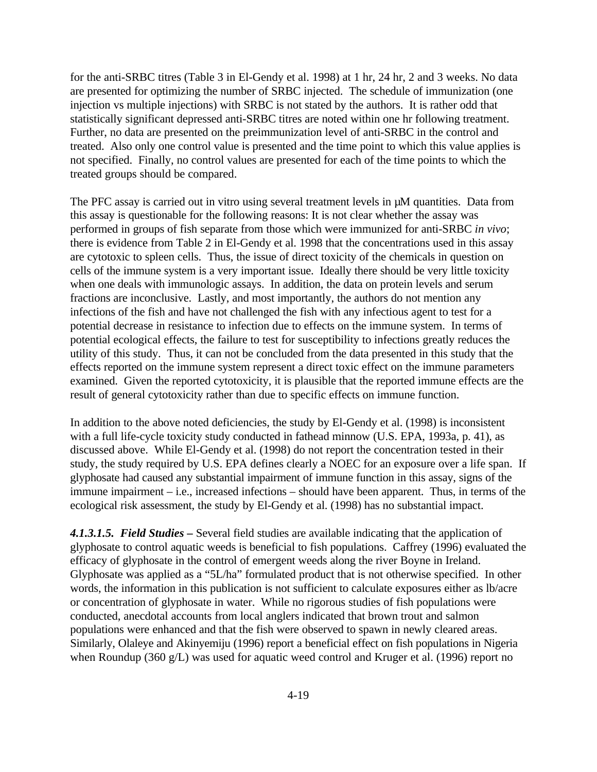for the anti-SRBC titres (Table 3 in El-Gendy et al. 1998) at 1 hr, 24 hr, 2 and 3 weeks. No data are presented for optimizing the number of SRBC injected. The schedule of immunization (one injection vs multiple injections) with SRBC is not stated by the authors. It is rather odd that statistically significant depressed anti-SRBC titres are noted within one hr following treatment. Further, no data are presented on the preimmunization level of anti-SRBC in the control and treated. Also only one control value is presented and the time point to which this value applies is not specified. Finally, no control values are presented for each of the time points to which the treated groups should be compared.

The PFC assay is carried out in vitro using several treatment levels in  $\mu$ M quantities. Data from this assay is questionable for the following reasons: It is not clear whether the assay was performed in groups of fish separate from those which were immunized for anti-SRBC *in vivo*; there is evidence from Table 2 in El-Gendy et al. 1998 that the concentrations used in this assay are cytotoxic to spleen cells. Thus, the issue of direct toxicity of the chemicals in question on cells of the immune system is a very important issue. Ideally there should be very little toxicity when one deals with immunologic assays. In addition, the data on protein levels and serum fractions are inconclusive. Lastly, and most importantly, the authors do not mention any infections of the fish and have not challenged the fish with any infectious agent to test for a potential decrease in resistance to infection due to effects on the immune system. In terms of potential ecological effects, the failure to test for susceptibility to infections greatly reduces the utility of this study. Thus, it can not be concluded from the data presented in this study that the effects reported on the immune system represent a direct toxic effect on the immune parameters examined. Given the reported cytotoxicity, it is plausible that the reported immune effects are the result of general cytotoxicity rather than due to specific effects on immune function.

In addition to the above noted deficiencies, the study by El-Gendy et al. (1998) is inconsistent with a full life-cycle toxicity study conducted in fathead minnow (U.S. EPA, 1993a, p. 41), as discussed above. While El-Gendy et al. (1998) do not report the concentration tested in their study, the study required by U.S. EPA defines clearly a NOEC for an exposure over a life span. If glyphosate had caused any substantial impairment of immune function in this assay, signs of the immune impairment – i.e., increased infections – should have been apparent. Thus, in terms of the ecological risk assessment, the study by El-Gendy et al. (1998) has no substantial impact.

*4.1.3.1.5. Field Studies –* Several field studies are available indicating that the application of glyphosate to control aquatic weeds is beneficial to fish populations. Caffrey (1996) evaluated the efficacy of glyphosate in the control of emergent weeds along the river Boyne in Ireland. Glyphosate was applied as a "5L/ha" formulated product that is not otherwise specified. In other words, the information in this publication is not sufficient to calculate exposures either as lb/acre or concentration of glyphosate in water. While no rigorous studies of fish populations were conducted, anecdotal accounts from local anglers indicated that brown trout and salmon populations were enhanced and that the fish were observed to spawn in newly cleared areas. Similarly, Olaleye and Akinyemiju (1996) report a beneficial effect on fish populations in Nigeria when Roundup (360 g/L) was used for aquatic weed control and Kruger et al. (1996) report no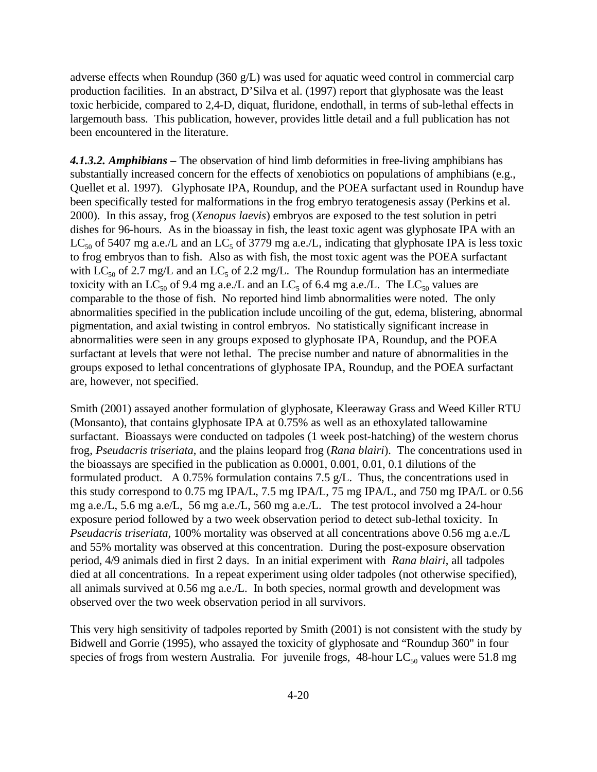adverse effects when Roundup (360 g/L) was used for aquatic weed control in commercial carp production facilities. In an abstract, D'Silva et al. (1997) report that glyphosate was the least toxic herbicide, compared to 2,4-D, diquat, fluridone, endothall, in terms of sub-lethal effects in largemouth bass. This publication, however, provides little detail and a full publication has not been encountered in the literature.

*4.1.3.2. Amphibians –* The observation of hind limb deformities in free-living amphibians has substantially increased concern for the effects of xenobiotics on populations of amphibians (e.g., Quellet et al. 1997). Glyphosate IPA, Roundup, and the POEA surfactant used in Roundup have been specifically tested for malformations in the frog embryo teratogenesis assay (Perkins et al. 2000). In this assay, frog (*Xenopus laevis*) embryos are exposed to the test solution in petri dishes for 96-hours. As in the bioassay in fish, the least toxic agent was glyphosate IPA with an LC<sub>50</sub> of 5407 mg a.e./L and an LC<sub>5</sub> of 3779 mg a.e./L, indicating that glyphosate IPA is less toxic to frog embryos than to fish. Also as with fish, the most toxic agent was the POEA surfactant with  $LC_{50}$  of 2.7 mg/L and an  $LC_5$  of 2.2 mg/L. The Roundup formulation has an intermediate toxicity with an LC<sub>50</sub> of 9.4 mg a.e./L and an LC<sub>5</sub> of 6.4 mg a.e./L. The LC<sub>50</sub> values are comparable to the those of fish. No reported hind limb abnormalities were noted. The only abnormalities specified in the publication include uncoiling of the gut, edema, blistering, abnormal pigmentation, and axial twisting in control embryos. No statistically significant increase in abnormalities were seen in any groups exposed to glyphosate IPA, Roundup, and the POEA surfactant at levels that were not lethal. The precise number and nature of abnormalities in the groups exposed to lethal concentrations of glyphosate IPA, Roundup, and the POEA surfactant are, however, not specified.

Smith (2001) assayed another formulation of glyphosate, Kleeraway Grass and Weed Killer RTU (Monsanto), that contains glyphosate IPA at 0.75% as well as an ethoxylated tallowamine surfactant. Bioassays were conducted on tadpoles (1 week post-hatching) of the western chorus frog, *Pseudacris triseriata*, and the plains leopard frog (*Rana blairi*). The concentrations used in the bioassays are specified in the publication as 0.0001, 0.001, 0.01, 0.1 dilutions of the formulated product. A 0.75% formulation contains 7.5  $g/L$ . Thus, the concentrations used in this study correspond to 0.75 mg IPA/L, 7.5 mg IPA/L, 75 mg IPA/L, and 750 mg IPA/L or 0.56 mg a.e./L, 5.6 mg a.e/L, 56 mg a.e./L, 560 mg a.e./L. The test protocol involved a 24-hour exposure period followed by a two week observation period to detect sub-lethal toxicity. In *Pseudacris triseriata,* 100% mortality was observed at all concentrations above 0.56 mg a.e./L and 55% mortality was observed at this concentration. During the post-exposure observation period, 4/9 animals died in first 2 days. In an initial experiment with *Rana blairi*, all tadpoles died at all concentrations. In a repeat experiment using older tadpoles (not otherwise specified), all animals survived at 0.56 mg a.e./L. In both species, normal growth and development was observed over the two week observation period in all survivors.

This very high sensitivity of tadpoles reported by Smith (2001) is not consistent with the study by Bidwell and Gorrie (1995), who assayed the toxicity of glyphosate and "Roundup 360" in four species of frogs from western Australia. For juvenile frogs,  $48$ -hour LC<sub>50</sub> values were 51.8 mg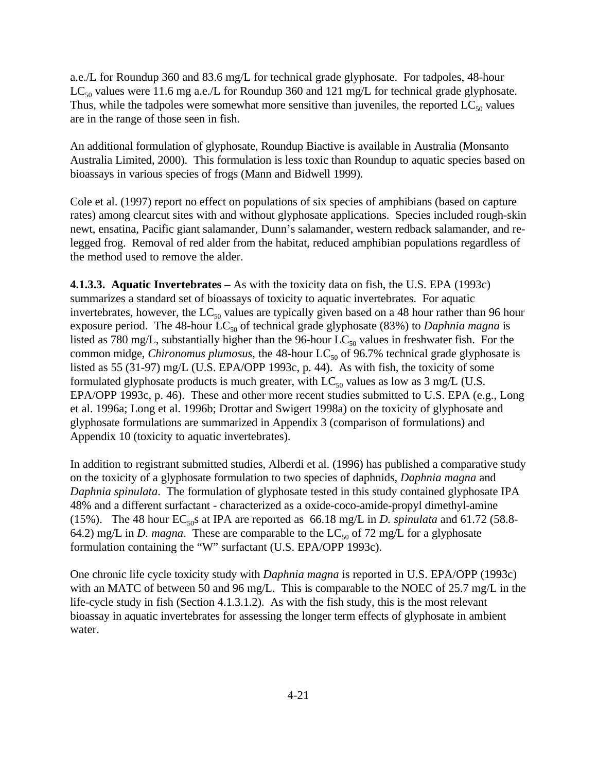a.e./L for Roundup 360 and 83.6 mg/L for technical grade glyphosate. For tadpoles, 48-hour  $LC_{50}$  values were 11.6 mg a.e./L for Roundup 360 and 121 mg/L for technical grade glyphosate. Thus, while the tadpoles were somewhat more sensitive than juveniles, the reported  $LC_{50}$  values are in the range of those seen in fish.

An additional formulation of glyphosate, Roundup Biactive is available in Australia (Monsanto Australia Limited, 2000). This formulation is less toxic than Roundup to aquatic species based on bioassays in various species of frogs (Mann and Bidwell 1999).

Cole et al. (1997) report no effect on populations of six species of amphibians (based on capture rates) among clearcut sites with and without glyphosate applications. Species included rough-skin newt, ensatina, Pacific giant salamander, Dunn's salamander, western redback salamander, and relegged frog. Removal of red alder from the habitat, reduced amphibian populations regardless of the method used to remove the alder.

**4.1.3.3. Aquatic Invertebrates –** As with the toxicity data on fish, the U.S. EPA (1993c) summarizes a standard set of bioassays of toxicity to aquatic invertebrates. For aquatic invertebrates, however, the  $LC_{50}$  values are typically given based on a 48 hour rather than 96 hour exposure period. The 48-hour LC<sub>50</sub> of technical grade glyphosate (83%) to *Daphnia magna* is listed as 780 mg/L, substantially higher than the 96-hour  $LC_{50}$  values in freshwater fish. For the common midge, *Chironomus plumosus*, the 48-hour  $LC_{50}$  of 96.7% technical grade glyphosate is listed as 55 (31-97) mg/L (U.S. EPA/OPP 1993c, p. 44). As with fish, the toxicity of some formulated glyphosate products is much greater, with  $LC_{50}$  values as low as 3 mg/L (U.S. EPA/OPP 1993c, p. 46). These and other more recent studies submitted to U.S. EPA (e.g., Long et al. 1996a; Long et al. 1996b; Drottar and Swigert 1998a) on the toxicity of glyphosate and glyphosate formulations are summarized in Appendix 3 (comparison of formulations) and Appendix 10 (toxicity to aquatic invertebrates).

In addition to registrant submitted studies, Alberdi et al. (1996) has published a comparative study on the toxicity of a glyphosate formulation to two species of daphnids, *Daphnia magna* and *Daphnia spinulata*. The formulation of glyphosate tested in this study contained glyphosate IPA 48% and a different surfactant - characterized as a oxide-coco-amide-propyl dimethyl-amine (15%). The 48 hour  $EC_{50}$ s at IPA are reported as 66.18 mg/L in *D. spinulata* and 61.72 (58.8-64.2) mg/L in *D. magna*. These are comparable to the  $LC_{50}$  of 72 mg/L for a glyphosate formulation containing the "W" surfactant (U.S. EPA/OPP 1993c).

One chronic life cycle toxicity study with *Daphnia magna* is reported in U.S. EPA/OPP (1993c) with an MATC of between 50 and 96 mg/L. This is comparable to the NOEC of 25.7 mg/L in the life-cycle study in fish (Section 4.1.3.1.2). As with the fish study, this is the most relevant bioassay in aquatic invertebrates for assessing the longer term effects of glyphosate in ambient water.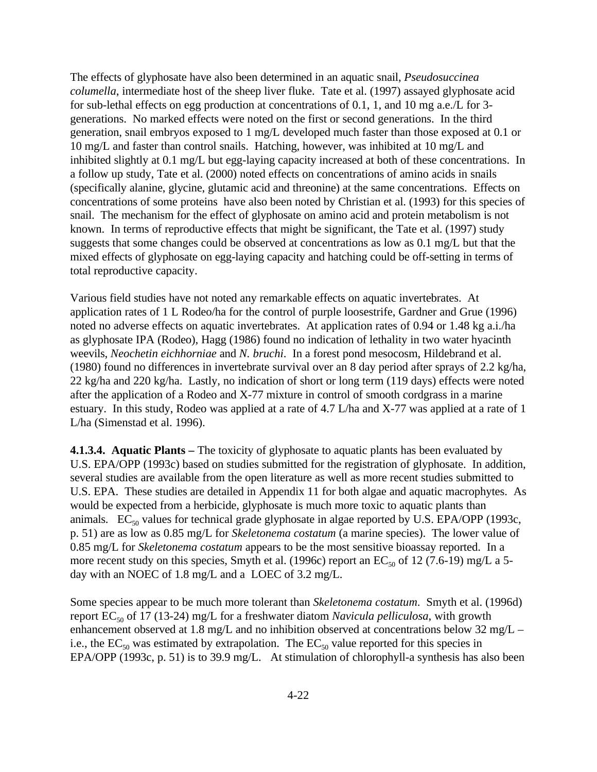The effects of glyphosate have also been determined in an aquatic snail, *Pseudosuccinea columella*, intermediate host of the sheep liver fluke. Tate et al. (1997) assayed glyphosate acid for sub-lethal effects on egg production at concentrations of 0.1, 1, and 10 mg a.e./L for 3 generations. No marked effects were noted on the first or second generations. In the third generation, snail embryos exposed to 1 mg/L developed much faster than those exposed at 0.1 or 10 mg/L and faster than control snails. Hatching, however, was inhibited at 10 mg/L and inhibited slightly at 0.1 mg/L but egg-laying capacity increased at both of these concentrations. In a follow up study, Tate et al. (2000) noted effects on concentrations of amino acids in snails (specifically alanine, glycine, glutamic acid and threonine) at the same concentrations. Effects on concentrations of some proteins have also been noted by Christian et al. (1993) for this species of snail. The mechanism for the effect of glyphosate on amino acid and protein metabolism is not known. In terms of reproductive effects that might be significant, the Tate et al. (1997) study suggests that some changes could be observed at concentrations as low as 0.1 mg/L but that the mixed effects of glyphosate on egg-laying capacity and hatching could be off-setting in terms of total reproductive capacity.

Various field studies have not noted any remarkable effects on aquatic invertebrates. At application rates of 1 L Rodeo/ha for the control of purple loosestrife, Gardner and Grue (1996) noted no adverse effects on aquatic invertebrates. At application rates of 0.94 or 1.48 kg a.i./ha as glyphosate IPA (Rodeo), Hagg (1986) found no indication of lethality in two water hyacinth weevils, *Neochetin eichhorniae* and *N. bruchi*. In a forest pond mesocosm, Hildebrand et al. (1980) found no differences in invertebrate survival over an 8 day period after sprays of 2.2 kg/ha, 22 kg/ha and 220 kg/ha. Lastly, no indication of short or long term (119 days) effects were noted after the application of a Rodeo and X-77 mixture in control of smooth cordgrass in a marine estuary. In this study, Rodeo was applied at a rate of 4.7 L/ha and X-77 was applied at a rate of 1 L/ha (Simenstad et al. 1996).

**4.1.3.4. Aquatic Plants –** The toxicity of glyphosate to aquatic plants has been evaluated by U.S. EPA/OPP (1993c) based on studies submitted for the registration of glyphosate. In addition, several studies are available from the open literature as well as more recent studies submitted to U.S. EPA. These studies are detailed in Appendix 11 for both algae and aquatic macrophytes. As would be expected from a herbicide, glyphosate is much more toxic to aquatic plants than animals.  $EC_{50}$  values for technical grade glyphosate in algae reported by U.S. EPA/OPP (1993c, p. 51) are as low as 0.85 mg/L for *Skeletonema costatum* (a marine species). The lower value of 0.85 mg/L for *Skeletonema costatum* appears to be the most sensitive bioassay reported. In a more recent study on this species, Smyth et al. (1996c) report an  $EC_{50}$  of 12 (7.6-19) mg/L a 5day with an NOEC of 1.8 mg/L and a LOEC of 3.2 mg/L.

Some species appear to be much more tolerant than *Skeletonema costatum*. Smyth et al. (1996d) report EC<sub>50</sub> of 17 (13-24) mg/L for a freshwater diatom *Navicula pelliculosa*, with growth enhancement observed at 1.8 mg/L and no inhibition observed at concentrations below 32 mg/L – i.e., the  $EC_{50}$  was estimated by extrapolation. The  $EC_{50}$  value reported for this species in EPA/OPP (1993c, p. 51) is to 39.9 mg/L. At stimulation of chlorophyll-a synthesis has also been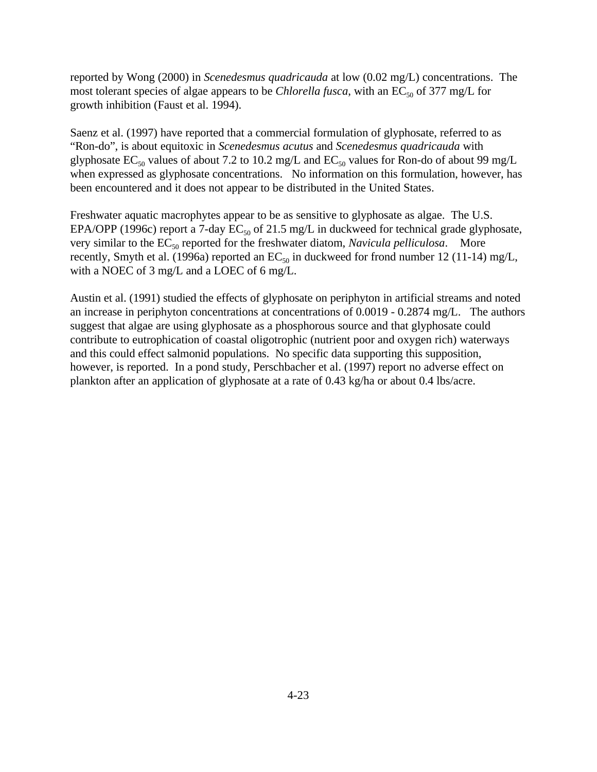reported by Wong (2000) in *Scenedesmus quadricauda* at low (0.02 mg/L) concentrations. The most tolerant species of algae appears to be *Chlorella fusca*, with an  $EC_{50}$  of 377 mg/L for growth inhibition (Faust et al. 1994).

Saenz et al. (1997) have reported that a commercial formulation of glyphosate, referred to as "Ron-do", is about equitoxic in *Scenedesmus acutus* and *Scenedesmus quadricauda* with glyphosate  $EC_{50}$  values of about 7.2 to 10.2 mg/L and  $EC_{50}$  values for Ron-do of about 99 mg/L when expressed as glyphosate concentrations. No information on this formulation, however, has been encountered and it does not appear to be distributed in the United States.

Freshwater aquatic macrophytes appear to be as sensitive to glyphosate as algae. The U.S. EPA/OPP (1996c) report a 7-day  $EC_{50}$  of 21.5 mg/L in duckweed for technical grade glyphosate, very similar to the EC<sub>50</sub> reported for the freshwater diatom, *Navicula pelliculosa*. More recently, Smyth et al. (1996a) reported an  $EC_{50}$  in duckweed for frond number 12 (11-14) mg/L, with a NOEC of 3 mg/L and a LOEC of 6 mg/L.

Austin et al. (1991) studied the effects of glyphosate on periphyton in artificial streams and noted an increase in periphyton concentrations at concentrations of 0.0019 - 0.2874 mg/L. The authors suggest that algae are using glyphosate as a phosphorous source and that glyphosate could contribute to eutrophication of coastal oligotrophic (nutrient poor and oxygen rich) waterways and this could effect salmonid populations. No specific data supporting this supposition, however, is reported. In a pond study, Perschbacher et al. (1997) report no adverse effect on plankton after an application of glyphosate at a rate of 0.43 kg/ha or about 0.4 lbs/acre.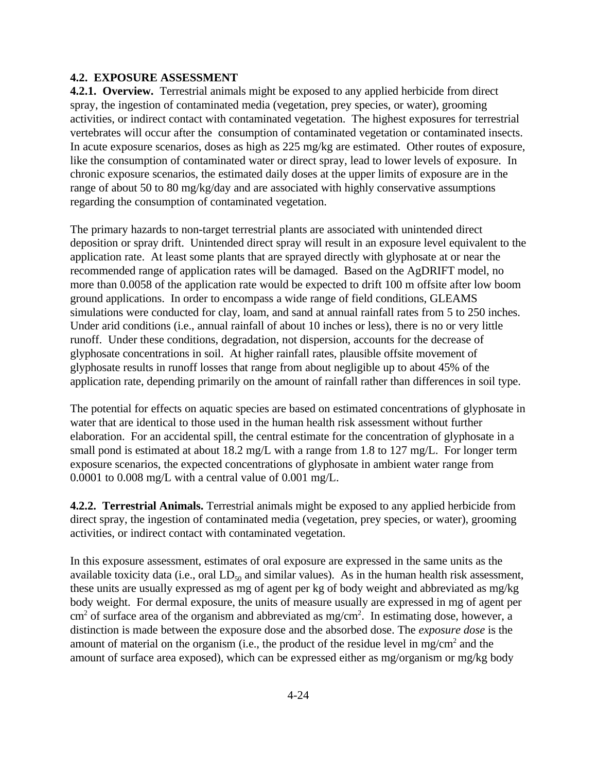### **4.2. EXPOSURE ASSESSMENT**

**4.2.1. Overview.** Terrestrial animals might be exposed to any applied herbicide from direct spray, the ingestion of contaminated media (vegetation, prey species, or water), grooming activities, or indirect contact with contaminated vegetation. The highest exposures for terrestrial vertebrates will occur after the consumption of contaminated vegetation or contaminated insects. In acute exposure scenarios, doses as high as 225 mg/kg are estimated. Other routes of exposure, like the consumption of contaminated water or direct spray, lead to lower levels of exposure. In chronic exposure scenarios, the estimated daily doses at the upper limits of exposure are in the range of about 50 to 80 mg/kg/day and are associated with highly conservative assumptions regarding the consumption of contaminated vegetation.

The primary hazards to non-target terrestrial plants are associated with unintended direct deposition or spray drift. Unintended direct spray will result in an exposure level equivalent to the application rate. At least some plants that are sprayed directly with glyphosate at or near the recommended range of application rates will be damaged. Based on the AgDRIFT model, no more than 0.0058 of the application rate would be expected to drift 100 m offsite after low boom ground applications. In order to encompass a wide range of field conditions, GLEAMS simulations were conducted for clay, loam, and sand at annual rainfall rates from 5 to 250 inches. Under arid conditions (i.e., annual rainfall of about 10 inches or less), there is no or very little runoff. Under these conditions, degradation, not dispersion, accounts for the decrease of glyphosate concentrations in soil. At higher rainfall rates, plausible offsite movement of glyphosate results in runoff losses that range from about negligible up to about 45% of the application rate, depending primarily on the amount of rainfall rather than differences in soil type.

The potential for effects on aquatic species are based on estimated concentrations of glyphosate in water that are identical to those used in the human health risk assessment without further elaboration. For an accidental spill, the central estimate for the concentration of glyphosate in a small pond is estimated at about 18.2 mg/L with a range from 1.8 to 127 mg/L. For longer term exposure scenarios, the expected concentrations of glyphosate in ambient water range from 0.0001 to 0.008 mg/L with a central value of 0.001 mg/L.

**4.2.2. Terrestrial Animals.** Terrestrial animals might be exposed to any applied herbicide from direct spray, the ingestion of contaminated media (vegetation, prey species, or water), grooming activities, or indirect contact with contaminated vegetation.

In this exposure assessment, estimates of oral exposure are expressed in the same units as the available toxicity data (i.e., oral  $LD_{50}$  and similar values). As in the human health risk assessment, these units are usually expressed as mg of agent per kg of body weight and abbreviated as mg/kg body weight. For dermal exposure, the units of measure usually are expressed in mg of agent per  $\text{cm}^2$  of surface area of the organism and abbreviated as mg/cm<sup>2</sup>. In estimating dose, however, a distinction is made between the exposure dose and the absorbed dose. The *exposure dose* is the amount of material on the organism (i.e., the product of the residue level in mg/cm<sup>2</sup> and the amount of surface area exposed), which can be expressed either as mg/organism or mg/kg body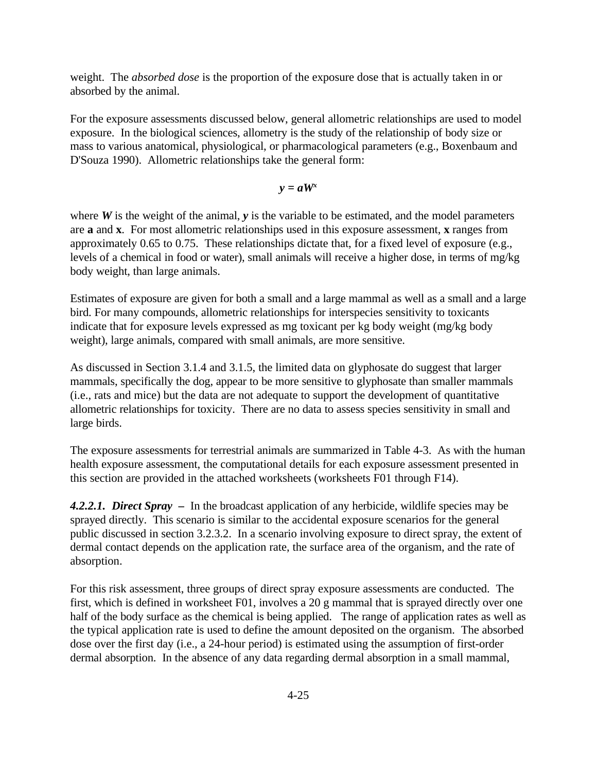weight. The *absorbed dose* is the proportion of the exposure dose that is actually taken in or absorbed by the animal.

For the exposure assessments discussed below, general allometric relationships are used to model exposure. In the biological sciences, allometry is the study of the relationship of body size or mass to various anatomical, physiological, or pharmacological parameters (e.g., Boxenbaum and D'Souza 1990). Allometric relationships take the general form:

$$
y = aW^x
$$

where *W* is the weight of the animal, *y* is the variable to be estimated, and the model parameters are **a** and **x**. For most allometric relationships used in this exposure assessment, **x** ranges from approximately 0.65 to 0.75. These relationships dictate that, for a fixed level of exposure (e.g., levels of a chemical in food or water), small animals will receive a higher dose, in terms of mg/kg body weight, than large animals.

Estimates of exposure are given for both a small and a large mammal as well as a small and a large bird. For many compounds, allometric relationships for interspecies sensitivity to toxicants indicate that for exposure levels expressed as mg toxicant per kg body weight (mg/kg body weight), large animals, compared with small animals, are more sensitive.

As discussed in Section 3.1.4 and 3.1.5, the limited data on glyphosate do suggest that larger mammals, specifically the dog, appear to be more sensitive to glyphosate than smaller mammals (i.e., rats and mice) but the data are not adequate to support the development of quantitative allometric relationships for toxicity. There are no data to assess species sensitivity in small and large birds.

The exposure assessments for terrestrial animals are summarized in Table 4-3. As with the human health exposure assessment, the computational details for each exposure assessment presented in this section are provided in the attached worksheets (worksheets F01 through F14).

*4.2.2.1.**Direct Spray –* In the broadcast application of any herbicide, wildlife species may be sprayed directly. This scenario is similar to the accidental exposure scenarios for the general public discussed in section 3.2.3.2. In a scenario involving exposure to direct spray, the extent of dermal contact depends on the application rate, the surface area of the organism, and the rate of absorption.

For this risk assessment, three groups of direct spray exposure assessments are conducted. The first, which is defined in worksheet F01, involves a 20 g mammal that is sprayed directly over one half of the body surface as the chemical is being applied. The range of application rates as well as the typical application rate is used to define the amount deposited on the organism. The absorbed dose over the first day (i.e., a 24-hour period) is estimated using the assumption of first-order dermal absorption. In the absence of any data regarding dermal absorption in a small mammal,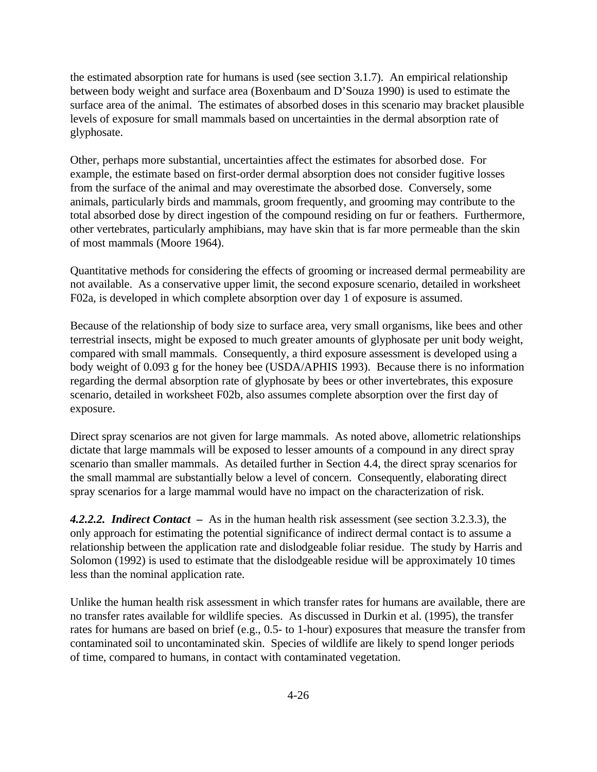the estimated absorption rate for humans is used (see section 3.1.7). An empirical relationship between body weight and surface area (Boxenbaum and D'Souza 1990) is used to estimate the surface area of the animal. The estimates of absorbed doses in this scenario may bracket plausible levels of exposure for small mammals based on uncertainties in the dermal absorption rate of glyphosate.

Other, perhaps more substantial, uncertainties affect the estimates for absorbed dose. For example, the estimate based on first-order dermal absorption does not consider fugitive losses from the surface of the animal and may overestimate the absorbed dose. Conversely, some animals, particularly birds and mammals, groom frequently, and grooming may contribute to the total absorbed dose by direct ingestion of the compound residing on fur or feathers. Furthermore, other vertebrates, particularly amphibians, may have skin that is far more permeable than the skin of most mammals (Moore 1964).

Quantitative methods for considering the effects of grooming or increased dermal permeability are not available. As a conservative upper limit, the second exposure scenario, detailed in worksheet F02a, is developed in which complete absorption over day 1 of exposure is assumed.

Because of the relationship of body size to surface area, very small organisms, like bees and other terrestrial insects, might be exposed to much greater amounts of glyphosate per unit body weight, compared with small mammals. Consequently, a third exposure assessment is developed using a body weight of 0.093 g for the honey bee (USDA/APHIS 1993). Because there is no information regarding the dermal absorption rate of glyphosate by bees or other invertebrates, this exposure scenario, detailed in worksheet F02b, also assumes complete absorption over the first day of exposure.

Direct spray scenarios are not given for large mammals. As noted above, allometric relationships dictate that large mammals will be exposed to lesser amounts of a compound in any direct spray scenario than smaller mammals. As detailed further in Section 4.4, the direct spray scenarios for the small mammal are substantially below a level of concern. Consequently, elaborating direct spray scenarios for a large mammal would have no impact on the characterization of risk.

*4.2.2.2. Indirect Contact –* As in the human health risk assessment (see section 3.2.3.3), the only approach for estimating the potential significance of indirect dermal contact is to assume a relationship between the application rate and dislodgeable foliar residue. The study by Harris and Solomon (1992) is used to estimate that the dislodgeable residue will be approximately 10 times less than the nominal application rate.

Unlike the human health risk assessment in which transfer rates for humans are available, there are no transfer rates available for wildlife species. As discussed in Durkin et al. (1995), the transfer rates for humans are based on brief (e.g., 0.5- to 1-hour) exposures that measure the transfer from contaminated soil to uncontaminated skin. Species of wildlife are likely to spend longer periods of time, compared to humans, in contact with contaminated vegetation.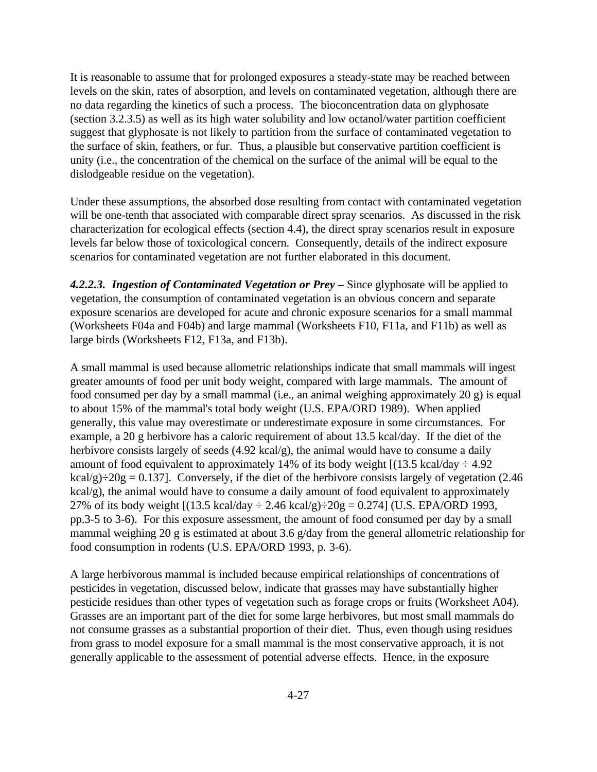It is reasonable to assume that for prolonged exposures a steady-state may be reached between levels on the skin, rates of absorption, and levels on contaminated vegetation, although there are no data regarding the kinetics of such a process. The bioconcentration data on glyphosate (section 3.2.3.5) as well as its high water solubility and low octanol/water partition coefficient suggest that glyphosate is not likely to partition from the surface of contaminated vegetation to the surface of skin, feathers, or fur. Thus, a plausible but conservative partition coefficient is unity (i.e., the concentration of the chemical on the surface of the animal will be equal to the dislodgeable residue on the vegetation).

Under these assumptions, the absorbed dose resulting from contact with contaminated vegetation will be one-tenth that associated with comparable direct spray scenarios. As discussed in the risk characterization for ecological effects (section 4.4), the direct spray scenarios result in exposure levels far below those of toxicological concern. Consequently, details of the indirect exposure scenarios for contaminated vegetation are not further elaborated in this document.

*4.2.2.3.**Ingestion of Contaminated Vegetation or Prey –* Since glyphosate will be applied to vegetation, the consumption of contaminated vegetation is an obvious concern and separate exposure scenarios are developed for acute and chronic exposure scenarios for a small mammal (Worksheets F04a and F04b) and large mammal (Worksheets F10, F11a, and F11b) as well as large birds (Worksheets F12, F13a, and F13b).

A small mammal is used because allometric relationships indicate that small mammals will ingest greater amounts of food per unit body weight, compared with large mammals. The amount of food consumed per day by a small mammal (i.e., an animal weighing approximately 20 g) is equal to about 15% of the mammal's total body weight (U.S. EPA/ORD 1989). When applied generally, this value may overestimate or underestimate exposure in some circumstances. For example, a 20 g herbivore has a caloric requirement of about 13.5 kcal/day. If the diet of the herbivore consists largely of seeds (4.92 kcal/g), the animal would have to consume a daily amount of food equivalent to approximately 14% of its body weight  $[(13.5 \text{ kcal/day} \div 4.92$ kcal/g) $\div 20g = 0.137$ . Conversely, if the diet of the herbivore consists largely of vegetation (2.46) kcal/g), the animal would have to consume a daily amount of food equivalent to approximately 27% of its body weight  $[(13.5 \text{ kcal/day} \div 2.46 \text{ kcal/g}) \div 20g = 0.274]$  (U.S. EPA/ORD 1993, pp.3-5 to 3-6). For this exposure assessment, the amount of food consumed per day by a small mammal weighing 20 g is estimated at about 3.6 g/day from the general allometric relationship for food consumption in rodents (U.S. EPA/ORD 1993, p. 3-6).

A large herbivorous mammal is included because empirical relationships of concentrations of pesticides in vegetation, discussed below, indicate that grasses may have substantially higher pesticide residues than other types of vegetation such as forage crops or fruits (Worksheet A04). Grasses are an important part of the diet for some large herbivores, but most small mammals do not consume grasses as a substantial proportion of their diet. Thus, even though using residues from grass to model exposure for a small mammal is the most conservative approach, it is not generally applicable to the assessment of potential adverse effects. Hence, in the exposure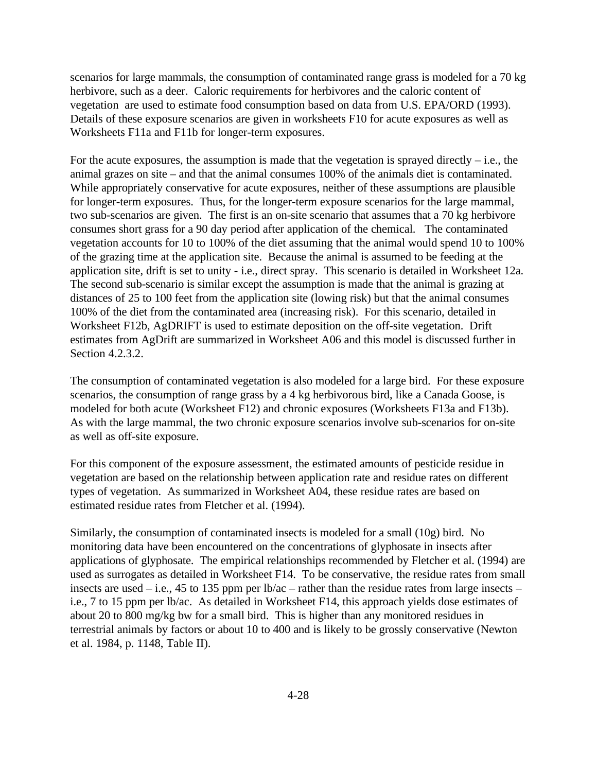scenarios for large mammals, the consumption of contaminated range grass is modeled for a 70 kg herbivore, such as a deer. Caloric requirements for herbivores and the caloric content of vegetation are used to estimate food consumption based on data from U.S. EPA/ORD (1993). Details of these exposure scenarios are given in worksheets F10 for acute exposures as well as Worksheets F11a and F11b for longer-term exposures.

For the acute exposures, the assumption is made that the vegetation is sprayed directly  $-$  i.e., the animal grazes on site – and that the animal consumes 100% of the animals diet is contaminated. While appropriately conservative for acute exposures, neither of these assumptions are plausible for longer-term exposures. Thus, for the longer-term exposure scenarios for the large mammal, two sub-scenarios are given. The first is an on-site scenario that assumes that a 70 kg herbivore consumes short grass for a 90 day period after application of the chemical. The contaminated vegetation accounts for 10 to 100% of the diet assuming that the animal would spend 10 to 100% of the grazing time at the application site. Because the animal is assumed to be feeding at the application site, drift is set to unity - i.e., direct spray. This scenario is detailed in Worksheet 12a. The second sub-scenario is similar except the assumption is made that the animal is grazing at distances of 25 to 100 feet from the application site (lowing risk) but that the animal consumes 100% of the diet from the contaminated area (increasing risk). For this scenario, detailed in Worksheet F12b, AgDRIFT is used to estimate deposition on the off-site vegetation. Drift estimates from AgDrift are summarized in Worksheet A06 and this model is discussed further in Section 4.2.3.2.

The consumption of contaminated vegetation is also modeled for a large bird. For these exposure scenarios, the consumption of range grass by a 4 kg herbivorous bird, like a Canada Goose, is modeled for both acute (Worksheet F12) and chronic exposures (Worksheets F13a and F13b). As with the large mammal, the two chronic exposure scenarios involve sub-scenarios for on-site as well as off-site exposure.

For this component of the exposure assessment, the estimated amounts of pesticide residue in vegetation are based on the relationship between application rate and residue rates on different types of vegetation. As summarized in Worksheet A04, these residue rates are based on estimated residue rates from Fletcher et al. (1994).

Similarly, the consumption of contaminated insects is modeled for a small (10g) bird. No monitoring data have been encountered on the concentrations of glyphosate in insects after applications of glyphosate. The empirical relationships recommended by Fletcher et al. (1994) are used as surrogates as detailed in Worksheet F14. To be conservative, the residue rates from small insects are used – i.e., 45 to 135 ppm per lb/ac – rather than the residue rates from large insects – i.e., 7 to 15 ppm per lb/ac. As detailed in Worksheet F14, this approach yields dose estimates of about 20 to 800 mg/kg bw for a small bird. This is higher than any monitored residues in terrestrial animals by factors or about 10 to 400 and is likely to be grossly conservative (Newton et al. 1984, p. 1148, Table II).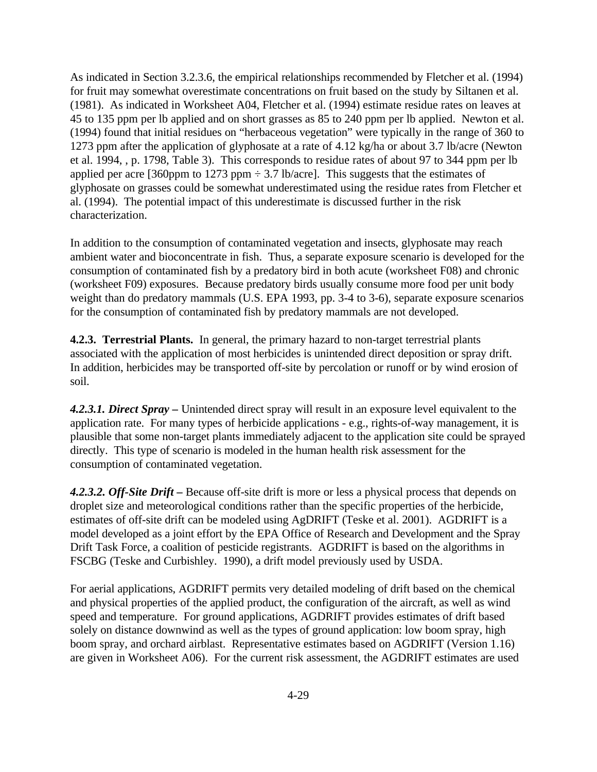As indicated in Section 3.2.3.6, the empirical relationships recommended by Fletcher et al. (1994) for fruit may somewhat overestimate concentrations on fruit based on the study by Siltanen et al. (1981). As indicated in Worksheet A04, Fletcher et al. (1994) estimate residue rates on leaves at 45 to 135 ppm per lb applied and on short grasses as 85 to 240 ppm per lb applied. Newton et al. (1994) found that initial residues on "herbaceous vegetation" were typically in the range of 360 to 1273 ppm after the application of glyphosate at a rate of 4.12 kg/ha or about 3.7 lb/acre (Newton et al. 1994, , p. 1798, Table 3). This corresponds to residue rates of about 97 to 344 ppm per lb applied per acre [360ppm to 1273 ppm  $\div$  3.7 lb/acre]. This suggests that the estimates of glyphosate on grasses could be somewhat underestimated using the residue rates from Fletcher et al. (1994). The potential impact of this underestimate is discussed further in the risk characterization.

In addition to the consumption of contaminated vegetation and insects, glyphosate may reach ambient water and bioconcentrate in fish. Thus, a separate exposure scenario is developed for the consumption of contaminated fish by a predatory bird in both acute (worksheet F08) and chronic (worksheet F09) exposures. Because predatory birds usually consume more food per unit body weight than do predatory mammals (U.S. EPA 1993, pp. 3-4 to 3-6), separate exposure scenarios for the consumption of contaminated fish by predatory mammals are not developed.

**4.2.3. Terrestrial Plants.** In general, the primary hazard to non-target terrestrial plants associated with the application of most herbicides is unintended direct deposition or spray drift. In addition, herbicides may be transported off-site by percolation or runoff or by wind erosion of soil.

*4.2.3.1. Direct Spray –* Unintended direct spray will result in an exposure level equivalent to the application rate. For many types of herbicide applications - e.g., rights-of-way management, it is plausible that some non-target plants immediately adjacent to the application site could be sprayed directly. This type of scenario is modeled in the human health risk assessment for the consumption of contaminated vegetation.

*4.2.3.2. Off-Site Drift –* Because off-site drift is more or less a physical process that depends on droplet size and meteorological conditions rather than the specific properties of the herbicide, estimates of off-site drift can be modeled using AgDRIFT (Teske et al. 2001). AGDRIFT is a model developed as a joint effort by the EPA Office of Research and Development and the Spray Drift Task Force, a coalition of pesticide registrants. AGDRIFT is based on the algorithms in FSCBG (Teske and Curbishley. 1990), a drift model previously used by USDA.

For aerial applications, AGDRIFT permits very detailed modeling of drift based on the chemical and physical properties of the applied product, the configuration of the aircraft, as well as wind speed and temperature. For ground applications, AGDRIFT provides estimates of drift based solely on distance downwind as well as the types of ground application: low boom spray, high boom spray, and orchard airblast. Representative estimates based on AGDRIFT (Version 1.16) are given in Worksheet A06). For the current risk assessment, the AGDRIFT estimates are used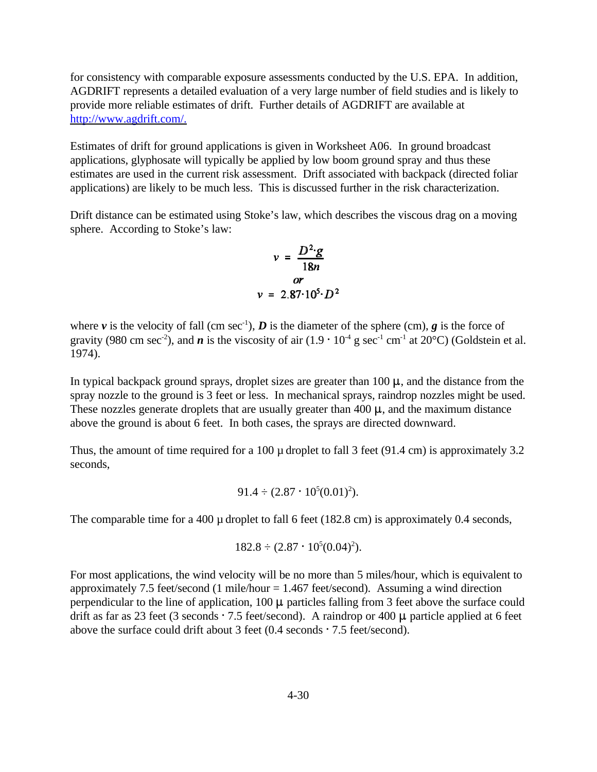for consistency with comparable exposure assessments conducted by the U.S. EPA. In addition, AGDRIFT represents a detailed evaluation of a very large number of field studies and is likely to provide more reliable estimates of drift. Further details of AGDRIFT are available at http://www.agdrift.com/.

Estimates of drift for ground applications is given in Worksheet A06. In ground broadcast applications, glyphosate will typically be applied by low boom ground spray and thus these estimates are used in the current risk assessment. Drift associated with backpack (directed foliar applications) are likely to be much less. This is discussed further in the risk characterization.

Drift distance can be estimated using Stoke's law, which describes the viscous drag on a moving sphere. According to Stoke's law:

$$
v = \frac{D^2 \cdot g}{18n}
$$
  

$$
or
$$
  

$$
v = 2.87 \cdot 10^5 \cdot D^2
$$

where  $\nu$  is the velocity of fall (cm sec<sup>-1</sup>), *D* is the diameter of the sphere (cm), *g* is the force of gravity (980 cm sec<sup>-2</sup>), and *n* is the viscosity of air  $(1.9 \cdot 10^{-4} \text{ g sec}^{-1} \text{ cm}^{-1}$  at 20°C) (Goldstein et al. 1974).

In typical backpack ground sprays, droplet sizes are greater than  $100 \mu$ , and the distance from the spray nozzle to the ground is 3 feet or less. In mechanical sprays, raindrop nozzles might be used. These nozzles generate droplets that are usually greater than  $400 \mu$ , and the maximum distance above the ground is about 6 feet. In both cases, the sprays are directed downward.

Thus, the amount of time required for a 100  $\mu$  droplet to fall 3 feet (91.4 cm) is approximately 3.2 seconds,

$$
91.4 \div (2.87 \cdot 10^5 (0.01)^2).
$$

The comparable time for a 400  $\mu$  droplet to fall 6 feet (182.8 cm) is approximately 0.4 seconds,

$$
182.8 \div (2.87 \cdot 10^5 (0.04)^2).
$$

For most applications, the wind velocity will be no more than 5 miles/hour, which is equivalent to approximately 7.5 feet/second (1 mile/hour  $= 1.467$  feet/second). Assuming a wind direction perpendicular to the line of application,  $100 \mu$  particles falling from 3 feet above the surface could drift as far as 23 feet (3 seconds  $\cdot$  7.5 feet/second). A raindrop or 400  $\mu$  particle applied at 6 feet above the surface could drift about 3 feet  $(0.4$  seconds  $\cdot$  7.5 feet/second).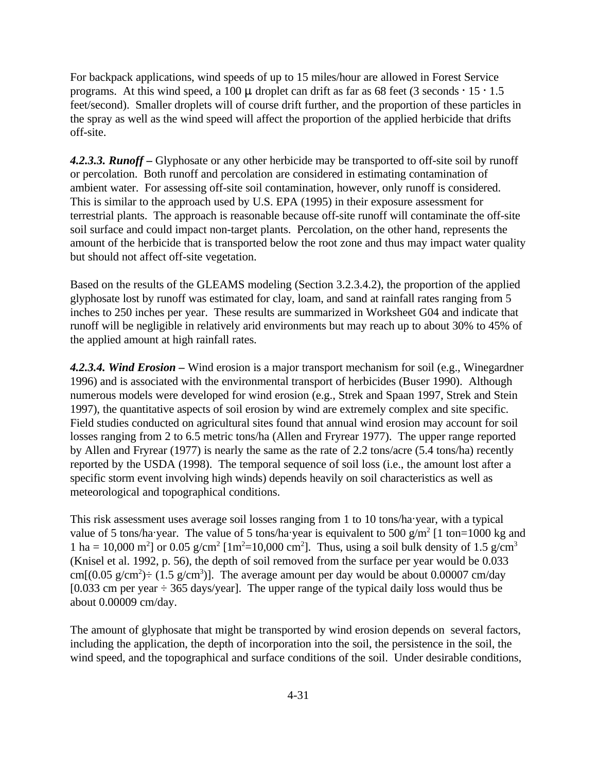For backpack applications, wind speeds of up to 15 miles/hour are allowed in Forest Service programs. At this wind speed, a 100  $\mu$  droplet can drift as far as 68 feet (3 seconds  $\cdot$  15  $\cdot$  1.5 feet/second). Smaller droplets will of course drift further, and the proportion of these particles in the spray as well as the wind speed will affect the proportion of the applied herbicide that drifts off-site.

*4.2.3.3. Runoff* **–** Glyphosate or any other herbicide may be transported to off-site soil by runoff or percolation. Both runoff and percolation are considered in estimating contamination of ambient water. For assessing off-site soil contamination, however, only runoff is considered. This is similar to the approach used by U.S. EPA (1995) in their exposure assessment for terrestrial plants. The approach is reasonable because off-site runoff will contaminate the off-site soil surface and could impact non-target plants. Percolation, on the other hand, represents the amount of the herbicide that is transported below the root zone and thus may impact water quality but should not affect off-site vegetation.

Based on the results of the GLEAMS modeling (Section 3.2.3.4.2), the proportion of the applied glyphosate lost by runoff was estimated for clay, loam, and sand at rainfall rates ranging from 5 inches to 250 inches per year. These results are summarized in Worksheet G04 and indicate that runoff will be negligible in relatively arid environments but may reach up to about 30% to 45% of the applied amount at high rainfall rates.

*4.2.3.4. Wind Erosion –* Wind erosion is a major transport mechanism for soil (e.g., Winegardner 1996) and is associated with the environmental transport of herbicides (Buser 1990). Although numerous models were developed for wind erosion (e.g., Strek and Spaan 1997, Strek and Stein 1997), the quantitative aspects of soil erosion by wind are extremely complex and site specific. Field studies conducted on agricultural sites found that annual wind erosion may account for soil losses ranging from 2 to 6.5 metric tons/ha (Allen and Fryrear 1977). The upper range reported by Allen and Fryrear (1977) is nearly the same as the rate of 2.2 tons/acre (5.4 tons/ha) recently reported by the USDA (1998). The temporal sequence of soil loss (i.e., the amount lost after a specific storm event involving high winds) depends heavily on soil characteristics as well as meteorological and topographical conditions.

This risk assessment uses average soil losses ranging from 1 to 10 tons/ha·year, with a typical value of 5 tons/ha year. The value of 5 tons/ha year is equivalent to 500 g/m<sup>2</sup> [1 ton=1000 kg and 1 ha = 10,000 m<sup>2</sup>] or 0.05 g/cm<sup>2</sup> [1m<sup>2</sup>=10,000 cm<sup>2</sup>]. Thus, using a soil bulk density of 1.5 g/cm<sup>3</sup> (Knisel et al. 1992, p. 56), the depth of soil removed from the surface per year would be 0.033 cm[ $(0.05 \text{ g/cm}^2)$   $\div$  (1.5 g/cm<sup>3</sup>)]. The average amount per day would be about 0.00007 cm/day  $[0.033 \text{ cm}]$  per year  $\div$  365 days/year]. The upper range of the typical daily loss would thus be about 0.00009 cm/day.

The amount of glyphosate that might be transported by wind erosion depends on several factors, including the application, the depth of incorporation into the soil, the persistence in the soil, the wind speed, and the topographical and surface conditions of the soil. Under desirable conditions,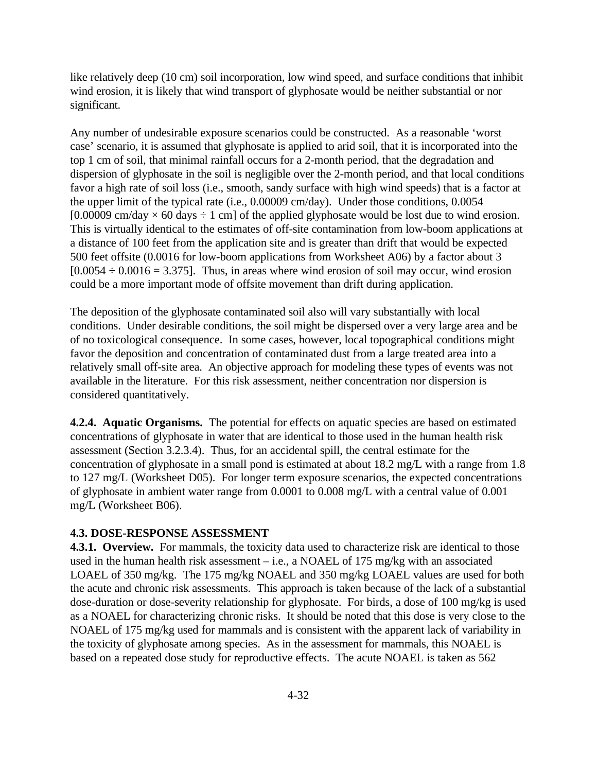like relatively deep (10 cm) soil incorporation, low wind speed, and surface conditions that inhibit wind erosion, it is likely that wind transport of glyphosate would be neither substantial or nor significant.

Any number of undesirable exposure scenarios could be constructed. As a reasonable 'worst case' scenario, it is assumed that glyphosate is applied to arid soil, that it is incorporated into the top 1 cm of soil, that minimal rainfall occurs for a 2-month period, that the degradation and dispersion of glyphosate in the soil is negligible over the 2-month period, and that local conditions favor a high rate of soil loss (i.e., smooth, sandy surface with high wind speeds) that is a factor at the upper limit of the typical rate (i.e., 0.00009 cm/day). Under those conditions, 0.0054 [0.00009 cm/day  $\times$  60 days  $\div$  1 cm] of the applied glyphosate would be lost due to wind erosion. This is virtually identical to the estimates of off-site contamination from low-boom applications at a distance of 100 feet from the application site and is greater than drift that would be expected 500 feet offsite (0.0016 for low-boom applications from Worksheet A06) by a factor about 3  $[0.0054 \div 0.0016 = 3.375]$ . Thus, in areas where wind erosion of soil may occur, wind erosion could be a more important mode of offsite movement than drift during application.

The deposition of the glyphosate contaminated soil also will vary substantially with local conditions. Under desirable conditions, the soil might be dispersed over a very large area and be of no toxicological consequence. In some cases, however, local topographical conditions might favor the deposition and concentration of contaminated dust from a large treated area into a relatively small off-site area. An objective approach for modeling these types of events was not available in the literature. For this risk assessment, neither concentration nor dispersion is considered quantitatively.

**4.2.4. Aquatic Organisms.** The potential for effects on aquatic species are based on estimated concentrations of glyphosate in water that are identical to those used in the human health risk assessment (Section 3.2.3.4). Thus, for an accidental spill, the central estimate for the concentration of glyphosate in a small pond is estimated at about 18.2 mg/L with a range from 1.8 to 127 mg/L (Worksheet D05). For longer term exposure scenarios, the expected concentrations of glyphosate in ambient water range from 0.0001 to 0.008 mg/L with a central value of 0.001 mg/L (Worksheet B06).

### **4.3. DOSE-RESPONSE ASSESSMENT**

**4.3.1. Overview.** For mammals, the toxicity data used to characterize risk are identical to those used in the human health risk assessment – i.e., a NOAEL of 175 mg/kg with an associated LOAEL of 350 mg/kg. The 175 mg/kg NOAEL and 350 mg/kg LOAEL values are used for both the acute and chronic risk assessments. This approach is taken because of the lack of a substantial dose-duration or dose-severity relationship for glyphosate. For birds, a dose of 100 mg/kg is used as a NOAEL for characterizing chronic risks. It should be noted that this dose is very close to the NOAEL of 175 mg/kg used for mammals and is consistent with the apparent lack of variability in the toxicity of glyphosate among species. As in the assessment for mammals, this NOAEL is based on a repeated dose study for reproductive effects. The acute NOAEL is taken as 562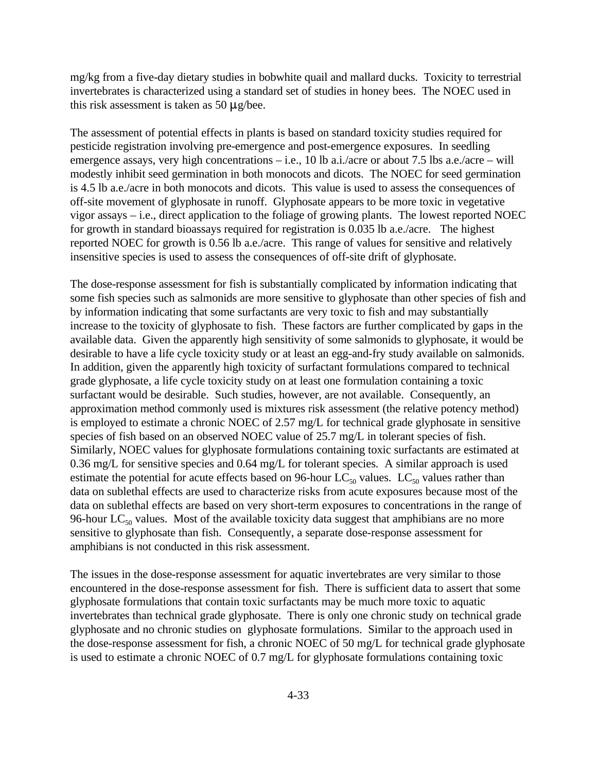mg/kg from a five-day dietary studies in bobwhite quail and mallard ducks. Toxicity to terrestrial invertebrates is characterized using a standard set of studies in honey bees. The NOEC used in this risk assessment is taken as 50  $\mu$ g/bee.

The assessment of potential effects in plants is based on standard toxicity studies required for pesticide registration involving pre-emergence and post-emergence exposures. In seedling emergence assays, very high concentrations – i.e., 10 lb a.i./acre or about 7.5 lbs a.e./acre – will modestly inhibit seed germination in both monocots and dicots. The NOEC for seed germination is 4.5 lb a.e./acre in both monocots and dicots. This value is used to assess the consequences of off-site movement of glyphosate in runoff. Glyphosate appears to be more toxic in vegetative vigor assays – i.e., direct application to the foliage of growing plants. The lowest reported NOEC for growth in standard bioassays required for registration is 0.035 lb a.e./acre. The highest reported NOEC for growth is 0.56 lb a.e./acre. This range of values for sensitive and relatively insensitive species is used to assess the consequences of off-site drift of glyphosate.

The dose-response assessment for fish is substantially complicated by information indicating that some fish species such as salmonids are more sensitive to glyphosate than other species of fish and by information indicating that some surfactants are very toxic to fish and may substantially increase to the toxicity of glyphosate to fish. These factors are further complicated by gaps in the available data. Given the apparently high sensitivity of some salmonids to glyphosate, it would be desirable to have a life cycle toxicity study or at least an egg-and-fry study available on salmonids. In addition, given the apparently high toxicity of surfactant formulations compared to technical grade glyphosate, a life cycle toxicity study on at least one formulation containing a toxic surfactant would be desirable. Such studies, however, are not available. Consequently, an approximation method commonly used is mixtures risk assessment (the relative potency method) is employed to estimate a chronic NOEC of 2.57 mg/L for technical grade glyphosate in sensitive species of fish based on an observed NOEC value of 25.7 mg/L in tolerant species of fish. Similarly, NOEC values for glyphosate formulations containing toxic surfactants are estimated at 0.36 mg/L for sensitive species and 0.64 mg/L for tolerant species. A similar approach is used estimate the potential for acute effects based on 96-hour  $LC_{50}$  values.  $LC_{50}$  values rather than data on sublethal effects are used to characterize risks from acute exposures because most of the data on sublethal effects are based on very short-term exposures to concentrations in the range of 96-hour  $LC_{50}$  values. Most of the available toxicity data suggest that amphibians are no more sensitive to glyphosate than fish. Consequently, a separate dose-response assessment for amphibians is not conducted in this risk assessment.

The issues in the dose-response assessment for aquatic invertebrates are very similar to those encountered in the dose-response assessment for fish. There is sufficient data to assert that some glyphosate formulations that contain toxic surfactants may be much more toxic to aquatic invertebrates than technical grade glyphosate. There is only one chronic study on technical grade glyphosate and no chronic studies on glyphosate formulations. Similar to the approach used in the dose-response assessment for fish, a chronic NOEC of 50 mg/L for technical grade glyphosate is used to estimate a chronic NOEC of 0.7 mg/L for glyphosate formulations containing toxic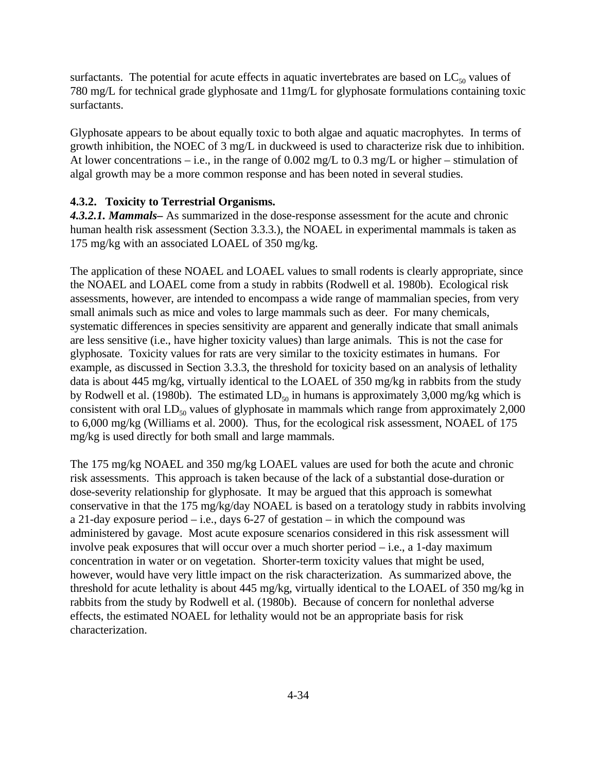surfactants. The potential for acute effects in aquatic invertebrates are based on  $LC_{50}$  values of 780 mg/L for technical grade glyphosate and 11mg/L for glyphosate formulations containing toxic surfactants.

Glyphosate appears to be about equally toxic to both algae and aquatic macrophytes. In terms of growth inhibition, the NOEC of 3 mg/L in duckweed is used to characterize risk due to inhibition. At lower concentrations – i.e., in the range of  $0.002 \text{ mg/L}$  to  $0.3 \text{ mg/L}$  or higher – stimulation of algal growth may be a more common response and has been noted in several studies.

### **4.3.2. Toxicity to Terrestrial Organisms.**

*4.3.2.1. Mammals–* As summarized in the dose-response assessment for the acute and chronic human health risk assessment (Section 3.3.3.), the NOAEL in experimental mammals is taken as 175 mg/kg with an associated LOAEL of 350 mg/kg.

The application of these NOAEL and LOAEL values to small rodents is clearly appropriate, since the NOAEL and LOAEL come from a study in rabbits (Rodwell et al. 1980b). Ecological risk assessments, however, are intended to encompass a wide range of mammalian species, from very small animals such as mice and voles to large mammals such as deer. For many chemicals, systematic differences in species sensitivity are apparent and generally indicate that small animals are less sensitive (i.e., have higher toxicity values) than large animals. This is not the case for glyphosate. Toxicity values for rats are very similar to the toxicity estimates in humans. For example, as discussed in Section 3.3.3, the threshold for toxicity based on an analysis of lethality data is about 445 mg/kg, virtually identical to the LOAEL of 350 mg/kg in rabbits from the study by Rodwell et al. (1980b). The estimated  $LD_{50}$  in humans is approximately 3,000 mg/kg which is consistent with oral  $LD_{50}$  values of glyphosate in mammals which range from approximately 2,000 to 6,000 mg/kg (Williams et al. 2000). Thus, for the ecological risk assessment, NOAEL of 175 mg/kg is used directly for both small and large mammals.

The 175 mg/kg NOAEL and 350 mg/kg LOAEL values are used for both the acute and chronic risk assessments. This approach is taken because of the lack of a substantial dose-duration or dose-severity relationship for glyphosate. It may be argued that this approach is somewhat conservative in that the 175 mg/kg/day NOAEL is based on a teratology study in rabbits involving a 21-day exposure period  $-$  i.e., days 6-27 of gestation  $-$  in which the compound was administered by gavage. Most acute exposure scenarios considered in this risk assessment will involve peak exposures that will occur over a much shorter period – i.e., a 1-day maximum concentration in water or on vegetation. Shorter-term toxicity values that might be used, however, would have very little impact on the risk characterization. As summarized above, the threshold for acute lethality is about 445 mg/kg, virtually identical to the LOAEL of 350 mg/kg in rabbits from the study by Rodwell et al. (1980b). Because of concern for nonlethal adverse effects, the estimated NOAEL for lethality would not be an appropriate basis for risk characterization.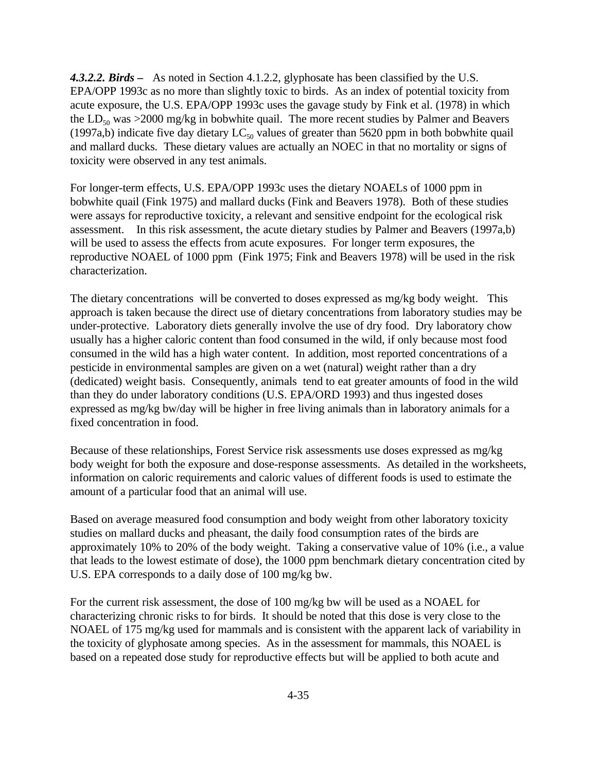*4.3.2.2. Birds –* As noted in Section 4.1.2.2, glyphosate has been classified by the U.S. EPA/OPP 1993c as no more than slightly toxic to birds. As an index of potential toxicity from acute exposure, the U.S. EPA/OPP 1993c uses the gavage study by Fink et al. (1978) in which the  $LD_{50}$  was >2000 mg/kg in bobwhite quail. The more recent studies by Palmer and Beavers (1997a,b) indicate five day dietary  $LC_{50}$  values of greater than 5620 ppm in both bobwhite quail and mallard ducks. These dietary values are actually an NOEC in that no mortality or signs of toxicity were observed in any test animals.

For longer-term effects, U.S. EPA/OPP 1993c uses the dietary NOAELs of 1000 ppm in bobwhite quail (Fink 1975) and mallard ducks (Fink and Beavers 1978). Both of these studies were assays for reproductive toxicity, a relevant and sensitive endpoint for the ecological risk assessment. In this risk assessment, the acute dietary studies by Palmer and Beavers (1997a,b) will be used to assess the effects from acute exposures. For longer term exposures, the reproductive NOAEL of 1000 ppm (Fink 1975; Fink and Beavers 1978) will be used in the risk characterization.

The dietary concentrations will be converted to doses expressed as mg/kg body weight. This approach is taken because the direct use of dietary concentrations from laboratory studies may be under-protective. Laboratory diets generally involve the use of dry food. Dry laboratory chow usually has a higher caloric content than food consumed in the wild, if only because most food consumed in the wild has a high water content. In addition, most reported concentrations of a pesticide in environmental samples are given on a wet (natural) weight rather than a dry (dedicated) weight basis. Consequently, animals tend to eat greater amounts of food in the wild than they do under laboratory conditions (U.S. EPA/ORD 1993) and thus ingested doses expressed as mg/kg bw/day will be higher in free living animals than in laboratory animals for a fixed concentration in food.

Because of these relationships, Forest Service risk assessments use doses expressed as mg/kg body weight for both the exposure and dose-response assessments. As detailed in the worksheets, information on caloric requirements and caloric values of different foods is used to estimate the amount of a particular food that an animal will use.

Based on average measured food consumption and body weight from other laboratory toxicity studies on mallard ducks and pheasant, the daily food consumption rates of the birds are approximately 10% to 20% of the body weight. Taking a conservative value of 10% (i.e., a value that leads to the lowest estimate of dose), the 1000 ppm benchmark dietary concentration cited by U.S. EPA corresponds to a daily dose of 100 mg/kg bw.

For the current risk assessment, the dose of 100 mg/kg bw will be used as a NOAEL for characterizing chronic risks to for birds. It should be noted that this dose is very close to the NOAEL of 175 mg/kg used for mammals and is consistent with the apparent lack of variability in the toxicity of glyphosate among species. As in the assessment for mammals, this NOAEL is based on a repeated dose study for reproductive effects but will be applied to both acute and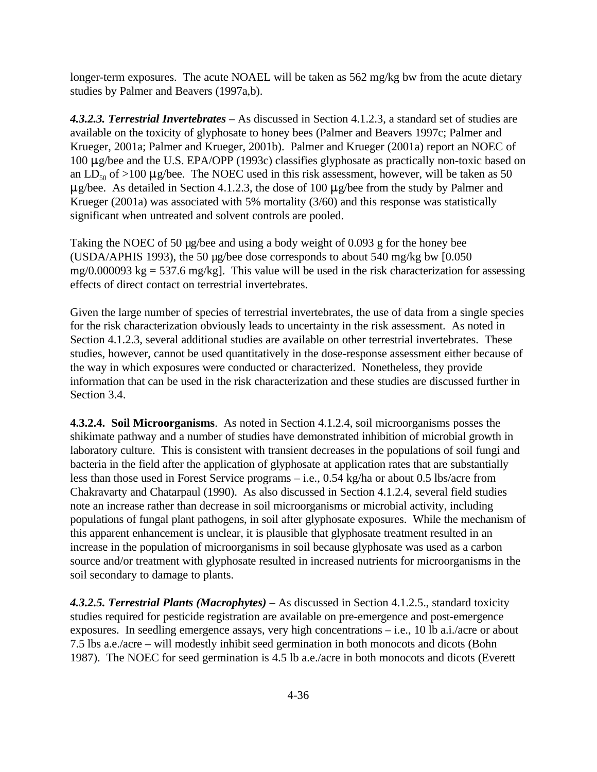longer-term exposures. The acute NOAEL will be taken as 562 mg/kg bw from the acute dietary studies by Palmer and Beavers (1997a,b).

*4.3.2.3. Terrestrial Invertebrates* – As discussed in Section 4.1.2.3, a standard set of studies are available on the toxicity of glyphosate to honey bees (Palmer and Beavers 1997c; Palmer and Krueger, 2001a; Palmer and Krueger, 2001b). Palmer and Krueger (2001a) report an NOEC of  $100 \mu$ g/bee and the U.S. EPA/OPP (1993c) classifies glyphosate as practically non-toxic based on an LD<sub>50</sub> of >100  $\mu$ g/bee. The NOEC used in this risk assessment, however, will be taken as 50  $\mu$ g/bee. As detailed in Section 4.1.2.3, the dose of 100  $\mu$ g/bee from the study by Palmer and Krueger (2001a) was associated with 5% mortality (3/60) and this response was statistically significant when untreated and solvent controls are pooled.

Taking the NOEC of 50 µg/bee and using a body weight of 0.093 g for the honey bee (USDA/APHIS 1993), the 50 µg/bee dose corresponds to about 540 mg/kg bw [0.050 mg/0.000093 kg = 537.6 mg/kg]. This value will be used in the risk characterization for assessing effects of direct contact on terrestrial invertebrates.

Given the large number of species of terrestrial invertebrates, the use of data from a single species for the risk characterization obviously leads to uncertainty in the risk assessment. As noted in Section 4.1.2.3, several additional studies are available on other terrestrial invertebrates. These studies, however, cannot be used quantitatively in the dose-response assessment either because of the way in which exposures were conducted or characterized. Nonetheless, they provide information that can be used in the risk characterization and these studies are discussed further in Section 3.4.

**4.3.2.4. Soil Microorganisms**. As noted in Section 4.1.2.4, soil microorganisms posses the shikimate pathway and a number of studies have demonstrated inhibition of microbial growth in laboratory culture. This is consistent with transient decreases in the populations of soil fungi and bacteria in the field after the application of glyphosate at application rates that are substantially less than those used in Forest Service programs – i.e., 0.54 kg/ha or about 0.5 lbs/acre from Chakravarty and Chatarpaul (1990). As also discussed in Section 4.1.2.4, several field studies note an increase rather than decrease in soil microorganisms or microbial activity, including populations of fungal plant pathogens, in soil after glyphosate exposures. While the mechanism of this apparent enhancement is unclear, it is plausible that glyphosate treatment resulted in an increase in the population of microorganisms in soil because glyphosate was used as a carbon source and/or treatment with glyphosate resulted in increased nutrients for microorganisms in the soil secondary to damage to plants.

*4.3.2.5. Terrestrial Plants (Macrophytes)* – As discussed in Section 4.1.2.5., standard toxicity studies required for pesticide registration are available on pre-emergence and post-emergence exposures. In seedling emergence assays, very high concentrations – i.e., 10 lb a.i./acre or about 7.5 lbs a.e./acre – will modestly inhibit seed germination in both monocots and dicots (Bohn 1987). The NOEC for seed germination is 4.5 lb a.e./acre in both monocots and dicots (Everett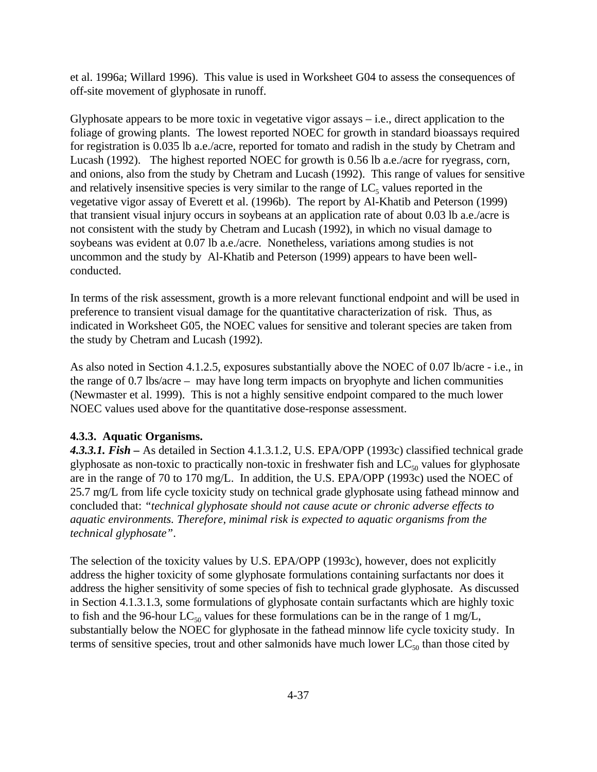et al. 1996a; Willard 1996). This value is used in Worksheet G04 to assess the consequences of off-site movement of glyphosate in runoff.

Glyphosate appears to be more toxic in vegetative vigor assays  $-$  i.e., direct application to the foliage of growing plants. The lowest reported NOEC for growth in standard bioassays required for registration is 0.035 lb a.e./acre, reported for tomato and radish in the study by Chetram and Lucash (1992). The highest reported NOEC for growth is 0.56 lb a.e./acre for ryegrass, corn, and onions, also from the study by Chetram and Lucash (1992). This range of values for sensitive and relatively insensitive species is very similar to the range of  $LC<sub>5</sub>$  values reported in the vegetative vigor assay of Everett et al. (1996b). The report by Al-Khatib and Peterson (1999) that transient visual injury occurs in soybeans at an application rate of about 0.03 lb a.e./acre is not consistent with the study by Chetram and Lucash (1992), in which no visual damage to soybeans was evident at 0.07 lb a.e./acre. Nonetheless, variations among studies is not uncommon and the study by Al-Khatib and Peterson (1999) appears to have been wellconducted.

In terms of the risk assessment, growth is a more relevant functional endpoint and will be used in preference to transient visual damage for the quantitative characterization of risk. Thus, as indicated in Worksheet G05, the NOEC values for sensitive and tolerant species are taken from the study by Chetram and Lucash (1992).

As also noted in Section 4.1.2.5, exposures substantially above the NOEC of 0.07 lb/acre - i.e., in the range of 0.7 lbs/acre – may have long term impacts on bryophyte and lichen communities (Newmaster et al. 1999). This is not a highly sensitive endpoint compared to the much lower NOEC values used above for the quantitative dose-response assessment.

# **4.3.3. Aquatic Organisms.**

*4.3.3.1. Fish –* As detailed in Section 4.1.3.1.2, U.S. EPA/OPP (1993c) classified technical grade glyphosate as non-toxic to practically non-toxic in freshwater fish and  $LC_{50}$  values for glyphosate are in the range of 70 to 170 mg/L. In addition, the U.S. EPA/OPP (1993c) used the NOEC of 25.7 mg/L from life cycle toxicity study on technical grade glyphosate using fathead minnow and concluded that: *"technical glyphosate should not cause acute or chronic adverse effects to aquatic environments. Therefore, minimal risk is expected to aquatic organisms from the technical glyphosate"*.

The selection of the toxicity values by U.S. EPA/OPP (1993c), however, does not explicitly address the higher toxicity of some glyphosate formulations containing surfactants nor does it address the higher sensitivity of some species of fish to technical grade glyphosate. As discussed in Section 4.1.3.1.3, some formulations of glyphosate contain surfactants which are highly toxic to fish and the 96-hour  $LC_{50}$  values for these formulations can be in the range of 1 mg/L, substantially below the NOEC for glyphosate in the fathead minnow life cycle toxicity study. In terms of sensitive species, trout and other salmonids have much lower  $LC_{50}$  than those cited by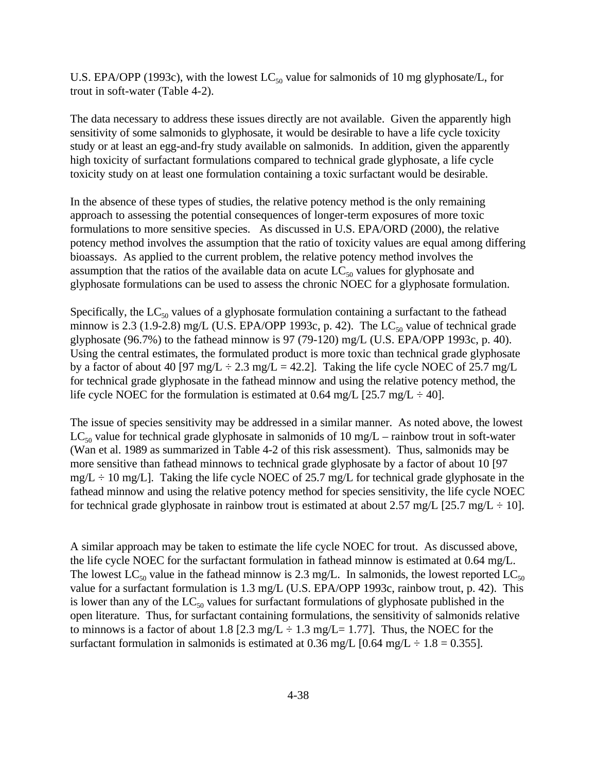U.S. EPA/OPP (1993c), with the lowest  $LC_{50}$  value for salmonids of 10 mg glyphosate/L, for trout in soft-water (Table 4-2).

The data necessary to address these issues directly are not available. Given the apparently high sensitivity of some salmonids to glyphosate, it would be desirable to have a life cycle toxicity study or at least an egg-and-fry study available on salmonids. In addition, given the apparently high toxicity of surfactant formulations compared to technical grade glyphosate, a life cycle toxicity study on at least one formulation containing a toxic surfactant would be desirable.

In the absence of these types of studies, the relative potency method is the only remaining approach to assessing the potential consequences of longer-term exposures of more toxic formulations to more sensitive species. As discussed in U.S. EPA/ORD (2000), the relative potency method involves the assumption that the ratio of toxicity values are equal among differing bioassays. As applied to the current problem, the relative potency method involves the assumption that the ratios of the available data on acute  $LC_{50}$  values for glyphosate and glyphosate formulations can be used to assess the chronic NOEC for a glyphosate formulation.

Specifically, the  $LC_{50}$  values of a glyphosate formulation containing a surfactant to the fathead minnow is 2.3 (1.9-2.8) mg/L (U.S. EPA/OPP 1993c, p. 42). The  $LC_{50}$  value of technical grade glyphosate (96.7%) to the fathead minnow is 97 (79-120) mg/L (U.S. EPA/OPP 1993c, p. 40). Using the central estimates, the formulated product is more toxic than technical grade glyphosate by a factor of about 40 [97 mg/L  $\div$  2.3 mg/L = 42.2]. Taking the life cycle NOEC of 25.7 mg/L for technical grade glyphosate in the fathead minnow and using the relative potency method, the life cycle NOEC for the formulation is estimated at 0.64 mg/L  $[25.7 \text{ mg/L} \div 40]$ .

The issue of species sensitivity may be addressed in a similar manner. As noted above, the lowest  $LC_{50}$  value for technical grade glyphosate in salmonids of 10 mg/L – rainbow trout in soft-water (Wan et al. 1989 as summarized in Table 4-2 of this risk assessment). Thus, salmonids may be more sensitive than fathead minnows to technical grade glyphosate by a factor of about 10 [97  $mg/L \div 10$  mg/L]. Taking the life cycle NOEC of 25.7 mg/L for technical grade glyphosate in the fathead minnow and using the relative potency method for species sensitivity, the life cycle NOEC for technical grade glyphosate in rainbow trout is estimated at about 2.57 mg/L  $[25.7 \text{ mg/L} \div 10]$ .

A similar approach may be taken to estimate the life cycle NOEC for trout. As discussed above, the life cycle NOEC for the surfactant formulation in fathead minnow is estimated at 0.64 mg/L. The lowest  $LC_{50}$  value in the fathead minnow is 2.3 mg/L. In salmonids, the lowest reported  $LC_{50}$ value for a surfactant formulation is 1.3 mg/L (U.S. EPA/OPP 1993c, rainbow trout, p. 42). This is lower than any of the  $LC_{50}$  values for surfactant formulations of glyphosate published in the open literature. Thus, for surfactant containing formulations, the sensitivity of salmonids relative to minnows is a factor of about 1.8 [2.3 mg/L  $\div$  1.3 mg/L = 1.77]. Thus, the NOEC for the surfactant formulation in salmonids is estimated at 0.36 mg/L  $[0.64 \text{ mg/L} \div 1.8 = 0.355]$ .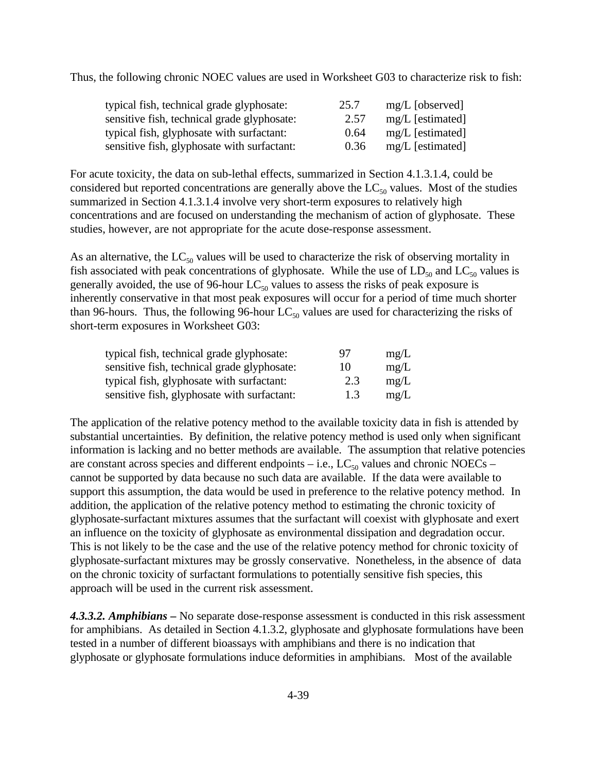Thus, the following chronic NOEC values are used in Worksheet G03 to characterize risk to fish:

| typical fish, technical grade glyphosate:   | 25.7 | $mg/L$ [observed] |
|---------------------------------------------|------|-------------------|
| sensitive fish, technical grade glyphosate: | 2.57 | mg/L [estimated]  |
| typical fish, glyphosate with surfactant:   | 0.64 | mg/L [estimated]  |
| sensitive fish, glyphosate with surfactant: | 0.36 | mg/L [estimated]  |

For acute toxicity, the data on sub-lethal effects, summarized in Section 4.1.3.1.4, could be considered but reported concentrations are generally above the  $LC_{50}$  values. Most of the studies summarized in Section 4.1.3.1.4 involve very short-term exposures to relatively high concentrations and are focused on understanding the mechanism of action of glyphosate. These studies, however, are not appropriate for the acute dose-response assessment.

As an alternative, the  $LC_{50}$  values will be used to characterize the risk of observing mortality in fish associated with peak concentrations of glyphosate. While the use of  $LD_{50}$  and  $LC_{50}$  values is generally avoided, the use of 96-hour  $LC_{50}$  values to assess the risks of peak exposure is inherently conservative in that most peak exposures will occur for a period of time much shorter than 96-hours. Thus, the following 96-hour  $LC_{50}$  values are used for characterizing the risks of short-term exposures in Worksheet G03:

| typical fish, technical grade glyphosate:   | 97  | mg/L |
|---------------------------------------------|-----|------|
| sensitive fish, technical grade glyphosate: | 10  | mg/L |
| typical fish, glyphosate with surfactant:   | 2.3 | mg/L |
| sensitive fish, glyphosate with surfactant: | 1.3 | mg/L |

The application of the relative potency method to the available toxicity data in fish is attended by substantial uncertainties. By definition, the relative potency method is used only when significant information is lacking and no better methods are available. The assumption that relative potencies are constant across species and different endpoints – i.e.,  $LC_{50}$  values and chronic NOECs – cannot be supported by data because no such data are available. If the data were available to support this assumption, the data would be used in preference to the relative potency method. In addition, the application of the relative potency method to estimating the chronic toxicity of glyphosate-surfactant mixtures assumes that the surfactant will coexist with glyphosate and exert an influence on the toxicity of glyphosate as environmental dissipation and degradation occur. This is not likely to be the case and the use of the relative potency method for chronic toxicity of glyphosate-surfactant mixtures may be grossly conservative. Nonetheless, in the absence of data on the chronic toxicity of surfactant formulations to potentially sensitive fish species, this approach will be used in the current risk assessment.

*4.3.3.2. Amphibians –* No separate dose-response assessment is conducted in this risk assessment for amphibians. As detailed in Section 4.1.3.2, glyphosate and glyphosate formulations have been tested in a number of different bioassays with amphibians and there is no indication that glyphosate or glyphosate formulations induce deformities in amphibians. Most of the available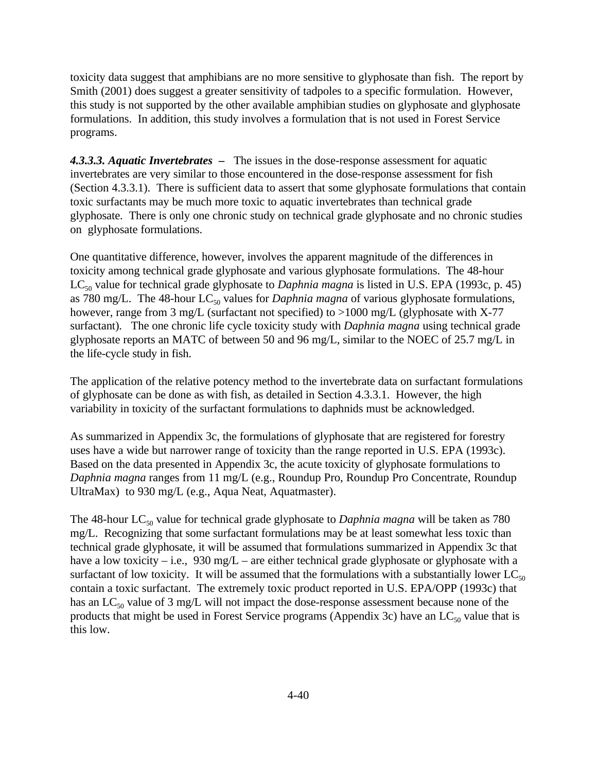toxicity data suggest that amphibians are no more sensitive to glyphosate than fish. The report by Smith (2001) does suggest a greater sensitivity of tadpoles to a specific formulation. However, this study is not supported by the other available amphibian studies on glyphosate and glyphosate formulations. In addition, this study involves a formulation that is not used in Forest Service programs.

*4.3.3.3. Aquatic Invertebrates –* The issues in the dose-response assessment for aquatic invertebrates are very similar to those encountered in the dose-response assessment for fish (Section 4.3.3.1). There is sufficient data to assert that some glyphosate formulations that contain toxic surfactants may be much more toxic to aquatic invertebrates than technical grade glyphosate. There is only one chronic study on technical grade glyphosate and no chronic studies on glyphosate formulations.

One quantitative difference, however, involves the apparent magnitude of the differences in toxicity among technical grade glyphosate and various glyphosate formulations. The 48-hour LC<sub>50</sub> value for technical grade glyphosate to *Daphnia magna* is listed in U.S. EPA (1993c, p. 45) as 780 mg/L. The 48-hour LC<sub>50</sub> values for *Daphnia magna* of various glyphosate formulations, however, range from 3 mg/L (surfactant not specified) to >1000 mg/L (glyphosate with X-77 surfactant). The one chronic life cycle toxicity study with *Daphnia magna* using technical grade glyphosate reports an MATC of between 50 and 96 mg/L, similar to the NOEC of 25.7 mg/L in the life-cycle study in fish.

The application of the relative potency method to the invertebrate data on surfactant formulations of glyphosate can be done as with fish, as detailed in Section 4.3.3.1. However, the high variability in toxicity of the surfactant formulations to daphnids must be acknowledged.

As summarized in Appendix 3c, the formulations of glyphosate that are registered for forestry uses have a wide but narrower range of toxicity than the range reported in U.S. EPA (1993c). Based on the data presented in Appendix 3c, the acute toxicity of glyphosate formulations to *Daphnia magna* ranges from 11 mg/L (e.g., Roundup Pro, Roundup Pro Concentrate, Roundup UltraMax) to 930 mg/L (e.g., Aqua Neat, Aquatmaster).

The 48-hour LC<sub>50</sub> value for technical grade glyphosate to *Daphnia magna* will be taken as 780 mg/L. Recognizing that some surfactant formulations may be at least somewhat less toxic than technical grade glyphosate, it will be assumed that formulations summarized in Appendix 3c that have a low toxicity – i.e., 930 mg/L – are either technical grade glyphosate or glyphosate with a surfactant of low toxicity. It will be assumed that the formulations with a substantially lower  $LC_{50}$ contain a toxic surfactant. The extremely toxic product reported in U.S. EPA/OPP (1993c) that has an  $LC_{50}$  value of 3 mg/L will not impact the dose-response assessment because none of the products that might be used in Forest Service programs (Appendix 3c) have an  $LC_{50}$  value that is this low.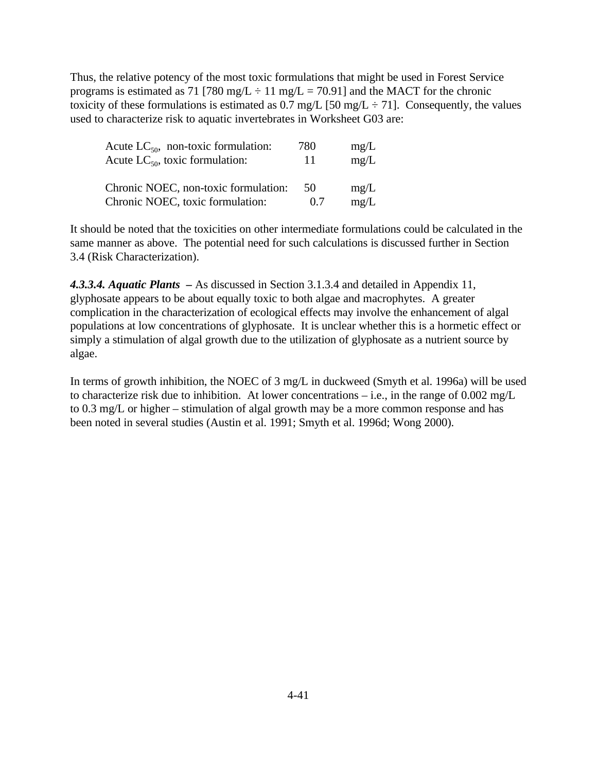Thus, the relative potency of the most toxic formulations that might be used in Forest Service programs is estimated as 71 [780 mg/L  $\div$  11 mg/L = 70.91] and the MACT for the chronic toxicity of these formulations is estimated as 0.7 mg/L [50 mg/L  $\div$  71]. Consequently, the values used to characterize risk to aquatic invertebrates in Worksheet G03 are:

| Acute $LC_{50}$ , non-toxic formulation: | 780 | mg/L |
|------------------------------------------|-----|------|
| Acute $LC_{50}$ , toxic formulation:     | 11  | mg/L |
| Chronic NOEC, non-toxic formulation:     | 50  | mg/L |
| Chronic NOEC, toxic formulation:         | 0.7 | mg/L |

It should be noted that the toxicities on other intermediate formulations could be calculated in the same manner as above. The potential need for such calculations is discussed further in Section 3.4 (Risk Characterization).

*4.3.3.4. Aquatic Plants –* As discussed in Section 3.1.3.4 and detailed in Appendix 11, glyphosate appears to be about equally toxic to both algae and macrophytes. A greater complication in the characterization of ecological effects may involve the enhancement of algal populations at low concentrations of glyphosate. It is unclear whether this is a hormetic effect or simply a stimulation of algal growth due to the utilization of glyphosate as a nutrient source by algae.

In terms of growth inhibition, the NOEC of 3 mg/L in duckweed (Smyth et al. 1996a) will be used to characterize risk due to inhibition. At lower concentrations – i.e., in the range of 0.002 mg/L to 0.3 mg/L or higher – stimulation of algal growth may be a more common response and has been noted in several studies (Austin et al. 1991; Smyth et al. 1996d; Wong 2000).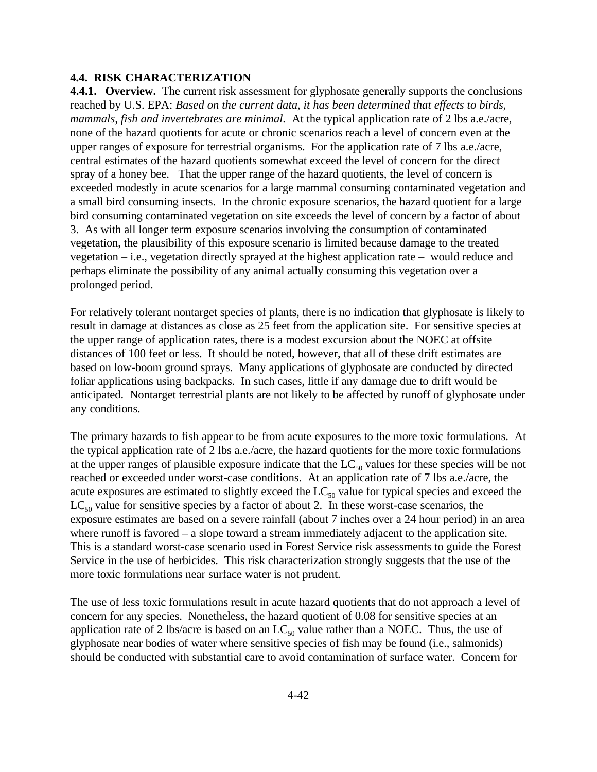#### **4.4. RISK CHARACTERIZATION**

**4.4.1. Overview.** The current risk assessment for glyphosate generally supports the conclusions reached by U.S. EPA: *Based on the current data, it has been determined that effects to birds, mammals, fish and invertebrates are minimal.* At the typical application rate of 2 lbs a.e./acre, none of the hazard quotients for acute or chronic scenarios reach a level of concern even at the upper ranges of exposure for terrestrial organisms. For the application rate of 7 lbs a.e./acre, central estimates of the hazard quotients somewhat exceed the level of concern for the direct spray of a honey bee. That the upper range of the hazard quotients, the level of concern is exceeded modestly in acute scenarios for a large mammal consuming contaminated vegetation and a small bird consuming insects. In the chronic exposure scenarios, the hazard quotient for a large bird consuming contaminated vegetation on site exceeds the level of concern by a factor of about 3. As with all longer term exposure scenarios involving the consumption of contaminated vegetation, the plausibility of this exposure scenario is limited because damage to the treated vegetation – i.e., vegetation directly sprayed at the highest application rate – would reduce and perhaps eliminate the possibility of any animal actually consuming this vegetation over a prolonged period.

For relatively tolerant nontarget species of plants, there is no indication that glyphosate is likely to result in damage at distances as close as 25 feet from the application site. For sensitive species at the upper range of application rates, there is a modest excursion about the NOEC at offsite distances of 100 feet or less. It should be noted, however, that all of these drift estimates are based on low-boom ground sprays. Many applications of glyphosate are conducted by directed foliar applications using backpacks. In such cases, little if any damage due to drift would be anticipated. Nontarget terrestrial plants are not likely to be affected by runoff of glyphosate under any conditions.

The primary hazards to fish appear to be from acute exposures to the more toxic formulations. At the typical application rate of 2 lbs a.e./acre, the hazard quotients for the more toxic formulations at the upper ranges of plausible exposure indicate that the  $LC_{50}$  values for these species will be not reached or exceeded under worst-case conditions. At an application rate of 7 lbs a.e./acre, the acute exposures are estimated to slightly exceed the  $LC_{50}$  value for typical species and exceed the  $LC_{50}$  value for sensitive species by a factor of about 2. In these worst-case scenarios, the exposure estimates are based on a severe rainfall (about 7 inches over a 24 hour period) in an area where runoff is favored – a slope toward a stream immediately adjacent to the application site. This is a standard worst-case scenario used in Forest Service risk assessments to guide the Forest Service in the use of herbicides. This risk characterization strongly suggests that the use of the more toxic formulations near surface water is not prudent.

The use of less toxic formulations result in acute hazard quotients that do not approach a level of concern for any species. Nonetheless, the hazard quotient of 0.08 for sensitive species at an application rate of 2 lbs/acre is based on an  $LC_{50}$  value rather than a NOEC. Thus, the use of glyphosate near bodies of water where sensitive species of fish may be found (i.e., salmonids) should be conducted with substantial care to avoid contamination of surface water. Concern for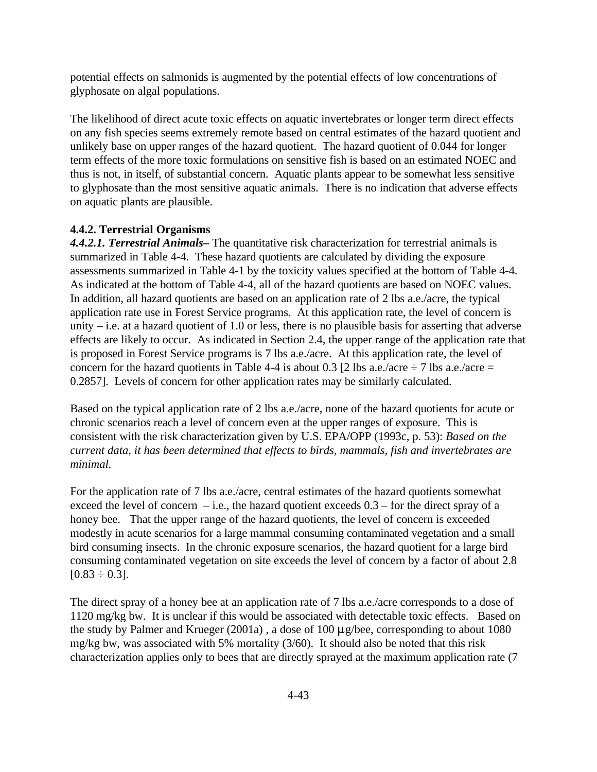potential effects on salmonids is augmented by the potential effects of low concentrations of glyphosate on algal populations.

The likelihood of direct acute toxic effects on aquatic invertebrates or longer term direct effects on any fish species seems extremely remote based on central estimates of the hazard quotient and unlikely base on upper ranges of the hazard quotient. The hazard quotient of 0.044 for longer term effects of the more toxic formulations on sensitive fish is based on an estimated NOEC and thus is not, in itself, of substantial concern. Aquatic plants appear to be somewhat less sensitive to glyphosate than the most sensitive aquatic animals. There is no indication that adverse effects on aquatic plants are plausible.

# **4.4.2. Terrestrial Organisms**

*4.4.2.1. Terrestrial Animals–* The quantitative risk characterization for terrestrial animals is summarized in Table 4-4. These hazard quotients are calculated by dividing the exposure assessments summarized in Table 4-1 by the toxicity values specified at the bottom of Table 4-4. As indicated at the bottom of Table 4-4, all of the hazard quotients are based on NOEC values. In addition, all hazard quotients are based on an application rate of 2 lbs a.e./acre, the typical application rate use in Forest Service programs. At this application rate, the level of concern is unity – i.e. at a hazard quotient of 1.0 or less, there is no plausible basis for asserting that adverse effects are likely to occur. As indicated in Section 2.4, the upper range of the application rate that is proposed in Forest Service programs is 7 lbs a.e./acre. At this application rate, the level of concern for the hazard quotients in Table 4-4 is about 0.3 [2 lbs a.e./acre  $\div$  7 lbs a.e./acre = 0.2857]. Levels of concern for other application rates may be similarly calculated.

Based on the typical application rate of 2 lbs a.e./acre, none of the hazard quotients for acute or chronic scenarios reach a level of concern even at the upper ranges of exposure. This is consistent with the risk characterization given by U.S. EPA/OPP (1993c, p. 53): *Based on the current data, it has been determined that effects to birds, mammals, fish and invertebrates are minimal.*

For the application rate of 7 lbs a.e./acre, central estimates of the hazard quotients somewhat exceed the level of concern  $-$  i.e., the hazard quotient exceeds  $0.3$  – for the direct spray of a honey bee. That the upper range of the hazard quotients, the level of concern is exceeded modestly in acute scenarios for a large mammal consuming contaminated vegetation and a small bird consuming insects. In the chronic exposure scenarios, the hazard quotient for a large bird consuming contaminated vegetation on site exceeds the level of concern by a factor of about 2.8  $[0.83 \div 0.3]$ .

The direct spray of a honey bee at an application rate of 7 lbs a.e./acre corresponds to a dose of 1120 mg/kg bw. It is unclear if this would be associated with detectable toxic effects. Based on the study by Palmer and Krueger (2001a), a dose of 100  $\mu$ g/bee, corresponding to about 1080 mg/kg bw, was associated with 5% mortality (3/60). It should also be noted that this risk characterization applies only to bees that are directly sprayed at the maximum application rate (7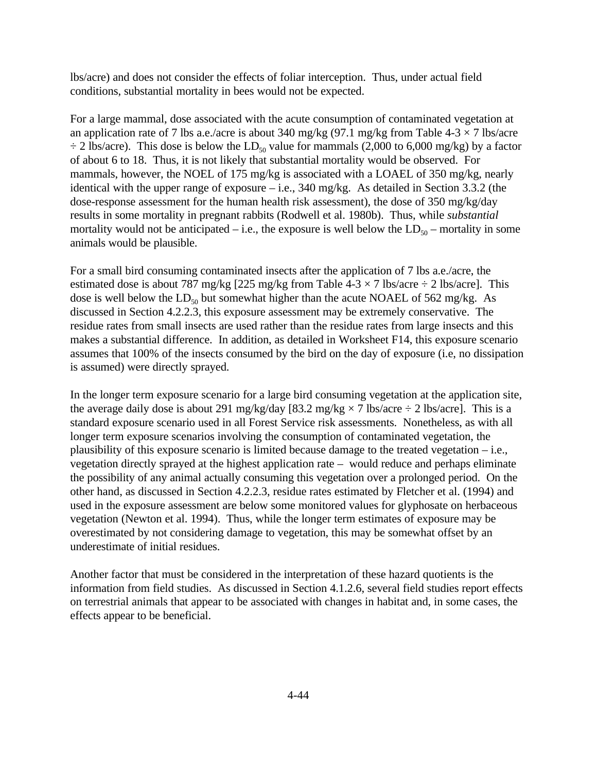lbs/acre) and does not consider the effects of foliar interception. Thus, under actual field conditions, substantial mortality in bees would not be expected.

For a large mammal, dose associated with the acute consumption of contaminated vegetation at an application rate of 7 lbs a.e./acre is about 340 mg/kg (97.1 mg/kg from Table 4-3  $\times$  7 lbs/acre  $\div$  2 lbs/acre). This dose is below the LD<sub>50</sub> value for mammals (2,000 to 6,000 mg/kg) by a factor of about 6 to 18. Thus, it is not likely that substantial mortality would be observed. For mammals, however, the NOEL of 175 mg/kg is associated with a LOAEL of 350 mg/kg, nearly identical with the upper range of exposure – i.e., 340 mg/kg. As detailed in Section 3.3.2 (the dose-response assessment for the human health risk assessment), the dose of 350 mg/kg/day results in some mortality in pregnant rabbits (Rodwell et al. 1980b). Thus, while *substantial* mortality would not be anticipated – i.e., the exposure is well below the  $LD_{50}$  – mortality in some animals would be plausible.

For a small bird consuming contaminated insects after the application of 7 lbs a.e./acre, the estimated dose is about 787 mg/kg [225 mg/kg from Table 4-3  $\times$  7 lbs/acre  $\div$  2 lbs/acre]. This dose is well below the  $LD_{50}$  but somewhat higher than the acute NOAEL of 562 mg/kg. As discussed in Section 4.2.2.3, this exposure assessment may be extremely conservative. The residue rates from small insects are used rather than the residue rates from large insects and this makes a substantial difference. In addition, as detailed in Worksheet F14, this exposure scenario assumes that 100% of the insects consumed by the bird on the day of exposure (i.e, no dissipation is assumed) were directly sprayed.

In the longer term exposure scenario for a large bird consuming vegetation at the application site, the average daily dose is about 291 mg/kg/day [83.2 mg/kg  $\times$  7 lbs/acre  $\div$  2 lbs/acre]. This is a standard exposure scenario used in all Forest Service risk assessments. Nonetheless, as with all longer term exposure scenarios involving the consumption of contaminated vegetation, the plausibility of this exposure scenario is limited because damage to the treated vegetation – i.e., vegetation directly sprayed at the highest application rate – would reduce and perhaps eliminate the possibility of any animal actually consuming this vegetation over a prolonged period. On the other hand, as discussed in Section 4.2.2.3, residue rates estimated by Fletcher et al. (1994) and used in the exposure assessment are below some monitored values for glyphosate on herbaceous vegetation (Newton et al. 1994). Thus, while the longer term estimates of exposure may be overestimated by not considering damage to vegetation, this may be somewhat offset by an underestimate of initial residues.

Another factor that must be considered in the interpretation of these hazard quotients is the information from field studies. As discussed in Section 4.1.2.6, several field studies report effects on terrestrial animals that appear to be associated with changes in habitat and, in some cases, the effects appear to be beneficial.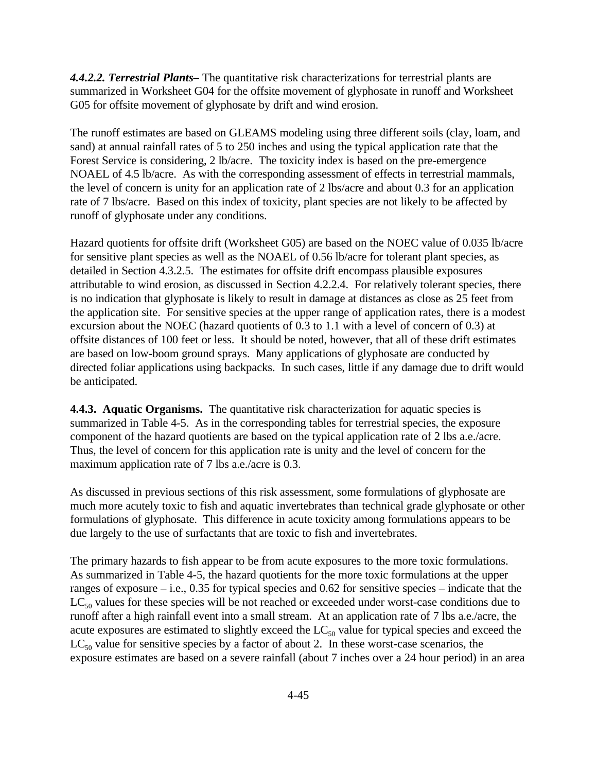*4.4.2.2. Terrestrial Plants–* The quantitative risk characterizations for terrestrial plants are summarized in Worksheet G04 for the offsite movement of glyphosate in runoff and Worksheet G05 for offsite movement of glyphosate by drift and wind erosion.

The runoff estimates are based on GLEAMS modeling using three different soils (clay, loam, and sand) at annual rainfall rates of 5 to 250 inches and using the typical application rate that the Forest Service is considering, 2 lb/acre. The toxicity index is based on the pre-emergence NOAEL of 4.5 lb/acre. As with the corresponding assessment of effects in terrestrial mammals, the level of concern is unity for an application rate of 2 lbs/acre and about 0.3 for an application rate of 7 lbs/acre. Based on this index of toxicity, plant species are not likely to be affected by runoff of glyphosate under any conditions.

Hazard quotients for offsite drift (Worksheet G05) are based on the NOEC value of 0.035 lb/acre for sensitive plant species as well as the NOAEL of 0.56 lb/acre for tolerant plant species, as detailed in Section 4.3.2.5. The estimates for offsite drift encompass plausible exposures attributable to wind erosion, as discussed in Section 4.2.2.4. For relatively tolerant species, there is no indication that glyphosate is likely to result in damage at distances as close as 25 feet from the application site. For sensitive species at the upper range of application rates, there is a modest excursion about the NOEC (hazard quotients of 0.3 to 1.1 with a level of concern of 0.3) at offsite distances of 100 feet or less. It should be noted, however, that all of these drift estimates are based on low-boom ground sprays. Many applications of glyphosate are conducted by directed foliar applications using backpacks. In such cases, little if any damage due to drift would be anticipated.

**4.4.3. Aquatic Organisms.** The quantitative risk characterization for aquatic species is summarized in Table 4-5. As in the corresponding tables for terrestrial species, the exposure component of the hazard quotients are based on the typical application rate of 2 lbs a.e./acre. Thus, the level of concern for this application rate is unity and the level of concern for the maximum application rate of 7 lbs a.e./acre is 0.3.

As discussed in previous sections of this risk assessment, some formulations of glyphosate are much more acutely toxic to fish and aquatic invertebrates than technical grade glyphosate or other formulations of glyphosate. This difference in acute toxicity among formulations appears to be due largely to the use of surfactants that are toxic to fish and invertebrates.

The primary hazards to fish appear to be from acute exposures to the more toxic formulations. As summarized in Table 4-5, the hazard quotients for the more toxic formulations at the upper ranges of exposure – i.e., 0.35 for typical species and 0.62 for sensitive species – indicate that the  $LC_{50}$  values for these species will be not reached or exceeded under worst-case conditions due to runoff after a high rainfall event into a small stream. At an application rate of 7 lbs a.e./acre, the acute exposures are estimated to slightly exceed the  $LC_{50}$  value for typical species and exceed the  $LC_{50}$  value for sensitive species by a factor of about 2. In these worst-case scenarios, the exposure estimates are based on a severe rainfall (about 7 inches over a 24 hour period) in an area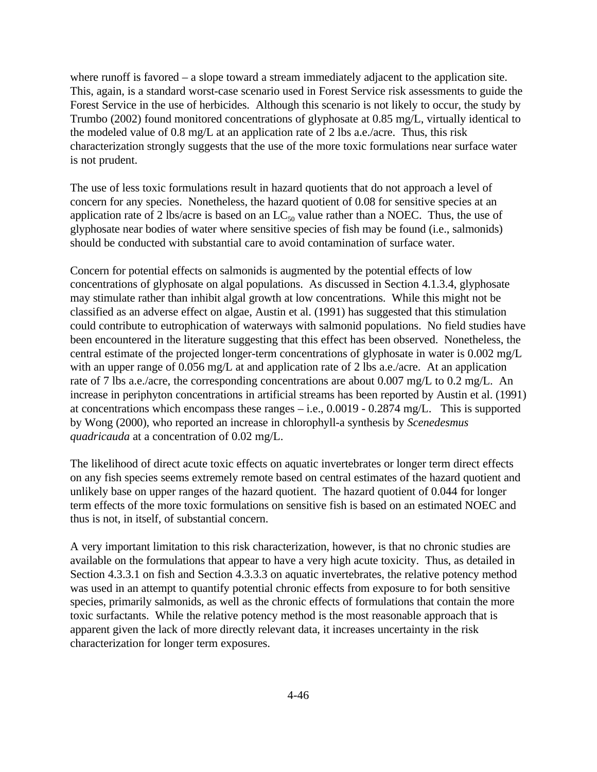where runoff is favored – a slope toward a stream immediately adjacent to the application site. This, again, is a standard worst-case scenario used in Forest Service risk assessments to guide the Forest Service in the use of herbicides. Although this scenario is not likely to occur, the study by Trumbo (2002) found monitored concentrations of glyphosate at 0.85 mg/L, virtually identical to the modeled value of 0.8 mg/L at an application rate of 2 lbs a.e./acre. Thus, this risk characterization strongly suggests that the use of the more toxic formulations near surface water is not prudent.

The use of less toxic formulations result in hazard quotients that do not approach a level of concern for any species. Nonetheless, the hazard quotient of 0.08 for sensitive species at an application rate of 2 lbs/acre is based on an  $LC_{50}$  value rather than a NOEC. Thus, the use of glyphosate near bodies of water where sensitive species of fish may be found (i.e., salmonids) should be conducted with substantial care to avoid contamination of surface water.

Concern for potential effects on salmonids is augmented by the potential effects of low concentrations of glyphosate on algal populations. As discussed in Section 4.1.3.4, glyphosate may stimulate rather than inhibit algal growth at low concentrations. While this might not be classified as an adverse effect on algae, Austin et al. (1991) has suggested that this stimulation could contribute to eutrophication of waterways with salmonid populations. No field studies have been encountered in the literature suggesting that this effect has been observed. Nonetheless, the central estimate of the projected longer-term concentrations of glyphosate in water is 0.002 mg/L with an upper range of 0.056 mg/L at and application rate of 2 lbs a.e./acre. At an application rate of 7 lbs a.e./acre, the corresponding concentrations are about 0.007 mg/L to 0.2 mg/L. An increase in periphyton concentrations in artificial streams has been reported by Austin et al. (1991) at concentrations which encompass these ranges – i.e., 0.0019 - 0.2874 mg/L. This is supported by Wong (2000), who reported an increase in chlorophyll-a synthesis by *Scenedesmus quadricauda* at a concentration of 0.02 mg/L.

The likelihood of direct acute toxic effects on aquatic invertebrates or longer term direct effects on any fish species seems extremely remote based on central estimates of the hazard quotient and unlikely base on upper ranges of the hazard quotient. The hazard quotient of 0.044 for longer term effects of the more toxic formulations on sensitive fish is based on an estimated NOEC and thus is not, in itself, of substantial concern.

A very important limitation to this risk characterization, however, is that no chronic studies are available on the formulations that appear to have a very high acute toxicity. Thus, as detailed in Section 4.3.3.1 on fish and Section 4.3.3.3 on aquatic invertebrates, the relative potency method was used in an attempt to quantify potential chronic effects from exposure to for both sensitive species, primarily salmonids, as well as the chronic effects of formulations that contain the more toxic surfactants. While the relative potency method is the most reasonable approach that is apparent given the lack of more directly relevant data, it increases uncertainty in the risk characterization for longer term exposures.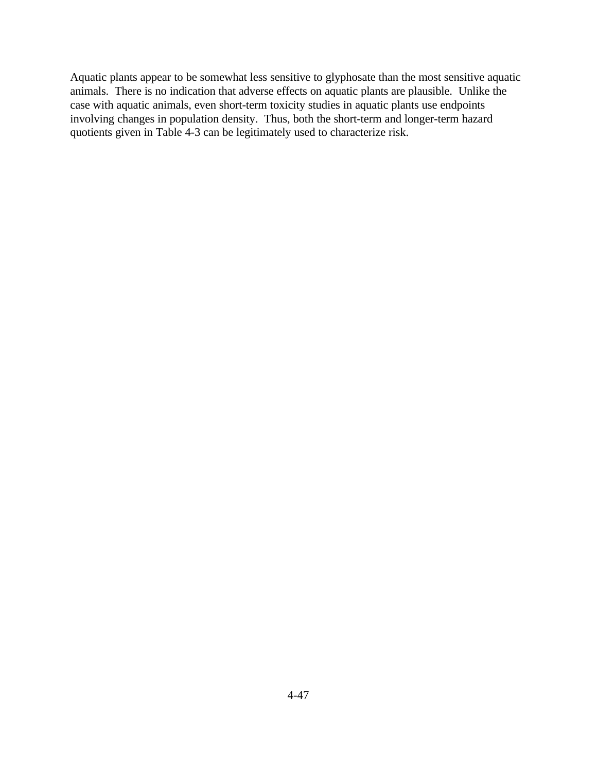Aquatic plants appear to be somewhat less sensitive to glyphosate than the most sensitive aquatic animals. There is no indication that adverse effects on aquatic plants are plausible. Unlike the case with aquatic animals, even short-term toxicity studies in aquatic plants use endpoints involving changes in population density. Thus, both the short-term and longer-term hazard quotients given in Table 4-3 can be legitimately used to characterize risk.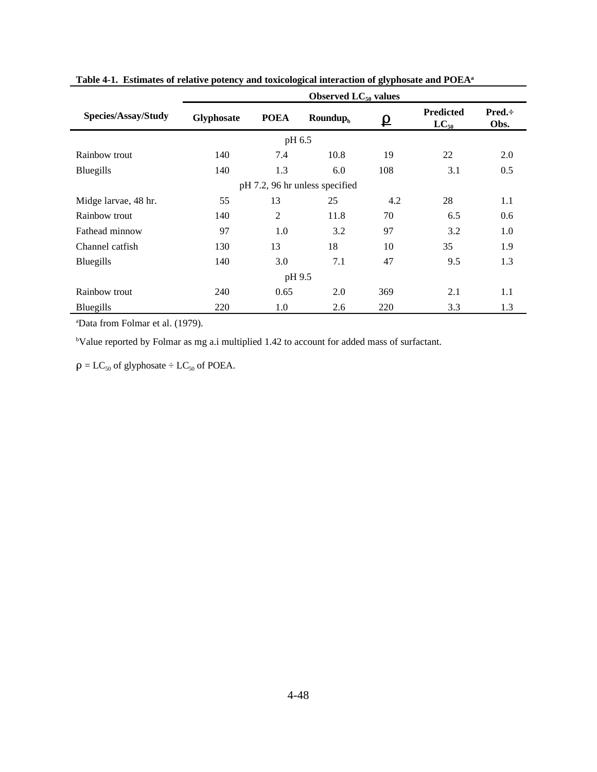|                                | Observed $LC_{50}$ values |                |                                 |                   |                               |                      |  |  |  |
|--------------------------------|---------------------------|----------------|---------------------------------|-------------------|-------------------------------|----------------------|--|--|--|
| Species/Assay/Study            | <b>Glyphosate</b>         | <b>POEA</b>    | $\mathbf{Roundup}_{\mathrm{h}}$ | $\mathbf{\Omega}$ | <b>Predicted</b><br>$LC_{50}$ | $Pred. \div$<br>Obs. |  |  |  |
| pH 6.5                         |                           |                |                                 |                   |                               |                      |  |  |  |
| Rainbow trout                  | 140                       | 7.4            | 10.8                            | 19                | 22                            | 2.0                  |  |  |  |
| Bluegills                      | 140                       | 1.3            | 6.0                             | 108               | 3.1                           | 0.5                  |  |  |  |
| pH 7.2, 96 hr unless specified |                           |                |                                 |                   |                               |                      |  |  |  |
| Midge larvae, 48 hr.           | 55                        | 13             | 25                              | 4.2               | 28                            | 1.1                  |  |  |  |
| Rainbow trout                  | 140                       | $\mathfrak{2}$ | 11.8                            | 70                | 6.5                           | 0.6                  |  |  |  |
| Fathead minnow                 | 97                        | 1.0            | 3.2                             | 97                | 3.2                           | 1.0                  |  |  |  |
| Channel catfish                | 130                       | 13             | 18                              | 10                | 35                            | 1.9                  |  |  |  |
| Bluegills                      | 140                       | 3.0            | 7.1                             | 47                | 9.5                           | 1.3                  |  |  |  |
| pH 9.5                         |                           |                |                                 |                   |                               |                      |  |  |  |
| Rainbow trout                  | 240                       | 0.65           | 2.0                             | 369               | 2.1                           | 1.1                  |  |  |  |
| Bluegills                      | 220                       | 1.0            | 2.6                             | 220               | 3.3                           | 1.3                  |  |  |  |

**Table 4-1. Estimates of relative potency and toxicological interaction of glyphosate and POEA<sup>a</sup>**

<sup>a</sup>Data from Folmar et al. (1979).

<sup>b</sup>Value reported by Folmar as mg a.i multiplied 1.42 to account for added mass of surfactant.

 $\rho = LC_{50}$  of glyphosate  $\div LC_{50}$  of POEA.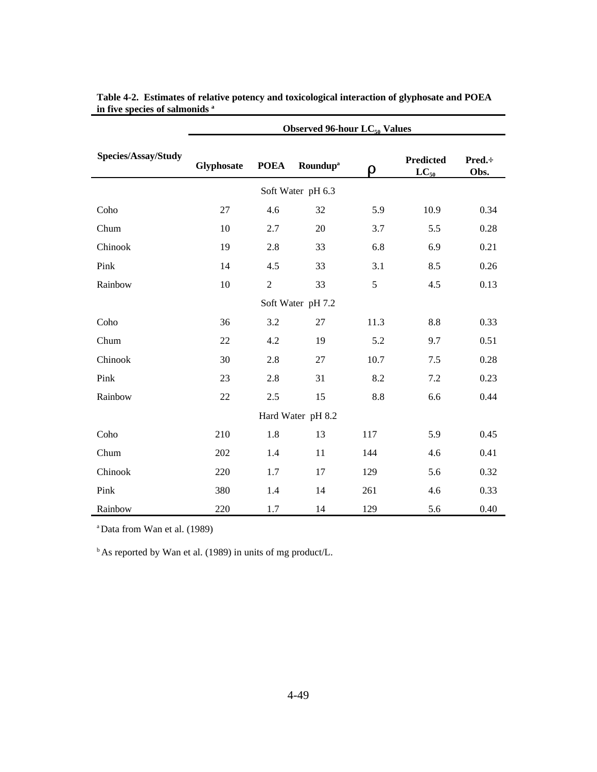|                     | <b>Observed 96-hour LC<sub>50</sub> Values</b> |                |                            |      |                               |                |  |  |
|---------------------|------------------------------------------------|----------------|----------------------------|------|-------------------------------|----------------|--|--|
| Species/Assay/Study | Glyphosate                                     | <b>POEA</b>    | <b>Roundup<sup>a</sup></b> | ρ    | <b>Predicted</b><br>$LC_{50}$ | Pred.:<br>Obs. |  |  |
| Soft Water pH 6.3   |                                                |                |                            |      |                               |                |  |  |
| Coho                | 27                                             | 4.6            | 32                         | 5.9  | 10.9                          | 0.34           |  |  |
| Chum                | 10                                             | 2.7            | 20                         | 3.7  | 5.5                           | 0.28           |  |  |
| Chinook             | 19                                             | 2.8            | 33                         | 6.8  | 6.9                           | 0.21           |  |  |
| Pink                | 14                                             | 4.5            | 33                         | 3.1  | 8.5                           | 0.26           |  |  |
| Rainbow             | $10\,$                                         | $\overline{c}$ | 33                         | 5    | 4.5                           | 0.13           |  |  |
| Soft Water pH 7.2   |                                                |                |                            |      |                               |                |  |  |
| Coho                | 36                                             | 3.2            | 27                         | 11.3 | 8.8                           | 0.33           |  |  |
| Chum                | 22                                             | 4.2            | 19                         | 5.2  | 9.7                           | 0.51           |  |  |
| Chinook             | 30                                             | 2.8            | 27                         | 10.7 | 7.5                           | 0.28           |  |  |
| Pink                | 23                                             | 2.8            | 31                         | 8.2  | 7.2                           | 0.23           |  |  |
| Rainbow             | 22                                             | 2.5            | 15                         | 8.8  | 6.6                           | 0.44           |  |  |
| Hard Water pH 8.2   |                                                |                |                            |      |                               |                |  |  |
| Coho                | 210                                            | 1.8            | 13                         | 117  | 5.9                           | 0.45           |  |  |
| Chum                | 202                                            | 1.4            | 11                         | 144  | 4.6                           | 0.41           |  |  |
| Chinook             | 220                                            | 1.7            | 17                         | 129  | 5.6                           | 0.32           |  |  |
| Pink                | 380                                            | 1.4            | 14                         | 261  | 4.6                           | 0.33           |  |  |
| Rainbow             | 220                                            | 1.7            | 14                         | 129  | 5.6                           | 0.40           |  |  |

**Table 4-2. Estimates of relative potency and toxicological interaction of glyphosate and POEA in five species of salmonids <sup>a</sup>**

<sup>a</sup>Data from Wan et al. (1989)

<sup>b</sup> As reported by Wan et al. (1989) in units of mg product/L.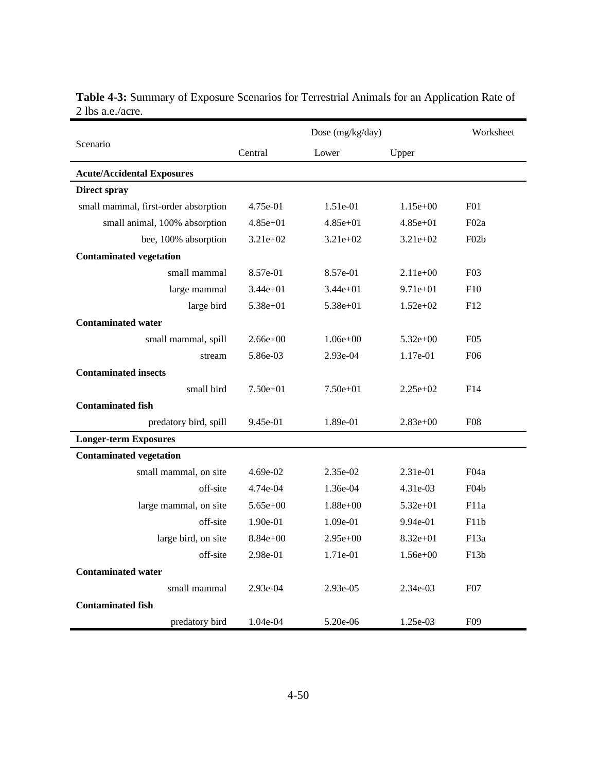|                                      |                  | Worksheet    |              |                   |  |  |
|--------------------------------------|------------------|--------------|--------------|-------------------|--|--|
| Scenario                             | Central<br>Lower |              | Upper        |                   |  |  |
| <b>Acute/Accidental Exposures</b>    |                  |              |              |                   |  |  |
| <b>Direct spray</b>                  |                  |              |              |                   |  |  |
| small mammal, first-order absorption | 4.75e-01         | $1.51e-01$   | $1.15e+00$   | F <sub>0</sub> 1  |  |  |
| small animal, 100% absorption        | $4.85e+01$       | $4.85e+01$   | $4.85e+01$   | F02a              |  |  |
| bee, 100% absorption                 | $3.21e+02$       | $3.21e+02$   | $3.21e+02$   | F02b              |  |  |
| <b>Contaminated vegetation</b>       |                  |              |              |                   |  |  |
| small mammal                         | 8.57e-01         | 8.57e-01     | $2.11e+00$   | F <sub>0</sub> 3  |  |  |
| large mammal                         | $3.44e+01$       | $3.44e+01$   | $9.71e+01$   | F10               |  |  |
| large bird                           | $5.38e + 01$     | $5.38e + 01$ | $1.52e+02$   | F12               |  |  |
| <b>Contaminated water</b>            |                  |              |              |                   |  |  |
| small mammal, spill                  | $2.66e+00$       | $1.06e + 00$ | $5.32e+00$   | F05               |  |  |
| stream                               | 5.86e-03         | 2.93e-04     | 1.17e-01     | F <sub>06</sub>   |  |  |
| <b>Contaminated insects</b>          |                  |              |              |                   |  |  |
| small bird                           | $7.50e + 01$     | $7.50e+01$   | $2.25e+02$   | F14               |  |  |
| <b>Contaminated fish</b>             |                  |              |              |                   |  |  |
| predatory bird, spill                | 9.45e-01         | 1.89e-01     | $2.83e+00$   | <b>F08</b>        |  |  |
| <b>Longer-term Exposures</b>         |                  |              |              |                   |  |  |
| <b>Contaminated vegetation</b>       |                  |              |              |                   |  |  |
| small mammal, on site                | 4.69e-02         | 2.35e-02     | 2.31e-01     | F <sub>04a</sub>  |  |  |
| off-site                             | 4.74e-04         | 1.36e-04     | $4.31e-03$   | F <sub>04</sub> b |  |  |
| large mammal, on site                | $5.65e + 00$     | $1.88e + 00$ | $5.32e + 01$ | F11a              |  |  |
| off-site                             | 1.90e-01         | 1.09e-01     | $9.94e-01$   | F11b              |  |  |
| large bird, on site                  | $8.84e+00$       | $2.95e+00$   | $8.32e + 01$ | F13a              |  |  |
| off-site                             | 2.98e-01         | 1.71e-01     | $1.56e+00$   | F13h              |  |  |
| <b>Contaminated water</b>            |                  |              |              |                   |  |  |
| small mammal                         | 2.93e-04         | $2.93e-0.5$  | 2.34e-03     | F <sub>0</sub> 7  |  |  |
| <b>Contaminated fish</b>             |                  |              |              |                   |  |  |
| predatory bird                       | 1.04e-04         | $5.20e-06$   | 1.25e-03     | F <sub>09</sub>   |  |  |

**Table 4-3:** Summary of Exposure Scenarios for Terrestrial Animals for an Application Rate of 2 lbs a.e./acre.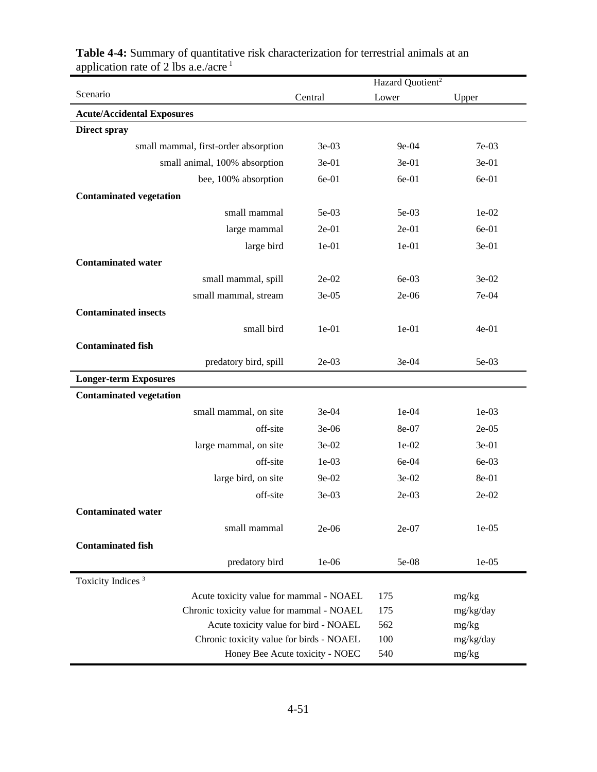|                                           | Hazard Quotient <sup>2</sup>    |         |           |
|-------------------------------------------|---------------------------------|---------|-----------|
| Scenario                                  | Central                         | Lower   | Upper     |
| <b>Acute/Accidental Exposures</b>         |                                 |         |           |
| <b>Direct spray</b>                       |                                 |         |           |
| small mammal, first-order absorption      | 3e-03                           | 9e-04   | 7e-03     |
| small animal, 100% absorption             | $3e-01$                         | $3e-01$ | 3e-01     |
| bee, 100% absorption                      | 6e-01                           | 6e-01   | 6e-01     |
| <b>Contaminated vegetation</b>            |                                 |         |           |
| small mammal                              | 5e-03                           | $5e-03$ | $1e-02$   |
| large mammal                              | $2e-01$                         | $2e-01$ | 6e-01     |
| large bird                                | $1e-01$                         | $1e-01$ | 3e-01     |
| <b>Contaminated water</b>                 |                                 |         |           |
| small mammal, spill                       | $2e-02$                         | 6e-03   | 3e-02     |
| small mammal, stream                      | $3e-05$                         | 2e-06   | 7e-04     |
| <b>Contaminated insects</b>               |                                 |         |           |
| small bird                                | $1e-01$                         | $1e-01$ | 4e-01     |
| <b>Contaminated fish</b>                  |                                 |         |           |
| predatory bird, spill                     | $2e-03$                         | 3e-04   | 5e-03     |
| <b>Longer-term Exposures</b>              |                                 |         |           |
| <b>Contaminated vegetation</b>            |                                 |         |           |
| small mammal, on site                     | 3e-04                           | 1e-04   | $1e-03$   |
| off-site                                  | 3e-06                           | 8e-07   | $2e-05$   |
| large mammal, on site                     | 3e-02                           | 1e-02   | 3e-01     |
| off-site                                  | $1e-03$                         | 6e-04   | 6e-03     |
| large bird, on site                       | 9e-02                           | 3e-02   | 8e-01     |
| off-site                                  | 3e-03                           | $2e-03$ | 2e-02     |
| <b>Contaminated water</b>                 |                                 |         |           |
| small mammal                              | $2e-06$                         | $2e-07$ | $1e-05$   |
| <b>Contaminated fish</b>                  |                                 |         |           |
| predatory bird                            | 1e-06                           | 5e-08   | 1e-05     |
| Toxicity Indices <sup>3</sup>             |                                 |         |           |
| Acute toxicity value for mammal - NOAEL   |                                 | 175     | mg/kg     |
| Chronic toxicity value for mammal - NOAEL |                                 | 175     | mg/kg/day |
| Acute toxicity value for bird - NOAEL     |                                 | 562     | mg/kg     |
| Chronic toxicity value for birds - NOAEL  |                                 | 100     | mg/kg/day |
|                                           | Honey Bee Acute toxicity - NOEC | 540     | mg/kg     |

**Table 4-4:** Summary of quantitative risk characterization for terrestrial animals at an application rate of 2 lbs a.e./acre<sup>1</sup>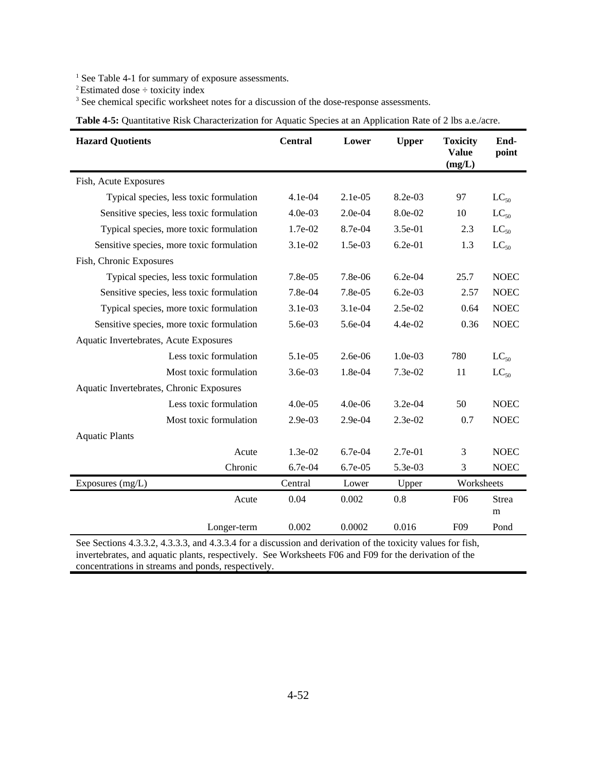<sup>1</sup> See Table 4-1 for summary of exposure assessments.

<sup>2</sup>Estimated dose  $\div$  toxicity index

<sup>3</sup> See chemical specific worksheet notes for a discussion of the dose-response assessments.

| <b>Hazard Quotients</b>                   | <b>Central</b> | Lower     | <b>Upper</b> | <b>Toxicity</b><br><b>Value</b><br>(mg/L) | End-<br>point     |
|-------------------------------------------|----------------|-----------|--------------|-------------------------------------------|-------------------|
| Fish, Acute Exposures                     |                |           |              |                                           |                   |
| Typical species, less toxic formulation   | $4.1e-04$      | $2.1e-05$ | 8.2e-03      | 97                                        | $LC_{50}$         |
| Sensitive species, less toxic formulation | 4.0e-03        | $2.0e-04$ | 8.0e-02      | 10                                        | $LC_{50}$         |
| Typical species, more toxic formulation   | 1.7e-02        | 8.7e-04   | 3.5e-01      | 2.3                                       | $LC_{50}$         |
| Sensitive species, more toxic formulation | 3.1e-02        | 1.5e-03   | $6.2e-01$    | 1.3                                       | $LC_{50}$         |
| Fish, Chronic Exposures                   |                |           |              |                                           |                   |
| Typical species, less toxic formulation   | 7.8e-05        | 7.8e-06   | $6.2e-04$    | 25.7                                      | <b>NOEC</b>       |
| Sensitive species, less toxic formulation | 7.8e-04        | 7.8e-05   | $6.2e-03$    | 2.57                                      | <b>NOEC</b>       |
| Typical species, more toxic formulation   | 3.1e-03        | $3.1e-04$ | 2.5e-02      | 0.64                                      | <b>NOEC</b>       |
| Sensitive species, more toxic formulation | 5.6e-03        | 5.6e-04   | 4.4e-02      | 0.36                                      | <b>NOEC</b>       |
| Aquatic Invertebrates, Acute Exposures    |                |           |              |                                           |                   |
| Less toxic formulation                    | 5.1e-05        | $2.6e-06$ | $1.0e-03$    | 780                                       | $LC_{50}$         |
| Most toxic formulation                    | 3.6e-03        | 1.8e-04   | 7.3e-02      | 11                                        | $LC_{50}$         |
| Aquatic Invertebrates, Chronic Exposures  |                |           |              |                                           |                   |
| Less toxic formulation                    | $4.0e-05$      | $4.0e-06$ | 3.2e-04      | 50                                        | <b>NOEC</b>       |
| Most toxic formulation                    | $2.9e-03$      | $2.9e-04$ | $2.3e-02$    | 0.7                                       | <b>NOEC</b>       |
| <b>Aquatic Plants</b>                     |                |           |              |                                           |                   |
| Acute                                     | 1.3e-02        | 6.7e-04   | 2.7e-01      | 3                                         | <b>NOEC</b>       |
| Chronic                                   | 6.7e-04        | 6.7e-05   | 5.3e-03      | 3                                         | <b>NOEC</b>       |
| Exposures (mg/L)                          | Central        | Lower     | Upper        | Worksheets                                |                   |
| Acute                                     | 0.04           | 0.002     | 0.8          | F <sub>06</sub>                           | <b>Strea</b><br>m |
| Longer-term                               | 0.002          | 0.0002    | 0.016        | F <sub>09</sub>                           | Pond              |

**Table 4-5:** Quantitative Risk Characterization for Aquatic Species at an Application Rate of 2 lbs a.e./acre.

See Sections 4.3.3.2, 4.3.3.3, and 4.3.3.4 for a discussion and derivation of the toxicity values for fish, invertebrates, and aquatic plants, respectively. See Worksheets F06 and F09 for the derivation of the concentrations in streams and ponds, respectively.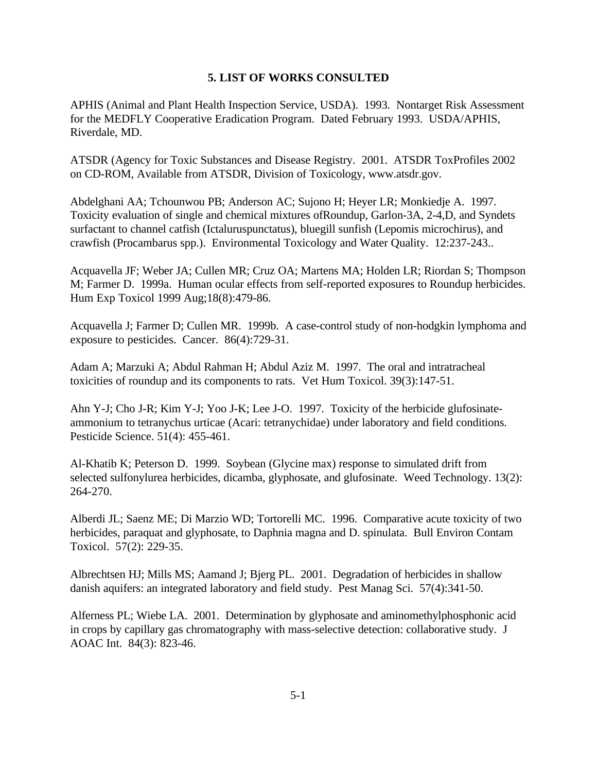## **5. LIST OF WORKS CONSULTED**

APHIS (Animal and Plant Health Inspection Service, USDA). 1993. Nontarget Risk Assessment for the MEDFLY Cooperative Eradication Program. Dated February 1993. USDA/APHIS, Riverdale, MD.

ATSDR (Agency for Toxic Substances and Disease Registry. 2001. ATSDR ToxProfiles 2002 on CD-ROM, Available from ATSDR, Division of Toxicology, www.atsdr.gov.

Abdelghani AA; Tchounwou PB; Anderson AC; Sujono H; Heyer LR; Monkiedje A. 1997. Toxicity evaluation of single and chemical mixtures ofRoundup, Garlon-3A, 2-4,D, and Syndets surfactant to channel catfish (Ictaluruspunctatus), bluegill sunfish (Lepomis microchirus), and crawfish (Procambarus spp.). Environmental Toxicology and Water Quality. 12:237-243..

Acquavella JF; Weber JA; Cullen MR; Cruz OA; Martens MA; Holden LR; Riordan S; Thompson M; Farmer D. 1999a. Human ocular effects from self-reported exposures to Roundup herbicides. Hum Exp Toxicol 1999 Aug;18(8):479-86.

Acquavella J; Farmer D; Cullen MR. 1999b. A case-control study of non-hodgkin lymphoma and exposure to pesticides. Cancer. 86(4):729-31.

Adam A; Marzuki A; Abdul Rahman H; Abdul Aziz M. 1997. The oral and intratracheal toxicities of roundup and its components to rats. Vet Hum Toxicol. 39(3):147-51.

Ahn Y-J; Cho J-R; Kim Y-J; Yoo J-K; Lee J-O. 1997. Toxicity of the herbicide glufosinateammonium to tetranychus urticae (Acari: tetranychidae) under laboratory and field conditions. Pesticide Science. 51(4): 455-461.

Al-Khatib K; Peterson D. 1999. Soybean (Glycine max) response to simulated drift from selected sulfonylurea herbicides, dicamba, glyphosate, and glufosinate. Weed Technology. 13(2): 264-270.

Alberdi JL; Saenz ME; Di Marzio WD; Tortorelli MC. 1996. Comparative acute toxicity of two herbicides, paraquat and glyphosate, to Daphnia magna and D. spinulata. Bull Environ Contam Toxicol. 57(2): 229-35.

Albrechtsen HJ; Mills MS; Aamand J; Bjerg PL. 2001. Degradation of herbicides in shallow danish aquifers: an integrated laboratory and field study. Pest Manag Sci. 57(4):341-50.

Alferness PL; Wiebe LA. 2001. Determination by glyphosate and aminomethylphosphonic acid in crops by capillary gas chromatography with mass-selective detection: collaborative study. J AOAC Int. 84(3): 823-46.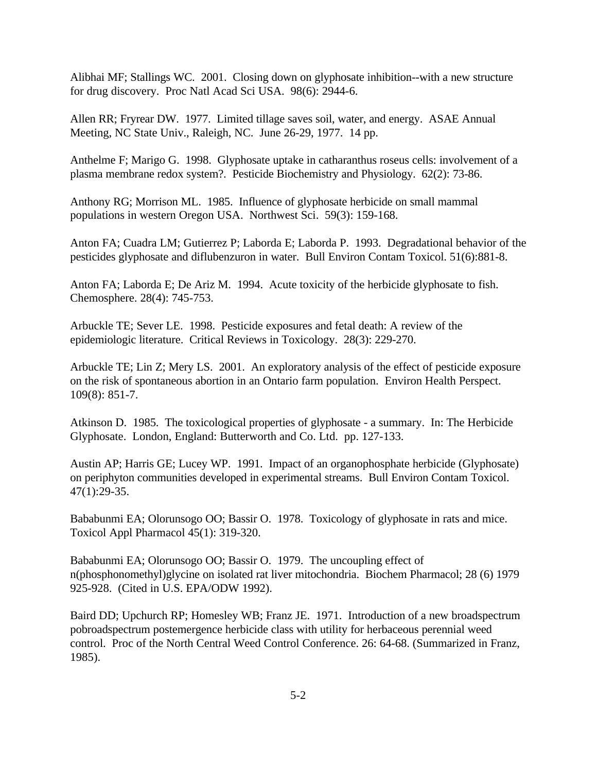Alibhai MF; Stallings WC. 2001. Closing down on glyphosate inhibition--with a new structure for drug discovery. Proc Natl Acad Sci USA. 98(6): 2944-6.

Allen RR; Fryrear DW. 1977. Limited tillage saves soil, water, and energy. ASAE Annual Meeting, NC State Univ., Raleigh, NC. June 26-29, 1977. 14 pp.

Anthelme F; Marigo G. 1998. Glyphosate uptake in catharanthus roseus cells: involvement of a plasma membrane redox system?. Pesticide Biochemistry and Physiology. 62(2): 73-86.

Anthony RG; Morrison ML. 1985. Influence of glyphosate herbicide on small mammal populations in western Oregon USA. Northwest Sci. 59(3): 159-168.

Anton FA; Cuadra LM; Gutierrez P; Laborda E; Laborda P. 1993. Degradational behavior of the pesticides glyphosate and diflubenzuron in water. Bull Environ Contam Toxicol. 51(6):881-8.

Anton FA; Laborda E; De Ariz M. 1994. Acute toxicity of the herbicide glyphosate to fish. Chemosphere. 28(4): 745-753.

Arbuckle TE; Sever LE. 1998. Pesticide exposures and fetal death: A review of the epidemiologic literature. Critical Reviews in Toxicology. 28(3): 229-270.

Arbuckle TE; Lin Z; Mery LS. 2001. An exploratory analysis of the effect of pesticide exposure on the risk of spontaneous abortion in an Ontario farm population. Environ Health Perspect. 109(8): 851-7.

Atkinson D. 1985. The toxicological properties of glyphosate - a summary. In: The Herbicide Glyphosate. London, England: Butterworth and Co. Ltd. pp. 127-133.

Austin AP; Harris GE; Lucey WP. 1991. Impact of an organophosphate herbicide (Glyphosate) on periphyton communities developed in experimental streams. Bull Environ Contam Toxicol. 47(1):29-35.

Bababunmi EA; Olorunsogo OO; Bassir O. 1978. Toxicology of glyphosate in rats and mice. Toxicol Appl Pharmacol 45(1): 319-320.

Bababunmi EA; Olorunsogo OO; Bassir O. 1979. The uncoupling effect of n(phosphonomethyl)glycine on isolated rat liver mitochondria. Biochem Pharmacol; 28 (6) 1979 925-928. (Cited in U.S. EPA/ODW 1992).

Baird DD; Upchurch RP; Homesley WB; Franz JE. 1971. Introduction of a new broadspectrum pobroadspectrum postemergence herbicide class with utility for herbaceous perennial weed control. Proc of the North Central Weed Control Conference. 26: 64-68. (Summarized in Franz, 1985).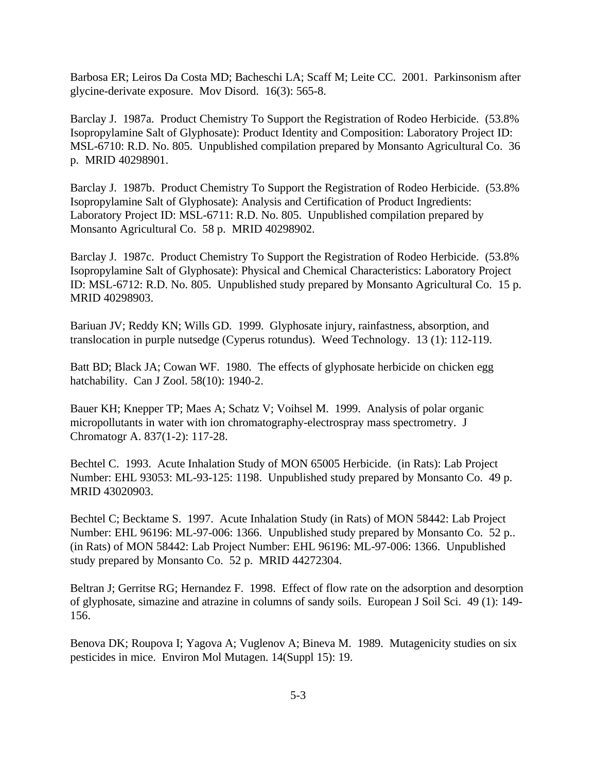Barbosa ER; Leiros Da Costa MD; Bacheschi LA; Scaff M; Leite CC. 2001. Parkinsonism after glycine-derivate exposure. Mov Disord. 16(3): 565-8.

Barclay J. 1987a. Product Chemistry To Support the Registration of Rodeo Herbicide. (53.8% Isopropylamine Salt of Glyphosate): Product Identity and Composition: Laboratory Project ID: MSL-6710: R.D. No. 805. Unpublished compilation prepared by Monsanto Agricultural Co. 36 p. MRID 40298901.

Barclay J. 1987b. Product Chemistry To Support the Registration of Rodeo Herbicide. (53.8% Isopropylamine Salt of Glyphosate): Analysis and Certification of Product Ingredients: Laboratory Project ID: MSL-6711: R.D. No. 805. Unpublished compilation prepared by Monsanto Agricultural Co. 58 p. MRID 40298902.

Barclay J. 1987c. Product Chemistry To Support the Registration of Rodeo Herbicide. (53.8% Isopropylamine Salt of Glyphosate): Physical and Chemical Characteristics: Laboratory Project ID: MSL-6712: R.D. No. 805. Unpublished study prepared by Monsanto Agricultural Co. 15 p. MRID 40298903.

Bariuan JV; Reddy KN; Wills GD. 1999. Glyphosate injury, rainfastness, absorption, and translocation in purple nutsedge (Cyperus rotundus). Weed Technology. 13 (1): 112-119.

Batt BD; Black JA; Cowan WF. 1980. The effects of glyphosate herbicide on chicken egg hatchability. Can J Zool. 58(10): 1940-2.

Bauer KH; Knepper TP; Maes A; Schatz V; Voihsel M. 1999. Analysis of polar organic micropollutants in water with ion chromatography-electrospray mass spectrometry. J Chromatogr A. 837(1-2): 117-28.

Bechtel C. 1993. Acute Inhalation Study of MON 65005 Herbicide. (in Rats): Lab Project Number: EHL 93053: ML-93-125: 1198. Unpublished study prepared by Monsanto Co. 49 p. MRID 43020903.

Bechtel C; Becktame S. 1997. Acute Inhalation Study (in Rats) of MON 58442: Lab Project Number: EHL 96196: ML-97-006: 1366. Unpublished study prepared by Monsanto Co. 52 p.. (in Rats) of MON 58442: Lab Project Number: EHL 96196: ML-97-006: 1366. Unpublished study prepared by Monsanto Co. 52 p. MRID 44272304.

Beltran J; Gerritse RG; Hernandez F. 1998. Effect of flow rate on the adsorption and desorption of glyphosate, simazine and atrazine in columns of sandy soils. European J Soil Sci. 49 (1): 149- 156.

Benova DK; Roupova I; Yagova A; Vuglenov A; Bineva M. 1989. Mutagenicity studies on six pesticides in mice. Environ Mol Mutagen. 14(Suppl 15): 19.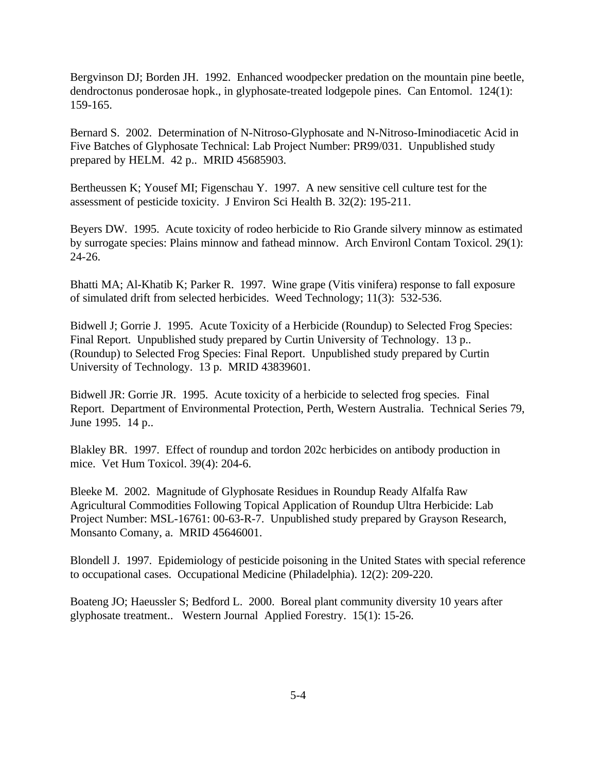Bergvinson DJ; Borden JH. 1992. Enhanced woodpecker predation on the mountain pine beetle, dendroctonus ponderosae hopk., in glyphosate-treated lodgepole pines. Can Entomol. 124(1): 159-165.

Bernard S. 2002. Determination of N-Nitroso-Glyphosate and N-Nitroso-Iminodiacetic Acid in Five Batches of Glyphosate Technical: Lab Project Number: PR99/031. Unpublished study prepared by HELM. 42 p.. MRID 45685903.

Bertheussen K; Yousef MI; Figenschau Y. 1997. A new sensitive cell culture test for the assessment of pesticide toxicity. J Environ Sci Health B. 32(2): 195-211.

Beyers DW. 1995. Acute toxicity of rodeo herbicide to Rio Grande silvery minnow as estimated by surrogate species: Plains minnow and fathead minnow. Arch Environl Contam Toxicol. 29(1): 24-26.

Bhatti MA; Al-Khatib K; Parker R. 1997. Wine grape (Vitis vinifera) response to fall exposure of simulated drift from selected herbicides. Weed Technology; 11(3): 532-536.

Bidwell J; Gorrie J. 1995. Acute Toxicity of a Herbicide (Roundup) to Selected Frog Species: Final Report. Unpublished study prepared by Curtin University of Technology. 13 p.. (Roundup) to Selected Frog Species: Final Report. Unpublished study prepared by Curtin University of Technology. 13 p. MRID 43839601.

Bidwell JR: Gorrie JR. 1995. Acute toxicity of a herbicide to selected frog species. Final Report. Department of Environmental Protection, Perth, Western Australia. Technical Series 79, June 1995. 14 p..

Blakley BR. 1997. Effect of roundup and tordon 202c herbicides on antibody production in mice. Vet Hum Toxicol. 39(4): 204-6.

Bleeke M. 2002. Magnitude of Glyphosate Residues in Roundup Ready Alfalfa Raw Agricultural Commodities Following Topical Application of Roundup Ultra Herbicide: Lab Project Number: MSL-16761: 00-63-R-7. Unpublished study prepared by Grayson Research, Monsanto Comany, a. MRID 45646001.

Blondell J. 1997. Epidemiology of pesticide poisoning in the United States with special reference to occupational cases. Occupational Medicine (Philadelphia). 12(2): 209-220.

Boateng JO; Haeussler S; Bedford L. 2000. Boreal plant community diversity 10 years after glyphosate treatment.. Western Journal Applied Forestry. 15(1): 15-26.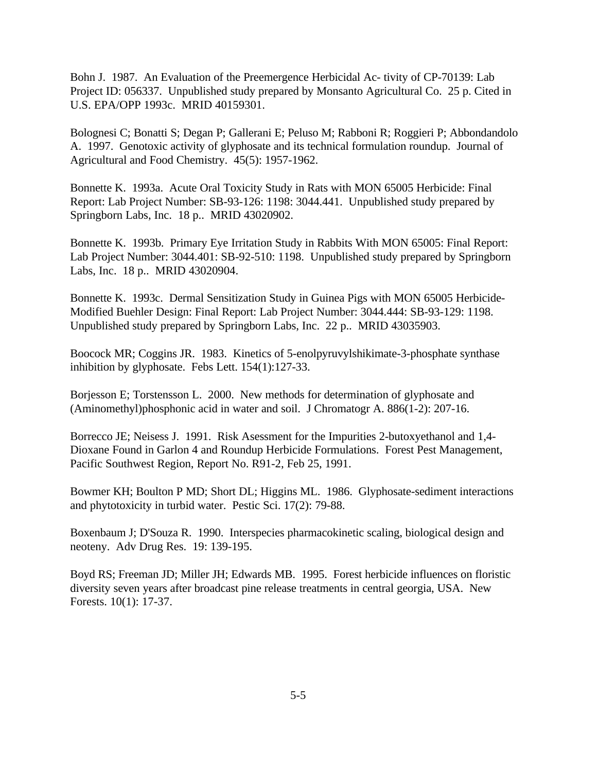Bohn J. 1987. An Evaluation of the Preemergence Herbicidal Ac- tivity of CP-70139: Lab Project ID: 056337. Unpublished study prepared by Monsanto Agricultural Co. 25 p. Cited in U.S. EPA/OPP 1993c. MRID 40159301.

Bolognesi C; Bonatti S; Degan P; Gallerani E; Peluso M; Rabboni R; Roggieri P; Abbondandolo A. 1997. Genotoxic activity of glyphosate and its technical formulation roundup. Journal of Agricultural and Food Chemistry. 45(5): 1957-1962.

Bonnette K. 1993a. Acute Oral Toxicity Study in Rats with MON 65005 Herbicide: Final Report: Lab Project Number: SB-93-126: 1198: 3044.441. Unpublished study prepared by Springborn Labs, Inc. 18 p.. MRID 43020902.

Bonnette K. 1993b. Primary Eye Irritation Study in Rabbits With MON 65005: Final Report: Lab Project Number: 3044.401: SB-92-510: 1198. Unpublished study prepared by Springborn Labs, Inc. 18 p.. MRID 43020904.

Bonnette K. 1993c. Dermal Sensitization Study in Guinea Pigs with MON 65005 Herbicide-Modified Buehler Design: Final Report: Lab Project Number: 3044.444: SB-93-129: 1198. Unpublished study prepared by Springborn Labs, Inc. 22 p.. MRID 43035903.

Boocock MR; Coggins JR. 1983. Kinetics of 5-enolpyruvylshikimate-3-phosphate synthase inhibition by glyphosate. Febs Lett. 154(1):127-33.

Borjesson E; Torstensson L. 2000. New methods for determination of glyphosate and (Aminomethyl)phosphonic acid in water and soil. J Chromatogr A. 886(1-2): 207-16.

Borrecco JE; Neisess J. 1991. Risk Asessment for the Impurities 2-butoxyethanol and 1,4- Dioxane Found in Garlon 4 and Roundup Herbicide Formulations. Forest Pest Management, Pacific Southwest Region, Report No. R91-2, Feb 25, 1991.

Bowmer KH; Boulton P MD; Short DL; Higgins ML. 1986. Glyphosate-sediment interactions and phytotoxicity in turbid water. Pestic Sci. 17(2): 79-88.

Boxenbaum J; D'Souza R. 1990. Interspecies pharmacokinetic scaling, biological design and neoteny. Adv Drug Res. 19: 139-195.

Boyd RS; Freeman JD; Miller JH; Edwards MB. 1995. Forest herbicide influences on floristic diversity seven years after broadcast pine release treatments in central georgia, USA. New Forests. 10(1): 17-37.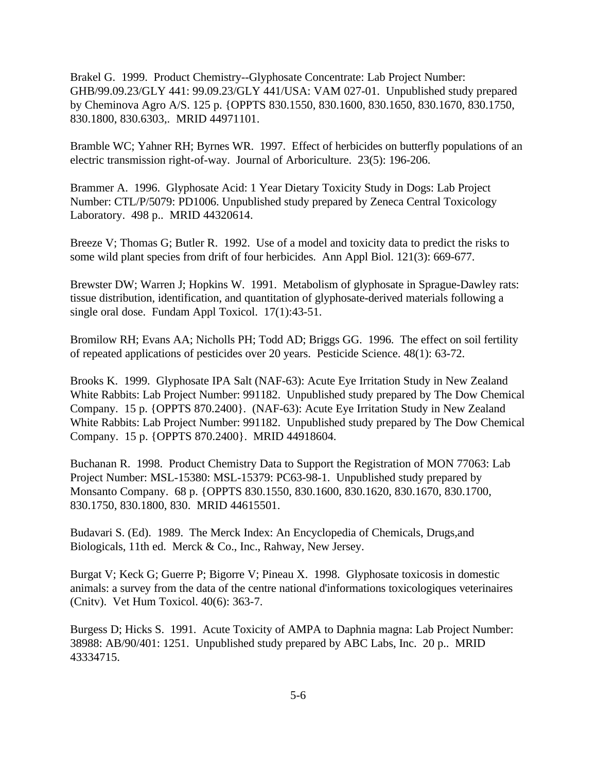Brakel G. 1999. Product Chemistry--Glyphosate Concentrate: Lab Project Number: GHB/99.09.23/GLY 441: 99.09.23/GLY 441/USA: VAM 027-01. Unpublished study prepared by Cheminova Agro A/S. 125 p. {OPPTS 830.1550, 830.1600, 830.1650, 830.1670, 830.1750, 830.1800, 830.6303,. MRID 44971101.

Bramble WC; Yahner RH; Byrnes WR. 1997. Effect of herbicides on butterfly populations of an electric transmission right-of-way. Journal of Arboriculture. 23(5): 196-206.

Brammer A. 1996. Glyphosate Acid: 1 Year Dietary Toxicity Study in Dogs: Lab Project Number: CTL/P/5079: PD1006. Unpublished study prepared by Zeneca Central Toxicology Laboratory. 498 p.. MRID 44320614.

Breeze V; Thomas G; Butler R. 1992. Use of a model and toxicity data to predict the risks to some wild plant species from drift of four herbicides. Ann Appl Biol. 121(3): 669-677.

Brewster DW; Warren J; Hopkins W. 1991. Metabolism of glyphosate in Sprague-Dawley rats: tissue distribution, identification, and quantitation of glyphosate-derived materials following a single oral dose. Fundam Appl Toxicol. 17(1):43-51.

Bromilow RH; Evans AA; Nicholls PH; Todd AD; Briggs GG. 1996. The effect on soil fertility of repeated applications of pesticides over 20 years. Pesticide Science. 48(1): 63-72.

Brooks K. 1999. Glyphosate IPA Salt (NAF-63): Acute Eye Irritation Study in New Zealand White Rabbits: Lab Project Number: 991182. Unpublished study prepared by The Dow Chemical Company. 15 p. {OPPTS 870.2400}. (NAF-63): Acute Eye Irritation Study in New Zealand White Rabbits: Lab Project Number: 991182. Unpublished study prepared by The Dow Chemical Company. 15 p. {OPPTS 870.2400}. MRID 44918604.

Buchanan R. 1998. Product Chemistry Data to Support the Registration of MON 77063: Lab Project Number: MSL-15380: MSL-15379: PC63-98-1. Unpublished study prepared by Monsanto Company. 68 p. {OPPTS 830.1550, 830.1600, 830.1620, 830.1670, 830.1700, 830.1750, 830.1800, 830. MRID 44615501.

Budavari S. (Ed). 1989. The Merck Index: An Encyclopedia of Chemicals, Drugs,and Biologicals, 11th ed. Merck & Co., Inc., Rahway, New Jersey.

Burgat V; Keck G; Guerre P; Bigorre V; Pineau X. 1998. Glyphosate toxicosis in domestic animals: a survey from the data of the centre national d'informations toxicologiques veterinaires (Cnitv). Vet Hum Toxicol. 40(6): 363-7.

Burgess D; Hicks S. 1991. Acute Toxicity of AMPA to Daphnia magna: Lab Project Number: 38988: AB/90/401: 1251. Unpublished study prepared by ABC Labs, Inc. 20 p.. MRID 43334715.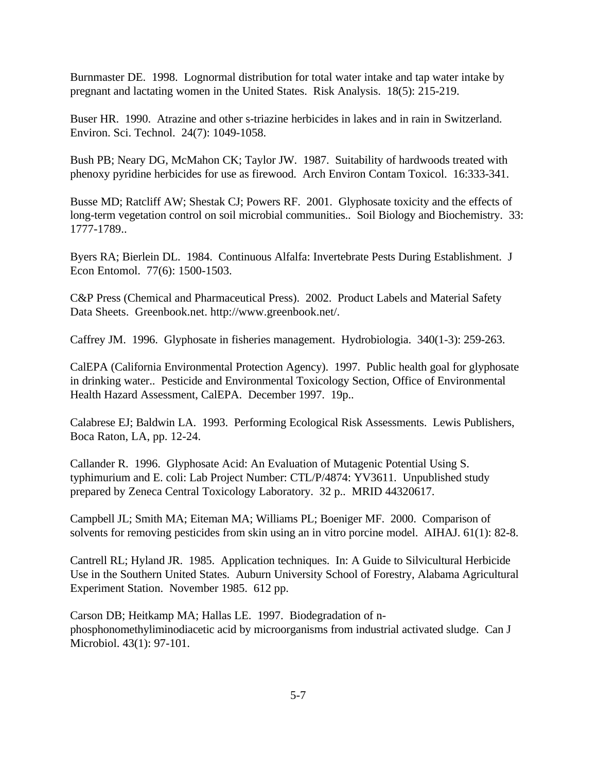Burnmaster DE. 1998. Lognormal distribution for total water intake and tap water intake by pregnant and lactating women in the United States. Risk Analysis. 18(5): 215-219.

Buser HR. 1990. Atrazine and other s-triazine herbicides in lakes and in rain in Switzerland. Environ. Sci. Technol. 24(7): 1049-1058.

Bush PB; Neary DG, McMahon CK; Taylor JW. 1987. Suitability of hardwoods treated with phenoxy pyridine herbicides for use as firewood. Arch Environ Contam Toxicol. 16:333-341.

Busse MD; Ratcliff AW; Shestak CJ; Powers RF. 2001. Glyphosate toxicity and the effects of long-term vegetation control on soil microbial communities.. Soil Biology and Biochemistry. 33: 1777-1789..

Byers RA; Bierlein DL. 1984. Continuous Alfalfa: Invertebrate Pests During Establishment. J Econ Entomol. 77(6): 1500-1503.

C&P Press (Chemical and Pharmaceutical Press). 2002. Product Labels and Material Safety Data Sheets. Greenbook.net. http://www.greenbook.net/.

Caffrey JM. 1996. Glyphosate in fisheries management. Hydrobiologia. 340(1-3): 259-263.

CalEPA (California Environmental Protection Agency). 1997. Public health goal for glyphosate in drinking water.. Pesticide and Environmental Toxicology Section, Office of Environmental Health Hazard Assessment, CalEPA. December 1997. 19p..

Calabrese EJ; Baldwin LA. 1993. Performing Ecological Risk Assessments. Lewis Publishers, Boca Raton, LA, pp. 12-24.

Callander R. 1996. Glyphosate Acid: An Evaluation of Mutagenic Potential Using S. typhimurium and E. coli: Lab Project Number: CTL/P/4874: YV3611. Unpublished study prepared by Zeneca Central Toxicology Laboratory. 32 p.. MRID 44320617.

Campbell JL; Smith MA; Eiteman MA; Williams PL; Boeniger MF. 2000. Comparison of solvents for removing pesticides from skin using an in vitro porcine model. AIHAJ. 61(1): 82-8.

Cantrell RL; Hyland JR. 1985. Application techniques. In: A Guide to Silvicultural Herbicide Use in the Southern United States. Auburn University School of Forestry, Alabama Agricultural Experiment Station. November 1985. 612 pp.

Carson DB; Heitkamp MA; Hallas LE. 1997. Biodegradation of nphosphonomethyliminodiacetic acid by microorganisms from industrial activated sludge. Can J Microbiol. 43(1): 97-101.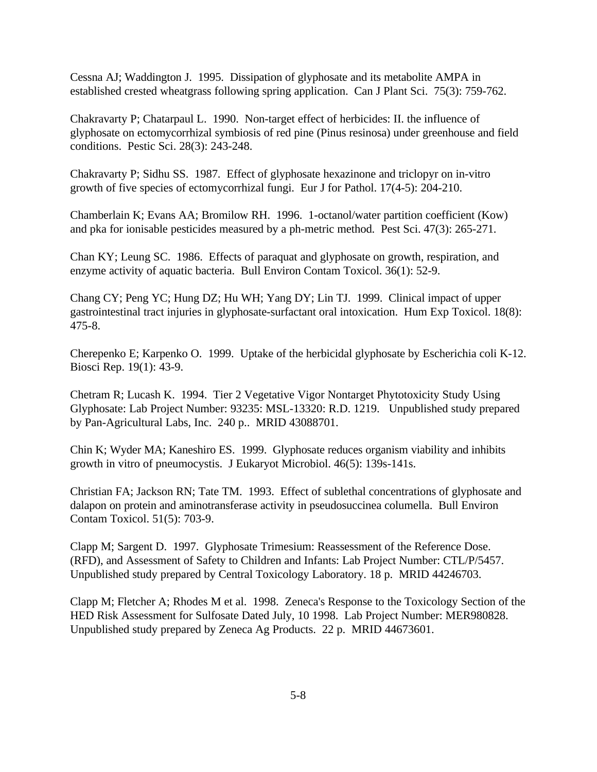Cessna AJ; Waddington J. 1995. Dissipation of glyphosate and its metabolite AMPA in established crested wheatgrass following spring application. Can J Plant Sci. 75(3): 759-762.

Chakravarty P; Chatarpaul L. 1990. Non-target effect of herbicides: II. the influence of glyphosate on ectomycorrhizal symbiosis of red pine (Pinus resinosa) under greenhouse and field conditions. Pestic Sci. 28(3): 243-248.

Chakravarty P; Sidhu SS. 1987. Effect of glyphosate hexazinone and triclopyr on in-vitro growth of five species of ectomycorrhizal fungi. Eur J for Pathol. 17(4-5): 204-210.

Chamberlain K; Evans AA; Bromilow RH. 1996. 1-octanol/water partition coefficient (Kow) and pka for ionisable pesticides measured by a ph-metric method. Pest Sci. 47(3): 265-271.

Chan KY; Leung SC. 1986. Effects of paraquat and glyphosate on growth, respiration, and enzyme activity of aquatic bacteria. Bull Environ Contam Toxicol. 36(1): 52-9.

Chang CY; Peng YC; Hung DZ; Hu WH; Yang DY; Lin TJ. 1999. Clinical impact of upper gastrointestinal tract injuries in glyphosate-surfactant oral intoxication. Hum Exp Toxicol. 18(8): 475-8.

Cherepenko E; Karpenko O. 1999. Uptake of the herbicidal glyphosate by Escherichia coli K-12. Biosci Rep. 19(1): 43-9.

Chetram R; Lucash K. 1994. Tier 2 Vegetative Vigor Nontarget Phytotoxicity Study Using Glyphosate: Lab Project Number: 93235: MSL-13320: R.D. 1219. Unpublished study prepared by Pan-Agricultural Labs, Inc. 240 p.. MRID 43088701.

Chin K; Wyder MA; Kaneshiro ES. 1999. Glyphosate reduces organism viability and inhibits growth in vitro of pneumocystis. J Eukaryot Microbiol. 46(5): 139s-141s.

Christian FA; Jackson RN; Tate TM. 1993. Effect of sublethal concentrations of glyphosate and dalapon on protein and aminotransferase activity in pseudosuccinea columella. Bull Environ Contam Toxicol. 51(5): 703-9.

Clapp M; Sargent D. 1997. Glyphosate Trimesium: Reassessment of the Reference Dose. (RFD), and Assessment of Safety to Children and Infants: Lab Project Number: CTL/P/5457. Unpublished study prepared by Central Toxicology Laboratory. 18 p. MRID 44246703.

Clapp M; Fletcher A; Rhodes M et al. 1998. Zeneca's Response to the Toxicology Section of the HED Risk Assessment for Sulfosate Dated July, 10 1998. Lab Project Number: MER980828. Unpublished study prepared by Zeneca Ag Products. 22 p. MRID 44673601.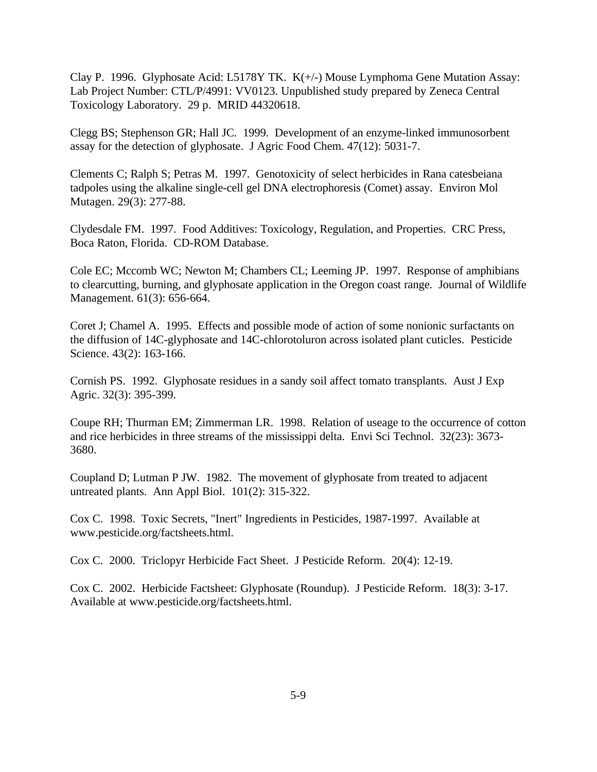Clay P. 1996. Glyphosate Acid: L5178Y TK. K(+/-) Mouse Lymphoma Gene Mutation Assay: Lab Project Number: CTL/P/4991: VV0123. Unpublished study prepared by Zeneca Central Toxicology Laboratory. 29 p. MRID 44320618.

Clegg BS; Stephenson GR; Hall JC. 1999. Development of an enzyme-linked immunosorbent assay for the detection of glyphosate. J Agric Food Chem. 47(12): 5031-7.

Clements C; Ralph S; Petras M. 1997. Genotoxicity of select herbicides in Rana catesbeiana tadpoles using the alkaline single-cell gel DNA electrophoresis (Comet) assay. Environ Mol Mutagen. 29(3): 277-88.

Clydesdale FM. 1997. Food Additives: Toxicology, Regulation, and Properties. CRC Press, Boca Raton, Florida. CD-ROM Database.

Cole EC; Mccomb WC; Newton M; Chambers CL; Leeming JP. 1997. Response of amphibians to clearcutting, burning, and glyphosate application in the Oregon coast range. Journal of Wildlife Management. 61(3): 656-664.

Coret J; Chamel A. 1995. Effects and possible mode of action of some nonionic surfactants on the diffusion of 14C-glyphosate and 14C-chlorotoluron across isolated plant cuticles. Pesticide Science. 43(2): 163-166.

Cornish PS. 1992. Glyphosate residues in a sandy soil affect tomato transplants. Aust J Exp Agric. 32(3): 395-399.

Coupe RH; Thurman EM; Zimmerman LR. 1998. Relation of useage to the occurrence of cotton and rice herbicides in three streams of the mississippi delta. Envi Sci Technol. 32(23): 3673- 3680.

Coupland D; Lutman P JW. 1982. The movement of glyphosate from treated to adjacent untreated plants. Ann Appl Biol. 101(2): 315-322.

Cox C. 1998. Toxic Secrets, "Inert" Ingredients in Pesticides, 1987-1997. Available at www.pesticide.org/factsheets.html.

Cox C. 2000. Triclopyr Herbicide Fact Sheet. J Pesticide Reform. 20(4): 12-19.

Cox C. 2002. Herbicide Factsheet: Glyphosate (Roundup). J Pesticide Reform. 18(3): 3-17. Available at www.pesticide.org/factsheets.html.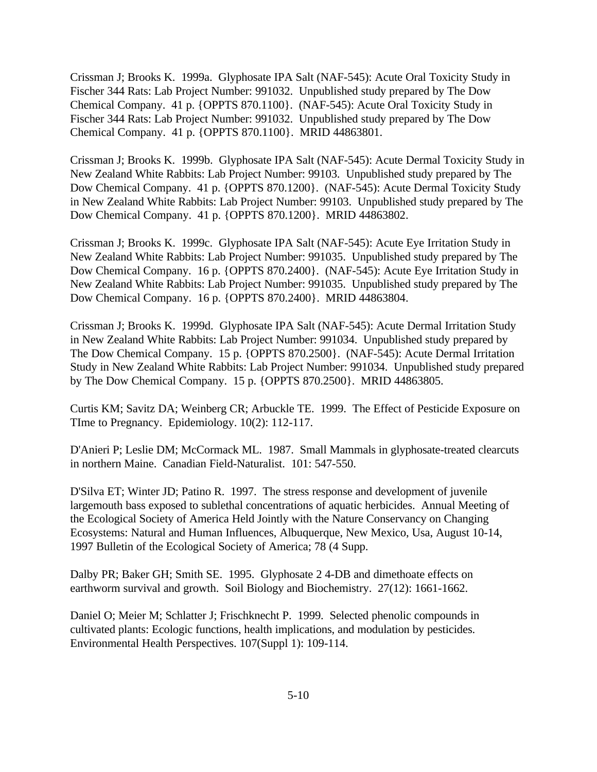Crissman J; Brooks K. 1999a. Glyphosate IPA Salt (NAF-545): Acute Oral Toxicity Study in Fischer 344 Rats: Lab Project Number: 991032. Unpublished study prepared by The Dow Chemical Company. 41 p. {OPPTS 870.1100}. (NAF-545): Acute Oral Toxicity Study in Fischer 344 Rats: Lab Project Number: 991032. Unpublished study prepared by The Dow Chemical Company. 41 p. {OPPTS 870.1100}. MRID 44863801.

Crissman J; Brooks K. 1999b. Glyphosate IPA Salt (NAF-545): Acute Dermal Toxicity Study in New Zealand White Rabbits: Lab Project Number: 99103. Unpublished study prepared by The Dow Chemical Company. 41 p. {OPPTS 870.1200}. (NAF-545): Acute Dermal Toxicity Study in New Zealand White Rabbits: Lab Project Number: 99103. Unpublished study prepared by The Dow Chemical Company. 41 p. {OPPTS 870.1200}. MRID 44863802.

Crissman J; Brooks K. 1999c. Glyphosate IPA Salt (NAF-545): Acute Eye Irritation Study in New Zealand White Rabbits: Lab Project Number: 991035. Unpublished study prepared by The Dow Chemical Company. 16 p. {OPPTS 870.2400}. (NAF-545): Acute Eye Irritation Study in New Zealand White Rabbits: Lab Project Number: 991035. Unpublished study prepared by The Dow Chemical Company. 16 p. {OPPTS 870.2400}. MRID 44863804.

Crissman J; Brooks K. 1999d. Glyphosate IPA Salt (NAF-545): Acute Dermal Irritation Study in New Zealand White Rabbits: Lab Project Number: 991034. Unpublished study prepared by The Dow Chemical Company. 15 p. {OPPTS 870.2500}. (NAF-545): Acute Dermal Irritation Study in New Zealand White Rabbits: Lab Project Number: 991034. Unpublished study prepared by The Dow Chemical Company. 15 p. {OPPTS 870.2500}. MRID 44863805.

Curtis KM; Savitz DA; Weinberg CR; Arbuckle TE. 1999. The Effect of Pesticide Exposure on TIme to Pregnancy. Epidemiology. 10(2): 112-117.

D'Anieri P; Leslie DM; McCormack ML. 1987. Small Mammals in glyphosate-treated clearcuts in northern Maine. Canadian Field-Naturalist. 101: 547-550.

D'Silva ET; Winter JD; Patino R. 1997. The stress response and development of juvenile largemouth bass exposed to sublethal concentrations of aquatic herbicides. Annual Meeting of the Ecological Society of America Held Jointly with the Nature Conservancy on Changing Ecosystems: Natural and Human Influences, Albuquerque, New Mexico, Usa, August 10-14, 1997 Bulletin of the Ecological Society of America; 78 (4 Supp.

Dalby PR; Baker GH; Smith SE. 1995. Glyphosate 2 4-DB and dimethoate effects on earthworm survival and growth. Soil Biology and Biochemistry. 27(12): 1661-1662.

Daniel O; Meier M; Schlatter J; Frischknecht P. 1999. Selected phenolic compounds in cultivated plants: Ecologic functions, health implications, and modulation by pesticides. Environmental Health Perspectives. 107(Suppl 1): 109-114.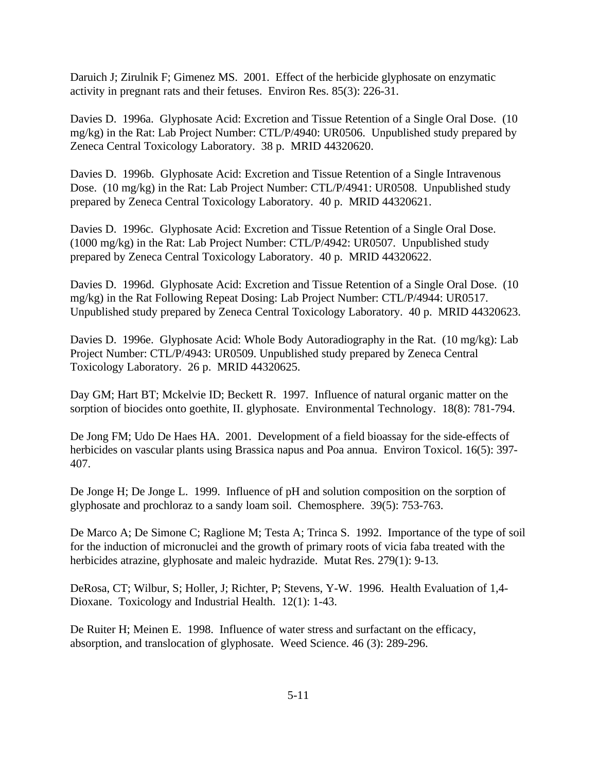Daruich J; Zirulnik F; Gimenez MS. 2001. Effect of the herbicide glyphosate on enzymatic activity in pregnant rats and their fetuses. Environ Res. 85(3): 226-31.

Davies D. 1996a. Glyphosate Acid: Excretion and Tissue Retention of a Single Oral Dose. (10 mg/kg) in the Rat: Lab Project Number: CTL/P/4940: UR0506. Unpublished study prepared by Zeneca Central Toxicology Laboratory. 38 p. MRID 44320620.

Davies D. 1996b. Glyphosate Acid: Excretion and Tissue Retention of a Single Intravenous Dose. (10 mg/kg) in the Rat: Lab Project Number: CTL/P/4941: UR0508. Unpublished study prepared by Zeneca Central Toxicology Laboratory. 40 p. MRID 44320621.

Davies D. 1996c. Glyphosate Acid: Excretion and Tissue Retention of a Single Oral Dose. (1000 mg/kg) in the Rat: Lab Project Number: CTL/P/4942: UR0507. Unpublished study prepared by Zeneca Central Toxicology Laboratory. 40 p. MRID 44320622.

Davies D. 1996d. Glyphosate Acid: Excretion and Tissue Retention of a Single Oral Dose. (10 mg/kg) in the Rat Following Repeat Dosing: Lab Project Number: CTL/P/4944: UR0517. Unpublished study prepared by Zeneca Central Toxicology Laboratory. 40 p. MRID 44320623.

Davies D. 1996e. Glyphosate Acid: Whole Body Autoradiography in the Rat. (10 mg/kg): Lab Project Number: CTL/P/4943: UR0509. Unpublished study prepared by Zeneca Central Toxicology Laboratory. 26 p. MRID 44320625.

Day GM; Hart BT; Mckelvie ID; Beckett R. 1997. Influence of natural organic matter on the sorption of biocides onto goethite, II. glyphosate. Environmental Technology. 18(8): 781-794.

De Jong FM; Udo De Haes HA. 2001. Development of a field bioassay for the side-effects of herbicides on vascular plants using Brassica napus and Poa annua. Environ Toxicol. 16(5): 397-407.

De Jonge H; De Jonge L. 1999. Influence of pH and solution composition on the sorption of glyphosate and prochloraz to a sandy loam soil. Chemosphere. 39(5): 753-763.

De Marco A; De Simone C; Raglione M; Testa A; Trinca S. 1992. Importance of the type of soil for the induction of micronuclei and the growth of primary roots of vicia faba treated with the herbicides atrazine, glyphosate and maleic hydrazide. Mutat Res. 279(1): 9-13.

DeRosa, CT; Wilbur, S; Holler, J; Richter, P; Stevens, Y-W. 1996. Health Evaluation of 1,4- Dioxane. Toxicology and Industrial Health. 12(1): 1-43.

De Ruiter H; Meinen E. 1998. Influence of water stress and surfactant on the efficacy, absorption, and translocation of glyphosate. Weed Science. 46 (3): 289-296.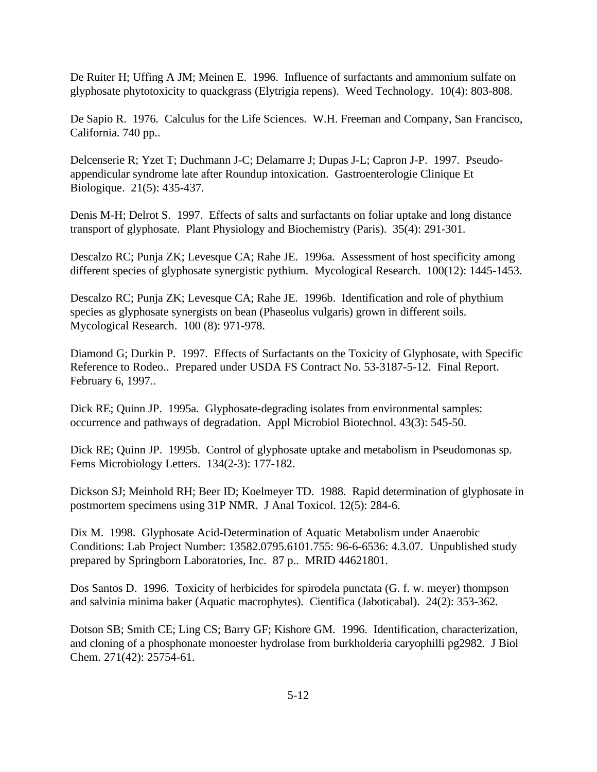De Ruiter H; Uffing A JM; Meinen E. 1996. Influence of surfactants and ammonium sulfate on glyphosate phytotoxicity to quackgrass (Elytrigia repens). Weed Technology. 10(4): 803-808.

De Sapio R. 1976. Calculus for the Life Sciences. W.H. Freeman and Company, San Francisco, California. 740 pp..

Delcenserie R; Yzet T; Duchmann J-C; Delamarre J; Dupas J-L; Capron J-P. 1997. Pseudoappendicular syndrome late after Roundup intoxication. Gastroenterologie Clinique Et Biologique. 21(5): 435-437.

Denis M-H; Delrot S. 1997. Effects of salts and surfactants on foliar uptake and long distance transport of glyphosate. Plant Physiology and Biochemistry (Paris). 35(4): 291-301.

Descalzo RC; Punja ZK; Levesque CA; Rahe JE. 1996a. Assessment of host specificity among different species of glyphosate synergistic pythium. Mycological Research. 100(12): 1445-1453.

Descalzo RC; Punja ZK; Levesque CA; Rahe JE. 1996b. Identification and role of phythium species as glyphosate synergists on bean (Phaseolus vulgaris) grown in different soils. Mycological Research. 100 (8): 971-978.

Diamond G; Durkin P. 1997. Effects of Surfactants on the Toxicity of Glyphosate, with Specific Reference to Rodeo.. Prepared under USDA FS Contract No. 53-3187-5-12. Final Report. February 6, 1997..

Dick RE; Quinn JP. 1995a. Glyphosate-degrading isolates from environmental samples: occurrence and pathways of degradation. Appl Microbiol Biotechnol. 43(3): 545-50.

Dick RE; Quinn JP. 1995b. Control of glyphosate uptake and metabolism in Pseudomonas sp. Fems Microbiology Letters. 134(2-3): 177-182.

Dickson SJ; Meinhold RH; Beer ID; Koelmeyer TD. 1988. Rapid determination of glyphosate in postmortem specimens using 31P NMR. J Anal Toxicol. 12(5): 284-6.

Dix M. 1998. Glyphosate Acid-Determination of Aquatic Metabolism under Anaerobic Conditions: Lab Project Number: 13582.0795.6101.755: 96-6-6536: 4.3.07. Unpublished study prepared by Springborn Laboratories, Inc. 87 p.. MRID 44621801.

Dos Santos D. 1996. Toxicity of herbicides for spirodela punctata (G. f. w. meyer) thompson and salvinia minima baker (Aquatic macrophytes). Cientifica (Jaboticabal). 24(2): 353-362.

Dotson SB; Smith CE; Ling CS; Barry GF; Kishore GM. 1996. Identification, characterization, and cloning of a phosphonate monoester hydrolase from burkholderia caryophilli pg2982. J Biol Chem. 271(42): 25754-61.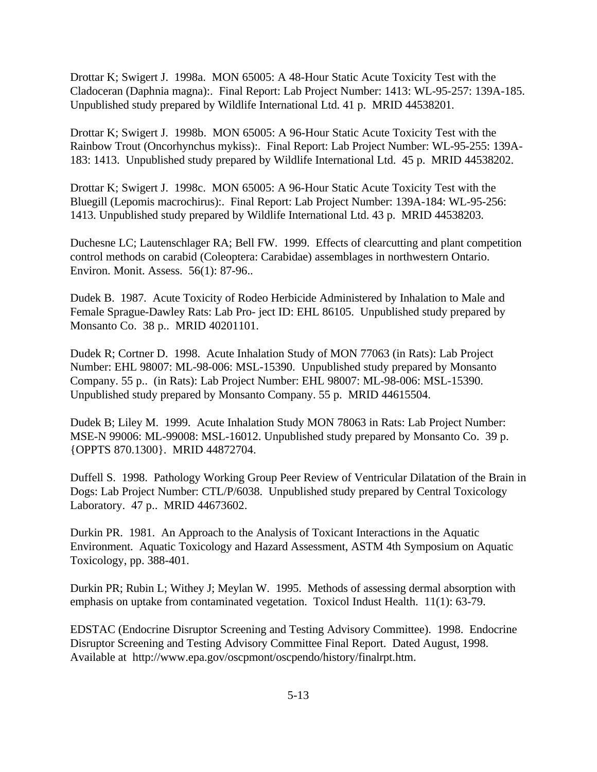Drottar K; Swigert J. 1998a. MON 65005: A 48-Hour Static Acute Toxicity Test with the Cladoceran (Daphnia magna):. Final Report: Lab Project Number: 1413: WL-95-257: 139A-185. Unpublished study prepared by Wildlife International Ltd. 41 p. MRID 44538201.

Drottar K; Swigert J. 1998b. MON 65005: A 96-Hour Static Acute Toxicity Test with the Rainbow Trout (Oncorhynchus mykiss):. Final Report: Lab Project Number: WL-95-255: 139A-183: 1413. Unpublished study prepared by Wildlife International Ltd. 45 p. MRID 44538202.

Drottar K; Swigert J. 1998c. MON 65005: A 96-Hour Static Acute Toxicity Test with the Bluegill (Lepomis macrochirus):. Final Report: Lab Project Number: 139A-184: WL-95-256: 1413. Unpublished study prepared by Wildlife International Ltd. 43 p. MRID 44538203.

Duchesne LC; Lautenschlager RA; Bell FW. 1999. Effects of clearcutting and plant competition control methods on carabid (Coleoptera: Carabidae) assemblages in northwestern Ontario. Environ. Monit. Assess. 56(1): 87-96..

Dudek B. 1987. Acute Toxicity of Rodeo Herbicide Administered by Inhalation to Male and Female Sprague-Dawley Rats: Lab Pro- ject ID: EHL 86105. Unpublished study prepared by Monsanto Co. 38 p.. MRID 40201101.

Dudek R; Cortner D. 1998. Acute Inhalation Study of MON 77063 (in Rats): Lab Project Number: EHL 98007: ML-98-006: MSL-15390. Unpublished study prepared by Monsanto Company. 55 p.. (in Rats): Lab Project Number: EHL 98007: ML-98-006: MSL-15390. Unpublished study prepared by Monsanto Company. 55 p. MRID 44615504.

Dudek B; Liley M. 1999. Acute Inhalation Study MON 78063 in Rats: Lab Project Number: MSE-N 99006: ML-99008: MSL-16012. Unpublished study prepared by Monsanto Co. 39 p. {OPPTS 870.1300}. MRID 44872704.

Duffell S. 1998. Pathology Working Group Peer Review of Ventricular Dilatation of the Brain in Dogs: Lab Project Number: CTL/P/6038. Unpublished study prepared by Central Toxicology Laboratory. 47 p.. MRID 44673602.

Durkin PR. 1981. An Approach to the Analysis of Toxicant Interactions in the Aquatic Environment. Aquatic Toxicology and Hazard Assessment, ASTM 4th Symposium on Aquatic Toxicology, pp. 388-401.

Durkin PR; Rubin L; Withey J; Meylan W. 1995. Methods of assessing dermal absorption with emphasis on uptake from contaminated vegetation. Toxicol Indust Health. 11(1): 63-79.

EDSTAC (Endocrine Disruptor Screening and Testing Advisory Committee). 1998. Endocrine Disruptor Screening and Testing Advisory Committee Final Report. Dated August, 1998. Available at http://www.epa.gov/oscpmont/oscpendo/history/finalrpt.htm.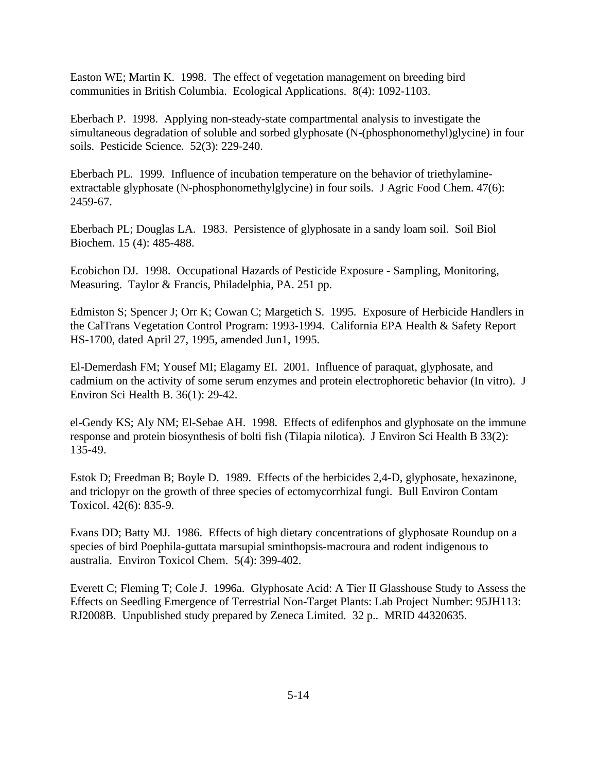Easton WE; Martin K. 1998. The effect of vegetation management on breeding bird communities in British Columbia. Ecological Applications. 8(4): 1092-1103.

Eberbach P. 1998. Applying non-steady-state compartmental analysis to investigate the simultaneous degradation of soluble and sorbed glyphosate (N-(phosphonomethyl)glycine) in four soils. Pesticide Science. 52(3): 229-240.

Eberbach PL. 1999. Influence of incubation temperature on the behavior of triethylamineextractable glyphosate (N-phosphonomethylglycine) in four soils. J Agric Food Chem. 47(6): 2459-67.

Eberbach PL; Douglas LA. 1983. Persistence of glyphosate in a sandy loam soil. Soil Biol Biochem. 15 (4): 485-488.

Ecobichon DJ. 1998. Occupational Hazards of Pesticide Exposure - Sampling, Monitoring, Measuring. Taylor & Francis, Philadelphia, PA. 251 pp.

Edmiston S; Spencer J; Orr K; Cowan C; Margetich S. 1995. Exposure of Herbicide Handlers in the CalTrans Vegetation Control Program: 1993-1994. California EPA Health & Safety Report HS-1700, dated April 27, 1995, amended Jun1, 1995.

El-Demerdash FM; Yousef MI; Elagamy EI. 2001. Influence of paraquat, glyphosate, and cadmium on the activity of some serum enzymes and protein electrophoretic behavior (In vitro). J Environ Sci Health B. 36(1): 29-42.

el-Gendy KS; Aly NM; El-Sebae AH. 1998. Effects of edifenphos and glyphosate on the immune response and protein biosynthesis of bolti fish (Tilapia nilotica). J Environ Sci Health B 33(2): 135-49.

Estok D; Freedman B; Boyle D. 1989. Effects of the herbicides 2,4-D, glyphosate, hexazinone, and triclopyr on the growth of three species of ectomycorrhizal fungi. Bull Environ Contam Toxicol. 42(6): 835-9.

Evans DD; Batty MJ. 1986. Effects of high dietary concentrations of glyphosate Roundup on a species of bird Poephila-guttata marsupial sminthopsis-macroura and rodent indigenous to australia. Environ Toxicol Chem. 5(4): 399-402.

Everett C; Fleming T; Cole J. 1996a. Glyphosate Acid: A Tier II Glasshouse Study to Assess the Effects on Seedling Emergence of Terrestrial Non-Target Plants: Lab Project Number: 95JH113: RJ2008B. Unpublished study prepared by Zeneca Limited. 32 p.. MRID 44320635.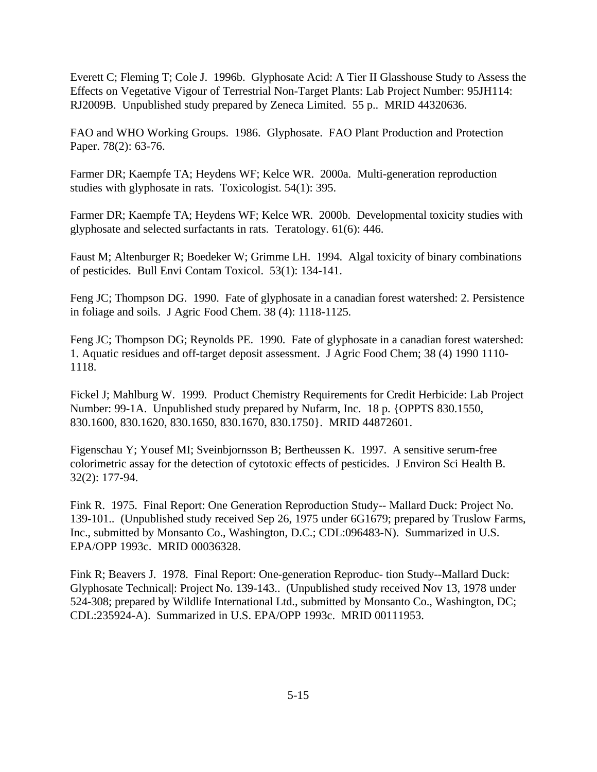Everett C; Fleming T; Cole J. 1996b. Glyphosate Acid: A Tier II Glasshouse Study to Assess the Effects on Vegetative Vigour of Terrestrial Non-Target Plants: Lab Project Number: 95JH114: RJ2009B. Unpublished study prepared by Zeneca Limited. 55 p.. MRID 44320636.

FAO and WHO Working Groups. 1986. Glyphosate. FAO Plant Production and Protection Paper. 78(2): 63-76.

Farmer DR; Kaempfe TA; Heydens WF; Kelce WR. 2000a. Multi-generation reproduction studies with glyphosate in rats. Toxicologist. 54(1): 395.

Farmer DR; Kaempfe TA; Heydens WF; Kelce WR. 2000b. Developmental toxicity studies with glyphosate and selected surfactants in rats. Teratology. 61(6): 446.

Faust M; Altenburger R; Boedeker W; Grimme LH. 1994. Algal toxicity of binary combinations of pesticides. Bull Envi Contam Toxicol. 53(1): 134-141.

Feng JC; Thompson DG. 1990. Fate of glyphosate in a canadian forest watershed: 2. Persistence in foliage and soils. J Agric Food Chem. 38 (4): 1118-1125.

Feng JC; Thompson DG; Reynolds PE. 1990. Fate of glyphosate in a canadian forest watershed: 1. Aquatic residues and off-target deposit assessment. J Agric Food Chem; 38 (4) 1990 1110- 1118.

Fickel J; Mahlburg W. 1999. Product Chemistry Requirements for Credit Herbicide: Lab Project Number: 99-1A. Unpublished study prepared by Nufarm, Inc. 18 p. {OPPTS 830.1550, 830.1600, 830.1620, 830.1650, 830.1670, 830.1750}. MRID 44872601.

Figenschau Y; Yousef MI; Sveinbjornsson B; Bertheussen K. 1997. A sensitive serum-free colorimetric assay for the detection of cytotoxic effects of pesticides. J Environ Sci Health B. 32(2): 177-94.

Fink R. 1975. Final Report: One Generation Reproduction Study-- Mallard Duck: Project No. 139-101.. (Unpublished study received Sep 26, 1975 under 6G1679; prepared by Truslow Farms, Inc., submitted by Monsanto Co., Washington, D.C.; CDL:096483-N). Summarized in U.S. EPA/OPP 1993c. MRID 00036328.

Fink R; Beavers J. 1978. Final Report: One-generation Reproduc- tion Study--Mallard Duck: Glyphosate Technical|: Project No. 139-143.. (Unpublished study received Nov 13, 1978 under 524-308; prepared by Wildlife International Ltd., submitted by Monsanto Co., Washington, DC; CDL:235924-A). Summarized in U.S. EPA/OPP 1993c. MRID 00111953.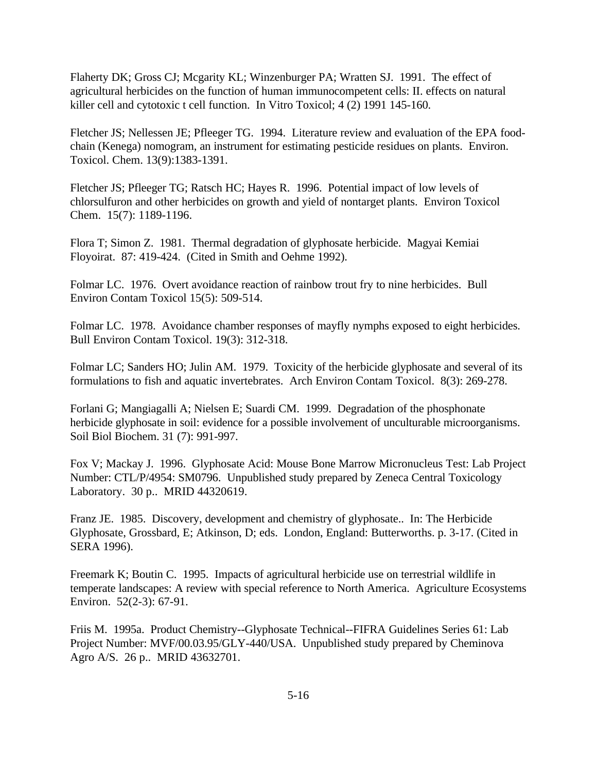Flaherty DK; Gross CJ; Mcgarity KL; Winzenburger PA; Wratten SJ. 1991. The effect of agricultural herbicides on the function of human immunocompetent cells: II. effects on natural killer cell and cytotoxic t cell function. In Vitro Toxicol; 4 (2) 1991 145-160.

Fletcher JS; Nellessen JE; Pfleeger TG. 1994. Literature review and evaluation of the EPA foodchain (Kenega) nomogram, an instrument for estimating pesticide residues on plants. Environ. Toxicol. Chem. 13(9):1383-1391.

Fletcher JS; Pfleeger TG; Ratsch HC; Hayes R. 1996. Potential impact of low levels of chlorsulfuron and other herbicides on growth and yield of nontarget plants. Environ Toxicol Chem. 15(7): 1189-1196.

Flora T; Simon Z. 1981. Thermal degradation of glyphosate herbicide. Magyai Kemiai Floyoirat. 87: 419-424. (Cited in Smith and Oehme 1992).

Folmar LC. 1976. Overt avoidance reaction of rainbow trout fry to nine herbicides. Bull Environ Contam Toxicol 15(5): 509-514.

Folmar LC. 1978. Avoidance chamber responses of mayfly nymphs exposed to eight herbicides. Bull Environ Contam Toxicol. 19(3): 312-318.

Folmar LC; Sanders HO; Julin AM. 1979. Toxicity of the herbicide glyphosate and several of its formulations to fish and aquatic invertebrates. Arch Environ Contam Toxicol. 8(3): 269-278.

Forlani G; Mangiagalli A; Nielsen E; Suardi CM. 1999. Degradation of the phosphonate herbicide glyphosate in soil: evidence for a possible involvement of unculturable microorganisms. Soil Biol Biochem. 31 (7): 991-997.

Fox V; Mackay J. 1996. Glyphosate Acid: Mouse Bone Marrow Micronucleus Test: Lab Project Number: CTL/P/4954: SM0796. Unpublished study prepared by Zeneca Central Toxicology Laboratory. 30 p.. MRID 44320619.

Franz JE. 1985. Discovery, development and chemistry of glyphosate.. In: The Herbicide Glyphosate, Grossbard, E; Atkinson, D; eds. London, England: Butterworths. p. 3-17. (Cited in SERA 1996).

Freemark K; Boutin C. 1995. Impacts of agricultural herbicide use on terrestrial wildlife in temperate landscapes: A review with special reference to North America. Agriculture Ecosystems Environ. 52(2-3): 67-91.

Friis M. 1995a. Product Chemistry--Glyphosate Technical--FIFRA Guidelines Series 61: Lab Project Number: MVF/00.03.95/GLY-440/USA. Unpublished study prepared by Cheminova Agro A/S. 26 p.. MRID 43632701.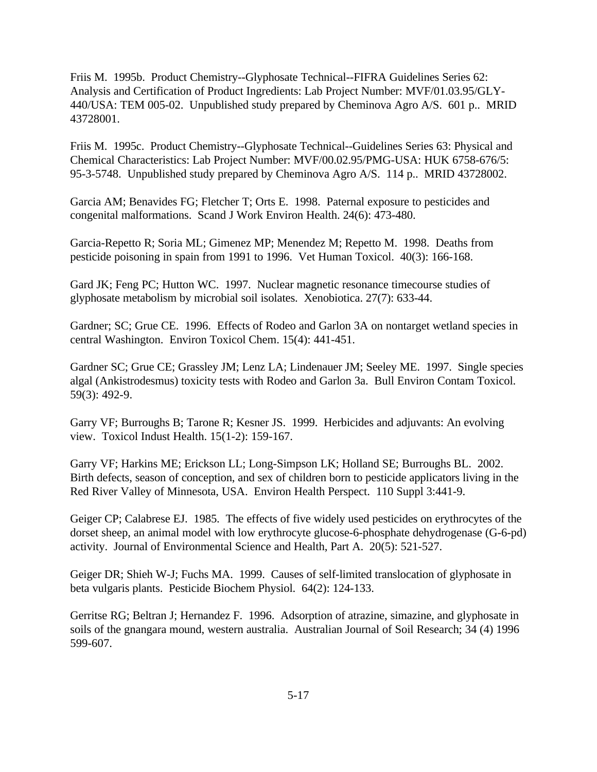Friis M. 1995b. Product Chemistry--Glyphosate Technical--FIFRA Guidelines Series 62: Analysis and Certification of Product Ingredients: Lab Project Number: MVF/01.03.95/GLY-440/USA: TEM 005-02. Unpublished study prepared by Cheminova Agro A/S. 601 p.. MRID 43728001.

Friis M. 1995c. Product Chemistry--Glyphosate Technical--Guidelines Series 63: Physical and Chemical Characteristics: Lab Project Number: MVF/00.02.95/PMG-USA: HUK 6758-676/5: 95-3-5748. Unpublished study prepared by Cheminova Agro A/S. 114 p.. MRID 43728002.

Garcia AM; Benavides FG; Fletcher T; Orts E. 1998. Paternal exposure to pesticides and congenital malformations. Scand J Work Environ Health. 24(6): 473-480.

Garcia-Repetto R; Soria ML; Gimenez MP; Menendez M; Repetto M. 1998. Deaths from pesticide poisoning in spain from 1991 to 1996. Vet Human Toxicol. 40(3): 166-168.

Gard JK; Feng PC; Hutton WC. 1997. Nuclear magnetic resonance timecourse studies of glyphosate metabolism by microbial soil isolates. Xenobiotica. 27(7): 633-44.

Gardner; SC; Grue CE. 1996. Effects of Rodeo and Garlon 3A on nontarget wetland species in central Washington. Environ Toxicol Chem. 15(4): 441-451.

Gardner SC; Grue CE; Grassley JM; Lenz LA; Lindenauer JM; Seeley ME. 1997. Single species algal (Ankistrodesmus) toxicity tests with Rodeo and Garlon 3a. Bull Environ Contam Toxicol. 59(3): 492-9.

Garry VF; Burroughs B; Tarone R; Kesner JS. 1999. Herbicides and adjuvants: An evolving view. Toxicol Indust Health. 15(1-2): 159-167.

Garry VF; Harkins ME; Erickson LL; Long-Simpson LK; Holland SE; Burroughs BL. 2002. Birth defects, season of conception, and sex of children born to pesticide applicators living in the Red River Valley of Minnesota, USA. Environ Health Perspect. 110 Suppl 3:441-9.

Geiger CP; Calabrese EJ. 1985. The effects of five widely used pesticides on erythrocytes of the dorset sheep, an animal model with low erythrocyte glucose-6-phosphate dehydrogenase (G-6-pd) activity. Journal of Environmental Science and Health, Part A. 20(5): 521-527.

Geiger DR; Shieh W-J; Fuchs MA. 1999. Causes of self-limited translocation of glyphosate in beta vulgaris plants. Pesticide Biochem Physiol. 64(2): 124-133.

Gerritse RG; Beltran J; Hernandez F. 1996. Adsorption of atrazine, simazine, and glyphosate in soils of the gnangara mound, western australia. Australian Journal of Soil Research; 34 (4) 1996 599-607.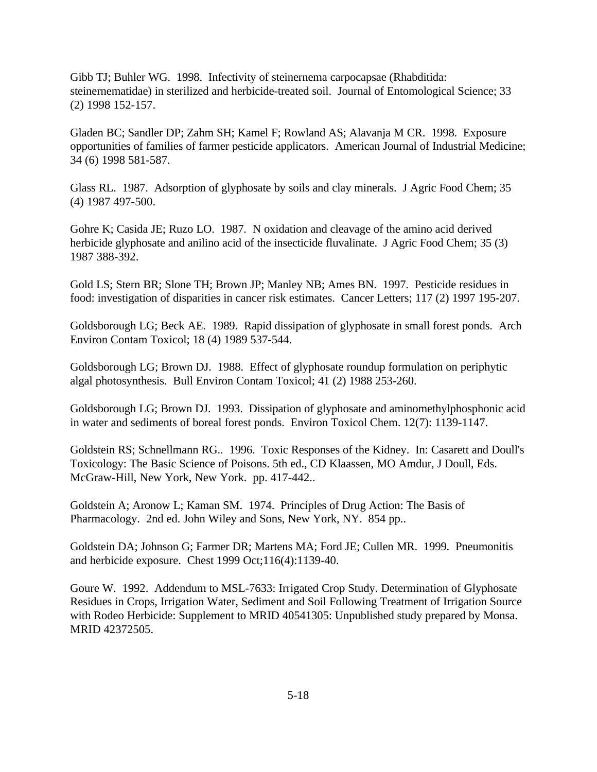Gibb TJ; Buhler WG. 1998. Infectivity of steinernema carpocapsae (Rhabditida: steinernematidae) in sterilized and herbicide-treated soil. Journal of Entomological Science; 33 (2) 1998 152-157.

Gladen BC; Sandler DP; Zahm SH; Kamel F; Rowland AS; Alavanja M CR. 1998. Exposure opportunities of families of farmer pesticide applicators. American Journal of Industrial Medicine; 34 (6) 1998 581-587.

Glass RL. 1987. Adsorption of glyphosate by soils and clay minerals. J Agric Food Chem; 35 (4) 1987 497-500.

Gohre K; Casida JE; Ruzo LO. 1987. N oxidation and cleavage of the amino acid derived herbicide glyphosate and anilino acid of the insecticide fluvalinate. J Agric Food Chem; 35 (3) 1987 388-392.

Gold LS; Stern BR; Slone TH; Brown JP; Manley NB; Ames BN. 1997. Pesticide residues in food: investigation of disparities in cancer risk estimates. Cancer Letters; 117 (2) 1997 195-207.

Goldsborough LG; Beck AE. 1989. Rapid dissipation of glyphosate in small forest ponds. Arch Environ Contam Toxicol; 18 (4) 1989 537-544.

Goldsborough LG; Brown DJ. 1988. Effect of glyphosate roundup formulation on periphytic algal photosynthesis. Bull Environ Contam Toxicol; 41 (2) 1988 253-260.

Goldsborough LG; Brown DJ. 1993. Dissipation of glyphosate and aminomethylphosphonic acid in water and sediments of boreal forest ponds. Environ Toxicol Chem. 12(7): 1139-1147.

Goldstein RS; Schnellmann RG.. 1996. Toxic Responses of the Kidney. In: Casarett and Doull's Toxicology: The Basic Science of Poisons. 5th ed., CD Klaassen, MO Amdur, J Doull, Eds. McGraw-Hill, New York, New York. pp. 417-442..

Goldstein A; Aronow L; Kaman SM. 1974. Principles of Drug Action: The Basis of Pharmacology. 2nd ed. John Wiley and Sons, New York, NY. 854 pp..

Goldstein DA; Johnson G; Farmer DR; Martens MA; Ford JE; Cullen MR. 1999. Pneumonitis and herbicide exposure. Chest 1999 Oct;116(4):1139-40.

Goure W. 1992. Addendum to MSL-7633: Irrigated Crop Study. Determination of Glyphosate Residues in Crops, Irrigation Water, Sediment and Soil Following Treatment of Irrigation Source with Rodeo Herbicide: Supplement to MRID 40541305: Unpublished study prepared by Monsa. MRID 42372505.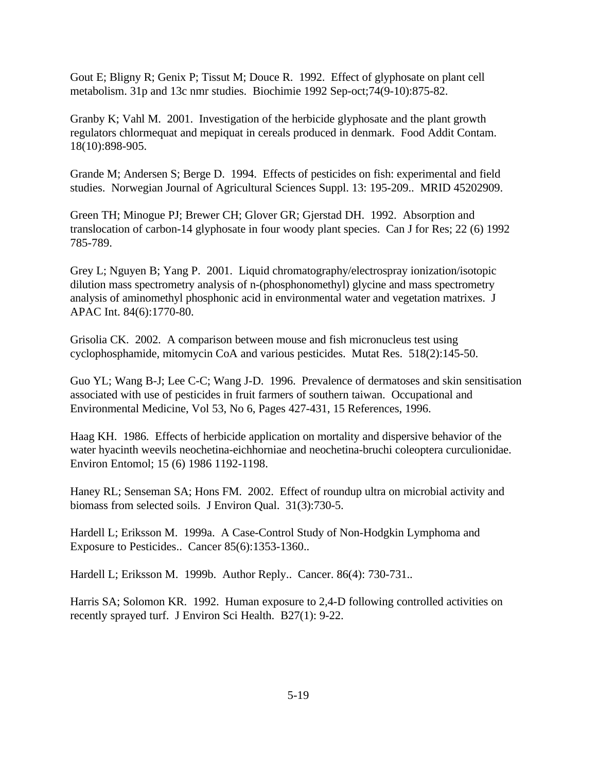Gout E; Bligny R; Genix P; Tissut M; Douce R. 1992. Effect of glyphosate on plant cell metabolism. 31p and 13c nmr studies. Biochimie 1992 Sep-oct;74(9-10):875-82.

Granby K; Vahl M. 2001. Investigation of the herbicide glyphosate and the plant growth regulators chlormequat and mepiquat in cereals produced in denmark. Food Addit Contam. 18(10):898-905.

Grande M; Andersen S; Berge D. 1994. Effects of pesticides on fish: experimental and field studies. Norwegian Journal of Agricultural Sciences Suppl. 13: 195-209.. MRID 45202909.

Green TH; Minogue PJ; Brewer CH; Glover GR; Gjerstad DH. 1992. Absorption and translocation of carbon-14 glyphosate in four woody plant species. Can J for Res; 22 (6) 1992 785-789.

Grey L; Nguyen B; Yang P. 2001. Liquid chromatography/electrospray ionization/isotopic dilution mass spectrometry analysis of n-(phosphonomethyl) glycine and mass spectrometry analysis of aminomethyl phosphonic acid in environmental water and vegetation matrixes. J APAC Int. 84(6):1770-80.

Grisolia CK. 2002. A comparison between mouse and fish micronucleus test using cyclophosphamide, mitomycin CoA and various pesticides. Mutat Res. 518(2):145-50.

Guo YL; Wang B-J; Lee C-C; Wang J-D. 1996. Prevalence of dermatoses and skin sensitisation associated with use of pesticides in fruit farmers of southern taiwan. Occupational and Environmental Medicine, Vol 53, No 6, Pages 427-431, 15 References, 1996.

Haag KH. 1986. Effects of herbicide application on mortality and dispersive behavior of the water hyacinth weevils neochetina-eichhorniae and neochetina-bruchi coleoptera curculionidae. Environ Entomol; 15 (6) 1986 1192-1198.

Haney RL; Senseman SA; Hons FM. 2002. Effect of roundup ultra on microbial activity and biomass from selected soils. J Environ Qual. 31(3):730-5.

Hardell L; Eriksson M. 1999a. A Case-Control Study of Non-Hodgkin Lymphoma and Exposure to Pesticides.. Cancer 85(6):1353-1360..

Hardell L; Eriksson M. 1999b. Author Reply.. Cancer. 86(4): 730-731..

Harris SA; Solomon KR. 1992. Human exposure to 2,4-D following controlled activities on recently sprayed turf. J Environ Sci Health. B27(1): 9-22.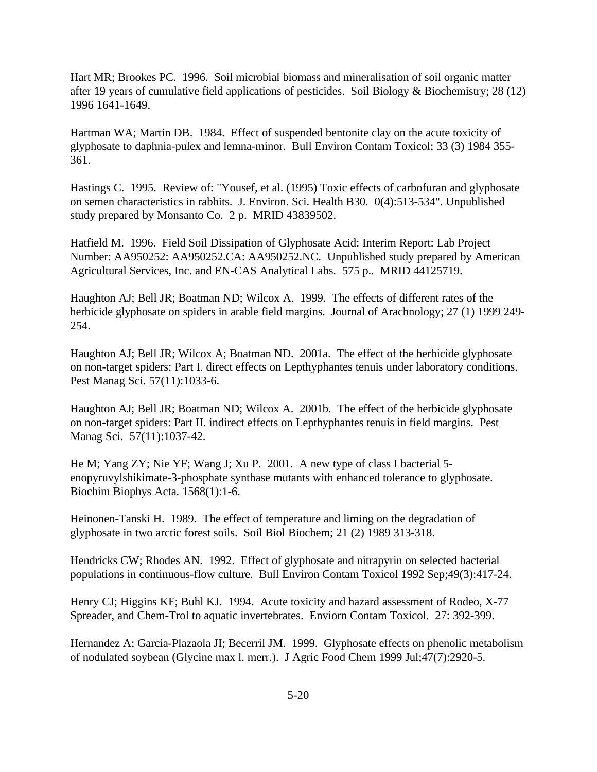Hart MR; Brookes PC. 1996. Soil microbial biomass and mineralisation of soil organic matter after 19 years of cumulative field applications of pesticides. Soil Biology & Biochemistry; 28 (12) 1996 1641-1649.

Hartman WA; Martin DB. 1984. Effect of suspended bentonite clay on the acute toxicity of glyphosate to daphnia-pulex and lemna-minor. Bull Environ Contam Toxicol; 33 (3) 1984 355- 361.

Hastings C. 1995. Review of: "Yousef, et al. (1995) Toxic effects of carbofuran and glyphosate on semen characteristics in rabbits. J. Environ. Sci. Health B30. 0(4):513-534". Unpublished study prepared by Monsanto Co. 2 p. MRID 43839502.

Hatfield M. 1996. Field Soil Dissipation of Glyphosate Acid: Interim Report: Lab Project Number: AA950252: AA950252.CA: AA950252.NC. Unpublished study prepared by American Agricultural Services, Inc. and EN-CAS Analytical Labs. 575 p.. MRID 44125719.

Haughton AJ; Bell JR; Boatman ND; Wilcox A. 1999. The effects of different rates of the herbicide glyphosate on spiders in arable field margins. Journal of Arachnology; 27 (1) 1999 249- 254.

Haughton AJ; Bell JR; Wilcox A; Boatman ND. 2001a. The effect of the herbicide glyphosate on non-target spiders: Part I. direct effects on Lepthyphantes tenuis under laboratory conditions. Pest Manag Sci. 57(11):1033-6.

Haughton AJ; Bell JR; Boatman ND; Wilcox A. 2001b. The effect of the herbicide glyphosate on non-target spiders: Part II. indirect effects on Lepthyphantes tenuis in field margins. Pest Manag Sci. 57(11):1037-42.

He M; Yang ZY; Nie YF; Wang J; Xu P. 2001. A new type of class I bacterial 5 enopyruvylshikimate-3-phosphate synthase mutants with enhanced tolerance to glyphosate. Biochim Biophys Acta. 1568(1):1-6.

Heinonen-Tanski H. 1989. The effect of temperature and liming on the degradation of glyphosate in two arctic forest soils. Soil Biol Biochem; 21 (2) 1989 313-318.

Hendricks CW; Rhodes AN. 1992. Effect of glyphosate and nitrapyrin on selected bacterial populations in continuous-flow culture. Bull Environ Contam Toxicol 1992 Sep;49(3):417-24.

Henry CJ; Higgins KF; Buhl KJ. 1994. Acute toxicity and hazard assessment of Rodeo, X-77 Spreader, and Chem-Trol to aquatic invertebrates. Enviorn Contam Toxicol. 27: 392-399.

Hernandez A; Garcia-Plazaola JI; Becerril JM. 1999. Glyphosate effects on phenolic metabolism of nodulated soybean (Glycine max l. merr.). J Agric Food Chem 1999 Jul;47(7):2920-5.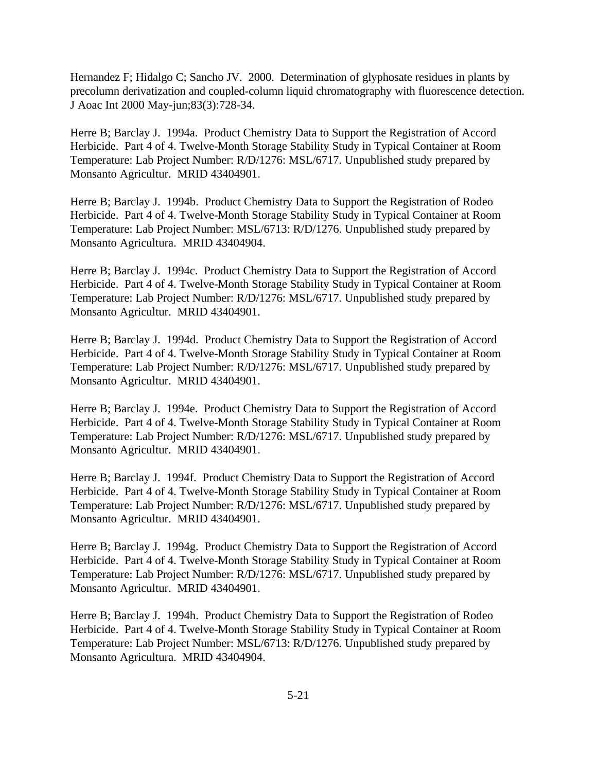Hernandez F; Hidalgo C; Sancho JV. 2000. Determination of glyphosate residues in plants by precolumn derivatization and coupled-column liquid chromatography with fluorescence detection. J Aoac Int 2000 May-jun;83(3):728-34.

Herre B; Barclay J. 1994a. Product Chemistry Data to Support the Registration of Accord Herbicide. Part 4 of 4. Twelve-Month Storage Stability Study in Typical Container at Room Temperature: Lab Project Number: R/D/1276: MSL/6717. Unpublished study prepared by Monsanto Agricultur. MRID 43404901.

Herre B; Barclay J. 1994b. Product Chemistry Data to Support the Registration of Rodeo Herbicide. Part 4 of 4. Twelve-Month Storage Stability Study in Typical Container at Room Temperature: Lab Project Number: MSL/6713: R/D/1276. Unpublished study prepared by Monsanto Agricultura. MRID 43404904.

Herre B; Barclay J. 1994c. Product Chemistry Data to Support the Registration of Accord Herbicide. Part 4 of 4. Twelve-Month Storage Stability Study in Typical Container at Room Temperature: Lab Project Number: R/D/1276: MSL/6717. Unpublished study prepared by Monsanto Agricultur. MRID 43404901.

Herre B; Barclay J. 1994d. Product Chemistry Data to Support the Registration of Accord Herbicide. Part 4 of 4. Twelve-Month Storage Stability Study in Typical Container at Room Temperature: Lab Project Number: R/D/1276: MSL/6717. Unpublished study prepared by Monsanto Agricultur. MRID 43404901.

Herre B; Barclay J. 1994e. Product Chemistry Data to Support the Registration of Accord Herbicide. Part 4 of 4. Twelve-Month Storage Stability Study in Typical Container at Room Temperature: Lab Project Number: R/D/1276: MSL/6717. Unpublished study prepared by Monsanto Agricultur. MRID 43404901.

Herre B; Barclay J. 1994f. Product Chemistry Data to Support the Registration of Accord Herbicide. Part 4 of 4. Twelve-Month Storage Stability Study in Typical Container at Room Temperature: Lab Project Number: R/D/1276: MSL/6717. Unpublished study prepared by Monsanto Agricultur. MRID 43404901.

Herre B; Barclay J. 1994g. Product Chemistry Data to Support the Registration of Accord Herbicide. Part 4 of 4. Twelve-Month Storage Stability Study in Typical Container at Room Temperature: Lab Project Number: R/D/1276: MSL/6717. Unpublished study prepared by Monsanto Agricultur. MRID 43404901.

Herre B; Barclay J. 1994h. Product Chemistry Data to Support the Registration of Rodeo Herbicide. Part 4 of 4. Twelve-Month Storage Stability Study in Typical Container at Room Temperature: Lab Project Number: MSL/6713: R/D/1276. Unpublished study prepared by Monsanto Agricultura. MRID 43404904.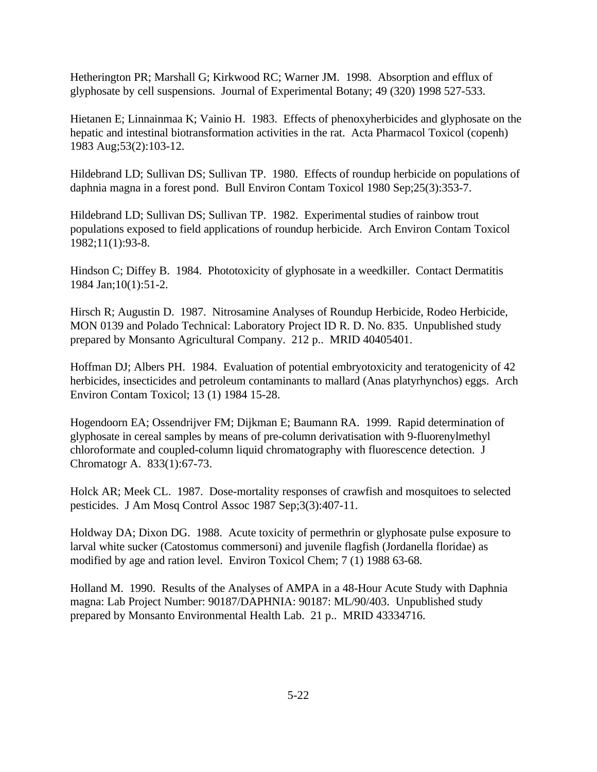Hetherington PR; Marshall G; Kirkwood RC; Warner JM. 1998. Absorption and efflux of glyphosate by cell suspensions. Journal of Experimental Botany; 49 (320) 1998 527-533.

Hietanen E; Linnainmaa K; Vainio H. 1983. Effects of phenoxyherbicides and glyphosate on the hepatic and intestinal biotransformation activities in the rat. Acta Pharmacol Toxicol (copenh) 1983 Aug;53(2):103-12.

Hildebrand LD; Sullivan DS; Sullivan TP. 1980. Effects of roundup herbicide on populations of daphnia magna in a forest pond. Bull Environ Contam Toxicol 1980 Sep;25(3):353-7.

Hildebrand LD; Sullivan DS; Sullivan TP. 1982. Experimental studies of rainbow trout populations exposed to field applications of roundup herbicide. Arch Environ Contam Toxicol 1982;11(1):93-8.

Hindson C; Diffey B. 1984. Phototoxicity of glyphosate in a weedkiller. Contact Dermatitis 1984 Jan;10(1):51-2.

Hirsch R; Augustin D. 1987. Nitrosamine Analyses of Roundup Herbicide, Rodeo Herbicide, MON 0139 and Polado Technical: Laboratory Project ID R. D. No. 835. Unpublished study prepared by Monsanto Agricultural Company. 212 p.. MRID 40405401.

Hoffman DJ; Albers PH. 1984. Evaluation of potential embryotoxicity and teratogenicity of 42 herbicides, insecticides and petroleum contaminants to mallard (Anas platyrhynchos) eggs. Arch Environ Contam Toxicol; 13 (1) 1984 15-28.

Hogendoorn EA; Ossendrijver FM; Dijkman E; Baumann RA. 1999. Rapid determination of glyphosate in cereal samples by means of pre-column derivatisation with 9-fluorenylmethyl chloroformate and coupled-column liquid chromatography with fluorescence detection. J Chromatogr A. 833(1):67-73.

Holck AR; Meek CL. 1987. Dose-mortality responses of crawfish and mosquitoes to selected pesticides. J Am Mosq Control Assoc 1987 Sep;3(3):407-11.

Holdway DA; Dixon DG. 1988. Acute toxicity of permethrin or glyphosate pulse exposure to larval white sucker (Catostomus commersoni) and juvenile flagfish (Jordanella floridae) as modified by age and ration level. Environ Toxicol Chem; 7 (1) 1988 63-68.

Holland M. 1990. Results of the Analyses of AMPA in a 48-Hour Acute Study with Daphnia magna: Lab Project Number: 90187/DAPHNIA: 90187: ML/90/403. Unpublished study prepared by Monsanto Environmental Health Lab. 21 p.. MRID 43334716.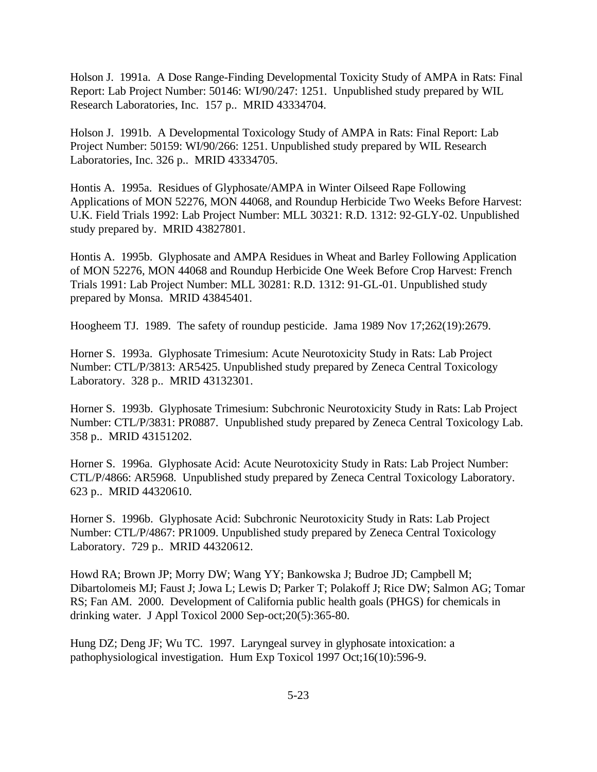Holson J. 1991a. A Dose Range-Finding Developmental Toxicity Study of AMPA in Rats: Final Report: Lab Project Number: 50146: WI/90/247: 1251. Unpublished study prepared by WIL Research Laboratories, Inc. 157 p.. MRID 43334704.

Holson J. 1991b. A Developmental Toxicology Study of AMPA in Rats: Final Report: Lab Project Number: 50159: WI/90/266: 1251. Unpublished study prepared by WIL Research Laboratories, Inc. 326 p.. MRID 43334705.

Hontis A. 1995a. Residues of Glyphosate/AMPA in Winter Oilseed Rape Following Applications of MON 52276, MON 44068, and Roundup Herbicide Two Weeks Before Harvest: U.K. Field Trials 1992: Lab Project Number: MLL 30321: R.D. 1312: 92-GLY-02. Unpublished study prepared by. MRID 43827801.

Hontis A. 1995b. Glyphosate and AMPA Residues in Wheat and Barley Following Application of MON 52276, MON 44068 and Roundup Herbicide One Week Before Crop Harvest: French Trials 1991: Lab Project Number: MLL 30281: R.D. 1312: 91-GL-01. Unpublished study prepared by Monsa. MRID 43845401.

Hoogheem TJ. 1989. The safety of roundup pesticide. Jama 1989 Nov 17;262(19):2679.

Horner S. 1993a. Glyphosate Trimesium: Acute Neurotoxicity Study in Rats: Lab Project Number: CTL/P/3813: AR5425. Unpublished study prepared by Zeneca Central Toxicology Laboratory. 328 p.. MRID 43132301.

Horner S. 1993b. Glyphosate Trimesium: Subchronic Neurotoxicity Study in Rats: Lab Project Number: CTL/P/3831: PR0887. Unpublished study prepared by Zeneca Central Toxicology Lab. 358 p.. MRID 43151202.

Horner S. 1996a. Glyphosate Acid: Acute Neurotoxicity Study in Rats: Lab Project Number: CTL/P/4866: AR5968. Unpublished study prepared by Zeneca Central Toxicology Laboratory. 623 p.. MRID 44320610.

Horner S. 1996b. Glyphosate Acid: Subchronic Neurotoxicity Study in Rats: Lab Project Number: CTL/P/4867: PR1009. Unpublished study prepared by Zeneca Central Toxicology Laboratory. 729 p.. MRID 44320612.

Howd RA; Brown JP; Morry DW; Wang YY; Bankowska J; Budroe JD; Campbell M; Dibartolomeis MJ; Faust J; Jowa L; Lewis D; Parker T; Polakoff J; Rice DW; Salmon AG; Tomar RS; Fan AM. 2000. Development of California public health goals (PHGS) for chemicals in drinking water. J Appl Toxicol 2000 Sep-oct;20(5):365-80.

Hung DZ; Deng JF; Wu TC. 1997. Laryngeal survey in glyphosate intoxication: a pathophysiological investigation. Hum Exp Toxicol 1997 Oct;16(10):596-9.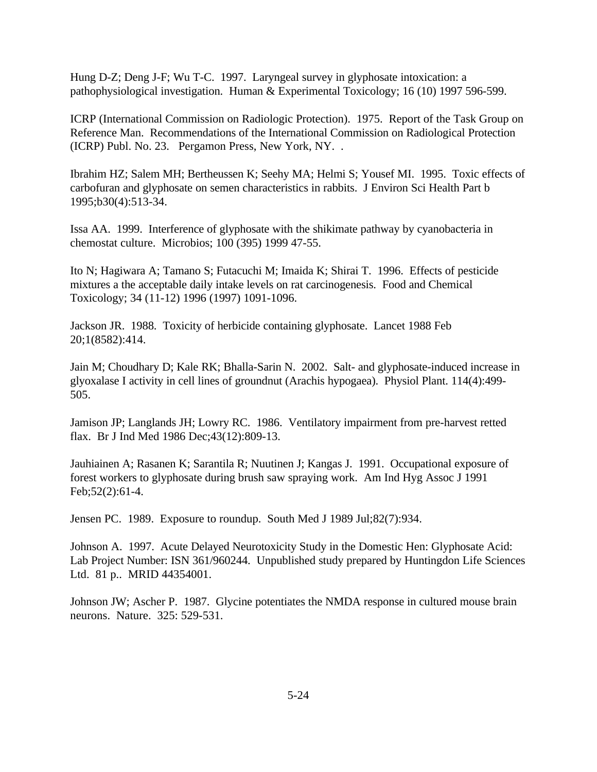Hung D-Z; Deng J-F; Wu T-C. 1997. Laryngeal survey in glyphosate intoxication: a pathophysiological investigation. Human & Experimental Toxicology; 16 (10) 1997 596-599.

ICRP (International Commission on Radiologic Protection). 1975. Report of the Task Group on Reference Man. Recommendations of the International Commission on Radiological Protection (ICRP) Publ. No. 23. Pergamon Press, New York, NY. .

Ibrahim HZ; Salem MH; Bertheussen K; Seehy MA; Helmi S; Yousef MI. 1995. Toxic effects of carbofuran and glyphosate on semen characteristics in rabbits. J Environ Sci Health Part b 1995;b30(4):513-34.

Issa AA. 1999. Interference of glyphosate with the shikimate pathway by cyanobacteria in chemostat culture. Microbios; 100 (395) 1999 47-55.

Ito N; Hagiwara A; Tamano S; Futacuchi M; Imaida K; Shirai T. 1996. Effects of pesticide mixtures a the acceptable daily intake levels on rat carcinogenesis. Food and Chemical Toxicology; 34 (11-12) 1996 (1997) 1091-1096.

Jackson JR. 1988. Toxicity of herbicide containing glyphosate. Lancet 1988 Feb 20;1(8582):414.

Jain M; Choudhary D; Kale RK; Bhalla-Sarin N. 2002. Salt- and glyphosate-induced increase in glyoxalase I activity in cell lines of groundnut (Arachis hypogaea). Physiol Plant. 114(4):499- 505.

Jamison JP; Langlands JH; Lowry RC. 1986. Ventilatory impairment from pre-harvest retted flax. Br J Ind Med 1986 Dec;43(12):809-13.

Jauhiainen A; Rasanen K; Sarantila R; Nuutinen J; Kangas J. 1991. Occupational exposure of forest workers to glyphosate during brush saw spraying work. Am Ind Hyg Assoc J 1991 Feb;52(2):61-4.

Jensen PC. 1989. Exposure to roundup. South Med J 1989 Jul;82(7):934.

Johnson A. 1997. Acute Delayed Neurotoxicity Study in the Domestic Hen: Glyphosate Acid: Lab Project Number: ISN 361/960244. Unpublished study prepared by Huntingdon Life Sciences Ltd. 81 p.. MRID 44354001.

Johnson JW; Ascher P. 1987. Glycine potentiates the NMDA response in cultured mouse brain neurons. Nature. 325: 529-531.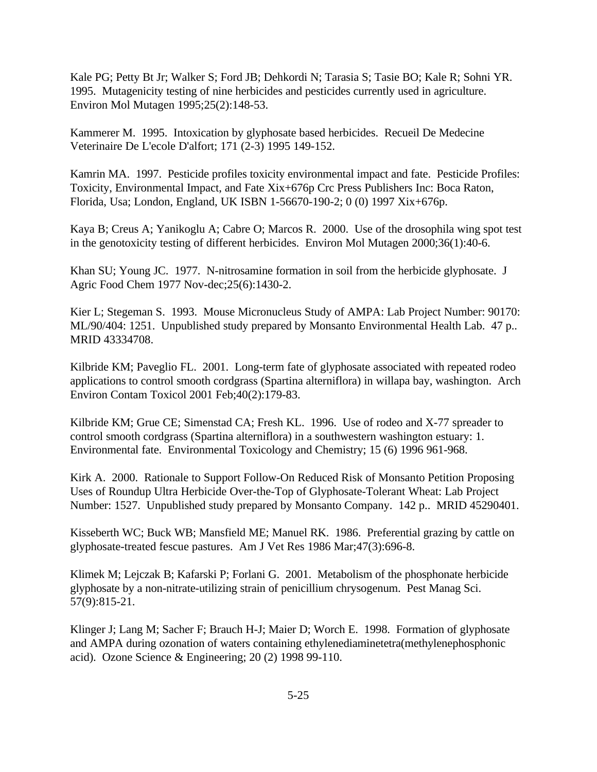Kale PG; Petty Bt Jr; Walker S; Ford JB; Dehkordi N; Tarasia S; Tasie BO; Kale R; Sohni YR. 1995. Mutagenicity testing of nine herbicides and pesticides currently used in agriculture. Environ Mol Mutagen 1995;25(2):148-53.

Kammerer M. 1995. Intoxication by glyphosate based herbicides. Recueil De Medecine Veterinaire De L'ecole D'alfort; 171 (2-3) 1995 149-152.

Kamrin MA. 1997. Pesticide profiles toxicity environmental impact and fate. Pesticide Profiles: Toxicity, Environmental Impact, and Fate Xix+676p Crc Press Publishers Inc: Boca Raton, Florida, Usa; London, England, UK ISBN 1-56670-190-2; 0 (0) 1997 Xix+676p.

Kaya B; Creus A; Yanikoglu A; Cabre O; Marcos R. 2000. Use of the drosophila wing spot test in the genotoxicity testing of different herbicides. Environ Mol Mutagen 2000;36(1):40-6.

Khan SU; Young JC. 1977. N-nitrosamine formation in soil from the herbicide glyphosate. J Agric Food Chem 1977 Nov-dec;25(6):1430-2.

Kier L; Stegeman S. 1993. Mouse Micronucleus Study of AMPA: Lab Project Number: 90170: ML/90/404: 1251. Unpublished study prepared by Monsanto Environmental Health Lab. 47 p.. MRID 43334708.

Kilbride KM; Paveglio FL. 2001. Long-term fate of glyphosate associated with repeated rodeo applications to control smooth cordgrass (Spartina alterniflora) in willapa bay, washington. Arch Environ Contam Toxicol 2001 Feb;40(2):179-83.

Kilbride KM; Grue CE; Simenstad CA; Fresh KL. 1996. Use of rodeo and X-77 spreader to control smooth cordgrass (Spartina alterniflora) in a southwestern washington estuary: 1. Environmental fate. Environmental Toxicology and Chemistry; 15 (6) 1996 961-968.

Kirk A. 2000. Rationale to Support Follow-On Reduced Risk of Monsanto Petition Proposing Uses of Roundup Ultra Herbicide Over-the-Top of Glyphosate-Tolerant Wheat: Lab Project Number: 1527. Unpublished study prepared by Monsanto Company. 142 p.. MRID 45290401.

Kisseberth WC; Buck WB; Mansfield ME; Manuel RK. 1986. Preferential grazing by cattle on glyphosate-treated fescue pastures. Am J Vet Res 1986 Mar;47(3):696-8.

Klimek M; Lejczak B; Kafarski P; Forlani G. 2001. Metabolism of the phosphonate herbicide glyphosate by a non-nitrate-utilizing strain of penicillium chrysogenum. Pest Manag Sci. 57(9):815-21.

Klinger J; Lang M; Sacher F; Brauch H-J; Maier D; Worch E. 1998. Formation of glyphosate and AMPA during ozonation of waters containing ethylenediaminetetra(methylenephosphonic acid). Ozone Science & Engineering; 20 (2) 1998 99-110.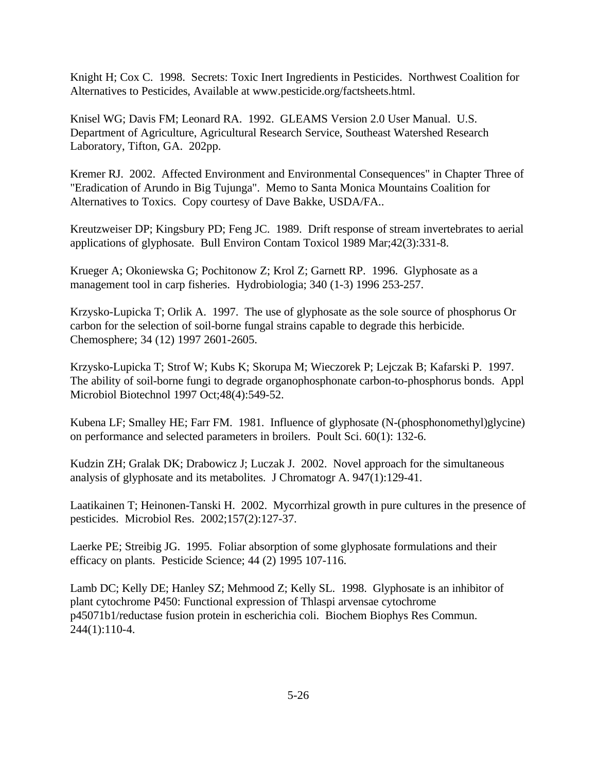Knight H; Cox C. 1998. Secrets: Toxic Inert Ingredients in Pesticides. Northwest Coalition for Alternatives to Pesticides, Available at www.pesticide.org/factsheets.html.

Knisel WG; Davis FM; Leonard RA. 1992. GLEAMS Version 2.0 User Manual. U.S. Department of Agriculture, Agricultural Research Service, Southeast Watershed Research Laboratory, Tifton, GA. 202pp.

Kremer RJ. 2002. Affected Environment and Environmental Consequences" in Chapter Three of "Eradication of Arundo in Big Tujunga". Memo to Santa Monica Mountains Coalition for Alternatives to Toxics. Copy courtesy of Dave Bakke, USDA/FA..

Kreutzweiser DP; Kingsbury PD; Feng JC. 1989. Drift response of stream invertebrates to aerial applications of glyphosate. Bull Environ Contam Toxicol 1989 Mar;42(3):331-8.

Krueger A; Okoniewska G; Pochitonow Z; Krol Z; Garnett RP. 1996. Glyphosate as a management tool in carp fisheries. Hydrobiologia; 340 (1-3) 1996 253-257.

Krzysko-Lupicka T; Orlik A. 1997. The use of glyphosate as the sole source of phosphorus Or carbon for the selection of soil-borne fungal strains capable to degrade this herbicide. Chemosphere; 34 (12) 1997 2601-2605.

Krzysko-Lupicka T; Strof W; Kubs K; Skorupa M; Wieczorek P; Lejczak B; Kafarski P. 1997. The ability of soil-borne fungi to degrade organophosphonate carbon-to-phosphorus bonds. Appl Microbiol Biotechnol 1997 Oct;48(4):549-52.

Kubena LF; Smalley HE; Farr FM. 1981. Influence of glyphosate (N-(phosphonomethyl)glycine) on performance and selected parameters in broilers. Poult Sci. 60(1): 132-6.

Kudzin ZH; Gralak DK; Drabowicz J; Luczak J. 2002. Novel approach for the simultaneous analysis of glyphosate and its metabolites. J Chromatogr A. 947(1):129-41.

Laatikainen T; Heinonen-Tanski H. 2002. Mycorrhizal growth in pure cultures in the presence of pesticides. Microbiol Res. 2002;157(2):127-37.

Laerke PE; Streibig JG. 1995. Foliar absorption of some glyphosate formulations and their efficacy on plants. Pesticide Science; 44 (2) 1995 107-116.

Lamb DC; Kelly DE; Hanley SZ; Mehmood Z; Kelly SL. 1998. Glyphosate is an inhibitor of plant cytochrome P450: Functional expression of Thlaspi arvensae cytochrome p45071b1/reductase fusion protein in escherichia coli. Biochem Biophys Res Commun. 244(1):110-4.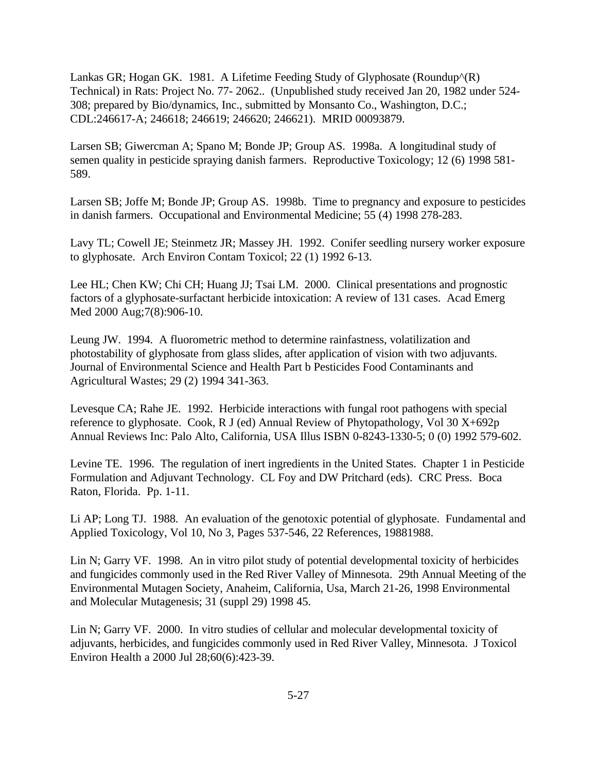Lankas GR; Hogan GK. 1981. A Lifetime Feeding Study of Glyphosate (Roundup<sup> $\land$ </sup>(R) Technical) in Rats: Project No. 77- 2062.. (Unpublished study received Jan 20, 1982 under 524- 308; prepared by Bio/dynamics, Inc., submitted by Monsanto Co., Washington, D.C.; CDL:246617-A; 246618; 246619; 246620; 246621). MRID 00093879.

Larsen SB; Giwercman A; Spano M; Bonde JP; Group AS. 1998a. A longitudinal study of semen quality in pesticide spraying danish farmers. Reproductive Toxicology; 12 (6) 1998 581- 589.

Larsen SB; Joffe M; Bonde JP; Group AS. 1998b. Time to pregnancy and exposure to pesticides in danish farmers. Occupational and Environmental Medicine; 55 (4) 1998 278-283.

Lavy TL; Cowell JE; Steinmetz JR; Massey JH. 1992. Conifer seedling nursery worker exposure to glyphosate. Arch Environ Contam Toxicol; 22 (1) 1992 6-13.

Lee HL; Chen KW; Chi CH; Huang JJ; Tsai LM. 2000. Clinical presentations and prognostic factors of a glyphosate-surfactant herbicide intoxication: A review of 131 cases. Acad Emerg Med 2000 Aug;7(8):906-10.

Leung JW. 1994. A fluorometric method to determine rainfastness, volatilization and photostability of glyphosate from glass slides, after application of vision with two adjuvants. Journal of Environmental Science and Health Part b Pesticides Food Contaminants and Agricultural Wastes; 29 (2) 1994 341-363.

Levesque CA; Rahe JE. 1992. Herbicide interactions with fungal root pathogens with special reference to glyphosate. Cook, R J (ed) Annual Review of Phytopathology, Vol 30 X+692p Annual Reviews Inc: Palo Alto, California, USA Illus ISBN 0-8243-1330-5; 0 (0) 1992 579-602.

Levine TE. 1996. The regulation of inert ingredients in the United States. Chapter 1 in Pesticide Formulation and Adjuvant Technology. CL Foy and DW Pritchard (eds). CRC Press. Boca Raton, Florida. Pp. 1-11.

Li AP; Long TJ. 1988. An evaluation of the genotoxic potential of glyphosate. Fundamental and Applied Toxicology, Vol 10, No 3, Pages 537-546, 22 References, 19881988.

Lin N; Garry VF. 1998. An in vitro pilot study of potential developmental toxicity of herbicides and fungicides commonly used in the Red River Valley of Minnesota. 29th Annual Meeting of the Environmental Mutagen Society, Anaheim, California, Usa, March 21-26, 1998 Environmental and Molecular Mutagenesis; 31 (suppl 29) 1998 45.

Lin N; Garry VF. 2000. In vitro studies of cellular and molecular developmental toxicity of adjuvants, herbicides, and fungicides commonly used in Red River Valley, Minnesota. J Toxicol Environ Health a 2000 Jul 28;60(6):423-39.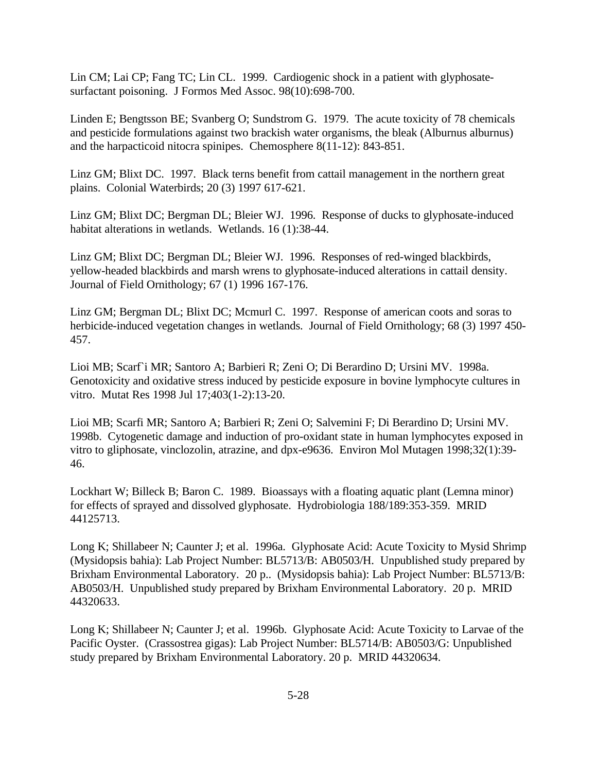Lin CM; Lai CP; Fang TC; Lin CL. 1999. Cardiogenic shock in a patient with glyphosatesurfactant poisoning. J Formos Med Assoc. 98(10):698-700.

Linden E; Bengtsson BE; Svanberg O; Sundstrom G. 1979. The acute toxicity of 78 chemicals and pesticide formulations against two brackish water organisms, the bleak (Alburnus alburnus) and the harpacticoid nitocra spinipes. Chemosphere 8(11-12): 843-851.

Linz GM; Blixt DC. 1997. Black terns benefit from cattail management in the northern great plains. Colonial Waterbirds; 20 (3) 1997 617-621.

Linz GM; Blixt DC; Bergman DL; Bleier WJ. 1996. Response of ducks to glyphosate-induced habitat alterations in wetlands. Wetlands. 16 (1):38-44.

Linz GM; Blixt DC; Bergman DL; Bleier WJ. 1996. Responses of red-winged blackbirds, yellow-headed blackbirds and marsh wrens to glyphosate-induced alterations in cattail density. Journal of Field Ornithology; 67 (1) 1996 167-176.

Linz GM; Bergman DL; Blixt DC; Mcmurl C. 1997. Response of american coots and soras to herbicide-induced vegetation changes in wetlands. Journal of Field Ornithology; 68 (3) 1997 450- 457.

Lioi MB; Scarf`i MR; Santoro A; Barbieri R; Zeni O; Di Berardino D; Ursini MV. 1998a. Genotoxicity and oxidative stress induced by pesticide exposure in bovine lymphocyte cultures in vitro. Mutat Res 1998 Jul 17;403(1-2):13-20.

Lioi MB; Scarfi MR; Santoro A; Barbieri R; Zeni O; Salvemini F; Di Berardino D; Ursini MV. 1998b. Cytogenetic damage and induction of pro-oxidant state in human lymphocytes exposed in vitro to gliphosate, vinclozolin, atrazine, and dpx-e9636. Environ Mol Mutagen 1998;32(1):39- 46.

Lockhart W; Billeck B; Baron C. 1989. Bioassays with a floating aquatic plant (Lemna minor) for effects of sprayed and dissolved glyphosate. Hydrobiologia 188/189:353-359. MRID 44125713.

Long K; Shillabeer N; Caunter J; et al. 1996a. Glyphosate Acid: Acute Toxicity to Mysid Shrimp (Mysidopsis bahia): Lab Project Number: BL5713/B: AB0503/H. Unpublished study prepared by Brixham Environmental Laboratory. 20 p.. (Mysidopsis bahia): Lab Project Number: BL5713/B: AB0503/H. Unpublished study prepared by Brixham Environmental Laboratory. 20 p. MRID 44320633.

Long K; Shillabeer N; Caunter J; et al. 1996b. Glyphosate Acid: Acute Toxicity to Larvae of the Pacific Oyster. (Crassostrea gigas): Lab Project Number: BL5714/B: AB0503/G: Unpublished study prepared by Brixham Environmental Laboratory. 20 p. MRID 44320634.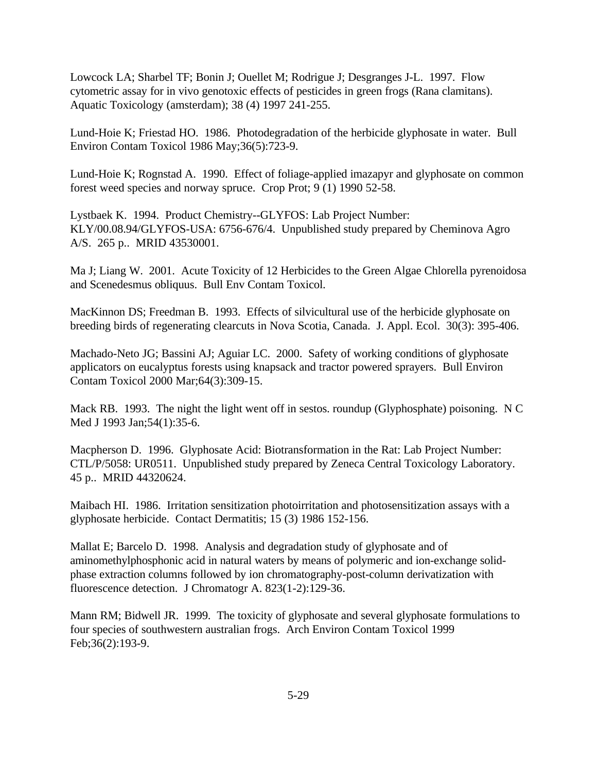Lowcock LA; Sharbel TF; Bonin J; Ouellet M; Rodrigue J; Desgranges J-L. 1997. Flow cytometric assay for in vivo genotoxic effects of pesticides in green frogs (Rana clamitans). Aquatic Toxicology (amsterdam); 38 (4) 1997 241-255.

Lund-Hoie K; Friestad HO. 1986. Photodegradation of the herbicide glyphosate in water. Bull Environ Contam Toxicol 1986 May;36(5):723-9.

Lund-Hoie K; Rognstad A. 1990. Effect of foliage-applied imazapyr and glyphosate on common forest weed species and norway spruce. Crop Prot; 9 (1) 1990 52-58.

Lystbaek K. 1994. Product Chemistry--GLYFOS: Lab Project Number: KLY/00.08.94/GLYFOS-USA: 6756-676/4. Unpublished study prepared by Cheminova Agro A/S. 265 p.. MRID 43530001.

Ma J; Liang W. 2001. Acute Toxicity of 12 Herbicides to the Green Algae Chlorella pyrenoidosa and Scenedesmus obliquus. Bull Env Contam Toxicol.

MacKinnon DS; Freedman B. 1993. Effects of silvicultural use of the herbicide glyphosate on breeding birds of regenerating clearcuts in Nova Scotia, Canada. J. Appl. Ecol. 30(3): 395-406.

Machado-Neto JG; Bassini AJ; Aguiar LC. 2000. Safety of working conditions of glyphosate applicators on eucalyptus forests using knapsack and tractor powered sprayers. Bull Environ Contam Toxicol 2000 Mar;64(3):309-15.

Mack RB. 1993. The night the light went off in sestos. roundup (Glyphosphate) poisoning. N C Med J 1993 Jan;54(1):35-6.

Macpherson D. 1996. Glyphosate Acid: Biotransformation in the Rat: Lab Project Number: CTL/P/5058: UR0511. Unpublished study prepared by Zeneca Central Toxicology Laboratory. 45 p.. MRID 44320624.

Maibach HI. 1986. Irritation sensitization photoirritation and photosensitization assays with a glyphosate herbicide. Contact Dermatitis; 15 (3) 1986 152-156.

Mallat E; Barcelo D. 1998. Analysis and degradation study of glyphosate and of aminomethylphosphonic acid in natural waters by means of polymeric and ion-exchange solidphase extraction columns followed by ion chromatography-post-column derivatization with fluorescence detection. J Chromatogr A. 823(1-2):129-36.

Mann RM; Bidwell JR. 1999. The toxicity of glyphosate and several glyphosate formulations to four species of southwestern australian frogs. Arch Environ Contam Toxicol 1999 Feb;36(2):193-9.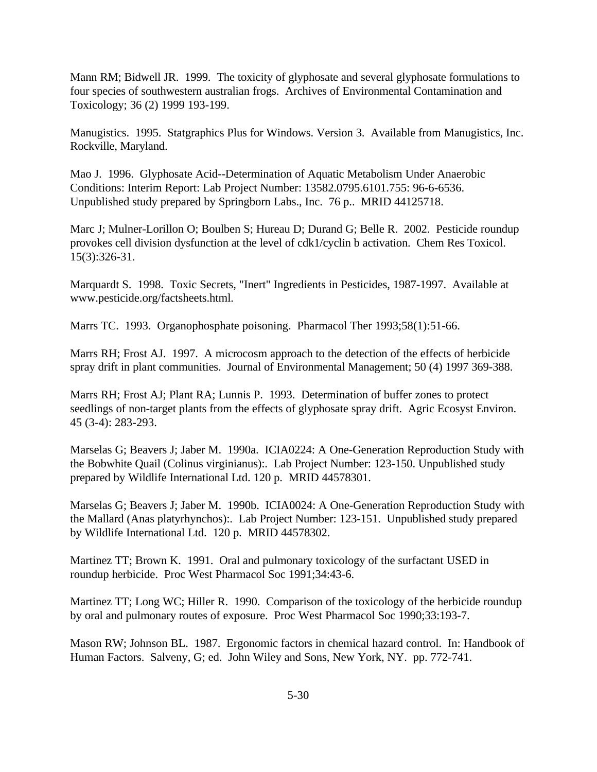Mann RM; Bidwell JR. 1999. The toxicity of glyphosate and several glyphosate formulations to four species of southwestern australian frogs. Archives of Environmental Contamination and Toxicology; 36 (2) 1999 193-199.

Manugistics. 1995. Statgraphics Plus for Windows. Version 3. Available from Manugistics, Inc. Rockville, Maryland.

Mao J. 1996. Glyphosate Acid--Determination of Aquatic Metabolism Under Anaerobic Conditions: Interim Report: Lab Project Number: 13582.0795.6101.755: 96-6-6536. Unpublished study prepared by Springborn Labs., Inc. 76 p.. MRID 44125718.

Marc J; Mulner-Lorillon O; Boulben S; Hureau D; Durand G; Belle R. 2002. Pesticide roundup provokes cell division dysfunction at the level of cdk1/cyclin b activation. Chem Res Toxicol. 15(3):326-31.

Marquardt S. 1998. Toxic Secrets, "Inert" Ingredients in Pesticides, 1987-1997. Available at www.pesticide.org/factsheets.html.

Marrs TC. 1993. Organophosphate poisoning. Pharmacol Ther 1993;58(1):51-66.

Marrs RH; Frost AJ. 1997. A microcosm approach to the detection of the effects of herbicide spray drift in plant communities. Journal of Environmental Management; 50 (4) 1997 369-388.

Marrs RH; Frost AJ; Plant RA; Lunnis P. 1993. Determination of buffer zones to protect seedlings of non-target plants from the effects of glyphosate spray drift. Agric Ecosyst Environ. 45 (3-4): 283-293.

Marselas G; Beavers J; Jaber M. 1990a. ICIA0224: A One-Generation Reproduction Study with the Bobwhite Quail (Colinus virginianus):. Lab Project Number: 123-150. Unpublished study prepared by Wildlife International Ltd. 120 p. MRID 44578301.

Marselas G; Beavers J; Jaber M. 1990b. ICIA0024: A One-Generation Reproduction Study with the Mallard (Anas platyrhynchos):. Lab Project Number: 123-151. Unpublished study prepared by Wildlife International Ltd. 120 p. MRID 44578302.

Martinez TT; Brown K. 1991. Oral and pulmonary toxicology of the surfactant USED in roundup herbicide. Proc West Pharmacol Soc 1991;34:43-6.

Martinez TT; Long WC; Hiller R. 1990. Comparison of the toxicology of the herbicide roundup by oral and pulmonary routes of exposure. Proc West Pharmacol Soc 1990;33:193-7.

Mason RW; Johnson BL. 1987. Ergonomic factors in chemical hazard control. In: Handbook of Human Factors. Salveny, G; ed. John Wiley and Sons, New York, NY. pp. 772-741.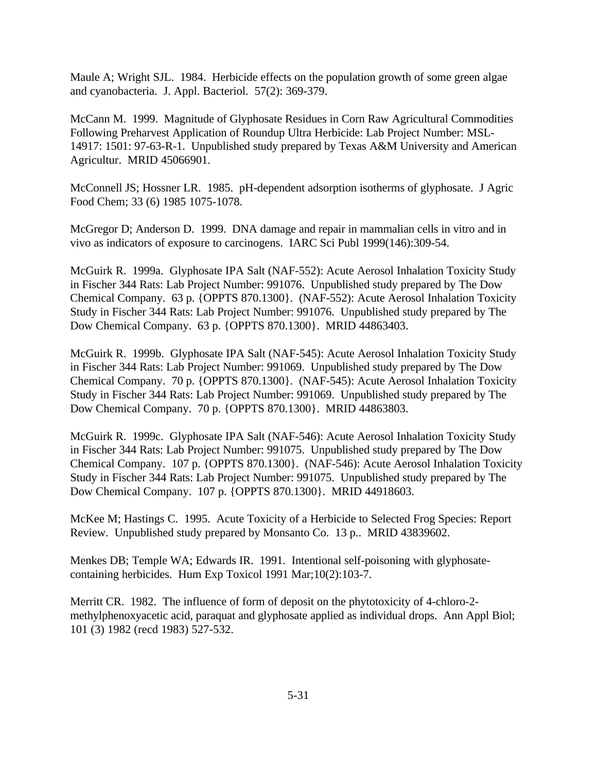Maule A; Wright SJL. 1984. Herbicide effects on the population growth of some green algae and cyanobacteria. J. Appl. Bacteriol. 57(2): 369-379.

McCann M. 1999. Magnitude of Glyphosate Residues in Corn Raw Agricultural Commodities Following Preharvest Application of Roundup Ultra Herbicide: Lab Project Number: MSL-14917: 1501: 97-63-R-1. Unpublished study prepared by Texas A&M University and American Agricultur. MRID 45066901.

McConnell JS; Hossner LR. 1985. pH-dependent adsorption isotherms of glyphosate. J Agric Food Chem; 33 (6) 1985 1075-1078.

McGregor D; Anderson D. 1999. DNA damage and repair in mammalian cells in vitro and in vivo as indicators of exposure to carcinogens. IARC Sci Publ 1999(146):309-54.

McGuirk R. 1999a. Glyphosate IPA Salt (NAF-552): Acute Aerosol Inhalation Toxicity Study in Fischer 344 Rats: Lab Project Number: 991076. Unpublished study prepared by The Dow Chemical Company. 63 p. {OPPTS 870.1300}. (NAF-552): Acute Aerosol Inhalation Toxicity Study in Fischer 344 Rats: Lab Project Number: 991076. Unpublished study prepared by The Dow Chemical Company. 63 p. {OPPTS 870.1300}. MRID 44863403.

McGuirk R. 1999b. Glyphosate IPA Salt (NAF-545): Acute Aerosol Inhalation Toxicity Study in Fischer 344 Rats: Lab Project Number: 991069. Unpublished study prepared by The Dow Chemical Company. 70 p. {OPPTS 870.1300}. (NAF-545): Acute Aerosol Inhalation Toxicity Study in Fischer 344 Rats: Lab Project Number: 991069. Unpublished study prepared by The Dow Chemical Company. 70 p. {OPPTS 870.1300}. MRID 44863803.

McGuirk R. 1999c. Glyphosate IPA Salt (NAF-546): Acute Aerosol Inhalation Toxicity Study in Fischer 344 Rats: Lab Project Number: 991075. Unpublished study prepared by The Dow Chemical Company. 107 p. {OPPTS 870.1300}. (NAF-546): Acute Aerosol Inhalation Toxicity Study in Fischer 344 Rats: Lab Project Number: 991075. Unpublished study prepared by The Dow Chemical Company. 107 p. {OPPTS 870.1300}. MRID 44918603.

McKee M; Hastings C. 1995. Acute Toxicity of a Herbicide to Selected Frog Species: Report Review. Unpublished study prepared by Monsanto Co. 13 p.. MRID 43839602.

Menkes DB; Temple WA; Edwards IR. 1991. Intentional self-poisoning with glyphosatecontaining herbicides. Hum Exp Toxicol 1991 Mar;10(2):103-7.

Merritt CR. 1982. The influence of form of deposit on the phytotoxicity of 4-chloro-2 methylphenoxyacetic acid, paraquat and glyphosate applied as individual drops. Ann Appl Biol; 101 (3) 1982 (recd 1983) 527-532.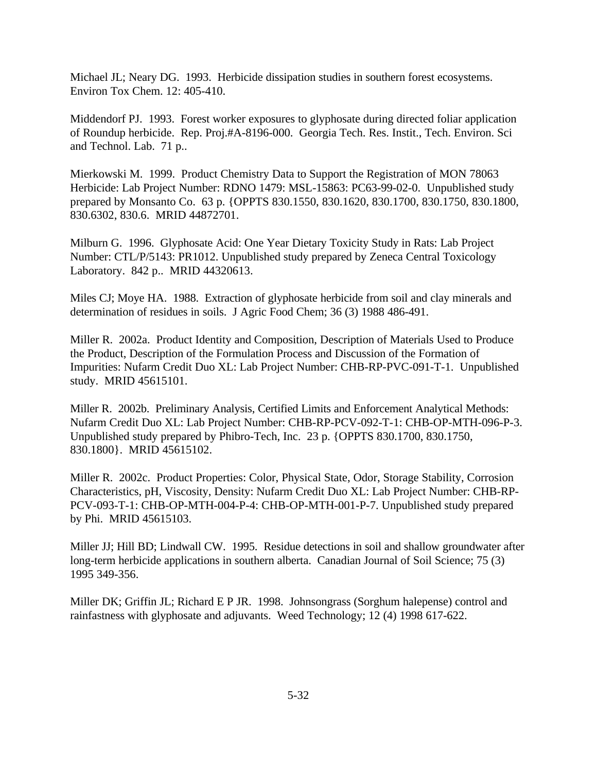Michael JL; Neary DG. 1993. Herbicide dissipation studies in southern forest ecosystems. Environ Tox Chem. 12: 405-410.

Middendorf PJ. 1993. Forest worker exposures to glyphosate during directed foliar application of Roundup herbicide. Rep. Proj.#A-8196-000. Georgia Tech. Res. Instit., Tech. Environ. Sci and Technol. Lab. 71 p..

Mierkowski M. 1999. Product Chemistry Data to Support the Registration of MON 78063 Herbicide: Lab Project Number: RDNO 1479: MSL-15863: PC63-99-02-0. Unpublished study prepared by Monsanto Co. 63 p. {OPPTS 830.1550, 830.1620, 830.1700, 830.1750, 830.1800, 830.6302, 830.6. MRID 44872701.

Milburn G. 1996. Glyphosate Acid: One Year Dietary Toxicity Study in Rats: Lab Project Number: CTL/P/5143: PR1012. Unpublished study prepared by Zeneca Central Toxicology Laboratory. 842 p.. MRID 44320613.

Miles CJ; Moye HA. 1988. Extraction of glyphosate herbicide from soil and clay minerals and determination of residues in soils. J Agric Food Chem; 36 (3) 1988 486-491.

Miller R. 2002a. Product Identity and Composition, Description of Materials Used to Produce the Product, Description of the Formulation Process and Discussion of the Formation of Impurities: Nufarm Credit Duo XL: Lab Project Number: CHB-RP-PVC-091-T-1. Unpublished study. MRID 45615101.

Miller R. 2002b. Preliminary Analysis, Certified Limits and Enforcement Analytical Methods: Nufarm Credit Duo XL: Lab Project Number: CHB-RP-PCV-092-T-1: CHB-OP-MTH-096-P-3. Unpublished study prepared by Phibro-Tech, Inc. 23 p. {OPPTS 830.1700, 830.1750, 830.1800}. MRID 45615102.

Miller R. 2002c. Product Properties: Color, Physical State, Odor, Storage Stability, Corrosion Characteristics, pH, Viscosity, Density: Nufarm Credit Duo XL: Lab Project Number: CHB-RP-PCV-093-T-1: CHB-OP-MTH-004-P-4: CHB-OP-MTH-001-P-7. Unpublished study prepared by Phi. MRID 45615103.

Miller JJ; Hill BD; Lindwall CW. 1995. Residue detections in soil and shallow groundwater after long-term herbicide applications in southern alberta. Canadian Journal of Soil Science; 75 (3) 1995 349-356.

Miller DK; Griffin JL; Richard E P JR. 1998. Johnsongrass (Sorghum halepense) control and rainfastness with glyphosate and adjuvants. Weed Technology; 12 (4) 1998 617-622.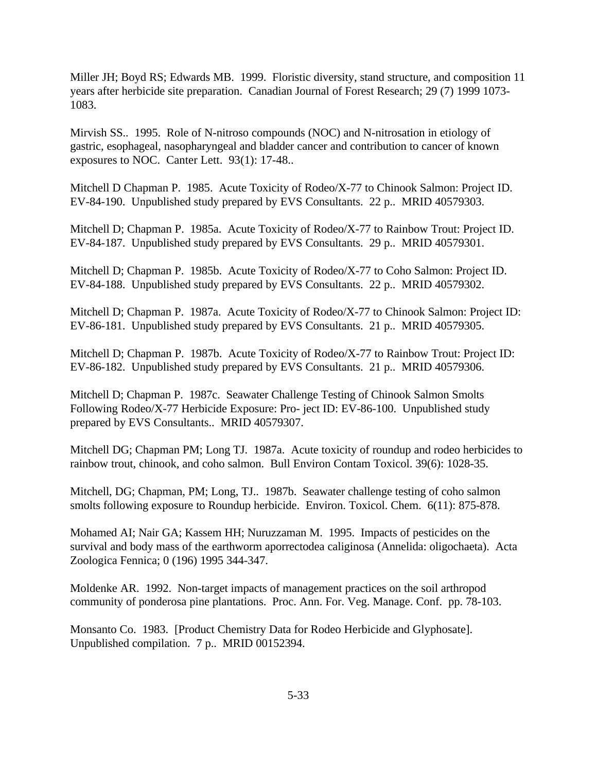Miller JH; Boyd RS; Edwards MB. 1999. Floristic diversity, stand structure, and composition 11 years after herbicide site preparation. Canadian Journal of Forest Research; 29 (7) 1999 1073- 1083.

Mirvish SS.. 1995. Role of N-nitroso compounds (NOC) and N-nitrosation in etiology of gastric, esophageal, nasopharyngeal and bladder cancer and contribution to cancer of known exposures to NOC. Canter Lett. 93(1): 17-48..

Mitchell D Chapman P. 1985. Acute Toxicity of Rodeo/X-77 to Chinook Salmon: Project ID. EV-84-190. Unpublished study prepared by EVS Consultants. 22 p.. MRID 40579303.

Mitchell D; Chapman P. 1985a. Acute Toxicity of Rodeo/X-77 to Rainbow Trout: Project ID. EV-84-187. Unpublished study prepared by EVS Consultants. 29 p.. MRID 40579301.

Mitchell D; Chapman P. 1985b. Acute Toxicity of Rodeo/X-77 to Coho Salmon: Project ID. EV-84-188. Unpublished study prepared by EVS Consultants. 22 p.. MRID 40579302.

Mitchell D; Chapman P. 1987a. Acute Toxicity of Rodeo/X-77 to Chinook Salmon: Project ID: EV-86-181. Unpublished study prepared by EVS Consultants. 21 p.. MRID 40579305.

Mitchell D; Chapman P. 1987b. Acute Toxicity of Rodeo/X-77 to Rainbow Trout: Project ID: EV-86-182. Unpublished study prepared by EVS Consultants. 21 p.. MRID 40579306.

Mitchell D; Chapman P. 1987c. Seawater Challenge Testing of Chinook Salmon Smolts Following Rodeo/X-77 Herbicide Exposure: Pro- ject ID: EV-86-100. Unpublished study prepared by EVS Consultants.. MRID 40579307.

Mitchell DG; Chapman PM; Long TJ. 1987a. Acute toxicity of roundup and rodeo herbicides to rainbow trout, chinook, and coho salmon. Bull Environ Contam Toxicol. 39(6): 1028-35.

Mitchell, DG; Chapman, PM; Long, TJ.. 1987b. Seawater challenge testing of coho salmon smolts following exposure to Roundup herbicide. Environ. Toxicol. Chem. 6(11): 875-878.

Mohamed AI; Nair GA; Kassem HH; Nuruzzaman M. 1995. Impacts of pesticides on the survival and body mass of the earthworm aporrectodea caliginosa (Annelida: oligochaeta). Acta Zoologica Fennica; 0 (196) 1995 344-347.

Moldenke AR. 1992. Non-target impacts of management practices on the soil arthropod community of ponderosa pine plantations. Proc. Ann. For. Veg. Manage. Conf. pp. 78-103.

Monsanto Co. 1983. [Product Chemistry Data for Rodeo Herbicide and Glyphosate]. Unpublished compilation. 7 p.. MRID 00152394.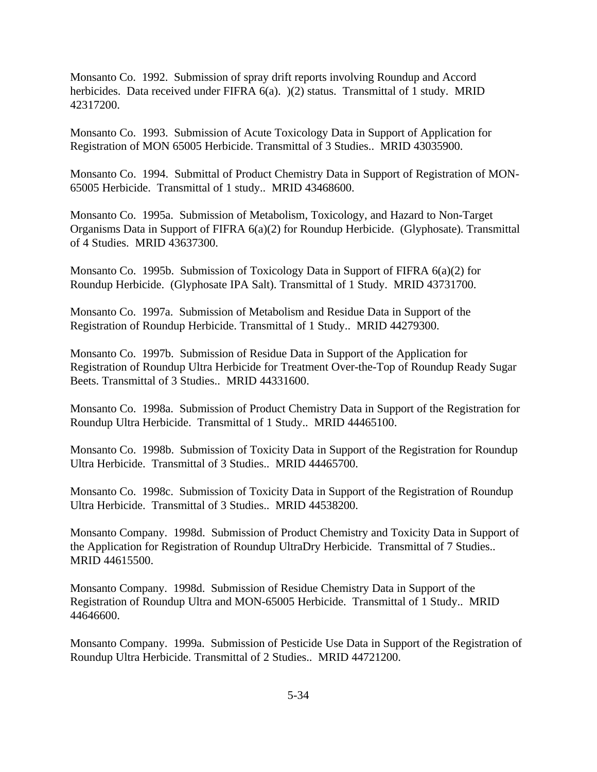Monsanto Co. 1992. Submission of spray drift reports involving Roundup and Accord herbicides. Data received under FIFRA 6(a).  $)(2)$  status. Transmittal of 1 study. MRID 42317200.

Monsanto Co. 1993. Submission of Acute Toxicology Data in Support of Application for Registration of MON 65005 Herbicide. Transmittal of 3 Studies.. MRID 43035900.

Monsanto Co. 1994. Submittal of Product Chemistry Data in Support of Registration of MON-65005 Herbicide. Transmittal of 1 study.. MRID 43468600.

Monsanto Co. 1995a. Submission of Metabolism, Toxicology, and Hazard to Non-Target Organisms Data in Support of FIFRA 6(a)(2) for Roundup Herbicide. (Glyphosate). Transmittal of 4 Studies. MRID 43637300.

Monsanto Co. 1995b. Submission of Toxicology Data in Support of FIFRA 6(a)(2) for Roundup Herbicide. (Glyphosate IPA Salt). Transmittal of 1 Study. MRID 43731700.

Monsanto Co. 1997a. Submission of Metabolism and Residue Data in Support of the Registration of Roundup Herbicide. Transmittal of 1 Study.. MRID 44279300.

Monsanto Co. 1997b. Submission of Residue Data in Support of the Application for Registration of Roundup Ultra Herbicide for Treatment Over-the-Top of Roundup Ready Sugar Beets. Transmittal of 3 Studies.. MRID 44331600.

Monsanto Co. 1998a. Submission of Product Chemistry Data in Support of the Registration for Roundup Ultra Herbicide. Transmittal of 1 Study.. MRID 44465100.

Monsanto Co. 1998b. Submission of Toxicity Data in Support of the Registration for Roundup Ultra Herbicide. Transmittal of 3 Studies.. MRID 44465700.

Monsanto Co. 1998c. Submission of Toxicity Data in Support of the Registration of Roundup Ultra Herbicide. Transmittal of 3 Studies.. MRID 44538200.

Monsanto Company. 1998d. Submission of Product Chemistry and Toxicity Data in Support of the Application for Registration of Roundup UltraDry Herbicide. Transmittal of 7 Studies.. MRID 44615500.

Monsanto Company. 1998d. Submission of Residue Chemistry Data in Support of the Registration of Roundup Ultra and MON-65005 Herbicide. Transmittal of 1 Study.. MRID 44646600.

Monsanto Company. 1999a. Submission of Pesticide Use Data in Support of the Registration of Roundup Ultra Herbicide. Transmittal of 2 Studies.. MRID 44721200.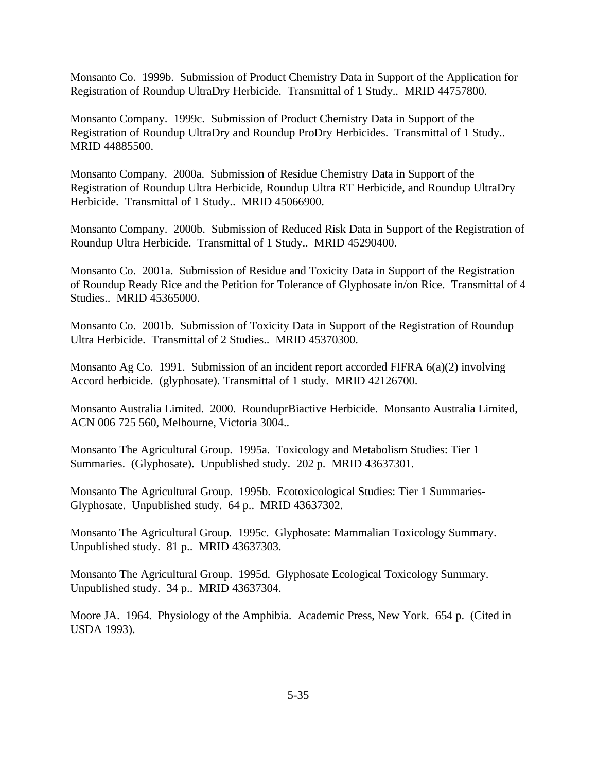Monsanto Co. 1999b. Submission of Product Chemistry Data in Support of the Application for Registration of Roundup UltraDry Herbicide. Transmittal of 1 Study.. MRID 44757800.

Monsanto Company. 1999c. Submission of Product Chemistry Data in Support of the Registration of Roundup UltraDry and Roundup ProDry Herbicides. Transmittal of 1 Study.. MRID 44885500.

Monsanto Company. 2000a. Submission of Residue Chemistry Data in Support of the Registration of Roundup Ultra Herbicide, Roundup Ultra RT Herbicide, and Roundup UltraDry Herbicide. Transmittal of 1 Study.. MRID 45066900.

Monsanto Company. 2000b. Submission of Reduced Risk Data in Support of the Registration of Roundup Ultra Herbicide. Transmittal of 1 Study.. MRID 45290400.

Monsanto Co. 2001a. Submission of Residue and Toxicity Data in Support of the Registration of Roundup Ready Rice and the Petition for Tolerance of Glyphosate in/on Rice. Transmittal of 4 Studies.. MRID 45365000.

Monsanto Co. 2001b. Submission of Toxicity Data in Support of the Registration of Roundup Ultra Herbicide. Transmittal of 2 Studies.. MRID 45370300.

Monsanto Ag Co. 1991. Submission of an incident report accorded FIFRA 6(a)(2) involving Accord herbicide. (glyphosate). Transmittal of 1 study. MRID 42126700.

Monsanto Australia Limited. 2000. RounduprBiactive Herbicide. Monsanto Australia Limited, ACN 006 725 560, Melbourne, Victoria 3004..

Monsanto The Agricultural Group. 1995a. Toxicology and Metabolism Studies: Tier 1 Summaries. (Glyphosate). Unpublished study. 202 p. MRID 43637301.

Monsanto The Agricultural Group. 1995b. Ecotoxicological Studies: Tier 1 Summaries-Glyphosate. Unpublished study. 64 p.. MRID 43637302.

Monsanto The Agricultural Group. 1995c. Glyphosate: Mammalian Toxicology Summary. Unpublished study. 81 p.. MRID 43637303.

Monsanto The Agricultural Group. 1995d. Glyphosate Ecological Toxicology Summary. Unpublished study. 34 p.. MRID 43637304.

Moore JA. 1964. Physiology of the Amphibia. Academic Press, New York. 654 p. (Cited in USDA 1993).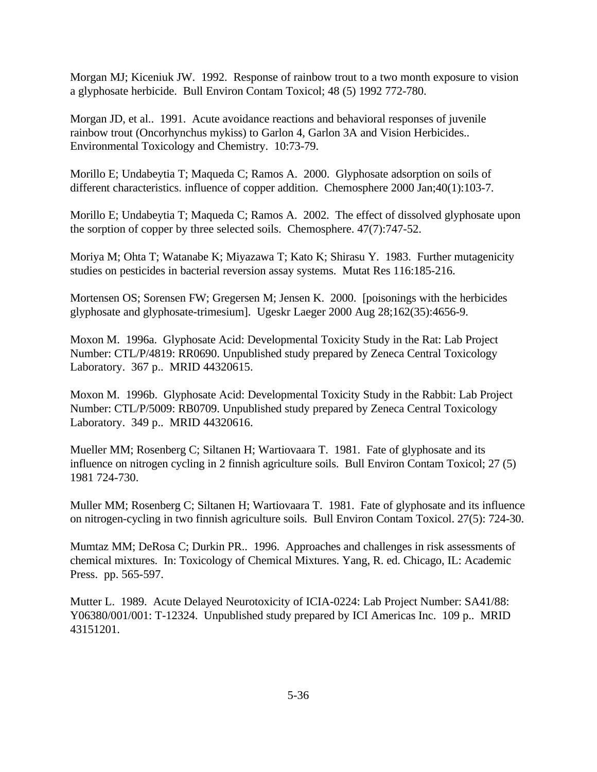Morgan MJ; Kiceniuk JW. 1992. Response of rainbow trout to a two month exposure to vision a glyphosate herbicide. Bull Environ Contam Toxicol; 48 (5) 1992 772-780.

Morgan JD, et al.. 1991. Acute avoidance reactions and behavioral responses of juvenile rainbow trout (Oncorhynchus mykiss) to Garlon 4, Garlon 3A and Vision Herbicides.. Environmental Toxicology and Chemistry. 10:73-79.

Morillo E; Undabeytia T; Maqueda C; Ramos A. 2000. Glyphosate adsorption on soils of different characteristics. influence of copper addition. Chemosphere 2000 Jan;40(1):103-7.

Morillo E; Undabeytia T; Maqueda C; Ramos A. 2002. The effect of dissolved glyphosate upon the sorption of copper by three selected soils. Chemosphere. 47(7):747-52.

Moriya M; Ohta T; Watanabe K; Miyazawa T; Kato K; Shirasu Y. 1983. Further mutagenicity studies on pesticides in bacterial reversion assay systems. Mutat Res 116:185-216.

Mortensen OS; Sorensen FW; Gregersen M; Jensen K. 2000. [poisonings with the herbicides glyphosate and glyphosate-trimesium]. Ugeskr Laeger 2000 Aug 28;162(35):4656-9.

Moxon M. 1996a. Glyphosate Acid: Developmental Toxicity Study in the Rat: Lab Project Number: CTL/P/4819: RR0690. Unpublished study prepared by Zeneca Central Toxicology Laboratory. 367 p.. MRID 44320615.

Moxon M. 1996b. Glyphosate Acid: Developmental Toxicity Study in the Rabbit: Lab Project Number: CTL/P/5009: RB0709. Unpublished study prepared by Zeneca Central Toxicology Laboratory. 349 p.. MRID 44320616.

Mueller MM; Rosenberg C; Siltanen H; Wartiovaara T. 1981. Fate of glyphosate and its influence on nitrogen cycling in 2 finnish agriculture soils. Bull Environ Contam Toxicol; 27 (5) 1981 724-730.

Muller MM; Rosenberg C; Siltanen H; Wartiovaara T. 1981. Fate of glyphosate and its influence on nitrogen-cycling in two finnish agriculture soils. Bull Environ Contam Toxicol. 27(5): 724-30.

Mumtaz MM; DeRosa C; Durkin PR.. 1996. Approaches and challenges in risk assessments of chemical mixtures. In: Toxicology of Chemical Mixtures. Yang, R. ed. Chicago, IL: Academic Press. pp. 565-597.

Mutter L. 1989. Acute Delayed Neurotoxicity of ICIA-0224: Lab Project Number: SA41/88: Y06380/001/001: T-12324. Unpublished study prepared by ICI Americas Inc. 109 p.. MRID 43151201.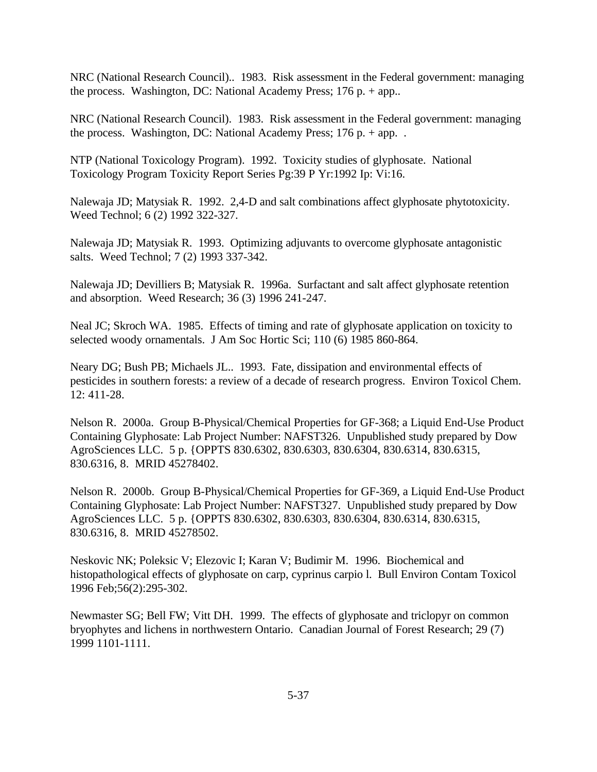NRC (National Research Council).. 1983. Risk assessment in the Federal government: managing the process. Washington, DC: National Academy Press; 176 p. + app..

NRC (National Research Council). 1983. Risk assessment in the Federal government: managing the process. Washington, DC: National Academy Press;  $176 p. + app.$ .

NTP (National Toxicology Program). 1992. Toxicity studies of glyphosate. National Toxicology Program Toxicity Report Series Pg:39 P Yr:1992 Ip: Vi:16.

Nalewaja JD; Matysiak R. 1992. 2,4-D and salt combinations affect glyphosate phytotoxicity. Weed Technol; 6 (2) 1992 322-327.

Nalewaja JD; Matysiak R. 1993. Optimizing adjuvants to overcome glyphosate antagonistic salts. Weed Technol; 7 (2) 1993 337-342.

Nalewaja JD; Devilliers B; Matysiak R. 1996a. Surfactant and salt affect glyphosate retention and absorption. Weed Research; 36 (3) 1996 241-247.

Neal JC; Skroch WA. 1985. Effects of timing and rate of glyphosate application on toxicity to selected woody ornamentals. J Am Soc Hortic Sci; 110 (6) 1985 860-864.

Neary DG; Bush PB; Michaels JL.. 1993. Fate, dissipation and environmental effects of pesticides in southern forests: a review of a decade of research progress. Environ Toxicol Chem. 12: 411-28.

Nelson R. 2000a. Group B-Physical/Chemical Properties for GF-368; a Liquid End-Use Product Containing Glyphosate: Lab Project Number: NAFST326. Unpublished study prepared by Dow AgroSciences LLC. 5 p. {OPPTS 830.6302, 830.6303, 830.6304, 830.6314, 830.6315, 830.6316, 8. MRID 45278402.

Nelson R. 2000b. Group B-Physical/Chemical Properties for GF-369, a Liquid End-Use Product Containing Glyphosate: Lab Project Number: NAFST327. Unpublished study prepared by Dow AgroSciences LLC. 5 p. {OPPTS 830.6302, 830.6303, 830.6304, 830.6314, 830.6315, 830.6316, 8. MRID 45278502.

Neskovic NK; Poleksic V; Elezovic I; Karan V; Budimir M. 1996. Biochemical and histopathological effects of glyphosate on carp, cyprinus carpio l. Bull Environ Contam Toxicol 1996 Feb;56(2):295-302.

Newmaster SG; Bell FW; Vitt DH. 1999. The effects of glyphosate and triclopyr on common bryophytes and lichens in northwestern Ontario. Canadian Journal of Forest Research; 29 (7) 1999 1101-1111.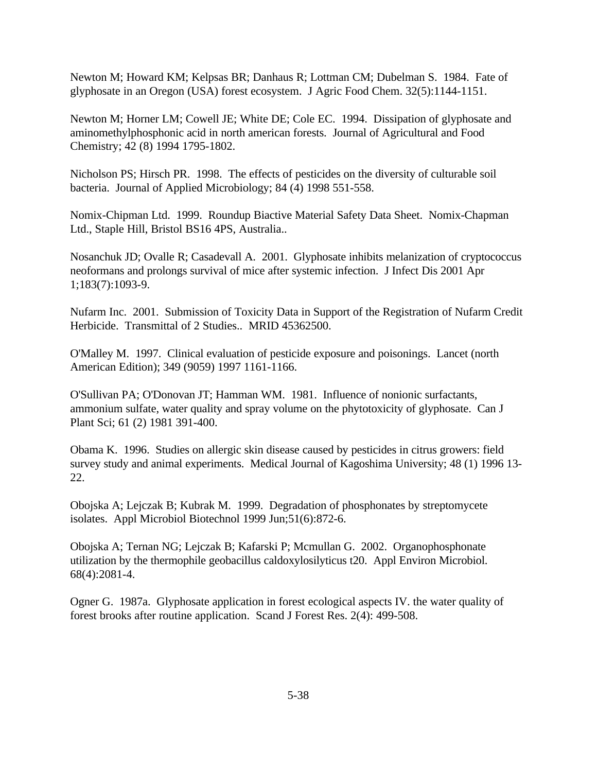Newton M; Howard KM; Kelpsas BR; Danhaus R; Lottman CM; Dubelman S. 1984. Fate of glyphosate in an Oregon (USA) forest ecosystem. J Agric Food Chem. 32(5):1144-1151.

Newton M; Horner LM; Cowell JE; White DE; Cole EC. 1994. Dissipation of glyphosate and aminomethylphosphonic acid in north american forests. Journal of Agricultural and Food Chemistry; 42 (8) 1994 1795-1802.

Nicholson PS; Hirsch PR. 1998. The effects of pesticides on the diversity of culturable soil bacteria. Journal of Applied Microbiology; 84 (4) 1998 551-558.

Nomix-Chipman Ltd. 1999. Roundup Biactive Material Safety Data Sheet. Nomix-Chapman Ltd., Staple Hill, Bristol BS16 4PS, Australia..

Nosanchuk JD; Ovalle R; Casadevall A. 2001. Glyphosate inhibits melanization of cryptococcus neoformans and prolongs survival of mice after systemic infection. J Infect Dis 2001 Apr 1;183(7):1093-9.

Nufarm Inc. 2001. Submission of Toxicity Data in Support of the Registration of Nufarm Credit Herbicide. Transmittal of 2 Studies.. MRID 45362500.

O'Malley M. 1997. Clinical evaluation of pesticide exposure and poisonings. Lancet (north American Edition); 349 (9059) 1997 1161-1166.

O'Sullivan PA; O'Donovan JT; Hamman WM. 1981. Influence of nonionic surfactants, ammonium sulfate, water quality and spray volume on the phytotoxicity of glyphosate. Can J Plant Sci; 61 (2) 1981 391-400.

Obama K. 1996. Studies on allergic skin disease caused by pesticides in citrus growers: field survey study and animal experiments. Medical Journal of Kagoshima University; 48 (1) 1996 13- 22.

Obojska A; Lejczak B; Kubrak M. 1999. Degradation of phosphonates by streptomycete isolates. Appl Microbiol Biotechnol 1999 Jun;51(6):872-6.

Obojska A; Ternan NG; Lejczak B; Kafarski P; Mcmullan G. 2002. Organophosphonate utilization by the thermophile geobacillus caldoxylosilyticus t20. Appl Environ Microbiol. 68(4):2081-4.

Ogner G. 1987a. Glyphosate application in forest ecological aspects IV. the water quality of forest brooks after routine application. Scand J Forest Res. 2(4): 499-508.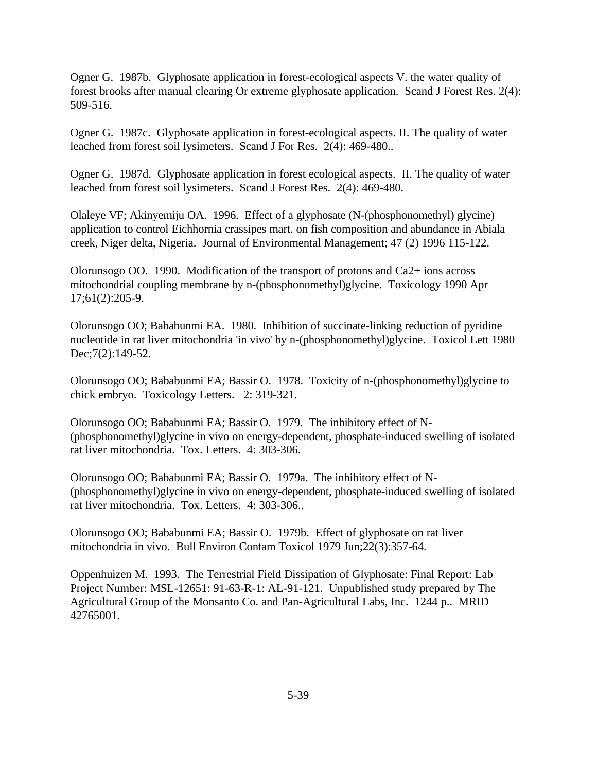Ogner G. 1987b. Glyphosate application in forest-ecological aspects V. the water quality of forest brooks after manual clearing Or extreme glyphosate application. Scand J Forest Res. 2(4): 509-516.

Ogner G. 1987c. Glyphosate application in forest-ecological aspects. II. The quality of water leached from forest soil lysimeters. Scand J For Res. 2(4): 469-480..

Ogner G. 1987d. Glyphosate application in forest ecological aspects. II. The quality of water leached from forest soil lysimeters. Scand J Forest Res. 2(4): 469-480.

Olaleye VF; Akinyemiju OA. 1996. Effect of a glyphosate (N-(phosphonomethyl) glycine) application to control Eichhornia crassipes mart. on fish composition and abundance in Abiala creek, Niger delta, Nigeria. Journal of Environmental Management; 47 (2) 1996 115-122.

Olorunsogo OO. 1990. Modification of the transport of protons and Ca2+ ions across mitochondrial coupling membrane by n-(phosphonomethyl)glycine. Toxicology 1990 Apr 17;61(2):205-9.

Olorunsogo OO; Bababunmi EA. 1980. Inhibition of succinate-linking reduction of pyridine nucleotide in rat liver mitochondria 'in vivo' by n-(phosphonomethyl)glycine. Toxicol Lett 1980 Dec;7(2):149-52.

Olorunsogo OO; Bababunmi EA; Bassir O. 1978. Toxicity of n-(phosphonomethyl)glycine to chick embryo. Toxicology Letters. 2: 319-321.

Olorunsogo OO; Bababunmi EA; Bassir O. 1979. The inhibitory effect of N- (phosphonomethyl)glycine in vivo on energy-dependent, phosphate-induced swelling of isolated rat liver mitochondria. Tox. Letters. 4: 303-306.

Olorunsogo OO; Bababunmi EA; Bassir O. 1979a. The inhibitory effect of N- (phosphonomethyl)glycine in vivo on energy-dependent, phosphate-induced swelling of isolated rat liver mitochondria. Tox. Letters. 4: 303-306..

Olorunsogo OO; Bababunmi EA; Bassir O. 1979b. Effect of glyphosate on rat liver mitochondria in vivo. Bull Environ Contam Toxicol 1979 Jun;22(3):357-64.

Oppenhuizen M. 1993. The Terrestrial Field Dissipation of Glyphosate: Final Report: Lab Project Number: MSL-12651: 91-63-R-1: AL-91-121. Unpublished study prepared by The Agricultural Group of the Monsanto Co. and Pan-Agricultural Labs, Inc. 1244 p.. MRID 42765001.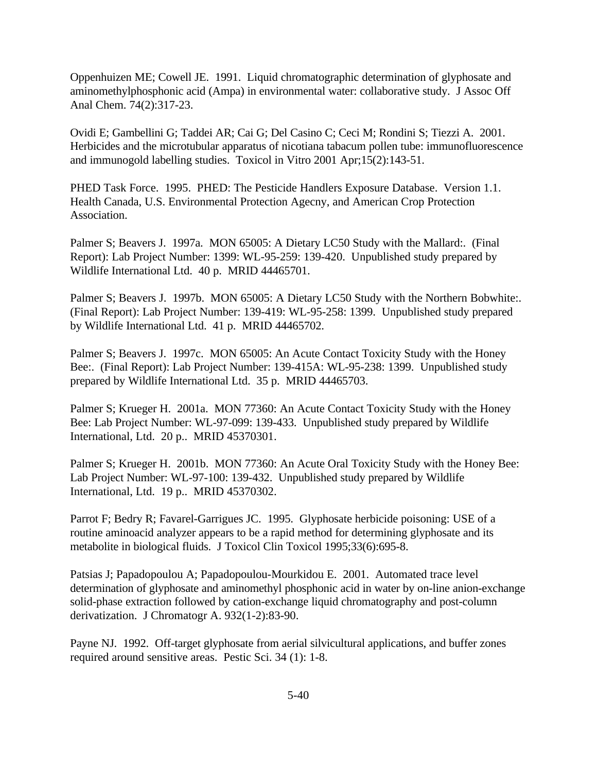Oppenhuizen ME; Cowell JE. 1991. Liquid chromatographic determination of glyphosate and aminomethylphosphonic acid (Ampa) in environmental water: collaborative study. J Assoc Off Anal Chem. 74(2):317-23.

Ovidi E; Gambellini G; Taddei AR; Cai G; Del Casino C; Ceci M; Rondini S; Tiezzi A. 2001. Herbicides and the microtubular apparatus of nicotiana tabacum pollen tube: immunofluorescence and immunogold labelling studies. Toxicol in Vitro 2001 Apr;15(2):143-51.

PHED Task Force. 1995. PHED: The Pesticide Handlers Exposure Database. Version 1.1. Health Canada, U.S. Environmental Protection Agecny, and American Crop Protection Association.

Palmer S; Beavers J. 1997a. MON 65005: A Dietary LC50 Study with the Mallard:. (Final Report): Lab Project Number: 1399: WL-95-259: 139-420. Unpublished study prepared by Wildlife International Ltd. 40 p. MRID 44465701.

Palmer S; Beavers J. 1997b. MON 65005: A Dietary LC50 Study with the Northern Bobwhite:. (Final Report): Lab Project Number: 139-419: WL-95-258: 1399. Unpublished study prepared by Wildlife International Ltd. 41 p. MRID 44465702.

Palmer S; Beavers J. 1997c. MON 65005: An Acute Contact Toxicity Study with the Honey Bee:. (Final Report): Lab Project Number: 139-415A: WL-95-238: 1399. Unpublished study prepared by Wildlife International Ltd. 35 p. MRID 44465703.

Palmer S; Krueger H. 2001a. MON 77360: An Acute Contact Toxicity Study with the Honey Bee: Lab Project Number: WL-97-099: 139-433. Unpublished study prepared by Wildlife International, Ltd. 20 p.. MRID 45370301.

Palmer S; Krueger H. 2001b. MON 77360: An Acute Oral Toxicity Study with the Honey Bee: Lab Project Number: WL-97-100: 139-432. Unpublished study prepared by Wildlife International, Ltd. 19 p.. MRID 45370302.

Parrot F; Bedry R; Favarel-Garrigues JC. 1995. Glyphosate herbicide poisoning: USE of a routine aminoacid analyzer appears to be a rapid method for determining glyphosate and its metabolite in biological fluids. J Toxicol Clin Toxicol 1995;33(6):695-8.

Patsias J; Papadopoulou A; Papadopoulou-Mourkidou E. 2001. Automated trace level determination of glyphosate and aminomethyl phosphonic acid in water by on-line anion-exchange solid-phase extraction followed by cation-exchange liquid chromatography and post-column derivatization. J Chromatogr A. 932(1-2):83-90.

Payne NJ. 1992. Off-target glyphosate from aerial silvicultural applications, and buffer zones required around sensitive areas. Pestic Sci. 34 (1): 1-8.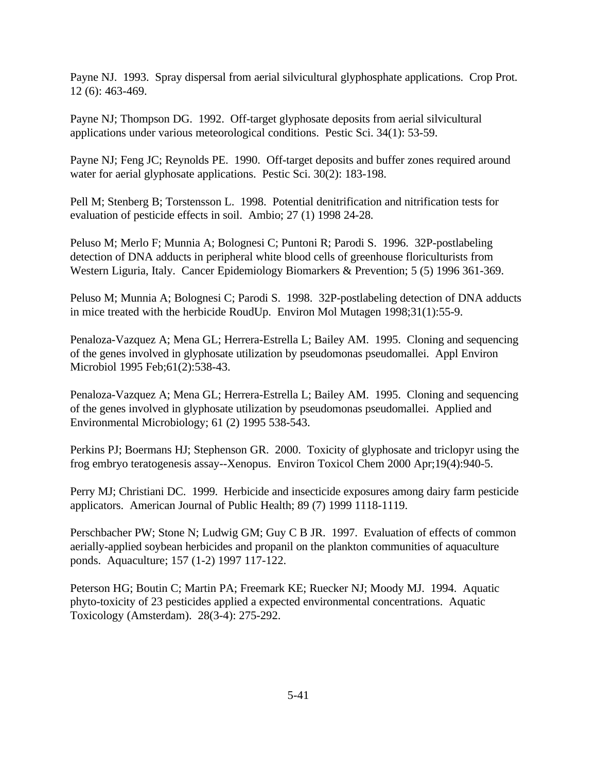Payne NJ. 1993. Spray dispersal from aerial silvicultural glyphosphate applications. Crop Prot. 12 (6): 463-469.

Payne NJ; Thompson DG. 1992. Off-target glyphosate deposits from aerial silvicultural applications under various meteorological conditions. Pestic Sci. 34(1): 53-59.

Payne NJ; Feng JC; Reynolds PE. 1990. Off-target deposits and buffer zones required around water for aerial glyphosate applications. Pestic Sci. 30(2): 183-198.

Pell M; Stenberg B; Torstensson L. 1998. Potential denitrification and nitrification tests for evaluation of pesticide effects in soil. Ambio; 27 (1) 1998 24-28.

Peluso M; Merlo F; Munnia A; Bolognesi C; Puntoni R; Parodi S. 1996. 32P-postlabeling detection of DNA adducts in peripheral white blood cells of greenhouse floriculturists from Western Liguria, Italy. Cancer Epidemiology Biomarkers & Prevention; 5 (5) 1996 361-369.

Peluso M; Munnia A; Bolognesi C; Parodi S. 1998. 32P-postlabeling detection of DNA adducts in mice treated with the herbicide RoudUp. Environ Mol Mutagen 1998;31(1):55-9.

Penaloza-Vazquez A; Mena GL; Herrera-Estrella L; Bailey AM. 1995. Cloning and sequencing of the genes involved in glyphosate utilization by pseudomonas pseudomallei. Appl Environ Microbiol 1995 Feb;61(2):538-43.

Penaloza-Vazquez A; Mena GL; Herrera-Estrella L; Bailey AM. 1995. Cloning and sequencing of the genes involved in glyphosate utilization by pseudomonas pseudomallei. Applied and Environmental Microbiology; 61 (2) 1995 538-543.

Perkins PJ; Boermans HJ; Stephenson GR. 2000. Toxicity of glyphosate and triclopyr using the frog embryo teratogenesis assay--Xenopus. Environ Toxicol Chem 2000 Apr;19(4):940-5.

Perry MJ; Christiani DC. 1999. Herbicide and insecticide exposures among dairy farm pesticide applicators. American Journal of Public Health; 89 (7) 1999 1118-1119.

Perschbacher PW; Stone N; Ludwig GM; Guy C B JR. 1997. Evaluation of effects of common aerially-applied soybean herbicides and propanil on the plankton communities of aquaculture ponds. Aquaculture; 157 (1-2) 1997 117-122.

Peterson HG; Boutin C; Martin PA; Freemark KE; Ruecker NJ; Moody MJ. 1994. Aquatic phyto-toxicity of 23 pesticides applied a expected environmental concentrations. Aquatic Toxicology (Amsterdam). 28(3-4): 275-292.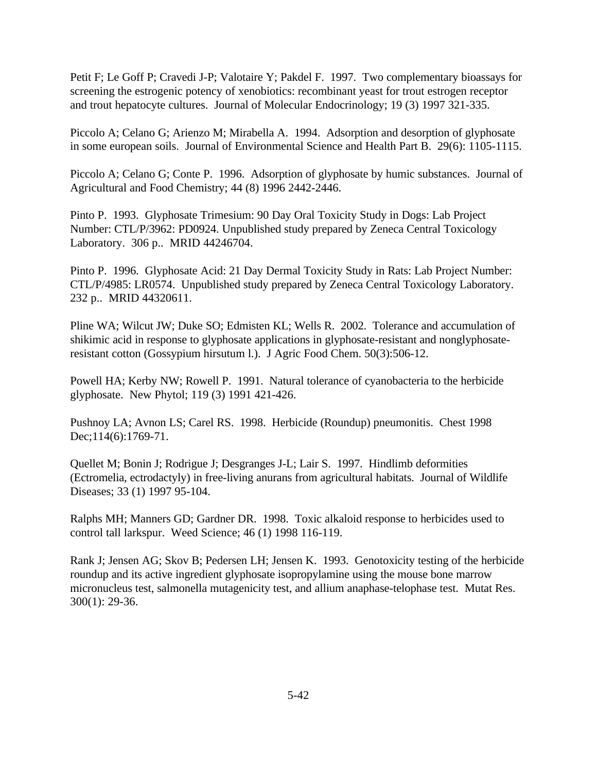Petit F; Le Goff P; Cravedi J-P; Valotaire Y; Pakdel F. 1997. Two complementary bioassays for screening the estrogenic potency of xenobiotics: recombinant yeast for trout estrogen receptor and trout hepatocyte cultures. Journal of Molecular Endocrinology; 19 (3) 1997 321-335.

Piccolo A; Celano G; Arienzo M; Mirabella A. 1994. Adsorption and desorption of glyphosate in some european soils. Journal of Environmental Science and Health Part B. 29(6): 1105-1115.

Piccolo A; Celano G; Conte P. 1996. Adsorption of glyphosate by humic substances. Journal of Agricultural and Food Chemistry; 44 (8) 1996 2442-2446.

Pinto P. 1993. Glyphosate Trimesium: 90 Day Oral Toxicity Study in Dogs: Lab Project Number: CTL/P/3962: PD0924. Unpublished study prepared by Zeneca Central Toxicology Laboratory. 306 p.. MRID 44246704.

Pinto P. 1996. Glyphosate Acid: 21 Day Dermal Toxicity Study in Rats: Lab Project Number: CTL/P/4985: LR0574. Unpublished study prepared by Zeneca Central Toxicology Laboratory. 232 p.. MRID 44320611.

Pline WA; Wilcut JW; Duke SO; Edmisten KL; Wells R. 2002. Tolerance and accumulation of shikimic acid in response to glyphosate applications in glyphosate-resistant and nonglyphosateresistant cotton (Gossypium hirsutum l.). J Agric Food Chem. 50(3):506-12.

Powell HA; Kerby NW; Rowell P. 1991. Natural tolerance of cyanobacteria to the herbicide glyphosate. New Phytol; 119 (3) 1991 421-426.

Pushnoy LA; Avnon LS; Carel RS. 1998. Herbicide (Roundup) pneumonitis. Chest 1998 Dec;114(6):1769-71.

Quellet M; Bonin J; Rodrigue J; Desgranges J-L; Lair S. 1997. Hindlimb deformities (Ectromelia, ectrodactyly) in free-living anurans from agricultural habitats. Journal of Wildlife Diseases; 33 (1) 1997 95-104.

Ralphs MH; Manners GD; Gardner DR. 1998. Toxic alkaloid response to herbicides used to control tall larkspur. Weed Science; 46 (1) 1998 116-119.

Rank J; Jensen AG; Skov B; Pedersen LH; Jensen K. 1993. Genotoxicity testing of the herbicide roundup and its active ingredient glyphosate isopropylamine using the mouse bone marrow micronucleus test, salmonella mutagenicity test, and allium anaphase-telophase test. Mutat Res. 300(1): 29-36.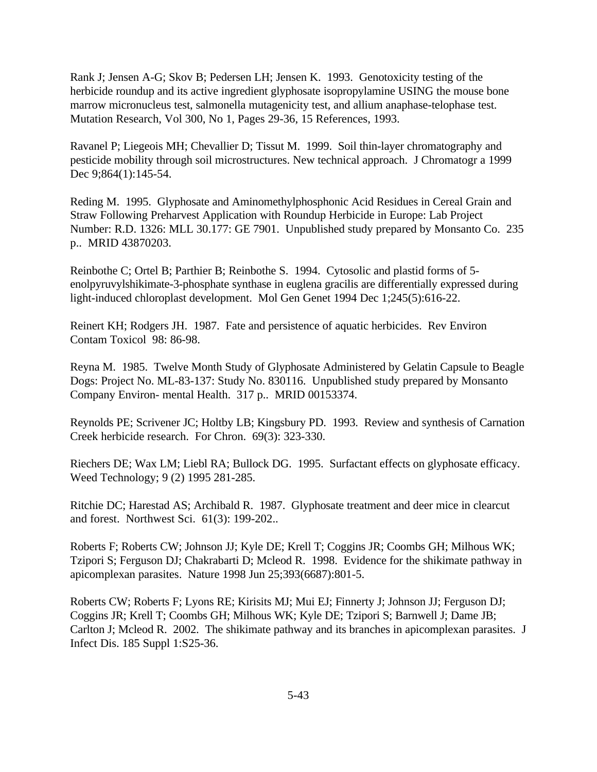Rank J; Jensen A-G; Skov B; Pedersen LH; Jensen K. 1993. Genotoxicity testing of the herbicide roundup and its active ingredient glyphosate isopropylamine USING the mouse bone marrow micronucleus test, salmonella mutagenicity test, and allium anaphase-telophase test. Mutation Research, Vol 300, No 1, Pages 29-36, 15 References, 1993.

Ravanel P; Liegeois MH; Chevallier D; Tissut M. 1999. Soil thin-layer chromatography and pesticide mobility through soil microstructures. New technical approach. J Chromatogr a 1999 Dec 9;864(1):145-54.

Reding M. 1995. Glyphosate and Aminomethylphosphonic Acid Residues in Cereal Grain and Straw Following Preharvest Application with Roundup Herbicide in Europe: Lab Project Number: R.D. 1326: MLL 30.177: GE 7901. Unpublished study prepared by Monsanto Co. 235 p.. MRID 43870203.

Reinbothe C; Ortel B; Parthier B; Reinbothe S. 1994. Cytosolic and plastid forms of 5 enolpyruvylshikimate-3-phosphate synthase in euglena gracilis are differentially expressed during light-induced chloroplast development. Mol Gen Genet 1994 Dec 1;245(5):616-22.

Reinert KH; Rodgers JH. 1987. Fate and persistence of aquatic herbicides. Rev Environ Contam Toxicol 98: 86-98.

Reyna M. 1985. Twelve Month Study of Glyphosate Administered by Gelatin Capsule to Beagle Dogs: Project No. ML-83-137: Study No. 830116. Unpublished study prepared by Monsanto Company Environ- mental Health. 317 p.. MRID 00153374.

Reynolds PE; Scrivener JC; Holtby LB; Kingsbury PD. 1993. Review and synthesis of Carnation Creek herbicide research. For Chron. 69(3): 323-330.

Riechers DE; Wax LM; Liebl RA; Bullock DG. 1995. Surfactant effects on glyphosate efficacy. Weed Technology; 9 (2) 1995 281-285.

Ritchie DC; Harestad AS; Archibald R. 1987. Glyphosate treatment and deer mice in clearcut and forest. Northwest Sci. 61(3): 199-202..

Roberts F; Roberts CW; Johnson JJ; Kyle DE; Krell T; Coggins JR; Coombs GH; Milhous WK; Tzipori S; Ferguson DJ; Chakrabarti D; Mcleod R. 1998. Evidence for the shikimate pathway in apicomplexan parasites. Nature 1998 Jun 25;393(6687):801-5.

Roberts CW; Roberts F; Lyons RE; Kirisits MJ; Mui EJ; Finnerty J; Johnson JJ; Ferguson DJ; Coggins JR; Krell T; Coombs GH; Milhous WK; Kyle DE; Tzipori S; Barnwell J; Dame JB; Carlton J; Mcleod R. 2002. The shikimate pathway and its branches in apicomplexan parasites. J Infect Dis. 185 Suppl 1:S25-36.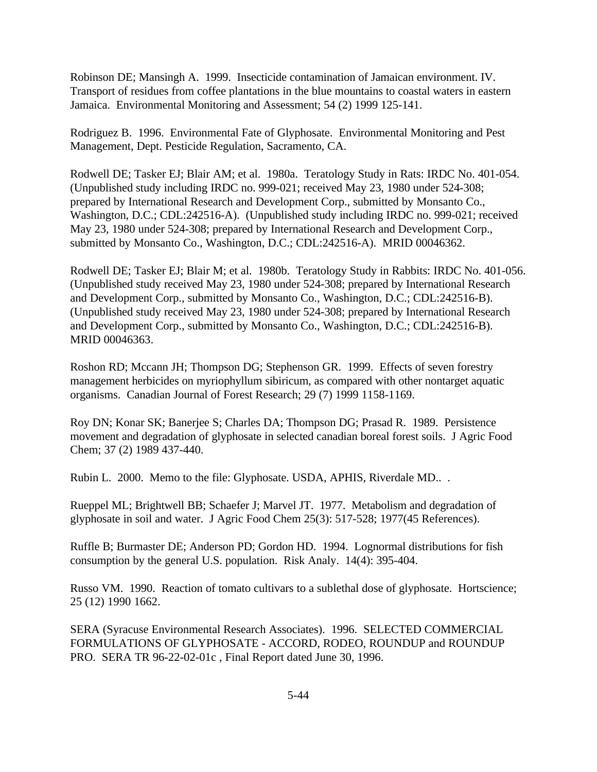Robinson DE; Mansingh A. 1999. Insecticide contamination of Jamaican environment. IV. Transport of residues from coffee plantations in the blue mountains to coastal waters in eastern Jamaica. Environmental Monitoring and Assessment; 54 (2) 1999 125-141.

Rodriguez B. 1996. Environmental Fate of Glyphosate. Environmental Monitoring and Pest Management, Dept. Pesticide Regulation, Sacramento, CA.

Rodwell DE; Tasker EJ; Blair AM; et al. 1980a. Teratology Study in Rats: IRDC No. 401-054. (Unpublished study including IRDC no. 999-021; received May 23, 1980 under 524-308; prepared by International Research and Development Corp., submitted by Monsanto Co., Washington, D.C.; CDL:242516-A). (Unpublished study including IRDC no. 999-021; received May 23, 1980 under 524-308; prepared by International Research and Development Corp., submitted by Monsanto Co., Washington, D.C.; CDL:242516-A). MRID 00046362.

Rodwell DE; Tasker EJ; Blair M; et al. 1980b. Teratology Study in Rabbits: IRDC No. 401-056. (Unpublished study received May 23, 1980 under 524-308; prepared by International Research and Development Corp., submitted by Monsanto Co., Washington, D.C.; CDL:242516-B). (Unpublished study received May 23, 1980 under 524-308; prepared by International Research and Development Corp., submitted by Monsanto Co., Washington, D.C.; CDL:242516-B). MRID 00046363.

Roshon RD; Mccann JH; Thompson DG; Stephenson GR. 1999. Effects of seven forestry management herbicides on myriophyllum sibiricum, as compared with other nontarget aquatic organisms. Canadian Journal of Forest Research; 29 (7) 1999 1158-1169.

Roy DN; Konar SK; Banerjee S; Charles DA; Thompson DG; Prasad R. 1989. Persistence movement and degradation of glyphosate in selected canadian boreal forest soils. J Agric Food Chem; 37 (2) 1989 437-440.

Rubin L. 2000. Memo to the file: Glyphosate. USDA, APHIS, Riverdale MD.. .

Rueppel ML; Brightwell BB; Schaefer J; Marvel JT. 1977. Metabolism and degradation of glyphosate in soil and water. J Agric Food Chem 25(3): 517-528; 1977(45 References).

Ruffle B; Burmaster DE; Anderson PD; Gordon HD. 1994. Lognormal distributions for fish consumption by the general U.S. population. Risk Analy. 14(4): 395-404.

Russo VM. 1990. Reaction of tomato cultivars to a sublethal dose of glyphosate. Hortscience; 25 (12) 1990 1662.

SERA (Syracuse Environmental Research Associates). 1996. SELECTED COMMERCIAL FORMULATIONS OF GLYPHOSATE - ACCORD, RODEO, ROUNDUP and ROUNDUP PRO. SERA TR 96-22-02-01c , Final Report dated June 30, 1996.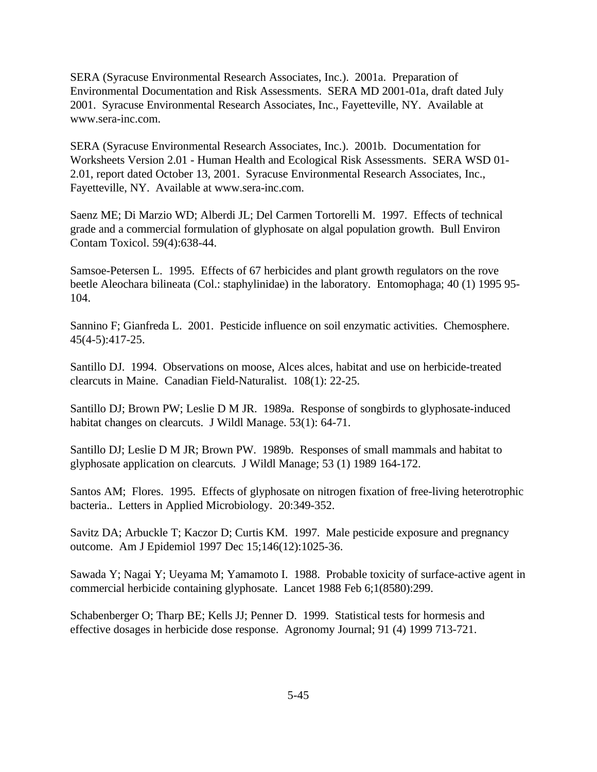SERA (Syracuse Environmental Research Associates, Inc.). 2001a. Preparation of Environmental Documentation and Risk Assessments. SERA MD 2001-01a, draft dated July 2001. Syracuse Environmental Research Associates, Inc., Fayetteville, NY. Available at www.sera-inc.com.

SERA (Syracuse Environmental Research Associates, Inc.). 2001b. Documentation for Worksheets Version 2.01 - Human Health and Ecological Risk Assessments. SERA WSD 01- 2.01, report dated October 13, 2001. Syracuse Environmental Research Associates, Inc., Fayetteville, NY. Available at www.sera-inc.com.

Saenz ME; Di Marzio WD; Alberdi JL; Del Carmen Tortorelli M. 1997. Effects of technical grade and a commercial formulation of glyphosate on algal population growth. Bull Environ Contam Toxicol. 59(4):638-44.

Samsoe-Petersen L. 1995. Effects of 67 herbicides and plant growth regulators on the rove beetle Aleochara bilineata (Col.: staphylinidae) in the laboratory. Entomophaga; 40 (1) 1995 95- 104.

Sannino F; Gianfreda L. 2001. Pesticide influence on soil enzymatic activities. Chemosphere. 45(4-5):417-25.

Santillo DJ. 1994. Observations on moose, Alces alces, habitat and use on herbicide-treated clearcuts in Maine. Canadian Field-Naturalist. 108(1): 22-25.

Santillo DJ; Brown PW; Leslie D M JR. 1989a. Response of songbirds to glyphosate-induced habitat changes on clearcuts. J Wildl Manage. 53(1): 64-71.

Santillo DJ; Leslie D M JR; Brown PW. 1989b. Responses of small mammals and habitat to glyphosate application on clearcuts. J Wildl Manage; 53 (1) 1989 164-172.

Santos AM; Flores. 1995. Effects of glyphosate on nitrogen fixation of free-living heterotrophic bacteria.. Letters in Applied Microbiology. 20:349-352.

Savitz DA; Arbuckle T; Kaczor D; Curtis KM. 1997. Male pesticide exposure and pregnancy outcome. Am J Epidemiol 1997 Dec 15;146(12):1025-36.

Sawada Y; Nagai Y; Ueyama M; Yamamoto I. 1988. Probable toxicity of surface-active agent in commercial herbicide containing glyphosate. Lancet 1988 Feb 6;1(8580):299.

Schabenberger O; Tharp BE; Kells JJ; Penner D. 1999. Statistical tests for hormesis and effective dosages in herbicide dose response. Agronomy Journal; 91 (4) 1999 713-721.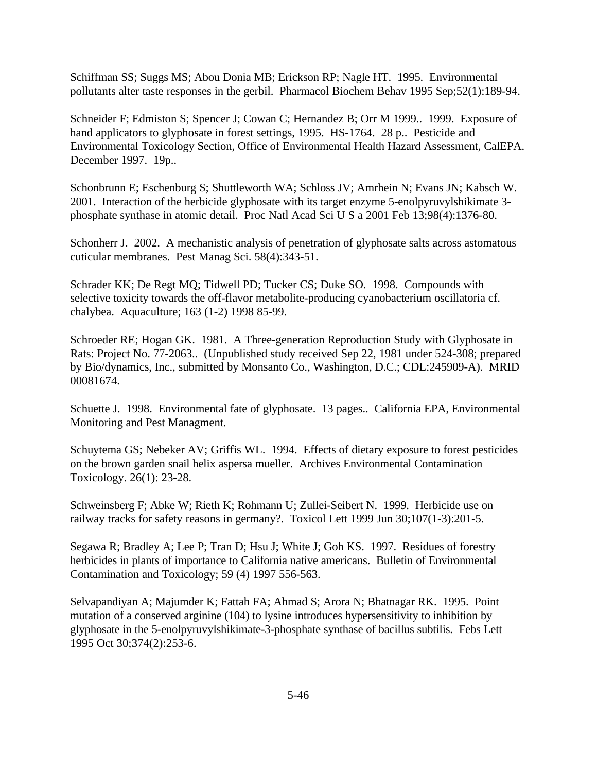Schiffman SS; Suggs MS; Abou Donia MB; Erickson RP; Nagle HT. 1995. Environmental pollutants alter taste responses in the gerbil. Pharmacol Biochem Behav 1995 Sep;52(1):189-94.

Schneider F; Edmiston S; Spencer J; Cowan C; Hernandez B; Orr M 1999.. 1999. Exposure of hand applicators to glyphosate in forest settings, 1995. HS-1764. 28 p.. Pesticide and Environmental Toxicology Section, Office of Environmental Health Hazard Assessment, CalEPA. December 1997. 19p..

Schonbrunn E; Eschenburg S; Shuttleworth WA; Schloss JV; Amrhein N; Evans JN; Kabsch W. 2001. Interaction of the herbicide glyphosate with its target enzyme 5-enolpyruvylshikimate 3 phosphate synthase in atomic detail. Proc Natl Acad Sci U S a 2001 Feb 13;98(4):1376-80.

Schonherr J. 2002. A mechanistic analysis of penetration of glyphosate salts across astomatous cuticular membranes. Pest Manag Sci. 58(4):343-51.

Schrader KK; De Regt MQ; Tidwell PD; Tucker CS; Duke SO. 1998. Compounds with selective toxicity towards the off-flavor metabolite-producing cyanobacterium oscillatoria cf. chalybea. Aquaculture; 163 (1-2) 1998 85-99.

Schroeder RE; Hogan GK. 1981. A Three-generation Reproduction Study with Glyphosate in Rats: Project No. 77-2063.. (Unpublished study received Sep 22, 1981 under 524-308; prepared by Bio/dynamics, Inc., submitted by Monsanto Co., Washington, D.C.; CDL:245909-A). MRID 00081674.

Schuette J. 1998. Environmental fate of glyphosate. 13 pages.. California EPA, Environmental Monitoring and Pest Managment.

Schuytema GS; Nebeker AV; Griffis WL. 1994. Effects of dietary exposure to forest pesticides on the brown garden snail helix aspersa mueller. Archives Environmental Contamination Toxicology. 26(1): 23-28.

Schweinsberg F; Abke W; Rieth K; Rohmann U; Zullei-Seibert N. 1999. Herbicide use on railway tracks for safety reasons in germany?. Toxicol Lett 1999 Jun 30;107(1-3):201-5.

Segawa R; Bradley A; Lee P; Tran D; Hsu J; White J; Goh KS. 1997. Residues of forestry herbicides in plants of importance to California native americans. Bulletin of Environmental Contamination and Toxicology; 59 (4) 1997 556-563.

Selvapandiyan A; Majumder K; Fattah FA; Ahmad S; Arora N; Bhatnagar RK. 1995. Point mutation of a conserved arginine (104) to lysine introduces hypersensitivity to inhibition by glyphosate in the 5-enolpyruvylshikimate-3-phosphate synthase of bacillus subtilis. Febs Lett 1995 Oct 30;374(2):253-6.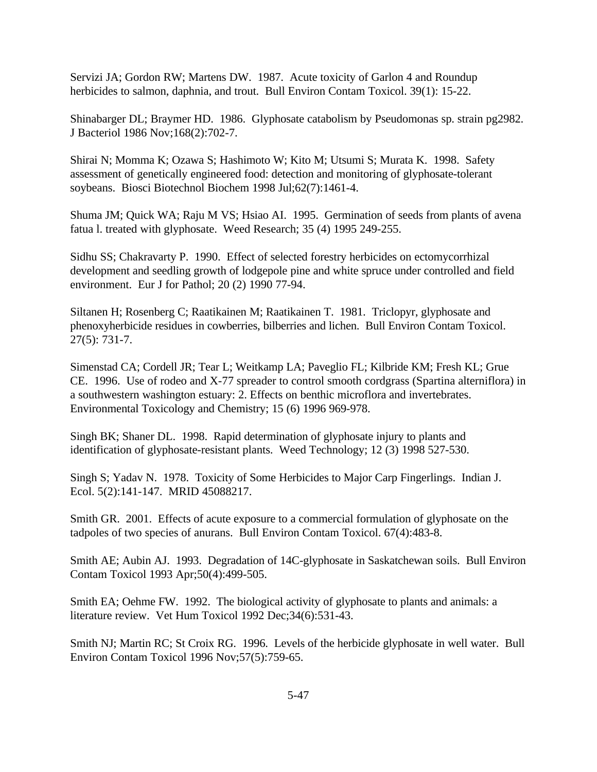Servizi JA; Gordon RW; Martens DW. 1987. Acute toxicity of Garlon 4 and Roundup herbicides to salmon, daphnia, and trout. Bull Environ Contam Toxicol. 39(1): 15-22.

Shinabarger DL; Braymer HD. 1986. Glyphosate catabolism by Pseudomonas sp. strain pg2982. J Bacteriol 1986 Nov;168(2):702-7.

Shirai N; Momma K; Ozawa S; Hashimoto W; Kito M; Utsumi S; Murata K. 1998. Safety assessment of genetically engineered food: detection and monitoring of glyphosate-tolerant soybeans. Biosci Biotechnol Biochem 1998 Jul;62(7):1461-4.

Shuma JM; Quick WA; Raju M VS; Hsiao AI. 1995. Germination of seeds from plants of avena fatua l. treated with glyphosate. Weed Research; 35 (4) 1995 249-255.

Sidhu SS; Chakravarty P. 1990. Effect of selected forestry herbicides on ectomycorrhizal development and seedling growth of lodgepole pine and white spruce under controlled and field environment. Eur J for Pathol; 20 (2) 1990 77-94.

Siltanen H; Rosenberg C; Raatikainen M; Raatikainen T. 1981. Triclopyr, glyphosate and phenoxyherbicide residues in cowberries, bilberries and lichen. Bull Environ Contam Toxicol. 27(5): 731-7.

Simenstad CA; Cordell JR; Tear L; Weitkamp LA; Paveglio FL; Kilbride KM; Fresh KL; Grue CE. 1996. Use of rodeo and X-77 spreader to control smooth cordgrass (Spartina alterniflora) in a southwestern washington estuary: 2. Effects on benthic microflora and invertebrates. Environmental Toxicology and Chemistry; 15 (6) 1996 969-978.

Singh BK; Shaner DL. 1998. Rapid determination of glyphosate injury to plants and identification of glyphosate-resistant plants. Weed Technology; 12 (3) 1998 527-530.

Singh S; Yadav N. 1978. Toxicity of Some Herbicides to Major Carp Fingerlings. Indian J. Ecol. 5(2):141-147. MRID 45088217.

Smith GR. 2001. Effects of acute exposure to a commercial formulation of glyphosate on the tadpoles of two species of anurans. Bull Environ Contam Toxicol. 67(4):483-8.

Smith AE; Aubin AJ. 1993. Degradation of 14C-glyphosate in Saskatchewan soils. Bull Environ Contam Toxicol 1993 Apr;50(4):499-505.

Smith EA; Oehme FW. 1992. The biological activity of glyphosate to plants and animals: a literature review. Vet Hum Toxicol 1992 Dec;34(6):531-43.

Smith NJ; Martin RC; St Croix RG. 1996. Levels of the herbicide glyphosate in well water. Bull Environ Contam Toxicol 1996 Nov;57(5):759-65.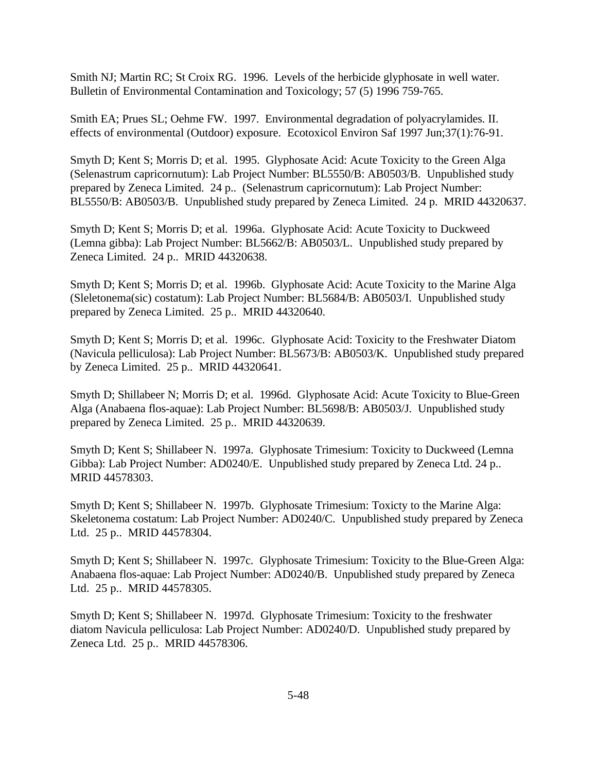Smith NJ; Martin RC; St Croix RG. 1996. Levels of the herbicide glyphosate in well water. Bulletin of Environmental Contamination and Toxicology; 57 (5) 1996 759-765.

Smith EA; Prues SL; Oehme FW. 1997. Environmental degradation of polyacrylamides. II. effects of environmental (Outdoor) exposure. Ecotoxicol Environ Saf 1997 Jun;37(1):76-91.

Smyth D; Kent S; Morris D; et al. 1995. Glyphosate Acid: Acute Toxicity to the Green Alga (Selenastrum capricornutum): Lab Project Number: BL5550/B: AB0503/B. Unpublished study prepared by Zeneca Limited. 24 p.. (Selenastrum capricornutum): Lab Project Number: BL5550/B: AB0503/B. Unpublished study prepared by Zeneca Limited. 24 p. MRID 44320637.

Smyth D; Kent S; Morris D; et al. 1996a. Glyphosate Acid: Acute Toxicity to Duckweed (Lemna gibba): Lab Project Number: BL5662/B: AB0503/L. Unpublished study prepared by Zeneca Limited. 24 p.. MRID 44320638.

Smyth D; Kent S; Morris D; et al. 1996b. Glyphosate Acid: Acute Toxicity to the Marine Alga (Sleletonema(sic) costatum): Lab Project Number: BL5684/B: AB0503/I. Unpublished study prepared by Zeneca Limited. 25 p.. MRID 44320640.

Smyth D; Kent S; Morris D; et al. 1996c. Glyphosate Acid: Toxicity to the Freshwater Diatom (Navicula pelliculosa): Lab Project Number: BL5673/B: AB0503/K. Unpublished study prepared by Zeneca Limited. 25 p.. MRID 44320641.

Smyth D; Shillabeer N; Morris D; et al. 1996d. Glyphosate Acid: Acute Toxicity to Blue-Green Alga (Anabaena flos-aquae): Lab Project Number: BL5698/B: AB0503/J. Unpublished study prepared by Zeneca Limited. 25 p.. MRID 44320639.

Smyth D; Kent S; Shillabeer N. 1997a. Glyphosate Trimesium: Toxicity to Duckweed (Lemna Gibba): Lab Project Number: AD0240/E. Unpublished study prepared by Zeneca Ltd. 24 p.. MRID 44578303.

Smyth D; Kent S; Shillabeer N. 1997b. Glyphosate Trimesium: Toxicty to the Marine Alga: Skeletonema costatum: Lab Project Number: AD0240/C. Unpublished study prepared by Zeneca Ltd. 25 p.. MRID 44578304.

Smyth D; Kent S; Shillabeer N. 1997c. Glyphosate Trimesium: Toxicity to the Blue-Green Alga: Anabaena flos-aquae: Lab Project Number: AD0240/B. Unpublished study prepared by Zeneca Ltd. 25 p.. MRID 44578305.

Smyth D; Kent S; Shillabeer N. 1997d. Glyphosate Trimesium: Toxicity to the freshwater diatom Navicula pelliculosa: Lab Project Number: AD0240/D. Unpublished study prepared by Zeneca Ltd. 25 p.. MRID 44578306.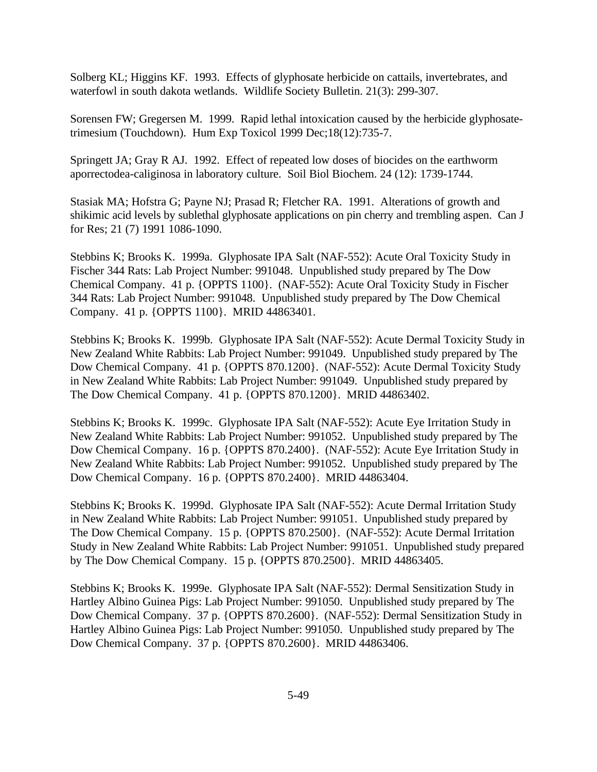Solberg KL; Higgins KF. 1993. Effects of glyphosate herbicide on cattails, invertebrates, and waterfowl in south dakota wetlands. Wildlife Society Bulletin. 21(3): 299-307.

Sorensen FW; Gregersen M. 1999. Rapid lethal intoxication caused by the herbicide glyphosatetrimesium (Touchdown). Hum Exp Toxicol 1999 Dec;18(12):735-7.

Springett JA; Gray R AJ. 1992. Effect of repeated low doses of biocides on the earthworm aporrectodea-caliginosa in laboratory culture. Soil Biol Biochem. 24 (12): 1739-1744.

Stasiak MA; Hofstra G; Payne NJ; Prasad R; Fletcher RA. 1991. Alterations of growth and shikimic acid levels by sublethal glyphosate applications on pin cherry and trembling aspen. Can J for Res; 21 (7) 1991 1086-1090.

Stebbins K; Brooks K. 1999a. Glyphosate IPA Salt (NAF-552): Acute Oral Toxicity Study in Fischer 344 Rats: Lab Project Number: 991048. Unpublished study prepared by The Dow Chemical Company. 41 p. {OPPTS 1100}. (NAF-552): Acute Oral Toxicity Study in Fischer 344 Rats: Lab Project Number: 991048. Unpublished study prepared by The Dow Chemical Company. 41 p. {OPPTS 1100}. MRID 44863401.

Stebbins K; Brooks K. 1999b. Glyphosate IPA Salt (NAF-552): Acute Dermal Toxicity Study in New Zealand White Rabbits: Lab Project Number: 991049. Unpublished study prepared by The Dow Chemical Company. 41 p. {OPPTS 870.1200}. (NAF-552): Acute Dermal Toxicity Study in New Zealand White Rabbits: Lab Project Number: 991049. Unpublished study prepared by The Dow Chemical Company. 41 p. {OPPTS 870.1200}. MRID 44863402.

Stebbins K; Brooks K. 1999c. Glyphosate IPA Salt (NAF-552): Acute Eye Irritation Study in New Zealand White Rabbits: Lab Project Number: 991052. Unpublished study prepared by The Dow Chemical Company. 16 p. {OPPTS 870.2400}. (NAF-552): Acute Eye Irritation Study in New Zealand White Rabbits: Lab Project Number: 991052. Unpublished study prepared by The Dow Chemical Company. 16 p. {OPPTS 870.2400}. MRID 44863404.

Stebbins K; Brooks K. 1999d. Glyphosate IPA Salt (NAF-552): Acute Dermal Irritation Study in New Zealand White Rabbits: Lab Project Number: 991051. Unpublished study prepared by The Dow Chemical Company. 15 p. {OPPTS 870.2500}. (NAF-552): Acute Dermal Irritation Study in New Zealand White Rabbits: Lab Project Number: 991051. Unpublished study prepared by The Dow Chemical Company. 15 p. {OPPTS 870.2500}. MRID 44863405.

Stebbins K; Brooks K. 1999e. Glyphosate IPA Salt (NAF-552): Dermal Sensitization Study in Hartley Albino Guinea Pigs: Lab Project Number: 991050. Unpublished study prepared by The Dow Chemical Company. 37 p. {OPPTS 870.2600}. (NAF-552): Dermal Sensitization Study in Hartley Albino Guinea Pigs: Lab Project Number: 991050. Unpublished study prepared by The Dow Chemical Company. 37 p. {OPPTS 870.2600}. MRID 44863406.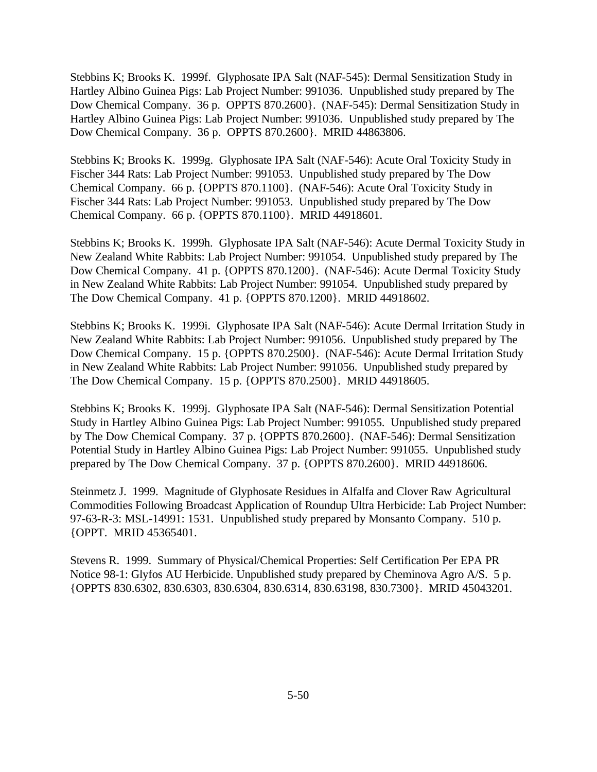Stebbins K; Brooks K. 1999f. Glyphosate IPA Salt (NAF-545): Dermal Sensitization Study in Hartley Albino Guinea Pigs: Lab Project Number: 991036. Unpublished study prepared by The Dow Chemical Company. 36 p. OPPTS 870.2600}. (NAF-545): Dermal Sensitization Study in Hartley Albino Guinea Pigs: Lab Project Number: 991036. Unpublished study prepared by The Dow Chemical Company. 36 p. OPPTS 870.2600}. MRID 44863806.

Stebbins K; Brooks K. 1999g. Glyphosate IPA Salt (NAF-546): Acute Oral Toxicity Study in Fischer 344 Rats: Lab Project Number: 991053. Unpublished study prepared by The Dow Chemical Company. 66 p. {OPPTS 870.1100}. (NAF-546): Acute Oral Toxicity Study in Fischer 344 Rats: Lab Project Number: 991053. Unpublished study prepared by The Dow Chemical Company. 66 p. {OPPTS 870.1100}. MRID 44918601.

Stebbins K; Brooks K. 1999h. Glyphosate IPA Salt (NAF-546): Acute Dermal Toxicity Study in New Zealand White Rabbits: Lab Project Number: 991054. Unpublished study prepared by The Dow Chemical Company. 41 p. {OPPTS 870.1200}. (NAF-546): Acute Dermal Toxicity Study in New Zealand White Rabbits: Lab Project Number: 991054. Unpublished study prepared by The Dow Chemical Company. 41 p. {OPPTS 870.1200}. MRID 44918602.

Stebbins K; Brooks K. 1999i. Glyphosate IPA Salt (NAF-546): Acute Dermal Irritation Study in New Zealand White Rabbits: Lab Project Number: 991056. Unpublished study prepared by The Dow Chemical Company. 15 p. {OPPTS 870.2500}. (NAF-546): Acute Dermal Irritation Study in New Zealand White Rabbits: Lab Project Number: 991056. Unpublished study prepared by The Dow Chemical Company. 15 p. {OPPTS 870.2500}. MRID 44918605.

Stebbins K; Brooks K. 1999j. Glyphosate IPA Salt (NAF-546): Dermal Sensitization Potential Study in Hartley Albino Guinea Pigs: Lab Project Number: 991055. Unpublished study prepared by The Dow Chemical Company. 37 p. {OPPTS 870.2600}. (NAF-546): Dermal Sensitization Potential Study in Hartley Albino Guinea Pigs: Lab Project Number: 991055. Unpublished study prepared by The Dow Chemical Company. 37 p. {OPPTS 870.2600}. MRID 44918606.

Steinmetz J. 1999. Magnitude of Glyphosate Residues in Alfalfa and Clover Raw Agricultural Commodities Following Broadcast Application of Roundup Ultra Herbicide: Lab Project Number: 97-63-R-3: MSL-14991: 1531. Unpublished study prepared by Monsanto Company. 510 p. {OPPT. MRID 45365401.

Stevens R. 1999. Summary of Physical/Chemical Properties: Self Certification Per EPA PR Notice 98-1: Glyfos AU Herbicide. Unpublished study prepared by Cheminova Agro A/S. 5 p. {OPPTS 830.6302, 830.6303, 830.6304, 830.6314, 830.63198, 830.7300}. MRID 45043201.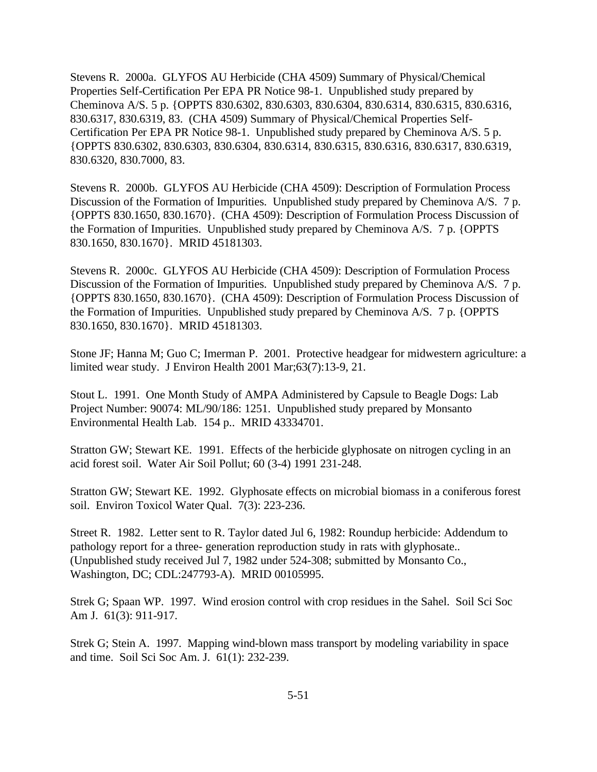Stevens R. 2000a. GLYFOS AU Herbicide (CHA 4509) Summary of Physical/Chemical Properties Self-Certification Per EPA PR Notice 98-1. Unpublished study prepared by Cheminova A/S. 5 p. {OPPTS 830.6302, 830.6303, 830.6304, 830.6314, 830.6315, 830.6316, 830.6317, 830.6319, 83. (CHA 4509) Summary of Physical/Chemical Properties Self-Certification Per EPA PR Notice 98-1. Unpublished study prepared by Cheminova A/S. 5 p. {OPPTS 830.6302, 830.6303, 830.6304, 830.6314, 830.6315, 830.6316, 830.6317, 830.6319, 830.6320, 830.7000, 83.

Stevens R. 2000b. GLYFOS AU Herbicide (CHA 4509): Description of Formulation Process Discussion of the Formation of Impurities. Unpublished study prepared by Cheminova A/S. 7 p. {OPPTS 830.1650, 830.1670}. (CHA 4509): Description of Formulation Process Discussion of the Formation of Impurities. Unpublished study prepared by Cheminova A/S. 7 p. {OPPTS 830.1650, 830.1670}. MRID 45181303.

Stevens R. 2000c. GLYFOS AU Herbicide (CHA 4509): Description of Formulation Process Discussion of the Formation of Impurities. Unpublished study prepared by Cheminova A/S. 7 p. {OPPTS 830.1650, 830.1670}. (CHA 4509): Description of Formulation Process Discussion of the Formation of Impurities. Unpublished study prepared by Cheminova A/S. 7 p. {OPPTS 830.1650, 830.1670}. MRID 45181303.

Stone JF; Hanna M; Guo C; Imerman P. 2001. Protective headgear for midwestern agriculture: a limited wear study. J Environ Health 2001 Mar;63(7):13-9, 21.

Stout L. 1991. One Month Study of AMPA Administered by Capsule to Beagle Dogs: Lab Project Number: 90074: ML/90/186: 1251. Unpublished study prepared by Monsanto Environmental Health Lab. 154 p.. MRID 43334701.

Stratton GW; Stewart KE. 1991. Effects of the herbicide glyphosate on nitrogen cycling in an acid forest soil. Water Air Soil Pollut; 60 (3-4) 1991 231-248.

Stratton GW; Stewart KE. 1992. Glyphosate effects on microbial biomass in a coniferous forest soil. Environ Toxicol Water Qual. 7(3): 223-236.

Street R. 1982. Letter sent to R. Taylor dated Jul 6, 1982: Roundup herbicide: Addendum to pathology report for a three- generation reproduction study in rats with glyphosate.. (Unpublished study received Jul 7, 1982 under 524-308; submitted by Monsanto Co., Washington, DC; CDL:247793-A). MRID 00105995.

Strek G; Spaan WP. 1997. Wind erosion control with crop residues in the Sahel. Soil Sci Soc Am J. 61(3): 911-917.

Strek G; Stein A. 1997. Mapping wind-blown mass transport by modeling variability in space and time. Soil Sci Soc Am. J. 61(1): 232-239.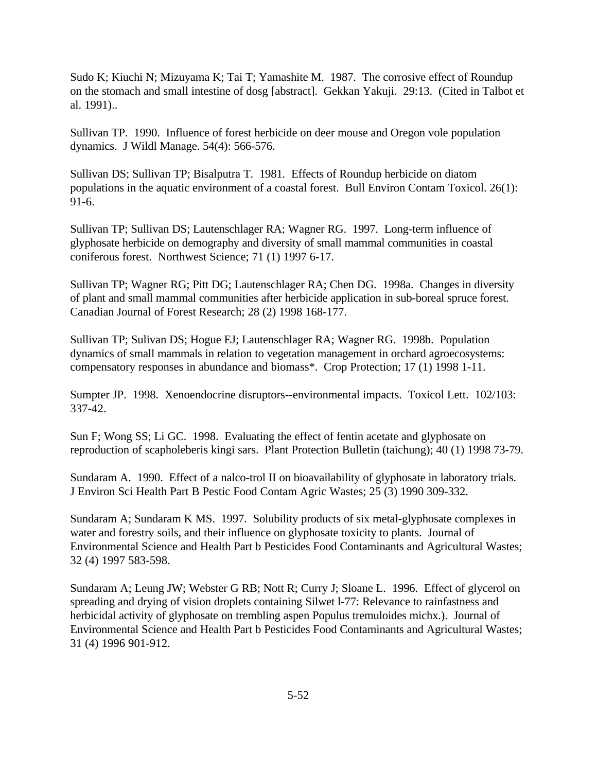Sudo K; Kiuchi N; Mizuyama K; Tai T; Yamashite M. 1987. The corrosive effect of Roundup on the stomach and small intestine of dosg [abstract]. Gekkan Yakuji. 29:13. (Cited in Talbot et al. 1991)..

Sullivan TP. 1990. Influence of forest herbicide on deer mouse and Oregon vole population dynamics. J Wildl Manage. 54(4): 566-576.

Sullivan DS; Sullivan TP; Bisalputra T. 1981. Effects of Roundup herbicide on diatom populations in the aquatic environment of a coastal forest. Bull Environ Contam Toxicol. 26(1): 91-6.

Sullivan TP; Sullivan DS; Lautenschlager RA; Wagner RG. 1997. Long-term influence of glyphosate herbicide on demography and diversity of small mammal communities in coastal coniferous forest. Northwest Science; 71 (1) 1997 6-17.

Sullivan TP; Wagner RG; Pitt DG; Lautenschlager RA; Chen DG. 1998a. Changes in diversity of plant and small mammal communities after herbicide application in sub-boreal spruce forest. Canadian Journal of Forest Research; 28 (2) 1998 168-177.

Sullivan TP; Sulivan DS; Hogue EJ; Lautenschlager RA; Wagner RG. 1998b. Population dynamics of small mammals in relation to vegetation management in orchard agroecosystems: compensatory responses in abundance and biomass\*. Crop Protection; 17 (1) 1998 1-11.

Sumpter JP. 1998. Xenoendocrine disruptors--environmental impacts. Toxicol Lett. 102/103: 337-42.

Sun F; Wong SS; Li GC. 1998. Evaluating the effect of fentin acetate and glyphosate on reproduction of scapholeberis kingi sars. Plant Protection Bulletin (taichung); 40 (1) 1998 73-79.

Sundaram A. 1990. Effect of a nalco-trol II on bioavailability of glyphosate in laboratory trials. J Environ Sci Health Part B Pestic Food Contam Agric Wastes; 25 (3) 1990 309-332.

Sundaram A; Sundaram K MS. 1997. Solubility products of six metal-glyphosate complexes in water and forestry soils, and their influence on glyphosate toxicity to plants. Journal of Environmental Science and Health Part b Pesticides Food Contaminants and Agricultural Wastes; 32 (4) 1997 583-598.

Sundaram A; Leung JW; Webster G RB; Nott R; Curry J; Sloane L. 1996. Effect of glycerol on spreading and drying of vision droplets containing Silwet l-77: Relevance to rainfastness and herbicidal activity of glyphosate on trembling aspen Populus tremuloides michx.). Journal of Environmental Science and Health Part b Pesticides Food Contaminants and Agricultural Wastes; 31 (4) 1996 901-912.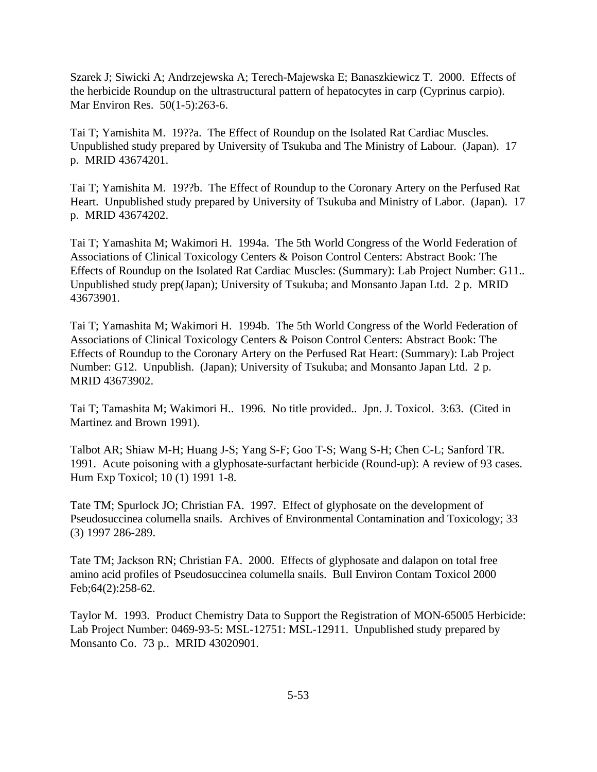Szarek J; Siwicki A; Andrzejewska A; Terech-Majewska E; Banaszkiewicz T. 2000. Effects of the herbicide Roundup on the ultrastructural pattern of hepatocytes in carp (Cyprinus carpio). Mar Environ Res. 50(1-5):263-6.

Tai T; Yamishita M. 19??a. The Effect of Roundup on the Isolated Rat Cardiac Muscles. Unpublished study prepared by University of Tsukuba and The Ministry of Labour. (Japan). 17 p. MRID 43674201.

Tai T; Yamishita M. 19??b. The Effect of Roundup to the Coronary Artery on the Perfused Rat Heart. Unpublished study prepared by University of Tsukuba and Ministry of Labor. (Japan). 17 p. MRID 43674202.

Tai T; Yamashita M; Wakimori H. 1994a. The 5th World Congress of the World Federation of Associations of Clinical Toxicology Centers & Poison Control Centers: Abstract Book: The Effects of Roundup on the Isolated Rat Cardiac Muscles: (Summary): Lab Project Number: G11.. Unpublished study prep(Japan); University of Tsukuba; and Monsanto Japan Ltd. 2 p. MRID 43673901.

Tai T; Yamashita M; Wakimori H. 1994b. The 5th World Congress of the World Federation of Associations of Clinical Toxicology Centers & Poison Control Centers: Abstract Book: The Effects of Roundup to the Coronary Artery on the Perfused Rat Heart: (Summary): Lab Project Number: G12. Unpublish. (Japan); University of Tsukuba; and Monsanto Japan Ltd. 2 p. MRID 43673902.

Tai T; Tamashita M; Wakimori H.. 1996. No title provided.. Jpn. J. Toxicol. 3:63. (Cited in Martinez and Brown 1991).

Talbot AR; Shiaw M-H; Huang J-S; Yang S-F; Goo T-S; Wang S-H; Chen C-L; Sanford TR. 1991. Acute poisoning with a glyphosate-surfactant herbicide (Round-up): A review of 93 cases. Hum Exp Toxicol; 10 (1) 1991 1-8.

Tate TM; Spurlock JO; Christian FA. 1997. Effect of glyphosate on the development of Pseudosuccinea columella snails. Archives of Environmental Contamination and Toxicology; 33 (3) 1997 286-289.

Tate TM; Jackson RN; Christian FA. 2000. Effects of glyphosate and dalapon on total free amino acid profiles of Pseudosuccinea columella snails. Bull Environ Contam Toxicol 2000 Feb;64(2):258-62.

Taylor M. 1993. Product Chemistry Data to Support the Registration of MON-65005 Herbicide: Lab Project Number: 0469-93-5: MSL-12751: MSL-12911. Unpublished study prepared by Monsanto Co. 73 p.. MRID 43020901.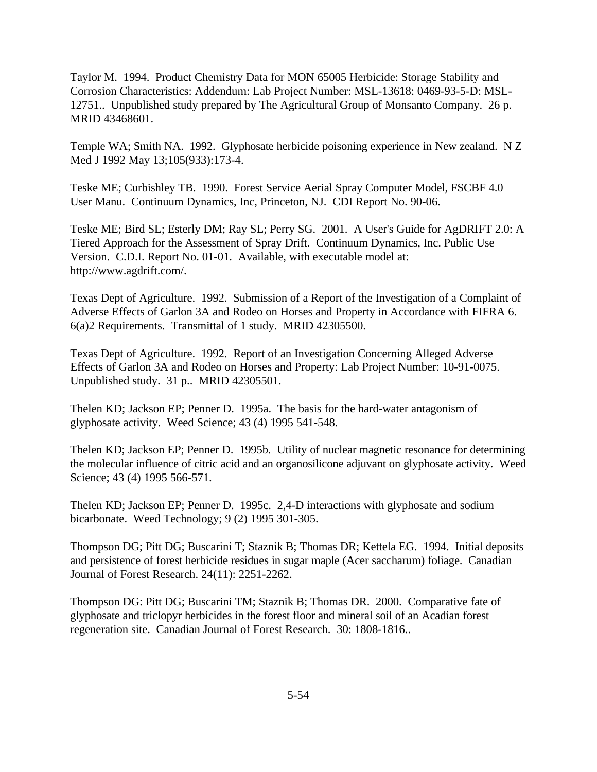Taylor M. 1994. Product Chemistry Data for MON 65005 Herbicide: Storage Stability and Corrosion Characteristics: Addendum: Lab Project Number: MSL-13618: 0469-93-5-D: MSL-12751.. Unpublished study prepared by The Agricultural Group of Monsanto Company. 26 p. MRID 43468601.

Temple WA; Smith NA. 1992. Glyphosate herbicide poisoning experience in New zealand. N Z Med J 1992 May 13;105(933):173-4.

Teske ME; Curbishley TB. 1990. Forest Service Aerial Spray Computer Model, FSCBF 4.0 User Manu. Continuum Dynamics, Inc, Princeton, NJ. CDI Report No. 90-06.

Teske ME; Bird SL; Esterly DM; Ray SL; Perry SG. 2001. A User's Guide for AgDRIFT 2.0: A Tiered Approach for the Assessment of Spray Drift. Continuum Dynamics, Inc. Public Use Version. C.D.I. Report No. 01-01. Available, with executable model at: http://www.agdrift.com/.

Texas Dept of Agriculture. 1992. Submission of a Report of the Investigation of a Complaint of Adverse Effects of Garlon 3A and Rodeo on Horses and Property in Accordance with FIFRA 6. 6(a)2 Requirements. Transmittal of 1 study. MRID 42305500.

Texas Dept of Agriculture. 1992. Report of an Investigation Concerning Alleged Adverse Effects of Garlon 3A and Rodeo on Horses and Property: Lab Project Number: 10-91-0075. Unpublished study. 31 p.. MRID 42305501.

Thelen KD; Jackson EP; Penner D. 1995a. The basis for the hard-water antagonism of glyphosate activity. Weed Science; 43 (4) 1995 541-548.

Thelen KD; Jackson EP; Penner D. 1995b. Utility of nuclear magnetic resonance for determining the molecular influence of citric acid and an organosilicone adjuvant on glyphosate activity. Weed Science; 43 (4) 1995 566-571.

Thelen KD; Jackson EP; Penner D. 1995c. 2,4-D interactions with glyphosate and sodium bicarbonate. Weed Technology; 9 (2) 1995 301-305.

Thompson DG; Pitt DG; Buscarini T; Staznik B; Thomas DR; Kettela EG. 1994. Initial deposits and persistence of forest herbicide residues in sugar maple (Acer saccharum) foliage. Canadian Journal of Forest Research. 24(11): 2251-2262.

Thompson DG: Pitt DG; Buscarini TM; Staznik B; Thomas DR. 2000. Comparative fate of glyphosate and triclopyr herbicides in the forest floor and mineral soil of an Acadian forest regeneration site. Canadian Journal of Forest Research. 30: 1808-1816..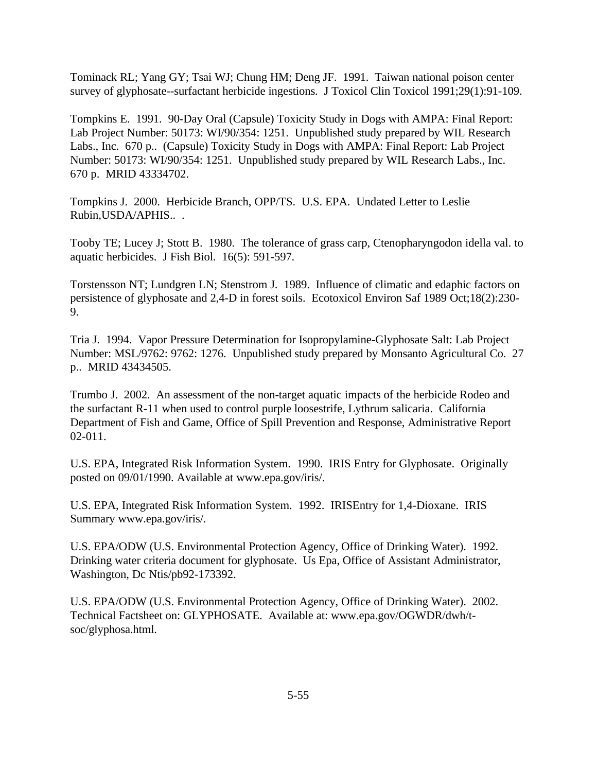Tominack RL; Yang GY; Tsai WJ; Chung HM; Deng JF. 1991. Taiwan national poison center survey of glyphosate--surfactant herbicide ingestions. J Toxicol Clin Toxicol 1991;29(1):91-109.

Tompkins E. 1991. 90-Day Oral (Capsule) Toxicity Study in Dogs with AMPA: Final Report: Lab Project Number: 50173: WI/90/354: 1251. Unpublished study prepared by WIL Research Labs., Inc. 670 p.. (Capsule) Toxicity Study in Dogs with AMPA: Final Report: Lab Project Number: 50173: WI/90/354: 1251. Unpublished study prepared by WIL Research Labs., Inc. 670 p. MRID 43334702.

Tompkins J. 2000. Herbicide Branch, OPP/TS. U.S. EPA. Undated Letter to Leslie Rubin,USDA/APHIS.. .

Tooby TE; Lucey J; Stott B. 1980. The tolerance of grass carp, Ctenopharyngodon idella val. to aquatic herbicides. J Fish Biol. 16(5): 591-597.

Torstensson NT; Lundgren LN; Stenstrom J. 1989. Influence of climatic and edaphic factors on persistence of glyphosate and 2,4-D in forest soils. Ecotoxicol Environ Saf 1989 Oct;18(2):230- 9.

Tria J. 1994. Vapor Pressure Determination for Isopropylamine-Glyphosate Salt: Lab Project Number: MSL/9762: 9762: 1276. Unpublished study prepared by Monsanto Agricultural Co. 27 p.. MRID 43434505.

Trumbo J. 2002. An assessment of the non-target aquatic impacts of the herbicide Rodeo and the surfactant R-11 when used to control purple loosestrife, Lythrum salicaria. California Department of Fish and Game, Office of Spill Prevention and Response, Administrative Report 02-011.

U.S. EPA, Integrated Risk Information System. 1990. IRIS Entry for Glyphosate. Originally posted on 09/01/1990. Available at www.epa.gov/iris/.

U.S. EPA, Integrated Risk Information System. 1992. IRISEntry for 1,4-Dioxane. IRIS Summary www.epa.gov/iris/.

U.S. EPA/ODW (U.S. Environmental Protection Agency, Office of Drinking Water). 1992. Drinking water criteria document for glyphosate. Us Epa, Office of Assistant Administrator, Washington, Dc Ntis/pb92-173392.

U.S. EPA/ODW (U.S. Environmental Protection Agency, Office of Drinking Water). 2002. Technical Factsheet on: GLYPHOSATE. Available at: www.epa.gov/OGWDR/dwh/tsoc/glyphosa.html.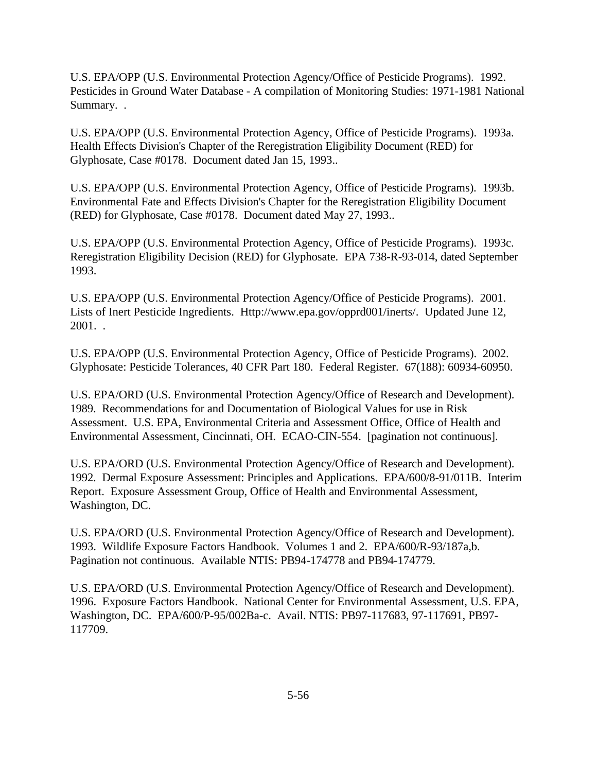U.S. EPA/OPP (U.S. Environmental Protection Agency/Office of Pesticide Programs). 1992. Pesticides in Ground Water Database - A compilation of Monitoring Studies: 1971-1981 National Summary. .

U.S. EPA/OPP (U.S. Environmental Protection Agency, Office of Pesticide Programs). 1993a. Health Effects Division's Chapter of the Reregistration Eligibility Document (RED) for Glyphosate, Case #0178. Document dated Jan 15, 1993..

U.S. EPA/OPP (U.S. Environmental Protection Agency, Office of Pesticide Programs). 1993b. Environmental Fate and Effects Division's Chapter for the Reregistration Eligibility Document (RED) for Glyphosate, Case #0178. Document dated May 27, 1993..

U.S. EPA/OPP (U.S. Environmental Protection Agency, Office of Pesticide Programs). 1993c. Reregistration Eligibility Decision (RED) for Glyphosate. EPA 738-R-93-014, dated September 1993.

U.S. EPA/OPP (U.S. Environmental Protection Agency/Office of Pesticide Programs). 2001. Lists of Inert Pesticide Ingredients. Http://www.epa.gov/opprd001/inerts/. Updated June 12, 2001. .

U.S. EPA/OPP (U.S. Environmental Protection Agency, Office of Pesticide Programs). 2002. Glyphosate: Pesticide Tolerances, 40 CFR Part 180. Federal Register. 67(188): 60934-60950.

U.S. EPA/ORD (U.S. Environmental Protection Agency/Office of Research and Development). 1989. Recommendations for and Documentation of Biological Values for use in Risk Assessment. U.S. EPA, Environmental Criteria and Assessment Office, Office of Health and Environmental Assessment, Cincinnati, OH. ECAO-CIN-554. [pagination not continuous].

U.S. EPA/ORD (U.S. Environmental Protection Agency/Office of Research and Development). 1992. Dermal Exposure Assessment: Principles and Applications. EPA/600/8-91/011B. Interim Report. Exposure Assessment Group, Office of Health and Environmental Assessment, Washington, DC.

U.S. EPA/ORD (U.S. Environmental Protection Agency/Office of Research and Development). 1993. Wildlife Exposure Factors Handbook. Volumes 1 and 2. EPA/600/R-93/187a,b. Pagination not continuous. Available NTIS: PB94-174778 and PB94-174779.

U.S. EPA/ORD (U.S. Environmental Protection Agency/Office of Research and Development). 1996. Exposure Factors Handbook. National Center for Environmental Assessment, U.S. EPA, Washington, DC. EPA/600/P-95/002Ba-c. Avail. NTIS: PB97-117683, 97-117691, PB97- 117709.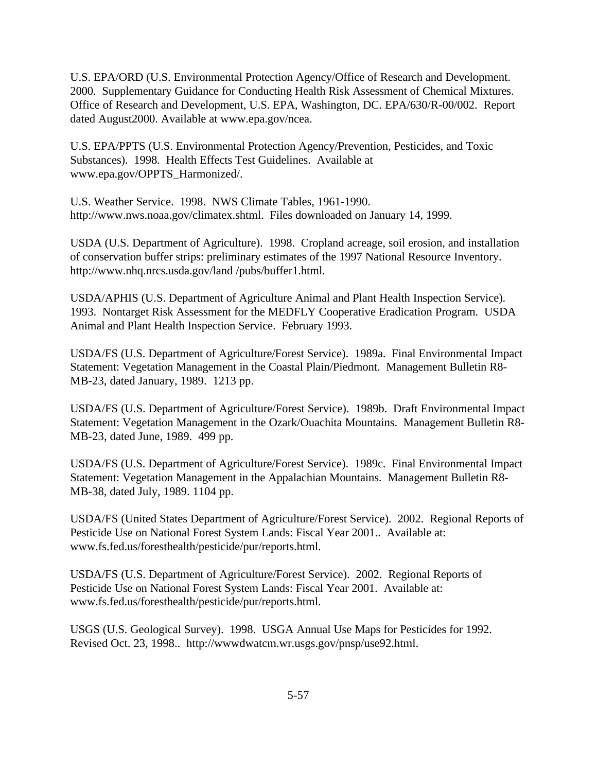U.S. EPA/ORD (U.S. Environmental Protection Agency/Office of Research and Development. 2000. Supplementary Guidance for Conducting Health Risk Assessment of Chemical Mixtures. Office of Research and Development, U.S. EPA, Washington, DC. EPA/630/R-00/002. Report dated August2000. Available at www.epa.gov/ncea.

U.S. EPA/PPTS (U.S. Environmental Protection Agency/Prevention, Pesticides, and Toxic Substances). 1998. Health Effects Test Guidelines. Available at www.epa.gov/OPPTS\_Harmonized/.

U.S. Weather Service. 1998. NWS Climate Tables, 1961-1990. http://www.nws.noaa.gov/climatex.shtml. Files downloaded on January 14, 1999.

USDA (U.S. Department of Agriculture). 1998. Cropland acreage, soil erosion, and installation of conservation buffer strips: preliminary estimates of the 1997 National Resource Inventory. http://www.nhq.nrcs.usda.gov/land /pubs/buffer1.html.

USDA/APHIS (U.S. Department of Agriculture Animal and Plant Health Inspection Service). 1993. Nontarget Risk Assessment for the MEDFLY Cooperative Eradication Program. USDA Animal and Plant Health Inspection Service. February 1993.

USDA/FS (U.S. Department of Agriculture/Forest Service). 1989a. Final Environmental Impact Statement: Vegetation Management in the Coastal Plain/Piedmont. Management Bulletin R8- MB-23, dated January, 1989. 1213 pp.

USDA/FS (U.S. Department of Agriculture/Forest Service). 1989b. Draft Environmental Impact Statement: Vegetation Management in the Ozark/Ouachita Mountains. Management Bulletin R8- MB-23, dated June, 1989. 499 pp.

USDA/FS (U.S. Department of Agriculture/Forest Service). 1989c. Final Environmental Impact Statement: Vegetation Management in the Appalachian Mountains. Management Bulletin R8- MB-38, dated July, 1989. 1104 pp.

USDA/FS (United States Department of Agriculture/Forest Service). 2002. Regional Reports of Pesticide Use on National Forest System Lands: Fiscal Year 2001.. Available at: www.fs.fed.us/foresthealth/pesticide/pur/reports.html.

USDA/FS (U.S. Department of Agriculture/Forest Service). 2002. Regional Reports of Pesticide Use on National Forest System Lands: Fiscal Year 2001. Available at: www.fs.fed.us/foresthealth/pesticide/pur/reports.html.

USGS (U.S. Geological Survey). 1998. USGA Annual Use Maps for Pesticides for 1992. Revised Oct. 23, 1998.. http://wwwdwatcm.wr.usgs.gov/pnsp/use92.html.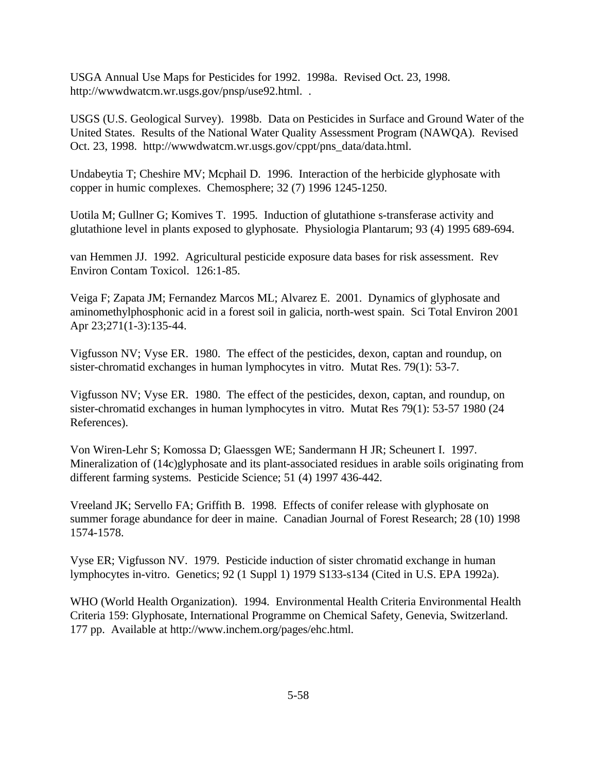USGA Annual Use Maps for Pesticides for 1992. 1998a. Revised Oct. 23, 1998. http://wwwdwatcm.wr.usgs.gov/pnsp/use92.html. .

USGS (U.S. Geological Survey). 1998b. Data on Pesticides in Surface and Ground Water of the United States. Results of the National Water Quality Assessment Program (NAWQA). Revised Oct. 23, 1998. http://wwwdwatcm.wr.usgs.gov/cppt/pns\_data/data.html.

Undabeytia T; Cheshire MV; Mcphail D. 1996. Interaction of the herbicide glyphosate with copper in humic complexes. Chemosphere; 32 (7) 1996 1245-1250.

Uotila M; Gullner G; Komives T. 1995. Induction of glutathione s-transferase activity and glutathione level in plants exposed to glyphosate. Physiologia Plantarum; 93 (4) 1995 689-694.

van Hemmen JJ. 1992. Agricultural pesticide exposure data bases for risk assessment. Rev Environ Contam Toxicol. 126:1-85.

Veiga F; Zapata JM; Fernandez Marcos ML; Alvarez E. 2001. Dynamics of glyphosate and aminomethylphosphonic acid in a forest soil in galicia, north-west spain. Sci Total Environ 2001 Apr 23;271(1-3):135-44.

Vigfusson NV; Vyse ER. 1980. The effect of the pesticides, dexon, captan and roundup, on sister-chromatid exchanges in human lymphocytes in vitro. Mutat Res. 79(1): 53-7.

Vigfusson NV; Vyse ER. 1980. The effect of the pesticides, dexon, captan, and roundup, on sister-chromatid exchanges in human lymphocytes in vitro. Mutat Res 79(1): 53-57 1980 (24 References).

Von Wiren-Lehr S; Komossa D; Glaessgen WE; Sandermann H JR; Scheunert I. 1997. Mineralization of (14c)glyphosate and its plant-associated residues in arable soils originating from different farming systems. Pesticide Science; 51 (4) 1997 436-442.

Vreeland JK; Servello FA; Griffith B. 1998. Effects of conifer release with glyphosate on summer forage abundance for deer in maine. Canadian Journal of Forest Research; 28 (10) 1998 1574-1578.

Vyse ER; Vigfusson NV. 1979. Pesticide induction of sister chromatid exchange in human lymphocytes in-vitro. Genetics; 92 (1 Suppl 1) 1979 S133-s134 (Cited in U.S. EPA 1992a).

WHO (World Health Organization). 1994. Environmental Health Criteria Environmental Health Criteria 159: Glyphosate, International Programme on Chemical Safety, Genevia, Switzerland. 177 pp. Available at http://www.inchem.org/pages/ehc.html.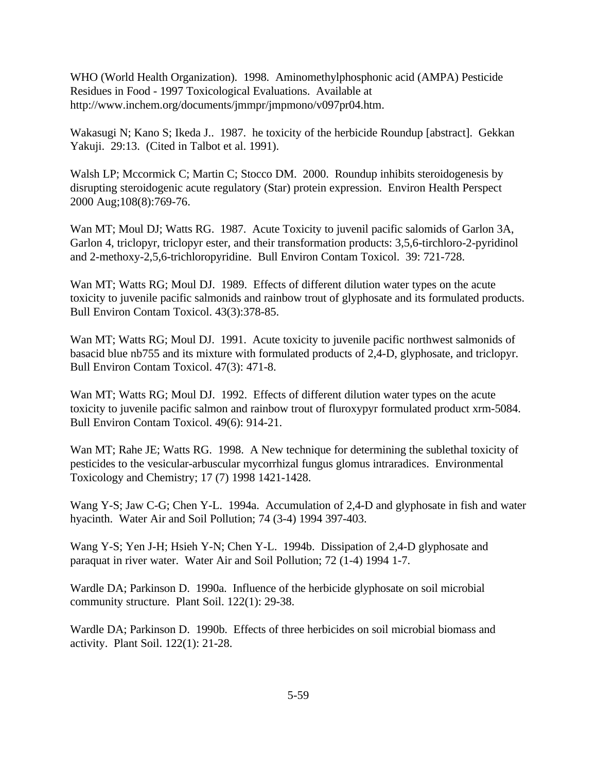WHO (World Health Organization). 1998. Aminomethylphosphonic acid (AMPA) Pesticide Residues in Food - 1997 Toxicological Evaluations. Available at http://www.inchem.org/documents/jmmpr/jmpmono/v097pr04.htm.

Wakasugi N; Kano S; Ikeda J.. 1987. he toxicity of the herbicide Roundup [abstract]. Gekkan Yakuji. 29:13. (Cited in Talbot et al. 1991).

Walsh LP; Mccormick C; Martin C; Stocco DM. 2000. Roundup inhibits steroidogenesis by disrupting steroidogenic acute regulatory (Star) protein expression. Environ Health Perspect 2000 Aug;108(8):769-76.

Wan MT; Moul DJ; Watts RG. 1987. Acute Toxicity to juvenil pacific salomids of Garlon 3A, Garlon 4, triclopyr, triclopyr ester, and their transformation products: 3,5,6-tirchloro-2-pyridinol and 2-methoxy-2,5,6-trichloropyridine. Bull Environ Contam Toxicol. 39: 721-728.

Wan MT; Watts RG; Moul DJ. 1989. Effects of different dilution water types on the acute toxicity to juvenile pacific salmonids and rainbow trout of glyphosate and its formulated products. Bull Environ Contam Toxicol. 43(3):378-85.

Wan MT; Watts RG; Moul DJ. 1991. Acute toxicity to juvenile pacific northwest salmonids of basacid blue nb755 and its mixture with formulated products of 2,4-D, glyphosate, and triclopyr. Bull Environ Contam Toxicol. 47(3): 471-8.

Wan MT; Watts RG; Moul DJ. 1992. Effects of different dilution water types on the acute toxicity to juvenile pacific salmon and rainbow trout of fluroxypyr formulated product xrm-5084. Bull Environ Contam Toxicol. 49(6): 914-21.

Wan MT; Rahe JE; Watts RG. 1998. A New technique for determining the sublethal toxicity of pesticides to the vesicular-arbuscular mycorrhizal fungus glomus intraradices. Environmental Toxicology and Chemistry; 17 (7) 1998 1421-1428.

Wang Y-S; Jaw C-G; Chen Y-L. 1994a. Accumulation of 2,4-D and glyphosate in fish and water hyacinth. Water Air and Soil Pollution; 74 (3-4) 1994 397-403.

Wang Y-S; Yen J-H; Hsieh Y-N; Chen Y-L. 1994b. Dissipation of 2,4-D glyphosate and paraquat in river water. Water Air and Soil Pollution; 72 (1-4) 1994 1-7.

Wardle DA; Parkinson D. 1990a. Influence of the herbicide glyphosate on soil microbial community structure. Plant Soil. 122(1): 29-38.

Wardle DA; Parkinson D. 1990b. Effects of three herbicides on soil microbial biomass and activity. Plant Soil. 122(1): 21-28.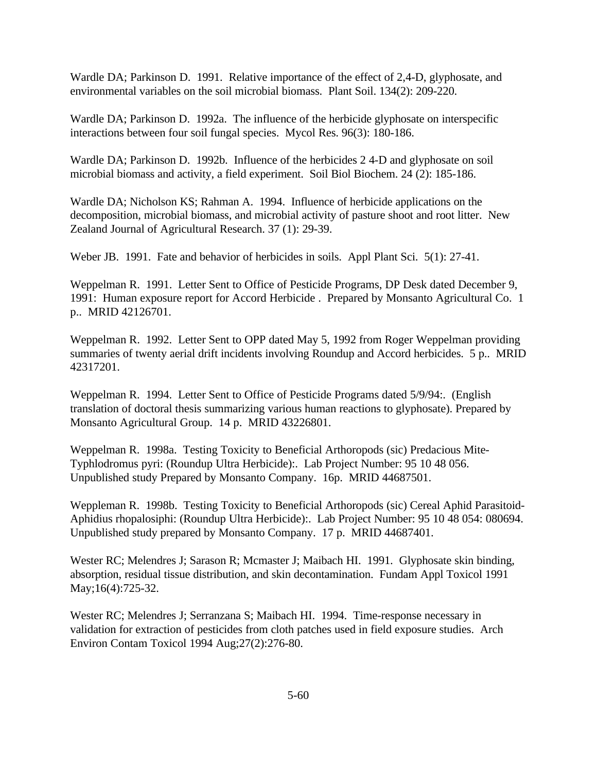Wardle DA; Parkinson D. 1991. Relative importance of the effect of 2,4-D, glyphosate, and environmental variables on the soil microbial biomass. Plant Soil. 134(2): 209-220.

Wardle DA; Parkinson D. 1992a. The influence of the herbicide glyphosate on interspecific interactions between four soil fungal species. Mycol Res. 96(3): 180-186.

Wardle DA; Parkinson D. 1992b. Influence of the herbicides 2 4-D and glyphosate on soil microbial biomass and activity, a field experiment. Soil Biol Biochem. 24 (2): 185-186.

Wardle DA; Nicholson KS; Rahman A. 1994. Influence of herbicide applications on the decomposition, microbial biomass, and microbial activity of pasture shoot and root litter. New Zealand Journal of Agricultural Research. 37 (1): 29-39.

Weber JB. 1991. Fate and behavior of herbicides in soils. Appl Plant Sci. 5(1): 27-41.

Weppelman R. 1991. Letter Sent to Office of Pesticide Programs, DP Desk dated December 9, 1991: Human exposure report for Accord Herbicide . Prepared by Monsanto Agricultural Co. 1 p.. MRID 42126701.

Weppelman R. 1992. Letter Sent to OPP dated May 5, 1992 from Roger Weppelman providing summaries of twenty aerial drift incidents involving Roundup and Accord herbicides. 5 p.. MRID 42317201.

Weppelman R. 1994. Letter Sent to Office of Pesticide Programs dated 5/9/94:. (English translation of doctoral thesis summarizing various human reactions to glyphosate). Prepared by Monsanto Agricultural Group. 14 p. MRID 43226801.

Weppelman R. 1998a. Testing Toxicity to Beneficial Arthoropods (sic) Predacious Mite-Typhlodromus pyri: (Roundup Ultra Herbicide):. Lab Project Number: 95 10 48 056. Unpublished study Prepared by Monsanto Company. 16p. MRID 44687501.

Weppleman R. 1998b. Testing Toxicity to Beneficial Arthoropods (sic) Cereal Aphid Parasitoid-Aphidius rhopalosiphi: (Roundup Ultra Herbicide):. Lab Project Number: 95 10 48 054: 080694. Unpublished study prepared by Monsanto Company. 17 p. MRID 44687401.

Wester RC; Melendres J; Sarason R; Mcmaster J; Maibach HI. 1991. Glyphosate skin binding, absorption, residual tissue distribution, and skin decontamination. Fundam Appl Toxicol 1991 May;16(4):725-32.

Wester RC; Melendres J; Serranzana S; Maibach HI. 1994. Time-response necessary in validation for extraction of pesticides from cloth patches used in field exposure studies. Arch Environ Contam Toxicol 1994 Aug;27(2):276-80.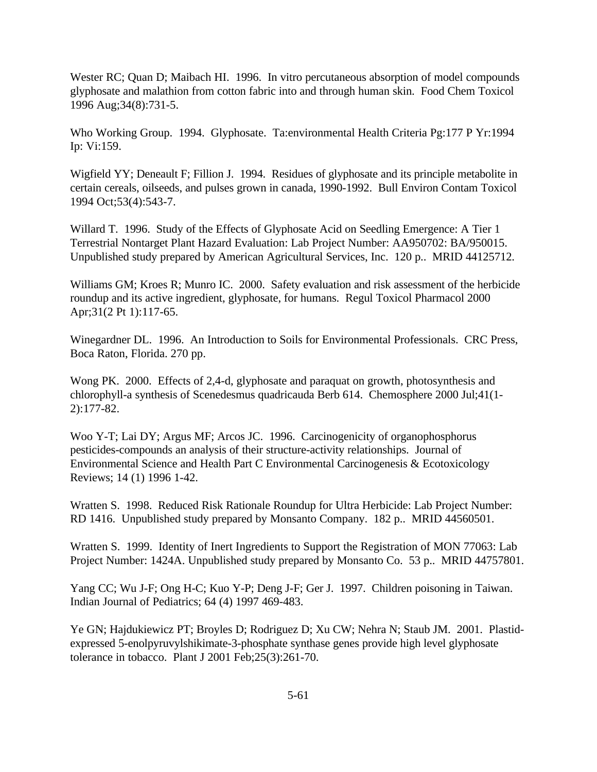Wester RC; Quan D; Maibach HI. 1996. In vitro percutaneous absorption of model compounds glyphosate and malathion from cotton fabric into and through human skin. Food Chem Toxicol 1996 Aug;34(8):731-5.

Who Working Group. 1994. Glyphosate. Ta:environmental Health Criteria Pg:177 P Yr:1994 Ip: Vi:159.

Wigfield YY; Deneault F; Fillion J. 1994. Residues of glyphosate and its principle metabolite in certain cereals, oilseeds, and pulses grown in canada, 1990-1992. Bull Environ Contam Toxicol 1994 Oct;53(4):543-7.

Willard T. 1996. Study of the Effects of Glyphosate Acid on Seedling Emergence: A Tier 1 Terrestrial Nontarget Plant Hazard Evaluation: Lab Project Number: AA950702: BA/950015. Unpublished study prepared by American Agricultural Services, Inc. 120 p.. MRID 44125712.

Williams GM; Kroes R; Munro IC. 2000. Safety evaluation and risk assessment of the herbicide roundup and its active ingredient, glyphosate, for humans. Regul Toxicol Pharmacol 2000 Apr;31(2 Pt 1):117-65.

Winegardner DL. 1996. An Introduction to Soils for Environmental Professionals. CRC Press, Boca Raton, Florida. 270 pp.

Wong PK. 2000. Effects of 2,4-d, glyphosate and paraquat on growth, photosynthesis and chlorophyll-a synthesis of Scenedesmus quadricauda Berb 614. Chemosphere 2000 Jul;41(1- 2):177-82.

Woo Y-T; Lai DY; Argus MF; Arcos JC. 1996. Carcinogenicity of organophosphorus pesticides-compounds an analysis of their structure-activity relationships. Journal of Environmental Science and Health Part C Environmental Carcinogenesis & Ecotoxicology Reviews; 14 (1) 1996 1-42.

Wratten S. 1998. Reduced Risk Rationale Roundup for Ultra Herbicide: Lab Project Number: RD 1416. Unpublished study prepared by Monsanto Company. 182 p.. MRID 44560501.

Wratten S. 1999. Identity of Inert Ingredients to Support the Registration of MON 77063: Lab Project Number: 1424A. Unpublished study prepared by Monsanto Co. 53 p.. MRID 44757801.

Yang CC; Wu J-F; Ong H-C; Kuo Y-P; Deng J-F; Ger J. 1997. Children poisoning in Taiwan. Indian Journal of Pediatrics; 64 (4) 1997 469-483.

Ye GN; Hajdukiewicz PT; Broyles D; Rodriguez D; Xu CW; Nehra N; Staub JM. 2001. Plastidexpressed 5-enolpyruvylshikimate-3-phosphate synthase genes provide high level glyphosate tolerance in tobacco. Plant J 2001 Feb;25(3):261-70.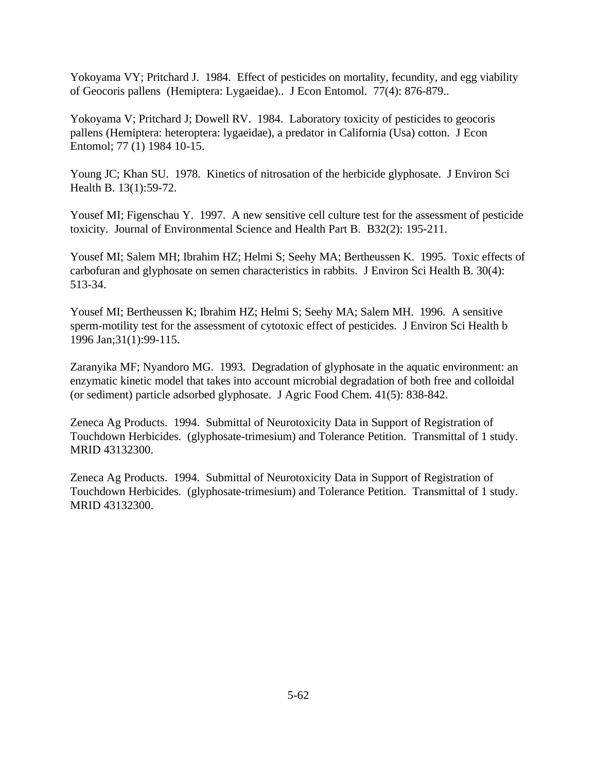Yokoyama VY; Pritchard J. 1984. Effect of pesticides on mortality, fecundity, and egg viability of Geocoris pallens (Hemiptera: Lygaeidae).. J Econ Entomol. 77(4): 876-879..

Yokoyama V; Pritchard J; Dowell RV. 1984. Laboratory toxicity of pesticides to geocoris pallens (Hemiptera: heteroptera: lygaeidae), a predator in California (Usa) cotton. J Econ Entomol; 77 (1) 1984 10-15.

Young JC; Khan SU. 1978. Kinetics of nitrosation of the herbicide glyphosate. J Environ Sci Health B. 13(1):59-72.

Yousef MI; Figenschau Y. 1997. A new sensitive cell culture test for the assessment of pesticide toxicity. Journal of Environmental Science and Health Part B. B32(2): 195-211.

Yousef MI; Salem MH; Ibrahim HZ; Helmi S; Seehy MA; Bertheussen K. 1995. Toxic effects of carbofuran and glyphosate on semen characteristics in rabbits. J Environ Sci Health B. 30(4): 513-34.

Yousef MI; Bertheussen K; Ibrahim HZ; Helmi S; Seehy MA; Salem MH. 1996. A sensitive sperm-motility test for the assessment of cytotoxic effect of pesticides. J Environ Sci Health b 1996 Jan;31(1):99-115.

Zaranyika MF; Nyandoro MG. 1993. Degradation of glyphosate in the aquatic environment: an enzymatic kinetic model that takes into account microbial degradation of both free and colloidal (or sediment) particle adsorbed glyphosate. J Agric Food Chem. 41(5): 838-842.

Zeneca Ag Products. 1994. Submittal of Neurotoxicity Data in Support of Registration of Touchdown Herbicides. (glyphosate-trimesium) and Tolerance Petition. Transmittal of 1 study. MRID 43132300.

Zeneca Ag Products. 1994. Submittal of Neurotoxicity Data in Support of Registration of Touchdown Herbicides. (glyphosate-trimesium) and Tolerance Petition. Transmittal of 1 study. MRID 43132300.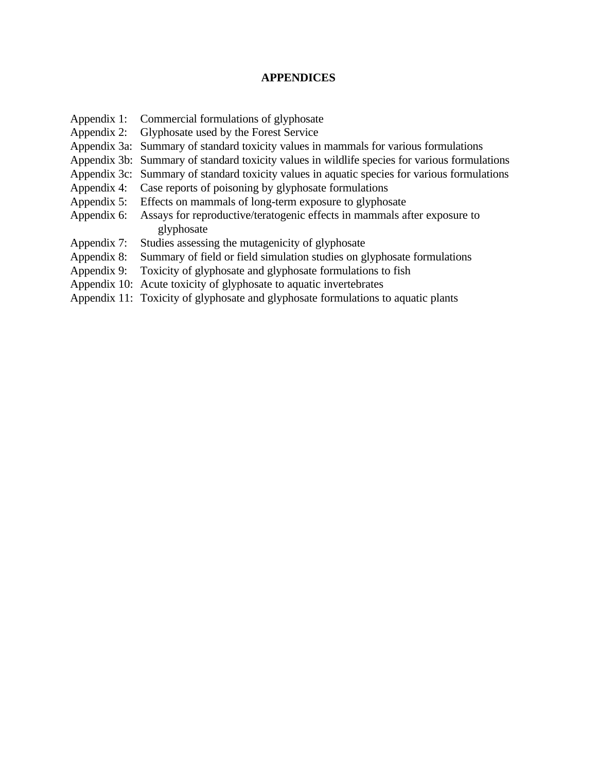## **APPENDICES**

- Appendix 1: Commercial formulations of glyphosate
- Appendix 2: Glyphosate used by the Forest Service
- Appendix 3a: Summary of standard toxicity values in mammals for various formulations
- Appendix 3b: Summary of standard toxicity values in wildlife species for various formulations
- Appendix 3c: Summary of standard toxicity values in aquatic species for various formulations
- Appendix 4: Case reports of poisoning by glyphosate formulations
- Appendix 5: Effects on mammals of long-term exposure to glyphosate
- Appendix 6: Assays for reproductive/teratogenic effects in mammals after exposure to glyphosate
- Appendix 7: Studies assessing the mutagenicity of glyphosate
- Appendix 8: Summary of field or field simulation studies on glyphosate formulations
- Appendix 9: Toxicity of glyphosate and glyphosate formulations to fish
- Appendix 10: Acute toxicity of glyphosate to aquatic invertebrates
- Appendix 11: Toxicity of glyphosate and glyphosate formulations to aquatic plants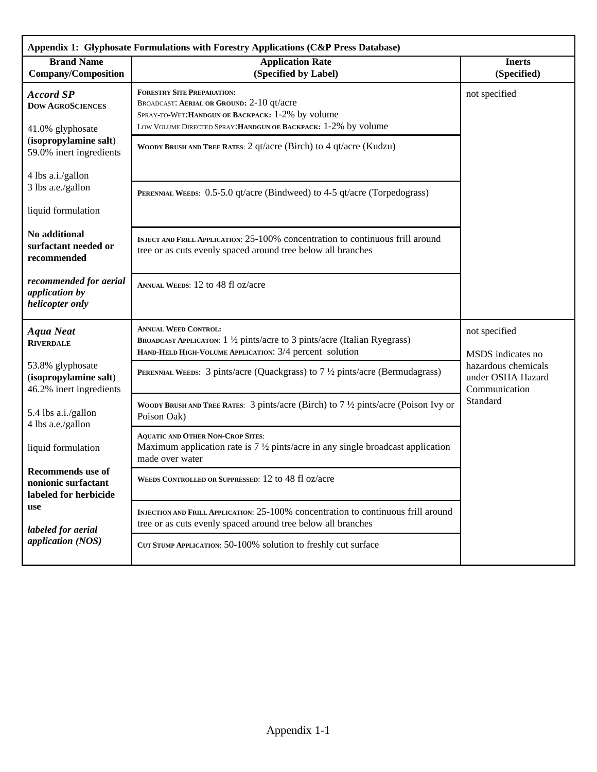| Appendix 1: Glyphosate Formulations with Forestry Applications (C&P Press Database)                                        |                                                                                                                                                                                                       |                                                                                                             |  |  |
|----------------------------------------------------------------------------------------------------------------------------|-------------------------------------------------------------------------------------------------------------------------------------------------------------------------------------------------------|-------------------------------------------------------------------------------------------------------------|--|--|
| <b>Brand Name</b><br><b>Company/Composition</b>                                                                            | <b>Application Rate</b><br>(Specified by Label)                                                                                                                                                       | <b>Inerts</b><br>(Specified)                                                                                |  |  |
| <b>Accord SP</b><br><b>DOW AGROSCIENCES</b><br>41.0% glyphosate                                                            | <b>FORESTRY SITE PREPARATION:</b><br>BROADCAST: AERIAL OR GROUND: 2-10 qt/acre<br>SPRAY-TO-WET: HANDGUN OE BACKPACK: 1-2% by volume<br>LOW VOLUME DIRECTED SPRAY: HANDGUN OE BACKPACK: 1-2% by volume | not specified                                                                                               |  |  |
| (isopropylamine salt)<br>59.0% inert ingredients                                                                           | WOODY BRUSH AND TREE RATES: 2 qt/acre (Birch) to 4 qt/acre (Kudzu)                                                                                                                                    |                                                                                                             |  |  |
| 4 lbs a.i./gallon<br>3 lbs a.e./gallon                                                                                     | PERENNIAL WEEDS: 0.5-5.0 qt/acre (Bindweed) to 4-5 qt/acre (Torpedograss)                                                                                                                             |                                                                                                             |  |  |
| liquid formulation                                                                                                         |                                                                                                                                                                                                       |                                                                                                             |  |  |
| No additional<br>surfactant needed or<br>recommended                                                                       | INJECT AND FRILL APPLICATION: 25-100% concentration to continuous frill around<br>tree or as cuts evenly spaced around tree below all branches                                                        |                                                                                                             |  |  |
| recommended for aerial<br>application by<br>helicopter only                                                                | ANNUAL WEEDS: 12 to 48 fl oz/acre                                                                                                                                                                     |                                                                                                             |  |  |
| <b>Aqua Neat</b><br><b>RIVERDALE</b>                                                                                       | <b>ANNUAL WEED CONTROL:</b><br>BROADCAST APPLICATON: 1 1/2 pints/acre to 3 pints/acre (Italian Ryegrass)<br>HAND-HELD HIGH-VOLUME APPLICATION: 3/4 percent solution                                   | not specified<br>MSDS indicates no<br>hazardous chemicals<br>under OSHA Hazard<br>Communication<br>Standard |  |  |
| 53.8% glyphosate<br>(isopropylamine salt)<br>46.2% inert ingredients                                                       | <b>PERENNIAL WEEDS:</b> 3 pints/acre (Quackgrass) to $7\frac{1}{2}$ pints/acre (Bermudagrass)                                                                                                         |                                                                                                             |  |  |
| 5.4 lbs a.i./gallon<br>4 lbs a.e./gallon                                                                                   | WOODY BRUSH AND TREE RATES: 3 pints/acre (Birch) to $7\frac{1}{2}$ pints/acre (Poison Ivy or<br>Poison Oak)                                                                                           |                                                                                                             |  |  |
| liquid formulation                                                                                                         | <b>AQUATIC AND OTHER NON-CROP SITES:</b><br>Maximum application rate is $7\frac{1}{2}$ pints/acre in any single broadcast application<br>made over water                                              |                                                                                                             |  |  |
| <b>Recommends</b> use of<br>nonionic surfactant<br>labeled for herbicide<br>use<br>labeled for aerial<br>application (NOS) | WEEDS CONTROLLED OR SUPPRESSED: 12 to 48 fl oz/acre                                                                                                                                                   |                                                                                                             |  |  |
|                                                                                                                            | INJECTION AND FRILL APPLICATION: 25-100% concentration to continuous frill around<br>tree or as cuts evenly spaced around tree below all branches                                                     |                                                                                                             |  |  |
|                                                                                                                            | CUT STUMP APPLICATION: 50-100% solution to freshly cut surface                                                                                                                                        |                                                                                                             |  |  |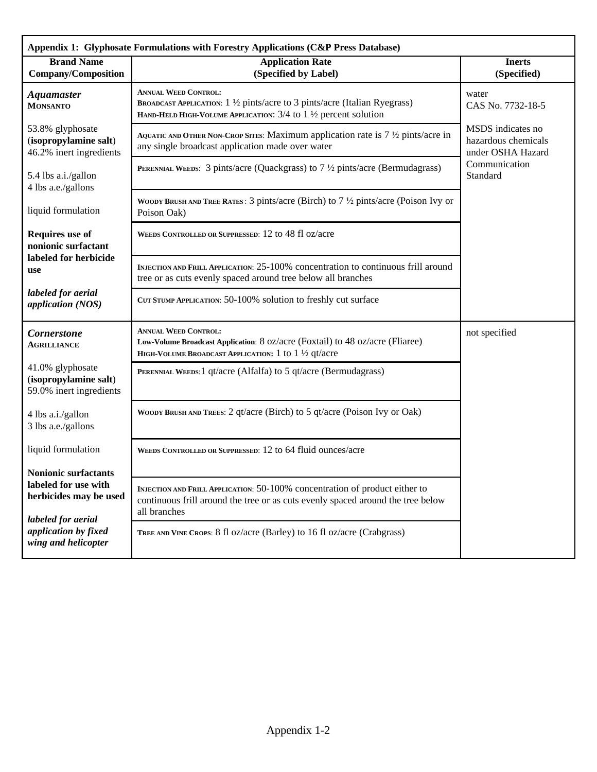| Appendix 1: Glyphosate Formulations with Forestry Applications (C&P Press Database)                                                                |                                                                                                                                                                                |                                                               |  |
|----------------------------------------------------------------------------------------------------------------------------------------------------|--------------------------------------------------------------------------------------------------------------------------------------------------------------------------------|---------------------------------------------------------------|--|
| <b>Brand Name</b><br><b>Company/Composition</b>                                                                                                    | <b>Application Rate</b><br>(Specified by Label)                                                                                                                                | <b>Inerts</b><br>(Specified)                                  |  |
| <b>Aquamaster</b><br><b>MONSANTO</b>                                                                                                               | <b>ANNUAL WEED CONTROL:</b><br>BROADCAST APPLICATION: 1 1/2 pints/acre to 3 pints/acre (Italian Ryegrass)<br>HAND-HELD HIGH-VOLUME APPLICATION: 3/4 to 1 1/2 percent solution  | water<br>CAS No. 7732-18-5                                    |  |
| 53.8% glyphosate<br>(isopropylamine salt)<br>46.2% inert ingredients                                                                               | AQUATIC AND OTHER NON-CROP SITES: Maximum application rate is $7\frac{1}{2}$ pints/acre in<br>any single broadcast application made over water                                 | MSDS indicates no<br>hazardous chemicals<br>under OSHA Hazard |  |
| 5.4 lbs a.i./gallon<br>4 lbs a.e./gallons                                                                                                          | <b>PERENNIAL WEEDS:</b> 3 pints/acre (Quackgrass) to $7\frac{1}{2}$ pints/acre (Bermudagrass)                                                                                  | Communication<br>Standard                                     |  |
| liquid formulation                                                                                                                                 | WOODY BRUSH AND TREE RATES : 3 pints/acre (Birch) to $7\frac{1}{2}$ pints/acre (Poison Ivy or<br>Poison Oak)                                                                   |                                                               |  |
| Requires use of<br>nonionic surfactant<br>labeled for herbicide<br>use                                                                             | WEEDS CONTROLLED OR SUPPRESSED: 12 to 48 fl oz/acre                                                                                                                            |                                                               |  |
|                                                                                                                                                    | INJECTION AND FRILL APPLICATION: 25-100% concentration to continuous frill around<br>tree or as cuts evenly spaced around tree below all branches                              |                                                               |  |
| labeled for aerial<br>application (NOS)                                                                                                            | CUT STUMP APPLICATION: 50-100% solution to freshly cut surface                                                                                                                 |                                                               |  |
| <b>Cornerstone</b><br><b>AGRILLIANCE</b>                                                                                                           | <b>ANNUAL WEED CONTROL:</b><br>Low-Volume Broadcast Application: 8 oz/acre (Foxtail) to 48 oz/acre (Fliaree)<br>HIGH-VOLUME BROADCAST APPLICATION: 1 to 1 1/2 qt/acre          | not specified                                                 |  |
| 41.0% glyphosate<br>(isopropylamine salt)<br>59.0% inert ingredients                                                                               | PERENNIAL WEEDS: 1 qt/acre (Alfalfa) to 5 qt/acre (Bermudagrass)                                                                                                               |                                                               |  |
| 4 lbs a.i./gallon<br>3 lbs a.e./gallons                                                                                                            | WOODY BRUSH AND TREES: 2 qt/acre (Birch) to 5 qt/acre (Poison Ivy or Oak)                                                                                                      |                                                               |  |
| liquid formulation                                                                                                                                 | WEEDS CONTROLLED OR SUPPRESSED: 12 to 64 fluid ounces/acre                                                                                                                     |                                                               |  |
| <b>Nonionic surfactants</b><br>labeled for use with<br>herbicides may be used<br>labeled for aerial<br>application by fixed<br>wing and helicopter |                                                                                                                                                                                |                                                               |  |
|                                                                                                                                                    | INJECTION AND FRILL APPLICATION: 50-100% concentration of product either to<br>continuous frill around the tree or as cuts evenly spaced around the tree below<br>all branches |                                                               |  |
|                                                                                                                                                    |                                                                                                                                                                                |                                                               |  |
|                                                                                                                                                    | TREE AND VINE CROPS: 8 fl oz/acre (Barley) to 16 fl oz/acre (Crabgrass)                                                                                                        |                                                               |  |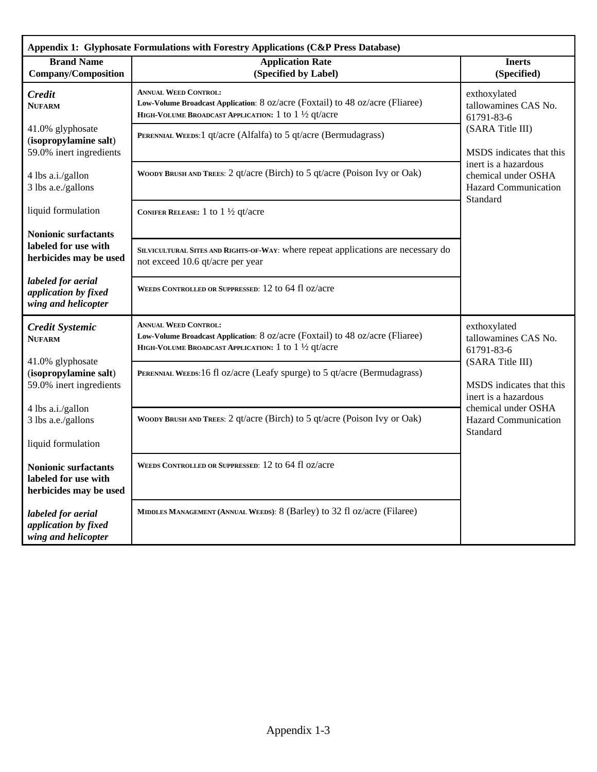| Appendix 1: Glyphosate Formulations with Forestry Applications (C&P Press Database) |                                                                                                                                                                       |                                                                                                                                                                                              |  |
|-------------------------------------------------------------------------------------|-----------------------------------------------------------------------------------------------------------------------------------------------------------------------|----------------------------------------------------------------------------------------------------------------------------------------------------------------------------------------------|--|
| <b>Brand Name</b><br><b>Company/Composition</b>                                     | <b>Application Rate</b><br>(Specified by Label)                                                                                                                       | <b>Inerts</b><br>(Specified)                                                                                                                                                                 |  |
| Credit<br><b>NUFARM</b>                                                             | <b>ANNUAL WEED CONTROL:</b><br>Low-Volume Broadcast Application: 8 oz/acre (Foxtail) to 48 oz/acre (Fliaree)<br>HIGH-VOLUME BROADCAST APPLICATION: 1 to 1 1/2 qt/acre | exthoxylated<br>tallowamines CAS No.<br>61791-83-6<br>(SARA Title III)<br>MSDS indicates that this                                                                                           |  |
| 41.0% glyphosate<br>(isopropylamine salt)<br>59.0% inert ingredients                | PERENNIAL WEEDS: 1 qt/acre (Alfalfa) to 5 qt/acre (Bermudagrass)                                                                                                      |                                                                                                                                                                                              |  |
| 4 lbs a.i./gallon<br>3 lbs a.e./gallons                                             | WOODY BRUSH AND TREES: 2 qt/acre (Birch) to 5 qt/acre (Poison Ivy or Oak)                                                                                             | inert is a hazardous<br>chemical under OSHA<br><b>Hazard Communication</b><br>Standard                                                                                                       |  |
| liquid formulation                                                                  | CONIFER RELEASE: 1 to $1\frac{1}{2}$ qt/acre                                                                                                                          |                                                                                                                                                                                              |  |
| <b>Nonionic surfactants</b><br>labeled for use with<br>herbicides may be used       | SILVICULTURAL SITES AND RIGHTS-OF-WAY: where repeat applications are necessary do<br>not exceed 10.6 qt/acre per year                                                 |                                                                                                                                                                                              |  |
| labeled for aerial<br>application by fixed<br>wing and helicopter                   | WEEDS CONTROLLED OR SUPPRESSED: 12 to 64 fl oz/acre                                                                                                                   |                                                                                                                                                                                              |  |
| <b>Credit Systemic</b><br><b>NUFARM</b>                                             | <b>ANNUAL WEED CONTROL:</b><br>Low-Volume Broadcast Application: 8 oz/acre (Foxtail) to 48 oz/acre (Fliaree)<br>HIGH-VOLUME BROADCAST APPLICATION: 1 to 1 1/2 qt/acre | exthoxylated<br>tallowamines CAS No.<br>61791-83-6<br>(SARA Title III)<br>MSDS indicates that this<br>inert is a hazardous<br>chemical under OSHA<br><b>Hazard Communication</b><br>Standard |  |
| 41.0% glyphosate<br>(isopropylamine salt)<br>59.0% inert ingredients                | PERENNIAL WEEDS:16 fl oz/acre (Leafy spurge) to 5 qt/acre (Bermudagrass)                                                                                              |                                                                                                                                                                                              |  |
| 4 lbs a.i./gallon<br>3 lbs a.e./gallons                                             | WOODY BRUSH AND TREES: 2 qt/acre (Birch) to 5 qt/acre (Poison Ivy or Oak)                                                                                             |                                                                                                                                                                                              |  |
| liquid formulation                                                                  | WEEDS CONTROLLED OR SUPPRESSED: 12 to 64 fl oz/acre                                                                                                                   |                                                                                                                                                                                              |  |
| <b>Nonionic surfactants</b><br>labeled for use with<br>herbicides may be used       |                                                                                                                                                                       |                                                                                                                                                                                              |  |
| labeled for aerial<br>application by fixed<br>wing and helicopter                   | MIDDLES MANAGEMENT (ANNUAL WEEDS): 8 (Barley) to 32 fl oz/acre (Filaree)                                                                                              |                                                                                                                                                                                              |  |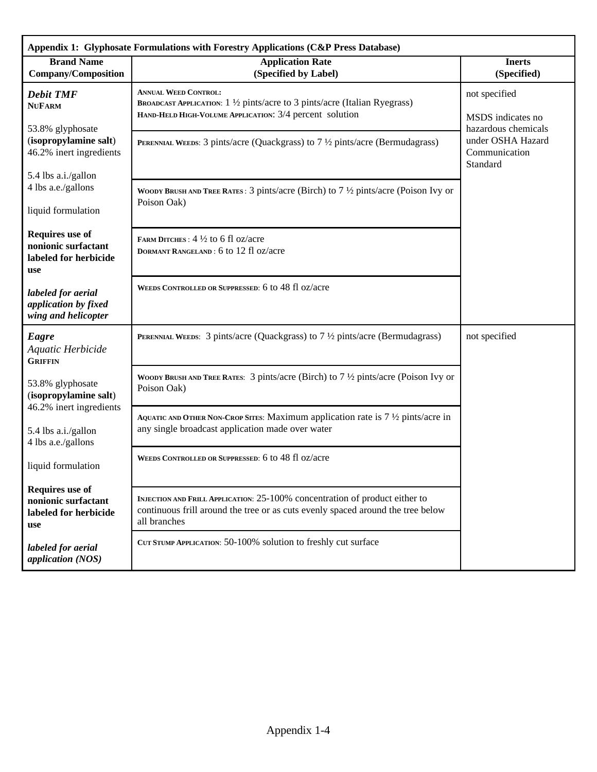| Appendix 1: Glyphosate Formulations with Forestry Applications (C&P Press Database)  |                                                                                                                                                                                |                                                                                                             |  |
|--------------------------------------------------------------------------------------|--------------------------------------------------------------------------------------------------------------------------------------------------------------------------------|-------------------------------------------------------------------------------------------------------------|--|
| <b>Brand Name</b><br><b>Company/Composition</b>                                      | <b>Application Rate</b><br>(Specified by Label)                                                                                                                                | <b>Inerts</b><br>(Specified)                                                                                |  |
| <b>Debit TMF</b><br><b>NUFARM</b><br>53.8% glyphosate                                | <b>ANNUAL WEED CONTROL:</b><br>BROADCAST APPLICATION: 1 1/2 pints/acre to 3 pints/acre (Italian Ryegrass)<br>HAND-HELD HIGH-VOLUME APPLICATION: 3/4 percent solution           | not specified<br>MSDS indicates no<br>hazardous chemicals<br>under OSHA Hazard<br>Communication<br>Standard |  |
| (isopropylamine salt)<br>46.2% inert ingredients                                     | <b>PERENNIAL WEEDS:</b> 3 pints/acre (Quackgrass) to $7\frac{1}{2}$ pints/acre (Bermudagrass)                                                                                  |                                                                                                             |  |
| 5.4 lbs a.i./gallon<br>4 lbs a.e./gallons<br>liquid formulation                      | WOODY BRUSH AND TREE RATES : 3 pints/acre (Birch) to $7\frac{1}{2}$ pints/acre (Poison Ivy or<br>Poison Oak)                                                                   |                                                                                                             |  |
| <b>Requires</b> use of<br>nonionic surfactant<br>labeled for herbicide<br><b>use</b> | FARM DITCHES: 4 1/2 to 6 fl oz/acre<br>DORMANT RANGELAND: 6 to 12 fl oz/acre                                                                                                   |                                                                                                             |  |
| labeled for aerial<br>application by fixed<br>wing and helicopter                    | WEEDS CONTROLLED OR SUPPRESSED: 6 to 48 fl oz/acre                                                                                                                             |                                                                                                             |  |
| Eagre<br>Aquatic Herbicide<br><b>GRIFFIN</b>                                         | <b>PERENNIAL WEEDS:</b> 3 pints/acre (Quackgrass) to $7\frac{1}{2}$ pints/acre (Bermudagrass)                                                                                  | not specified                                                                                               |  |
| 53.8% glyphosate<br>(isopropylamine salt)<br>46.2% inert ingredients                 | WOODY BRUSH AND TREE RATES: 3 pints/acre (Birch) to $7\frac{1}{2}$ pints/acre (Poison Ivy or<br>Poison Oak)                                                                    |                                                                                                             |  |
| 5.4 lbs a.i./gallon<br>4 lbs a.e./gallons                                            | AQUATIC AND OTHER NON-CROP SITES: Maximum application rate is $7\frac{1}{2}$ pints/acre in<br>any single broadcast application made over water                                 |                                                                                                             |  |
| liquid formulation                                                                   | WEEDS CONTROLLED OR SUPPRESSED: 6 to 48 fl oz/acre                                                                                                                             |                                                                                                             |  |
| <b>Requires</b> use of<br>nonionic surfactant<br>labeled for herbicide<br>use        | INJECTION AND FRILL APPLICATION: 25-100% concentration of product either to<br>continuous frill around the tree or as cuts evenly spaced around the tree below<br>all branches |                                                                                                             |  |
| labeled for aerial<br>application (NOS)                                              | CUT STUMP APPLICATION: 50-100% solution to freshly cut surface                                                                                                                 |                                                                                                             |  |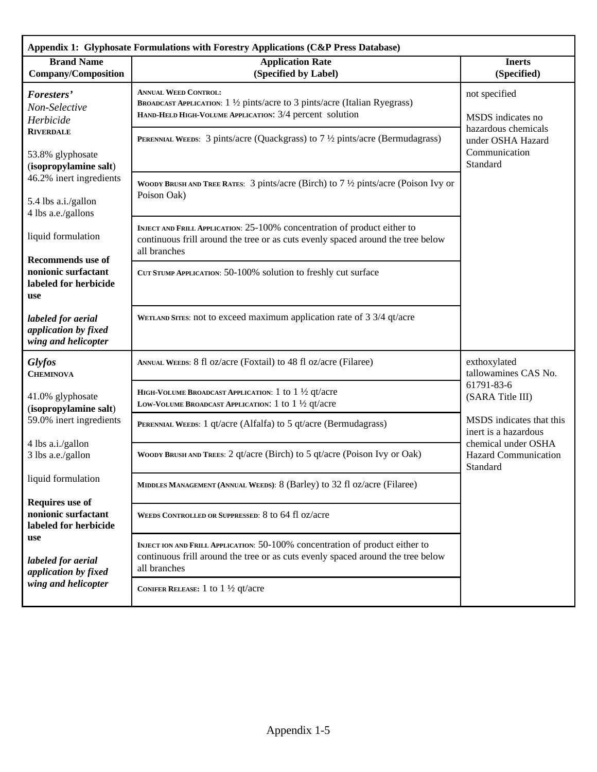| Appendix 1: Glyphosate Formulations with Forestry Applications (C&P Press Database) |                                                                                                                                                                                 |                                                                         |  |
|-------------------------------------------------------------------------------------|---------------------------------------------------------------------------------------------------------------------------------------------------------------------------------|-------------------------------------------------------------------------|--|
| <b>Brand Name</b><br><b>Company/Composition</b>                                     | <b>Application Rate</b><br>(Specified by Label)                                                                                                                                 | <b>Inerts</b><br>(Specified)                                            |  |
| Foresters'<br>Non-Selective<br>Herbicide                                            | <b>ANNUAL WEED CONTROL:</b><br>BROADCAST APPLICATION: 1 1/2 pints/acre to 3 pints/acre (Italian Ryegrass)<br>HAND-HELD HIGH-VOLUME APPLICATION: 3/4 percent solution            | not specified<br>MSDS indicates no                                      |  |
| <b>RIVERDALE</b><br>53.8% glyphosate<br>(isopropylamine salt)                       | <b>PERENNIAL WEEDS:</b> 3 pints/acre (Quackgrass) to $7\frac{1}{2}$ pints/acre (Bermudagrass)                                                                                   | hazardous chemicals<br>under OSHA Hazard<br>Communication<br>Standard   |  |
| 46.2% inert ingredients<br>5.4 lbs a.i./gallon<br>4 lbs a.e./gallons                | WOODY BRUSH AND TREE RATES: 3 pints/acre (Birch) to $7\frac{1}{2}$ pints/acre (Poison Ivy or<br>Poison Oak)                                                                     |                                                                         |  |
| liquid formulation                                                                  | INJECT AND FRILL APPLICATION: 25-100% concentration of product either to<br>continuous frill around the tree or as cuts evenly spaced around the tree below<br>all branches     |                                                                         |  |
| <b>Recommends</b> use of<br>nonionic surfactant<br>labeled for herbicide<br>use     | CUT STUMP APPLICATION: 50-100% solution to freshly cut surface                                                                                                                  |                                                                         |  |
| labeled for aerial<br>application by fixed<br>wing and helicopter                   | WETLAND SITES: not to exceed maximum application rate of 3 3/4 qt/acre                                                                                                          |                                                                         |  |
| <b>Glyfos</b><br><b>CHEMINOVA</b>                                                   | ANNUAL WEEDS: 8 fl oz/acre (Foxtail) to 48 fl oz/acre (Filaree)                                                                                                                 | exthoxylated<br>tallowamines CAS No.                                    |  |
| 41.0% glyphosate<br>(isopropylamine salt)                                           | HIGH-VOLUME BROADCAST APPLICATION: 1 to $1\frac{1}{2}$ qt/acre<br>LOW-VOLUME BROADCAST APPLICATION: 1 to $1\frac{1}{2}$ qt/acre                                                 | 61791-83-6<br>(SARA Title III)                                          |  |
| 59.0% inert ingredients<br>4 lbs a.i./gallon                                        | PERENNIAL WEEDS: 1 qt/acre (Alfalfa) to 5 qt/acre (Bermudagrass)                                                                                                                | MSDS indicates that this<br>inert is a hazardous<br>chemical under OSHA |  |
| 3 lbs a.e./gallon                                                                   | WOODY BRUSH AND TREES: 2 qt/acre (Birch) to 5 qt/acre (Poison Ivy or Oak)                                                                                                       | <b>Hazard Communication</b><br>Standard                                 |  |
| liquid formulation                                                                  | MIDDLES MANAGEMENT (ANNUAL WEEDS): 8 (Barley) to 32 fl oz/acre (Filaree)                                                                                                        |                                                                         |  |
| <b>Requires use of</b><br>nonionic surfactant<br>labeled for herbicide              | WEEDS CONTROLLED OR SUPPRESSED: 8 to 64 fl oz/acre                                                                                                                              |                                                                         |  |
| use<br>labeled for aerial<br>application by fixed<br>wing and helicopter            | INJECT ION AND FRILL APPLICATION: 50-100% concentration of product either to<br>continuous frill around the tree or as cuts evenly spaced around the tree below<br>all branches |                                                                         |  |
|                                                                                     | CONIFER RELEASE: 1 to $1\frac{1}{2}$ qt/acre                                                                                                                                    |                                                                         |  |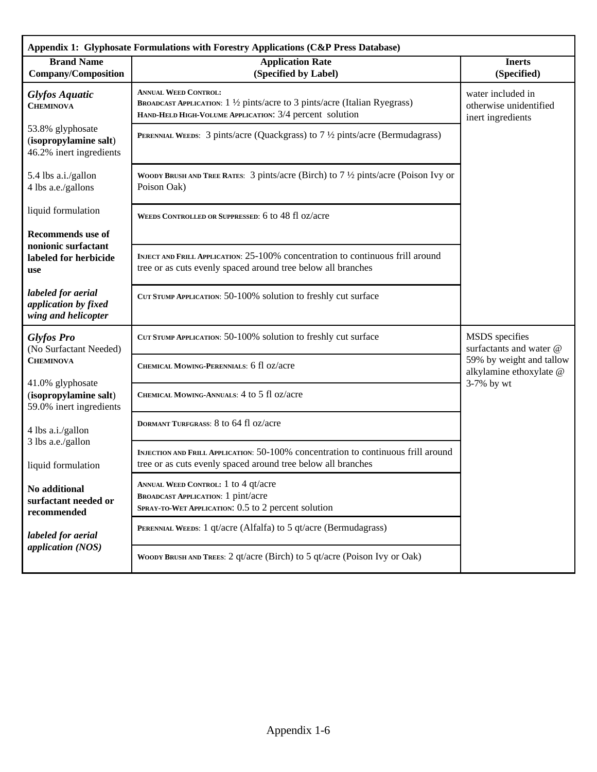| Appendix 1: Glyphosate Formulations with Forestry Applications (C&P Press Database) |                                                                                                                                                                      |                                                                  |  |
|-------------------------------------------------------------------------------------|----------------------------------------------------------------------------------------------------------------------------------------------------------------------|------------------------------------------------------------------|--|
| <b>Brand Name</b><br><b>Company/Composition</b>                                     | <b>Application Rate</b><br>(Specified by Label)                                                                                                                      | <b>Inerts</b><br>(Specified)                                     |  |
| <b>Glyfos Aquatic</b><br><b>CHEMINOVA</b>                                           | <b>ANNUAL WEED CONTROL:</b><br>BROADCAST APPLICATION: 1 1/2 pints/acre to 3 pints/acre (Italian Ryegrass)<br>HAND-HELD HIGH-VOLUME APPLICATION: 3/4 percent solution | water included in<br>otherwise unidentified<br>inert ingredients |  |
| 53.8% glyphosate<br>(isopropylamine salt)<br>46.2% inert ingredients                | <b>PERENNIAL WEEDS:</b> 3 pints/acre (Quackgrass) to $7\frac{1}{2}$ pints/acre (Bermudagrass)                                                                        |                                                                  |  |
| 5.4 lbs a.i./gallon<br>4 lbs a.e./gallons                                           | WOODY BRUSH AND TREE RATES: 3 pints/acre (Birch) to $7\frac{1}{2}$ pints/acre (Poison Ivy or<br>Poison Oak)                                                          |                                                                  |  |
| liquid formulation                                                                  | WEEDS CONTROLLED OR SUPPRESSED: 6 to 48 fl oz/acre                                                                                                                   |                                                                  |  |
| <b>Recommends</b> use of                                                            |                                                                                                                                                                      |                                                                  |  |
| nonionic surfactant<br>labeled for herbicide<br>use                                 | INJECT AND FRILL APPLICATION: 25-100% concentration to continuous frill around<br>tree or as cuts evenly spaced around tree below all branches                       |                                                                  |  |
| labeled for aerial<br>application by fixed<br>wing and helicopter                   | CUT STUMP APPLICATION: 50-100% solution to freshly cut surface                                                                                                       |                                                                  |  |
| <b>Glyfos Pro</b><br>(No Surfactant Needed)                                         | CUT STUMP APPLICATION: 50-100% solution to freshly cut surface                                                                                                       | MSDS specifies<br>surfactants and water @                        |  |
| <b>CHEMINOVA</b>                                                                    | CHEMICAL MOWING-PERENNIALS: 6 fl oz/acre                                                                                                                             | 59% by weight and tallow<br>alkylamine ethoxylate @              |  |
| 41.0% glyphosate<br>(isopropylamine salt)<br>59.0% inert ingredients                | CHEMICAL MOWING-ANNUALS: 4 to 5 fl oz/acre                                                                                                                           | 3-7% by wt                                                       |  |
| 4 lbs a.i./gallon                                                                   | DORMANT TURFGRASS: 8 to 64 fl oz/acre                                                                                                                                |                                                                  |  |
| 3 lbs a.e./gallon<br>liquid formulation                                             | INJECTION AND FRILL APPLICATION: 50-100% concentration to continuous frill around<br>tree or as cuts evenly spaced around tree below all branches                    |                                                                  |  |
| No additional<br>surfactant needed or<br>recommended                                | ANNUAL WEED CONTROL: 1 to 4 qt/acre<br><b>BROADCAST APPLICATION:</b> 1 pint/acre<br>SPRAY-TO-WET APPLICATION: 0.5 to 2 percent solution                              |                                                                  |  |
| labeled for aerial<br>application (NOS)                                             | PERENNIAL WEEDS: 1 qt/acre (Alfalfa) to 5 qt/acre (Bermudagrass)                                                                                                     |                                                                  |  |
|                                                                                     | WOODY BRUSH AND TREES: 2 qt/acre (Birch) to 5 qt/acre (Poison Ivy or Oak)                                                                                            |                                                                  |  |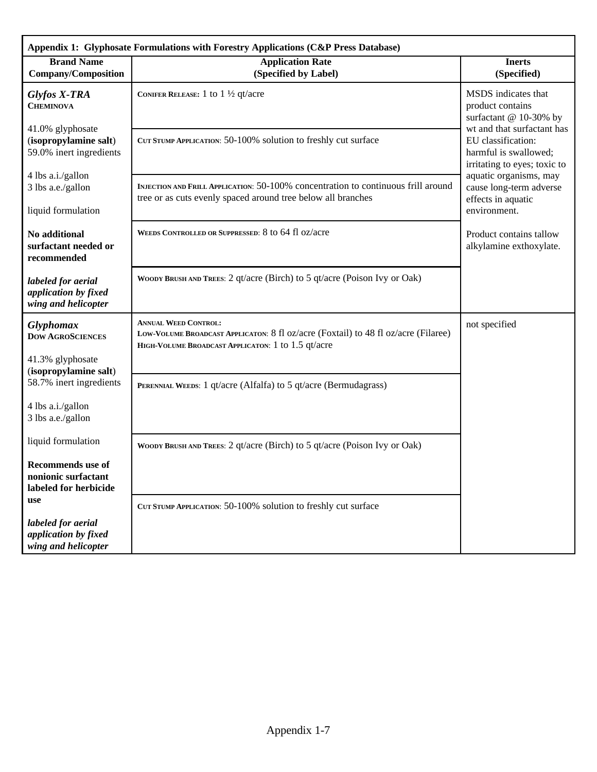| Appendix 1: Glyphosate Formulations with Forestry Applications (C&P Press Database) |                                                                                                                                                                         |                                                                                                           |  |
|-------------------------------------------------------------------------------------|-------------------------------------------------------------------------------------------------------------------------------------------------------------------------|-----------------------------------------------------------------------------------------------------------|--|
| <b>Brand Name</b><br><b>Company/Composition</b>                                     | <b>Application Rate</b><br>(Specified by Label)                                                                                                                         | <b>Inerts</b><br>(Specified)                                                                              |  |
| Glyfos X-TRA<br><b>CHEMINOVA</b>                                                    | CONIFER RELEASE: 1 to $1\frac{1}{2}$ qt/acre                                                                                                                            | MSDS indicates that<br>product contains<br>surfactant @ 10-30% by                                         |  |
| 41.0% glyphosate<br>(isopropylamine salt)<br>59.0% inert ingredients                | CUT STUMP APPLICATION: 50-100% solution to freshly cut surface                                                                                                          | wt and that surfactant has<br>EU classification:<br>harmful is swallowed;<br>irritating to eyes; toxic to |  |
| 4 lbs a.i./gallon<br>3 lbs a.e./gallon<br>liquid formulation                        | INJECTION AND FRILL APPLICATION: 50-100% concentration to continuous frill around<br>tree or as cuts evenly spaced around tree below all branches                       | aquatic organisms, may<br>cause long-term adverse<br>effects in aquatic<br>environment.                   |  |
| No additional<br>surfactant needed or<br>recommended                                | WEEDS CONTROLLED OR SUPPRESSED: 8 to 64 fl oz/acre                                                                                                                      | Product contains tallow<br>alkylamine exthoxylate.                                                        |  |
| labeled for aerial<br>application by fixed<br>wing and helicopter                   | WOODY BRUSH AND TREES: 2 qt/acre (Birch) to 5 qt/acre (Poison Ivy or Oak)                                                                                               |                                                                                                           |  |
| <b>Glyphomax</b><br><b>DOW AGROSCIENCES</b>                                         | <b>ANNUAL WEED CONTROL:</b><br>LOW-VOLUME BROADCAST APPLICATON: 8 fl oz/acre (Foxtail) to 48 fl oz/acre (Filaree)<br>HIGH-VOLUME BROADCAST APPLICATON: 1 to 1.5 qt/acre | not specified                                                                                             |  |
| 41.3% glyphosate<br>(isopropylamine salt)                                           |                                                                                                                                                                         |                                                                                                           |  |
| 58.7% inert ingredients                                                             | PERENNIAL WEEDS: 1 qt/acre (Alfalfa) to 5 qt/acre (Bermudagrass)                                                                                                        |                                                                                                           |  |
| 4 lbs a.i./gallon<br>3 lbs a.e./gallon                                              |                                                                                                                                                                         |                                                                                                           |  |
| liquid formulation                                                                  | WOODY BRUSH AND TREES: 2 qt/acre (Birch) to 5 qt/acre (Poison Ivy or Oak)                                                                                               |                                                                                                           |  |
| <b>Recommends</b> use of<br>nonionic surfactant<br>labeled for herbicide            |                                                                                                                                                                         |                                                                                                           |  |
| use                                                                                 | CUT STUMP APPLICATION: 50-100% solution to freshly cut surface                                                                                                          |                                                                                                           |  |
| labeled for aerial<br>application by fixed<br>wing and helicopter                   |                                                                                                                                                                         |                                                                                                           |  |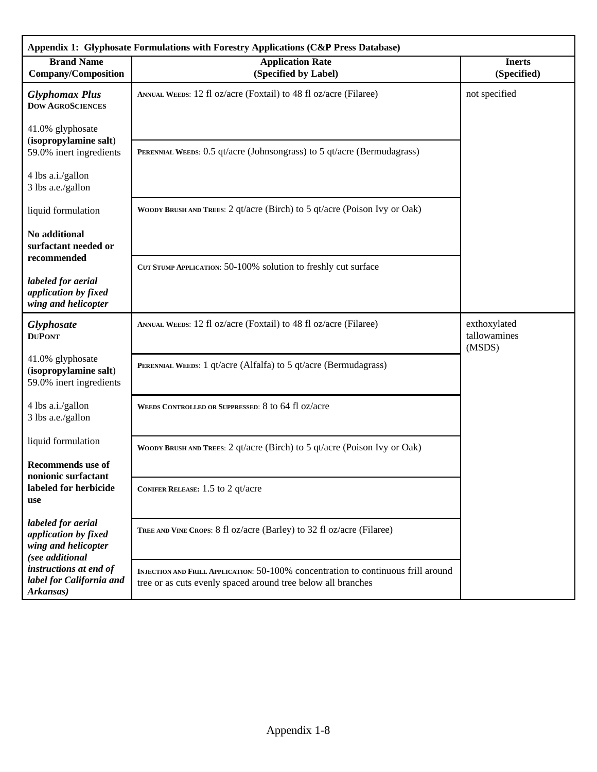| Appendix 1: Glyphosate Formulations with Forestry Applications (C&P Press Database)  |                                                                                                                                                   |                                        |  |
|--------------------------------------------------------------------------------------|---------------------------------------------------------------------------------------------------------------------------------------------------|----------------------------------------|--|
| <b>Brand Name</b><br><b>Company/Composition</b>                                      | <b>Application Rate</b><br>(Specified by Label)                                                                                                   | <b>Inerts</b><br>(Specified)           |  |
| <b>Glyphomax Plus</b><br><b>DOW AGROSCIENCES</b>                                     | ANNUAL WEEDS: 12 fl oz/acre (Foxtail) to 48 fl oz/acre (Filaree)                                                                                  | not specified                          |  |
| 41.0% glyphosate<br>(isopropylamine salt)<br>59.0% inert ingredients                 | PERENNIAL WEEDS: 0.5 qt/acre (Johnsongrass) to 5 qt/acre (Bermudagrass)                                                                           |                                        |  |
| 4 lbs a.i./gallon<br>3 lbs a.e./gallon                                               |                                                                                                                                                   |                                        |  |
| liquid formulation                                                                   | WOODY BRUSH AND TREES: 2 qt/acre (Birch) to 5 qt/acre (Poison Ivy or Oak)                                                                         |                                        |  |
| No additional<br>surfactant needed or                                                |                                                                                                                                                   |                                        |  |
| recommended<br>labeled for aerial<br>application by fixed<br>wing and helicopter     | CUT STUMP APPLICATION: 50-100% solution to freshly cut surface                                                                                    |                                        |  |
| Glyphosate<br><b>DUPONT</b>                                                          | ANNUAL WEEDS: 12 fl oz/acre (Foxtail) to 48 fl oz/acre (Filaree)                                                                                  | exthoxylated<br>tallowamines<br>(MSDS) |  |
| 41.0% glyphosate<br>(isopropylamine salt)<br>59.0% inert ingredients                 | PERENNIAL WEEDS: 1 qt/acre (Alfalfa) to 5 qt/acre (Bermudagrass)                                                                                  |                                        |  |
| 4 lbs a.i./gallon<br>3 lbs a.e./gallon                                               | WEEDS CONTROLLED OR SUPPRESSED: 8 to 64 fl oz/acre                                                                                                |                                        |  |
| liquid formulation                                                                   | WOODY BRUSH AND TREES: 2 qt/acre (Birch) to 5 qt/acre (Poison Ivy or Oak)                                                                         |                                        |  |
| <b>Recommends</b> use of<br>nonionic surfactant<br>labeled for herbicide<br>use      | CONIFER RELEASE: 1.5 to 2 qt/acre                                                                                                                 |                                        |  |
| labeled for aerial<br>application by fixed<br>wing and helicopter<br>(see additional | TREE AND VINE CROPS: 8 fl oz/acre (Barley) to 32 fl oz/acre (Filaree)                                                                             |                                        |  |
| instructions at end of<br>label for California and<br>Arkansas)                      | INJECTION AND FRILL APPLICATION: 50-100% concentration to continuous frill around<br>tree or as cuts evenly spaced around tree below all branches |                                        |  |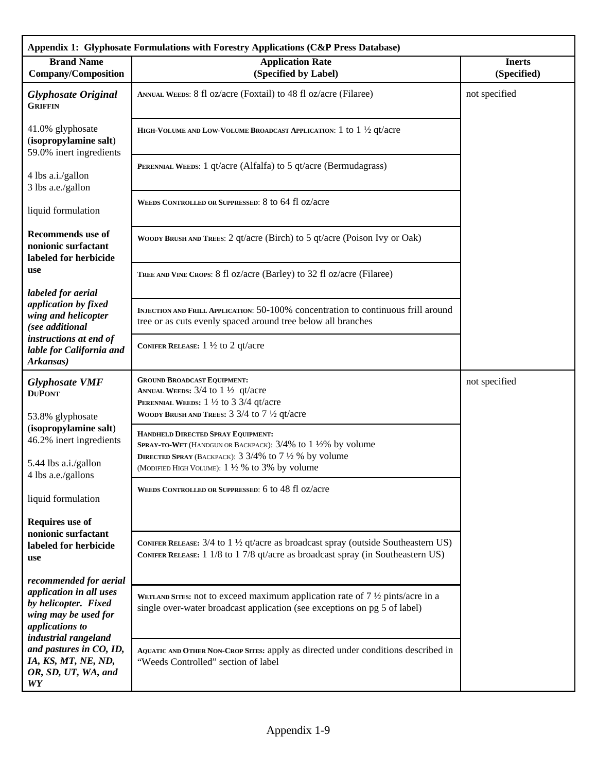|                                                                                                                    | Appendix 1: Glyphosate Formulations with Forestry Applications (C&P Press Database)                                                                                                                        |                              |
|--------------------------------------------------------------------------------------------------------------------|------------------------------------------------------------------------------------------------------------------------------------------------------------------------------------------------------------|------------------------------|
| <b>Brand Name</b><br><b>Company/Composition</b>                                                                    | <b>Application Rate</b><br>(Specified by Label)                                                                                                                                                            | <b>Inerts</b><br>(Specified) |
| <b>Glyphosate Original</b><br><b>GRIFFIN</b>                                                                       | ANNUAL WEEDS: 8 fl oz/acre (Foxtail) to 48 fl oz/acre (Filaree)                                                                                                                                            | not specified                |
| 41.0% glyphosate<br>(isopropylamine salt)<br>59.0% inert ingredients                                               | HIGH-VOLUME AND LOW-VOLUME BROADCAST APPLICATION: 1 to 1 1/2 qt/acre                                                                                                                                       |                              |
| 4 lbs a.i./gallon<br>3 lbs a.e./gallon                                                                             | PERENNIAL WEEDS: 1 qt/acre (Alfalfa) to 5 qt/acre (Bermudagrass)                                                                                                                                           |                              |
| liquid formulation                                                                                                 | WEEDS CONTROLLED OR SUPPRESSED: 8 to 64 fl oz/acre                                                                                                                                                         |                              |
| <b>Recommends</b> use of<br>nonionic surfactant<br>labeled for herbicide                                           | WOODY BRUSH AND TREES: 2 qt/acre (Birch) to 5 qt/acre (Poison Ivy or Oak)                                                                                                                                  |                              |
| use                                                                                                                | TREE AND VINE CROPS: 8 fl oz/acre (Barley) to 32 fl oz/acre (Filaree)                                                                                                                                      |                              |
| labeled for aerial<br>application by fixed<br>wing and helicopter<br>(see additional                               | INJECTION AND FRILL APPLICATION: 50-100% concentration to continuous frill around<br>tree or as cuts evenly spaced around tree below all branches                                                          |                              |
| instructions at end of<br>lable for California and<br>Arkansas)                                                    | CONIFER RELEASE: $1\frac{1}{2}$ to 2 qt/acre                                                                                                                                                               |                              |
| <b>Glyphosate VMF</b><br><b>DUPONT</b><br>53.8% glyphosate                                                         | <b>GROUND BROADCAST EQUIPMENT:</b><br>ANNUAL WEEDS: $3/4$ to $1\frac{1}{2}$ qt/acre<br>PERENNIAL WEEDS: $1\frac{1}{2}$ to 3 3/4 qt/acre<br>WOODY BRUSH AND TREES: $3\frac{3}{4}$ to $7\frac{1}{2}$ qt/acre | not specified                |
| (isopropylamine salt)<br>46.2% inert ingredients                                                                   | HANDHELD DIRECTED SPRAY EQUIPMENT:<br>SPRAY-TO-WET (HANDGUN OR BACKPACK): 3/4% to 1 ½% by volume<br>DIRECTED SPRAY (BACKPACK): $3\frac{3}{4\%}$ to $7\frac{1}{2}\%$ by volume                              |                              |
| 5.44 lbs a.i./gallon<br>4 lbs a.e./gallons                                                                         | (MODIFIED HIGH VOLUME): 1 1/2 % to 3% by volume                                                                                                                                                            |                              |
| liquid formulation                                                                                                 | WEEDS CONTROLLED OR SUPPRESSED: 6 to 48 fl oz/acre                                                                                                                                                         |                              |
| <b>Requires use of</b><br>nonionic surfactant                                                                      |                                                                                                                                                                                                            |                              |
| labeled for herbicide<br>use                                                                                       | CONIFER RELEASE: 3/4 to 1 1/2 qt/acre as broadcast spray (outside Southeastern US)<br>CONIFER RELEASE: 1 1/8 to 1 7/8 qt/acre as broadcast spray (in Southeastern US)                                      |                              |
| recommended for aerial                                                                                             |                                                                                                                                                                                                            |                              |
| application in all uses<br>by helicopter. Fixed<br>wing may be used for<br>applications to<br>industrial rangeland | WETLAND SITES: not to exceed maximum application rate of $7\frac{1}{2}$ pints/acre in a<br>single over-water broadcast application (see exceptions on pg 5 of label)                                       |                              |
| and pastures in CO, ID,<br>IA, KS, MT, NE, ND,<br>OR, SD, UT, WA, and<br>WY                                        | AQUATIC AND OTHER NON-CROP SITES: apply as directed under conditions described in<br>"Weeds Controlled" section of label                                                                                   |                              |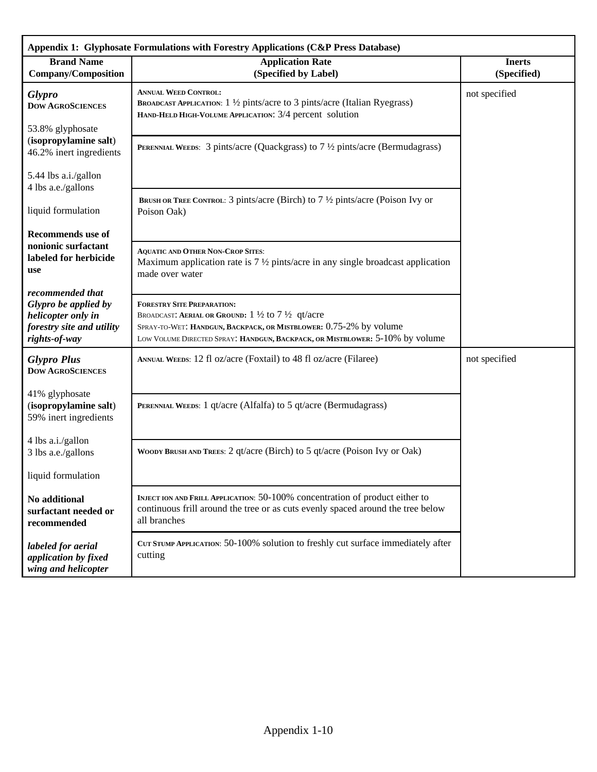| Appendix 1: Glyphosate Formulations with Forestry Applications (C&P Press Database)                          |                                                                                                                                                                                                                                                                 |                              |  |
|--------------------------------------------------------------------------------------------------------------|-----------------------------------------------------------------------------------------------------------------------------------------------------------------------------------------------------------------------------------------------------------------|------------------------------|--|
| <b>Brand Name</b><br><b>Company/Composition</b>                                                              | <b>Application Rate</b><br>(Specified by Label)                                                                                                                                                                                                                 | <b>Inerts</b><br>(Specified) |  |
| <b>Glypro</b><br><b>DOW AGROSCIENCES</b><br>53.8% glyphosate                                                 | <b>ANNUAL WEED CONTROL:</b><br>BROADCAST APPLICATION: 1 ½ pints/acre to 3 pints/acre (Italian Ryegrass)<br>HAND-HELD HIGH-VOLUME APPLICATION: 3/4 percent solution                                                                                              | not specified                |  |
| (isopropylamine salt)<br>46.2% inert ingredients                                                             | <b>PERENNIAL WEEDS:</b> 3 pints/acre (Quackgrass) to $7\frac{1}{2}$ pints/acre (Bermudagrass)                                                                                                                                                                   |                              |  |
| 5.44 lbs a.i./gallon<br>4 lbs a.e./gallons                                                                   |                                                                                                                                                                                                                                                                 |                              |  |
| liquid formulation                                                                                           | BRUSH OR TREE CONTROL: 3 pints/acre (Birch) to 7 1/2 pints/acre (Poison Ivy or<br>Poison Oak)                                                                                                                                                                   |                              |  |
| <b>Recommends</b> use of                                                                                     |                                                                                                                                                                                                                                                                 |                              |  |
| nonionic surfactant<br>labeled for herbicide<br>use                                                          | <b>AQUATIC AND OTHER NON-CROP SITES:</b><br>Maximum application rate is $7\frac{1}{2}$ pints/acre in any single broadcast application<br>made over water                                                                                                        |                              |  |
| recommended that<br>Glypro be applied by<br>helicopter only in<br>forestry site and utility<br>rights-of-way | <b>FORESTRY SITE PREPARATION:</b><br>BROADCAST: AERIAL OR GROUND: $1\frac{1}{2}$ to $7\frac{1}{2}$ qt/acre<br>SPRAY-TO-WET: HANDGUN, BACKPACK, OR MISTBLOWER: 0.75-2% by volume<br>LOW VOLUME DIRECTED SPRAY: HANDGUN, BACKPACK, OR MISTBLOWER: 5-10% by volume |                              |  |
| <b>Glypro Plus</b><br><b>DOW AGROSCIENCES</b>                                                                | ANNUAL WEEDS: 12 fl oz/acre (Foxtail) to 48 fl oz/acre (Filaree)                                                                                                                                                                                                | not specified                |  |
| 41% glyphosate<br>(isopropylamine salt)<br>59% inert ingredients                                             | PERENNIAL WEEDS: 1 qt/acre (Alfalfa) to 5 qt/acre (Bermudagrass)                                                                                                                                                                                                |                              |  |
| 4 lbs a.i./gallon<br>3 lbs a.e./gallons                                                                      | WOODY BRUSH AND TREES: 2 qt/acre (Birch) to 5 qt/acre (Poison Ivy or Oak)                                                                                                                                                                                       |                              |  |
| liquid formulation                                                                                           |                                                                                                                                                                                                                                                                 |                              |  |
| No additional<br>surfactant needed or<br>recommended                                                         | INJECT ION AND FRILL APPLICATION: 50-100% concentration of product either to<br>continuous frill around the tree or as cuts evenly spaced around the tree below<br>all branches                                                                                 |                              |  |
| labeled for aerial<br>application by fixed<br>wing and helicopter                                            | CUT STUMP APPLICATION: 50-100% solution to freshly cut surface immediately after<br>cutting                                                                                                                                                                     |                              |  |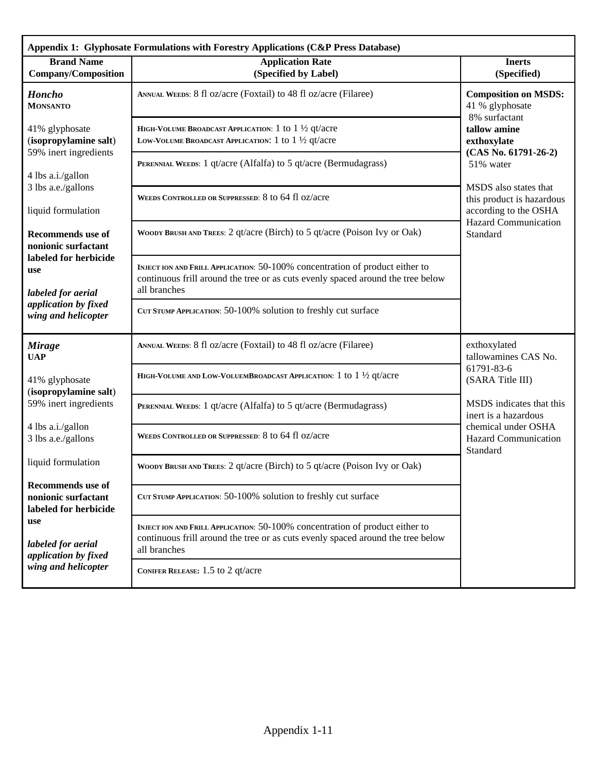| Appendix 1: Glyphosate Formulations with Forestry Applications (C&P Press Database)               |                                                                                                                                                                                              |                                                                             |  |
|---------------------------------------------------------------------------------------------------|----------------------------------------------------------------------------------------------------------------------------------------------------------------------------------------------|-----------------------------------------------------------------------------|--|
| <b>Brand Name</b><br><b>Company/Composition</b>                                                   | <b>Application Rate</b><br>(Specified by Label)                                                                                                                                              | <b>Inerts</b><br>(Specified)                                                |  |
| <b>Honcho</b><br><b>MONSANTO</b>                                                                  | ANNUAL WEEDS: 8 fl oz/acre (Foxtail) to 48 fl oz/acre (Filaree)                                                                                                                              | <b>Composition on MSDS:</b><br>41 % glyphosate<br>8% surfactant             |  |
| 41% glyphosate<br>(isopropylamine salt)<br>59% inert ingredients<br>4 lbs a.i./gallon             | HIGH-VOLUME BROADCAST APPLICATION: $1$ to $1\frac{1}{2}$ qt/acre<br>LOW-VOLUME BROADCAST APPLICATION: 1 to 1 1/2 qt/acre<br>PERENNIAL WEEDS: 1 qt/acre (Alfalfa) to 5 qt/acre (Bermudagrass) | tallow amine<br>exthoxylate<br>$(CAS No. 61791-26-2)$<br>51% water          |  |
| 3 lbs a.e./gallons<br>liquid formulation                                                          | WEEDS CONTROLLED OR SUPPRESSED: 8 to 64 fl oz/acre                                                                                                                                           | MSDS also states that<br>this product is hazardous<br>according to the OSHA |  |
| <b>Recommends</b> use of<br>nonionic surfactant                                                   | WOODY BRUSH AND TREES: 2 qt/acre (Birch) to 5 qt/acre (Poison Ivy or Oak)                                                                                                                    | <b>Hazard Communication</b><br>Standard                                     |  |
| labeled for herbicide<br>use<br>labeled for aerial<br>application by fixed<br>wing and helicopter | INJECT ION AND FRILL APPLICATION: 50-100% concentration of product either to<br>continuous frill around the tree or as cuts evenly spaced around the tree below<br>all branches              |                                                                             |  |
|                                                                                                   | CUT STUMP APPLICATION: 50-100% solution to freshly cut surface                                                                                                                               |                                                                             |  |
| <b>Mirage</b><br><b>UAP</b>                                                                       | ANNUAL WEEDS: 8 fl oz/acre (Foxtail) to 48 fl oz/acre (Filaree)                                                                                                                              | exthoxylated<br>tallowamines CAS No.                                        |  |
| 41% glyphosate<br>(isopropylamine salt)                                                           | HIGH-VOLUME AND LOW-VOLUEMBROADCAST APPLICATION: 1 to 1 1/2 qt/acre                                                                                                                          | 61791-83-6<br>(SARA Title III)                                              |  |
| 59% inert ingredients                                                                             | PERENNIAL WEEDS: 1 qt/acre (Alfalfa) to 5 qt/acre (Bermudagrass)                                                                                                                             | MSDS indicates that this<br>inert is a hazardous                            |  |
| 4 lbs a.i./gallon<br>3 lbs a.e./gallons                                                           | WEEDS CONTROLLED OR SUPPRESSED: 8 to 64 fl oz/acre                                                                                                                                           | chemical under OSHA<br><b>Hazard Communication</b><br>Standard              |  |
| liquid formulation                                                                                | WOODY BRUSH AND TREES: 2 qt/acre (Birch) to 5 qt/acre (Poison Ivy or Oak)                                                                                                                    |                                                                             |  |
| <b>Recommends</b> use of<br>nonionic surfactant<br>labeled for herbicide                          | CUT STUMP APPLICATION: 50-100% solution to freshly cut surface                                                                                                                               |                                                                             |  |
| use<br>labeled for aerial<br>application by fixed<br>wing and helicopter                          | INJECT ION AND FRILL APPLICATION: 50-100% concentration of product either to<br>continuous frill around the tree or as cuts evenly spaced around the tree below<br>all branches              |                                                                             |  |
|                                                                                                   | CONIFER RELEASE: 1.5 to 2 qt/acre                                                                                                                                                            |                                                                             |  |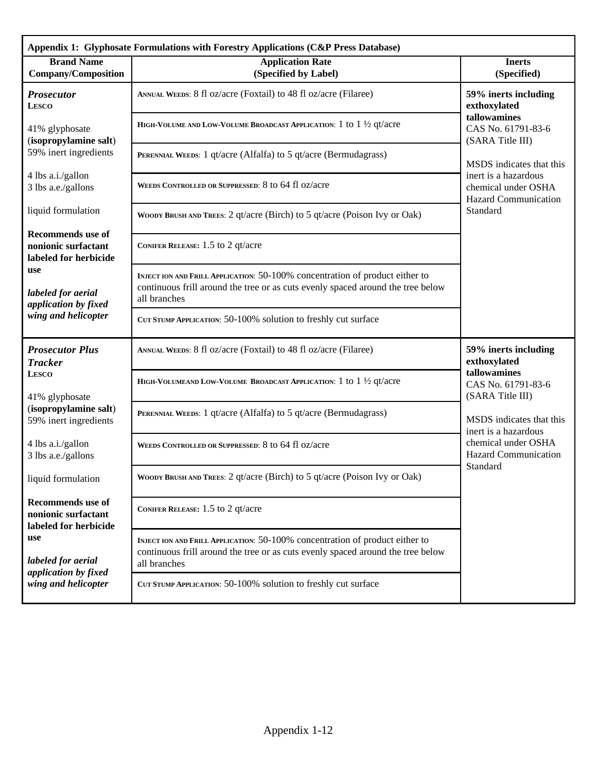| Appendix 1: Glyphosate Formulations with Forestry Applications (C&P Press Database) |                                                                                                                                                                                 |                                                                                                                    |  |
|-------------------------------------------------------------------------------------|---------------------------------------------------------------------------------------------------------------------------------------------------------------------------------|--------------------------------------------------------------------------------------------------------------------|--|
| <b>Brand Name</b><br><b>Company/Composition</b>                                     | <b>Application Rate</b><br>(Specified by Label)                                                                                                                                 | <b>Inerts</b><br>(Specified)                                                                                       |  |
| <b>Prosecutor</b><br><b>LESCO</b>                                                   | ANNUAL WEEDS: 8 fl oz/acre (Foxtail) to 48 fl oz/acre (Filaree)                                                                                                                 | 59% inerts including<br>exthoxylated                                                                               |  |
| 41% glyphosate<br>(isopropylamine salt)                                             | HIGH-VOLUME AND LOW-VOLUME BROADCAST APPLICATION: $1$ to $1\frac{1}{2}$ qt/acre                                                                                                 | tallowamines<br>CAS No. 61791-83-6<br>(SARA Title III)                                                             |  |
| 59% inert ingredients                                                               | PERENNIAL WEEDS: 1 qt/acre (Alfalfa) to 5 qt/acre (Bermudagrass)                                                                                                                | MSDS indicates that this                                                                                           |  |
| 4 lbs a.i./gallon<br>3 lbs a.e./gallons                                             | WEEDS CONTROLLED OR SUPPRESSED: 8 to 64 fl oz/acre                                                                                                                              | inert is a hazardous<br>chemical under OSHA<br><b>Hazard Communication</b>                                         |  |
| liquid formulation                                                                  | WOODY BRUSH AND TREES: 2 qt/acre (Birch) to 5 qt/acre (Poison Ivy or Oak)                                                                                                       | Standard                                                                                                           |  |
| <b>Recommends</b> use of<br>nonionic surfactant<br>labeled for herbicide            | CONIFER RELEASE: 1.5 to 2 qt/acre                                                                                                                                               |                                                                                                                    |  |
| use<br>labeled for aerial<br>application by fixed                                   | INJECT ION AND FRILL APPLICATION: 50-100% concentration of product either to<br>continuous frill around the tree or as cuts evenly spaced around the tree below<br>all branches |                                                                                                                    |  |
| wing and helicopter                                                                 | CUT STUMP APPLICATION: 50-100% solution to freshly cut surface                                                                                                                  |                                                                                                                    |  |
| <b>Prosecutor Plus</b><br><b>Tracker</b>                                            | ANNUAL WEEDS: 8 fl oz/acre (Foxtail) to 48 fl oz/acre (Filaree)                                                                                                                 | 59% inerts including<br>exthoxylated                                                                               |  |
| <b>LESCO</b><br>41% glyphosate                                                      | HIGH-VOLUMEAND LOW-VOLUME BROADCAST APPLICATION: 1 to 1 1/2 qt/acre                                                                                                             | tallowamines<br>CAS No. 61791-83-6<br>(SARA Title III)                                                             |  |
| (isopropylamine salt)<br>59% inert ingredients                                      | PERENNIAL WEEDS: 1 qt/acre (Alfalfa) to 5 qt/acre (Bermudagrass)                                                                                                                | MSDS indicates that this<br>inert is a hazardous<br>chemical under OSHA<br><b>Hazard Communication</b><br>Standard |  |
| 4 lbs a.i./gallon<br>3 lbs a.e./gallons                                             | WEEDS CONTROLLED OR SUPPRESSED: 8 to 64 fl oz/acre                                                                                                                              |                                                                                                                    |  |
| liquid formulation                                                                  | WOODY BRUSH AND TREES: 2 qt/acre (Birch) to 5 qt/acre (Poison Ivy or Oak)                                                                                                       |                                                                                                                    |  |
| <b>Recommends</b> use of<br>nonionic surfactant<br>labeled for herbicide            | CONIFER RELEASE: 1.5 to 2 qt/acre                                                                                                                                               |                                                                                                                    |  |
| use<br>labeled for aerial                                                           | INJECT ION AND FRILL APPLICATION: 50-100% concentration of product either to<br>continuous frill around the tree or as cuts evenly spaced around the tree below<br>all branches |                                                                                                                    |  |
| application by fixed<br>wing and helicopter                                         | CUT STUMP APPLICATION: 50-100% solution to freshly cut surface                                                                                                                  |                                                                                                                    |  |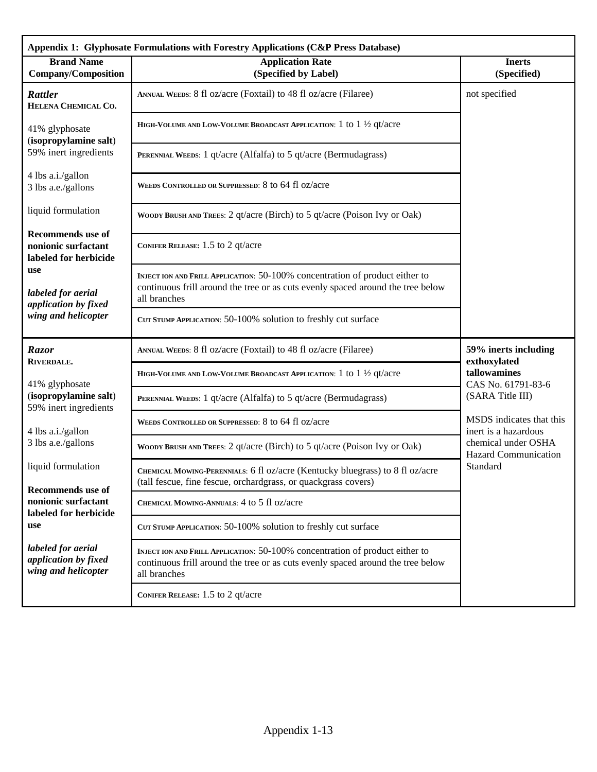| Appendix 1: Glyphosate Formulations with Forestry Applications (C&P Press Database) |                                                                                                                                                                                 |                                                                                                        |  |
|-------------------------------------------------------------------------------------|---------------------------------------------------------------------------------------------------------------------------------------------------------------------------------|--------------------------------------------------------------------------------------------------------|--|
| <b>Brand Name</b><br><b>Company/Composition</b>                                     | <b>Application Rate</b><br>(Specified by Label)                                                                                                                                 | <b>Inerts</b><br>(Specified)                                                                           |  |
| <b>Rattler</b><br>HELENA CHEMICAL CO.                                               | ANNUAL WEEDS: 8 fl oz/acre (Foxtail) to 48 fl oz/acre (Filaree)                                                                                                                 | not specified                                                                                          |  |
| 41% glyphosate<br>(isopropylamine salt)                                             | HIGH-VOLUME AND LOW-VOLUME BROADCAST APPLICATION: 1 to $1\frac{1}{2}$ qt/acre                                                                                                   |                                                                                                        |  |
| 59% inert ingredients                                                               | PERENNIAL WEEDS: 1 qt/acre (Alfalfa) to 5 qt/acre (Bermudagrass)                                                                                                                |                                                                                                        |  |
| 4 lbs a.i./gallon<br>3 lbs a.e./gallons                                             | WEEDS CONTROLLED OR SUPPRESSED: 8 to 64 fl oz/acre                                                                                                                              |                                                                                                        |  |
| liquid formulation                                                                  | WOODY BRUSH AND TREES: 2 qt/acre (Birch) to 5 qt/acre (Poison Ivy or Oak)                                                                                                       |                                                                                                        |  |
| <b>Recommends</b> use of<br>nonionic surfactant<br>labeled for herbicide            | CONIFER RELEASE: 1.5 to 2 qt/acre                                                                                                                                               |                                                                                                        |  |
| use<br>labeled for aerial<br>application by fixed                                   | INJECT ION AND FRILL APPLICATION: 50-100% concentration of product either to<br>continuous frill around the tree or as cuts evenly spaced around the tree below<br>all branches |                                                                                                        |  |
| wing and helicopter                                                                 | CUT STUMP APPLICATION: 50-100% solution to freshly cut surface                                                                                                                  |                                                                                                        |  |
| Razor<br>RIVERDALE.                                                                 | ANNUAL WEEDS: 8 fl oz/acre (Foxtail) to 48 fl oz/acre (Filaree)                                                                                                                 | 59% inerts including<br>exthoxylated<br>tallowamines<br>CAS No. 61791-83-6                             |  |
| 41% glyphosate                                                                      | HIGH-VOLUME AND LOW-VOLUME BROADCAST APPLICATION: $1$ to $1\frac{1}{2}$ qt/acre                                                                                                 |                                                                                                        |  |
| (isopropylamine salt)<br>59% inert ingredients                                      | PERENNIAL WEEDS: 1 qt/acre (Alfalfa) to 5 qt/acre (Bermudagrass)                                                                                                                | (SARA Title III)                                                                                       |  |
| 4 lbs a.i./gallon                                                                   | WEEDS CONTROLLED OR SUPPRESSED: 8 to 64 fl oz/acre                                                                                                                              | MSDS indicates that this<br>inert is a hazardous<br>chemical under OSHA<br><b>Hazard Communication</b> |  |
| 3 lbs a.e./gallons                                                                  | WOODY BRUSH AND TREES: 2 qt/acre (Birch) to 5 qt/acre (Poison Ivy or Oak)                                                                                                       |                                                                                                        |  |
| liquid formulation<br><b>Recommends</b> use of                                      | CHEMICAL MOWING-PERENNIALS: 6 fl oz/acre (Kentucky bluegrass) to 8 fl oz/acre<br>(tall fescue, fine fescue, orchardgrass, or quackgrass covers)                                 | Standard                                                                                               |  |
| nonionic surfactant<br>labeled for herbicide                                        | CHEMICAL MOWING-ANNUALS: 4 to 5 fl oz/acre                                                                                                                                      |                                                                                                        |  |
| use                                                                                 | CUT STUMP APPLICATION: 50-100% solution to freshly cut surface                                                                                                                  |                                                                                                        |  |
| labeled for aerial<br>application by fixed<br>wing and helicopter                   | INJECT ION AND FRILL APPLICATION: 50-100% concentration of product either to<br>continuous frill around the tree or as cuts evenly spaced around the tree below<br>all branches |                                                                                                        |  |
|                                                                                     | CONIFER RELEASE: 1.5 to 2 qt/acre                                                                                                                                               |                                                                                                        |  |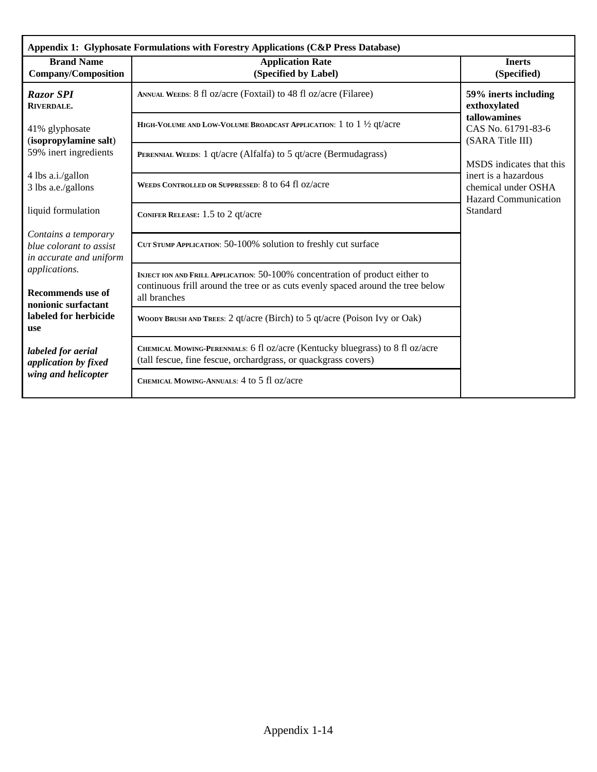| Appendix 1: Glyphosate Formulations with Forestry Applications (C&P Press Database) |                                                                                                                                                                                 |                                                                            |  |
|-------------------------------------------------------------------------------------|---------------------------------------------------------------------------------------------------------------------------------------------------------------------------------|----------------------------------------------------------------------------|--|
| <b>Brand Name</b><br><b>Company/Composition</b>                                     | <b>Application Rate</b><br>(Specified by Label)                                                                                                                                 | <b>Inerts</b><br>(Specified)                                               |  |
| <b>Razor SPI</b><br>RIVERDALE.                                                      | ANNUAL WEEDS: 8 fl oz/acre (Foxtail) to 48 fl oz/acre (Filaree)                                                                                                                 | 59% inerts including<br>exthoxylated                                       |  |
| 41% glyphosate<br>(isopropylamine salt)                                             | HIGH-VOLUME AND LOW-VOLUME BROADCAST APPLICATION: 1 to 1 1/2 qt/acre                                                                                                            | tallowamines<br>CAS No. 61791-83-6<br>(SARA Title III)                     |  |
| 59% inert ingredients                                                               | PERENNIAL WEEDS: 1 qt/acre (Alfalfa) to 5 qt/acre (Bermudagrass)                                                                                                                | MSDS indicates that this                                                   |  |
| 4 lbs a.i./gallon<br>3 lbs a.e./gallons                                             | WEEDS CONTROLLED OR SUPPRESSED: 8 to 64 fl oz/acre                                                                                                                              | inert is a hazardous<br>chemical under OSHA<br><b>Hazard Communication</b> |  |
| liquid formulation                                                                  | CONIFER RELEASE: $1.5$ to 2 qt/acre                                                                                                                                             | Standard                                                                   |  |
| Contains a temporary<br>blue colorant to assist<br>in accurate and uniform          | CUT STUMP APPLICATION: 50-100% solution to freshly cut surface                                                                                                                  |                                                                            |  |
| applications.<br><b>Recommends</b> use of<br>nonionic surfactant                    | INJECT ION AND FRILL APPLICATION: 50-100% concentration of product either to<br>continuous frill around the tree or as cuts evenly spaced around the tree below<br>all branches |                                                                            |  |
| labeled for herbicide<br><b>use</b>                                                 | WOODY BRUSH AND TREES: 2 qt/acre (Birch) to 5 qt/acre (Poison Ivy or Oak)                                                                                                       |                                                                            |  |
| labeled for aerial<br>application by fixed                                          | CHEMICAL MOWING-PERENNIALS: 6 fl oz/acre (Kentucky bluegrass) to 8 fl oz/acre<br>(tall fescue, fine fescue, orchardgrass, or quackgrass covers)                                 |                                                                            |  |
| wing and helicopter                                                                 | CHEMICAL MOWING-ANNUALS: 4 to 5 fl oz/acre                                                                                                                                      |                                                                            |  |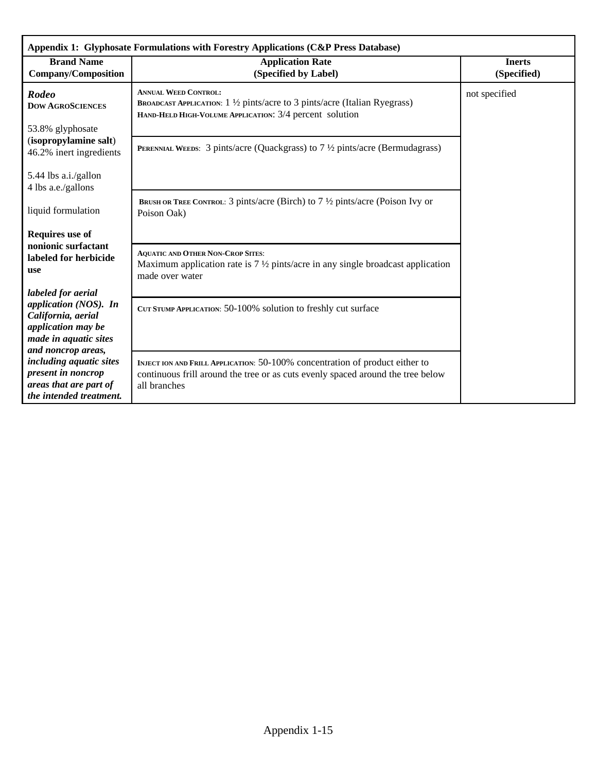| Appendix 1: Glyphosate Formulations with Forestry Applications (C&P Press Database)        |                                                                                                                                                                      |                              |  |  |  |  |  |
|--------------------------------------------------------------------------------------------|----------------------------------------------------------------------------------------------------------------------------------------------------------------------|------------------------------|--|--|--|--|--|
| <b>Brand Name</b><br><b>Company/Composition</b>                                            | <b>Application Rate</b><br>(Specified by Label)                                                                                                                      | <b>Inerts</b><br>(Specified) |  |  |  |  |  |
| <b>Rodeo</b><br><b>DOW AGROSCIENCES</b>                                                    | <b>ANNUAL WEED CONTROL:</b><br>BROADCAST APPLICATION: 1 1/2 pints/acre to 3 pints/acre (Italian Ryegrass)<br>HAND-HELD HIGH-VOLUME APPLICATION: 3/4 percent solution | not specified                |  |  |  |  |  |
| 53.8% glyphosate                                                                           |                                                                                                                                                                      |                              |  |  |  |  |  |
| (isopropylamine salt)<br>46.2% inert ingredients                                           | <b>PERENNIAL WEEDS:</b> 3 pints/acre (Quackgrass) to $7\frac{1}{2}$ pints/acre (Bermudagrass)                                                                        |                              |  |  |  |  |  |
| 5.44 lbs a.i./gallon<br>4 lbs a.e./gallons                                                 |                                                                                                                                                                      |                              |  |  |  |  |  |
| liquid formulation                                                                         | <b>BRUSH OR TREE CONTROL:</b> 3 pints/acre (Birch) to $7\frac{1}{2}$ pints/acre (Poison Ivy or<br>Poison Oak)                                                        |                              |  |  |  |  |  |
| Requires use of                                                                            |                                                                                                                                                                      |                              |  |  |  |  |  |
| nonionic surfactant<br>labeled for herbicide<br><b>use</b>                                 | <b>AQUATIC AND OTHER NON-CROP SITES:</b><br>Maximum application rate is $7\frac{1}{2}$ pints/acre in any single broadcast application<br>made over water             |                              |  |  |  |  |  |
| labeled for aerial                                                                         |                                                                                                                                                                      |                              |  |  |  |  |  |
| application (NOS). In<br>California, aerial<br>application may be<br>made in aquatic sites | CUT STUMP APPLICATION: 50-100% solution to freshly cut surface                                                                                                       |                              |  |  |  |  |  |
| and noncrop areas,                                                                         |                                                                                                                                                                      |                              |  |  |  |  |  |
| including aquatic sites<br>present in noncrop                                              | INJECT ION AND FRILL APPLICATION: 50-100% concentration of product either to<br>continuous frill around the tree or as cuts evenly spaced around the tree below      |                              |  |  |  |  |  |
| areas that are part of                                                                     | all branches                                                                                                                                                         |                              |  |  |  |  |  |
| the intended treatment.                                                                    |                                                                                                                                                                      |                              |  |  |  |  |  |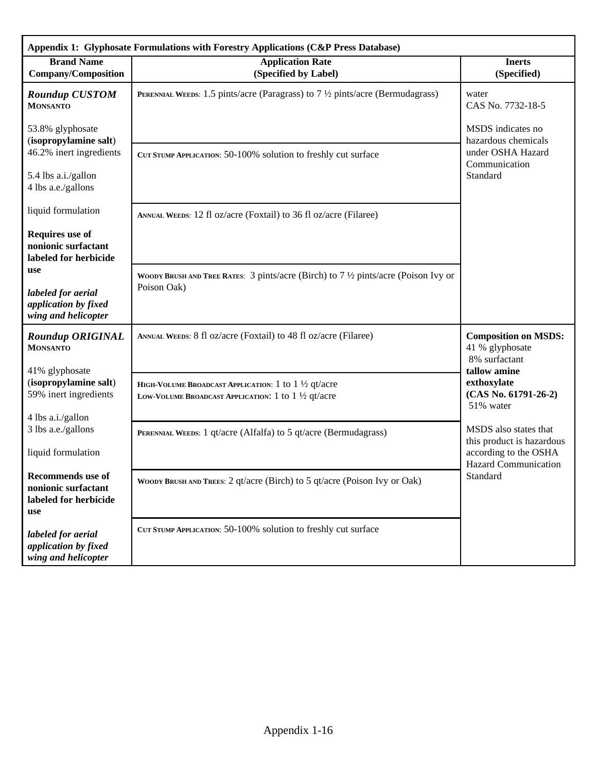| Appendix 1: Glyphosate Formulations with Forestry Applications (C&P Press Database) |                                                                                                                                 |                                                                 |  |  |  |  |  |  |
|-------------------------------------------------------------------------------------|---------------------------------------------------------------------------------------------------------------------------------|-----------------------------------------------------------------|--|--|--|--|--|--|
| <b>Brand Name</b><br><b>Company/Composition</b>                                     | <b>Application Rate</b><br>(Specified by Label)                                                                                 | <b>Inerts</b><br>(Specified)                                    |  |  |  |  |  |  |
| <b>Roundup CUSTOM</b><br><b>MONSANTO</b>                                            | <b>PERENNIAL WEEDS:</b> 1.5 pints/acre (Paragrass) to $7\frac{1}{2}$ pints/acre (Bermudagrass)                                  | water<br>CAS No. 7732-18-5                                      |  |  |  |  |  |  |
| 53.8% glyphosate<br>(isopropylamine salt)                                           |                                                                                                                                 | MSDS indicates no<br>hazardous chemicals                        |  |  |  |  |  |  |
| 46.2% inert ingredients                                                             | CUT STUMP APPLICATION: 50-100% solution to freshly cut surface                                                                  | under OSHA Hazard<br>Communication                              |  |  |  |  |  |  |
| 5.4 lbs a.i./gallon<br>4 lbs a.e./gallons                                           |                                                                                                                                 | Standard                                                        |  |  |  |  |  |  |
| liquid formulation                                                                  | ANNUAL WEEDS: 12 fl oz/acre (Foxtail) to 36 fl oz/acre (Filaree)                                                                |                                                                 |  |  |  |  |  |  |
| <b>Requires</b> use of<br>nonionic surfactant<br>labeled for herbicide              |                                                                                                                                 |                                                                 |  |  |  |  |  |  |
| use                                                                                 | WOODY BRUSH AND TREE RATES: 3 pints/acre (Birch) to $7\frac{1}{2}$ pints/acre (Poison Ivy or<br>Poison Oak)                     |                                                                 |  |  |  |  |  |  |
| labeled for aerial<br>application by fixed<br>wing and helicopter                   |                                                                                                                                 |                                                                 |  |  |  |  |  |  |
| <b>Roundup ORIGINAL</b><br><b>MONSANTO</b>                                          | ANNUAL WEEDS: 8 fl oz/acre (Foxtail) to 48 fl oz/acre (Filaree)                                                                 | <b>Composition on MSDS:</b><br>41 % glyphosate<br>8% surfactant |  |  |  |  |  |  |
| 41% glyphosate                                                                      |                                                                                                                                 | tallow amine                                                    |  |  |  |  |  |  |
| (isopropylamine salt)<br>59% inert ingredients                                      | HIGH-VOLUME BROADCAST APPLICATION: 1 to $1\frac{1}{2}$ qt/acre<br>LOW-VOLUME BROADCAST APPLICATION: 1 to $1\frac{1}{2}$ qt/acre | exthoxylate<br>$(CAS No. 61791-26-2)$<br>51% water              |  |  |  |  |  |  |
| 4 lbs a.i./gallon<br>3 lbs a.e./gallons                                             | PERENNIAL WEEDS: 1 qt/acre (Alfalfa) to 5 qt/acre (Bermudagrass)                                                                | MSDS also states that<br>this product is hazardous              |  |  |  |  |  |  |
| liquid formulation                                                                  |                                                                                                                                 | according to the OSHA<br><b>Hazard Communication</b>            |  |  |  |  |  |  |
| Recommends use of<br>nonionic surfactant<br>labeled for herbicide<br>use            | WOODY BRUSH AND TREES: 2 qt/acre (Birch) to 5 qt/acre (Poison Ivy or Oak)                                                       | Standard                                                        |  |  |  |  |  |  |
| labeled for aerial<br>application by fixed<br>wing and helicopter                   | CUT STUMP APPLICATION: 50-100% solution to freshly cut surface                                                                  |                                                                 |  |  |  |  |  |  |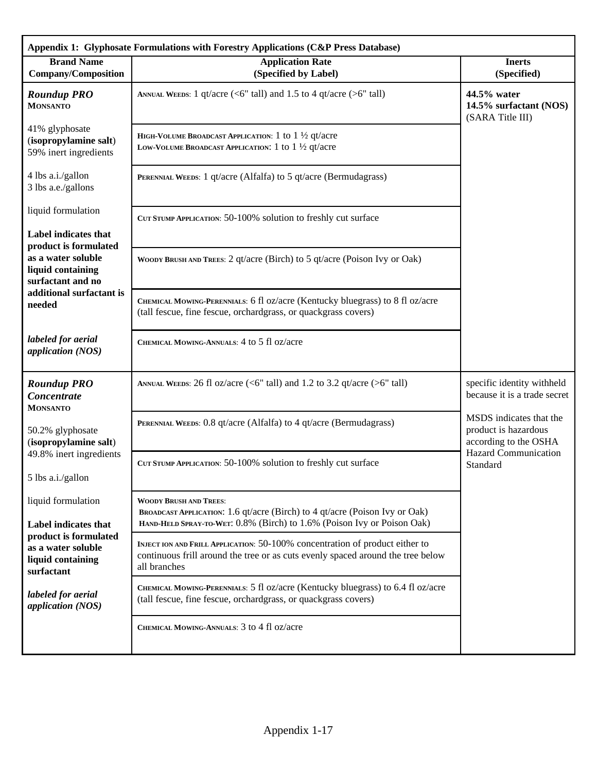|                                                                                | Appendix 1: Glyphosate Formulations with Forestry Applications (C&P Press Database)                                                                                                     |                                                                          |
|--------------------------------------------------------------------------------|-----------------------------------------------------------------------------------------------------------------------------------------------------------------------------------------|--------------------------------------------------------------------------|
| <b>Brand Name</b><br><b>Company/Composition</b>                                | <b>Application Rate</b><br>(Specified by Label)                                                                                                                                         | <b>Inerts</b><br>(Specified)                                             |
| <b>Roundup PRO</b><br><b>MONSANTO</b>                                          | ANNUAL WEEDS: 1 qt/acre (<6" tall) and 1.5 to 4 qt/acre (>6" tall)                                                                                                                      | 44.5% water<br>14.5% surfactant (NOS)<br>(SARA Title III)                |
| 41% glyphosate<br>(isopropylamine salt)<br>59% inert ingredients               | HIGH-VOLUME BROADCAST APPLICATION: $1$ to $1\frac{1}{2}$ qt/acre<br>LOW-VOLUME BROADCAST APPLICATION: 1 to $1\frac{1}{2}$ qt/acre                                                       |                                                                          |
| 4 lbs a.i./gallon<br>3 lbs a.e./gallons                                        | PERENNIAL WEEDS: 1 qt/acre (Alfalfa) to 5 qt/acre (Bermudagrass)                                                                                                                        |                                                                          |
| liquid formulation                                                             | CUT STUMP APPLICATION: 50-100% solution to freshly cut surface                                                                                                                          |                                                                          |
| <b>Label indicates that</b><br>product is formulated                           |                                                                                                                                                                                         |                                                                          |
| as a water soluble<br>liquid containing<br>surfactant and no                   | WOODY BRUSH AND TREES: 2 qt/acre (Birch) to 5 qt/acre (Poison Ivy or Oak)                                                                                                               |                                                                          |
| additional surfactant is<br>needed                                             | CHEMICAL MOWING-PERENNIALS: 6 fl oz/acre (Kentucky bluegrass) to 8 fl oz/acre<br>(tall fescue, fine fescue, orchardgrass, or quackgrass covers)                                         |                                                                          |
| labeled for aerial<br>application (NOS)                                        | CHEMICAL MOWING-ANNUALS: 4 to 5 fl oz/acre                                                                                                                                              |                                                                          |
| <b>Roundup PRO</b><br>Concentrate<br><b>MONSANTO</b>                           | ANNUAL WEEDS: 26 fl oz/acre (<6" tall) and 1.2 to 3.2 qt/acre (>6" tall)                                                                                                                | specific identity withheld<br>because it is a trade secret               |
| 50.2% glyphosate<br>(isopropylamine salt)                                      | PERENNIAL WEEDS: 0.8 qt/acre (Alfalfa) to 4 qt/acre (Bermudagrass)                                                                                                                      | MSDS indicates that the<br>product is hazardous<br>according to the OSHA |
| 49.8% inert ingredients<br>5 lbs a.i./gallon                                   | CUT STUMP APPLICATION: 50-100% solution to freshly cut surface                                                                                                                          | <b>Hazard Communication</b><br>Standard                                  |
| liquid formulation<br>Label indicates that                                     | <b>WOODY BRUSH AND TREES:</b><br>BROADCAST APPLICATION: 1.6 qt/acre (Birch) to 4 qt/acre (Poison Ivy or Oak)<br>HAND-HELD SPRAY-TO-WET: 0.8% (Birch) to 1.6% (Poison Ivy or Poison Oak) |                                                                          |
| product is formulated<br>as a water soluble<br>liquid containing<br>surfactant | INJECT ION AND FRILL APPLICATION: 50-100% concentration of product either to<br>continuous frill around the tree or as cuts evenly spaced around the tree below<br>all branches         |                                                                          |
| labeled for aerial<br>application (NOS)                                        | CHEMICAL MOWING-PERENNIALS: 5 fl oz/acre (Kentucky bluegrass) to 6.4 fl oz/acre<br>(tall fescue, fine fescue, orchardgrass, or quackgrass covers)                                       |                                                                          |
|                                                                                | CHEMICAL MOWING-ANNUALS: 3 to 4 fl oz/acre                                                                                                                                              |                                                                          |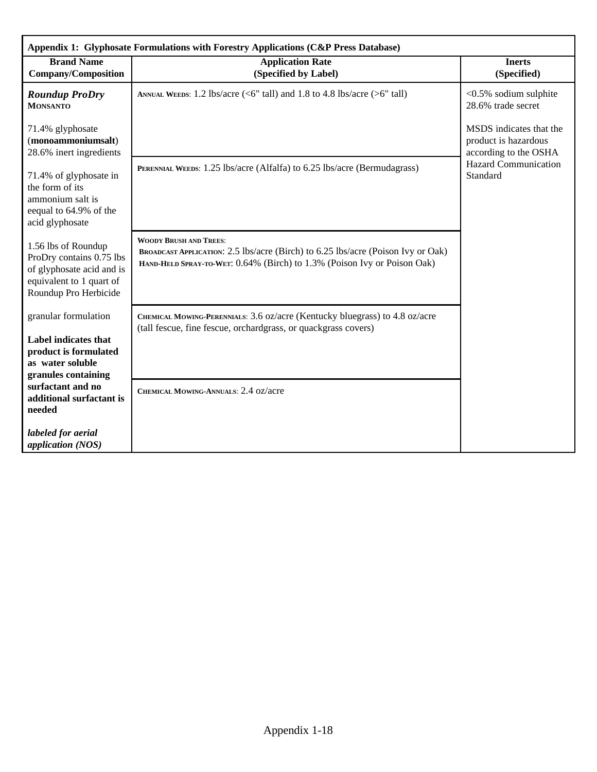| Appendix 1: Glyphosate Formulations with Forestry Applications (C&P Press Database)                                               |                                                                                                                                                                                               |                                                                          |  |  |  |  |  |
|-----------------------------------------------------------------------------------------------------------------------------------|-----------------------------------------------------------------------------------------------------------------------------------------------------------------------------------------------|--------------------------------------------------------------------------|--|--|--|--|--|
| <b>Brand Name</b><br><b>Company/Composition</b>                                                                                   | <b>Application Rate</b><br>(Specified by Label)                                                                                                                                               | <b>Inerts</b><br>(Specified)                                             |  |  |  |  |  |
| <b>Roundup ProDry</b><br><b>MONSANTO</b>                                                                                          | ANNUAL WEEDS: 1.2 lbs/acre (<6" tall) and 1.8 to 4.8 lbs/acre (>6" tall)                                                                                                                      | <0.5% sodium sulphite<br>28.6% trade secret                              |  |  |  |  |  |
| 71.4% glyphosate<br>(monoammoniumsalt)<br>28.6% inert ingredients                                                                 |                                                                                                                                                                                               | MSDS indicates that the<br>product is hazardous<br>according to the OSHA |  |  |  |  |  |
| 71.4% of glyphosate in<br>the form of its<br>ammonium salt is<br>eequal to 64.9% of the<br>acid glyphosate                        | PERENNIAL WEEDS: 1.25 lbs/acre (Alfalfa) to 6.25 lbs/acre (Bermudagrass)                                                                                                                      | <b>Hazard Communication</b><br>Standard                                  |  |  |  |  |  |
| 1.56 lbs of Roundup<br>ProDry contains 0.75 lbs<br>of glyphosate acid and is<br>equivalent to 1 quart of<br>Roundup Pro Herbicide | <b>WOODY BRUSH AND TREES:</b><br>BROADCAST APPLICATION: 2.5 lbs/acre (Birch) to 6.25 lbs/acre (Poison Ivy or Oak)<br>HAND-HELD SPRAY-TO-WET: 0.64% (Birch) to 1.3% (Poison Ivy or Poison Oak) |                                                                          |  |  |  |  |  |
| granular formulation                                                                                                              | CHEMICAL MOWING-PERENNIALS: 3.6 oz/acre (Kentucky bluegrass) to 4.8 oz/acre<br>(tall fescue, fine fescue, orchardgrass, or quackgrass covers)                                                 |                                                                          |  |  |  |  |  |
| <b>Label indicates that</b><br>product is formulated<br>as water soluble<br>granules containing                                   |                                                                                                                                                                                               |                                                                          |  |  |  |  |  |
| surfactant and no<br>additional surfactant is<br>needed                                                                           | CHEMICAL MOWING-ANNUALS: 2.4 oz/acre                                                                                                                                                          |                                                                          |  |  |  |  |  |
| labeled for aerial<br>application (NOS)                                                                                           |                                                                                                                                                                                               |                                                                          |  |  |  |  |  |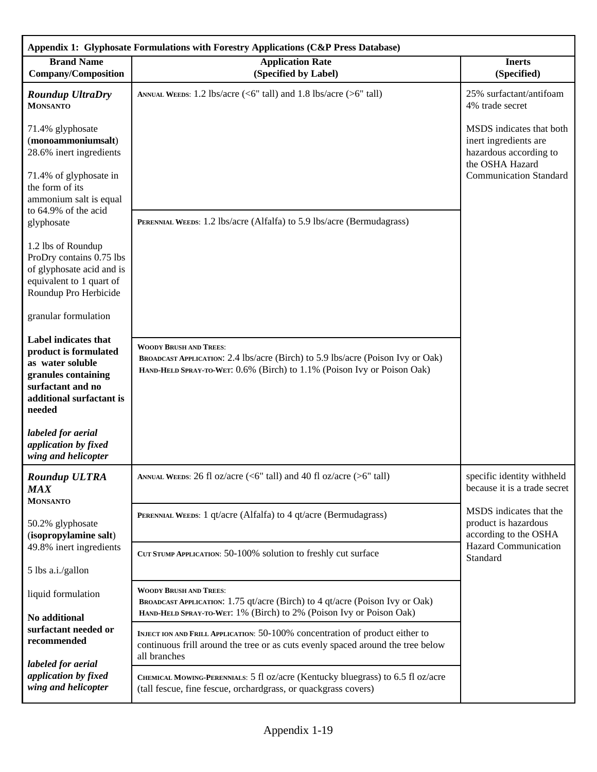| Appendix 1: Glyphosate Formulations with Forestry Applications (C&P Press Database)                                                                 |                                                                                                                                                                                             |                                                                                                |  |  |  |  |  |
|-----------------------------------------------------------------------------------------------------------------------------------------------------|---------------------------------------------------------------------------------------------------------------------------------------------------------------------------------------------|------------------------------------------------------------------------------------------------|--|--|--|--|--|
| <b>Brand Name</b><br><b>Company/Composition</b>                                                                                                     | <b>Application Rate</b><br>(Specified by Label)                                                                                                                                             | <b>Inerts</b><br>(Specified)                                                                   |  |  |  |  |  |
| <b>Roundup UltraDry</b><br><b>MONSANTO</b>                                                                                                          | ANNUAL WEEDS: 1.2 lbs/acre ( $\leq 6$ " tall) and 1.8 lbs/acre ( $\geq 6$ " tall)                                                                                                           | 25% surfactant/antifoam<br>4% trade secret                                                     |  |  |  |  |  |
| 71.4% glyphosate<br>(monoammoniumsalt)<br>28.6% inert ingredients                                                                                   |                                                                                                                                                                                             | MSDS indicates that both<br>inert ingredients are<br>hazardous according to<br>the OSHA Hazard |  |  |  |  |  |
| 71.4% of glyphosate in<br>the form of its<br>ammonium salt is equal                                                                                 |                                                                                                                                                                                             | <b>Communication Standard</b>                                                                  |  |  |  |  |  |
| to 64.9% of the acid<br>glyphosate                                                                                                                  | PERENNIAL WEEDS: 1.2 lbs/acre (Alfalfa) to 5.9 lbs/acre (Bermudagrass)                                                                                                                      |                                                                                                |  |  |  |  |  |
| 1.2 lbs of Roundup<br>ProDry contains 0.75 lbs<br>of glyphosate acid and is<br>equivalent to 1 quart of<br>Roundup Pro Herbicide                    |                                                                                                                                                                                             |                                                                                                |  |  |  |  |  |
| granular formulation                                                                                                                                |                                                                                                                                                                                             |                                                                                                |  |  |  |  |  |
| Label indicates that<br>product is formulated<br>as water soluble<br>granules containing<br>surfactant and no<br>additional surfactant is<br>needed | <b>WOODY BRUSH AND TREES:</b><br>BROADCAST APPLICATION: 2.4 lbs/acre (Birch) to 5.9 lbs/acre (Poison Ivy or Oak)<br>HAND-HELD SPRAY-TO-WET: 0.6% (Birch) to 1.1% (Poison Ivy or Poison Oak) |                                                                                                |  |  |  |  |  |
| labeled for aerial<br>application by fixed<br>wing and helicopter                                                                                   |                                                                                                                                                                                             |                                                                                                |  |  |  |  |  |
| <b>Roundup ULTRA</b><br><b>MAX</b><br><b>MONSANTO</b>                                                                                               | ANNUAL WEEDS: 26 fl oz/acre (<6" tall) and 40 fl oz/acre (>6" tall)                                                                                                                         | specific identity withheld<br>because it is a trade secret                                     |  |  |  |  |  |
| 50.2% glyphosate<br>(isopropylamine salt)                                                                                                           | PERENNIAL WEEDS: 1 qt/acre (Alfalfa) to 4 qt/acre (Bermudagrass)                                                                                                                            | MSDS indicates that the<br>product is hazardous<br>according to the OSHA                       |  |  |  |  |  |
| 49.8% inert ingredients                                                                                                                             | CUT STUMP APPLICATION: 50-100% solution to freshly cut surface                                                                                                                              | <b>Hazard Communication</b><br>Standard                                                        |  |  |  |  |  |
| 5 lbs a.i./gallon                                                                                                                                   |                                                                                                                                                                                             |                                                                                                |  |  |  |  |  |
| liquid formulation<br>No additional                                                                                                                 | <b>WOODY BRUSH AND TREES:</b><br>BROADCAST APPLICATION: 1.75 qt/acre (Birch) to 4 qt/acre (Poison Ivy or Oak)<br>HAND-HELD SPRAY-TO-WET: 1% (Birch) to 2% (Poison Ivy or Poison Oak)        |                                                                                                |  |  |  |  |  |
| surfactant needed or<br>recommended                                                                                                                 | INJECT ION AND FRILL APPLICATION: 50-100% concentration of product either to<br>continuous frill around the tree or as cuts evenly spaced around the tree below<br>all branches             |                                                                                                |  |  |  |  |  |
| labeled for aerial<br>application by fixed<br>wing and helicopter                                                                                   | CHEMICAL MOWING-PERENNIALS: 5 fl oz/acre (Kentucky bluegrass) to 6.5 fl oz/acre<br>(tall fescue, fine fescue, orchardgrass, or quackgrass covers)                                           |                                                                                                |  |  |  |  |  |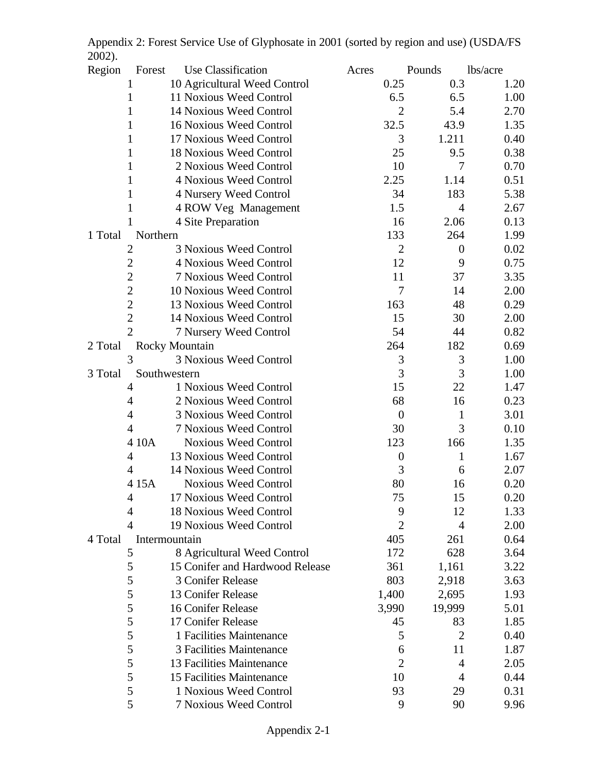| $\angle$ UV $\angle$ j. |                |                                 |       |                  |                  |          |
|-------------------------|----------------|---------------------------------|-------|------------------|------------------|----------|
| Region                  | Forest         | Use Classification              | Acres |                  | Pounds           | lbs/acre |
|                         |                | 10 Agricultural Weed Control    |       | 0.25             | 0.3              | 1.20     |
|                         | 1              | 11 Noxious Weed Control         |       | 6.5              | 6.5              | 1.00     |
|                         | 1              | 14 Noxious Weed Control         |       | $\overline{2}$   | 5.4              | 2.70     |
|                         | 1              | 16 Noxious Weed Control         |       | 32.5             | 43.9             | 1.35     |
|                         | 1              | 17 Noxious Weed Control         |       | 3                | 1.211            | 0.40     |
|                         | 1              | 18 Noxious Weed Control         |       | 25               | 9.5              | 0.38     |
|                         | 1              | 2 Noxious Weed Control          |       | 10               | $\overline{7}$   | 0.70     |
|                         | 1              | 4 Noxious Weed Control          |       | 2.25             | 1.14             | 0.51     |
|                         | $\mathbf 1$    | 4 Nursery Weed Control          |       | 34               | 183              | 5.38     |
|                         | 1              | 4 ROW Veg Management            |       | 1.5              | $\overline{4}$   | 2.67     |
|                         |                | 4 Site Preparation              |       | 16               | 2.06             | 0.13     |
| 1 Total                 | Northern       |                                 |       | 133              | 264              | 1.99     |
|                         | 2              | 3 Noxious Weed Control          |       | $\mathfrak{2}$   | $\boldsymbol{0}$ | 0.02     |
|                         | $\overline{2}$ | 4 Noxious Weed Control          |       | 12               | 9                | 0.75     |
|                         | $\overline{2}$ | <b>7 Noxious Weed Control</b>   |       | 11               | 37               | 3.35     |
|                         | $\sqrt{2}$     | 10 Noxious Weed Control         |       | 7                | 14               | 2.00     |
|                         | $\overline{2}$ | 13 Noxious Weed Control         |       | 163              | 48               | 0.29     |
|                         | $\overline{2}$ | 14 Noxious Weed Control         |       | 15               | 30               | 2.00     |
|                         | $\overline{2}$ | 7 Nursery Weed Control          |       | 54               | 44               | 0.82     |
| 2 Total                 |                | <b>Rocky Mountain</b>           |       | 264              | 182              | 0.69     |
|                         | 3              | 3 Noxious Weed Control          |       | 3                | 3                | 1.00     |
| 3 Total                 |                | Southwestern                    |       | 3                | 3                | 1.00     |
|                         | 4              | 1 Noxious Weed Control          |       | 15               | 22               | 1.47     |
|                         | $\overline{4}$ | 2 Noxious Weed Control          |       | 68               | 16               | 0.23     |
|                         | $\overline{4}$ | <b>3 Noxious Weed Control</b>   |       | $\boldsymbol{0}$ | 1                | 3.01     |
|                         | 4              | <b>7 Noxious Weed Control</b>   |       | 30               | 3                | 0.10     |
|                         | 4 10A          | <b>Noxious Weed Control</b>     |       | 123              | 166              | 1.35     |
|                         | $\overline{4}$ | 13 Noxious Weed Control         |       | $\boldsymbol{0}$ | $\mathbf{1}$     | 1.67     |
|                         | $\overline{4}$ | 14 Noxious Weed Control         |       | 3                | 6                | 2.07     |
|                         | 415A           | <b>Noxious Weed Control</b>     |       | 80               | 16               | 0.20     |
|                         | 4              | 17 Noxious Weed Control         |       | 75               | 15               | 0.20     |
|                         | 4              | 18 Noxious Weed Control         |       | 9                | 12               | 1.33     |
|                         | $\overline{4}$ | 19 Noxious Weed Control         |       | $\overline{2}$   | $\overline{4}$   | 2.00     |
| 4 Total                 |                | Intermountain                   |       | 405              | 261              | 0.64     |
|                         | 5              | 8 Agricultural Weed Control     |       | 172              | 628              | 3.64     |
|                         | 5              | 15 Conifer and Hardwood Release |       | 361              | 1,161            | 3.22     |
|                         | 5              | 3 Conifer Release               |       | 803              | 2,918            | 3.63     |
|                         | 5              | 13 Conifer Release              |       | 1,400            | 2,695            | 1.93     |
|                         | 5              | 16 Conifer Release              |       | 3,990            | 19,999           | 5.01     |
|                         | $\mathfrak s$  | 17 Conifer Release              |       | 45               | 83               | 1.85     |
|                         | 5              | 1 Facilities Maintenance        |       | 5                | $\overline{2}$   | 0.40     |
|                         | 5              | 3 Facilities Maintenance        |       | 6                | 11               | 1.87     |
|                         | 5              | 13 Facilities Maintenance       |       | $\mathfrak{2}$   | $\overline{4}$   | 2.05     |
|                         | 5              | 15 Facilities Maintenance       |       | 10               | $\overline{4}$   | 0.44     |
|                         | 5              | 1 Noxious Weed Control          |       | 93               | 29               | 0.31     |
|                         | 5              | 7 Noxious Weed Control          |       | 9                | 90               | 9.96     |

Appendix 2: Forest Service Use of Glyphosate in 2001 (sorted by region and use) (USDA/FS 2002).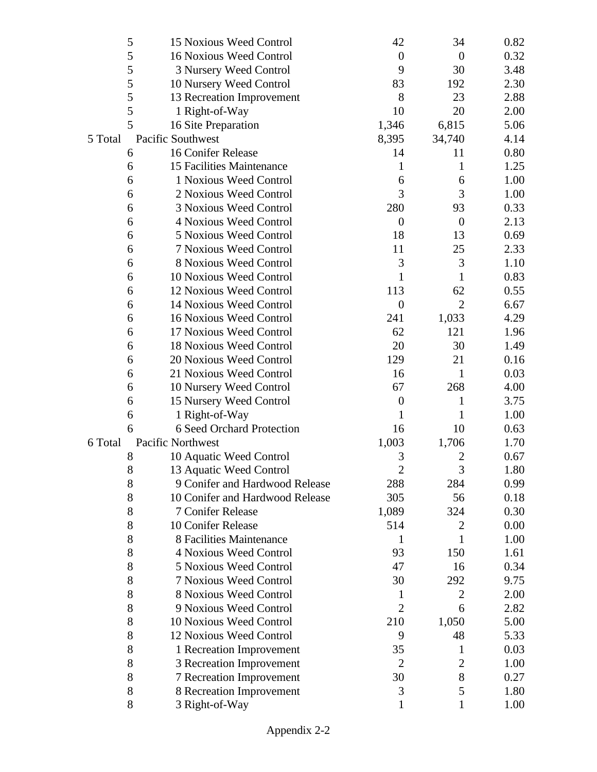|         | 5     | 15 Noxious Weed Control         | 42                          | 34               | 0.82 |
|---------|-------|---------------------------------|-----------------------------|------------------|------|
|         | 5     | 16 Noxious Weed Control         | $\boldsymbol{0}$            | $\overline{0}$   | 0.32 |
|         | 5     | 3 Nursery Weed Control          | 9                           | 30               | 3.48 |
|         | 5     | 10 Nursery Weed Control         | 83                          | 192              | 2.30 |
|         | 5     | 13 Recreation Improvement       | 8                           | 23               | 2.88 |
|         | 5     | 1 Right-of-Way                  | 10                          | 20               | 2.00 |
|         | 5     | 16 Site Preparation             | 1,346                       | 6,815            | 5.06 |
| 5 Total |       | Pacific Southwest               | 8,395                       | 34,740           | 4.14 |
|         | 6     | 16 Conifer Release              | 14                          | 11               | 0.80 |
|         | 6     | 15 Facilities Maintenance       | 1                           | 1                | 1.25 |
|         | 6     | 1 Noxious Weed Control          | 6                           | 6                | 1.00 |
|         | 6     | 2 Noxious Weed Control          | 3                           | 3                | 1.00 |
|         | 6     | 3 Noxious Weed Control          | 280                         | 93               | 0.33 |
|         | 6     | 4 Noxious Weed Control          | $\boldsymbol{0}$            | $\boldsymbol{0}$ | 2.13 |
|         | 6     | 5 Noxious Weed Control          | 18                          | 13               | 0.69 |
|         | 6     | <b>7 Noxious Weed Control</b>   | 11                          | 25               | 2.33 |
|         | 6     | 8 Noxious Weed Control          | 3                           | 3                | 1.10 |
|         | 6     | 10 Noxious Weed Control         | 1                           | 1                | 0.83 |
|         | 6     | 12 Noxious Weed Control         | 113                         | 62               | 0.55 |
|         | 6     | 14 Noxious Weed Control         | $\boldsymbol{0}$            | $\overline{2}$   | 6.67 |
|         | 6     | 16 Noxious Weed Control         | 241                         | 1,033            | 4.29 |
|         | 6     | 17 Noxious Weed Control         | 62                          | 121              | 1.96 |
|         | 6     | 18 Noxious Weed Control         | 20                          | 30               | 1.49 |
|         | 6     | 20 Noxious Weed Control         | 129                         | 21               | 0.16 |
|         | 6     | 21 Noxious Weed Control         | 16                          | $\mathbf{1}$     | 0.03 |
|         | 6     | 10 Nursery Weed Control         | 67                          | 268              | 4.00 |
|         | 6     | 15 Nursery Weed Control         | $\boldsymbol{0}$            | 1                | 3.75 |
|         | 6     | 1 Right-of-Way                  | 1                           | 1                | 1.00 |
|         | 6     | 6 Seed Orchard Protection       | 16                          | 10               | 0.63 |
| 6 Total |       | Pacific Northwest               | 1,003                       | 1,706            | 1.70 |
|         | 8     | 10 Aquatic Weed Control         | 3                           | $\overline{c}$   | 0.67 |
|         | 8     | 13 Aquatic Weed Control         | $\mathcal{D}_{\mathcal{A}}$ | 3                | 1.80 |
|         | 8     | 9 Conifer and Hardwood Release  | 288                         | 284              | 0.99 |
|         | $8\,$ | 10 Conifer and Hardwood Release | 305                         | 56               | 0.18 |
|         | 8     | 7 Conifer Release               | 1,089                       | 324              | 0.30 |
|         | $8\,$ | 10 Conifer Release              | 514                         | $\overline{c}$   | 0.00 |
|         | 8     | 8 Facilities Maintenance        | 1                           | 1                | 1.00 |
|         | 8     | 4 Noxious Weed Control          | 93                          | 150              | 1.61 |
|         | $8\,$ | <b>5 Noxious Weed Control</b>   | 47                          | 16               | 0.34 |
|         | 8     | <b>7 Noxious Weed Control</b>   | 30                          | 292              | 9.75 |
|         | 8     | 8 Noxious Weed Control          | 1                           | $\overline{2}$   | 2.00 |
|         | 8     | 9 Noxious Weed Control          | $\overline{2}$              | 6                | 2.82 |
|         | 8     | 10 Noxious Weed Control         | 210                         | 1,050            | 5.00 |
|         | 8     | 12 Noxious Weed Control         | 9                           | 48               | 5.33 |
|         | $8\,$ | 1 Recreation Improvement        | 35                          | $\mathbf 1$      | 0.03 |
|         | 8     | 3 Recreation Improvement        | $\overline{2}$              | $\mathfrak{2}$   | 1.00 |
|         | 8     | 7 Recreation Improvement        | 30                          | 8                | 0.27 |
|         | 8     | 8 Recreation Improvement        | 3                           | 5                | 1.80 |
|         | 8     | 3 Right-of-Way                  | 1                           | 1                | 1.00 |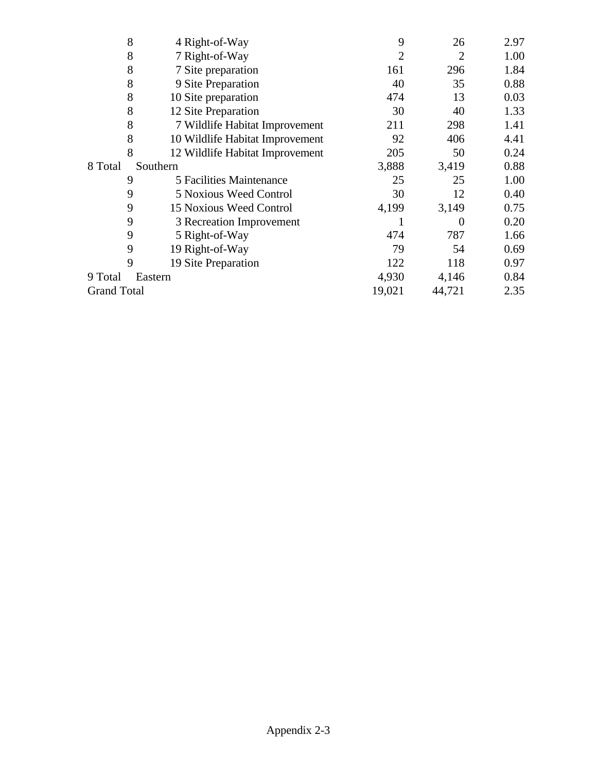|                    | 8<br>4 Right-of-Way                  | 9              | 26       | 2.97 |
|--------------------|--------------------------------------|----------------|----------|------|
|                    | 8<br>7 Right-of-Way                  | $\overline{2}$ | 2        | 1.00 |
|                    | 8<br>7 Site preparation              | 161            | 296      | 1.84 |
|                    | 8<br>9 Site Preparation              | 40             | 35       | 0.88 |
|                    | 8<br>10 Site preparation             | 474            | 13       | 0.03 |
|                    | 8<br>12 Site Preparation             | 30             | 40       | 1.33 |
|                    | 8<br>7 Wildlife Habitat Improvement  | 211            | 298      | 1.41 |
|                    | 8<br>10 Wildlife Habitat Improvement | 92             | 406      | 4.41 |
|                    | 8<br>12 Wildlife Habitat Improvement | 205            | 50       | 0.24 |
| 8 Total            | Southern                             | 3,888          | 3,419    | 0.88 |
|                    | 9<br>5 Facilities Maintenance        | 25             | 25       | 1.00 |
|                    | 9<br><b>5 Noxious Weed Control</b>   | 30             | 12       | 0.40 |
|                    | 9<br><b>15 Noxious Weed Control</b>  | 4,199          | 3,149    | 0.75 |
|                    | 9<br>3 Recreation Improvement        |                | $\Omega$ | 0.20 |
|                    | 9<br>5 Right-of-Way                  | 474            | 787      | 1.66 |
|                    | 9<br>19 Right-of-Way                 | 79             | 54       | 0.69 |
|                    | 9<br>19 Site Preparation             | 122            | 118      | 0.97 |
| 9 Total            | Eastern                              | 4,930          | 4,146    | 0.84 |
| <b>Grand Total</b> |                                      | 19,021         | 44,721   | 2.35 |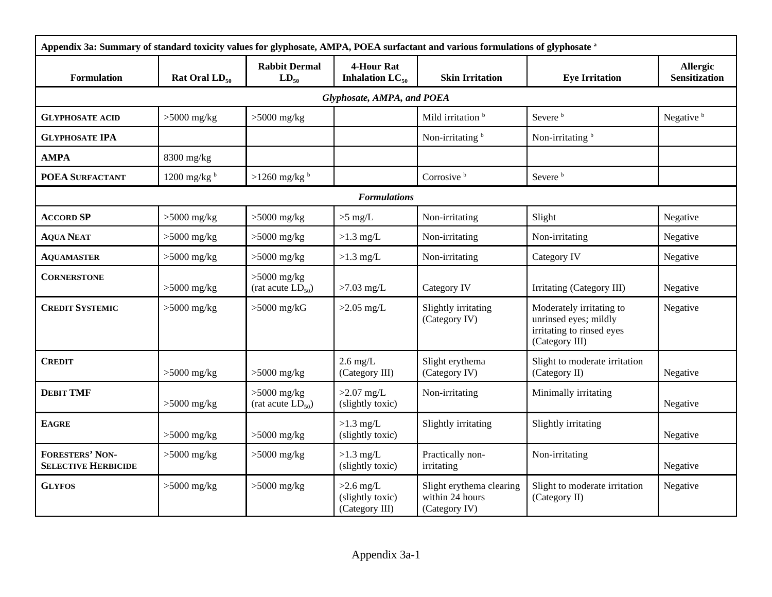| Appendix 3a: Summary of standard toxicity values for glyphosate, AMPA, POEA surfactant and various formulations of glyphosate a |                       |                                         |                                                   |                                                              |                                                                                                  |                                  |
|---------------------------------------------------------------------------------------------------------------------------------|-----------------------|-----------------------------------------|---------------------------------------------------|--------------------------------------------------------------|--------------------------------------------------------------------------------------------------|----------------------------------|
| Formulation                                                                                                                     | Rat Oral $LD_{50}$    | <b>Rabbit Dermal</b><br>$LD_{50}$       | <b>4-Hour Rat</b><br>Inhalation $LC_{50}$         | <b>Skin Irritation</b>                                       | <b>Eye Irritation</b>                                                                            | Allergic<br><b>Sensitization</b> |
|                                                                                                                                 |                       |                                         | Glyphosate, AMPA, and POEA                        |                                                              |                                                                                                  |                                  |
| <b>GLYPHOSATE ACID</b>                                                                                                          | $>5000$ mg/kg         | $>5000$ mg/kg                           |                                                   | Mild irritation <sup>b</sup>                                 | Severe <sup>b</sup>                                                                              | Negative <sup>b</sup>            |
| <b>GLYPHOSATE IPA</b>                                                                                                           |                       |                                         |                                                   | Non-irritating <sup>b</sup>                                  | Non-irritating <sup>b</sup>                                                                      |                                  |
| <b>AMPA</b>                                                                                                                     | $8300$ mg/kg          |                                         |                                                   |                                                              |                                                                                                  |                                  |
| POEA SURFACTANT                                                                                                                 | 1200 mg/kg $^{\rm b}$ | $>1260$ mg/kg $^{b}$                    |                                                   | Corrosive $b$                                                | Severe <sup>b</sup>                                                                              |                                  |
|                                                                                                                                 |                       |                                         | <b>Formulations</b>                               |                                                              |                                                                                                  |                                  |
| <b>ACCORD SP</b>                                                                                                                | $>5000$ mg/kg         | $>5000$ mg/kg                           | $>5$ mg/L                                         | Non-irritating                                               | Slight                                                                                           | Negative                         |
| <b>AQUA NEAT</b>                                                                                                                | $>5000$ mg/kg         | $>5000$ mg/kg                           | $>1.3$ mg/L                                       | Non-irritating                                               | Non-irritating                                                                                   | Negative                         |
| <b>AQUAMASTER</b>                                                                                                               | $>5000$ mg/kg         | $>5000$ mg/kg                           | $>1.3$ mg/L                                       | Non-irritating                                               | Category IV                                                                                      | Negative                         |
| <b>CORNERSTONE</b>                                                                                                              | $>5000$ mg/kg         | $>5000$ mg/kg<br>(rat acute $LD_{50}$ ) | $>7.03$ mg/L                                      | Category IV                                                  | Irritating (Category III)                                                                        | Negative                         |
| <b>CREDIT SYSTEMIC</b>                                                                                                          | $>5000$ mg/kg         | $>5000$ mg/kG                           | $>2.05$ mg/L                                      | Slightly irritating<br>(Category IV)                         | Moderately irritating to<br>unrinsed eyes; mildly<br>irritating to rinsed eyes<br>(Category III) | Negative                         |
| <b>CREDIT</b>                                                                                                                   | $>5000$ mg/kg         | $>5000$ mg/kg                           | $2.6$ mg/L<br>(Category III)                      | Slight erythema<br>(Category IV)                             | Slight to moderate irritation<br>(Category II)                                                   | Negative                         |
| <b>DEBIT TMF</b>                                                                                                                | $>5000$ mg/kg         | $>5000$ mg/kg<br>(rat acute $LD_{50}$ ) | $>2.07$ mg/L<br>(slightly toxic)                  | Non-irritating                                               | Minimally irritating                                                                             | Negative                         |
| <b>EAGRE</b>                                                                                                                    | $>5000$ mg/kg         | $>5000$ mg/kg                           | $>1.3$ mg/L<br>(slightly toxic)                   | Slightly irritating                                          | Slightly irritating                                                                              | Negative                         |
| <b>FORESTERS' NON-</b><br><b>SELECTIVE HERBICIDE</b>                                                                            | $>5000$ mg/kg         | $>5000$ mg/kg                           | $>1.3$ mg/L<br>(slightly toxic)                   | Practically non-<br>irritating                               | Non-irritating                                                                                   | Negative                         |
| <b>GLYFOS</b>                                                                                                                   | $>5000$ mg/kg         | $>5000$ mg/kg                           | $>2.6$ mg/L<br>(slightly toxic)<br>(Category III) | Slight erythema clearing<br>within 24 hours<br>(Category IV) | Slight to moderate irritation<br>(Category II)                                                   | Negative                         |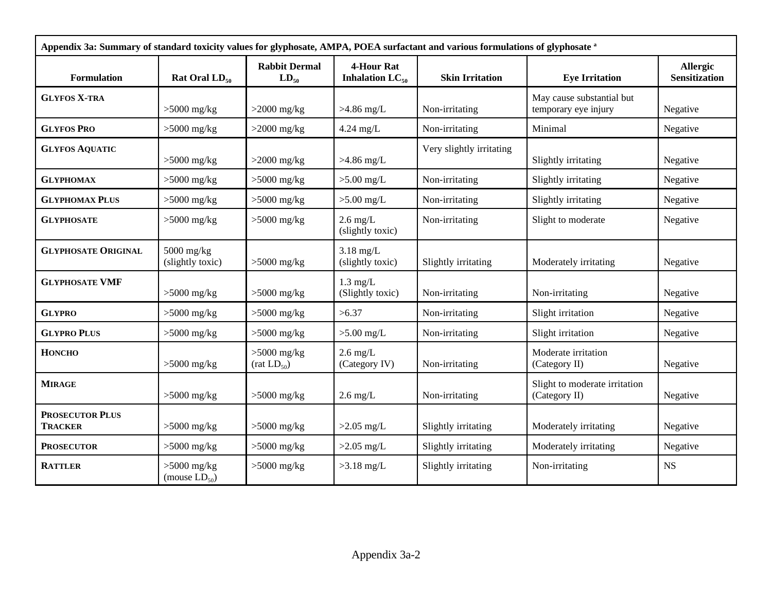| Appendix 3a: Summary of standard toxicity values for glyphosate, AMPA, POEA surfactant and various formulations of glyphosate a |                                     |                                          |                                           |                          |                                                   |                                         |
|---------------------------------------------------------------------------------------------------------------------------------|-------------------------------------|------------------------------------------|-------------------------------------------|--------------------------|---------------------------------------------------|-----------------------------------------|
| <b>Formulation</b>                                                                                                              | Rat Oral $LD_{50}$                  | <b>Rabbit Dermal</b><br>$LD_{50}$        | <b>4-Hour Rat</b><br>Inhalation $LC_{50}$ | <b>Skin Irritation</b>   | <b>Eye Irritation</b>                             | <b>Allergic</b><br><b>Sensitization</b> |
| <b>GLYFOS X-TRA</b>                                                                                                             | $>5000$ mg/kg                       | $>2000$ mg/kg                            | $>4.86$ mg/L                              | Non-irritating           | May cause substantial but<br>temporary eye injury | Negative                                |
| <b>GLYFOS PRO</b>                                                                                                               | $>5000$ mg/kg                       | $>2000$ mg/kg                            | $4.24$ mg/L                               | Non-irritating           | Minimal                                           | Negative                                |
| <b>GLYFOS AQUATIC</b>                                                                                                           | $>5000$ mg/kg                       | $>2000$ mg/kg                            | $>4.86$ mg/L                              | Very slightly irritating | Slightly irritating                               | Negative                                |
| <b>GLYPHOMAX</b>                                                                                                                | $>5000$ mg/kg                       | $>5000$ mg/kg                            | $>5.00$ mg/L                              | Non-irritating           | Slightly irritating                               | Negative                                |
| <b>GLYPHOMAX PLUS</b>                                                                                                           | $>5000$ mg/kg                       | $>5000$ mg/kg                            | $>5.00$ mg/L                              | Non-irritating           | Slightly irritating                               | Negative                                |
| <b>GLYPHOSATE</b>                                                                                                               | $>5000$ mg/kg                       | $>5000$ mg/kg                            | $2.6$ mg/L<br>(slightly toxic)            | Non-irritating           | Slight to moderate                                | Negative                                |
| <b>GLYPHOSATE ORIGINAL</b>                                                                                                      | $5000$ mg/kg<br>(slightly toxic)    | $>5000$ mg/kg                            | $3.18$ mg/L<br>(slightly toxic)           | Slightly irritating      | Moderately irritating                             | Negative                                |
| <b>GLYPHOSATE VMF</b>                                                                                                           | $>5000$ mg/kg                       | $>5000$ mg/kg                            | $1.3$ mg/L<br>(Slightly toxic)            | Non-irritating           | Non-irritating                                    | Negative                                |
| <b>GLYPRO</b>                                                                                                                   | $>5000$ mg/kg                       | $>5000$ mg/kg                            | >6.37                                     | Non-irritating           | Slight irritation                                 | Negative                                |
| <b>GLYPRO PLUS</b>                                                                                                              | $>5000$ mg/kg                       | $>5000$ mg/kg                            | $>5.00$ mg/L                              | Non-irritating           | Slight irritation                                 | Negative                                |
| <b>HONCHO</b>                                                                                                                   | $>5000$ mg/kg                       | $>5000$ mg/kg<br>(rat LD <sub>50</sub> ) | $2.6$ mg/L<br>(Category IV)               | Non-irritating           | Moderate irritation<br>(Category II)              | Negative                                |
| <b>MIRAGE</b>                                                                                                                   | $>5000$ mg/kg                       | $>5000$ mg/kg                            | $2.6$ mg/L                                | Non-irritating           | Slight to moderate irritation<br>(Category II)    | Negative                                |
| <b>PROSECUTOR PLUS</b><br><b>TRACKER</b>                                                                                        | $>5000$ mg/kg                       | $>5000$ mg/kg                            | $>2.05$ mg/L                              | Slightly irritating      | Moderately irritating                             | Negative                                |
| <b>PROSECUTOR</b>                                                                                                               | $>5000$ mg/kg                       | $>5000$ mg/kg                            | $>2.05$ mg/L                              | Slightly irritating      | Moderately irritating                             | Negative                                |
| <b>RATTLER</b>                                                                                                                  | $>5000$ mg/kg<br>(mouse $LD_{50}$ ) | $>5000$ mg/kg                            | $>3.18$ mg/L                              | Slightly irritating      | Non-irritating                                    | <b>NS</b>                               |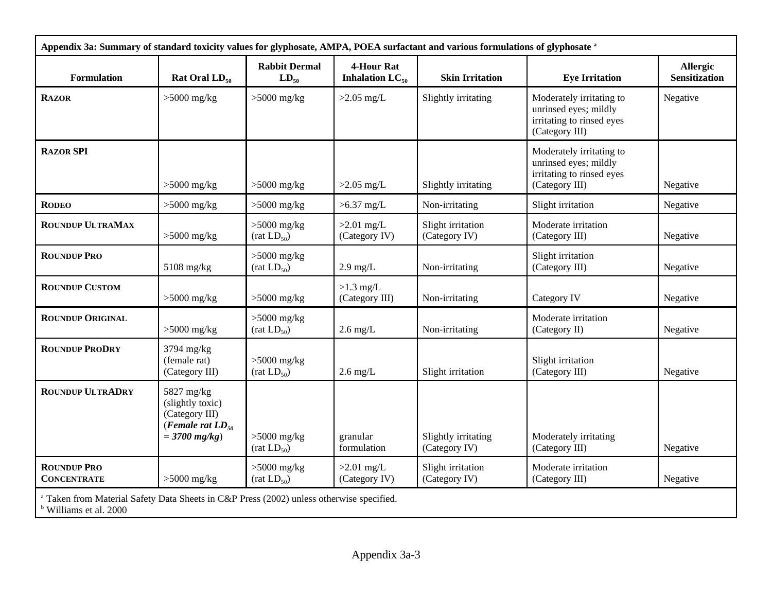| Appendix 3a: Summary of standard toxicity values for glyphosate, AMPA, POEA surfactant and various formulations of glyphosate a          |                                                                                              |                                          |                                           |                                      |                                                                                                  |                                  |
|------------------------------------------------------------------------------------------------------------------------------------------|----------------------------------------------------------------------------------------------|------------------------------------------|-------------------------------------------|--------------------------------------|--------------------------------------------------------------------------------------------------|----------------------------------|
| <b>Formulation</b>                                                                                                                       | Rat Oral $LD_{50}$                                                                           | <b>Rabbit Dermal</b><br>$LD_{50}$        | <b>4-Hour Rat</b><br>Inhalation $LC_{50}$ | <b>Skin Irritation</b>               | <b>Eye Irritation</b>                                                                            | Allergic<br><b>Sensitization</b> |
| <b>RAZOR</b>                                                                                                                             | $>5000$ mg/kg                                                                                | $>5000$ mg/kg                            | $>2.05$ mg/L                              | Slightly irritating                  | Moderately irritating to<br>unrinsed eyes; mildly<br>irritating to rinsed eyes<br>(Category III) | Negative                         |
| <b>RAZOR SPI</b>                                                                                                                         | $>5000$ mg/kg                                                                                | $>5000$ mg/kg                            | $>2.05$ mg/L                              | Slightly irritating                  | Moderately irritating to<br>unrinsed eyes; mildly<br>irritating to rinsed eyes<br>(Category III) | Negative                         |
| <b>RODEO</b>                                                                                                                             | $>5000$ mg/kg                                                                                | $>5000$ mg/kg                            | $>6.37$ mg/L                              | Non-irritating                       | Slight irritation                                                                                | Negative                         |
| <b>ROUNDUP ULTRAMAX</b>                                                                                                                  | $>5000$ mg/kg                                                                                | $>5000$ mg/kg<br>(rat LD <sub>50</sub> ) | $>2.01$ mg/L<br>(Category IV)             | Slight irritation<br>(Category IV)   | Moderate irritation<br>(Category III)                                                            | Negative                         |
| <b>ROUNDUP PRO</b>                                                                                                                       | 5108 mg/kg                                                                                   | $>5000$ mg/kg<br>(rat LD <sub>50</sub> ) | $2.9$ mg/L                                | Non-irritating                       | Slight irritation<br>(Category III)                                                              | Negative                         |
| <b>ROUNDUP CUSTOM</b>                                                                                                                    | $>5000$ mg/kg                                                                                | $>5000$ mg/kg                            | $>1.3$ mg/L<br>(Category III)             | Non-irritating                       | Category IV                                                                                      | Negative                         |
| <b>ROUNDUP ORIGINAL</b>                                                                                                                  | $>5000$ mg/kg                                                                                | $>5000$ mg/kg<br>(rat LD <sub>50</sub> ) | $2.6$ mg/L                                | Non-irritating                       | Moderate irritation<br>(Category II)                                                             | Negative                         |
| <b>ROUNDUP PRODRY</b>                                                                                                                    | 3794 mg/kg<br>(female rat)<br>(Category III)                                                 | $>5000$ mg/kg<br>(rat LD <sub>50</sub> ) | $2.6 \text{ mg/L}$                        | Slight irritation                    | Slight irritation<br>(Category III)                                                              | Negative                         |
| <b>ROUNDUP ULTRADRY</b>                                                                                                                  | 5827 mg/kg<br>(slightly toxic)<br>(Category III)<br>(Female rat $LD_{50}$<br>$= 3700$ mg/kg) | $>5000$ mg/kg<br>(rat LD <sub>50</sub> ) | granular<br>formulation                   | Slightly irritating<br>(Category IV) | Moderately irritating<br>(Category III)                                                          | Negative                         |
| <b>ROUNDUP PRO</b><br><b>CONCENTRATE</b>                                                                                                 | $>5000$ mg/kg                                                                                | $>5000$ mg/kg<br>(rat LD <sub>50</sub> ) | $>2.01$ mg/L<br>(Category IV)             | Slight irritation<br>(Category IV)   | Moderate irritation<br>(Category III)                                                            | Negative                         |
| <sup>a</sup> Taken from Material Safety Data Sheets in C&P Press (2002) unless otherwise specified.<br><sup>b</sup> Williams et al. 2000 |                                                                                              |                                          |                                           |                                      |                                                                                                  |                                  |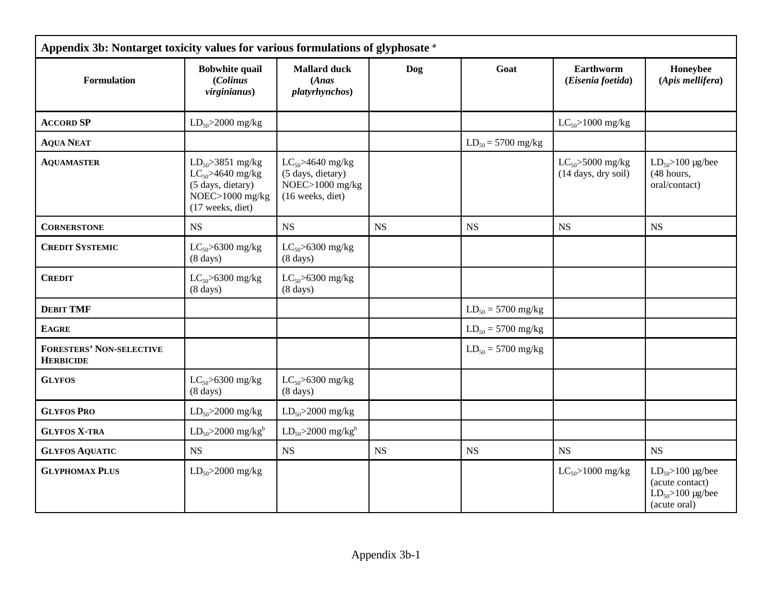| Appendix 3b: Nontarget toxicity values for various formulations of glyphosate a |                                                                                                             |                                                                                    |            |                        |                                              |                                                                                                     |  |
|---------------------------------------------------------------------------------|-------------------------------------------------------------------------------------------------------------|------------------------------------------------------------------------------------|------------|------------------------|----------------------------------------------|-----------------------------------------------------------------------------------------------------|--|
| <b>Formulation</b>                                                              | <b>Bobwhite quail</b><br>(Colinus<br>virginianus)                                                           | <b>Mallard duck</b><br>(Ans)<br><i>platyrhynchos</i> )                             | <b>Dog</b> | Goat                   | Earthworm<br>(Eisenia foetida)               | Honeybee<br>(Apis mellifera)                                                                        |  |
| <b>ACCORD SP</b>                                                                | $LD_{50} > 2000$ mg/kg                                                                                      |                                                                                    |            |                        | $LC_{50} > 1000$ mg/kg                       |                                                                                                     |  |
| <b>AQUA NEAT</b>                                                                |                                                                                                             |                                                                                    |            | $LD_{50} = 5700$ mg/kg |                                              |                                                                                                     |  |
| <b>AQUAMASTER</b>                                                               | $LD_{50} > 3851$ mg/kg<br>$LC_{50}$ >4640 mg/kg<br>(5 days, dietary)<br>NOEC>1000 mg/kg<br>(17 weeks, diet) | $LC_{50} > 4640$ mg/kg<br>(5 days, dietary)<br>NOEC>1000 mg/kg<br>(16 weeks, diet) |            |                        | $LC_{50}$ >5000 mg/kg<br>(14 days, dry soil) | $LD_{50} > 100 \text{ µg/bee}$<br>(48 hours,<br>oral/contact)                                       |  |
| <b>CORNERSTONE</b>                                                              | <b>NS</b>                                                                                                   | <b>NS</b>                                                                          | <b>NS</b>  | <b>NS</b>              | <b>NS</b>                                    | <b>NS</b>                                                                                           |  |
| <b>CREDIT SYSTEMIC</b>                                                          | $LC_{50}$ >6300 mg/kg<br>(8 days)                                                                           | $LC_{50}$ >6300 mg/kg<br>$(8 \text{ days})$                                        |            |                        |                                              |                                                                                                     |  |
| <b>CREDIT</b>                                                                   | $LC_{50}$ >6300 mg/kg<br>$(8 \text{ days})$                                                                 | $LC_{50}$ >6300 mg/kg<br>$(8 \text{ days})$                                        |            |                        |                                              |                                                                                                     |  |
| <b>DEBIT TMF</b>                                                                |                                                                                                             |                                                                                    |            | $LD_{50} = 5700$ mg/kg |                                              |                                                                                                     |  |
| <b>EAGRE</b>                                                                    |                                                                                                             |                                                                                    |            | $LD_{50} = 5700$ mg/kg |                                              |                                                                                                     |  |
| <b>FORESTERS' NON-SELECTIVE</b><br><b>HERBICIDE</b>                             |                                                                                                             |                                                                                    |            | $LD_{50} = 5700$ mg/kg |                                              |                                                                                                     |  |
| <b>GLYFOS</b>                                                                   | $LC_{50} > 6300$ mg/kg<br>$(8 \text{ days})$                                                                | $LC_{50}$ >6300 mg/kg<br>$(8 \text{ days})$                                        |            |                        |                                              |                                                                                                     |  |
| <b>GLYFOS PRO</b>                                                               | $LD_{50} > 2000$ mg/kg                                                                                      | $LD_{50} > 2000$ mg/kg                                                             |            |                        |                                              |                                                                                                     |  |
| <b>GLYFOS X-TRA</b>                                                             | $LD_{50} > 2000$ mg/kg <sup>b</sup>                                                                         | $LD_{50} > 2000$ mg/kg <sup>b</sup>                                                |            |                        |                                              |                                                                                                     |  |
| <b>GLYFOS AQUATIC</b>                                                           | NS                                                                                                          | NS                                                                                 | <b>NS</b>  | <b>NS</b>              | <b>NS</b>                                    | <b>NS</b>                                                                                           |  |
| <b>GLYPHOMAX PLUS</b>                                                           | $LD_{50} > 2000$ mg/kg                                                                                      |                                                                                    |            |                        | $LC_{50} > 1000$ mg/kg                       | $LD_{50} > 100 \text{ µg/bee}$<br>(acute contact)<br>$LD_{50} > 100 \text{ µg/bee}$<br>(acute oral) |  |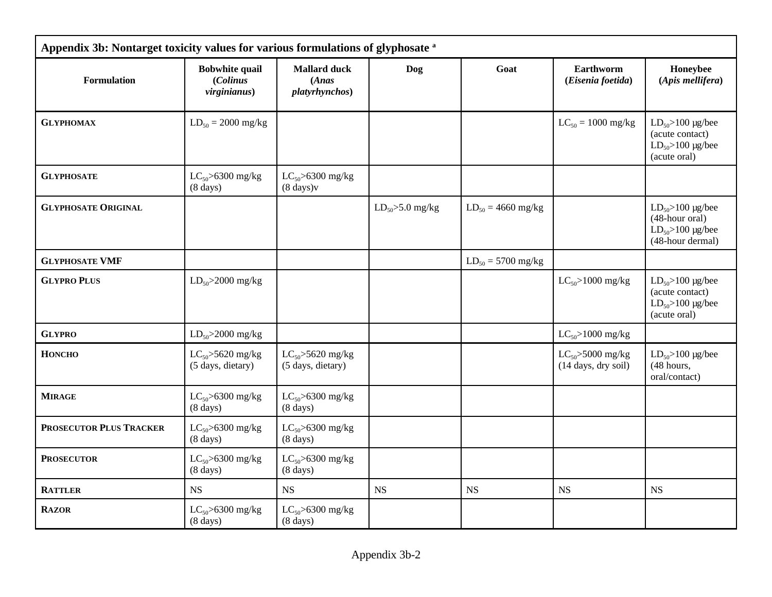| Appendix 3b: Nontarget toxicity values for various formulations of glyphosate a |                                                   |                                                |                       |                        |                                              |                                                                                                     |  |  |  |  |
|---------------------------------------------------------------------------------|---------------------------------------------------|------------------------------------------------|-----------------------|------------------------|----------------------------------------------|-----------------------------------------------------------------------------------------------------|--|--|--|--|
| <b>Formulation</b>                                                              | <b>Bobwhite quail</b><br>(Colinus<br>virginianus) | <b>Mallard duck</b><br>(Ans)<br>platyrhynchos) | Dog                   | Goat                   | <b>Earthworm</b><br>(Eisenia foetida)        | Honeybee<br>(Apis mellifera)                                                                        |  |  |  |  |
| <b>GLYPHOMAX</b>                                                                | $LD_{50} = 2000$ mg/kg                            |                                                |                       |                        | $LC_{50} = 1000$ mg/kg                       | $LD_{50} > 100$ µg/bee<br>(acute contact)<br>$LD_{50} > 100 \text{ µg/bee}$<br>(acute oral)         |  |  |  |  |
| <b>GLYPHOSATE</b>                                                               | $LC_{50}$ >6300 mg/kg<br>$(8 \text{ days})$       | $LC_{50}$ >6300 mg/kg<br>$(8 \text{ days})v$   |                       |                        |                                              |                                                                                                     |  |  |  |  |
| <b>GLYPHOSATE ORIGINAL</b>                                                      |                                                   |                                                | $LD_{50} > 5.0$ mg/kg | $LD_{50} = 4660$ mg/kg |                                              | $LD_{50} > 100$ µg/bee<br>(48-hour oral)<br>$LD_{50} > 100 \text{ µg/bee}$<br>(48-hour dermal)      |  |  |  |  |
| <b>GLYPHOSATE VMF</b>                                                           |                                                   |                                                |                       | $LD_{50} = 5700$ mg/kg |                                              |                                                                                                     |  |  |  |  |
| <b>GLYPRO PLUS</b>                                                              | $LD_{50} > 2000$ mg/kg                            |                                                |                       |                        | $LC_{50} > 1000$ mg/kg                       | $LD_{50} > 100 \text{ µg/bee}$<br>(acute contact)<br>$LD_{50} > 100 \text{ µg/bee}$<br>(acute oral) |  |  |  |  |
| <b>GLYPRO</b>                                                                   | $LD_{50} > 2000$ mg/kg                            |                                                |                       |                        | $LC_{50} > 1000$ mg/kg                       |                                                                                                     |  |  |  |  |
| <b>HONCHO</b>                                                                   | $LC_{50}$ >5620 mg/kg<br>(5 days, dietary)        | $LC_{50}$ >5620 mg/kg<br>(5 days, dietary)     |                       |                        | $LC_{50}$ >5000 mg/kg<br>(14 days, dry soil) | $LD_{50} > 100 \text{ µg/bee}$<br>(48 hours,<br>oral/contact)                                       |  |  |  |  |
| <b>MIRAGE</b>                                                                   | $LC_{50}$ >6300 mg/kg<br>$(8 \text{ days})$       | $LC_{50} > 6300$ mg/kg<br>$(8 \text{ days})$   |                       |                        |                                              |                                                                                                     |  |  |  |  |
| PROSECUTOR PLUS TRACKER                                                         | $LC_{50}$ >6300 mg/kg<br>$(8 \text{ days})$       | $LC_{50}$ >6300 mg/kg<br>$(8 \text{ days})$    |                       |                        |                                              |                                                                                                     |  |  |  |  |
| <b>PROSECUTOR</b>                                                               | $LC_{50}$ >6300 mg/kg<br>$(8 \text{ days})$       | $LC_{50}$ >6300 mg/kg<br>$(8 \text{ days})$    |                       |                        |                                              |                                                                                                     |  |  |  |  |
| <b>RATTLER</b>                                                                  | <b>NS</b>                                         | <b>NS</b>                                      | <b>NS</b>             | <b>NS</b>              | <b>NS</b>                                    | <b>NS</b>                                                                                           |  |  |  |  |
| <b>RAZOR</b>                                                                    | $LC_{50} > 6300$ mg/kg<br>$(8 \text{ days})$      | $LC_{50} > 6300$ mg/kg<br>$(8 \text{ days})$   |                       |                        |                                              |                                                                                                     |  |  |  |  |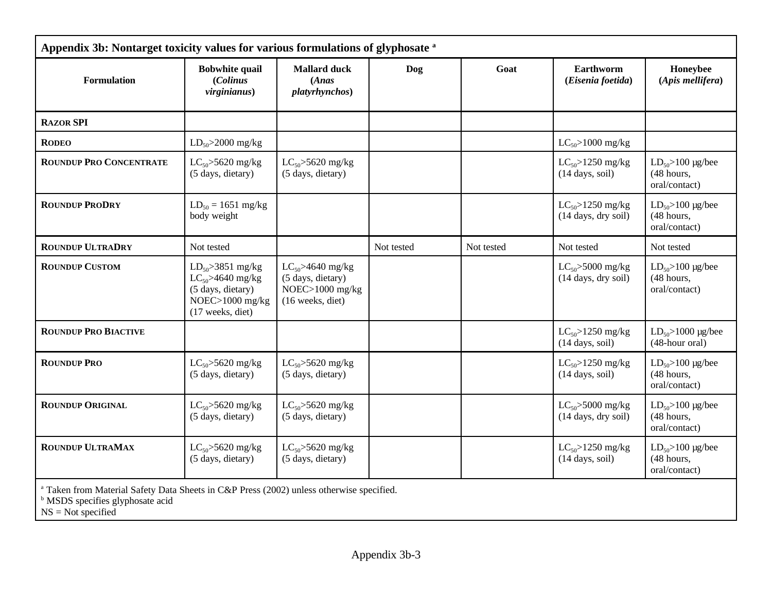| <b>Formulation</b>             | <b>Bobwhite quail</b><br>(Colinus<br>virginianus)                                                            | <b>Mallard duck</b><br>(Ans)<br><i>platyrhynchos</i> )                             | Dog        | Goat       | Earthworm<br>(Eisenia foetida)                                 | Honeybee<br>(Apis mellifera)                                    |
|--------------------------------|--------------------------------------------------------------------------------------------------------------|------------------------------------------------------------------------------------|------------|------------|----------------------------------------------------------------|-----------------------------------------------------------------|
| <b>RAZOR SPI</b>               |                                                                                                              |                                                                                    |            |            |                                                                |                                                                 |
| <b>RODEO</b>                   | $LD_{50} > 2000$ mg/kg                                                                                       |                                                                                    |            |            | $LC_{50}$ >1000 mg/kg                                          |                                                                 |
| <b>ROUNDUP PRO CONCENTRATE</b> | $LC_{50} > 5620$ mg/kg<br>(5 days, dietary)                                                                  | $LC_{50} > 5620$ mg/kg<br>(5 days, dietary)                                        |            |            | $LC_{50} > 1250$ mg/kg<br>$(14 \text{ days}, \text{soil})$     | $LD_{50} > 100 \text{ µg/bee}$<br>(48 hours,<br>oral/contact)   |
| <b>ROUNDUP PRODRY</b>          | $LD_{50} = 1651$ mg/kg<br>body weight                                                                        |                                                                                    |            |            | $LC_{50} > 1250$ mg/kg<br>$(14 \text{ days}, \text{dry soil})$ | $LD_{50} > 100 \text{ µg/bee}$<br>(48 hours,<br>oral/contact)   |
| <b>ROUNDUP ULTRADRY</b>        | Not tested                                                                                                   |                                                                                    | Not tested | Not tested | Not tested                                                     | Not tested                                                      |
| <b>ROUNDUP CUSTOM</b>          | $LD_{50} > 3851$ mg/kg<br>$LC_{50} > 4640$ mg/kg<br>(5 days, dietary)<br>NOEC>1000 mg/kg<br>(17 weeks, diet) | $LC_{50} > 4640$ mg/kg<br>(5 days, dietary)<br>NOEC>1000 mg/kg<br>(16 weeks, diet) |            |            | $LC_{50}$ >5000 mg/kg<br>(14 days, dry soil)                   | $LD_{50} > 100 \text{ µg/bee}$<br>(48 hours,<br>oral/contact)   |
| <b>ROUNDUP PRO BIACTIVE</b>    |                                                                                                              |                                                                                    |            |            | $LC_{50} > 1250$ mg/kg<br>$(14 \text{ days}, \text{soil})$     | $LD_{50} > 1000 \text{ µg/bee}$<br>(48-hour oral)               |
| <b>ROUNDUP PRO</b>             | $LC_{50}$ >5620 mg/kg<br>(5 days, dietary)                                                                   | $LC_{50}$ >5620 mg/kg<br>(5 days, dietary)                                         |            |            | $LC_{50} > 1250$ mg/kg<br>$(14 \text{ days}, \text{soil})$     | $LD_{50} > 100 \text{ µg/bee}$<br>$(48$ hours,<br>oral/contact) |
| <b>ROUNDUP ORIGINAL</b>        | $LC_{50}$ >5620 mg/kg<br>(5 days, dietary)                                                                   | $LC_{50}$ >5620 mg/kg<br>(5 days, dietary)                                         |            |            | $LC_{50}$ >5000 mg/kg<br>(14 days, dry soil)                   | $LD_{50} > 100 \text{ µg/bee}$<br>(48 hours,<br>oral/contact)   |
| <b>ROUNDUP ULTRAMAX</b>        | $LC_{50}$ >5620 mg/kg<br>(5 days, dietary)                                                                   | $LC_{50} > 5620$ mg/kg<br>(5 days, dietary)                                        |            |            | $LC_{50} > 1250$ mg/kg<br>$(14 \text{ days}, \text{soil})$     | $LD_{50} > 100 \text{ µg/bee}$<br>(48 hours,<br>oral/contact)   |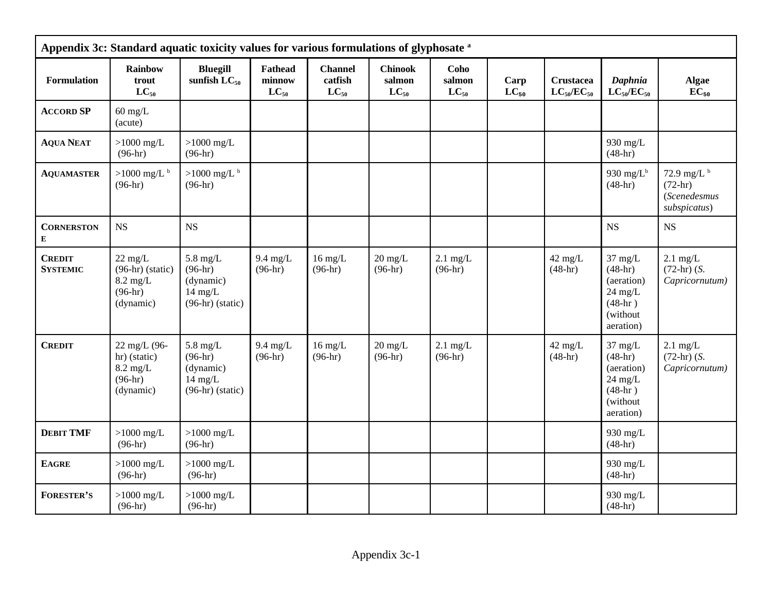|                                  | Appendix 3c: Standard aquatic toxicity values for various formulations of glyphosate a  |                                                                                 |                                       |                                        |                                       |                             |                   |                                       |                                                                                                 |                                                                   |  |
|----------------------------------|-----------------------------------------------------------------------------------------|---------------------------------------------------------------------------------|---------------------------------------|----------------------------------------|---------------------------------------|-----------------------------|-------------------|---------------------------------------|-------------------------------------------------------------------------------------------------|-------------------------------------------------------------------|--|
| Formulation                      | Rainbow<br>trout<br>$LC_{50}$                                                           | <b>Bluegill</b><br>sunfish $LC_{50}$                                            | <b>Fathead</b><br>minnow<br>$LC_{50}$ | <b>Channel</b><br>catfish<br>$LC_{50}$ | <b>Chinook</b><br>salmon<br>$LC_{50}$ | Coho<br>salmon<br>$LC_{50}$ | Carp<br>$LC_{50}$ | <b>Crustacea</b><br>$LC_{50}/EC_{50}$ | Daphnia<br>$LC_{50}/EC_{50}$                                                                    | <b>Algae</b><br>$EC_{50}$                                         |  |
| <b>ACCORD SP</b>                 | $60$ mg/L<br>(acute)                                                                    |                                                                                 |                                       |                                        |                                       |                             |                   |                                       |                                                                                                 |                                                                   |  |
| <b>AQUA NEAT</b>                 | $>1000$ mg/L<br>$(96-hr)$                                                               | $>1000$ mg/L<br>$(96-hr)$                                                       |                                       |                                        |                                       |                             |                   |                                       | 930 mg/L<br>$(48-hr)$                                                                           |                                                                   |  |
| <b>AQUAMASTER</b>                | $>1000$ mg/L $b$<br>$(96-hr)$                                                           | $>1000$ mg/L $b$<br>$(96-hr)$                                                   |                                       |                                        |                                       |                             |                   |                                       | 930 mg/ $L^b$<br>$(48-hr)$                                                                      | 72.9 mg/L $^{\rm b}$<br>$(72-hr)$<br>(Scenedesmus<br>subspicatus) |  |
| <b>CORNERSTON</b><br>${\bf E}$   | <b>NS</b>                                                                               | <b>NS</b>                                                                       |                                       |                                        |                                       |                             |                   |                                       | NS                                                                                              | NS                                                                |  |
| <b>CREDIT</b><br><b>SYSTEMIC</b> | $22 \text{ mg/L}$<br>$(96-hr)$ (static)<br>$8.2 \text{ mg/L}$<br>$(96-hr)$<br>(dynamic) | $5.8 \text{ mg/L}$<br>$(96-hr)$<br>(dynamic)<br>$14$ mg/L<br>$(96-hr)$ (static) | $9.4$ mg/L<br>$(96-hr)$               | $16$ mg/L<br>$(96-hr)$                 | $20 \text{ mg/L}$<br>$(96-hr)$        | $2.1$ mg/L<br>$(96-hr)$     |                   | $42$ mg/L<br>$(48-hr)$                | $37 \text{ mg/L}$<br>$(48-hr)$<br>(aeration)<br>$24$ mg/L<br>$(48-hr)$<br>(without<br>aeration) | $2.1$ mg/L<br>$(72-hr)$ (S.<br>Capricornutum)                     |  |
| <b>CREDIT</b>                    | 22 mg/L (96-<br>hr) (static)<br>$8.2 \text{ mg/L}$<br>$(96-hr)$<br>(dynamic)            | $5.8$ mg/L<br>$(96-hr)$<br>(dynamic)<br>$14 \text{ mg/L}$<br>$(96-hr)$ (static) | $9.4 \text{ mg/L}$<br>$(96-hr)$       | $16$ mg/L<br>$(96-hr)$                 | $20 \text{ mg/L}$<br>$(96-hr)$        | $2.1$ mg/L<br>$(96-hr)$     |                   | $42$ mg/L<br>$(48-hr)$                | 37 mg/L<br>$(48-hr)$<br>(aeration)<br>$24$ mg/L<br>$(48-hr)$<br>(without<br>aeration)           | $2.1$ mg/L<br>$(72-hr)$ (S.<br>Capricornutum)                     |  |
| <b>DEBIT TMF</b>                 | $>1000$ mg/L<br>$(96-hr)$                                                               | $>1000$ mg/L<br>$(96-hr)$                                                       |                                       |                                        |                                       |                             |                   |                                       | 930 mg/L<br>$(48-hr)$                                                                           |                                                                   |  |
| <b>EAGRE</b>                     | $>1000$ mg/L<br>$(96-hr)$                                                               | $>1000$ mg/L<br>$(96-hr)$                                                       |                                       |                                        |                                       |                             |                   |                                       | 930 mg/L<br>$(48-hr)$                                                                           |                                                                   |  |
| <b>FORESTER'S</b>                | $>1000$ mg/L<br>$(96-hr)$                                                               | $>1000$ mg/L<br>$(96-hr)$                                                       |                                       |                                        |                                       |                             |                   |                                       | 930 mg/L<br>$(48-hr)$                                                                           |                                                                   |  |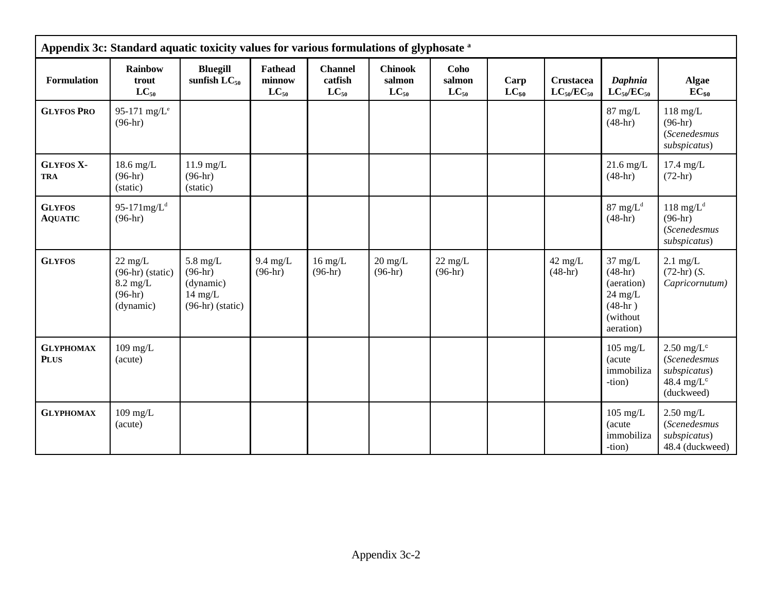|                                 | Appendix 3c: Standard aquatic toxicity values for various formulations of glyphosate <sup>a</sup> |                                                                                         |                                       |                                        |                                       |                                |                   |                                       |                                                                                                 |                                                                                          |  |
|---------------------------------|---------------------------------------------------------------------------------------------------|-----------------------------------------------------------------------------------------|---------------------------------------|----------------------------------------|---------------------------------------|--------------------------------|-------------------|---------------------------------------|-------------------------------------------------------------------------------------------------|------------------------------------------------------------------------------------------|--|
| Formulation                     | Rainbow<br>trout<br>$LC_{50}$                                                                     | <b>Bluegill</b><br>sunfish $LC_{50}$                                                    | <b>Fathead</b><br>minnow<br>$LC_{50}$ | <b>Channel</b><br>catfish<br>$LC_{50}$ | <b>Chinook</b><br>salmon<br>$LC_{50}$ | Coho<br>salmon<br>$LC_{50}$    | Carp<br>$LC_{50}$ | <b>Crustacea</b><br>$LC_{50}/EC_{50}$ | Daphnia<br>$LC_{50}/EC_{50}$                                                                    | <b>Algae</b><br>$EC_{50}$                                                                |  |
| <b>GLYFOS PRO</b>               | 95-171 mg/ $L^e$<br>$(96-hr)$                                                                     |                                                                                         |                                       |                                        |                                       |                                |                   |                                       | $87$ mg/L<br>$(48-hr)$                                                                          | $118$ mg/L<br>$(96-hr)$<br>(Scenedesmus<br>subspicatus)                                  |  |
| <b>GLYFOS X-</b><br><b>TRA</b>  | $18.6$ mg/L<br>$(96-hr)$<br>(static)                                                              | $11.9$ mg/L<br>$(96-hr)$<br>(static)                                                    |                                       |                                        |                                       |                                |                   |                                       | $21.6$ mg/L<br>$(48-hr)$                                                                        | $17.4$ mg/L<br>$(72-hr)$                                                                 |  |
| <b>GLYFOS</b><br><b>AQUATIC</b> | 95-171 $mg/Ld$<br>$(96-hr)$                                                                       |                                                                                         |                                       |                                        |                                       |                                |                   |                                       | 87 mg/ $L^d$<br>$(48-hr)$                                                                       | 118 mg/ $L^d$<br>$(96-hr)$<br>(Scenedesmus<br>subspicatus)                               |  |
| <b>GLYFOS</b>                   | $22 \text{ mg/L}$<br>$(96-hr)$ (static)<br>$8.2 \text{ mg/L}$<br>$(96-hr)$<br>(dynamic)           | $5.8 \text{ mg/L}$<br>$(96-hr)$<br>(dynamic)<br>$14 \text{ mg/L}$<br>$(96-hr)$ (static) | $9.4$ mg/L<br>$(96-hr)$               | $16$ mg/L<br>$(96-hr)$                 | $20 \text{ mg/L}$<br>$(96-hr)$        | $22 \text{ mg/L}$<br>$(96-hr)$ |                   | $42$ mg/L<br>$(48-hr)$                | $37 \text{ mg/L}$<br>$(48-hr)$<br>(aeration)<br>$24$ mg/L<br>$(48-hr)$<br>(without<br>aeration) | $2.1$ mg/L<br>$(72-hr)$ (S.<br>Capricornutum)                                            |  |
| <b>GLYPHOMAX</b><br><b>PLUS</b> | $109$ mg/L<br>(acute)                                                                             |                                                                                         |                                       |                                        |                                       |                                |                   |                                       | $105$ mg/L<br>(acute<br>immobiliza<br>-tion)                                                    | $2.50$ mg/L <sup>c</sup><br>(Scenedesmus<br>subspicatus)<br>48.4 mg/ $L^c$<br>(duckweed) |  |
| <b>GLYPHOMAX</b>                | $109$ mg/L<br>(acute)                                                                             |                                                                                         |                                       |                                        |                                       |                                |                   |                                       | $105$ mg/L<br>(acute<br>immobiliza<br>-tion)                                                    | $2.50$ mg/L<br>(Scenedesmus<br>subspicatus)<br>48.4 (duckweed)                           |  |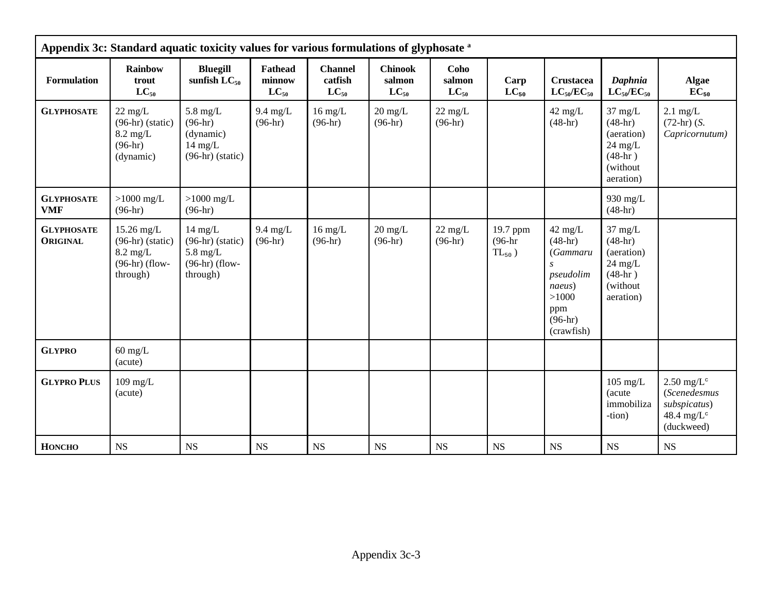|                                      | Appendix 3c: Standard aquatic toxicity values for various formulations of glyphosate <sup>a</sup> |                                                                                               |                                       |                                        |                                       |                                |                                      |                                                                                                      |                                                                                                 |                                                                                          |  |
|--------------------------------------|---------------------------------------------------------------------------------------------------|-----------------------------------------------------------------------------------------------|---------------------------------------|----------------------------------------|---------------------------------------|--------------------------------|--------------------------------------|------------------------------------------------------------------------------------------------------|-------------------------------------------------------------------------------------------------|------------------------------------------------------------------------------------------|--|
| <b>Formulation</b>                   | <b>Rainbow</b><br>trout<br>$LC_{50}$                                                              | <b>Bluegill</b><br>sunfish $LC_{50}$                                                          | <b>Fathead</b><br>minnow<br>$LC_{50}$ | <b>Channel</b><br>catfish<br>$LC_{50}$ | <b>Chinook</b><br>salmon<br>$LC_{50}$ | Coho<br>salmon<br>$LC_{50}$    | Carp<br>$LC_{50}$                    | <b>Crustacea</b><br>$LC_{50}/EC_{50}$                                                                | Daphnia<br>$LC_{50}/EC_{50}$                                                                    | <b>Algae</b><br>$\overline{EC}_{50}$                                                     |  |
| <b>GLYPHOSATE</b>                    | $22 \text{ mg/L}$<br>$(96-hr)$ (static)<br>$8.2 \text{ mg/L}$<br>$(96-hr)$<br>(dynamic)           | $5.8 \text{ mg/L}$<br>$(96-hr)$<br>(dynamic)<br>$14 \text{ mg/L}$<br>$(96-hr)$ (static)       | $9.4 \text{ mg/L}$<br>$(96-hr)$       | $16 \text{ mg/L}$<br>$(96-hr)$         | $20 \text{ mg/L}$<br>$(96-hr)$        | $22 \text{ mg/L}$<br>$(96-hr)$ |                                      | $42 \text{ mg/L}$<br>$(48-hr)$                                                                       | $37 \text{ mg/L}$<br>$(48-hr)$<br>(aeration)<br>$24$ mg/L<br>$(48-hr)$<br>(without<br>aeration) | $2.1$ mg/L<br>$(72-hr)$ (S.<br>Capricornutum)                                            |  |
| <b>GLYPHOSATE</b><br><b>VMF</b>      | $>1000$ mg/L<br>$(96-hr)$                                                                         | $>1000$ mg/L<br>$(96-hr)$                                                                     |                                       |                                        |                                       |                                |                                      |                                                                                                      | 930 mg/L<br>$(48-hr)$                                                                           |                                                                                          |  |
| <b>GLYPHOSATE</b><br><b>ORIGINAL</b> | 15.26 mg/L<br>$(96-hr)$ (static)<br>$8.2$ mg/L<br>$(96-hr)$ (flow-<br>through)                    | $14 \text{ mg/L}$<br>$(96-hr)$ (static)<br>$5.8 \text{ mg/L}$<br>$(96-hr)$ (flow-<br>through) | $9.4 \text{ mg/L}$<br>$(96-hr)$       | $16 \text{ mg/L}$<br>$(96-hr)$         | $20 \text{ mg/L}$<br>$(96-hr)$        | $22 \text{ mg/L}$<br>$(96-hr)$ | 19.7 ppm<br>$(96-hr)$<br>$TL_{50}$ ) | $42$ mg/L<br>$(48-hr)$<br>(Gammaru<br>pseudolim<br>naeus)<br>>1000<br>ppm<br>$(96-hr)$<br>(crawfish) | $37 \text{ mg/L}$<br>$(48-hr)$<br>(aeration)<br>$24$ mg/L<br>$(48-hr)$<br>(without<br>aeration) |                                                                                          |  |
| <b>GLYPRO</b>                        | $60$ mg/L<br>(acute)                                                                              |                                                                                               |                                       |                                        |                                       |                                |                                      |                                                                                                      |                                                                                                 |                                                                                          |  |
| <b>GLYPRO PLUS</b>                   | $109$ mg/L<br>(acute)                                                                             |                                                                                               |                                       |                                        |                                       |                                |                                      |                                                                                                      | $105$ mg/L<br>(acute<br>immobiliza<br>-tion)                                                    | $2.50$ mg/L <sup>c</sup><br>(Scenedesmus<br>subspicatus)<br>48.4 mg/ $L^c$<br>(duckweed) |  |
| <b>HONCHO</b>                        | <b>NS</b>                                                                                         | <b>NS</b>                                                                                     | <b>NS</b>                             | <b>NS</b>                              | <b>NS</b>                             | <b>NS</b>                      | <b>NS</b>                            | <b>NS</b>                                                                                            | <b>NS</b>                                                                                       | NS                                                                                       |  |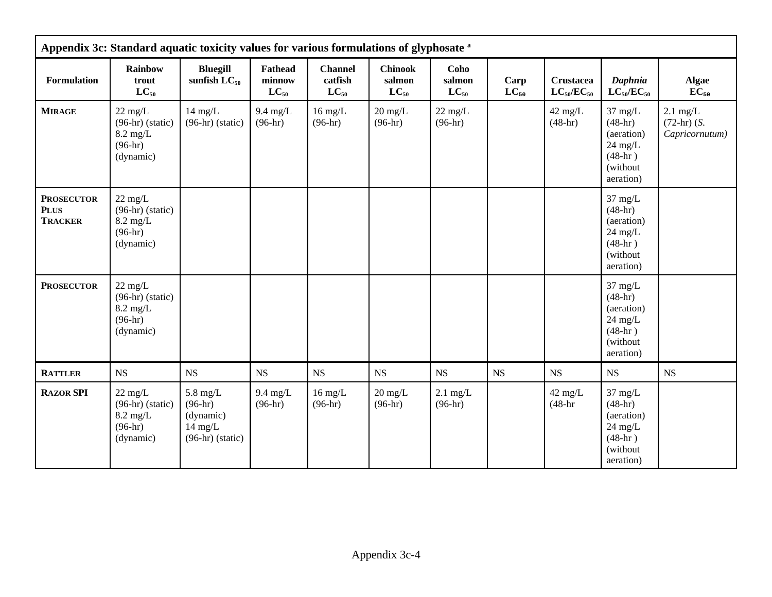|                                                    | Appendix 3c: Standard aquatic toxicity values for various formulations of glyphosate <sup>a</sup> |                                                                                         |                                       |                                        |                                       |                                |                   |                                       |                                                                                                         |                                                       |  |
|----------------------------------------------------|---------------------------------------------------------------------------------------------------|-----------------------------------------------------------------------------------------|---------------------------------------|----------------------------------------|---------------------------------------|--------------------------------|-------------------|---------------------------------------|---------------------------------------------------------------------------------------------------------|-------------------------------------------------------|--|
| Formulation                                        | Rainbow<br>trout<br>$LC_{50}$                                                                     | <b>Bluegill</b><br>sunfish $LC_{50}$                                                    | <b>Fathead</b><br>minnow<br>$LC_{50}$ | <b>Channel</b><br>catfish<br>$LC_{50}$ | <b>Chinook</b><br>salmon<br>$LC_{50}$ | Coho<br>salmon<br>$LC_{50}$    | Carp<br>$LC_{50}$ | <b>Crustacea</b><br>$LC_{50}/EC_{50}$ | Daphnia<br>$LC_{50}/EC_{50}$                                                                            | <b>Algae</b><br>$EC_{50}$                             |  |
| <b>MIRAGE</b>                                      | $22 \text{ mg/L}$<br>$(96-hr)$ (static)<br>$8.2 \text{ mg/L}$<br>$(96-hr)$<br>(dynamic)           | $14 \text{ mg/L}$<br>$(96-hr)$ (static)                                                 | $9.4 \text{ mg/L}$<br>$(96-hr)$       | $16$ mg/L<br>$(96-hr)$                 | $20 \text{ mg/L}$<br>$(96-hr)$        | $22 \text{ mg/L}$<br>$(96-hr)$ |                   | $42$ mg/L<br>$(48-hr)$                | $37 \text{ mg/L}$<br>$(48-hr)$<br>(aeration)<br>$24 \text{ mg/L}$<br>$(48-hr)$<br>(without<br>aeration) | $2.1 \text{ mg/L}$<br>$(72-hr)$ (S.<br>Capricornutum) |  |
| <b>PROSECUTOR</b><br><b>PLUS</b><br><b>TRACKER</b> | $22 \text{ mg/L}$<br>$(96-hr)$ (static)<br>$8.2 \text{ mg/L}$<br>$(96-hr)$<br>(dynamic)           |                                                                                         |                                       |                                        |                                       |                                |                   |                                       | $37 \text{ mg/L}$<br>$(48-hr)$<br>(aeration)<br>$24$ mg/L<br>$(48-hr)$<br>(without)<br>aeration)        |                                                       |  |
| <b>PROSECUTOR</b>                                  | $22 \text{ mg/L}$<br>$(96-hr)$ (static)<br>$8.2 \text{ mg/L}$<br>$(96-hr)$<br>(dynamic)           |                                                                                         |                                       |                                        |                                       |                                |                   |                                       | $37 \text{ mg/L}$<br>$(48-hr)$<br>(aeration)<br>$24 \text{ mg/L}$<br>$(48-hr)$<br>(without<br>aeration) |                                                       |  |
| <b>RATTLER</b>                                     | <b>NS</b>                                                                                         | $_{\rm NS}$                                                                             | <b>NS</b>                             | <b>NS</b>                              | $_{\rm NS}$                           | NS                             | <b>NS</b>         | <b>NS</b>                             | <b>NS</b>                                                                                               | <b>NS</b>                                             |  |
| <b>RAZOR SPI</b>                                   | $22 \text{ mg/L}$<br>$(96-hr)$ (static)<br>$8.2 \text{ mg/L}$<br>$(96-hr)$<br>(dynamic)           | $5.8 \text{ mg/L}$<br>$(96-hr)$<br>(dynamic)<br>$14 \text{ mg/L}$<br>$(96-hr)$ (static) | $9.4 \text{ mg/L}$<br>$(96-hr)$       | $16 \text{ mg/L}$<br>$(96-hr)$         | $20 \text{ mg/L}$<br>$(96-hr)$        | $2.1$ mg/L<br>$(96-hr)$        |                   | $42 \text{ mg/L}$<br>$(48-hr)$        | $37 \text{ mg/L}$<br>$(48-hr)$<br>(aeration)<br>$24 \text{ mg/L}$<br>$(48-hr)$<br>(without<br>aeration) |                                                       |  |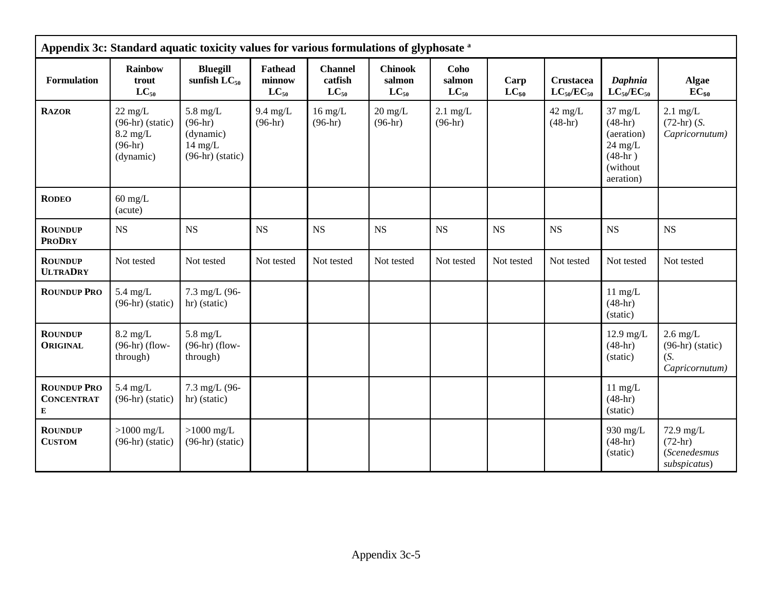|                                              | Appendix 3c: Standard aquatic toxicity values for various formulations of glyphosate a  |                                                                                         |                                       |                                        |                                       |                             |                   |                                       |                                                                                                         |                                                           |  |
|----------------------------------------------|-----------------------------------------------------------------------------------------|-----------------------------------------------------------------------------------------|---------------------------------------|----------------------------------------|---------------------------------------|-----------------------------|-------------------|---------------------------------------|---------------------------------------------------------------------------------------------------------|-----------------------------------------------------------|--|
| Formulation                                  | Rainbow<br>trout<br>$LC_{50}$                                                           | <b>Bluegill</b><br>sunfish $LC_{50}$                                                    | <b>Fathead</b><br>minnow<br>$LC_{50}$ | <b>Channel</b><br>catfish<br>$LC_{50}$ | <b>Chinook</b><br>salmon<br>$LC_{50}$ | Coho<br>salmon<br>$LC_{50}$ | Carp<br>$LC_{50}$ | <b>Crustacea</b><br>$LC_{50}/EC_{50}$ | Daphnia<br>$LC_{50}/EC_{50}$                                                                            | <b>Algae</b><br>$EC_{50}$                                 |  |
| <b>RAZOR</b>                                 | $22 \text{ mg/L}$<br>$(96-hr)$ (static)<br>$8.2 \text{ mg/L}$<br>$(96-hr)$<br>(dynamic) | $5.8 \text{ mg/L}$<br>$(96-hr)$<br>(dynamic)<br>$14 \text{ mg/L}$<br>$(96-hr)$ (static) | $9.4 \text{ mg/L}$<br>$(96-hr)$       | $16 \text{ mg/L}$<br>$(96-hr)$         | $20 \text{ mg/L}$<br>$(96-hr)$        | $2.1$ mg/L<br>$(96-hr)$     |                   | $42$ mg/L<br>$(48-hr)$                | $37 \text{ mg/L}$<br>$(48-hr)$<br>(aeration)<br>$24 \text{ mg/L}$<br>$(48-hr)$<br>(without<br>aeration) | $2.1$ mg/L<br>$(72-hr)$ (S.<br>Capricornutum)             |  |
| <b>RODEO</b>                                 | $60$ mg/L<br>(acute)                                                                    |                                                                                         |                                       |                                        |                                       |                             |                   |                                       |                                                                                                         |                                                           |  |
| <b>ROUNDUP</b><br><b>PRODRY</b>              | <b>NS</b>                                                                               | <b>NS</b>                                                                               | <b>NS</b>                             | NS                                     | <b>NS</b>                             | NS                          | <b>NS</b>         | <b>NS</b>                             | <b>NS</b>                                                                                               | <b>NS</b>                                                 |  |
| <b>ROUNDUP</b><br><b>ULTRADRY</b>            | Not tested                                                                              | Not tested                                                                              | Not tested                            | Not tested                             | Not tested                            | Not tested                  | Not tested        | Not tested                            | Not tested                                                                                              | Not tested                                                |  |
| <b>ROUNDUP PRO</b>                           | $5.4$ mg/L<br>$(96-hr)$ (static)                                                        | 7.3 mg/L (96-<br>hr) (static)                                                           |                                       |                                        |                                       |                             |                   |                                       | $11 \text{ mg/L}$<br>$(48-hr)$<br>(static)                                                              |                                                           |  |
| <b>ROUNDUP</b><br><b>ORIGINAL</b>            | $8.2 \text{ mg/L}$<br>$(96-hr)$ (flow-<br>through)                                      | 5.8 mg/ $L$<br>$(96-hr)$ (flow-<br>through)                                             |                                       |                                        |                                       |                             |                   |                                       | $12.9$ mg/L<br>$(48-hr)$<br>(static)                                                                    | $2.6$ mg/L<br>$(96-hr)$ (static)<br>(S.<br>Capricornutum) |  |
| <b>ROUNDUP PRO</b><br><b>CONCENTRAT</b><br>E | $5.4$ mg/L<br>$(96-hr)$ (static)                                                        | 7.3 mg/L (96-<br>hr) (static)                                                           |                                       |                                        |                                       |                             |                   |                                       | $11 \text{ mg/L}$<br>$(48-hr)$<br>(static)                                                              |                                                           |  |
| <b>ROUNDUP</b><br><b>CUSTOM</b>              | $>1000$ mg/L<br>$(96-hr)$ (static)                                                      | $>1000$ mg/L<br>$(96-hr)$ (static)                                                      |                                       |                                        |                                       |                             |                   |                                       | 930 mg/L<br>$(48-hr)$<br>(static)                                                                       | 72.9 mg/L<br>$(72-hr)$<br>(Scenedesmus<br>subspicatus)    |  |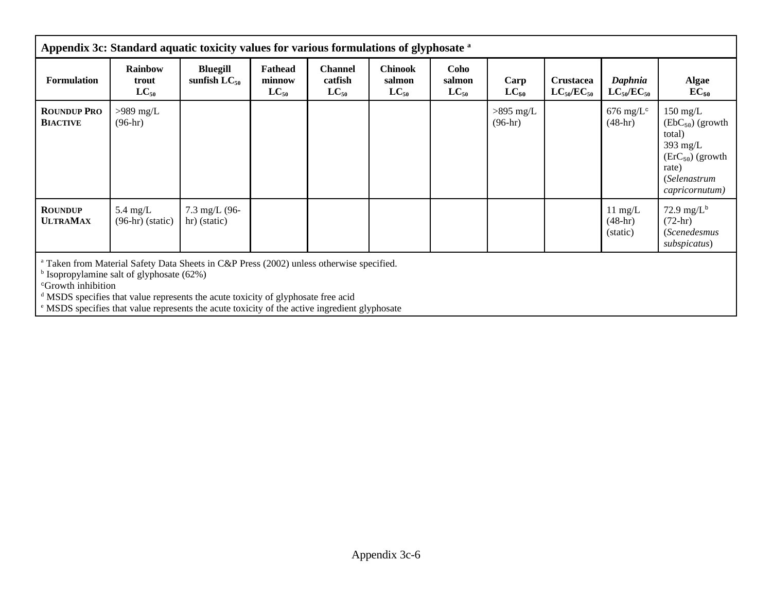|                                       | Appendix 3c: Standard aquatic toxicity values for various formulations of glyphosate a |                                                                                                                                                                                                                                                                                       |                                       |                                        |                                       |                             |                          |                                       |                                              |                                                                                                                                            |  |
|---------------------------------------|----------------------------------------------------------------------------------------|---------------------------------------------------------------------------------------------------------------------------------------------------------------------------------------------------------------------------------------------------------------------------------------|---------------------------------------|----------------------------------------|---------------------------------------|-----------------------------|--------------------------|---------------------------------------|----------------------------------------------|--------------------------------------------------------------------------------------------------------------------------------------------|--|
| <b>Formulation</b>                    | <b>Rainbow</b><br>trout<br>$LC_{50}$                                                   | <b>Bluegill</b><br>sunfish $LC_{50}$                                                                                                                                                                                                                                                  | <b>Fathead</b><br>minnow<br>$LC_{50}$ | <b>Channel</b><br>catfish<br>$LC_{50}$ | <b>Chinook</b><br>salmon<br>$LC_{50}$ | Coho<br>salmon<br>$LC_{50}$ | Carp<br>$LC_{50}$        | <b>Crustacea</b><br>$LC_{50}/EC_{50}$ | Daphnia<br>$LC_{50}/EC_{50}$                 | <b>Algae</b><br>$EC_{50}$                                                                                                                  |  |
| <b>ROUNDUP PRO</b><br><b>BIACTIVE</b> | $>989$ mg/L<br>$(96-hr)$                                                               |                                                                                                                                                                                                                                                                                       |                                       |                                        |                                       |                             | $>895$ mg/L<br>$(96-hr)$ |                                       | $676 \text{ mg/L}$ <sup>c</sup><br>$(48-hr)$ | $150 \text{ mg/L}$<br>$(EbC_{50})$ (growth<br>total)<br>$393 \text{ mg/L}$<br>$(ErC50)$ (growth<br>rate)<br>(Selenastrum<br>capricornutum) |  |
| <b>ROUNDUP</b><br><b>ULTRAMAX</b>     | $5.4 \text{ mg/L}$<br>$(96-hr)$ (static)                                               | $7.3 \text{ mg/L}$ (96-<br>hr) (static)                                                                                                                                                                                                                                               |                                       |                                        |                                       |                             |                          |                                       | $11 \text{ mg/L}$<br>$(48-hr)$<br>(static)   | 72.9 mg/ $L^b$<br>$(72-hr)$<br><i>(Scenedesmus</i><br>subspicatus)                                                                         |  |
| <sup>c</sup> Growth inhibition        | Isopropylamine salt of glyphosate (62%)                                                | Taken from Material Safety Data Sheets in C&P Press (2002) unless otherwise specified.<br>MSDS specifies that value represents the acute toxicity of glyphosate free acid<br><sup>e</sup> MSDS specifies that value represents the acute toxicity of the active ingredient glyphosate |                                       |                                        |                                       |                             |                          |                                       |                                              |                                                                                                                                            |  |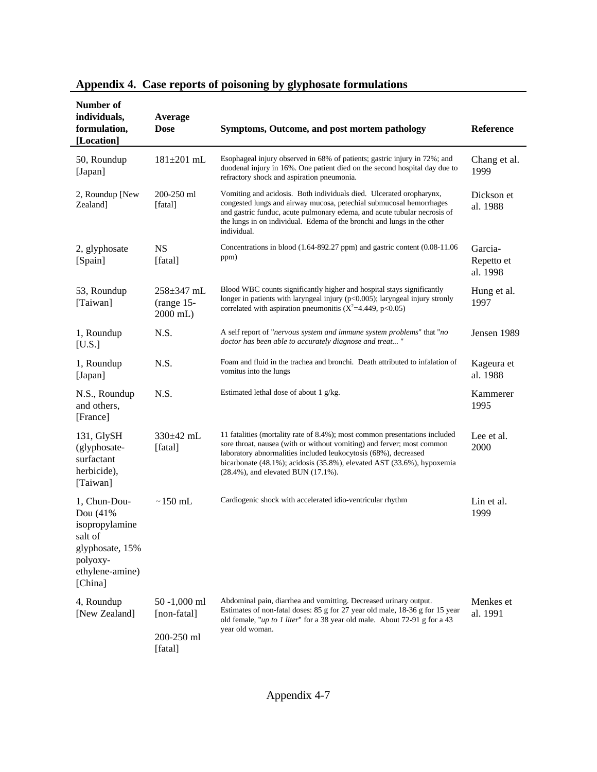| Number of<br>individuals,<br>formulation,<br>[Location]                                                            | Average<br><b>Dose</b>                               | Symptoms, Outcome, and post mortem pathology                                                                                                                                                                                                                                                                                                    | Reference                         |
|--------------------------------------------------------------------------------------------------------------------|------------------------------------------------------|-------------------------------------------------------------------------------------------------------------------------------------------------------------------------------------------------------------------------------------------------------------------------------------------------------------------------------------------------|-----------------------------------|
| 50, Roundup<br>[Japan]                                                                                             | $181 \pm 201$ mL                                     | Esophageal injury observed in 68% of patients; gastric injury in 72%; and<br>duodenal injury in 16%. One patient died on the second hospital day due to<br>refractory shock and aspiration pneumonia.                                                                                                                                           | Chang et al.<br>1999              |
| 2, Roundup [New<br>Zealand]                                                                                        | 200-250 ml<br>[fatal]                                | Vomiting and acidosis. Both individuals died. Ulcerated oropharynx,<br>congested lungs and airway mucosa, petechial submucosal hemorrhages<br>and gastric funduc, acute pulmonary edema, and acute tubular necrosis of<br>the lungs in on individual. Edema of the bronchi and lungs in the other<br>individual.                                | Dickson et<br>al. 1988            |
| 2, glyphosate<br>[Spain]                                                                                           | <b>NS</b><br>[fatal]                                 | Concentrations in blood (1.64-892.27 ppm) and gastric content (0.08-11.06<br>ppm)                                                                                                                                                                                                                                                               | Garcia-<br>Repetto et<br>al. 1998 |
| 53, Roundup<br>[Taiwan]                                                                                            | $258 \pm 347$ mL<br>(range 15-<br>2000 mL)           | Blood WBC counts significantly higher and hospital stays significantly<br>longer in patients with laryngeal injury (p<0.005); laryngeal injury stronly<br>correlated with aspiration pneumonitis ( $X^2$ =4.449, p<0.05)                                                                                                                        | Hung et al.<br>1997               |
| 1, Roundup<br>[U.S.]                                                                                               | N.S.                                                 | A self report of "nervous system and immune system problems" that "no<br>doctor has been able to accurately diagnose and treat"                                                                                                                                                                                                                 | Jensen 1989                       |
| 1, Roundup<br>[Japan]                                                                                              | N.S.                                                 | Foam and fluid in the trachea and bronchi. Death attributed to infalation of<br>vomitus into the lungs                                                                                                                                                                                                                                          | Kageura et<br>al. 1988            |
| N.S., Roundup<br>and others,<br>[France]                                                                           | N.S.                                                 | Estimated lethal dose of about 1 g/kg.                                                                                                                                                                                                                                                                                                          | Kammerer<br>1995                  |
| 131, GlySH<br>(glyphosate-<br>surfactant<br>herbicide),<br>[Taiwan]                                                | 330±42 mL<br>[fatal]                                 | 11 fatalities (mortality rate of 8.4%); most common presentations included<br>sore throat, nausea (with or without vomiting) and ferver; most common<br>laboratory abnormalities included leukocytosis (68%), decreased<br>bicarbonate (48.1%); acidosis (35.8%), elevated AST (33.6%), hypoxemia<br>$(28.4\%)$ , and elevated BUN $(17.1\%)$ . | Lee et al.<br>2000                |
| 1, Chun-Dou-<br>Dou (41%<br>isopropylamine<br>salt of<br>glyphosate, 15%<br>polyoxy-<br>ethylene-amine)<br>[China] | $\sim$ 150 mL                                        | Cardiogenic shock with accelerated idio-ventricular rhythm                                                                                                                                                                                                                                                                                      | Lin et al.<br>1999                |
| 4, Roundup<br>[New Zealand]                                                                                        | 50 -1,000 ml<br>[non-fatal]<br>200-250 ml<br>[fatal] | Abdominal pain, diarrhea and vomitting. Decreased urinary output.<br>Estimates of non-fatal doses: 85 g for 27 year old male, 18-36 g for 15 year<br>old female, " <i>up to 1 liter</i> " for a 38 year old male. About 72-91 g for a 43<br>year old woman.                                                                                     | Menkes et<br>al. 1991             |

## **Appendix 4. Case reports of poisoning by glyphosate formulations**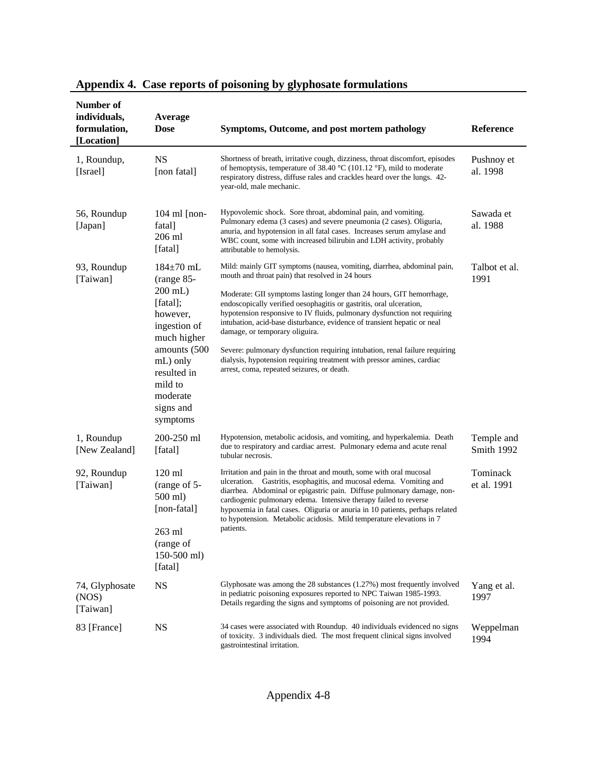| Number of<br>individuals,<br>formulation,<br>[Location] | Average<br><b>Dose</b>                                                                                                                                                                       | Symptoms, Outcome, and post mortem pathology                                                                                                                                                                                                                                                                                                                                                                                                                                                                                                                                                                                                                               | Reference                |
|---------------------------------------------------------|----------------------------------------------------------------------------------------------------------------------------------------------------------------------------------------------|----------------------------------------------------------------------------------------------------------------------------------------------------------------------------------------------------------------------------------------------------------------------------------------------------------------------------------------------------------------------------------------------------------------------------------------------------------------------------------------------------------------------------------------------------------------------------------------------------------------------------------------------------------------------------|--------------------------|
| 1, Roundup,<br>[Israel]                                 | <b>NS</b><br>[non fatal]                                                                                                                                                                     | Shortness of breath, irritative cough, dizziness, throat discomfort, episodes<br>of hemoptysis, temperature of 38.40 $^{\circ}$ C (101.12 $^{\circ}$ F), mild to moderate<br>respiratory distress, diffuse rales and crackles heard over the lungs. 42-<br>year-old, male mechanic.                                                                                                                                                                                                                                                                                                                                                                                        | Pushnoy et<br>al. 1998   |
| 56, Roundup<br>[Japan]                                  | $104$ ml [non-<br>fatal]<br>206 ml<br>[fatal]                                                                                                                                                | Hypovolemic shock. Sore throat, abdominal pain, and vomiting.<br>Pulmonary edema (3 cases) and severe pneumonia (2 cases). Oliguria,<br>anuria, and hypotension in all fatal cases. Increases serum amylase and<br>WBC count, some with increased bilirubin and LDH activity, probably<br>attributable to hemolysis.                                                                                                                                                                                                                                                                                                                                                       | Sawada et<br>al. 1988    |
| 93, Roundup<br>[Taiwan]                                 | $184 \pm 70$ mL<br>(range 85-<br>$200$ mL)<br>[fatal];<br>however,<br>ingestion of<br>much higher<br>amounts (500<br>mL) only<br>resulted in<br>mild to<br>moderate<br>signs and<br>symptoms | Mild: mainly GIT symptoms (nausea, vomiting, diarrhea, abdominal pain,<br>mouth and throat pain) that resolved in 24 hours<br>Moderate: GII symptoms lasting longer than 24 hours, GIT hemorrhage,<br>endoscopically verified oesophagitis or gastritis, oral ulceration,<br>hypotension responsive to IV fluids, pulmonary dysfunction not requiring<br>intubation, acid-base disturbance, evidence of transient hepatic or neal<br>damage, or temporary oliguira.<br>Severe: pulmonary dysfunction requiring intubation, renal failure requiring<br>dialysis, hypotension requiring treatment with pressor amines, cardiac<br>arrest, coma, repeated seizures, or death. | Talbot et al.<br>1991    |
| 1, Roundup<br>[New Zealand]                             | 200-250 ml<br>[fatal]                                                                                                                                                                        | Hypotension, metabolic acidosis, and vomiting, and hyperkalemia. Death<br>due to respiratory and cardiac arrest. Pulmonary edema and acute renal<br>tubular necrosis.                                                                                                                                                                                                                                                                                                                                                                                                                                                                                                      | Temple and<br>Smith 1992 |
| 92, Roundup<br>[Taiwan]                                 | $120 \text{ ml}$<br>(range of 5-<br>500 ml)<br>[non-fatal]<br>263 ml<br>(range of<br>150-500 ml)<br>[fatal]                                                                                  | Irritation and pain in the throat and mouth, some with oral mucosal<br>ulceration. Gastritis, esophagitis, and mucosal edema. Vomiting and<br>diarrhea. Abdominal or epigastric pain. Diffuse pulmonary damage, non-<br>cardiogenic pulmonary edema. Intensive therapy failed to reverse<br>hypoxemia in fatal cases. Oliguria or anuria in 10 patients, perhaps related<br>to hypotension. Metabolic acidosis. Mild temperature elevations in 7<br>patients.                                                                                                                                                                                                              | Tominack<br>et al. 1991  |
| 74, Glyphosate<br>(NOS)<br>[Taiwan]                     | <b>NS</b>                                                                                                                                                                                    | Glyphosate was among the $28$ substances $(1.27%)$ most frequently involved<br>in pediatric poisoning exposures reported to NPC Taiwan 1985-1993.<br>Details regarding the signs and symptoms of poisoning are not provided.                                                                                                                                                                                                                                                                                                                                                                                                                                               | Yang et al.<br>1997      |
| 83 [France]                                             | <b>NS</b>                                                                                                                                                                                    | 34 cases were associated with Roundup. 40 individuals evidenced no signs<br>of toxicity. 3 individuals died. The most frequent clinical signs involved<br>gastrointestinal irritation.                                                                                                                                                                                                                                                                                                                                                                                                                                                                                     | Weppelman<br>1994        |

## **Appendix 4. Case reports of poisoning by glyphosate formulations**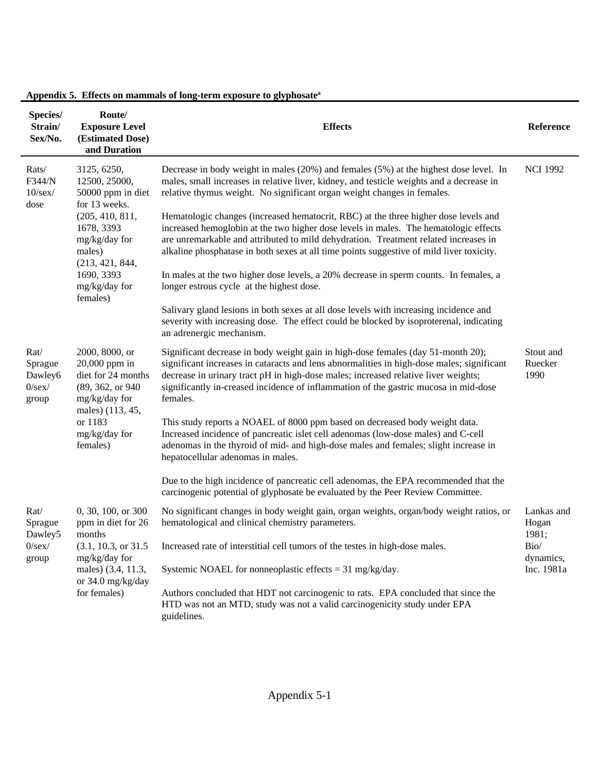| Species/<br>Strain/<br>Sex/No.                   | Route/<br><b>Exposure Level</b><br>(Estimated Dose)<br>and Duration                                             | <b>Effects</b>                                                                                                                                                                                                                                                                                                                                                          | Reference                    |
|--------------------------------------------------|-----------------------------------------------------------------------------------------------------------------|-------------------------------------------------------------------------------------------------------------------------------------------------------------------------------------------------------------------------------------------------------------------------------------------------------------------------------------------------------------------------|------------------------------|
| Rats/<br>F344/N<br>$10$ /sex/<br>dose            | 3125, 6250,<br>12500, 25000,<br>50000 ppm in diet<br>for 13 weeks.                                              | Decrease in body weight in males (20%) and females (5%) at the highest dose level. In<br>males, small increases in relative liver, kidney, and testicle weights and a decrease in<br>relative thymus weight. No significant organ weight changes in females.                                                                                                            | <b>NCI 1992</b>              |
|                                                  | (205, 410, 811,<br>1678, 3393<br>mg/kg/day for<br>males)<br>(213, 421, 844,                                     | Hematologic changes (increased hematocrit, RBC) at the three higher dose levels and<br>increased hemoglobin at the two higher dose levels in males. The hematologic effects<br>are unremarkable and attributed to mild dehydration. Treatment related increases in<br>alkaline phosphatase in both sexes at all time points suggestive of mild liver toxicity.          |                              |
|                                                  | 1690, 3393<br>mg/kg/day for<br>females)                                                                         | In males at the two higher dose levels, a 20% decrease in sperm counts. In females, a<br>longer estrous cycle at the highest dose.                                                                                                                                                                                                                                      |                              |
|                                                  |                                                                                                                 | Salivary gland lesions in both sexes at all dose levels with increasing incidence and<br>severity with increasing dose. The effect could be blocked by isoproterenal, indicating<br>an adrenergic mechanism.                                                                                                                                                            |                              |
| Rat/<br>Sprague<br>Dawley6<br>$0$ /sex/<br>group | 2000, 8000, or<br>20,000 ppm in<br>diet for 24 months<br>(89, 362, or 940)<br>mg/kg/day for<br>males) (113, 45, | Significant decrease in body weight gain in high-dose females (day 51-month 20);<br>significant increases in cataracts and lens abnormalities in high-dose males; significant<br>decrease in urinary tract pH in high-dose males; increased relative liver weights;<br>significantly in-creased incidence of inflammation of the gastric mucosa in mid-dose<br>females. | Stout and<br>Ruecker<br>1990 |
|                                                  | or 1183<br>mg/kg/day for<br>females)                                                                            | This study reports a NOAEL of 8000 ppm based on decreased body weight data.<br>Increased incidence of pancreatic islet cell adenomas (low-dose males) and C-cell<br>adenomas in the thyroid of mid- and high-dose males and females; slight increase in<br>hepatocellular adenomas in males.                                                                            |                              |
|                                                  |                                                                                                                 | Due to the high incidence of pancreatic cell adenomas, the EPA recommended that the<br>carcinogenic potential of glyphosate be evaluated by the Peer Review Committee.                                                                                                                                                                                                  |                              |
| Rat/<br>Sprague<br>Dawley5                       | 0, 30, 100, or 300<br>ppm in diet for 26<br>months                                                              | No significant changes in body weight gain, organ weights, organ/body weight ratios, or<br>hematological and clinical chemistry parameters.                                                                                                                                                                                                                             | Lankas and<br>Hogan<br>1981; |
| $0$ /sex/<br>group                               | mg/kg/day for                                                                                                   | (3.1, 10.3, or 31.5 Increased rate of interstitial cell tumors of the testes in high-dose males.                                                                                                                                                                                                                                                                        | Bio/<br>dynamics,            |
|                                                  | males) (3.4, 11.3,<br>or 34.0 mg/kg/day                                                                         | Systemic NOAEL for nonneoplastic effects = $31 \text{ mg/kg/day}$ .                                                                                                                                                                                                                                                                                                     | Inc. 1981a                   |
|                                                  | for females)                                                                                                    | Authors concluded that HDT not carcinogenic to rats. EPA concluded that since the<br>HTD was not an MTD, study was not a valid carcinogenicity study under EPA<br>guidelines.                                                                                                                                                                                           |                              |

## **Appendix 5. Effects on mammals of long-term exposure to glyphosate<sup>a</sup>**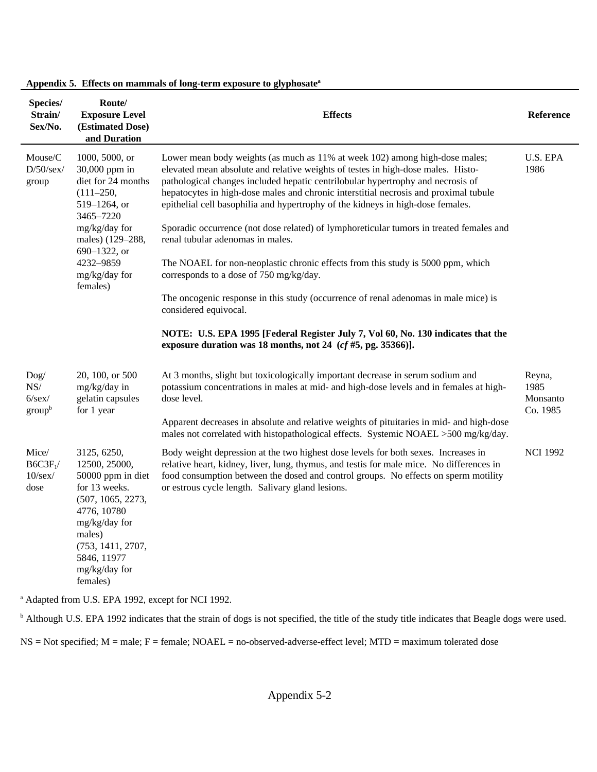| Species/<br>Strain/<br>Sex/No.                   | Route/<br><b>Exposure Level</b><br>(Estimated Dose)<br>and Duration                                                                                                                                | <b>Effects</b>                                                                                                                                                                                                                                                                                                                                                                                                                                                                                                           | Reference                              |
|--------------------------------------------------|----------------------------------------------------------------------------------------------------------------------------------------------------------------------------------------------------|--------------------------------------------------------------------------------------------------------------------------------------------------------------------------------------------------------------------------------------------------------------------------------------------------------------------------------------------------------------------------------------------------------------------------------------------------------------------------------------------------------------------------|----------------------------------------|
| Mouse/C<br>$D/50/\text{sex}/$<br>group           | 1000, 5000, or<br>30,000 ppm in<br>diet for 24 months<br>$(111 - 250,$<br>519-1264, or<br>3465-7220<br>mg/kg/day for                                                                               | Lower mean body weights (as much as 11% at week 102) among high-dose males;<br>elevated mean absolute and relative weights of testes in high-dose males. Histo-<br>pathological changes included hepatic centrilobular hypertrophy and necrosis of<br>hepatocytes in high-dose males and chronic interstitial necrosis and proximal tubule<br>epithelial cell basophilia and hypertrophy of the kidneys in high-dose females.<br>Sporadic occurrence (not dose related) of lymphoreticular tumors in treated females and | U.S. EPA<br>1986                       |
|                                                  | males) (129-288,<br>690–1322, or<br>4232-9859<br>mg/kg/day for                                                                                                                                     | renal tubular adenomas in males.<br>The NOAEL for non-neoplastic chronic effects from this study is 5000 ppm, which<br>corresponds to a dose of 750 mg/kg/day.                                                                                                                                                                                                                                                                                                                                                           |                                        |
|                                                  | females)                                                                                                                                                                                           | The oncogenic response in this study (occurrence of renal adenomas in male mice) is<br>considered equivocal.                                                                                                                                                                                                                                                                                                                                                                                                             |                                        |
|                                                  |                                                                                                                                                                                                    | NOTE: U.S. EPA 1995 [Federal Register July 7, Vol 60, No. 130 indicates that the<br>exposure duration was 18 months, not 24 $(cf #5, pg. 35366)$ ].                                                                                                                                                                                                                                                                                                                                                                      |                                        |
| $\log$<br>NS/<br>$6$ /sex/<br>group <sup>b</sup> | 20, 100, or 500<br>mg/kg/day in<br>gelatin capsules<br>for 1 year                                                                                                                                  | At 3 months, slight but toxicologically important decrease in serum sodium and<br>potassium concentrations in males at mid- and high-dose levels and in females at high-<br>dose level.<br>Apparent decreases in absolute and relative weights of pituitaries in mid- and high-dose                                                                                                                                                                                                                                      | Reyna,<br>1985<br>Monsanto<br>Co. 1985 |
|                                                  |                                                                                                                                                                                                    | males not correlated with histopathological effects. Systemic NOAEL >500 mg/kg/day.                                                                                                                                                                                                                                                                                                                                                                                                                                      |                                        |
| Mice/<br>$B6C3F_1/$<br>$10$ /sex/<br>dose        | 3125, 6250,<br>12500, 25000,<br>50000 ppm in diet<br>for 13 weeks.<br>(507, 1065, 2273,<br>4776, 10780<br>mg/kg/day for<br>males)<br>(753, 1411, 2707,<br>5846, 11977<br>mg/kg/day for<br>females) | Body weight depression at the two highest dose levels for both sexes. Increases in<br>relative heart, kidney, liver, lung, thymus, and testis for male mice. No differences in<br>food consumption between the dosed and control groups. No effects on sperm motility<br>or estrous cycle length. Salivary gland lesions.                                                                                                                                                                                                | <b>NCI 1992</b>                        |
|                                                  |                                                                                                                                                                                                    |                                                                                                                                                                                                                                                                                                                                                                                                                                                                                                                          |                                        |

**Appendix 5. Effects on mammals of long-term exposure to glyphosate<sup>a</sup>**

a Adapted from U.S. EPA 1992, except for NCI 1992.

<sup>b</sup> Although U.S. EPA 1992 indicates that the strain of dogs is not specified, the title of the study title indicates that Beagle dogs were used.

NS = Not specified; M = male; F = female; NOAEL = no-observed-adverse-effect level; MTD = maximum tolerated dose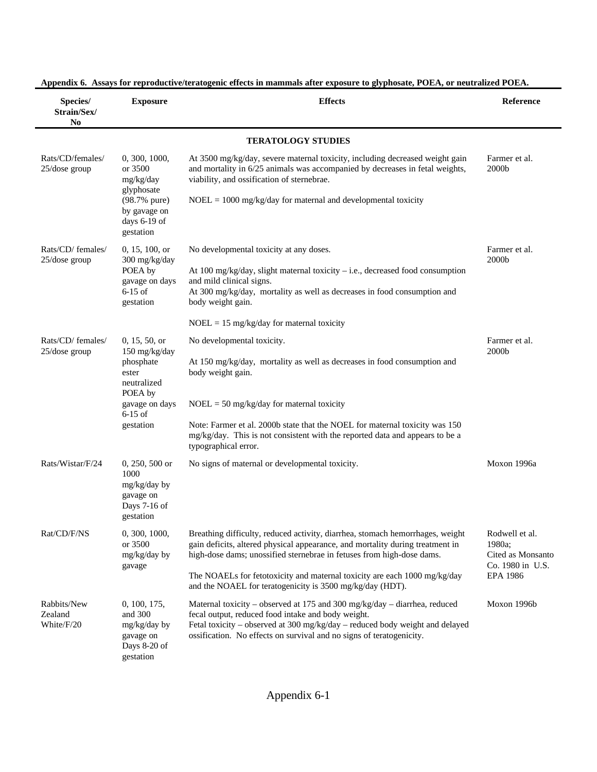| Species/<br>Strain/Sex/<br>N <sub>0</sub> | <b>Exposure</b>                                                                                                            | <b>Effects</b>                                                                                                                                                                                                                                                                                                                                                                    | <b>Reference</b>                                                                     |
|-------------------------------------------|----------------------------------------------------------------------------------------------------------------------------|-----------------------------------------------------------------------------------------------------------------------------------------------------------------------------------------------------------------------------------------------------------------------------------------------------------------------------------------------------------------------------------|--------------------------------------------------------------------------------------|
|                                           |                                                                                                                            | <b>TERATOLOGY STUDIES</b>                                                                                                                                                                                                                                                                                                                                                         |                                                                                      |
| Rats/CD/females/<br>25/dose group         | 0, 300, 1000,<br>or 3500<br>mg/kg/day<br>glyphosate<br>(98.7% pure)<br>by gavage on<br>days 6-19 of<br>gestation           | At 3500 mg/kg/day, severe maternal toxicity, including decreased weight gain<br>and mortality in 6/25 animals was accompanied by decreases in fetal weights,<br>viability, and ossification of sternebrae.<br>$NOEL = 1000 \text{ mg/kg/day}$ for maternal and developmental toxicity                                                                                             | Farmer et al.<br>2000b                                                               |
| Rats/CD/ females/<br>$25/dose$ group      | 0, 15, 100, or<br>300 mg/kg/day<br>POEA by<br>gavage on days<br>$6-15$ of<br>gestation                                     | No developmental toxicity at any doses.<br>At 100 mg/kg/day, slight maternal toxicity $-$ i.e., decreased food consumption<br>and mild clinical signs.<br>At 300 mg/kg/day, mortality as well as decreases in food consumption and<br>body weight gain.<br>$NOEL = 15$ mg/kg/day for maternal toxicity                                                                            | Farmer et al.<br>2000b                                                               |
| Rats/CD/ females/<br>$25$ /dose group     | 0, 15, 50, or<br>150 mg/kg/day<br>phosphate<br>ester<br>neutralized<br>POEA by<br>gavage on days<br>$6-15$ of<br>gestation | No developmental toxicity.<br>At 150 mg/kg/day, mortality as well as decreases in food consumption and<br>body weight gain.<br>$NOEL = 50$ mg/kg/day for maternal toxicity<br>Note: Farmer et al. 2000b state that the NOEL for maternal toxicity was 150<br>mg/kg/day. This is not consistent with the reported data and appears to be a<br>typographical error.                 | Farmer et al.<br>2000b                                                               |
| Rats/Wistar/F/24                          | $0, 250, 500$ or<br>1000<br>mg/kg/day by<br>gavage on<br>Days 7-16 of<br>gestation                                         | No signs of maternal or developmental toxicity.                                                                                                                                                                                                                                                                                                                                   | Moxon 1996a                                                                          |
| Rat/CD/F/NS                               | 0, 300, 1000,<br>or 3500<br>mg/kg/day by<br>gavage                                                                         | Breathing difficulty, reduced activity, diarrhea, stomach hemorrhages, weight<br>gain deficits, altered physical appearance, and mortality during treatment in<br>high-dose dams; unossified sternebrae in fetuses from high-dose dams.<br>The NOAELs for fetotoxicity and maternal toxicity are each 1000 mg/kg/day<br>and the NOAEL for teratogenicity is 3500 mg/kg/day (HDT). | Rodwell et al.<br>1980a;<br>Cited as Monsanto<br>Co. 1980 in U.S.<br><b>EPA 1986</b> |
| Rabbits/New<br>Zealand<br>White/F/20      | 0, 100, 175,<br>and 300<br>mg/kg/day by<br>gavage on<br>Days 8-20 of<br>gestation                                          | Maternal toxicity – observed at 175 and 300 mg/kg/day – diarrhea, reduced<br>fecal output, reduced food intake and body weight.<br>Fetal toxicity - observed at 300 mg/kg/day - reduced body weight and delayed<br>ossification. No effects on survival and no signs of teratogenicity.                                                                                           | Moxon 1996b                                                                          |

**Appendix 6. Assays for reproductive/teratogenic effects in mammals after exposure to glyphosate, POEA, or neutralized POEA.**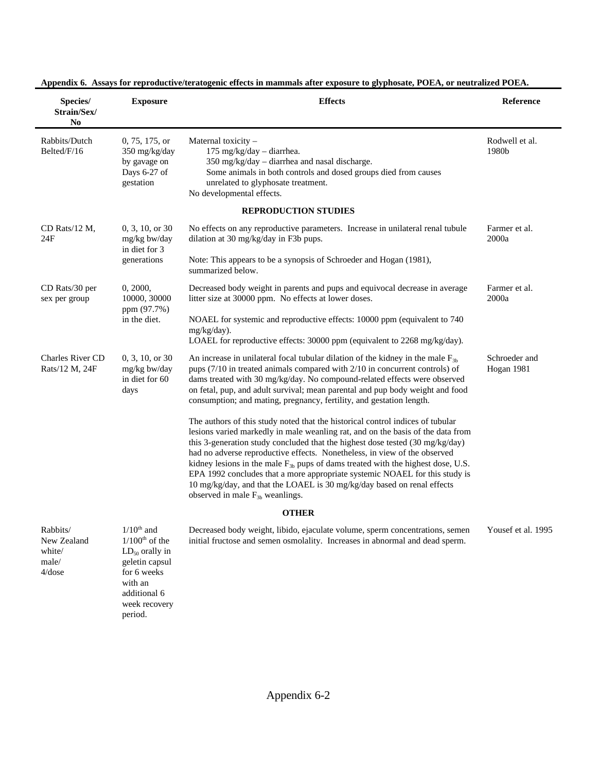| Species/<br>Strain/Sex/<br>No                        | <b>Exposure</b>                                                                                                                                 | <b>Effects</b>                                                                                                                                                                                                                                                                                                                                                                                                                                                                                                                                                                                                                                                                                                                                                                                                                                                                                                                                                                                                                        | Reference                   |
|------------------------------------------------------|-------------------------------------------------------------------------------------------------------------------------------------------------|---------------------------------------------------------------------------------------------------------------------------------------------------------------------------------------------------------------------------------------------------------------------------------------------------------------------------------------------------------------------------------------------------------------------------------------------------------------------------------------------------------------------------------------------------------------------------------------------------------------------------------------------------------------------------------------------------------------------------------------------------------------------------------------------------------------------------------------------------------------------------------------------------------------------------------------------------------------------------------------------------------------------------------------|-----------------------------|
| Rabbits/Dutch<br>Belted/F/16                         | 0, 75, 175, or<br>350 mg/kg/day<br>by gavage on<br>Days 6-27 of<br>gestation                                                                    | Maternal toxicity -<br>175 mg/kg/day - diarrhea.<br>350 mg/kg/day - diarrhea and nasal discharge.<br>Some animals in both controls and dosed groups died from causes<br>unrelated to glyphosate treatment.<br>No developmental effects.                                                                                                                                                                                                                                                                                                                                                                                                                                                                                                                                                                                                                                                                                                                                                                                               | Rodwell et al.<br>1980b     |
|                                                      |                                                                                                                                                 | <b>REPRODUCTION STUDIES</b>                                                                                                                                                                                                                                                                                                                                                                                                                                                                                                                                                                                                                                                                                                                                                                                                                                                                                                                                                                                                           |                             |
| CD Rats/12 M,<br>24F                                 | 0, 3, 10, or 30<br>mg/kg bw/day<br>in diet for 3<br>generations                                                                                 | No effects on any reproductive parameters. Increase in unilateral renal tubule<br>dilation at 30 mg/kg/day in F3b pups.<br>Note: This appears to be a synopsis of Schroeder and Hogan (1981),<br>summarized below.                                                                                                                                                                                                                                                                                                                                                                                                                                                                                                                                                                                                                                                                                                                                                                                                                    | Farmer et al.<br>2000a      |
| CD Rats/30 per<br>sex per group                      | 0, 2000,<br>10000, 30000<br>ppm (97.7%)<br>in the diet.                                                                                         | Decreased body weight in parents and pups and equivocal decrease in average<br>litter size at 30000 ppm. No effects at lower doses.<br>NOAEL for systemic and reproductive effects: 10000 ppm (equivalent to 740)<br>mg/kg/day).<br>LOAEL for reproductive effects: 30000 ppm (equivalent to 2268 mg/kg/day).                                                                                                                                                                                                                                                                                                                                                                                                                                                                                                                                                                                                                                                                                                                         | Farmer et al.<br>2000a      |
| <b>Charles River CD</b><br>Rats/12 M, 24F            | 0, 3, 10, or 30<br>mg/kg bw/day<br>in diet for 60<br>days                                                                                       | An increase in unilateral focal tubular dilation of the kidney in the male $F_{3b}$<br>pups (7/10 in treated animals compared with 2/10 in concurrent controls) of<br>dams treated with 30 mg/kg/day. No compound-related effects were observed<br>on fetal, pup, and adult survival; mean parental and pup body weight and food<br>consumption; and mating, pregnancy, fertility, and gestation length.<br>The authors of this study noted that the historical control indices of tubular<br>lesions varied markedly in male weanling rat, and on the basis of the data from<br>this 3-generation study concluded that the highest dose tested (30 mg/kg/day)<br>had no adverse reproductive effects. Nonetheless, in view of the observed<br>kidney lesions in the male $F_{3b}$ pups of dams treated with the highest dose, U.S.<br>EPA 1992 concludes that a more appropriate systemic NOAEL for this study is<br>10 mg/kg/day, and that the LOAEL is 30 mg/kg/day based on renal effects<br>observed in male $F_{3b}$ weanlings. | Schroeder and<br>Hogan 1981 |
|                                                      |                                                                                                                                                 | <b>OTHER</b>                                                                                                                                                                                                                                                                                                                                                                                                                                                                                                                                                                                                                                                                                                                                                                                                                                                                                                                                                                                                                          |                             |
| Rabbits/<br>New Zealand<br>white/<br>male/<br>4/dose | $1/10th$ and<br>$1/100th$ of the<br>$LD_{50}$ orally in<br>geletin capsul<br>for 6 weeks<br>with an<br>additional 6<br>week recovery<br>period. | Decreased body weight, libido, ejaculate volume, sperm concentrations, semen<br>initial fructose and semen osmolality. Increases in abnormal and dead sperm.                                                                                                                                                                                                                                                                                                                                                                                                                                                                                                                                                                                                                                                                                                                                                                                                                                                                          | Yousef et al. 1995          |

**Appendix 6. Assays for reproductive/teratogenic effects in mammals after exposure to glyphosate, POEA, or neutralized POEA.**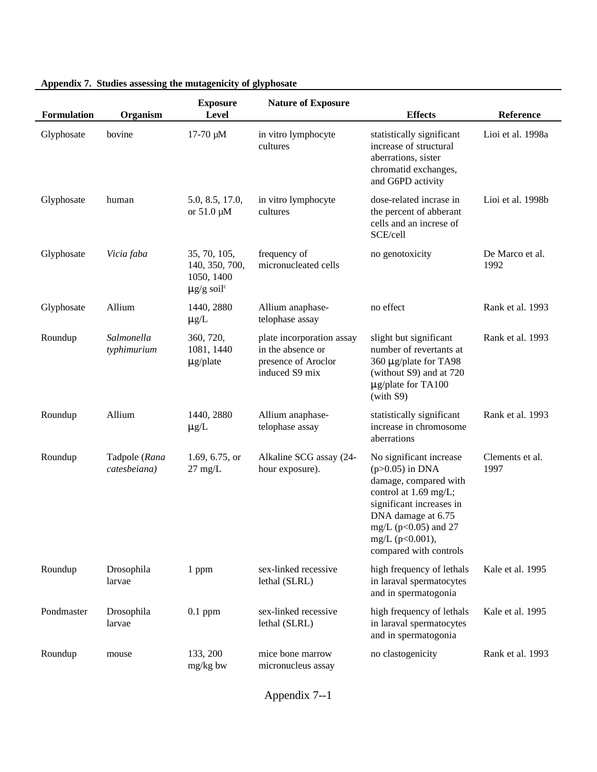| Formulation | Organism                      | <b>Exposure</b><br>Level                                                    | <b>Nature of Exposure</b>                                                               | <b>Effects</b>                                                                                                                                                                                                            | <b>Reference</b>        |
|-------------|-------------------------------|-----------------------------------------------------------------------------|-----------------------------------------------------------------------------------------|---------------------------------------------------------------------------------------------------------------------------------------------------------------------------------------------------------------------------|-------------------------|
| Glyphosate  | bovine                        | $17-70 \mu M$                                                               | in vitro lymphocyte<br>cultures                                                         | statistically significant<br>increase of structural<br>aberrations, sister<br>chromatid exchanges,<br>and G6PD activity                                                                                                   | Lioi et al. 1998a       |
| Glyphosate  | human                         | 5.0, 8.5, 17.0,<br>or $51.0 \mu M$                                          | in vitro lymphocyte<br>cultures                                                         | dose-related incrase in<br>the percent of abberant<br>cells and an increse of<br>SCE/cell                                                                                                                                 | Lioi et al. 1998b       |
| Glyphosate  | Vicia faba                    | 35, 70, 105,<br>140, 350, 700,<br>1050, 1400<br>$\mu$ g/g soil <sup>c</sup> | frequency of<br>micronucleated cells                                                    | no genotoxicity                                                                                                                                                                                                           | De Marco et al.<br>1992 |
| Glyphosate  | Allium                        | 1440, 2880<br>$\mu$ g/L                                                     | Allium anaphase-<br>telophase assay                                                     | no effect                                                                                                                                                                                                                 | Rank et al. 1993        |
| Roundup     | Salmonella<br>typhimurium     | 360, 720,<br>1081, 1440<br>$\mu$ g/plate                                    | plate incorporation assay<br>in the absence or<br>presence of Aroclor<br>induced S9 mix | slight but significant<br>number of revertants at<br>360 µg/plate for TA98<br>(without S9) and at 720<br>$\mu$ g/plate for TA100<br>(with S9)                                                                             | Rank et al. 1993        |
| Roundup     | Allium                        | 1440, 2880<br>$\mu$ g/L                                                     | Allium anaphase-<br>telophase assay                                                     | statistically significant<br>increase in chromosome<br>aberrations                                                                                                                                                        | Rank et al. 1993        |
| Roundup     | Tadpole (Rana<br>catesbeiana) | 1.69, 6.75, or<br>$27 \text{ mg/L}$                                         | Alkaline SCG assay (24-<br>hour exposure).                                              | No significant increase<br>$(p>0.05)$ in DNA<br>damage, compared with<br>control at 1.69 mg/L;<br>significant increases in<br>DNA damage at 6.75<br>mg/L ( $p<0.05$ ) and 27<br>mg/L (p<0.001),<br>compared with controls | Clements et al.<br>1997 |
| Roundup     | Drosophila<br>larvae          | 1 ppm                                                                       | sex-linked recessive<br>lethal (SLRL)                                                   | high frequency of lethals<br>in laraval spermatocytes<br>and in spermatogonia                                                                                                                                             | Kale et al. 1995        |
| Pondmaster  | Drosophila<br>larvae          | $0.1$ ppm                                                                   | sex-linked recessive<br>lethal (SLRL)                                                   | high frequency of lethals<br>in laraval spermatocytes<br>and in spermatogonia                                                                                                                                             | Kale et al. 1995        |
| Roundup     | mouse                         | 133, 200<br>mg/kg bw                                                        | mice bone marrow<br>micronucleus assay                                                  | no clastogenicity                                                                                                                                                                                                         | Rank et al. 1993        |

## **Appendix 7. Studies assessing the mutagenicity of glyphosate**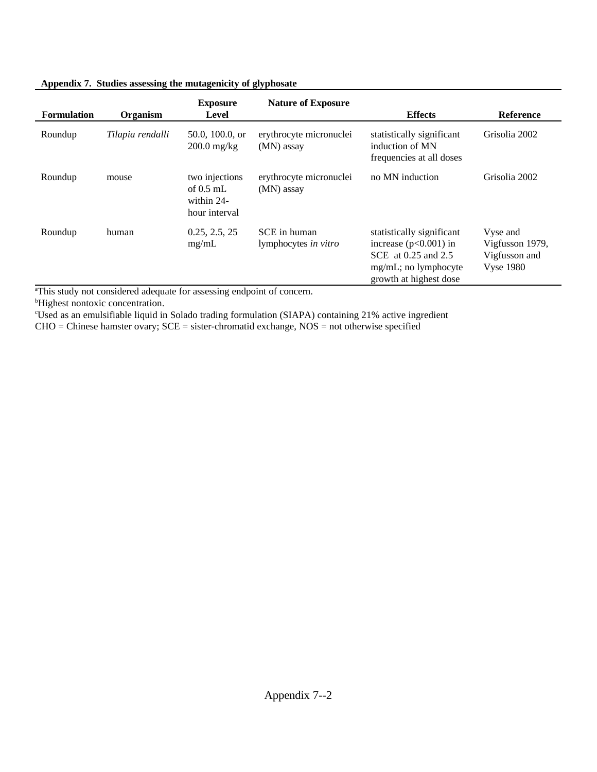| Appendix 7. Studies assessing the mutagenicity of glyphosate |
|--------------------------------------------------------------|
|--------------------------------------------------------------|

| <b>Formulation</b> | Organism         | <b>Exposure</b><br><b>Level</b>                              | <b>Nature of Exposure</b>             | <b>Effects</b>                                                                                                                   | <b>Reference</b>                                                 |
|--------------------|------------------|--------------------------------------------------------------|---------------------------------------|----------------------------------------------------------------------------------------------------------------------------------|------------------------------------------------------------------|
| Roundup            | Tilapia rendalli | 50.0, 100.0, or<br>$200.0$ mg/kg                             | erythrocyte micronuclei<br>(MN) assay | statistically significant<br>induction of MN<br>frequencies at all doses                                                         | Grisolia 2002                                                    |
| Roundup            | mouse            | two injections<br>of $0.5$ mL<br>within 24-<br>hour interval | erythrocyte micronuclei<br>(MN) assay | no MN induction                                                                                                                  | Grisolia 2002                                                    |
| Roundup            | human            | 0.25, 2.5, 25<br>mg/mL                                       | SCE in human<br>lymphocytes in vitro  | statistically significant<br>increase $(p<0.001)$ in<br>SCE at 0.25 and 2.5<br>$mg/mL$ ; no lymphocyte<br>growth at highest dose | Vyse and<br>Vigfusson 1979,<br>Vigfusson and<br><b>Vyse 1980</b> |

<sup>a</sup>This study not considered adequate for assessing endpoint of concern.

**bHighest nontoxic concentration.** 

<sup>c</sup>Used as an emulsifiable liquid in Solado trading formulation (SIAPA) containing 21% active ingredient

CHO = Chinese hamster ovary; SCE = sister-chromatid exchange, NOS = not otherwise specified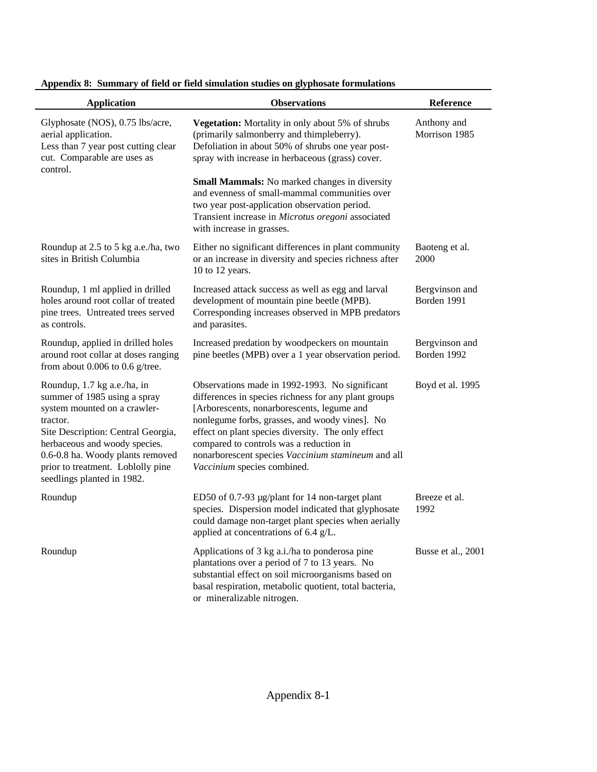| <b>Application</b>                                                                                                                                                                                                                                                                    | <b>Observations</b>                                                                                                                                                                                                                                                                                                                                                                          | Reference                     |
|---------------------------------------------------------------------------------------------------------------------------------------------------------------------------------------------------------------------------------------------------------------------------------------|----------------------------------------------------------------------------------------------------------------------------------------------------------------------------------------------------------------------------------------------------------------------------------------------------------------------------------------------------------------------------------------------|-------------------------------|
| Glyphosate (NOS), 0.75 lbs/acre,<br>aerial application.<br>Less than 7 year post cutting clear<br>cut. Comparable are uses as<br>control.                                                                                                                                             | Vegetation: Mortality in only about 5% of shrubs<br>(primarily salmonberry and thimpleberry).<br>Defoliation in about 50% of shrubs one year post-<br>spray with increase in herbaceous (grass) cover.                                                                                                                                                                                       | Anthony and<br>Morrison 1985  |
|                                                                                                                                                                                                                                                                                       | <b>Small Mammals:</b> No marked changes in diversity<br>and evenness of small-mammal communities over<br>two year post-application observation period.<br>Transient increase in Microtus oregoni associated<br>with increase in grasses.                                                                                                                                                     |                               |
| Roundup at 2.5 to 5 kg a.e./ha, two<br>sites in British Columbia                                                                                                                                                                                                                      | Either no significant differences in plant community<br>or an increase in diversity and species richness after<br>10 to 12 years.                                                                                                                                                                                                                                                            | Baoteng et al.<br>2000        |
| Roundup, 1 ml applied in drilled<br>holes around root collar of treated<br>pine trees. Untreated trees served<br>as controls.                                                                                                                                                         | Increased attack success as well as egg and larval<br>development of mountain pine beetle (MPB).<br>Corresponding increases observed in MPB predators<br>and parasites.                                                                                                                                                                                                                      | Bergvinson and<br>Borden 1991 |
| Roundup, applied in drilled holes<br>around root collar at doses ranging<br>from about $0.006$ to $0.6$ g/tree.                                                                                                                                                                       | Increased predation by woodpeckers on mountain<br>pine beetles (MPB) over a 1 year observation period.                                                                                                                                                                                                                                                                                       | Bergvinson and<br>Borden 1992 |
| Roundup, 1.7 kg a.e./ha, in<br>summer of 1985 using a spray<br>system mounted on a crawler-<br>tractor.<br>Site Description: Central Georgia,<br>herbaceous and woody species.<br>0.6-0.8 ha. Woody plants removed<br>prior to treatment. Loblolly pine<br>seedlings planted in 1982. | Observations made in 1992-1993. No significant<br>differences in species richness for any plant groups<br>[Arborescents, nonarborescents, legume and<br>nonlegume forbs, grasses, and woody vines]. No<br>effect on plant species diversity. The only effect<br>compared to controls was a reduction in<br>nonarborescent species Vaccinium stamineum and all<br>Vaccinium species combined. | Boyd et al. 1995              |
| Roundup                                                                                                                                                                                                                                                                               | ED50 of 0.7-93 µg/plant for 14 non-target plant<br>species. Dispersion model indicated that glyphosate<br>could damage non-target plant species when aerially<br>applied at concentrations of $6.4$ g/L.                                                                                                                                                                                     | Breeze et al.<br>1992         |
| Roundup                                                                                                                                                                                                                                                                               | Applications of 3 kg a.i./ha to ponderosa pine<br>plantations over a period of 7 to 13 years. No<br>substantial effect on soil microorganisms based on<br>basal respiration, metabolic quotient, total bacteria,<br>or mineralizable nitrogen.                                                                                                                                               | Busse et al., 2001            |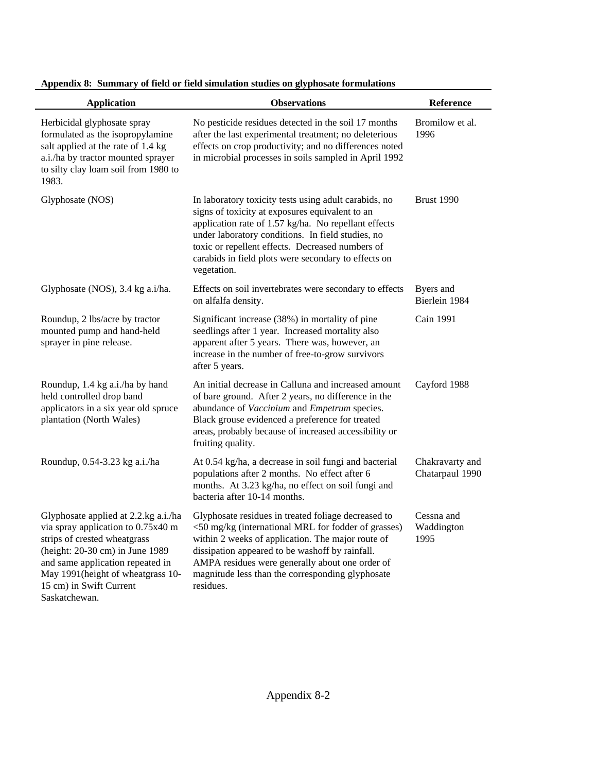| <b>Application</b>                                                                                                                                                                                                                                | <b>Observations</b>                                                                                                                                                                                                                                                                                                                              | Reference                          |
|---------------------------------------------------------------------------------------------------------------------------------------------------------------------------------------------------------------------------------------------------|--------------------------------------------------------------------------------------------------------------------------------------------------------------------------------------------------------------------------------------------------------------------------------------------------------------------------------------------------|------------------------------------|
| Herbicidal glyphosate spray<br>formulated as the isopropylamine<br>salt applied at the rate of 1.4 kg<br>a.i./ha by tractor mounted sprayer<br>to silty clay loam soil from 1980 to<br>1983.                                                      | No pesticide residues detected in the soil 17 months<br>after the last experimental treatment; no deleterious<br>effects on crop productivity; and no differences noted<br>in microbial processes in soils sampled in April 1992                                                                                                                 | Bromilow et al.<br>1996            |
| Glyphosate (NOS)                                                                                                                                                                                                                                  | In laboratory toxicity tests using adult carabids, no<br>signs of toxicity at exposures equivalent to an<br>application rate of 1.57 kg/ha. No repellant effects<br>under laboratory conditions. In field studies, no<br>toxic or repellent effects. Decreased numbers of<br>carabids in field plots were secondary to effects on<br>vegetation. | <b>Brust 1990</b>                  |
| Glyphosate (NOS), 3.4 kg a.i/ha.                                                                                                                                                                                                                  | Effects on soil invertebrates were secondary to effects<br>on alfalfa density.                                                                                                                                                                                                                                                                   | Byers and<br>Bierlein 1984         |
| Roundup, 2 lbs/acre by tractor<br>mounted pump and hand-held<br>sprayer in pine release.                                                                                                                                                          | Significant increase (38%) in mortality of pine<br>seedlings after 1 year. Increased mortality also<br>apparent after 5 years. There was, however, an<br>increase in the number of free-to-grow survivors<br>after 5 years.                                                                                                                      | Cain 1991                          |
| Roundup, 1.4 kg a.i./ha by hand<br>held controlled drop band<br>applicators in a six year old spruce<br>plantation (North Wales)                                                                                                                  | An initial decrease in Calluna and increased amount<br>of bare ground. After 2 years, no difference in the<br>abundance of Vaccinium and Empetrum species.<br>Black grouse evidenced a preference for treated<br>areas, probably because of increased accessibility or<br>fruiting quality.                                                      | Cayford 1988                       |
| Roundup, 0.54-3.23 kg a.i./ha                                                                                                                                                                                                                     | At 0.54 kg/ha, a decrease in soil fungi and bacterial<br>populations after 2 months. No effect after 6<br>months. At 3.23 kg/ha, no effect on soil fungi and<br>bacteria after 10-14 months.                                                                                                                                                     | Chakravarty and<br>Chatarpaul 1990 |
| Glyphosate applied at 2.2.kg a.i./ha<br>via spray application to 0.75x40 m<br>strips of crested wheatgrass<br>(height: 20-30 cm) in June 1989<br>and same application repeated in<br>May 1991(height of wheatgrass 10-<br>15 cm) in Swift Current | Glyphosate residues in treated foliage decreased to<br><50 mg/kg (international MRL for fodder of grasses)<br>within 2 weeks of application. The major route of<br>dissipation appeared to be washoff by rainfall.<br>AMPA residues were generally about one order of<br>magnitude less than the corresponding glyphosate<br>residues.           | Cessna and<br>Waddington<br>1995   |

Saskatchewan.

**Appendix 8: Summary of field or field simulation studies on glyphosate formulations**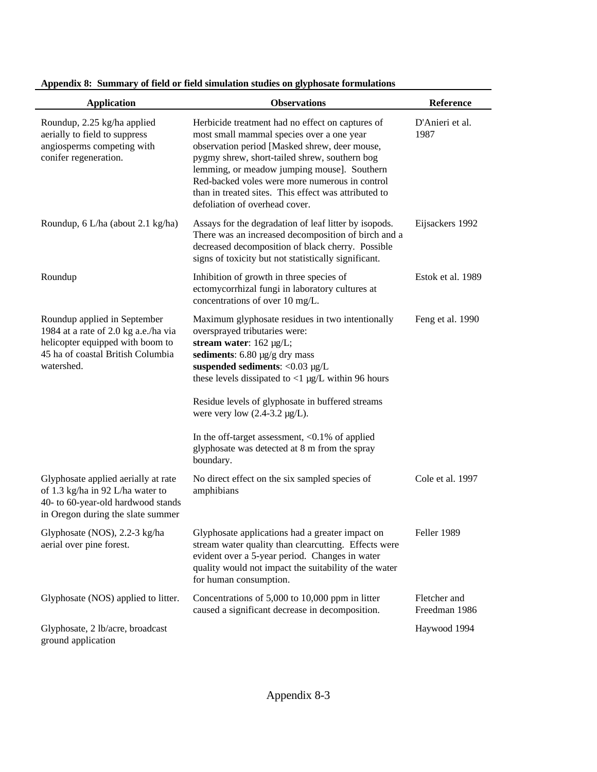| <b>Application</b>                                                                                                                                          | <b>Observations</b>                                                                                                                                                                                                                                                                                                                                                                                                                                              | Reference                     |
|-------------------------------------------------------------------------------------------------------------------------------------------------------------|------------------------------------------------------------------------------------------------------------------------------------------------------------------------------------------------------------------------------------------------------------------------------------------------------------------------------------------------------------------------------------------------------------------------------------------------------------------|-------------------------------|
| Roundup, 2.25 kg/ha applied<br>aerially to field to suppress<br>angiosperms competing with<br>conifer regeneration.                                         | Herbicide treatment had no effect on captures of<br>most small mammal species over a one year<br>observation period [Masked shrew, deer mouse,<br>pygmy shrew, short-tailed shrew, southern bog<br>lemming, or meadow jumping mouse]. Southern<br>Red-backed voles were more numerous in control<br>than in treated sites. This effect was attributed to<br>defoliation of overhead cover.                                                                       | D'Anieri et al.<br>1987       |
| Roundup, 6 L/ha (about 2.1 kg/ha)                                                                                                                           | Assays for the degradation of leaf litter by isopods.<br>There was an increased decomposition of birch and a<br>decreased decomposition of black cherry. Possible<br>signs of toxicity but not statistically significant.                                                                                                                                                                                                                                        | Eijsackers 1992               |
| Roundup                                                                                                                                                     | Inhibition of growth in three species of<br>ectomycorrhizal fungi in laboratory cultures at<br>concentrations of over 10 mg/L.                                                                                                                                                                                                                                                                                                                                   | Estok et al. 1989             |
| Roundup applied in September<br>1984 at a rate of 2.0 kg a.e./ha via<br>helicopter equipped with boom to<br>45 ha of coastal British Columbia<br>watershed. | Maximum glyphosate residues in two intentionally<br>oversprayed tributaries were:<br>stream water: 162 µg/L;<br>sediments: $6.80 \mu g/g$ dry mass<br>suspended sediments: $<$ 0.03 µg/L<br>these levels dissipated to $<$ 1 µg/L within 96 hours<br>Residue levels of glyphosate in buffered streams<br>were very low $(2.4-3.2 \mu g/L)$ .<br>In the off-target assessment, $< 0.1\%$ of applied<br>glyphosate was detected at 8 m from the spray<br>boundary. | Feng et al. 1990              |
| Glyphosate applied aerially at rate<br>of 1.3 kg/ha in 92 L/ha water to<br>40- to 60-year-old hardwood stands<br>in Oregon during the slate summer          | No direct effect on the six sampled species of<br>amphibians                                                                                                                                                                                                                                                                                                                                                                                                     | Cole et al. 1997              |
| Glyphosate (NOS), 2.2-3 kg/ha<br>aerial over pine forest.                                                                                                   | Glyphosate applications had a greater impact on<br>stream water quality than clearcutting. Effects were<br>evident over a 5-year period. Changes in water<br>quality would not impact the suitability of the water<br>for human consumption.                                                                                                                                                                                                                     | Feller 1989                   |
| Glyphosate (NOS) applied to litter.                                                                                                                         | Concentrations of 5,000 to 10,000 ppm in litter<br>caused a significant decrease in decomposition.                                                                                                                                                                                                                                                                                                                                                               | Fletcher and<br>Freedman 1986 |
| Glyphosate, 2 lb/acre, broadcast<br>ground application                                                                                                      |                                                                                                                                                                                                                                                                                                                                                                                                                                                                  | Haywood 1994                  |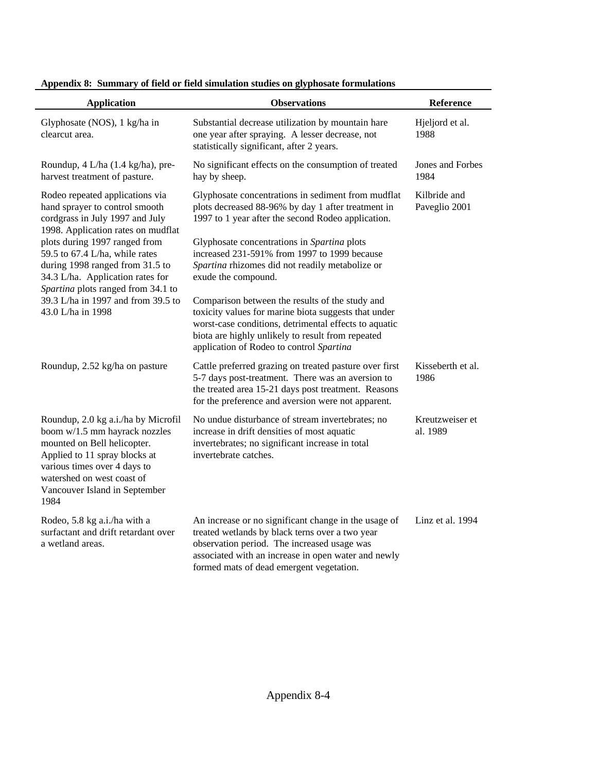| <b>Application</b>                                                                                                                                                                                                                          | <b>Observations</b>                                                                                                                                                                                                                                               | Reference                     |
|---------------------------------------------------------------------------------------------------------------------------------------------------------------------------------------------------------------------------------------------|-------------------------------------------------------------------------------------------------------------------------------------------------------------------------------------------------------------------------------------------------------------------|-------------------------------|
| Glyphosate (NOS), 1 kg/ha in<br>clearcut area.                                                                                                                                                                                              | Substantial decrease utilization by mountain hare<br>one year after spraying. A lesser decrease, not<br>statistically significant, after 2 years.                                                                                                                 | Hjeljord et al.<br>1988       |
| Roundup, 4 L/ha (1.4 kg/ha), pre-<br>harvest treatment of pasture.                                                                                                                                                                          | No significant effects on the consumption of treated<br>hay by sheep.                                                                                                                                                                                             | Jones and Forbes<br>1984      |
| Rodeo repeated applications via<br>hand sprayer to control smooth<br>cordgrass in July 1997 and July<br>1998. Application rates on mudflat                                                                                                  | Glyphosate concentrations in sediment from mudflat<br>plots decreased 88-96% by day 1 after treatment in<br>1997 to 1 year after the second Rodeo application.                                                                                                    | Kilbride and<br>Paveglio 2001 |
| plots during 1997 ranged from<br>59.5 to 67.4 L/ha, while rates<br>during 1998 ranged from 31.5 to<br>34.3 L/ha. Application rates for<br>Spartina plots ranged from 34.1 to                                                                | Glyphosate concentrations in Spartina plots<br>increased 231-591% from 1997 to 1999 because<br>Spartina rhizomes did not readily metabolize or<br>exude the compound.                                                                                             |                               |
| 39.3 L/ha in 1997 and from 39.5 to<br>43.0 L/ha in 1998                                                                                                                                                                                     | Comparison between the results of the study and<br>toxicity values for marine biota suggests that under<br>worst-case conditions, detrimental effects to aquatic<br>biota are highly unlikely to result from repeated<br>application of Rodeo to control Spartina |                               |
| Roundup, 2.52 kg/ha on pasture                                                                                                                                                                                                              | Cattle preferred grazing on treated pasture over first<br>5-7 days post-treatment. There was an aversion to<br>the treated area 15-21 days post treatment. Reasons<br>for the preference and aversion were not apparent.                                          | Kisseberth et al.<br>1986     |
| Roundup, 2.0 kg a.i./ha by Microfil<br>boom w/1.5 mm hayrack nozzles<br>mounted on Bell helicopter.<br>Applied to 11 spray blocks at<br>various times over 4 days to<br>watershed on west coast of<br>Vancouver Island in September<br>1984 | No undue disturbance of stream invertebrates; no<br>increase in drift densities of most aquatic<br>invertebrates; no significant increase in total<br>invertebrate catches.                                                                                       | Kreutzweiser et<br>al. 1989   |
| Rodeo, 5.8 kg a.i./ha with a<br>surfactant and drift retardant over<br>a wetland areas.                                                                                                                                                     | An increase or no significant change in the usage of<br>treated wetlands by black terns over a two year<br>observation period. The increased usage was<br>associated with an increase in open water and newly<br>formed mats of dead emergent vegetation.         | Linz et al. 1994              |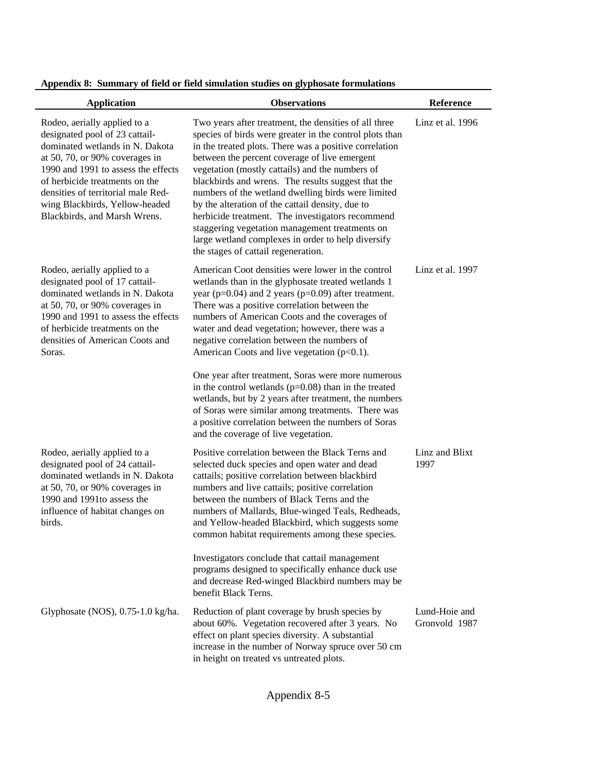|  |  |  |  |  | Appendix 8: Summary of field or field simulation studies on glyphosate formulations |
|--|--|--|--|--|-------------------------------------------------------------------------------------|
|--|--|--|--|--|-------------------------------------------------------------------------------------|

| <b>Application</b>                                                                                                                                                                                                                                                                                                   | <b>Observations</b>                                                                                                                                                                                                                                                                                                                                                                                                                                                                                                                                                                                                                               | Reference                      |
|----------------------------------------------------------------------------------------------------------------------------------------------------------------------------------------------------------------------------------------------------------------------------------------------------------------------|---------------------------------------------------------------------------------------------------------------------------------------------------------------------------------------------------------------------------------------------------------------------------------------------------------------------------------------------------------------------------------------------------------------------------------------------------------------------------------------------------------------------------------------------------------------------------------------------------------------------------------------------------|--------------------------------|
| Rodeo, aerially applied to a<br>designated pool of 23 cattail-<br>dominated wetlands in N. Dakota<br>at 50, 70, or 90% coverages in<br>1990 and 1991 to assess the effects<br>of herbicide treatments on the<br>densities of territorial male Red-<br>wing Blackbirds, Yellow-headed<br>Blackbirds, and Marsh Wrens. | Two years after treatment, the densities of all three<br>species of birds were greater in the control plots than<br>in the treated plots. There was a positive correlation<br>between the percent coverage of live emergent<br>vegetation (mostly cattails) and the numbers of<br>blackbirds and wrens. The results suggest that the<br>numbers of the wetland dwelling birds were limited<br>by the alteration of the cattail density, due to<br>herbicide treatment. The investigators recommend<br>staggering vegetation management treatments on<br>large wetland complexes in order to help diversify<br>the stages of cattail regeneration. | Linz et al. 1996               |
| Rodeo, aerially applied to a<br>designated pool of 17 cattail-<br>dominated wetlands in N. Dakota<br>at 50, 70, or 90% coverages in<br>1990 and 1991 to assess the effects<br>of herbicide treatments on the<br>densities of American Coots and<br>Soras.                                                            | American Coot densities were lower in the control<br>wetlands than in the glyphosate treated wetlands 1<br>year ( $p=0.04$ ) and 2 years ( $p=0.09$ ) after treatment.<br>There was a positive correlation between the<br>numbers of American Coots and the coverages of<br>water and dead vegetation; however, there was a<br>negative correlation between the numbers of<br>American Coots and live vegetation (p<0.1).                                                                                                                                                                                                                         | Linz et al. 1997               |
|                                                                                                                                                                                                                                                                                                                      | One year after treatment, Soras were more numerous<br>in the control wetlands $(p=0.08)$ than in the treated<br>wetlands, but by 2 years after treatment, the numbers<br>of Soras were similar among treatments. There was<br>a positive correlation between the numbers of Soras<br>and the coverage of live vegetation.                                                                                                                                                                                                                                                                                                                         |                                |
| Rodeo, aerially applied to a<br>designated pool of 24 cattail-<br>dominated wetlands in N. Dakota<br>at 50, 70, or 90% coverages in<br>1990 and 1991 to assess the<br>influence of habitat changes on<br>birds.                                                                                                      | Positive correlation between the Black Terns and<br>selected duck species and open water and dead<br>cattails; positive correlation between blackbird<br>numbers and live cattails; positive correlation<br>between the numbers of Black Terns and the<br>numbers of Mallards, Blue-winged Teals, Redheads,<br>and Yellow-headed Blackbird, which suggests some<br>common habitat requirements among these species.                                                                                                                                                                                                                               | Linz and Blixt<br>1997         |
|                                                                                                                                                                                                                                                                                                                      | Investigators conclude that cattail management<br>programs designed to specifically enhance duck use<br>and decrease Red-winged Blackbird numbers may be<br>benefit Black Terns.                                                                                                                                                                                                                                                                                                                                                                                                                                                                  |                                |
| Glyphosate (NOS), 0.75-1.0 kg/ha.                                                                                                                                                                                                                                                                                    | Reduction of plant coverage by brush species by<br>about 60%. Vegetation recovered after 3 years. No<br>effect on plant species diversity. A substantial<br>increase in the number of Norway spruce over 50 cm<br>in height on treated vs untreated plots.                                                                                                                                                                                                                                                                                                                                                                                        | Lund-Hoie and<br>Gronvold 1987 |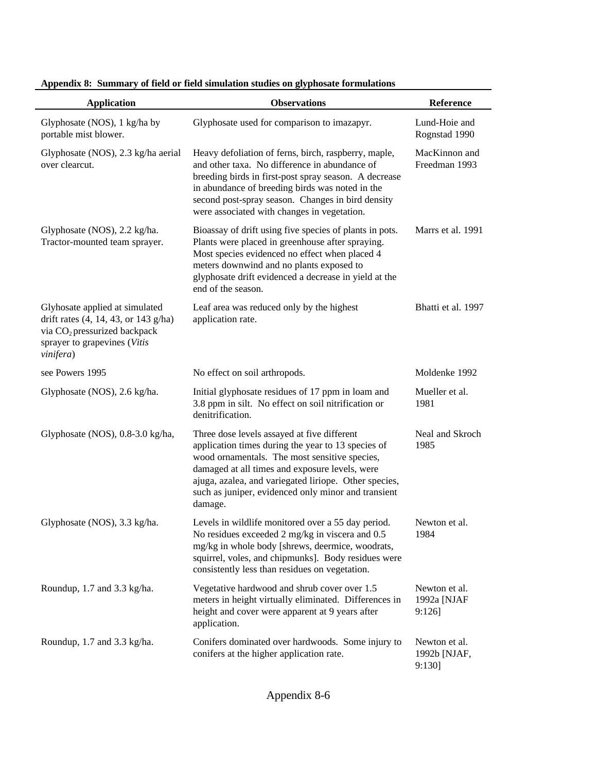| <b>Application</b>                                                                                                                                              | <b>Observations</b>                                                                                                                                                                                                                                                                                                             | Reference                               |
|-----------------------------------------------------------------------------------------------------------------------------------------------------------------|---------------------------------------------------------------------------------------------------------------------------------------------------------------------------------------------------------------------------------------------------------------------------------------------------------------------------------|-----------------------------------------|
| Glyphosate (NOS), 1 kg/ha by<br>portable mist blower.                                                                                                           | Glyphosate used for comparison to imazapyr.                                                                                                                                                                                                                                                                                     | Lund-Hoie and<br>Rognstad 1990          |
| Glyphosate (NOS), 2.3 kg/ha aerial<br>over clearcut.                                                                                                            | Heavy defoliation of ferns, birch, raspberry, maple,<br>and other taxa. No difference in abundance of<br>breeding birds in first-post spray season. A decrease<br>in abundance of breeding birds was noted in the<br>second post-spray season. Changes in bird density<br>were associated with changes in vegetation.           | MacKinnon and<br>Freedman 1993          |
| Glyphosate (NOS), 2.2 kg/ha.<br>Tractor-mounted team sprayer.                                                                                                   | Bioassay of drift using five species of plants in pots.<br>Plants were placed in greenhouse after spraying.<br>Most species evidenced no effect when placed 4<br>meters downwind and no plants exposed to<br>glyphosate drift evidenced a decrease in yield at the<br>end of the season.                                        | Marrs et al. 1991                       |
| Glyhosate applied at simulated<br>drift rates (4, 14, 43, or 143 g/ha)<br>via CO <sub>2</sub> pressurized backpack<br>sprayer to grapevines (Vitis<br>vinifera) | Leaf area was reduced only by the highest<br>application rate.                                                                                                                                                                                                                                                                  | Bhatti et al. 1997                      |
| see Powers 1995                                                                                                                                                 | No effect on soil arthropods.                                                                                                                                                                                                                                                                                                   | Moldenke 1992                           |
| Glyphosate (NOS), 2.6 kg/ha.                                                                                                                                    | Initial glyphosate residues of 17 ppm in loam and<br>3.8 ppm in silt. No effect on soil nitrification or<br>denitrification.                                                                                                                                                                                                    | Mueller et al.<br>1981                  |
| Glyphosate (NOS), 0.8-3.0 kg/ha,                                                                                                                                | Three dose levels assayed at five different<br>application times during the year to 13 species of<br>wood ornamentals. The most sensitive species,<br>damaged at all times and exposure levels, were<br>ajuga, azalea, and variegated liriope. Other species,<br>such as juniper, evidenced only minor and transient<br>damage. | Neal and Skroch<br>1985                 |
| Glyphosate (NOS), 3.3 kg/ha.                                                                                                                                    | Levels in wildlife monitored over a 55 day period.<br>No residues exceeded 2 mg/kg in viscera and 0.5<br>mg/kg in whole body [shrews, deermice, woodrats,<br>squirrel, voles, and chipmunks]. Body residues were<br>consistently less than residues on vegetation.                                                              | Newton et al.<br>1984                   |
| Roundup, 1.7 and 3.3 kg/ha.                                                                                                                                     | Vegetative hardwood and shrub cover over 1.5<br>meters in height virtually eliminated. Differences in<br>height and cover were apparent at 9 years after<br>application.                                                                                                                                                        | Newton et al.<br>1992a [NJAF<br>9:126   |
| Roundup, 1.7 and 3.3 kg/ha.                                                                                                                                     | Conifers dominated over hardwoods. Some injury to<br>conifers at the higher application rate.                                                                                                                                                                                                                                   | Newton et al.<br>1992b [NJAF,<br>9:130] |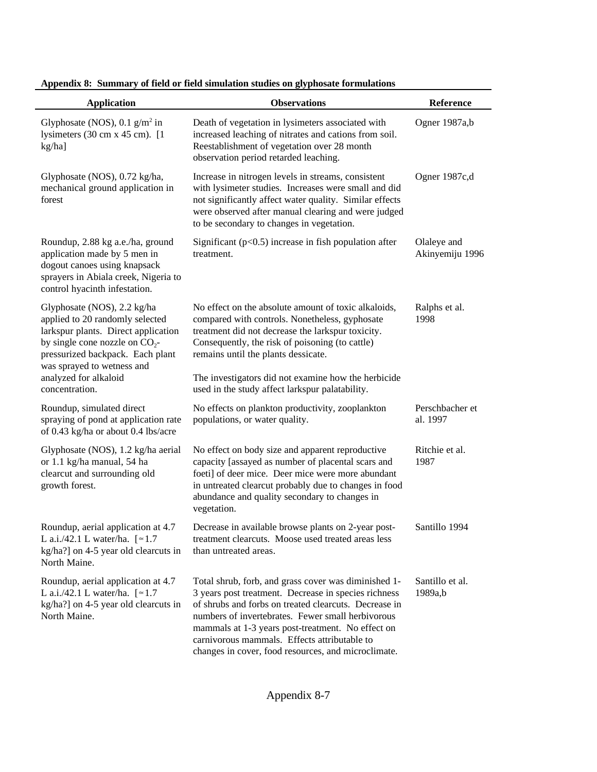| <b>Application</b>                                                                                                                                                                                                                                      | <b>Observations</b>                                                                                                                                                                                                                                                                                                                                                                    | Reference                      |
|---------------------------------------------------------------------------------------------------------------------------------------------------------------------------------------------------------------------------------------------------------|----------------------------------------------------------------------------------------------------------------------------------------------------------------------------------------------------------------------------------------------------------------------------------------------------------------------------------------------------------------------------------------|--------------------------------|
| Glyphosate (NOS), $0.1$ g/m <sup>2</sup> in<br>lysimeters $(30 \text{ cm} \times 45 \text{ cm})$ . [1<br>kg/ha]                                                                                                                                         | Death of vegetation in lysimeters associated with<br>increased leaching of nitrates and cations from soil.<br>Reestablishment of vegetation over 28 month<br>observation period retarded leaching.                                                                                                                                                                                     | Ogner 1987a,b                  |
| Glyphosate (NOS), 0.72 kg/ha,<br>mechanical ground application in<br>forest                                                                                                                                                                             | Increase in nitrogen levels in streams, consistent<br>with lysimeter studies. Increases were small and did<br>not significantly affect water quality. Similar effects<br>were observed after manual clearing and were judged<br>to be secondary to changes in vegetation.                                                                                                              | Ogner 1987c,d                  |
| Roundup, 2.88 kg a.e./ha, ground<br>application made by 5 men in<br>dogout canoes using knapsack<br>sprayers in Abiala creek, Nigeria to<br>control hyacinth infestation.                                                                               | Significant ( $p<0.5$ ) increase in fish population after<br>treatment.                                                                                                                                                                                                                                                                                                                | Olaleye and<br>Akinyemiju 1996 |
| Glyphosate (NOS), 2.2 kg/ha<br>applied to 20 randomly selected<br>larkspur plants. Direct application<br>by single cone nozzle on $CO_2$ -<br>pressurized backpack. Each plant<br>was sprayed to wetness and<br>analyzed for alkaloid<br>concentration. | No effect on the absolute amount of toxic alkaloids,<br>compared with controls. Nonetheless, gyphosate<br>treatment did not decrease the larkspur toxicity.<br>Consequently, the risk of poisoning (to cattle)<br>remains until the plants dessicate.<br>The investigators did not examine how the herbicide                                                                           | Ralphs et al.<br>1998          |
| Roundup, simulated direct<br>spraying of pond at application rate<br>of 0.43 kg/ha or about 0.4 lbs/acre                                                                                                                                                | used in the study affect larkspur palatability.<br>No effects on plankton productivity, zooplankton<br>populations, or water quality.                                                                                                                                                                                                                                                  | Perschbacher et<br>al. 1997    |
| Glyphosate (NOS), 1.2 kg/ha aerial<br>or 1.1 kg/ha manual, 54 ha<br>clearcut and surrounding old<br>growth forest.                                                                                                                                      | No effect on body size and apparent reproductive<br>capacity [assayed as number of placental scars and<br>foeti] of deer mice. Deer mice were more abundant<br>in untreated clearcut probably due to changes in food<br>abundance and quality secondary to changes in<br>vegetation.                                                                                                   | Ritchie et al.<br>1987         |
| Roundup, aerial application at 4.7<br>L a.i./42.1 L water/ha. $[$ $\simeq$ 1.7<br>kg/ha?] on 4-5 year old clearcuts in<br>North Maine.                                                                                                                  | Decrease in available browse plants on 2-year post-<br>treatment clearcuts. Moose used treated areas less<br>than untreated areas.                                                                                                                                                                                                                                                     | Santillo 1994                  |
| Roundup, aerial application at 4.7<br>L a.i./42.1 L water/ha. $[$ $\simeq$ 1.7<br>kg/ha?] on 4-5 year old clearcuts in<br>North Maine.                                                                                                                  | Total shrub, forb, and grass cover was diminished 1-<br>3 years post treatment. Decrease in species richness<br>of shrubs and forbs on treated clearcuts. Decrease in<br>numbers of invertebrates. Fewer small herbivorous<br>mammals at 1-3 years post-treatment. No effect on<br>carnivorous mammals. Effects attributable to<br>changes in cover, food resources, and microclimate. | Santillo et al.<br>1989a,b     |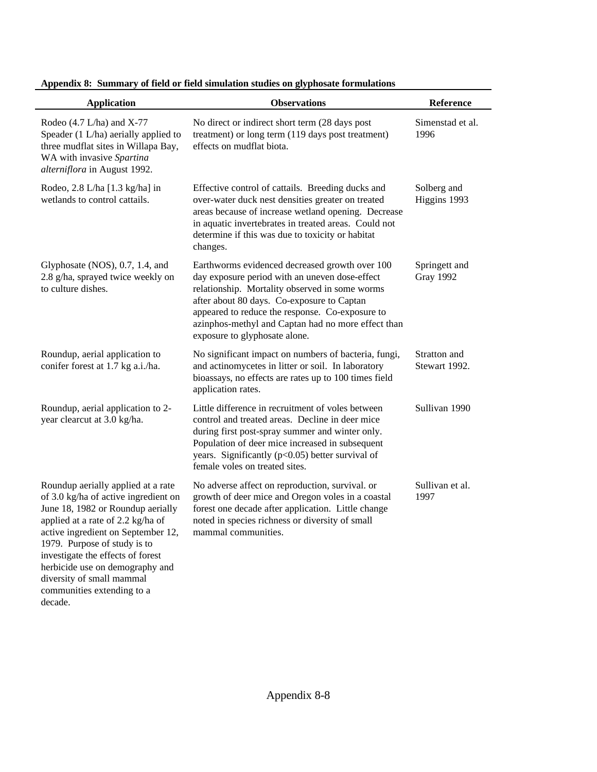| <b>Application</b>                                                                                                                                                                                                                                                                                                                                            | <b>Observations</b>                                                                                                                                                                                                                                                                                                                        | Reference                         |
|---------------------------------------------------------------------------------------------------------------------------------------------------------------------------------------------------------------------------------------------------------------------------------------------------------------------------------------------------------------|--------------------------------------------------------------------------------------------------------------------------------------------------------------------------------------------------------------------------------------------------------------------------------------------------------------------------------------------|-----------------------------------|
| Rodeo $(4.7 L/ha)$ and X-77<br>Speader (1 L/ha) aerially applied to<br>three mudflat sites in Willapa Bay,<br>WA with invasive Spartina<br>alterniflora in August 1992.                                                                                                                                                                                       | No direct or indirect short term (28 days post<br>treatment) or long term (119 days post treatment)<br>effects on mudflat biota.                                                                                                                                                                                                           | Simenstad et al.<br>1996          |
| Rodeo, 2.8 L/ha [1.3 kg/ha] in<br>wetlands to control cattails.                                                                                                                                                                                                                                                                                               | Effective control of cattails. Breeding ducks and<br>over-water duck nest densities greater on treated<br>areas because of increase wetland opening. Decrease<br>in aquatic invertebrates in treated areas. Could not<br>determine if this was due to toxicity or habitat<br>changes.                                                      | Solberg and<br>Higgins 1993       |
| Glyphosate (NOS), 0.7, 1.4, and<br>2.8 g/ha, sprayed twice weekly on<br>to culture dishes.                                                                                                                                                                                                                                                                    | Earthworms evidenced decreased growth over 100<br>day exposure period with an uneven dose-effect<br>relationship. Mortality observed in some worms<br>after about 80 days. Co-exposure to Captan<br>appeared to reduce the response. Co-exposure to<br>azinphos-methyl and Captan had no more effect than<br>exposure to glyphosate alone. | Springett and<br><b>Gray 1992</b> |
| Roundup, aerial application to<br>conifer forest at 1.7 kg a.i./ha.                                                                                                                                                                                                                                                                                           | No significant impact on numbers of bacteria, fungi,<br>and actinomycetes in litter or soil. In laboratory<br>bioassays, no effects are rates up to 100 times field<br>application rates.                                                                                                                                                  | Stratton and<br>Stewart 1992.     |
| Roundup, aerial application to 2-<br>year clearcut at 3.0 kg/ha.                                                                                                                                                                                                                                                                                              | Little difference in recruitment of voles between<br>control and treated areas. Decline in deer mice<br>during first post-spray summer and winter only.<br>Population of deer mice increased in subsequent<br>years. Significantly (p<0.05) better survival of<br>female voles on treated sites.                                           | Sullivan 1990                     |
| Roundup aerially applied at a rate<br>of 3.0 kg/ha of active ingredient on<br>June 18, 1982 or Roundup aerially<br>applied at a rate of 2.2 kg/ha of<br>active ingredient on September 12,<br>1979. Purpose of study is to<br>investigate the effects of forest<br>herbicide use on demography and<br>diversity of small mammal<br>communities extending to a | No adverse affect on reproduction, survival. or<br>growth of deer mice and Oregon voles in a coastal<br>forest one decade after application. Little change<br>noted in species richness or diversity of small<br>mammal communities.                                                                                                       | Sullivan et al.<br>1997           |

decade.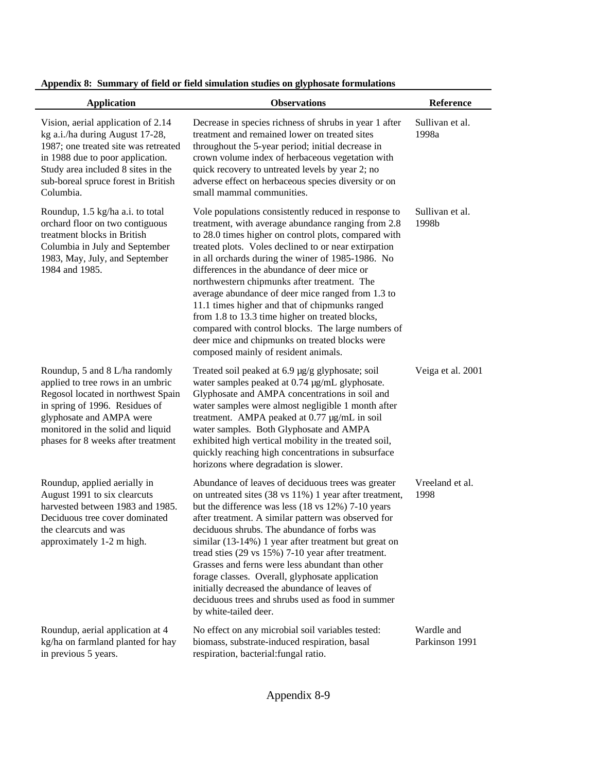| <b>Application</b>                                                                                                                                                                                                                                 | <b>Observations</b>                                                                                                                                                                                                                                                                                                                                                                                                                                                                                                                                                                                                                                                                      | Reference                    |
|----------------------------------------------------------------------------------------------------------------------------------------------------------------------------------------------------------------------------------------------------|------------------------------------------------------------------------------------------------------------------------------------------------------------------------------------------------------------------------------------------------------------------------------------------------------------------------------------------------------------------------------------------------------------------------------------------------------------------------------------------------------------------------------------------------------------------------------------------------------------------------------------------------------------------------------------------|------------------------------|
| Vision, aerial application of 2.14<br>kg a.i./ha during August 17-28,<br>1987; one treated site was retreated<br>in 1988 due to poor application.<br>Study area included 8 sites in the<br>sub-boreal spruce forest in British<br>Columbia.        | Decrease in species richness of shrubs in year 1 after<br>treatment and remained lower on treated sites<br>throughout the 5-year period; initial decrease in<br>crown volume index of herbaceous vegetation with<br>quick recovery to untreated levels by year 2; no<br>adverse effect on herbaceous species diversity or on<br>small mammal communities.                                                                                                                                                                                                                                                                                                                                | Sullivan et al.<br>1998a     |
| Roundup, 1.5 kg/ha a.i. to total<br>orchard floor on two contiguous<br>treatment blocks in British<br>Columbia in July and September<br>1983, May, July, and September<br>1984 and 1985.                                                           | Vole populations consistently reduced in response to<br>treatment, with average abundance ranging from 2.8<br>to 28.0 times higher on control plots, compared with<br>treated plots. Voles declined to or near extirpation<br>in all orchards during the winer of 1985-1986. No<br>differences in the abundance of deer mice or<br>northwestern chipmunks after treatment. The<br>average abundance of deer mice ranged from 1.3 to<br>11.1 times higher and that of chipmunks ranged<br>from 1.8 to 13.3 time higher on treated blocks,<br>compared with control blocks. The large numbers of<br>deer mice and chipmunks on treated blocks were<br>composed mainly of resident animals. | Sullivan et al.<br>1998b     |
| Roundup, 5 and 8 L/ha randomly<br>applied to tree rows in an umbric<br>Regosol located in northwest Spain<br>in spring of 1996. Residues of<br>glyphosate and AMPA were<br>monitored in the solid and liquid<br>phases for 8 weeks after treatment | Treated soil peaked at 6.9 µg/g glyphosate; soil<br>water samples peaked at 0.74 µg/mL glyphosate.<br>Glyphosate and AMPA concentrations in soil and<br>water samples were almost negligible 1 month after<br>treatment. AMPA peaked at 0.77 µg/mL in soil<br>water samples. Both Glyphosate and AMPA<br>exhibited high vertical mobility in the treated soil,<br>quickly reaching high concentrations in subsurface<br>horizons where degradation is slower.                                                                                                                                                                                                                            | Veiga et al. 2001            |
| Roundup, applied aerially in<br>August 1991 to six clearcuts<br>harvested between 1983 and 1985.<br>Deciduous tree cover dominated<br>the clearcuts and was<br>approximately 1-2 m high.                                                           | Abundance of leaves of deciduous trees was greater<br>on untreated sites (38 vs 11%) 1 year after treatment,<br>but the difference was less (18 vs 12%) 7-10 years<br>after treatment. A similar pattern was observed for<br>deciduous shrubs. The abundance of forbs was<br>similar (13-14%) 1 year after treatment but great on<br>tread sties (29 vs 15%) 7-10 year after treatment.<br>Grasses and ferns were less abundant than other<br>forage classes. Overall, glyphosate application<br>initially decreased the abundance of leaves of<br>deciduous trees and shrubs used as food in summer<br>by white-tailed deer.                                                            | Vreeland et al.<br>1998      |
| Roundup, aerial application at 4<br>kg/ha on farmland planted for hay<br>in previous 5 years.                                                                                                                                                      | No effect on any microbial soil variables tested:<br>biomass, substrate-induced respiration, basal<br>respiration, bacterial: fungal ratio.                                                                                                                                                                                                                                                                                                                                                                                                                                                                                                                                              | Wardle and<br>Parkinson 1991 |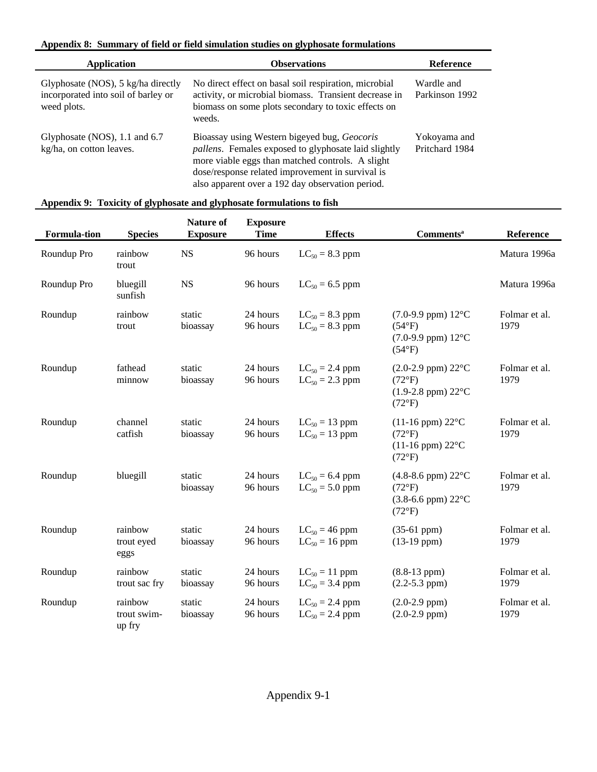| Application                                                                              | <b>Observations</b>                                                                                                                                                                                                                                                      | <b>Reference</b>               |
|------------------------------------------------------------------------------------------|--------------------------------------------------------------------------------------------------------------------------------------------------------------------------------------------------------------------------------------------------------------------------|--------------------------------|
| Glyphosate (NOS), 5 kg/ha directly<br>incorporated into soil of barley or<br>weed plots. | No direct effect on basal soil respiration, microbial<br>activity, or microbial biomass. Transient decrease in<br>biomass on some plots secondary to toxic effects on<br>weeds.                                                                                          | Wardle and<br>Parkinson 1992   |
| Glyphosate (NOS), 1.1 and 6.7<br>kg/ha, on cotton leaves.                                | Bioassay using Western bigeyed bug, Geocoris<br><i>pallens</i> . Females exposed to glyphosate laid slightly<br>more viable eggs than matched controls. A slight<br>dose/response related improvement in survival is<br>also apparent over a 192 day observation period. | Yokoyama and<br>Pritchard 1984 |

| <b>Formula-tion</b> | <b>Species</b>                   | <b>Nature of</b><br><b>Exposure</b> | <b>Exposure</b><br><b>Time</b> | <b>Effects</b>                             | <b>Comments</b> <sup>a</sup>                                                                                   | Reference             |
|---------------------|----------------------------------|-------------------------------------|--------------------------------|--------------------------------------------|----------------------------------------------------------------------------------------------------------------|-----------------------|
| Roundup Pro         | rainbow<br>trout                 | <b>NS</b>                           | 96 hours                       | $LC_{50} = 8.3$ ppm                        |                                                                                                                | Matura 1996a          |
| Roundup Pro         | bluegill<br>sunfish              | <b>NS</b>                           | 96 hours                       | $LC_{50} = 6.5$ ppm                        |                                                                                                                | Matura 1996a          |
| Roundup             | rainbow<br>trout                 | static<br>bioassay                  | 24 hours<br>96 hours           | $LC_{50} = 8.3$ ppm<br>$LC_{50} = 8.3$ ppm | $(7.0-9.9$ ppm) $12^{\circ}$ C<br>$(54^{\circ}F)$<br>$(7.0-9.9$ ppm) $12^{\circ}$ C<br>$(54^{\circ}F)$         | Folmar et al.<br>1979 |
| Roundup             | fathead<br>minnow                | static<br>bioassay                  | 24 hours<br>96 hours           | $LC_{50} = 2.4$ ppm<br>$LC_{50} = 2.3$ ppm | $(2.0-2.9$ ppm) $22^{\circ}$ C<br>$(72^{\circ}F)$<br>$(1.9-2.8$ ppm) $22^{\circ}$ C<br>$(72^{\circ}F)$         | Folmar et al.<br>1979 |
| Roundup             | channel<br>catfish               | static<br>bioassay                  | 24 hours<br>96 hours           | $LC_{50} = 13$ ppm<br>$LC_{50} = 13$ ppm   | $(11-16$ ppm) $22^{\circ}$ C<br>$(72^{\circ}F)$<br>$(11-16$ ppm) $22^{\circ}$ C<br>$(72^{\circ}F)$             | Folmar et al.<br>1979 |
| Roundup             | bluegill                         | static<br>bioassay                  | 24 hours<br>96 hours           | $LC_{50} = 6.4$ ppm<br>$LC_{50} = 5.0$ ppm | $(4.8-8.6$ ppm $)$ 22 $^{\circ}$ C<br>$(72^{\circ}F)$<br>$(3.8-6.6$ ppm $)$ 22 $^{\circ}$ C<br>$(72^{\circ}F)$ | Folmar et al.<br>1979 |
| Roundup             | rainbow<br>trout eyed<br>eggs    | static<br>bioassay                  | 24 hours<br>96 hours           | $LC_{50} = 46$ ppm<br>$LC_{50} = 16$ ppm   | $(35-61$ ppm $)$<br>$(13-19$ ppm $)$                                                                           | Folmar et al.<br>1979 |
| Roundup             | rainbow<br>trout sac fry         | static<br>bioassay                  | 24 hours<br>96 hours           | $LC_{50} = 11$ ppm<br>$LC_{50} = 3.4$ ppm  | $(8.8-13 ppm)$<br>$(2.2 - 5.3$ ppm $)$                                                                         | Folmar et al.<br>1979 |
| Roundup             | rainbow<br>trout swim-<br>up fry | static<br>bioassay                  | 24 hours<br>96 hours           | $LC_{50} = 2.4$ ppm<br>$LC_{50} = 2.4$ ppm | $(2.0-2.9$ ppm $)$<br>$(2.0-2.9$ ppm $)$                                                                       | Folmar et al.<br>1979 |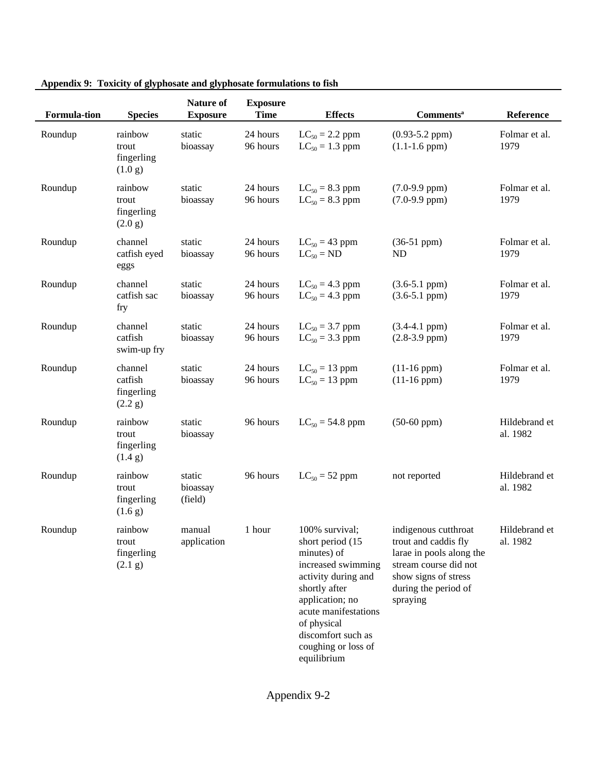| <b>Formula-tion</b> | <b>Species</b>                              | Nature of<br><b>Exposure</b>  | <b>Exposure</b><br><b>Time</b> | <b>Effects</b>                                                                                                                                                                                                                        | <b>Comments</b> <sup>a</sup>                                                                                                                                  | Reference                 |
|---------------------|---------------------------------------------|-------------------------------|--------------------------------|---------------------------------------------------------------------------------------------------------------------------------------------------------------------------------------------------------------------------------------|---------------------------------------------------------------------------------------------------------------------------------------------------------------|---------------------------|
| Roundup             | rainbow<br>trout<br>fingerling<br>(1.0 g)   | static<br>bioassay            | 24 hours<br>96 hours           | $LC_{50} = 2.2$ ppm<br>$LC_{50} = 1.3$ ppm                                                                                                                                                                                            | $(0.93 - 5.2$ ppm $)$<br>$(1.1-1.6$ ppm $)$                                                                                                                   | Folmar et al.<br>1979     |
| Roundup             | rainbow<br>trout<br>fingerling<br>(2.0 g)   | static<br>bioassay            | 24 hours<br>96 hours           | $LC_{50} = 8.3$ ppm<br>$LC_{50} = 8.3$ ppm                                                                                                                                                                                            | $(7.0-9.9$ ppm $)$<br>$(7.0-9.9$ ppm $)$                                                                                                                      | Folmar et al.<br>1979     |
| Roundup             | channel<br>catfish eyed<br>eggs             | static<br>bioassay            | 24 hours<br>96 hours           | $LC_{50} = 43$ ppm<br>$LC_{50} = ND$                                                                                                                                                                                                  | $(36-51$ ppm $)$<br>ND                                                                                                                                        | Folmar et al.<br>1979     |
| Roundup             | channel<br>catfish sac<br>fry               | static<br>bioassay            | 24 hours<br>96 hours           | $LC_{50} = 4.3$ ppm<br>$LC_{50} = 4.3$ ppm                                                                                                                                                                                            | $(3.6-5.1$ ppm $)$<br>$(3.6-5.1$ ppm $)$                                                                                                                      | Folmar et al.<br>1979     |
| Roundup             | channel<br>catfish<br>swim-up fry           | static<br>bioassay            | 24 hours<br>96 hours           | $LC_{50} = 3.7$ ppm<br>$LC_{50} = 3.3$ ppm                                                                                                                                                                                            | $(3.4-4.1 ppm)$<br>$(2.8-3.9$ ppm $)$                                                                                                                         | Folmar et al.<br>1979     |
| Roundup             | channel<br>catfish<br>fingerling<br>(2.2 g) | static<br>bioassay            | 24 hours<br>96 hours           | $LC_{50} = 13$ ppm<br>$LC_{50} = 13$ ppm                                                                                                                                                                                              | $(11-16$ ppm $)$<br>$(11-16$ ppm $)$                                                                                                                          | Folmar et al.<br>1979     |
| Roundup             | rainbow<br>trout<br>fingerling<br>(1.4 g)   | static<br>bioassay            | 96 hours                       | $LC_{50} = 54.8$ ppm                                                                                                                                                                                                                  | $(50-60$ ppm $)$                                                                                                                                              | Hildebrand et<br>al. 1982 |
| Roundup             | rainbow<br>trout<br>fingerling<br>(1.6 g)   | static<br>bioassay<br>(field) | 96 hours                       | $LC_{50} = 52$ ppm                                                                                                                                                                                                                    | not reported                                                                                                                                                  | Hildebrand et<br>al. 1982 |
| Roundup             | rainbow<br>trout<br>fingerling<br>(2.1 g)   | manual<br>application         | 1 hour                         | 100% survival;<br>short period (15<br>minutes) of<br>increased swimming<br>activity during and<br>shortly after<br>application; no<br>acute manifestations<br>of physical<br>discomfort such as<br>coughing or loss of<br>equilibrium | indigenous cutthroat<br>trout and caddis fly<br>larae in pools along the<br>stream course did not<br>show signs of stress<br>during the period of<br>spraying | Hildebrand et<br>al. 1982 |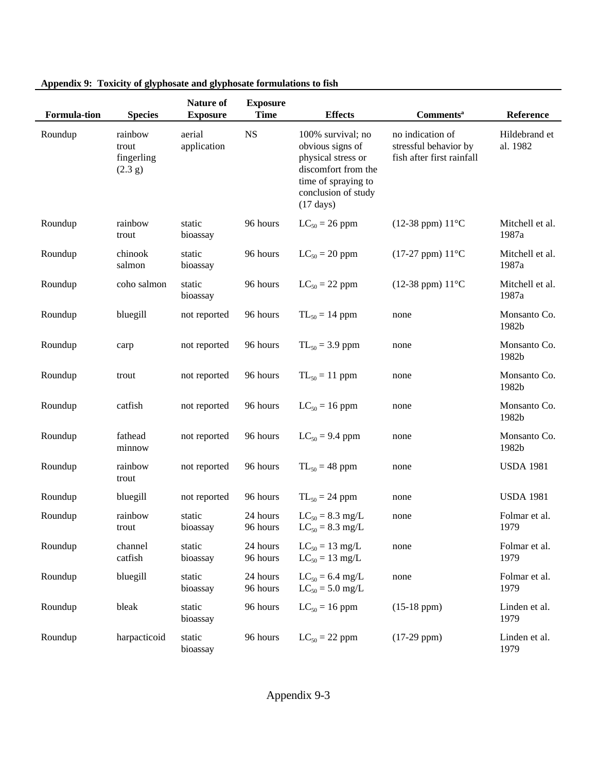| <b>Formula-tion</b> | <b>Species</b>                            | Nature of<br><b>Exposure</b> | <b>Exposure</b><br><b>Time</b> | <b>Effects</b>                                                                                                                                          | <b>Comments</b> <sup>a</sup>                                           | Reference                 |
|---------------------|-------------------------------------------|------------------------------|--------------------------------|---------------------------------------------------------------------------------------------------------------------------------------------------------|------------------------------------------------------------------------|---------------------------|
| Roundup             | rainbow<br>trout<br>fingerling<br>(2.3 g) | aerial<br>application        | $_{\rm NS}$                    | 100% survival; no<br>obvious signs of<br>physical stress or<br>discomfort from the<br>time of spraying to<br>conclusion of study<br>$(17 \text{ days})$ | no indication of<br>stressful behavior by<br>fish after first rainfall | Hildebrand et<br>al. 1982 |
| Roundup             | rainbow<br>trout                          | static<br>bioassay           | 96 hours                       | $LC_{50} = 26$ ppm                                                                                                                                      | $(12-38$ ppm) $11^{\circ}$ C                                           | Mitchell et al.<br>1987a  |
| Roundup             | chinook<br>salmon                         | static<br>bioassay           | 96 hours                       | $LC_{50} = 20$ ppm                                                                                                                                      | $(17-27$ ppm) $11^{\circ}$ C                                           | Mitchell et al.<br>1987a  |
| Roundup             | coho salmon                               | static<br>bioassay           | 96 hours                       | $LC_{50} = 22$ ppm                                                                                                                                      | $(12-38$ ppm) $11^{\circ}$ C                                           | Mitchell et al.<br>1987a  |
| Roundup             | bluegill                                  | not reported                 | 96 hours                       | $TL_{50} = 14$ ppm                                                                                                                                      | none                                                                   | Monsanto Co.<br>1982b     |
| Roundup             | carp                                      | not reported                 | 96 hours                       | $TL_{50} = 3.9$ ppm                                                                                                                                     | none                                                                   | Monsanto Co.<br>1982b     |
| Roundup             | trout                                     | not reported                 | 96 hours                       | $TL_{50} = 11$ ppm                                                                                                                                      | none                                                                   | Monsanto Co.<br>1982b     |
| Roundup             | catfish                                   | not reported                 | 96 hours                       | $LC_{50} = 16$ ppm                                                                                                                                      | none                                                                   | Monsanto Co.<br>1982b     |
| Roundup             | fathead<br>minnow                         | not reported                 | 96 hours                       | $LC_{50} = 9.4$ ppm                                                                                                                                     | none                                                                   | Monsanto Co.<br>1982b     |
| Roundup             | rainbow<br>trout                          | not reported                 | 96 hours                       | $TL_{50} = 48$ ppm                                                                                                                                      | none                                                                   | <b>USDA 1981</b>          |
| Roundup             | bluegill                                  | not reported                 | 96 hours                       | $TL_{50} = 24$ ppm                                                                                                                                      | none                                                                   | <b>USDA 1981</b>          |
| Roundup             | rainbow<br>trout                          | static<br>bioassay           | 24 hours<br>96 hours           | $LC_{50} = 8.3$ mg/L<br>$LC_{50} = 8.3$ mg/L                                                                                                            | none                                                                   | Folmar et al.<br>1979     |
| Roundup             | channel<br>catfish                        | static<br>bioassay           | 24 hours<br>96 hours           | $LC_{50} = 13$ mg/L<br>$LC_{50} = 13$ mg/L                                                                                                              | none                                                                   | Folmar et al.<br>1979     |
| Roundup             | bluegill                                  | static<br>bioassay           | 24 hours<br>96 hours           | $LC_{50} = 6.4$ mg/L<br>$LC_{50} = 5.0$ mg/L                                                                                                            | none                                                                   | Folmar et al.<br>1979     |
| Roundup             | bleak                                     | static<br>bioassay           | 96 hours                       | $LC_{50} = 16$ ppm                                                                                                                                      | $(15-18$ ppm $)$                                                       | Linden et al.<br>1979     |
| Roundup             | harpacticoid                              | static<br>bioassay           | 96 hours                       | $LC_{50} = 22$ ppm                                                                                                                                      | $(17-29$ ppm $)$                                                       | Linden et al.<br>1979     |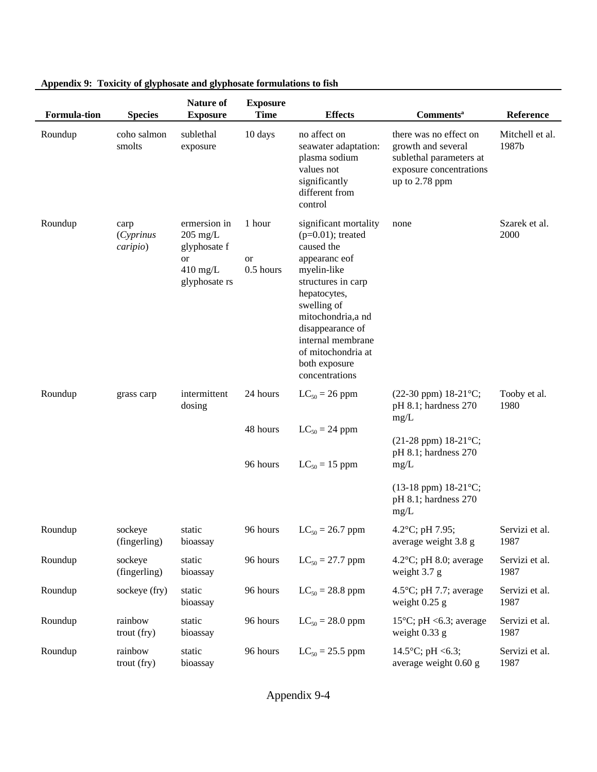| <b>Formula-tion</b> | <b>Species</b>                 | <b>Nature of</b><br><b>Exposure</b>                                                    | <b>Exposure</b><br><b>Time</b>   | <b>Effects</b>                                                                                                                                                                                                                                                           | <b>Comments</b> <sup>a</sup>                                                                                           | Reference                |
|---------------------|--------------------------------|----------------------------------------------------------------------------------------|----------------------------------|--------------------------------------------------------------------------------------------------------------------------------------------------------------------------------------------------------------------------------------------------------------------------|------------------------------------------------------------------------------------------------------------------------|--------------------------|
| Roundup             | coho salmon<br>smolts          | sublethal<br>exposure                                                                  | 10 days                          | no affect on<br>seawater adaptation:<br>plasma sodium<br>values not<br>significantly<br>different from<br>control                                                                                                                                                        | there was no effect on<br>growth and several<br>sublethal parameters at<br>exposure concentrations<br>up to $2.78$ ppm | Mitchell et al.<br>1987b |
| Roundup             | carp<br>(Cyprinus)<br>caripio) | ermersion in<br>$205$ mg/L<br>glyphosate f<br><b>or</b><br>$410$ mg/L<br>glyphosate rs | 1 hour<br><b>or</b><br>0.5 hours | significant mortality<br>$(p=0.01)$ ; treated<br>caused the<br>appearance of<br>myelin-like<br>structures in carp<br>hepatocytes,<br>swelling of<br>mitochondria, a nd<br>disappearance of<br>internal membrane<br>of mitochondria at<br>both exposure<br>concentrations | none                                                                                                                   | Szarek et al.<br>2000    |
| Roundup             | grass carp                     | intermittent<br>dosing                                                                 | 24 hours                         | $LC_{50} = 26$ ppm                                                                                                                                                                                                                                                       | $(22-30$ ppm) $18-21$ °C;<br>pH 8.1; hardness 270<br>mg/L                                                              | Tooby et al.<br>1980     |
|                     |                                |                                                                                        | 48 hours                         | $LC_{50} = 24$ ppm                                                                                                                                                                                                                                                       | $(21-28$ ppm) $18-21$ °C;<br>pH 8.1; hardness 270                                                                      |                          |
|                     |                                |                                                                                        | 96 hours                         | $LC_{50} = 15$ ppm                                                                                                                                                                                                                                                       | mg/L                                                                                                                   |                          |
|                     |                                |                                                                                        |                                  |                                                                                                                                                                                                                                                                          | $(13-18$ ppm) $18-21$ °C;<br>pH 8.1; hardness 270<br>mg/L                                                              |                          |
| Roundup             | sockeye<br>(fingerling)        | static<br>bioassay                                                                     | 96 hours                         | $LC_{50} = 26.7$ ppm                                                                                                                                                                                                                                                     | 4.2 $^{\circ}$ C; pH 7.95;<br>average weight 3.8 g                                                                     | Servizi et al<br>1987    |
| Roundup             | sockeye<br>(fingerling)        | static<br>bioassay                                                                     | 96 hours                         | $LC_{50} = 27.7$ ppm                                                                                                                                                                                                                                                     | $4.2^{\circ}$ C; pH 8.0; average<br>weight $3.7 g$                                                                     | Servizi et al.<br>1987   |
| Roundup             | sockeye (fry)                  | static<br>bioassay                                                                     | 96 hours                         | $LC_{50} = 28.8$ ppm                                                                                                                                                                                                                                                     | 4.5 $\degree$ C; pH 7.7; average<br>weight $0.25$ g                                                                    | Servizi et al.<br>1987   |
| Roundup             | rainbow<br>trout (fry)         | static<br>bioassay                                                                     | 96 hours                         | $LC_{50} = 28.0$ ppm                                                                                                                                                                                                                                                     | 15 $\degree$ C; pH <6.3; average<br>weight $0.33$ g                                                                    | Servizi et al.<br>1987   |
| Roundup             | rainbow<br>trout (fry)         | static<br>bioassay                                                                     | 96 hours                         | $LC_{50} = 25.5$ ppm                                                                                                                                                                                                                                                     | 14.5°C; pH <6.3;<br>average weight 0.60 g                                                                              | Servizi et al.<br>1987   |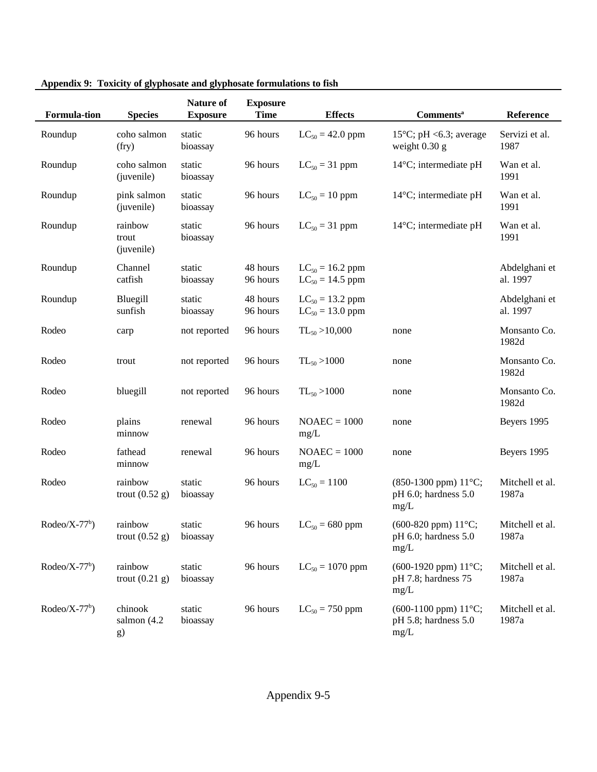| <b>Formula-tion</b> | <b>Species</b>                      | <b>Nature of</b><br><b>Exposure</b> | <b>Exposure</b><br><b>Time</b> | <b>Effects</b>                               | <b>Comments</b> <sup>a</sup>                                       | Reference                 |
|---------------------|-------------------------------------|-------------------------------------|--------------------------------|----------------------------------------------|--------------------------------------------------------------------|---------------------------|
| Roundup             | coho salmon<br>(fry)                | static<br>bioassay                  | 96 hours                       | $LC_{50} = 42.0$ ppm                         | 15 $\degree$ C; pH <6.3; average<br>weight $0.30$ g                | Servizi et al.<br>1987    |
| Roundup             | coho salmon<br>(juvenile)           | static<br>bioassay                  | 96 hours                       | $LC_{50} = 31$ ppm                           | $14^{\circ}$ C; intermediate pH                                    | Wan et al.<br>1991        |
| Roundup             | pink salmon<br>(juvenile)           | static<br>bioassay                  | 96 hours                       | $LC_{50} = 10$ ppm                           | $14^{\circ}$ C; intermediate pH                                    | Wan et al.<br>1991        |
| Roundup             | rainbow<br>trout<br>(juvenile)      | static<br>bioassay                  | 96 hours                       | $LC_{50} = 31$ ppm                           | $14^{\circ}$ C; intermediate pH                                    | Wan et al.<br>1991        |
| Roundup             | Channel<br>catfish                  | static<br>bioassay                  | 48 hours<br>96 hours           | $LC_{50} = 16.2$ ppm<br>$LC_{50} = 14.5$ ppm |                                                                    | Abdelghani et<br>al. 1997 |
| Roundup             | Bluegill<br>sunfish                 | static<br>bioassay                  | 48 hours<br>96 hours           | $LC_{50} = 13.2$ ppm<br>$LC_{50} = 13.0$ ppm |                                                                    | Abdelghani et<br>al. 1997 |
| Rodeo               | carp                                | not reported                        | 96 hours                       | $TL_{50} > 10,000$                           | none                                                               | Monsanto Co.<br>1982d     |
| Rodeo               | trout                               | not reported                        | 96 hours                       | $TL_{50} > 1000$                             | none                                                               | Monsanto Co.<br>1982d     |
| Rodeo               | bluegill                            | not reported                        | 96 hours                       | $TL_{50} > 1000$                             | none                                                               | Monsanto Co.<br>1982d     |
| Rodeo               | plains<br>minnow                    | renewal                             | 96 hours                       | $NOAEC = 1000$<br>mg/L                       | none                                                               | Beyers 1995               |
| Rodeo               | fathead<br>minnow                   | renewal                             | 96 hours                       | $NOAEC = 1000$<br>mg/L                       | none                                                               | Beyers 1995               |
| Rodeo               | rainbow<br>trout $(0.52 g)$         | static<br>bioassay                  | 96 hours                       | $LC_{50} = 1100$                             | $(850-1300$ ppm $) 11^{\circ}$ C;<br>pH 6.0; hardness 5.0<br>mg/L  | Mitchell et al.<br>1987a  |
| $Rodeo/X-77b)$      | rainbow<br>trout $(0.52 \text{ g})$ | static<br>bioassay                  | 96 hours                       | $LC_{50} = 680$ ppm                          | $(600-820$ ppm $) 11^{\circ}$ C;<br>$pH$ 6.0; hardness 5.0<br>mg/L | Mitchell et al.<br>1987a  |
| $Rodeo/X-77b)$      | rainbow<br>trout $(0.21 g)$         | static<br>bioassay                  | 96 hours                       | $LC_{50} = 1070$ ppm                         | $(600-1920$ ppm $) 11^{\circ}$ C;<br>pH 7.8; hardness 75<br>mg/L   | Mitchell et al.<br>1987a  |
| $Rodeo/X-77b)$      | chinook<br>salmon $(4.2)$<br>g)     | static<br>bioassay                  | 96 hours                       | $LC_{50} = 750$ ppm                          | $(600-1100$ ppm $) 11^{\circ}$ C;<br>pH 5.8; hardness 5.0<br>mg/L  | Mitchell et al.<br>1987a  |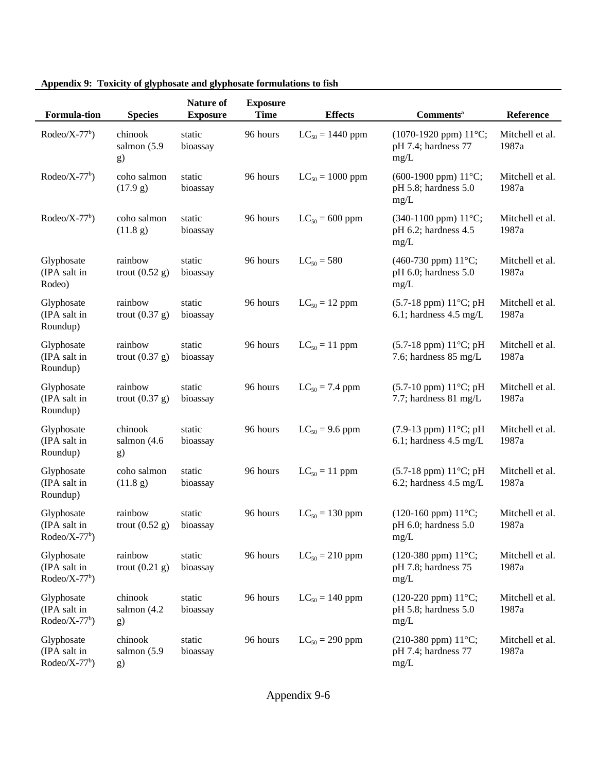| <b>Formula-tion</b>                          | <b>Species</b>                  | <b>Nature of</b><br><b>Exposure</b> | <b>Exposure</b><br><b>Time</b> | <b>Effects</b>       | <b>Comments</b> <sup>a</sup>                                          | Reference                |
|----------------------------------------------|---------------------------------|-------------------------------------|--------------------------------|----------------------|-----------------------------------------------------------------------|--------------------------|
| $Rodeo/X-77b)$                               | chinook<br>salmon (5.9<br>g)    | static<br>bioassay                  | 96 hours                       | $LC_{50} = 1440$ ppm | $(1070-1920$ ppm) $11^{\circ}$ C;<br>pH 7.4; hardness 77<br>mg/L      | Mitchell et al.<br>1987a |
| $Rodeo/X-77b$ )                              | coho salmon<br>(17.9 g)         | static<br>bioassay                  | 96 hours                       | $LC_{50} = 1000$ ppm | (600-1900 ppm) 11°C;<br>pH 5.8; hardness 5.0<br>mg/L                  | Mitchell et al.<br>1987a |
| $Rodeo/X-77b$ )                              | coho salmon<br>(11.8 g)         | static<br>bioassay                  | 96 hours                       | $LC_{50} = 600$ ppm  | $(340-1100$ ppm $) 11^{\circ}$ C;<br>pH 6.2; hardness 4.5<br>mg/L     | Mitchell et al.<br>1987a |
| Glyphosate<br>(IPA salt in<br>Rodeo)         | rainbow<br>trout $(0.52 g)$     | static<br>bioassay                  | 96 hours                       | $LC_{50} = 580$      | (460-730 ppm) 11°C;<br>pH 6.0; hardness 5.0<br>mg/L                   | Mitchell et al.<br>1987a |
| Glyphosate<br>(IPA salt in<br>Roundup)       | rainbow<br>trout $(0.37 g)$     | static<br>bioassay                  | 96 hours                       | $LC_{50} = 12$ ppm   | $(5.7-18$ ppm) $11^{\circ}$ C; pH<br>6.1; hardness $4.5 \text{ mg/L}$ | Mitchell et al.<br>1987a |
| Glyphosate<br>(IPA salt in<br>Roundup)       | rainbow<br>trout $(0.37 g)$     | static<br>bioassay                  | 96 hours                       | $LC_{50} = 11$ ppm   | $(5.7-18$ ppm) $11^{\circ}$ C; pH<br>7.6; hardness $85 \text{ mg/L}$  | Mitchell et al.<br>1987a |
| Glyphosate<br>(IPA salt in<br>Roundup)       | rainbow<br>trout $(0.37 g)$     | static<br>bioassay                  | 96 hours                       | $LC_{50} = 7.4$ ppm  | $(5.7\n-10$ ppm $) 11^{\circ}C$ ; pH<br>7.7; hardness 81 mg/L         | Mitchell et al.<br>1987a |
| Glyphosate<br>(IPA salt in<br>Roundup)       | chinook<br>salmon (4.6<br>g)    | static<br>bioassay                  | 96 hours                       | $LC_{50} = 9.6$ ppm  | $(7.9-13$ ppm) $11^{\circ}C$ ; pH<br>6.1; hardness $4.5 \text{ mg/L}$ | Mitchell et al.<br>1987a |
| Glyphosate<br>(IPA salt in<br>Roundup)       | coho salmon<br>(11.8 g)         | static<br>bioassay                  | 96 hours                       | $LC_{50} = 11$ ppm   | $(5.7-18$ ppm) $11^{\circ}$ C; pH<br>6.2; hardness $4.5 \text{ mg/L}$ | Mitchell et al.<br>1987a |
| Glyphosate<br>(IPA salt in<br>$Rodeo/X-77b)$ | rainbow<br>trout $(0.52 g)$     | static<br>bioassay                  | 96 hours                       | $LC_{50} = 130$ ppm  | (120-160 ppm) 11°C;<br>pH 6.0; hardness 5.0<br>mg/L                   | Mitchell et al.<br>1987a |
| Glyphosate<br>(IPA salt in<br>$Rodeo/X-77b)$ | rainbow<br>trout $(0.21$ g)     | static<br>bioassay                  | 96 hours                       | $LC_{50} = 210$ ppm  | $(120-380$ ppm) $11^{\circ}$ C;<br>pH 7.8; hardness 75<br>mg/L        | Mitchell et al.<br>1987a |
| Glyphosate<br>(IPA salt in<br>$Rodeo/X-77b)$ | chinook<br>salmon $(4.2)$<br>g) | static<br>bioassay                  | 96 hours                       | $LC_{50} = 140$ ppm  | $(120-220$ ppm) $11^{\circ}$ C;<br>pH 5.8; hardness 5.0<br>mg/L       | Mitchell et al.<br>1987a |
| Glyphosate<br>(IPA salt in<br>$Rodeo/X-77b)$ | chinook<br>salmon (5.9<br>g)    | static<br>bioassay                  | 96 hours                       | $LC_{50} = 290$ ppm  | $(210-380$ ppm) $11^{\circ}$ C;<br>pH 7.4; hardness 77<br>mg/L        | Mitchell et al.<br>1987a |

| Appendix 9: Toxicity of glyphosate and glyphosate formulations to fish |
|------------------------------------------------------------------------|
|                                                                        |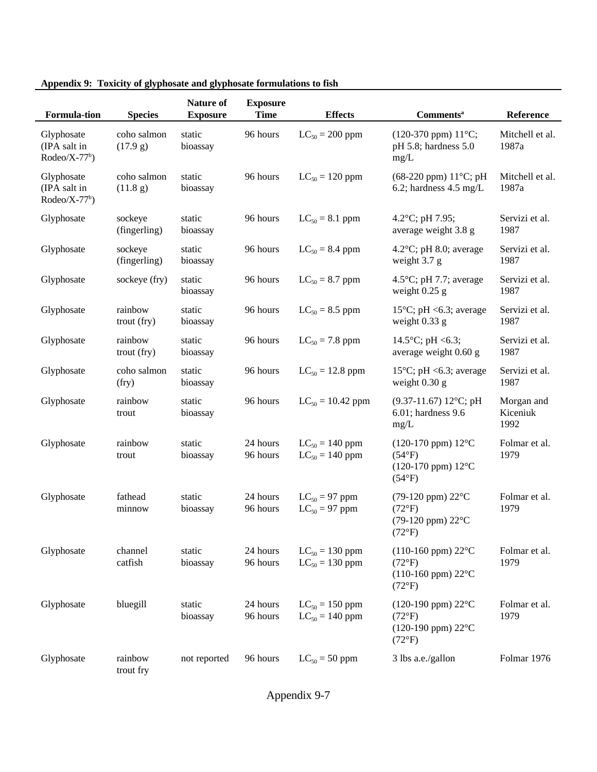| <b>Formula-tion</b>                          | <b>Species</b>          | Nature of<br><b>Exposure</b> | <b>Exposure</b><br><b>Time</b> | <b>Effects</b>                             | <b>Comments</b> <sup>a</sup>                                                                           | Reference                      |
|----------------------------------------------|-------------------------|------------------------------|--------------------------------|--------------------------------------------|--------------------------------------------------------------------------------------------------------|--------------------------------|
| Glyphosate<br>(IPA salt in<br>$Rodeo/X-77b)$ | coho salmon<br>(17.9 g) | static<br>bioassay           | 96 hours                       | $LC_{50} = 200$ ppm                        | $(120-370$ ppm) $11^{\circ}$ C;<br>pH 5.8; hardness 5.0<br>mg/L                                        | Mitchell et al.<br>1987a       |
| Glyphosate<br>(IPA salt in<br>$Rodeo/X-77b)$ | coho salmon<br>(11.8 g) | static<br>bioassay           | 96 hours                       | $LC_{50} = 120$ ppm                        | $(68-220$ ppm $) 11^{\circ}$ C; pH<br>6.2; hardness $4.5 \text{ mg/L}$                                 | Mitchell et al.<br>1987a       |
| Glyphosate                                   | sockeye<br>(fingerling) | static<br>bioassay           | 96 hours                       | $LC_{50} = 8.1$ ppm                        | 4.2 $^{\circ}$ C; pH 7.95;<br>average weight 3.8 g                                                     | Servizi et al.<br>1987         |
| Glyphosate                                   | sockeye<br>(fingerling) | static<br>bioassay           | 96 hours                       | $LC_{50} = 8.4$ ppm                        | 4.2 $\degree$ C; pH 8.0; average<br>weight 3.7 g                                                       | Servizi et al.<br>1987         |
| Glyphosate                                   | sockeye (fry)           | static<br>bioassay           | 96 hours                       | $LC_{50} = 8.7$ ppm                        | 4.5 $\degree$ C; pH 7.7; average<br>weight $0.25$ g                                                    | Servizi et al.<br>1987         |
| Glyphosate                                   | rainbow<br>trout (fry)  | static<br>bioassay           | 96 hours                       | $LC_{50} = 8.5$ ppm                        | 15 $\degree$ C; pH <6.3; average<br>weight $0.33$ g                                                    | Servizi et al.<br>1987         |
| Glyphosate                                   | rainbow<br>trout (fry)  | static<br>bioassay           | 96 hours                       | $LC_{50} = 7.8$ ppm                        | 14.5°C; pH <6.3;<br>average weight 0.60 g                                                              | Servizi et al.<br>1987         |
| Glyphosate                                   | coho salmon<br>(fry)    | static<br>bioassay           | 96 hours                       | $LC_{50} = 12.8$ ppm                       | 15 $\degree$ C; pH <6.3; average<br>weight $0.30$ g                                                    | Servizi et al.<br>1987         |
| Glyphosate                                   | rainbow<br>trout        | static<br>bioassay           | 96 hours                       | $LC_{50} = 10.42$ ppm                      | $(9.37-11.67) 12$ °C; pH<br>$6.01$ ; hardness $9.6$<br>mg/L                                            | Morgan and<br>Kiceniuk<br>1992 |
| Glyphosate                                   | rainbow<br>trout        | static<br>bioassay           | 24 hours<br>96 hours           | $LC_{50} = 140$ ppm<br>$LC_{50} = 140$ ppm | (120-170 ppm) 12°C<br>$(54^{\circ}F)$<br>$(120-170$ ppm) $12^{\circ}$ C<br>$(54^{\circ}F)$             | Folmar et al.<br>1979          |
| Glyphosate                                   | fathead<br>minnow       | static<br>bioassay           | 24 hours<br>96 hours           | $LC_{50} = 97$ ppm<br>$LC_{50} = 97$ ppm   | $(79-120$ ppm) $22^{\circ}$ C<br>$(72^{\circ}F)$<br>(79-120 ppm) 22°C<br>$(72^{\circ}F)$               | Folmar et al.<br>1979          |
| Glyphosate                                   | channel<br>catfish      | static<br>bioassay           | 24 hours<br>96 hours           | $LC_{50} = 130$ ppm<br>$LC_{50} = 130$ ppm | $(110-160$ ppm) $22^{\circ}$ C<br>$(72^{\circ}F)$<br>$(110-160$ ppm) $22^{\circ}$ C<br>$(72^{\circ}F)$ | Folmar et al.<br>1979          |
| Glyphosate                                   | bluegill                | static<br>bioassay           | 24 hours<br>96 hours           | $LC_{50} = 150$ ppm<br>$LC_{50} = 140$ ppm | $(120-190$ ppm) $22^{\circ}$ C<br>$(72^{\circ}F)$<br>$(120-190$ ppm) $22^{\circ}$ C<br>$(72^{\circ}F)$ | Folmar et al.<br>1979          |
| Glyphosate                                   | rainbow<br>trout fry    | not reported                 | 96 hours                       | $LC_{50} = 50$ ppm                         | 3 lbs a.e./gallon                                                                                      | Folmar 1976                    |

| Appendix 9: Toxicity of glyphosate and glyphosate formulations to fish |
|------------------------------------------------------------------------|
|                                                                        |

Appendix 9-7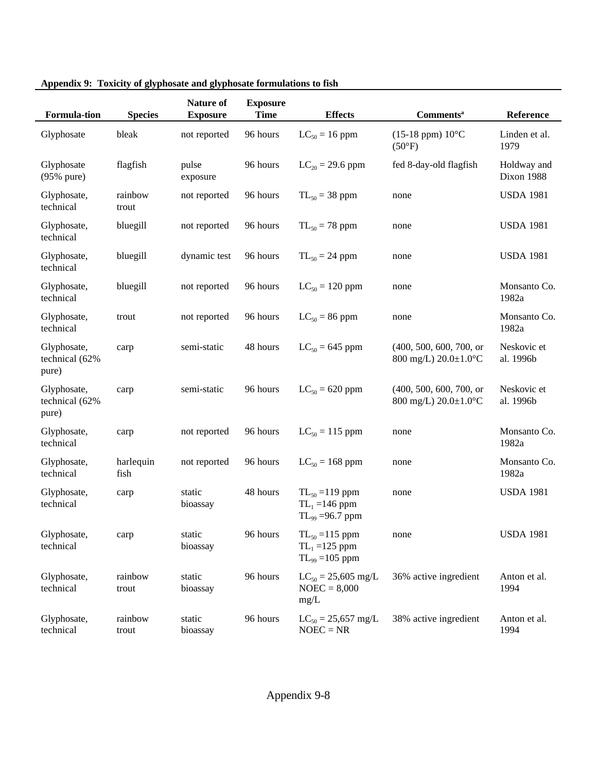| <b>Formula-tion</b>                    | <b>Species</b>    | Nature of<br><b>Exposure</b> | <b>Exposure</b><br><b>Time</b> | <b>Effects</b>                                                  | <b>Comments</b> <sup>a</sup>                           | Reference                 |
|----------------------------------------|-------------------|------------------------------|--------------------------------|-----------------------------------------------------------------|--------------------------------------------------------|---------------------------|
| Glyphosate                             | bleak             | not reported                 | 96 hours                       | $LC_{50} = 16$ ppm                                              | $(15-18$ ppm) $10^{\circ}$ C<br>$(50^{\circ}F)$        | Linden et al.<br>1979     |
| Glyphosate<br>$(95\%$ pure)            | flagfish          | pulse<br>exposure            | 96 hours                       | $LC_{20} = 29.6$ ppm                                            | fed 8-day-old flagfish                                 | Holdway and<br>Dixon 1988 |
| Glyphosate,<br>technical               | rainbow<br>trout  | not reported                 | 96 hours                       | $TL_{50} = 38$ ppm                                              | none                                                   | <b>USDA 1981</b>          |
| Glyphosate,<br>technical               | bluegill          | not reported                 | 96 hours                       | $TL_{50} = 78$ ppm                                              | none                                                   | <b>USDA 1981</b>          |
| Glyphosate,<br>technical               | bluegill          | dynamic test                 | 96 hours                       | $TL_{50} = 24$ ppm                                              | none                                                   | <b>USDA 1981</b>          |
| Glyphosate,<br>technical               | bluegill          | not reported                 | 96 hours                       | $LC_{50} = 120$ ppm                                             | none                                                   | Monsanto Co.<br>1982a     |
| Glyphosate,<br>technical               | trout             | not reported                 | 96 hours                       | $LC_{50} = 86$ ppm                                              | none                                                   | Monsanto Co.<br>1982a     |
| Glyphosate,<br>technical (62%<br>pure) | carp              | semi-static                  | 48 hours                       | $LC_{50} = 645$ ppm                                             | (400, 500, 600, 700, or<br>800 mg/L) 20.0±1.0°C        | Neskovic et<br>al. 1996b  |
| Glyphosate,<br>technical (62%<br>pure) | carp              | semi-static                  | 96 hours                       | $LC_{50} = 620$ ppm                                             | (400, 500, 600, 700, or<br>800 mg/L) $20.0 \pm 1.0$ °C | Neskovic et<br>al. 1996b  |
| Glyphosate,<br>technical               | carp              | not reported                 | 96 hours                       | $LC_{50} = 115$ ppm                                             | none                                                   | Monsanto Co.<br>1982a     |
| Glyphosate,<br>technical               | harlequin<br>fish | not reported                 | 96 hours                       | $LC_{50} = 168$ ppm                                             | none                                                   | Monsanto Co.<br>1982a     |
| Glyphosate,<br>technical               | carp              | static<br>bioassay           | 48 hours                       | $TL_{50} = 119$ ppm<br>$TL_1 = 146$ ppm<br>$TL_{99} = 96.7$ ppm | none                                                   | <b>USDA 1981</b>          |
| Glyphosate,<br>technical               | carp              | static<br>bioassay           | 96 hours                       | $TL_{50} = 115$ ppm<br>$TL_1 = 125$ ppm<br>$TL_{99} = 105$ ppm  | none                                                   | <b>USDA 1981</b>          |
| Glyphosate,<br>technical               | rainbow<br>trout  | static<br>bioassay           | 96 hours                       | $LC_{50} = 25,605$ mg/L<br>$NOEC = 8,000$<br>mg/L               | 36% active ingredient                                  | Anton et al.<br>1994      |
| Glyphosate,<br>technical               | rainbow<br>trout  | static<br>bioassay           | 96 hours                       | $LC_{50} = 25,657$ mg/L<br>$NOEC = NR$                          | 38% active ingredient                                  | Anton et al.<br>1994      |

| Appendix 9: Toxicity of glyphosate and glyphosate formulations to fish |
|------------------------------------------------------------------------|
|                                                                        |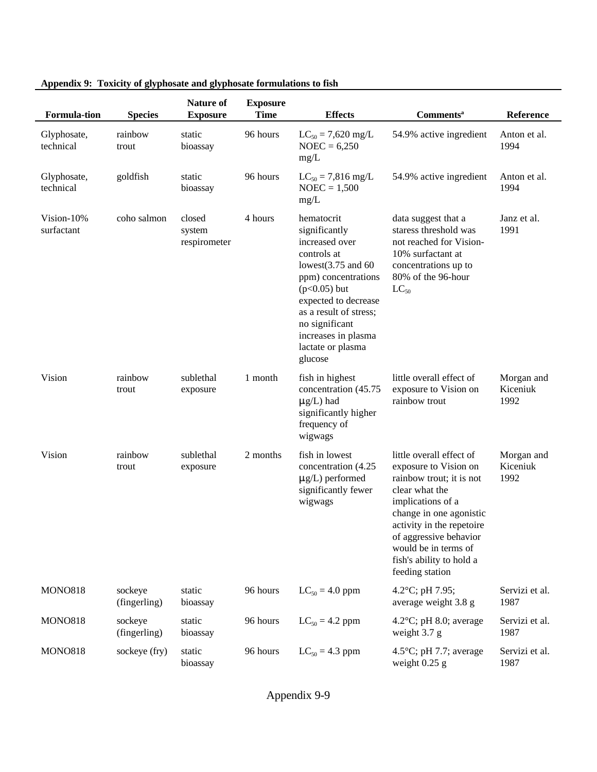| <b>Formula-tion</b>      | <b>Species</b>          | <b>Nature of</b><br><b>Exposure</b> | <b>Exposure</b><br><b>Time</b> | <b>Effects</b>                                                                                                                                                                                                                                              | <b>Comments</b> <sup>a</sup>                                                                                                                                                                                                                                                  | Reference                      |
|--------------------------|-------------------------|-------------------------------------|--------------------------------|-------------------------------------------------------------------------------------------------------------------------------------------------------------------------------------------------------------------------------------------------------------|-------------------------------------------------------------------------------------------------------------------------------------------------------------------------------------------------------------------------------------------------------------------------------|--------------------------------|
| Glyphosate,<br>technical | rainbow<br>trout        | static<br>bioassay                  | 96 hours                       | $LC_{50} = 7{,}620$ mg/L<br>$NOEC = 6,250$<br>mg/L                                                                                                                                                                                                          | 54.9% active ingredient                                                                                                                                                                                                                                                       | Anton et al.<br>1994           |
| Glyphosate,<br>technical | goldfish                | static<br>bioassay                  | 96 hours                       | $LC_{50} = 7,816$ mg/L<br>$NOEC = 1,500$<br>mg/L                                                                                                                                                                                                            | 54.9% active ingredient                                                                                                                                                                                                                                                       | Anton et al.<br>1994           |
| Vision-10%<br>surfactant | coho salmon             | closed<br>system<br>respirometer    | 4 hours                        | hematocrit<br>significantly<br>increased over<br>controls at<br>lowest $(3.75$ and $60$<br>ppm) concentrations<br>$(p<0.05)$ but<br>expected to decrease<br>as a result of stress;<br>no significant<br>increases in plasma<br>lactate or plasma<br>glucose | data suggest that a<br>staress threshold was<br>not reached for Vision-<br>10% surfactant at<br>concentrations up to<br>80% of the 96-hour<br>$LC_{50}$                                                                                                                       | Janz et al.<br>1991            |
| Vision                   | rainbow<br>trout        | sublethal<br>exposure               | 1 month                        | fish in highest<br>concentration (45.75<br>$\mu$ g/L) had<br>significantly higher<br>frequency of<br>wigwags                                                                                                                                                | little overall effect of<br>exposure to Vision on<br>rainbow trout                                                                                                                                                                                                            | Morgan and<br>Kiceniuk<br>1992 |
| Vision                   | rainbow<br>trout        | sublethal<br>exposure               | 2 months                       | fish in lowest<br>concentration (4.25<br>$\mu$ g/L) performed<br>significantly fewer<br>wigwags                                                                                                                                                             | little overall effect of<br>exposure to Vision on<br>rainbow trout; it is not<br>clear what the<br>implications of a<br>change in one agonistic<br>activity in the repetoire<br>of aggressive behavior<br>would be in terms of<br>fish's ability to hold a<br>feeding station | Morgan and<br>Kiceniuk<br>1992 |
| <b>MONO818</b>           | sockeye<br>(fingerling) | static<br>bioassay                  | 96 hours                       | $LC_{50} = 4.0$ ppm                                                                                                                                                                                                                                         | 4.2°C; pH 7.95;<br>average weight 3.8 g                                                                                                                                                                                                                                       | Servizi et al.<br>1987         |
| <b>MONO818</b>           | sockeye<br>(fingerling) | static<br>bioassay                  | 96 hours                       | $LC_{50} = 4.2$ ppm                                                                                                                                                                                                                                         | 4.2 $\degree$ C; pH 8.0; average<br>weight 3.7 g                                                                                                                                                                                                                              | Servizi et al.<br>1987         |
| <b>MONO818</b>           | sockeye (fry)           | static<br>bioassay                  | 96 hours                       | $LC_{50} = 4.3$ ppm                                                                                                                                                                                                                                         | 4.5 $\degree$ C; pH 7.7; average<br>weight $0.25$ g                                                                                                                                                                                                                           | Servizi et al.<br>1987         |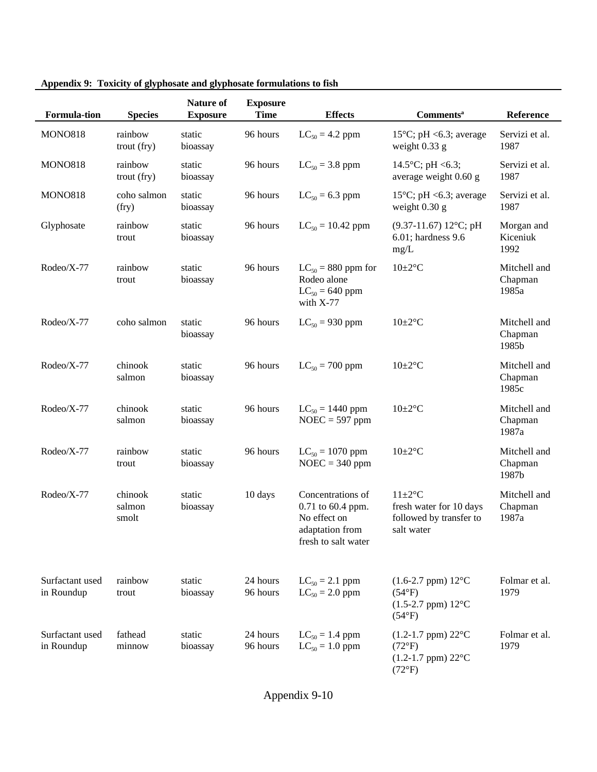| <b>Formula-tion</b>           | <b>Species</b>             | Nature of<br><b>Exposure</b> | <b>Exposure</b><br><b>Time</b> | <b>Effects</b>                                                                                   | <b>Comments</b> <sup>a</sup>                                                                           | Reference                        |
|-------------------------------|----------------------------|------------------------------|--------------------------------|--------------------------------------------------------------------------------------------------|--------------------------------------------------------------------------------------------------------|----------------------------------|
| <b>MONO818</b>                | rainbow<br>trout (fry)     | static<br>bioassay           | 96 hours                       | $LC_{50} = 4.2$ ppm                                                                              | 15 $\degree$ C; pH <6.3; average<br>weight $0.33$ g                                                    | Servizi et al.<br>1987           |
| <b>MONO818</b>                | rainbow<br>trout (fry)     | static<br>bioassay           | 96 hours                       | $LC_{50} = 3.8$ ppm                                                                              | 14.5°C; pH <6.3;<br>average weight 0.60 g                                                              | Servizi et al.<br>1987           |
| <b>MONO818</b>                | coho salmon<br>(fry)       | static<br>bioassay           | 96 hours                       | $LC_{50} = 6.3$ ppm                                                                              | 15 $\degree$ C; pH <6.3; average<br>weight $0.30$ g                                                    | Servizi et al.<br>1987           |
| Glyphosate                    | rainbow<br>trout           | static<br>bioassay           | 96 hours                       | $LC_{50} = 10.42$ ppm                                                                            | $(9.37-11.67) 12$ °C; pH<br>$6.01$ ; hardness $9.6$<br>mg/L                                            | Morgan and<br>Kiceniuk<br>1992   |
| Rodeo/X-77                    | rainbow<br>trout           | static<br>bioassay           | 96 hours                       | $LC_{50} = 880$ ppm for<br>Rodeo alone<br>$LC_{50} = 640$ ppm<br>with $X-77$                     | $10 \pm 2$ °C                                                                                          | Mitchell and<br>Chapman<br>1985a |
| Rodeo/X-77                    | coho salmon                | static<br>bioassay           | 96 hours                       | $LC_{50} = 930$ ppm                                                                              | $10 \pm 2$ °C                                                                                          | Mitchell and<br>Chapman<br>1985b |
| Rodeo/X-77                    | chinook<br>salmon          | static<br>bioassay           | 96 hours                       | $LC_{50} = 700$ ppm                                                                              | $10 \pm 2$ °C                                                                                          | Mitchell and<br>Chapman<br>1985c |
| Rodeo/X-77                    | chinook<br>salmon          | static<br>bioassay           | 96 hours                       | $LC_{50} = 1440$ ppm<br>$NOEC = 597$ ppm                                                         | $10 \pm 2$ °C                                                                                          | Mitchell and<br>Chapman<br>1987a |
| Rodeo/X-77                    | rainbow<br>trout           | static<br>bioassay           | 96 hours                       | $LC_{50} = 1070$ ppm<br>$NOEC = 340$ ppm                                                         | $10 \pm 2$ °C                                                                                          | Mitchell and<br>Chapman<br>1987b |
| Rodeo/X-77                    | chinook<br>salmon<br>smolt | static<br>bioassay           | 10 days                        | Concentrations of<br>0.71 to 60.4 ppm.<br>No effect on<br>adaptation from<br>fresh to salt water | $11 \pm 2$ °C<br>fresh water for 10 days<br>followed by transfer to<br>salt water                      | Mitchell and<br>Chapman<br>1987a |
| Surfactant used<br>in Roundup | rainbow<br>trout           | static<br>bioassay           | 24 hours<br>96 hours           | $LC_{50} = 2.1$ ppm<br>$LC_{50} = 2.0$ ppm                                                       | $(1.6-2.7$ ppm) $12^{\circ}$ C<br>$(54^{\circ}F)$<br>$(1.5-2.7$ ppm) $12^{\circ}$ C<br>$(54^{\circ}F)$ | Folmar et al.<br>1979            |
| Surfactant used<br>in Roundup | fathead<br>minnow          | static<br>bioassay           | 24 hours<br>96 hours           | $LC_{50} = 1.4$ ppm<br>$LC_{50} = 1.0$ ppm                                                       | $(1.2-1.7$ ppm) $22^{\circ}$ C<br>$(72^{\circ}F)$<br>$(1.2-1.7$ ppm) $22^{\circ}$ C<br>$(72^{\circ}F)$ | Folmar et al.<br>1979            |

**Appendix 9: Toxicity of glyphosate and glyphosate formulations to fish**

Appendix 9-10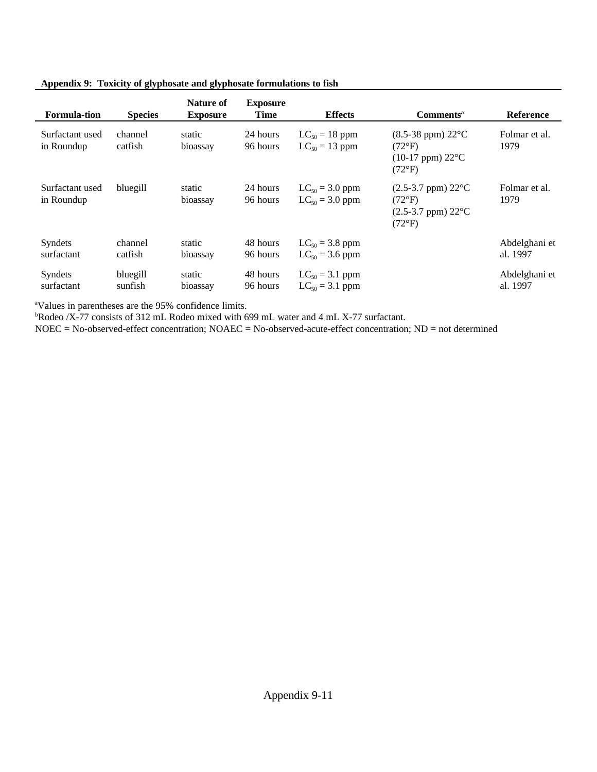| Appendix 9: Toxicity of glyphosate and glyphosate formulations to fish |
|------------------------------------------------------------------------|
|                                                                        |

| <b>Formula-tion</b>           | <b>Species</b>      | Nature of<br><b>Exposure</b> | <b>Exposure</b><br><b>Time</b> | <b>Effects</b>                             | <b>Comments</b> <sup>a</sup>                                                                                   | <b>Reference</b>          |
|-------------------------------|---------------------|------------------------------|--------------------------------|--------------------------------------------|----------------------------------------------------------------------------------------------------------------|---------------------------|
| Surfactant used<br>in Roundup | channel<br>catfish  | static<br>bioassay           | 24 hours<br>96 hours           | $LC_{50} = 18$ ppm<br>$LC_{50} = 13$ ppm   | $(8.5-38$ ppm) $22^{\circ}$ C<br>$(72^{\circ}F)$<br>$(10-17 \text{ ppm}) 22^{\circ}C$<br>$(72^{\circ}F)$       | Folmar et al.<br>1979     |
| Surfactant used<br>in Roundup | bluegill            | static<br>bioassay           | 24 hours<br>96 hours           | $LC_{50} = 3.0$ ppm<br>$LC_{50} = 3.0$ ppm | $(2.5-3.7$ ppm $)$ 22 $^{\circ}$ C<br>$(72^{\circ}F)$<br>$(2.5-3.7$ ppm $)$ 22 $^{\circ}$ C<br>$(72^{\circ}F)$ | Folmar et al.<br>1979     |
| Syndets<br>surfactant         | channel<br>catfish  | static<br>bioassay           | 48 hours<br>96 hours           | $LC_{50} = 3.8$ ppm<br>$LC_{50} = 3.6$ ppm |                                                                                                                | Abdelghani et<br>al. 1997 |
| Syndets<br>surfactant         | bluegill<br>sunfish | static<br>bioassay           | 48 hours<br>96 hours           | $LC_{50} = 3.1$ ppm<br>$LC_{50} = 3.1$ ppm |                                                                                                                | Abdelghani et<br>al. 1997 |

<sup>a</sup>Values in parentheses are the 95% confidence limits.

<sup>b</sup>Rodeo /X-77 consists of 312 mL Rodeo mixed with 699 mL water and 4 mL X-77 surfactant.

NOEC = No-observed-effect concentration; NOAEC = No-observed-acute-effect concentration; ND = not determined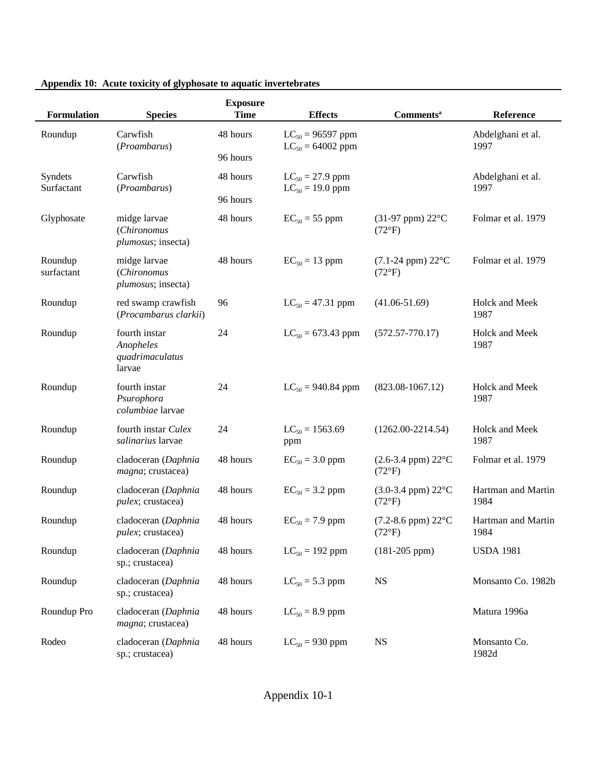| <b>Formulation</b>    | <b>Species</b>                                          | <b>Exposure</b><br><b>Time</b> | <b>Effects</b>                                 | <b>Comments</b> <sup>a</sup>                        | Reference                  |
|-----------------------|---------------------------------------------------------|--------------------------------|------------------------------------------------|-----------------------------------------------------|----------------------------|
| Roundup               | Carwfish<br>(Proambarus)                                | 48 hours<br>96 hours           | $LC_{50} = 96597$ ppm<br>$LC_{50} = 64002$ ppm |                                                     | Abdelghani et al.<br>1997  |
| Syndets<br>Surfactant | Carwfish<br>(Proambarus)                                | 48 hours<br>96 hours           | $LC_{50} = 27.9$ ppm<br>$LC_{50} = 19.0$ ppm   |                                                     | Abdelghani et al.<br>1997  |
| Glyphosate            | midge larvae<br>(Chironomus<br>plumosus; insecta)       | 48 hours                       | $EC_{50} = 55$ ppm                             | $(31-97$ ppm) $22^{\circ}$ C<br>$(72^{\circ}F)$     | Folmar et al. 1979         |
| Roundup<br>surfactant | midge larvae<br>(Chironomus<br>plumosus; insecta)       | 48 hours                       | $EC_{50} = 13$ ppm                             | $(7.1-24$ ppm) $22^{\circ}$ C<br>$(72^{\circ}F)$    | Folmar et al. 1979         |
| Roundup               | red swamp crawfish<br>(Procambarus clarkii)             | 96                             | $LC_{50} = 47.31$ ppm                          | $(41.06 - 51.69)$                                   | Holck and Meek<br>1987     |
| Roundup               | fourth instar<br>Anopheles<br>quadrimaculatus<br>larvae | 24                             | $LC_{50} = 673.43$ ppm                         | $(572.57 - 770.17)$                                 | Holck and Meek<br>1987     |
| Roundup               | fourth instar<br>Psurophora<br>columbiae larvae         | 24                             | $LC_{50} = 940.84$ ppm                         | $(823.08 - 1067.12)$                                | Holck and Meek<br>1987     |
| Roundup               | fourth instar Culex<br>salinarius larvae                | 24                             | $LC_{50} = 1563.69$<br>ppm                     | $(1262.00-2214.54)$                                 | Holck and Meek<br>1987     |
| Roundup               | cladoceran (Daphnia<br>magna; crustacea)                | 48 hours                       | $EC_{50} = 3.0$ ppm                            | $(2.6 - 3.4$ ppm) $22^{\circ}$ C<br>$(72^{\circ}F)$ | Folmar et al. 1979         |
| Roundup               | cladoceran (Daphnia<br><i>pulex</i> ; crustacea)        | 48 hours                       | $EC_{50} = 3.2$ ppm                            | $(3.0-3.4$ ppm) $22^{\circ}$ C<br>$(72^{\circ}F)$   | Hartman and Martin<br>1984 |
| Roundup               | cladoceran (Daphnia<br><i>pulex</i> ; crustacea)        | 48 hours                       | $EC_{50} = 7.9$ ppm                            | $(7.2-8.6$ ppm) $22^{\circ}$ C<br>$(72^{\circ}F)$   | Hartman and Martin<br>1984 |
| Roundup               | cladoceran (Daphnia<br>sp.; crustacea)                  | 48 hours                       | $LC_{50} = 192$ ppm                            | $(181-205$ ppm $)$                                  | <b>USDA 1981</b>           |
| Roundup               | cladoceran (Daphnia<br>sp.; crustacea)                  | 48 hours                       | $LC_{50} = 5.3$ ppm                            | <b>NS</b>                                           | Monsanto Co. 1982b         |
| Roundup Pro           | cladoceran (Daphnia<br>magna; crustacea)                | 48 hours                       | $LC_{50} = 8.9$ ppm                            |                                                     | Matura 1996a               |
| Rodeo                 | cladoceran (Daphnia<br>sp.; crustacea)                  | 48 hours                       | $LC_{50} = 930$ ppm                            | <b>NS</b>                                           | Monsanto Co.<br>1982d      |

## **Appendix 10: Acute toxicity of glyphosate to aquatic invertebrates**

Appendix 10-1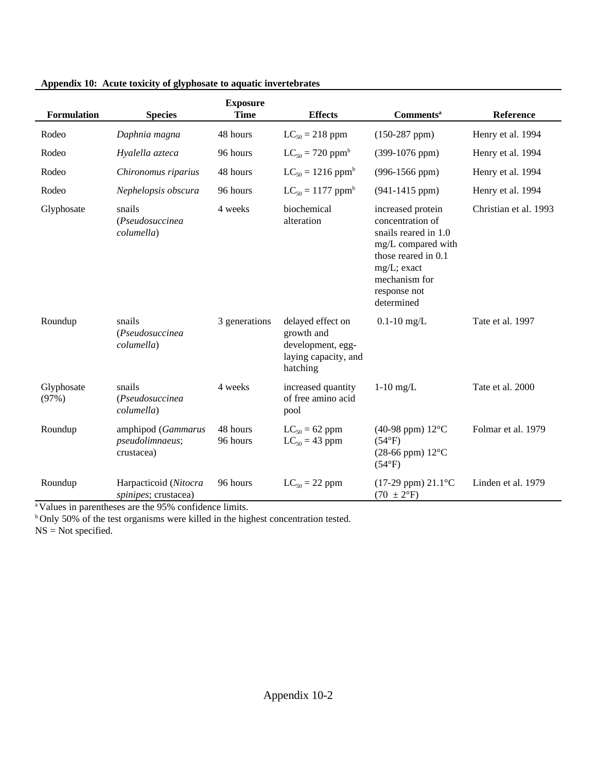| <b>Formulation</b>  | <b>Species</b>                                      | <b>Exposure</b><br><b>Time</b> | <b>Effects</b>                                                                           | <b>Comments</b> <sup>a</sup>                                                                                                                                             | Reference             |
|---------------------|-----------------------------------------------------|--------------------------------|------------------------------------------------------------------------------------------|--------------------------------------------------------------------------------------------------------------------------------------------------------------------------|-----------------------|
| Rodeo               | Daphnia magna                                       | 48 hours                       | $LC_{50} = 218$ ppm                                                                      | $(150-287$ ppm)                                                                                                                                                          | Henry et al. 1994     |
| Rodeo               | Hyalella azteca                                     | 96 hours                       | $LC_{50} = 720$ ppm <sup>b</sup>                                                         | $(399-1076$ ppm)                                                                                                                                                         | Henry et al. 1994     |
| Rodeo               | Chironomus riparius                                 | 48 hours                       | $LC_{50} = 1216$ ppm <sup>b</sup>                                                        | $(996-1566$ ppm)                                                                                                                                                         | Henry et al. 1994     |
| Rodeo               | Nephelopsis obscura                                 | 96 hours                       | $LC_{50} = 1177$ ppm <sup>b</sup>                                                        | $(941-1415$ ppm)                                                                                                                                                         | Henry et al. 1994     |
| Glyphosate          | snails<br>(Pseudosuccinea<br>columella)             | 4 weeks                        | biochemical<br>alteration                                                                | increased protein<br>concentration of<br>snails reared in 1.0<br>mg/L compared with<br>those reared in 0.1<br>mg/L; exact<br>mechanism for<br>response not<br>determined | Christian et al. 1993 |
| Roundup             | snails<br>(Pseudosuccinea<br>columella)             | 3 generations                  | delayed effect on<br>growth and<br>development, egg-<br>laying capacity, and<br>hatching | $0.1 - 10$ mg/L                                                                                                                                                          | Tate et al. 1997      |
| Glyphosate<br>(97%) | snails<br>(Pseudosuccinea<br>columella)             | 4 weeks                        | increased quantity<br>of free amino acid<br>pool                                         | $1-10$ mg/L                                                                                                                                                              | Tate et al. 2000      |
| Roundup             | amphipod (Gammarus<br>pseudolimnaeus;<br>crustacea) | 48 hours<br>96 hours           | $LC_{50} = 62$ ppm<br>$LC_{50} = 43$ ppm                                                 | (40-98 ppm) $12^{\circ}$ C<br>$(54^{\circ}F)$<br>$(28-66$ ppm) $12^{\circ}$ C<br>$(54^{\circ}F)$                                                                         | Folmar et al. 1979    |
| Roundup             | Harpacticoid (Nitocra<br>spinipes; crustacea)       | 96 hours                       | $LC_{50} = 22$ ppm                                                                       | $(17-29$ ppm) $21.1^{\circ}$ C<br>$(70 \pm 2$ <sup>o</sup> F)                                                                                                            | Linden et al. 1979    |

#### **Appendix 10: Acute toxicity of glyphosate to aquatic invertebrates**

<sup>a</sup>Values in parentheses are the 95% confidence limits.

<sup>b</sup>Only 50% of the test organisms were killed in the highest concentration tested.

 $NS = Not specified.$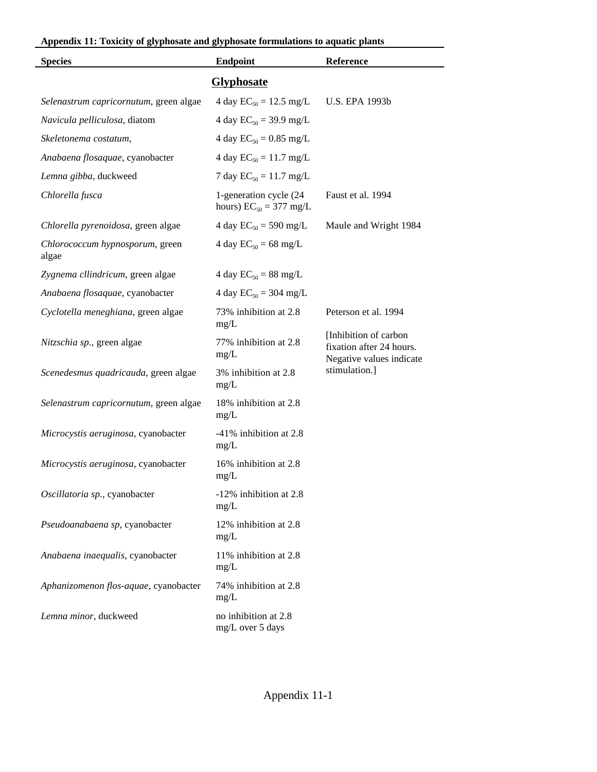|  | Appendix 11: Toxicity of glyphosate and glyphosate formulations to aquatic plants |
|--|-----------------------------------------------------------------------------------|
|--|-----------------------------------------------------------------------------------|

| <b>Species</b>                           | <b>Endpoint</b>                                       | Reference                                                                      |  |
|------------------------------------------|-------------------------------------------------------|--------------------------------------------------------------------------------|--|
| <b>Glyphosate</b>                        |                                                       |                                                                                |  |
| Selenastrum capricornutum, green algae   | 4 day $EC_{50} = 12.5$ mg/L                           | <b>U.S. EPA 1993b</b>                                                          |  |
| Navicula pelliculosa, diatom             | 4 day $EC_{50} = 39.9$ mg/L                           |                                                                                |  |
| Skeletonema costatum,                    | 4 day $EC_{50} = 0.85$ mg/L                           |                                                                                |  |
| Anabaena flosaquae, cyanobacter          | 4 day $EC_{50} = 11.7$ mg/L                           |                                                                                |  |
| Lemna gibba, duckweed                    | 7 day $EC_{50} = 11.7$ mg/L                           |                                                                                |  |
| Chlorella fusca                          | 1-generation cycle (24<br>hours) $EC_{50} = 377$ mg/L | Faust et al. 1994                                                              |  |
| Chlorella pyrenoidosa, green algae       | 4 day $EC_{50} = 590$ mg/L                            | Maule and Wright 1984                                                          |  |
| Chlorococcum hypnosporum, green<br>algae | 4 day $EC_{50} = 68$ mg/L                             |                                                                                |  |
| Zygnema cllindricum, green algae         | 4 day $EC_{50} = 88$ mg/L                             |                                                                                |  |
| Anabaena flosaquae, cyanobacter          | 4 day $EC_{50} = 304$ mg/L                            |                                                                                |  |
| Cyclotella meneghiana, green algae       | 73% inhibition at 2.8<br>mg/L                         | Peterson et al. 1994                                                           |  |
| Nitzschia sp., green algae               | 77% inhibition at 2.8<br>mg/L                         | [Inhibition of carbon]<br>fixation after 24 hours.<br>Negative values indicate |  |
| Scenedesmus quadricauda, green algae     | 3% inhibition at 2.8<br>mg/L                          | stimulation.]                                                                  |  |
| Selenastrum capricornutum, green algae   | 18% inhibition at 2.8<br>mg/L                         |                                                                                |  |
| Microcystis aeruginosa, cyanobacter      | -41% inhibition at 2.8<br>mg/L                        |                                                                                |  |
| Microcystis aeruginosa, cyanobacter      | 16% inhibition at 2.8<br>mg/L                         |                                                                                |  |
| Oscillatoria sp., cyanobacter            | -12% inhibition at 2.8<br>mg/L                        |                                                                                |  |
| Pseudoanabaena sp, cyanobacter           | 12% inhibition at 2.8<br>mg/L                         |                                                                                |  |
| Anabaena inaequalis, cyanobacter         | 11% inhibition at 2.8<br>mg/L                         |                                                                                |  |
| Aphanizomenon flos-aquae, cyanobacter    | 74% inhibition at 2.8<br>mg/L                         |                                                                                |  |
| Lemna minor, duckweed                    | no inhibition at 2.8<br>mg/L over 5 days              |                                                                                |  |